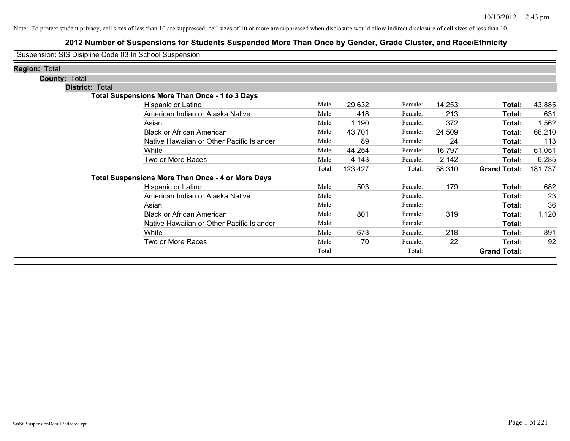### **2012 Number of Suspensions for Students Suspended More Than Once by Gender, Grade Cluster, and Race/Ethnicity**

Suspension: SIS Disipline Code 03 In School Suspension

| <b>Region: Total</b> |                        |                                                          |        |         |         |        |                     |         |
|----------------------|------------------------|----------------------------------------------------------|--------|---------|---------|--------|---------------------|---------|
| <b>County: Total</b> |                        |                                                          |        |         |         |        |                     |         |
|                      | <b>District: Total</b> |                                                          |        |         |         |        |                     |         |
|                      |                        | <b>Total Suspensions More Than Once - 1 to 3 Days</b>    |        |         |         |        |                     |         |
|                      |                        | Hispanic or Latino                                       | Male:  | 29,632  | Female: | 14,253 | Total:              | 43,885  |
|                      |                        | American Indian or Alaska Native                         | Male:  | 418     | Female: | 213    | Total:              | 631     |
|                      |                        | Asian                                                    | Male:  | 1,190   | Female: | 372    | Total:              | 1,562   |
|                      |                        | <b>Black or African American</b>                         | Male:  | 43,701  | Female: | 24,509 | Total:              | 68,210  |
|                      |                        | Native Hawaiian or Other Pacific Islander                | Male:  | 89      | Female: | 24     | Total:              | 113     |
|                      |                        | White                                                    | Male:  | 44,254  | Female: | 16,797 | Total:              | 61,051  |
|                      |                        | Two or More Races                                        | Male:  | 4,143   | Female: | 2,142  | Total:              | 6,285   |
|                      |                        |                                                          | Total: | 123,427 | Total:  | 58,310 | <b>Grand Total:</b> | 181,737 |
|                      |                        | <b>Total Suspensions More Than Once - 4 or More Days</b> |        |         |         |        |                     |         |
|                      |                        | Hispanic or Latino                                       | Male:  | 503     | Female: | 179    | Total:              | 682     |
|                      |                        | American Indian or Alaska Native                         | Male:  |         | Female: |        | Total:              | 23      |
|                      |                        | Asian                                                    | Male:  |         | Female: |        | Total:              | 36      |
|                      |                        | <b>Black or African American</b>                         | Male:  | 801     | Female: | 319    | Total:              | 1,120   |
|                      |                        | Native Hawaiian or Other Pacific Islander                | Male:  |         | Female: |        | Total:              |         |
|                      |                        | White                                                    | Male:  | 673     | Female: | 218    | Total:              | 891     |
|                      |                        | Two or More Races                                        | Male:  | 70      | Female: | 22     | Total:              | 92      |
|                      |                        |                                                          | Total: |         | Total:  |        | <b>Grand Total:</b> |         |
|                      |                        |                                                          |        |         |         |        |                     |         |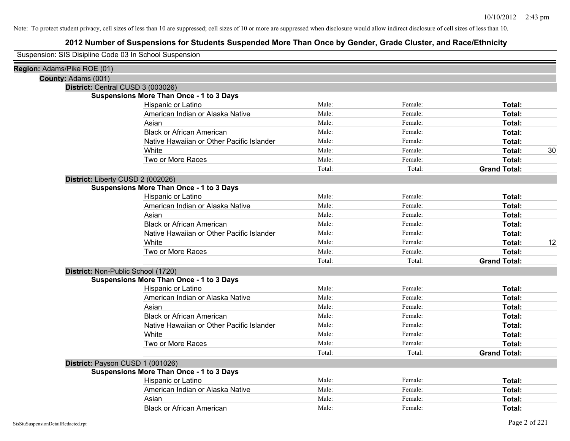| Suspension: SIS Disipline Code 03 In School Suspension |
|--------------------------------------------------------|
|--------------------------------------------------------|

| Region: Adams/Pike ROE (01)        |                                                 |        |         |                     |    |
|------------------------------------|-------------------------------------------------|--------|---------|---------------------|----|
| County: Adams (001)                |                                                 |        |         |                     |    |
| District: Central CUSD 3 (003026)  |                                                 |        |         |                     |    |
|                                    | <b>Suspensions More Than Once - 1 to 3 Days</b> |        |         |                     |    |
|                                    | Hispanic or Latino                              | Male:  | Female: | Total:              |    |
|                                    | American Indian or Alaska Native                | Male:  | Female: | Total:              |    |
|                                    | Asian                                           | Male:  | Female: | Total:              |    |
|                                    | <b>Black or African American</b>                | Male:  | Female: | Total:              |    |
|                                    | Native Hawaiian or Other Pacific Islander       | Male:  | Female: | Total:              |    |
|                                    | White                                           | Male:  | Female: | Total:              | 30 |
|                                    | Two or More Races                               | Male:  | Female: | Total:              |    |
|                                    |                                                 | Total: | Total:  | <b>Grand Total:</b> |    |
| District: Liberty CUSD 2 (002026)  |                                                 |        |         |                     |    |
|                                    | <b>Suspensions More Than Once - 1 to 3 Days</b> |        |         |                     |    |
|                                    | Hispanic or Latino                              | Male:  | Female: | Total:              |    |
|                                    | American Indian or Alaska Native                | Male:  | Female: | Total:              |    |
|                                    | Asian                                           | Male:  | Female: | Total:              |    |
|                                    | <b>Black or African American</b>                | Male:  | Female: | Total:              |    |
|                                    | Native Hawaiian or Other Pacific Islander       | Male:  | Female: | Total:              |    |
|                                    | White                                           | Male:  | Female: | Total:              | 12 |
|                                    | Two or More Races                               | Male:  | Female: | Total:              |    |
|                                    |                                                 | Total: | Total:  | <b>Grand Total:</b> |    |
| District: Non-Public School (1720) |                                                 |        |         |                     |    |
|                                    | <b>Suspensions More Than Once - 1 to 3 Days</b> |        |         |                     |    |
|                                    | Hispanic or Latino                              | Male:  | Female: | Total:              |    |
|                                    | American Indian or Alaska Native                | Male:  | Female: | Total:              |    |
|                                    | Asian                                           | Male:  | Female: | Total:              |    |
|                                    | <b>Black or African American</b>                | Male:  | Female: | Total:              |    |
|                                    | Native Hawaiian or Other Pacific Islander       | Male:  | Female: | Total:              |    |
|                                    | White                                           | Male:  | Female: | Total:              |    |
|                                    | Two or More Races                               | Male:  | Female: | Total:              |    |
|                                    |                                                 | Total: | Total:  | <b>Grand Total:</b> |    |
| District: Payson CUSD 1 (001026)   |                                                 |        |         |                     |    |
|                                    | <b>Suspensions More Than Once - 1 to 3 Days</b> |        |         |                     |    |
|                                    | Hispanic or Latino                              | Male:  | Female: | Total:              |    |
|                                    | American Indian or Alaska Native                | Male:  | Female: | Total:              |    |
|                                    | Asian                                           | Male:  | Female: | Total:              |    |
|                                    | <b>Black or African American</b>                | Male:  | Female: | Total:              |    |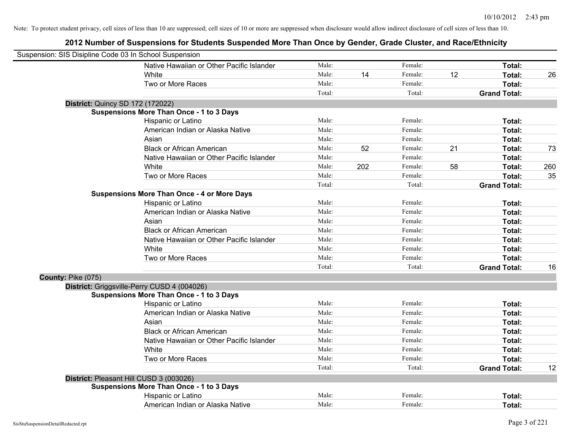| Suspension: SIS Disipline Code 03 In School Suspension |                                                    |        |     |         |    |                     |     |
|--------------------------------------------------------|----------------------------------------------------|--------|-----|---------|----|---------------------|-----|
|                                                        | Native Hawaiian or Other Pacific Islander          | Male:  |     | Female: |    | Total:              |     |
|                                                        | <b>White</b>                                       | Male:  | 14  | Female: | 12 | Total:              | 26  |
|                                                        | Two or More Races                                  | Male:  |     | Female: |    | <b>Total:</b>       |     |
|                                                        |                                                    | Total: |     | Total:  |    | <b>Grand Total:</b> |     |
|                                                        | <b>District: Quincy SD 172 (172022)</b>            |        |     |         |    |                     |     |
|                                                        | <b>Suspensions More Than Once - 1 to 3 Days</b>    |        |     |         |    |                     |     |
|                                                        | Hispanic or Latino                                 | Male:  |     | Female: |    | Total:              |     |
|                                                        | American Indian or Alaska Native                   | Male:  |     | Female: |    | Total:              |     |
|                                                        | Asian                                              | Male:  |     | Female: |    | Total:              |     |
|                                                        | <b>Black or African American</b>                   | Male:  | 52  | Female: | 21 | Total:              | 73  |
|                                                        | Native Hawaiian or Other Pacific Islander          | Male:  |     | Female: |    | Total:              |     |
|                                                        | White                                              | Male:  | 202 | Female: | 58 | Total:              | 260 |
|                                                        | Two or More Races                                  | Male:  |     | Female: |    | Total:              | 35  |
|                                                        |                                                    | Total: |     | Total:  |    | <b>Grand Total:</b> |     |
|                                                        | <b>Suspensions More Than Once - 4 or More Days</b> |        |     |         |    |                     |     |
|                                                        | Hispanic or Latino                                 | Male:  |     | Female: |    | Total:              |     |
|                                                        | American Indian or Alaska Native                   | Male:  |     | Female: |    | Total:              |     |
|                                                        | Asian                                              | Male:  |     | Female: |    | Total:              |     |
|                                                        | <b>Black or African American</b>                   | Male:  |     | Female: |    | Total:              |     |
|                                                        | Native Hawaiian or Other Pacific Islander          | Male:  |     | Female: |    | Total:              |     |
|                                                        | White                                              | Male:  |     | Female: |    | Total:              |     |
|                                                        | Two or More Races                                  | Male:  |     | Female: |    | Total:              |     |
|                                                        |                                                    | Total: |     | Total:  |    | <b>Grand Total:</b> | 16  |
| County: Pike (075)                                     |                                                    |        |     |         |    |                     |     |
|                                                        | District: Griggsville-Perry CUSD 4 (004026)        |        |     |         |    |                     |     |
|                                                        | <b>Suspensions More Than Once - 1 to 3 Days</b>    |        |     |         |    |                     |     |
|                                                        | Hispanic or Latino                                 | Male:  |     | Female: |    | Total:              |     |
|                                                        | American Indian or Alaska Native                   | Male:  |     | Female: |    | Total:              |     |
|                                                        | Asian                                              | Male:  |     | Female: |    | Total:              |     |
|                                                        | <b>Black or African American</b>                   | Male:  |     | Female: |    | Total:              |     |
|                                                        | Native Hawaiian or Other Pacific Islander          | Male:  |     | Female: |    | Total:              |     |
|                                                        | White                                              | Male:  |     | Female: |    | Total:              |     |
|                                                        | Two or More Races                                  | Male:  |     | Female: |    | Total:              |     |
|                                                        |                                                    | Total: |     | Total:  |    | <b>Grand Total:</b> | 12  |
|                                                        | District: Pleasant Hill CUSD 3 (003026)            |        |     |         |    |                     |     |
|                                                        | <b>Suspensions More Than Once - 1 to 3 Days</b>    |        |     |         |    |                     |     |
|                                                        | Hispanic or Latino                                 | Male:  |     | Female: |    | Total:              |     |
|                                                        | American Indian or Alaska Native                   | Male:  |     | Female: |    | Total:              |     |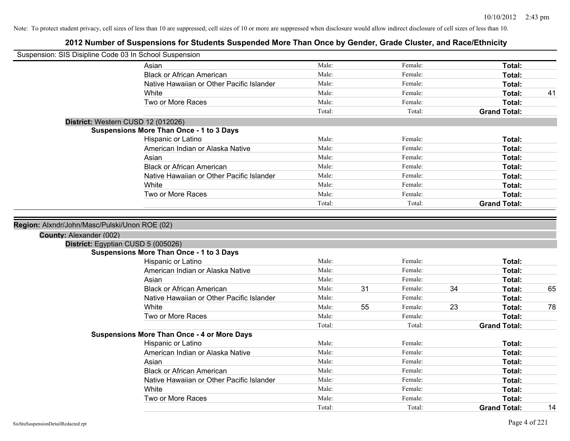| Suspension: SIS Disipline Code 03 In School Suspension |                                                    |        |    |         |    |                     |    |
|--------------------------------------------------------|----------------------------------------------------|--------|----|---------|----|---------------------|----|
|                                                        | Asian                                              | Male:  |    | Female: |    | Total:              |    |
|                                                        | <b>Black or African American</b>                   | Male:  |    | Female: |    | Total:              |    |
|                                                        | Native Hawaiian or Other Pacific Islander          | Male:  |    | Female: |    | Total:              |    |
|                                                        | White                                              | Male:  |    | Female: |    | <b>Total:</b>       | 41 |
|                                                        | Two or More Races                                  | Male:  |    | Female: |    | Total:              |    |
|                                                        |                                                    | Total: |    | Total:  |    | <b>Grand Total:</b> |    |
|                                                        | District: Western CUSD 12 (012026)                 |        |    |         |    |                     |    |
|                                                        | <b>Suspensions More Than Once - 1 to 3 Days</b>    |        |    |         |    |                     |    |
|                                                        | Hispanic or Latino                                 | Male:  |    | Female: |    | Total:              |    |
|                                                        | American Indian or Alaska Native                   | Male:  |    | Female: |    | Total:              |    |
|                                                        | Asian                                              | Male:  |    | Female: |    | Total:              |    |
|                                                        | <b>Black or African American</b>                   | Male:  |    | Female: |    | Total:              |    |
|                                                        | Native Hawaiian or Other Pacific Islander          | Male:  |    | Female: |    | Total:              |    |
|                                                        | White                                              | Male:  |    | Female: |    | Total:              |    |
|                                                        | Two or More Races                                  | Male:  |    | Female: |    | Total:              |    |
|                                                        |                                                    | Total: |    | Total:  |    | <b>Grand Total:</b> |    |
| County: Alexander (002)                                | District: Egyptian CUSD 5 (005026)                 |        |    |         |    |                     |    |
|                                                        | <b>Suspensions More Than Once - 1 to 3 Days</b>    |        |    |         |    |                     |    |
|                                                        | Hispanic or Latino                                 | Male:  |    | Female: |    | Total:              |    |
|                                                        | American Indian or Alaska Native                   | Male:  |    | Female: |    | Total:              |    |
|                                                        | Asian                                              | Male:  |    | Female: |    | Total:              |    |
|                                                        | <b>Black or African American</b>                   | Male:  | 31 | Female: | 34 | Total:              | 65 |
|                                                        | Native Hawaiian or Other Pacific Islander          | Male:  |    | Female: |    | Total:              |    |
|                                                        | White                                              | Male:  | 55 | Female: | 23 | Total:              | 78 |
|                                                        | Two or More Races                                  | Male:  |    | Female: |    | Total:              |    |
|                                                        |                                                    | Total: |    | Total:  |    | <b>Grand Total:</b> |    |
|                                                        | <b>Suspensions More Than Once - 4 or More Days</b> |        |    |         |    |                     |    |
|                                                        | Hispanic or Latino                                 | Male:  |    | Female: |    | Total:              |    |
|                                                        | American Indian or Alaska Native                   | Male:  |    | Female: |    | Total:              |    |
|                                                        | Asian                                              | Male:  |    | Female: |    | Total:              |    |
|                                                        | <b>Black or African American</b>                   | Male:  |    | Female: |    | Total:              |    |
|                                                        | Native Hawaiian or Other Pacific Islander          | Male:  |    | Female: |    | Total:              |    |
|                                                        | White                                              | Male:  |    | Female: |    | Total:              |    |
|                                                        | Two or More Races                                  | Male:  |    | Female: |    | Total:              |    |
|                                                        |                                                    | Total: |    | Total:  |    | <b>Grand Total:</b> | 14 |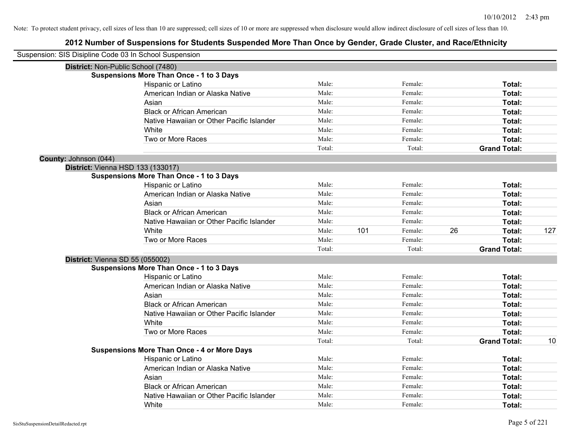|                       | Suspension: SIS Disipline Code 03 In School Suspension |        |     |         |    |                     |     |
|-----------------------|--------------------------------------------------------|--------|-----|---------|----|---------------------|-----|
|                       | District: Non-Public School (7480)                     |        |     |         |    |                     |     |
|                       | <b>Suspensions More Than Once - 1 to 3 Days</b>        |        |     |         |    |                     |     |
|                       | Hispanic or Latino                                     | Male:  |     | Female: |    | Total:              |     |
|                       | American Indian or Alaska Native                       | Male:  |     | Female: |    | Total:              |     |
|                       | Asian                                                  | Male:  |     | Female: |    | Total:              |     |
|                       | <b>Black or African American</b>                       | Male:  |     | Female: |    | Total:              |     |
|                       | Native Hawaiian or Other Pacific Islander              | Male:  |     | Female: |    | Total:              |     |
|                       | White                                                  | Male:  |     | Female: |    | Total:              |     |
|                       | Two or More Races                                      | Male:  |     | Female: |    | Total:              |     |
|                       |                                                        | Total: |     | Total:  |    | <b>Grand Total:</b> |     |
| County: Johnson (044) |                                                        |        |     |         |    |                     |     |
|                       | <b>District: Vienna HSD 133 (133017)</b>               |        |     |         |    |                     |     |
|                       | <b>Suspensions More Than Once - 1 to 3 Days</b>        |        |     |         |    |                     |     |
|                       | Hispanic or Latino                                     | Male:  |     | Female: |    | Total:              |     |
|                       | American Indian or Alaska Native                       | Male:  |     | Female: |    | Total:              |     |
|                       | Asian                                                  | Male:  |     | Female: |    | Total:              |     |
|                       | <b>Black or African American</b>                       | Male:  |     | Female: |    | Total:              |     |
|                       | Native Hawaiian or Other Pacific Islander              | Male:  |     | Female: |    | Total:              |     |
|                       | White                                                  | Male:  | 101 | Female: | 26 | Total:              | 127 |
|                       | Two or More Races                                      | Male:  |     | Female: |    | Total:              |     |
|                       |                                                        | Total: |     | Total:  |    | <b>Grand Total:</b> |     |
|                       | District: Vienna SD 55 (055002)                        |        |     |         |    |                     |     |
|                       | <b>Suspensions More Than Once - 1 to 3 Days</b>        |        |     |         |    |                     |     |
|                       | Hispanic or Latino                                     | Male:  |     | Female: |    | Total:              |     |
|                       | American Indian or Alaska Native                       | Male:  |     | Female: |    | Total:              |     |
|                       | Asian                                                  | Male:  |     | Female: |    | Total:              |     |
|                       | <b>Black or African American</b>                       | Male:  |     | Female: |    | Total:              |     |
|                       | Native Hawaiian or Other Pacific Islander              | Male:  |     | Female: |    | Total:              |     |
|                       | White                                                  | Male:  |     | Female: |    | Total:              |     |
|                       | Two or More Races                                      | Male:  |     | Female: |    | Total:              |     |
|                       |                                                        | Total: |     | Total:  |    | <b>Grand Total:</b> | 10  |
|                       | <b>Suspensions More Than Once - 4 or More Days</b>     |        |     |         |    |                     |     |
|                       | Hispanic or Latino                                     | Male:  |     | Female: |    | Total:              |     |
|                       | American Indian or Alaska Native                       | Male:  |     | Female: |    | Total:              |     |
|                       | Asian                                                  | Male:  |     | Female: |    | Total:              |     |
|                       | <b>Black or African American</b>                       | Male:  |     | Female: |    | Total:              |     |
|                       | Native Hawaiian or Other Pacific Islander              | Male:  |     | Female: |    | <b>Total:</b>       |     |
|                       | White                                                  | Male:  |     | Female: |    | Total:              |     |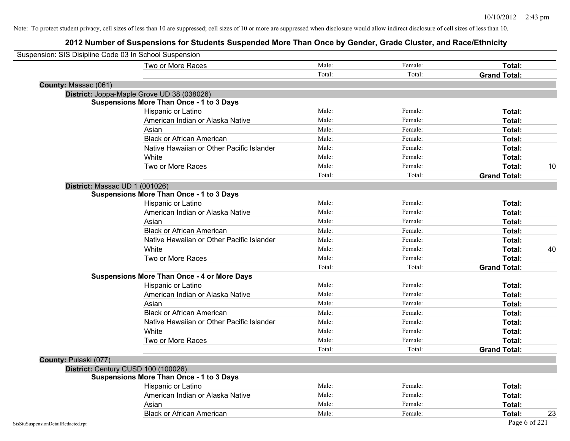| Suspension: SIS Disipline Code 03 In School Suspension |                                                    |        |         |                     |    |
|--------------------------------------------------------|----------------------------------------------------|--------|---------|---------------------|----|
|                                                        | Two or More Races                                  | Male:  | Female: | Total:              |    |
|                                                        |                                                    | Total: | Total:  | <b>Grand Total:</b> |    |
| County: Massac (061)                                   |                                                    |        |         |                     |    |
|                                                        | District: Joppa-Maple Grove UD 38 (038026)         |        |         |                     |    |
|                                                        | <b>Suspensions More Than Once - 1 to 3 Days</b>    |        |         |                     |    |
|                                                        | Hispanic or Latino                                 | Male:  | Female: | Total:              |    |
|                                                        | American Indian or Alaska Native                   | Male:  | Female: | Total:              |    |
|                                                        | Asian                                              | Male:  | Female: | Total:              |    |
|                                                        | <b>Black or African American</b>                   | Male:  | Female: | Total:              |    |
|                                                        | Native Hawaiian or Other Pacific Islander          | Male:  | Female: | Total:              |    |
|                                                        | White                                              | Male:  | Female: | Total:              |    |
|                                                        | Two or More Races                                  | Male:  | Female: | Total:              | 10 |
|                                                        |                                                    | Total: | Total:  | <b>Grand Total:</b> |    |
|                                                        | District: Massac UD 1 (001026)                     |        |         |                     |    |
|                                                        | <b>Suspensions More Than Once - 1 to 3 Days</b>    |        |         |                     |    |
|                                                        | Hispanic or Latino                                 | Male:  | Female: | Total:              |    |
|                                                        | American Indian or Alaska Native                   | Male:  | Female: | Total:              |    |
|                                                        | Asian                                              | Male:  | Female: | Total:              |    |
|                                                        | <b>Black or African American</b>                   | Male:  | Female: | Total:              |    |
|                                                        | Native Hawaiian or Other Pacific Islander          | Male:  | Female: | Total:              |    |
|                                                        | White                                              | Male:  | Female: | Total:              | 40 |
|                                                        | Two or More Races                                  | Male:  | Female: | Total:              |    |
|                                                        |                                                    | Total: | Total:  | <b>Grand Total:</b> |    |
|                                                        | <b>Suspensions More Than Once - 4 or More Days</b> |        |         |                     |    |
|                                                        | Hispanic or Latino                                 | Male:  | Female: | Total:              |    |
|                                                        | American Indian or Alaska Native                   | Male:  | Female: | Total:              |    |
|                                                        | Asian                                              | Male:  | Female: | Total:              |    |
|                                                        | <b>Black or African American</b>                   | Male:  | Female: | Total:              |    |
|                                                        | Native Hawaiian or Other Pacific Islander          | Male:  | Female: | Total:              |    |
|                                                        | White                                              | Male:  | Female: | Total:              |    |
|                                                        | Two or More Races                                  | Male:  | Female: | Total:              |    |
|                                                        |                                                    | Total: | Total:  | <b>Grand Total:</b> |    |
| County: Pulaski (077)                                  |                                                    |        |         |                     |    |
|                                                        | District: Century CUSD 100 (100026)                |        |         |                     |    |
|                                                        | <b>Suspensions More Than Once - 1 to 3 Days</b>    |        |         |                     |    |
|                                                        | Hispanic or Latino                                 | Male:  | Female: | Total:              |    |
|                                                        | American Indian or Alaska Native                   | Male:  | Female: | Total:              |    |
|                                                        | Asian                                              | Male:  | Female: | Total:              |    |
|                                                        | <b>Black or African American</b>                   | Male:  | Female: | Total:              | 23 |
| SisStuSuspensionDetailRedacted.rpt                     |                                                    |        |         | Page 6 of 221       |    |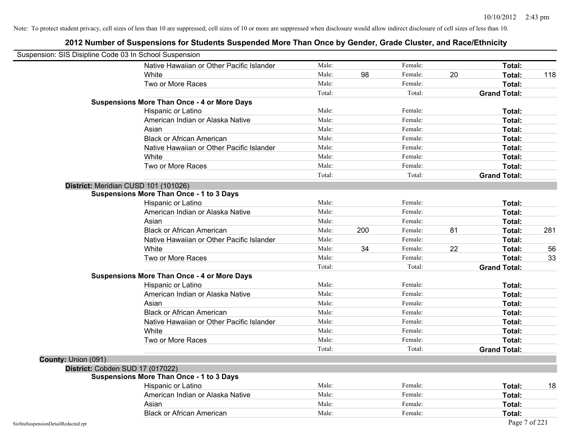| Suspension: SIS Disipline Code 03 In School Suspension |                                                    |        |     |         |    |                     |     |
|--------------------------------------------------------|----------------------------------------------------|--------|-----|---------|----|---------------------|-----|
|                                                        | Native Hawaiian or Other Pacific Islander          | Male:  |     | Female: |    | Total:              |     |
|                                                        | White                                              | Male:  | 98  | Female: | 20 | Total:              | 118 |
|                                                        | Two or More Races                                  | Male:  |     | Female: |    | Total:              |     |
|                                                        |                                                    | Total: |     | Total:  |    | <b>Grand Total:</b> |     |
|                                                        | <b>Suspensions More Than Once - 4 or More Days</b> |        |     |         |    |                     |     |
|                                                        | Hispanic or Latino                                 | Male:  |     | Female: |    | Total:              |     |
|                                                        | American Indian or Alaska Native                   | Male:  |     | Female: |    | Total:              |     |
|                                                        | Asian                                              | Male:  |     | Female: |    | Total:              |     |
|                                                        | <b>Black or African American</b>                   | Male:  |     | Female: |    | Total:              |     |
|                                                        | Native Hawaiian or Other Pacific Islander          | Male:  |     | Female: |    | Total:              |     |
|                                                        | White                                              | Male:  |     | Female: |    | Total:              |     |
|                                                        | Two or More Races                                  | Male:  |     | Female: |    | Total:              |     |
|                                                        |                                                    | Total: |     | Total:  |    | <b>Grand Total:</b> |     |
|                                                        | District: Meridian CUSD 101 (101026)               |        |     |         |    |                     |     |
|                                                        | <b>Suspensions More Than Once - 1 to 3 Days</b>    |        |     |         |    |                     |     |
|                                                        | Hispanic or Latino                                 | Male:  |     | Female: |    | Total:              |     |
|                                                        | American Indian or Alaska Native                   | Male:  |     | Female: |    | Total:              |     |
|                                                        | Asian                                              | Male:  |     | Female: |    | Total:              |     |
|                                                        | <b>Black or African American</b>                   | Male:  | 200 | Female: | 81 | Total:              | 281 |
|                                                        | Native Hawaiian or Other Pacific Islander          | Male:  |     | Female: |    | Total:              |     |
|                                                        | White                                              | Male:  | 34  | Female: | 22 | Total:              | 56  |
|                                                        | Two or More Races                                  | Male:  |     | Female: |    | Total:              | 33  |
|                                                        |                                                    | Total: |     | Total:  |    | <b>Grand Total:</b> |     |
|                                                        | <b>Suspensions More Than Once - 4 or More Days</b> |        |     |         |    |                     |     |
|                                                        | Hispanic or Latino                                 | Male:  |     | Female: |    | Total:              |     |
|                                                        | American Indian or Alaska Native                   | Male:  |     | Female: |    | Total:              |     |
|                                                        | Asian                                              | Male:  |     | Female: |    | Total:              |     |
|                                                        | <b>Black or African American</b>                   | Male:  |     | Female: |    | Total:              |     |
|                                                        | Native Hawaiian or Other Pacific Islander          | Male:  |     | Female: |    | Total:              |     |
|                                                        | White                                              | Male:  |     | Female: |    | Total:              |     |
|                                                        | Two or More Races                                  | Male:  |     | Female: |    | Total:              |     |
|                                                        |                                                    | Total: |     | Total:  |    | <b>Grand Total:</b> |     |
| County: Union (091)                                    |                                                    |        |     |         |    |                     |     |
|                                                        | District: Cobden SUD 17 (017022)                   |        |     |         |    |                     |     |
|                                                        | <b>Suspensions More Than Once - 1 to 3 Days</b>    |        |     |         |    |                     |     |
|                                                        | Hispanic or Latino                                 | Male:  |     | Female: |    | Total:              | 18  |
|                                                        | American Indian or Alaska Native                   | Male:  |     | Female: |    | Total:              |     |
|                                                        | Asian                                              | Male:  |     | Female: |    | Total:              |     |
|                                                        | <b>Black or African American</b>                   | Male:  |     | Female: |    | Total:              |     |
| SisStuSuspensionDetailRedacted.rpt                     |                                                    |        |     |         |    | Page 7 of 221       |     |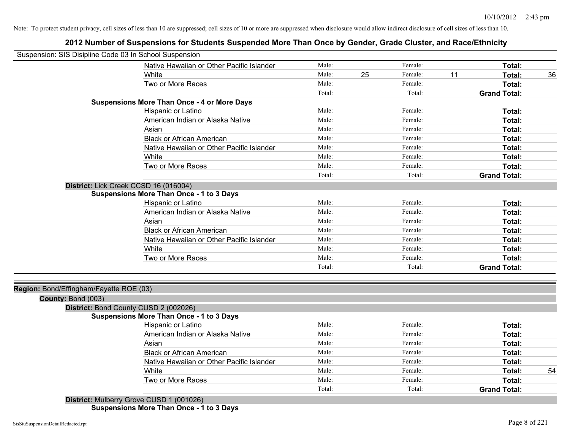## **2012 Number of Suspensions for Students Suspended More Than Once by Gender, Grade Cluster, and Race/Ethnicity**

| Suspension: SIS Disipline Code 03 In School Suspension |                                                    |        |    |         |    |                     |    |
|--------------------------------------------------------|----------------------------------------------------|--------|----|---------|----|---------------------|----|
|                                                        | Native Hawaiian or Other Pacific Islander          | Male:  |    | Female: |    | Total:              |    |
|                                                        | White                                              | Male:  | 25 | Female: | 11 | Total:              | 36 |
|                                                        | Two or More Races                                  | Male:  |    | Female: |    | Total:              |    |
|                                                        |                                                    | Total: |    | Total:  |    | <b>Grand Total:</b> |    |
|                                                        | <b>Suspensions More Than Once - 4 or More Days</b> |        |    |         |    |                     |    |
|                                                        | Hispanic or Latino                                 | Male:  |    | Female: |    | Total:              |    |
|                                                        | American Indian or Alaska Native                   | Male:  |    | Female: |    | <b>Total:</b>       |    |
|                                                        | Asian                                              | Male:  |    | Female: |    | <b>Total:</b>       |    |
|                                                        | <b>Black or African American</b>                   | Male:  |    | Female: |    | <b>Total:</b>       |    |
|                                                        | Native Hawaiian or Other Pacific Islander          | Male:  |    | Female: |    | <b>Total:</b>       |    |
|                                                        | White                                              | Male:  |    | Female: |    | <b>Total:</b>       |    |
|                                                        | Two or More Races                                  | Male:  |    | Female: |    | Total:              |    |
|                                                        |                                                    | Total: |    | Total:  |    | <b>Grand Total:</b> |    |
| District: Lick Creek CCSD 16 (016004)                  |                                                    |        |    |         |    |                     |    |
|                                                        | <b>Suspensions More Than Once - 1 to 3 Days</b>    |        |    |         |    |                     |    |
|                                                        | Hispanic or Latino                                 | Male:  |    | Female: |    | Total:              |    |
|                                                        | American Indian or Alaska Native                   | Male:  |    | Female: |    | <b>Total:</b>       |    |
|                                                        | Asian                                              | Male:  |    | Female: |    | Total:              |    |
|                                                        | <b>Black or African American</b>                   | Male:  |    | Female: |    | <b>Total:</b>       |    |
|                                                        | Native Hawaiian or Other Pacific Islander          | Male:  |    | Female: |    | <b>Total:</b>       |    |
|                                                        | White                                              | Male:  |    | Female: |    | <b>Total:</b>       |    |
|                                                        | Two or More Races                                  | Male:  |    | Female: |    | <b>Total:</b>       |    |
|                                                        |                                                    | Total: |    | Total:  |    | <b>Grand Total:</b> |    |
|                                                        |                                                    |        |    |         |    |                     |    |
| Region: Bond/Effingham/Fayette ROE (03)                |                                                    |        |    |         |    |                     |    |
| County: Bond (003)                                     |                                                    |        |    |         |    |                     |    |
| District: Bond County CUSD 2 (002026)                  |                                                    |        |    |         |    |                     |    |
|                                                        | <b>Suspensions More Than Once - 1 to 3 Days</b>    |        |    |         |    |                     |    |
|                                                        | Hispanic or Latino                                 | Male:  |    | Female: |    | <b>Total:</b>       |    |
|                                                        | American Indian or Alaska Native                   | Male:  |    | Female: |    | <b>Total:</b>       |    |
|                                                        | Asian                                              | Male:  |    | Female: |    | <b>Total:</b>       |    |
|                                                        | <b>Black or African American</b>                   | Male:  |    | Female: |    | <b>Total:</b>       |    |
|                                                        | Native Hawaiian or Other Pacific Islander          | Male:  |    | Female: |    | Total:              |    |
|                                                        | White                                              | Male:  |    | Female: |    | Total:              | 54 |
|                                                        | Two or More Races                                  | Male:  |    | Female: |    | Total:              |    |
|                                                        |                                                    | Total: |    | Total:  |    | <b>Grand Total:</b> |    |
|                                                        | District: Mulberry Grove CUSD 1 (001026)           |        |    |         |    |                     |    |

**Suspensions More Than Once - 1 to 3 Days**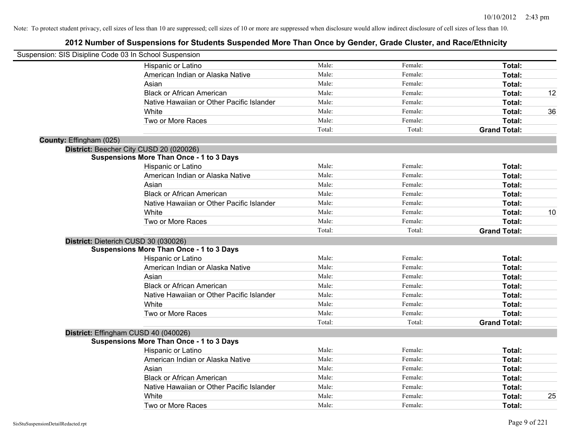| Suspension: SIS Disipline Code 03 In School Suspension |                                                 |        |         |                     |    |
|--------------------------------------------------------|-------------------------------------------------|--------|---------|---------------------|----|
|                                                        | Hispanic or Latino                              | Male:  | Female: | Total:              |    |
|                                                        | American Indian or Alaska Native                | Male:  | Female: | Total:              |    |
|                                                        | Asian                                           | Male:  | Female: | Total:              |    |
|                                                        | <b>Black or African American</b>                | Male:  | Female: | Total:              | 12 |
|                                                        | Native Hawaiian or Other Pacific Islander       | Male:  | Female: | Total:              |    |
|                                                        | White                                           | Male:  | Female: | Total:              | 36 |
|                                                        | Two or More Races                               | Male:  | Female: | Total:              |    |
|                                                        |                                                 | Total: | Total:  | <b>Grand Total:</b> |    |
| County: Effingham (025)                                |                                                 |        |         |                     |    |
|                                                        | District: Beecher City CUSD 20 (020026)         |        |         |                     |    |
|                                                        | <b>Suspensions More Than Once - 1 to 3 Days</b> |        |         |                     |    |
|                                                        | Hispanic or Latino                              | Male:  | Female: | Total:              |    |
|                                                        | American Indian or Alaska Native                | Male:  | Female: | Total:              |    |
|                                                        | Asian                                           | Male:  | Female: | Total:              |    |
|                                                        | <b>Black or African American</b>                | Male:  | Female: | Total:              |    |
|                                                        | Native Hawaiian or Other Pacific Islander       | Male:  | Female: | Total:              |    |
|                                                        | White                                           | Male:  | Female: | Total:              | 10 |
|                                                        | Two or More Races                               | Male:  | Female: | Total:              |    |
|                                                        |                                                 | Total: | Total:  | <b>Grand Total:</b> |    |
|                                                        | District: Dieterich CUSD 30 (030026)            |        |         |                     |    |
|                                                        | <b>Suspensions More Than Once - 1 to 3 Days</b> |        |         |                     |    |
|                                                        | Hispanic or Latino                              | Male:  | Female: | Total:              |    |
|                                                        | American Indian or Alaska Native                | Male:  | Female: | Total:              |    |
|                                                        | Asian                                           | Male:  | Female: | Total:              |    |
|                                                        | <b>Black or African American</b>                | Male:  | Female: | Total:              |    |
|                                                        | Native Hawaiian or Other Pacific Islander       | Male:  | Female: | Total:              |    |
|                                                        | White                                           | Male:  | Female: | Total:              |    |
|                                                        | Two or More Races                               | Male:  | Female: | Total:              |    |
|                                                        |                                                 | Total: | Total:  | <b>Grand Total:</b> |    |
|                                                        | District: Effingham CUSD 40 (040026)            |        |         |                     |    |
|                                                        | <b>Suspensions More Than Once - 1 to 3 Days</b> |        |         |                     |    |
|                                                        | Hispanic or Latino                              | Male:  | Female: | Total:              |    |
|                                                        | American Indian or Alaska Native                | Male:  | Female: | Total:              |    |
|                                                        | Asian                                           | Male:  | Female: | Total:              |    |
|                                                        | <b>Black or African American</b>                | Male:  | Female: | Total:              |    |
|                                                        | Native Hawaiian or Other Pacific Islander       | Male:  | Female: | Total:              |    |
|                                                        | White                                           | Male:  | Female: | Total:              | 25 |
|                                                        | Two or More Races                               | Male:  | Female: | Total:              |    |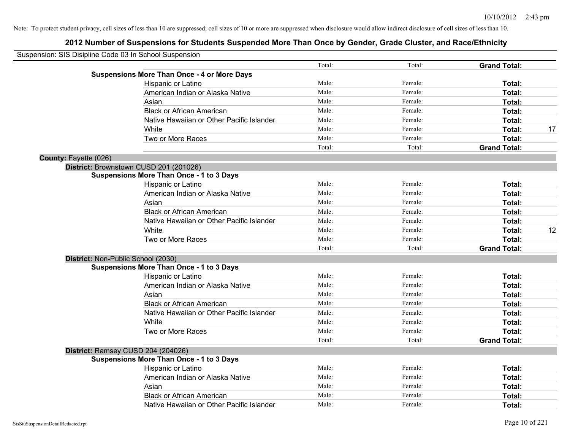|                       | Suspension: SIS Disipline Code 03 In School Suspension |        |         |                     |    |
|-----------------------|--------------------------------------------------------|--------|---------|---------------------|----|
|                       |                                                        | Total: | Total:  | <b>Grand Total:</b> |    |
|                       | <b>Suspensions More Than Once - 4 or More Days</b>     |        |         |                     |    |
|                       | Hispanic or Latino                                     | Male:  | Female: | Total:              |    |
|                       | American Indian or Alaska Native                       | Male:  | Female: | Total:              |    |
|                       | Asian                                                  | Male:  | Female: | <b>Total:</b>       |    |
|                       | <b>Black or African American</b>                       | Male:  | Female: | Total:              |    |
|                       | Native Hawaiian or Other Pacific Islander              | Male:  | Female: | Total:              |    |
|                       | White                                                  | Male:  | Female: | Total:              | 17 |
|                       | Two or More Races                                      | Male:  | Female: | Total:              |    |
|                       |                                                        | Total: | Total:  | <b>Grand Total:</b> |    |
| County: Fayette (026) |                                                        |        |         |                     |    |
|                       | District: Brownstown CUSD 201 (201026)                 |        |         |                     |    |
|                       | <b>Suspensions More Than Once - 1 to 3 Days</b>        |        |         |                     |    |
|                       | Hispanic or Latino                                     | Male:  | Female: | Total:              |    |
|                       | American Indian or Alaska Native                       | Male:  | Female: | Total:              |    |
|                       | Asian                                                  | Male:  | Female: | Total:              |    |
|                       | <b>Black or African American</b>                       | Male:  | Female: | Total:              |    |
|                       | Native Hawaiian or Other Pacific Islander              | Male:  | Female: | Total:              |    |
|                       | White                                                  | Male:  | Female: | Total:              | 12 |
|                       | Two or More Races                                      | Male:  | Female: | Total:              |    |
|                       |                                                        | Total: | Total:  | <b>Grand Total:</b> |    |
|                       | District: Non-Public School (2030)                     |        |         |                     |    |
|                       | <b>Suspensions More Than Once - 1 to 3 Days</b>        |        |         |                     |    |
|                       | Hispanic or Latino                                     | Male:  | Female: | Total:              |    |
|                       | American Indian or Alaska Native                       | Male:  | Female: | Total:              |    |
|                       | Asian                                                  | Male:  | Female: | Total:              |    |
|                       | <b>Black or African American</b>                       | Male:  | Female: | Total:              |    |
|                       | Native Hawaiian or Other Pacific Islander              | Male:  | Female: | Total:              |    |
|                       | White                                                  | Male:  | Female: | Total:              |    |
|                       | Two or More Races                                      | Male:  | Female: | Total:              |    |
|                       |                                                        | Total: | Total:  | <b>Grand Total:</b> |    |
|                       | District: Ramsey CUSD 204 (204026)                     |        |         |                     |    |
|                       | <b>Suspensions More Than Once - 1 to 3 Days</b>        |        |         |                     |    |
|                       | Hispanic or Latino                                     | Male:  | Female: | Total:              |    |
|                       | American Indian or Alaska Native                       | Male:  | Female: | Total:              |    |
|                       | Asian                                                  | Male:  | Female: | Total:              |    |
|                       | <b>Black or African American</b>                       | Male:  | Female: | Total:              |    |
|                       | Native Hawaiian or Other Pacific Islander              | Male:  | Female: | Total:              |    |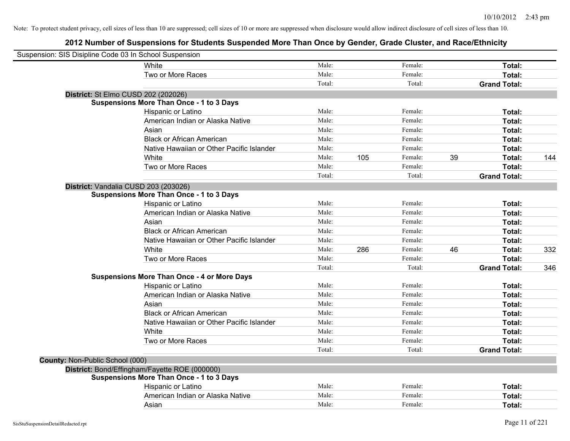| Suspension: SIS Disipline Code 03 In School Suspension |                                                    |        |     |         |    |                     |     |
|--------------------------------------------------------|----------------------------------------------------|--------|-----|---------|----|---------------------|-----|
|                                                        | White                                              | Male:  |     | Female: |    | Total:              |     |
|                                                        | Two or More Races                                  | Male:  |     | Female: |    | Total:              |     |
|                                                        |                                                    | Total: |     | Total:  |    | <b>Grand Total:</b> |     |
| District: St Elmo CUSD 202 (202026)                    |                                                    |        |     |         |    |                     |     |
|                                                        | <b>Suspensions More Than Once - 1 to 3 Days</b>    |        |     |         |    |                     |     |
|                                                        | Hispanic or Latino                                 | Male:  |     | Female: |    | Total:              |     |
|                                                        | American Indian or Alaska Native                   | Male:  |     | Female: |    | Total:              |     |
|                                                        | Asian                                              | Male:  |     | Female: |    | Total:              |     |
|                                                        | <b>Black or African American</b>                   | Male:  |     | Female: |    | Total:              |     |
|                                                        | Native Hawaiian or Other Pacific Islander          | Male:  |     | Female: |    | Total:              |     |
|                                                        | White                                              | Male:  | 105 | Female: | 39 | Total:              | 144 |
|                                                        | Two or More Races                                  | Male:  |     | Female: |    | Total:              |     |
|                                                        |                                                    | Total: |     | Total:  |    | <b>Grand Total:</b> |     |
| District: Vandalia CUSD 203 (203026)                   |                                                    |        |     |         |    |                     |     |
|                                                        | <b>Suspensions More Than Once - 1 to 3 Days</b>    |        |     |         |    |                     |     |
|                                                        | Hispanic or Latino                                 | Male:  |     | Female: |    | Total:              |     |
|                                                        | American Indian or Alaska Native                   | Male:  |     | Female: |    | Total:              |     |
|                                                        | Asian                                              | Male:  |     | Female: |    | Total:              |     |
|                                                        | <b>Black or African American</b>                   | Male:  |     | Female: |    | Total:              |     |
|                                                        | Native Hawaiian or Other Pacific Islander          | Male:  |     | Female: |    | Total:              |     |
|                                                        | White                                              | Male:  | 286 | Female: | 46 | Total:              | 332 |
|                                                        | Two or More Races                                  | Male:  |     | Female: |    | Total:              |     |
|                                                        |                                                    | Total: |     | Total:  |    | <b>Grand Total:</b> | 346 |
|                                                        | <b>Suspensions More Than Once - 4 or More Days</b> |        |     |         |    |                     |     |
|                                                        | Hispanic or Latino                                 | Male:  |     | Female: |    | Total:              |     |
|                                                        | American Indian or Alaska Native                   | Male:  |     | Female: |    | Total:              |     |
|                                                        | Asian                                              | Male:  |     | Female: |    | Total:              |     |
|                                                        | <b>Black or African American</b>                   | Male:  |     | Female: |    | Total:              |     |
|                                                        | Native Hawaiian or Other Pacific Islander          | Male:  |     | Female: |    | Total:              |     |
|                                                        | White                                              | Male:  |     | Female: |    | Total:              |     |
|                                                        | Two or More Races                                  | Male:  |     | Female: |    | Total:              |     |
|                                                        |                                                    | Total: |     | Total:  |    | <b>Grand Total:</b> |     |
| County: Non-Public School (000)                        |                                                    |        |     |         |    |                     |     |
|                                                        | District: Bond/Effingham/Fayette ROE (000000)      |        |     |         |    |                     |     |
|                                                        | <b>Suspensions More Than Once - 1 to 3 Days</b>    |        |     |         |    |                     |     |
|                                                        | Hispanic or Latino                                 | Male:  |     | Female: |    | Total:              |     |
|                                                        | American Indian or Alaska Native                   | Male:  |     | Female: |    | Total:              |     |
|                                                        | Asian                                              | Male:  |     | Female: |    | Total:              |     |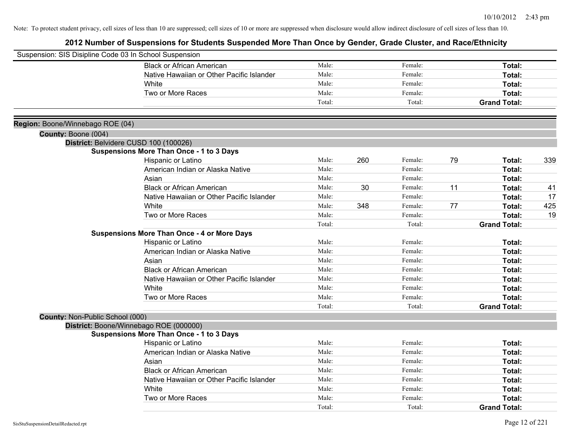| Suspension: SIS Disipline Code 03 In School Suspension |                                                    |        |     |         |    |                     |     |
|--------------------------------------------------------|----------------------------------------------------|--------|-----|---------|----|---------------------|-----|
|                                                        | <b>Black or African American</b>                   | Male:  |     | Female: |    | Total:              |     |
|                                                        | Native Hawaiian or Other Pacific Islander          | Male:  |     | Female: |    | Total:              |     |
|                                                        | White                                              | Male:  |     | Female: |    | Total:              |     |
|                                                        | Two or More Races                                  | Male:  |     | Female: |    | Total:              |     |
|                                                        |                                                    | Total: |     | Total:  |    | <b>Grand Total:</b> |     |
| Region: Boone/Winnebago ROE (04)                       |                                                    |        |     |         |    |                     |     |
| County: Boone (004)                                    |                                                    |        |     |         |    |                     |     |
|                                                        | District: Belvidere CUSD 100 (100026)              |        |     |         |    |                     |     |
|                                                        | <b>Suspensions More Than Once - 1 to 3 Days</b>    |        |     |         |    |                     |     |
|                                                        | Hispanic or Latino                                 | Male:  | 260 | Female: | 79 | Total:              | 339 |
|                                                        | American Indian or Alaska Native                   | Male:  |     | Female: |    | <b>Total:</b>       |     |
|                                                        | Asian                                              | Male:  |     | Female: |    | Total:              |     |
|                                                        | <b>Black or African American</b>                   | Male:  | 30  | Female: | 11 | Total:              | 41  |
|                                                        | Native Hawaiian or Other Pacific Islander          | Male:  |     | Female: |    | Total:              | 17  |
|                                                        | White                                              | Male:  | 348 | Female: | 77 | Total:              | 425 |
|                                                        | Two or More Races                                  | Male:  |     | Female: |    | Total:              | 19  |
|                                                        |                                                    | Total: |     | Total:  |    | <b>Grand Total:</b> |     |
|                                                        | <b>Suspensions More Than Once - 4 or More Days</b> |        |     |         |    |                     |     |
|                                                        | Hispanic or Latino                                 | Male:  |     | Female: |    | Total:              |     |
|                                                        | American Indian or Alaska Native                   | Male:  |     | Female: |    | Total:              |     |
|                                                        | Asian                                              | Male:  |     | Female: |    | Total:              |     |
|                                                        | <b>Black or African American</b>                   | Male:  |     | Female: |    | Total:              |     |
|                                                        | Native Hawaiian or Other Pacific Islander          | Male:  |     | Female: |    | Total:              |     |
|                                                        | White                                              | Male:  |     | Female: |    | Total:              |     |
|                                                        | Two or More Races                                  | Male:  |     | Female: |    | Total:              |     |
|                                                        |                                                    | Total: |     | Total:  |    | <b>Grand Total:</b> |     |
| County: Non-Public School (000)                        |                                                    |        |     |         |    |                     |     |
|                                                        | District: Boone/Winnebago ROE (000000)             |        |     |         |    |                     |     |
|                                                        | <b>Suspensions More Than Once - 1 to 3 Days</b>    |        |     |         |    |                     |     |
|                                                        | Hispanic or Latino                                 | Male:  |     | Female: |    | Total:              |     |
|                                                        | American Indian or Alaska Native                   | Male:  |     | Female: |    | Total:              |     |
|                                                        | Asian                                              | Male:  |     | Female: |    | Total:              |     |
|                                                        | <b>Black or African American</b>                   | Male:  |     | Female: |    | Total:              |     |
|                                                        | Native Hawaiian or Other Pacific Islander          | Male:  |     | Female: |    | Total:              |     |
|                                                        | White                                              | Male:  |     | Female: |    | <b>Total:</b>       |     |
|                                                        | Two or More Races                                  | Male:  |     | Female: |    | Total:              |     |
|                                                        |                                                    | Total: |     | Total:  |    | <b>Grand Total:</b> |     |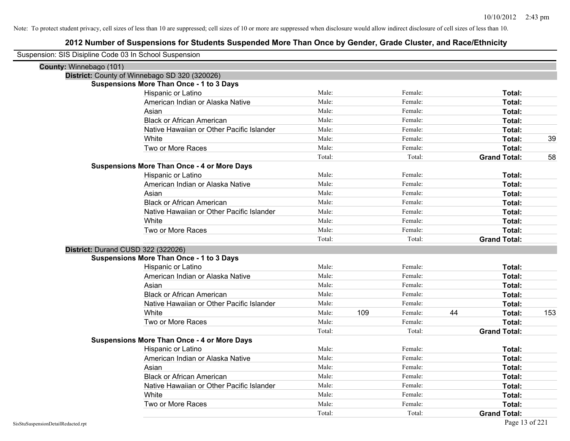| Suspension: SIS Disipline Code 03 In School Suspension |        |     |         |    |                     |     |
|--------------------------------------------------------|--------|-----|---------|----|---------------------|-----|
| County: Winnebago (101)                                |        |     |         |    |                     |     |
| District: County of Winnebago SD 320 (320026)          |        |     |         |    |                     |     |
| <b>Suspensions More Than Once - 1 to 3 Days</b>        |        |     |         |    |                     |     |
| Hispanic or Latino                                     | Male:  |     | Female: |    | Total:              |     |
| American Indian or Alaska Native                       | Male:  |     | Female: |    | Total:              |     |
| Asian                                                  | Male:  |     | Female: |    | Total:              |     |
| <b>Black or African American</b>                       | Male:  |     | Female: |    | Total:              |     |
| Native Hawaiian or Other Pacific Islander              | Male:  |     | Female: |    | Total:              |     |
| White                                                  | Male:  |     | Female: |    | Total:              | 39  |
| Two or More Races                                      | Male:  |     | Female: |    | Total:              |     |
|                                                        | Total: |     | Total:  |    | <b>Grand Total:</b> | 58  |
| <b>Suspensions More Than Once - 4 or More Days</b>     |        |     |         |    |                     |     |
| Hispanic or Latino                                     | Male:  |     | Female: |    | Total:              |     |
| American Indian or Alaska Native                       | Male:  |     | Female: |    | Total:              |     |
| Asian                                                  | Male:  |     | Female: |    | Total:              |     |
| <b>Black or African American</b>                       | Male:  |     | Female: |    | Total:              |     |
| Native Hawaiian or Other Pacific Islander              | Male:  |     | Female: |    | Total:              |     |
| White                                                  | Male:  |     | Female: |    | Total:              |     |
| Two or More Races                                      | Male:  |     | Female: |    | Total:              |     |
|                                                        | Total: |     | Total:  |    | <b>Grand Total:</b> |     |
| District: Durand CUSD 322 (322026)                     |        |     |         |    |                     |     |
| <b>Suspensions More Than Once - 1 to 3 Days</b>        |        |     |         |    |                     |     |
| Hispanic or Latino                                     | Male:  |     | Female: |    | Total:              |     |
| American Indian or Alaska Native                       | Male:  |     | Female: |    | Total:              |     |
| Asian                                                  | Male:  |     | Female: |    | Total:              |     |
| <b>Black or African American</b>                       | Male:  |     | Female: |    | Total:              |     |
| Native Hawaiian or Other Pacific Islander              | Male:  |     | Female: |    | Total:              |     |
| White                                                  | Male:  | 109 | Female: | 44 | Total:              | 153 |
| Two or More Races                                      | Male:  |     | Female: |    | Total:              |     |
|                                                        | Total: |     | Total:  |    | <b>Grand Total:</b> |     |
| <b>Suspensions More Than Once - 4 or More Days</b>     |        |     |         |    |                     |     |
| Hispanic or Latino                                     | Male:  |     | Female: |    | Total:              |     |
| American Indian or Alaska Native                       | Male:  |     | Female: |    | Total:              |     |
| Asian                                                  | Male:  |     | Female: |    | Total:              |     |
| <b>Black or African American</b>                       | Male:  |     | Female: |    | Total:              |     |
| Native Hawaiian or Other Pacific Islander              | Male:  |     | Female: |    | Total:              |     |
| White                                                  | Male:  |     | Female: |    | Total:              |     |
| Two or More Races                                      | Male:  |     | Female: |    | Total:              |     |
|                                                        | Total: |     | Total:  |    | <b>Grand Total:</b> |     |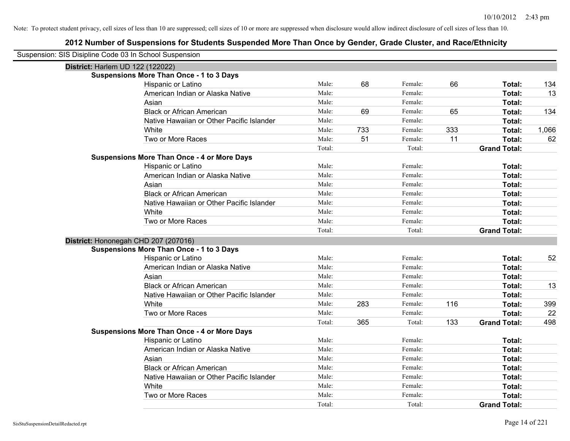| Suspension: SIS Disipline Code 03 In School Suspension |                                                    |        |     |         |     |                     |       |
|--------------------------------------------------------|----------------------------------------------------|--------|-----|---------|-----|---------------------|-------|
| District: Harlem UD 122 (122022)                       |                                                    |        |     |         |     |                     |       |
|                                                        | <b>Suspensions More Than Once - 1 to 3 Days</b>    |        |     |         |     |                     |       |
|                                                        | Hispanic or Latino                                 | Male:  | 68  | Female: | 66  | Total:              | 134   |
|                                                        | American Indian or Alaska Native                   | Male:  |     | Female: |     | Total:              | 13    |
|                                                        | Asian                                              | Male:  |     | Female: |     | Total:              |       |
|                                                        | <b>Black or African American</b>                   | Male:  | 69  | Female: | 65  | Total:              | 134   |
|                                                        | Native Hawaiian or Other Pacific Islander          | Male:  |     | Female: |     | Total:              |       |
|                                                        | White                                              | Male:  | 733 | Female: | 333 | Total:              | 1,066 |
|                                                        | Two or More Races                                  | Male:  | 51  | Female: | 11  | Total:              | 62    |
|                                                        |                                                    | Total: |     | Total:  |     | <b>Grand Total:</b> |       |
|                                                        | <b>Suspensions More Than Once - 4 or More Days</b> |        |     |         |     |                     |       |
|                                                        | Hispanic or Latino                                 | Male:  |     | Female: |     | Total:              |       |
|                                                        | American Indian or Alaska Native                   | Male:  |     | Female: |     | Total:              |       |
|                                                        | Asian                                              | Male:  |     | Female: |     | Total:              |       |
|                                                        | <b>Black or African American</b>                   | Male:  |     | Female: |     | Total:              |       |
|                                                        | Native Hawaiian or Other Pacific Islander          | Male:  |     | Female: |     | Total:              |       |
|                                                        | White                                              | Male:  |     | Female: |     | Total:              |       |
|                                                        | Two or More Races                                  | Male:  |     | Female: |     | Total:              |       |
|                                                        |                                                    | Total: |     | Total:  |     | <b>Grand Total:</b> |       |
| District: Hononegah CHD 207 (207016)                   |                                                    |        |     |         |     |                     |       |
|                                                        | <b>Suspensions More Than Once - 1 to 3 Days</b>    |        |     |         |     |                     |       |
|                                                        | Hispanic or Latino                                 | Male:  |     | Female: |     | Total:              | 52    |
|                                                        | American Indian or Alaska Native                   | Male:  |     | Female: |     | Total:              |       |
|                                                        | Asian                                              | Male:  |     | Female: |     | Total:              |       |
|                                                        | <b>Black or African American</b>                   | Male:  |     | Female: |     | Total:              | 13    |
|                                                        | Native Hawaiian or Other Pacific Islander          | Male:  |     | Female: |     | Total:              |       |
|                                                        | White                                              | Male:  | 283 | Female: | 116 | Total:              | 399   |
|                                                        | Two or More Races                                  | Male:  |     | Female: |     | Total:              | 22    |
|                                                        |                                                    | Total: | 365 | Total:  | 133 | <b>Grand Total:</b> | 498   |
|                                                        | <b>Suspensions More Than Once - 4 or More Days</b> |        |     |         |     |                     |       |
|                                                        | Hispanic or Latino                                 | Male:  |     | Female: |     | Total:              |       |
|                                                        | American Indian or Alaska Native                   | Male:  |     | Female: |     | Total:              |       |
|                                                        | Asian                                              | Male:  |     | Female: |     | Total:              |       |
|                                                        | <b>Black or African American</b>                   | Male:  |     | Female: |     | Total:              |       |
|                                                        | Native Hawaiian or Other Pacific Islander          | Male:  |     | Female: |     | Total:              |       |
|                                                        | White                                              | Male:  |     | Female: |     | Total:              |       |
|                                                        | Two or More Races                                  | Male:  |     | Female: |     | Total:              |       |
|                                                        |                                                    | Total: |     | Total:  |     | <b>Grand Total:</b> |       |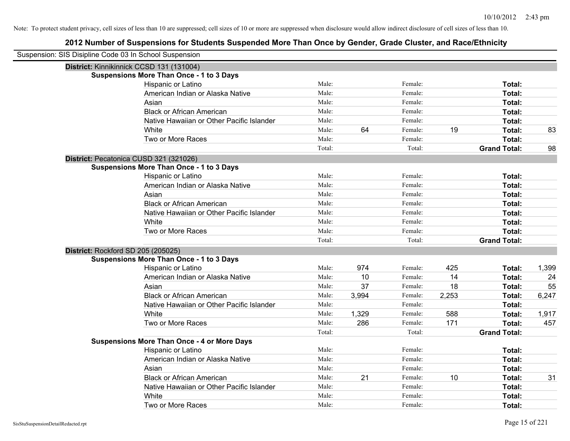| Suspension: SIS Disipline Code 03 In School Suspension |                                                    |        |       |         |       |                     |       |
|--------------------------------------------------------|----------------------------------------------------|--------|-------|---------|-------|---------------------|-------|
|                                                        | District: Kinnikinnick CCSD 131 (131004)           |        |       |         |       |                     |       |
|                                                        | <b>Suspensions More Than Once - 1 to 3 Days</b>    |        |       |         |       |                     |       |
|                                                        | Hispanic or Latino                                 | Male:  |       | Female: |       | Total:              |       |
|                                                        | American Indian or Alaska Native                   | Male:  |       | Female: |       | Total:              |       |
|                                                        | Asian                                              | Male:  |       | Female: |       | Total:              |       |
|                                                        | <b>Black or African American</b>                   | Male:  |       | Female: |       | Total:              |       |
|                                                        | Native Hawaiian or Other Pacific Islander          | Male:  |       | Female: |       | Total:              |       |
|                                                        | White                                              | Male:  | 64    | Female: | 19    | Total:              | 83    |
|                                                        | Two or More Races                                  | Male:  |       | Female: |       | Total:              |       |
|                                                        |                                                    | Total: |       | Total:  |       | <b>Grand Total:</b> | 98    |
|                                                        | District: Pecatonica CUSD 321 (321026)             |        |       |         |       |                     |       |
|                                                        | <b>Suspensions More Than Once - 1 to 3 Days</b>    |        |       |         |       |                     |       |
|                                                        | Hispanic or Latino                                 | Male:  |       | Female: |       | Total:              |       |
|                                                        | American Indian or Alaska Native                   | Male:  |       | Female: |       | Total:              |       |
|                                                        | Asian                                              | Male:  |       | Female: |       | Total:              |       |
|                                                        | <b>Black or African American</b>                   | Male:  |       | Female: |       | Total:              |       |
|                                                        | Native Hawaiian or Other Pacific Islander          | Male:  |       | Female: |       | Total:              |       |
|                                                        | White                                              | Male:  |       | Female: |       | Total:              |       |
|                                                        | Two or More Races                                  | Male:  |       | Female: |       | Total:              |       |
|                                                        |                                                    | Total: |       | Total:  |       | <b>Grand Total:</b> |       |
|                                                        | District: Rockford SD 205 (205025)                 |        |       |         |       |                     |       |
|                                                        | <b>Suspensions More Than Once - 1 to 3 Days</b>    |        |       |         |       |                     |       |
|                                                        | Hispanic or Latino                                 | Male:  | 974   | Female: | 425   | Total:              | 1,399 |
|                                                        | American Indian or Alaska Native                   | Male:  | 10    | Female: | 14    | Total:              | 24    |
|                                                        | Asian                                              | Male:  | 37    | Female: | 18    | Total:              | 55    |
|                                                        | <b>Black or African American</b>                   | Male:  | 3,994 | Female: | 2,253 | Total:              | 6,247 |
|                                                        | Native Hawaiian or Other Pacific Islander          | Male:  |       | Female: |       | Total:              |       |
|                                                        | White                                              | Male:  | 1,329 | Female: | 588   | Total:              | 1,917 |
|                                                        | Two or More Races                                  | Male:  | 286   | Female: | 171   | Total:              | 457   |
|                                                        |                                                    | Total: |       | Total:  |       | <b>Grand Total:</b> |       |
|                                                        | <b>Suspensions More Than Once - 4 or More Days</b> |        |       |         |       |                     |       |
|                                                        | Hispanic or Latino                                 | Male:  |       | Female: |       | Total:              |       |
|                                                        | American Indian or Alaska Native                   | Male:  |       | Female: |       | Total:              |       |
|                                                        | Asian                                              | Male:  |       | Female: |       | Total:              |       |
|                                                        | <b>Black or African American</b>                   | Male:  | 21    | Female: | 10    | Total:              | 31    |
|                                                        | Native Hawaiian or Other Pacific Islander          | Male:  |       | Female: |       | Total:              |       |
|                                                        | White                                              | Male:  |       | Female: |       | Total:              |       |
|                                                        | Two or More Races                                  | Male:  |       | Female: |       | Total:              |       |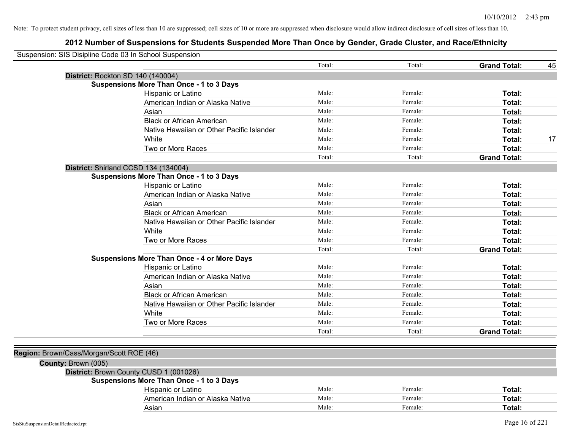| Total:<br>Total:<br><b>Grand Total:</b><br>45<br>District: Rockton SD 140 (140004)<br><b>Suspensions More Than Once - 1 to 3 Days</b><br>Hispanic or Latino<br>Male:<br>Female:<br>Total:<br>Male:<br>American Indian or Alaska Native<br>Female:<br>Total:<br>Male:<br>Female:<br>Asian<br>Total:<br><b>Black or African American</b><br>Male:<br>Female:<br>Total:<br>Native Hawaiian or Other Pacific Islander<br>Male:<br>Female:<br>Total:<br>White<br>Male:<br>Female:<br>Total:<br>Two or More Races<br>Male:<br>Female:<br>Total:<br>Total:<br>Total:<br><b>Grand Total:</b><br>District: Shirland CCSD 134 (134004)<br><b>Suspensions More Than Once - 1 to 3 Days</b><br>Male:<br>Hispanic or Latino<br>Female:<br>Total:<br>American Indian or Alaska Native<br>Male:<br>Female:<br>Total:<br>Male:<br>Female:<br>Asian<br>Total:<br><b>Black or African American</b><br>Male:<br>Female:<br>Total:<br>Male:<br>Female:<br>Total:<br>Native Hawaiian or Other Pacific Islander<br>Male:<br>Female:<br>White<br>Total:<br>Male:<br>Female:<br>Two or More Races<br>Total:<br>Total:<br>Total:<br><b>Grand Total:</b><br><b>Suspensions More Than Once - 4 or More Days</b><br>Male:<br>Hispanic or Latino<br>Female:<br>Total:<br>Male:<br>American Indian or Alaska Native<br>Female:<br>Total:<br>Male:<br>Female:<br>Total:<br>Asian<br>Male:<br><b>Black or African American</b><br>Female:<br>Total:<br>Male:<br>Native Hawaiian or Other Pacific Islander<br>Female:<br>Total:<br>Male:<br>White<br>Female:<br>Total:<br>Two or More Races<br>Male:<br>Total:<br>Female:<br>Total:<br>Total:<br><b>Grand Total:</b><br>Region: Brown/Cass/Morgan/Scott ROE (46)<br>County: Brown (005)<br>District: Brown County CUSD 1 (001026)<br><b>Suspensions More Than Once - 1 to 3 Days</b><br>Male:<br>Hispanic or Latino<br>Female:<br>Total:<br>Male:<br>American Indian or Alaska Native<br>Female:<br>Total:<br>Male:<br>Female:<br>Asian<br>Total: | Suspension: SIS Disipline Code 03 In School Suspension |  |  |  |
|------------------------------------------------------------------------------------------------------------------------------------------------------------------------------------------------------------------------------------------------------------------------------------------------------------------------------------------------------------------------------------------------------------------------------------------------------------------------------------------------------------------------------------------------------------------------------------------------------------------------------------------------------------------------------------------------------------------------------------------------------------------------------------------------------------------------------------------------------------------------------------------------------------------------------------------------------------------------------------------------------------------------------------------------------------------------------------------------------------------------------------------------------------------------------------------------------------------------------------------------------------------------------------------------------------------------------------------------------------------------------------------------------------------------------------------------------------------------------------------------------------------------------------------------------------------------------------------------------------------------------------------------------------------------------------------------------------------------------------------------------------------------------------------------------------------------------------------------------------------------------------------------------------------------------------------------------------------|--------------------------------------------------------|--|--|--|
| 17                                                                                                                                                                                                                                                                                                                                                                                                                                                                                                                                                                                                                                                                                                                                                                                                                                                                                                                                                                                                                                                                                                                                                                                                                                                                                                                                                                                                                                                                                                                                                                                                                                                                                                                                                                                                                                                                                                                                                               |                                                        |  |  |  |
|                                                                                                                                                                                                                                                                                                                                                                                                                                                                                                                                                                                                                                                                                                                                                                                                                                                                                                                                                                                                                                                                                                                                                                                                                                                                                                                                                                                                                                                                                                                                                                                                                                                                                                                                                                                                                                                                                                                                                                  |                                                        |  |  |  |
|                                                                                                                                                                                                                                                                                                                                                                                                                                                                                                                                                                                                                                                                                                                                                                                                                                                                                                                                                                                                                                                                                                                                                                                                                                                                                                                                                                                                                                                                                                                                                                                                                                                                                                                                                                                                                                                                                                                                                                  |                                                        |  |  |  |
|                                                                                                                                                                                                                                                                                                                                                                                                                                                                                                                                                                                                                                                                                                                                                                                                                                                                                                                                                                                                                                                                                                                                                                                                                                                                                                                                                                                                                                                                                                                                                                                                                                                                                                                                                                                                                                                                                                                                                                  |                                                        |  |  |  |
|                                                                                                                                                                                                                                                                                                                                                                                                                                                                                                                                                                                                                                                                                                                                                                                                                                                                                                                                                                                                                                                                                                                                                                                                                                                                                                                                                                                                                                                                                                                                                                                                                                                                                                                                                                                                                                                                                                                                                                  |                                                        |  |  |  |
|                                                                                                                                                                                                                                                                                                                                                                                                                                                                                                                                                                                                                                                                                                                                                                                                                                                                                                                                                                                                                                                                                                                                                                                                                                                                                                                                                                                                                                                                                                                                                                                                                                                                                                                                                                                                                                                                                                                                                                  |                                                        |  |  |  |
|                                                                                                                                                                                                                                                                                                                                                                                                                                                                                                                                                                                                                                                                                                                                                                                                                                                                                                                                                                                                                                                                                                                                                                                                                                                                                                                                                                                                                                                                                                                                                                                                                                                                                                                                                                                                                                                                                                                                                                  |                                                        |  |  |  |
|                                                                                                                                                                                                                                                                                                                                                                                                                                                                                                                                                                                                                                                                                                                                                                                                                                                                                                                                                                                                                                                                                                                                                                                                                                                                                                                                                                                                                                                                                                                                                                                                                                                                                                                                                                                                                                                                                                                                                                  |                                                        |  |  |  |
|                                                                                                                                                                                                                                                                                                                                                                                                                                                                                                                                                                                                                                                                                                                                                                                                                                                                                                                                                                                                                                                                                                                                                                                                                                                                                                                                                                                                                                                                                                                                                                                                                                                                                                                                                                                                                                                                                                                                                                  |                                                        |  |  |  |
|                                                                                                                                                                                                                                                                                                                                                                                                                                                                                                                                                                                                                                                                                                                                                                                                                                                                                                                                                                                                                                                                                                                                                                                                                                                                                                                                                                                                                                                                                                                                                                                                                                                                                                                                                                                                                                                                                                                                                                  |                                                        |  |  |  |
|                                                                                                                                                                                                                                                                                                                                                                                                                                                                                                                                                                                                                                                                                                                                                                                                                                                                                                                                                                                                                                                                                                                                                                                                                                                                                                                                                                                                                                                                                                                                                                                                                                                                                                                                                                                                                                                                                                                                                                  |                                                        |  |  |  |
|                                                                                                                                                                                                                                                                                                                                                                                                                                                                                                                                                                                                                                                                                                                                                                                                                                                                                                                                                                                                                                                                                                                                                                                                                                                                                                                                                                                                                                                                                                                                                                                                                                                                                                                                                                                                                                                                                                                                                                  |                                                        |  |  |  |
|                                                                                                                                                                                                                                                                                                                                                                                                                                                                                                                                                                                                                                                                                                                                                                                                                                                                                                                                                                                                                                                                                                                                                                                                                                                                                                                                                                                                                                                                                                                                                                                                                                                                                                                                                                                                                                                                                                                                                                  |                                                        |  |  |  |
|                                                                                                                                                                                                                                                                                                                                                                                                                                                                                                                                                                                                                                                                                                                                                                                                                                                                                                                                                                                                                                                                                                                                                                                                                                                                                                                                                                                                                                                                                                                                                                                                                                                                                                                                                                                                                                                                                                                                                                  |                                                        |  |  |  |
|                                                                                                                                                                                                                                                                                                                                                                                                                                                                                                                                                                                                                                                                                                                                                                                                                                                                                                                                                                                                                                                                                                                                                                                                                                                                                                                                                                                                                                                                                                                                                                                                                                                                                                                                                                                                                                                                                                                                                                  |                                                        |  |  |  |
|                                                                                                                                                                                                                                                                                                                                                                                                                                                                                                                                                                                                                                                                                                                                                                                                                                                                                                                                                                                                                                                                                                                                                                                                                                                                                                                                                                                                                                                                                                                                                                                                                                                                                                                                                                                                                                                                                                                                                                  |                                                        |  |  |  |
|                                                                                                                                                                                                                                                                                                                                                                                                                                                                                                                                                                                                                                                                                                                                                                                                                                                                                                                                                                                                                                                                                                                                                                                                                                                                                                                                                                                                                                                                                                                                                                                                                                                                                                                                                                                                                                                                                                                                                                  |                                                        |  |  |  |
|                                                                                                                                                                                                                                                                                                                                                                                                                                                                                                                                                                                                                                                                                                                                                                                                                                                                                                                                                                                                                                                                                                                                                                                                                                                                                                                                                                                                                                                                                                                                                                                                                                                                                                                                                                                                                                                                                                                                                                  |                                                        |  |  |  |
|                                                                                                                                                                                                                                                                                                                                                                                                                                                                                                                                                                                                                                                                                                                                                                                                                                                                                                                                                                                                                                                                                                                                                                                                                                                                                                                                                                                                                                                                                                                                                                                                                                                                                                                                                                                                                                                                                                                                                                  |                                                        |  |  |  |
|                                                                                                                                                                                                                                                                                                                                                                                                                                                                                                                                                                                                                                                                                                                                                                                                                                                                                                                                                                                                                                                                                                                                                                                                                                                                                                                                                                                                                                                                                                                                                                                                                                                                                                                                                                                                                                                                                                                                                                  |                                                        |  |  |  |
|                                                                                                                                                                                                                                                                                                                                                                                                                                                                                                                                                                                                                                                                                                                                                                                                                                                                                                                                                                                                                                                                                                                                                                                                                                                                                                                                                                                                                                                                                                                                                                                                                                                                                                                                                                                                                                                                                                                                                                  |                                                        |  |  |  |
|                                                                                                                                                                                                                                                                                                                                                                                                                                                                                                                                                                                                                                                                                                                                                                                                                                                                                                                                                                                                                                                                                                                                                                                                                                                                                                                                                                                                                                                                                                                                                                                                                                                                                                                                                                                                                                                                                                                                                                  |                                                        |  |  |  |
|                                                                                                                                                                                                                                                                                                                                                                                                                                                                                                                                                                                                                                                                                                                                                                                                                                                                                                                                                                                                                                                                                                                                                                                                                                                                                                                                                                                                                                                                                                                                                                                                                                                                                                                                                                                                                                                                                                                                                                  |                                                        |  |  |  |
|                                                                                                                                                                                                                                                                                                                                                                                                                                                                                                                                                                                                                                                                                                                                                                                                                                                                                                                                                                                                                                                                                                                                                                                                                                                                                                                                                                                                                                                                                                                                                                                                                                                                                                                                                                                                                                                                                                                                                                  |                                                        |  |  |  |
|                                                                                                                                                                                                                                                                                                                                                                                                                                                                                                                                                                                                                                                                                                                                                                                                                                                                                                                                                                                                                                                                                                                                                                                                                                                                                                                                                                                                                                                                                                                                                                                                                                                                                                                                                                                                                                                                                                                                                                  |                                                        |  |  |  |
|                                                                                                                                                                                                                                                                                                                                                                                                                                                                                                                                                                                                                                                                                                                                                                                                                                                                                                                                                                                                                                                                                                                                                                                                                                                                                                                                                                                                                                                                                                                                                                                                                                                                                                                                                                                                                                                                                                                                                                  |                                                        |  |  |  |
|                                                                                                                                                                                                                                                                                                                                                                                                                                                                                                                                                                                                                                                                                                                                                                                                                                                                                                                                                                                                                                                                                                                                                                                                                                                                                                                                                                                                                                                                                                                                                                                                                                                                                                                                                                                                                                                                                                                                                                  |                                                        |  |  |  |
|                                                                                                                                                                                                                                                                                                                                                                                                                                                                                                                                                                                                                                                                                                                                                                                                                                                                                                                                                                                                                                                                                                                                                                                                                                                                                                                                                                                                                                                                                                                                                                                                                                                                                                                                                                                                                                                                                                                                                                  |                                                        |  |  |  |
|                                                                                                                                                                                                                                                                                                                                                                                                                                                                                                                                                                                                                                                                                                                                                                                                                                                                                                                                                                                                                                                                                                                                                                                                                                                                                                                                                                                                                                                                                                                                                                                                                                                                                                                                                                                                                                                                                                                                                                  |                                                        |  |  |  |
|                                                                                                                                                                                                                                                                                                                                                                                                                                                                                                                                                                                                                                                                                                                                                                                                                                                                                                                                                                                                                                                                                                                                                                                                                                                                                                                                                                                                                                                                                                                                                                                                                                                                                                                                                                                                                                                                                                                                                                  |                                                        |  |  |  |
|                                                                                                                                                                                                                                                                                                                                                                                                                                                                                                                                                                                                                                                                                                                                                                                                                                                                                                                                                                                                                                                                                                                                                                                                                                                                                                                                                                                                                                                                                                                                                                                                                                                                                                                                                                                                                                                                                                                                                                  |                                                        |  |  |  |
|                                                                                                                                                                                                                                                                                                                                                                                                                                                                                                                                                                                                                                                                                                                                                                                                                                                                                                                                                                                                                                                                                                                                                                                                                                                                                                                                                                                                                                                                                                                                                                                                                                                                                                                                                                                                                                                                                                                                                                  |                                                        |  |  |  |
|                                                                                                                                                                                                                                                                                                                                                                                                                                                                                                                                                                                                                                                                                                                                                                                                                                                                                                                                                                                                                                                                                                                                                                                                                                                                                                                                                                                                                                                                                                                                                                                                                                                                                                                                                                                                                                                                                                                                                                  |                                                        |  |  |  |
|                                                                                                                                                                                                                                                                                                                                                                                                                                                                                                                                                                                                                                                                                                                                                                                                                                                                                                                                                                                                                                                                                                                                                                                                                                                                                                                                                                                                                                                                                                                                                                                                                                                                                                                                                                                                                                                                                                                                                                  |                                                        |  |  |  |
|                                                                                                                                                                                                                                                                                                                                                                                                                                                                                                                                                                                                                                                                                                                                                                                                                                                                                                                                                                                                                                                                                                                                                                                                                                                                                                                                                                                                                                                                                                                                                                                                                                                                                                                                                                                                                                                                                                                                                                  |                                                        |  |  |  |
|                                                                                                                                                                                                                                                                                                                                                                                                                                                                                                                                                                                                                                                                                                                                                                                                                                                                                                                                                                                                                                                                                                                                                                                                                                                                                                                                                                                                                                                                                                                                                                                                                                                                                                                                                                                                                                                                                                                                                                  |                                                        |  |  |  |
|                                                                                                                                                                                                                                                                                                                                                                                                                                                                                                                                                                                                                                                                                                                                                                                                                                                                                                                                                                                                                                                                                                                                                                                                                                                                                                                                                                                                                                                                                                                                                                                                                                                                                                                                                                                                                                                                                                                                                                  |                                                        |  |  |  |
|                                                                                                                                                                                                                                                                                                                                                                                                                                                                                                                                                                                                                                                                                                                                                                                                                                                                                                                                                                                                                                                                                                                                                                                                                                                                                                                                                                                                                                                                                                                                                                                                                                                                                                                                                                                                                                                                                                                                                                  |                                                        |  |  |  |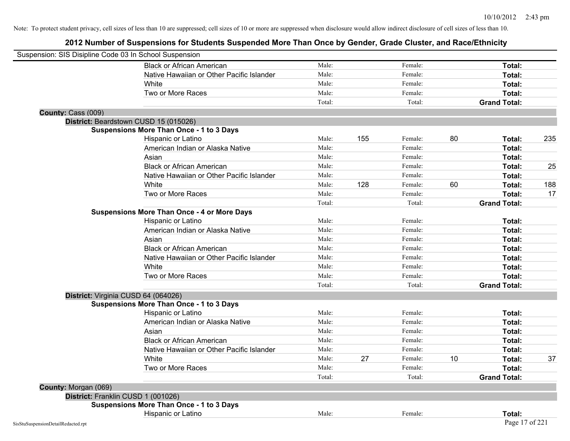|                      | Suspension: SIS Disipline Code 03 In School Suspension |        |     |         |    |                     |     |
|----------------------|--------------------------------------------------------|--------|-----|---------|----|---------------------|-----|
|                      | <b>Black or African American</b>                       | Male:  |     | Female: |    | Total:              |     |
|                      | Native Hawaiian or Other Pacific Islander              | Male:  |     | Female: |    | Total:              |     |
|                      | White                                                  | Male:  |     | Female: |    | Total:              |     |
|                      | Two or More Races                                      | Male:  |     | Female: |    | Total:              |     |
|                      |                                                        | Total: |     | Total:  |    | <b>Grand Total:</b> |     |
| County: Cass (009)   |                                                        |        |     |         |    |                     |     |
|                      | District: Beardstown CUSD 15 (015026)                  |        |     |         |    |                     |     |
|                      | <b>Suspensions More Than Once - 1 to 3 Days</b>        |        |     |         |    |                     |     |
|                      | Hispanic or Latino                                     | Male:  | 155 | Female: | 80 | Total:              | 235 |
|                      | American Indian or Alaska Native                       | Male:  |     | Female: |    | Total:              |     |
|                      | Asian                                                  | Male:  |     | Female: |    | Total:              |     |
|                      | <b>Black or African American</b>                       | Male:  |     | Female: |    | Total:              | 25  |
|                      | Native Hawaiian or Other Pacific Islander              | Male:  |     | Female: |    | Total:              |     |
|                      | White                                                  | Male:  | 128 | Female: | 60 | Total:              | 188 |
|                      | Two or More Races                                      | Male:  |     | Female: |    | Total:              | 17  |
|                      |                                                        | Total: |     | Total:  |    | <b>Grand Total:</b> |     |
|                      | <b>Suspensions More Than Once - 4 or More Days</b>     |        |     |         |    |                     |     |
|                      | Hispanic or Latino                                     | Male:  |     | Female: |    | Total:              |     |
|                      | American Indian or Alaska Native                       | Male:  |     | Female: |    | Total:              |     |
|                      | Asian                                                  | Male:  |     | Female: |    | Total:              |     |
|                      | <b>Black or African American</b>                       | Male:  |     | Female: |    | Total:              |     |
|                      | Native Hawaiian or Other Pacific Islander              | Male:  |     | Female: |    | Total:              |     |
|                      | White                                                  | Male:  |     | Female: |    | Total:              |     |
|                      | Two or More Races                                      | Male:  |     | Female: |    | Total:              |     |
|                      |                                                        | Total: |     | Total:  |    | <b>Grand Total:</b> |     |
|                      | District: Virginia CUSD 64 (064026)                    |        |     |         |    |                     |     |
|                      | <b>Suspensions More Than Once - 1 to 3 Days</b>        |        |     |         |    |                     |     |
|                      | Hispanic or Latino                                     | Male:  |     | Female: |    | Total:              |     |
|                      | American Indian or Alaska Native                       | Male:  |     | Female: |    | Total:              |     |
|                      | Asian                                                  | Male:  |     | Female: |    | Total:              |     |
|                      | <b>Black or African American</b>                       | Male:  |     | Female: |    | Total:              |     |
|                      | Native Hawaiian or Other Pacific Islander              | Male:  |     | Female: |    | Total:              |     |
|                      | White                                                  | Male:  | 27  | Female: | 10 | Total:              | 37  |
|                      | Two or More Races                                      | Male:  |     | Female: |    | Total:              |     |
|                      |                                                        | Total: |     | Total:  |    | <b>Grand Total:</b> |     |
| County: Morgan (069) |                                                        |        |     |         |    |                     |     |
|                      | District: Franklin CUSD 1 (001026)                     |        |     |         |    |                     |     |
|                      | <b>Suspensions More Than Once - 1 to 3 Days</b>        |        |     |         |    |                     |     |
|                      | Hispanic or Latino                                     | Male:  |     | Female: |    | Total:              |     |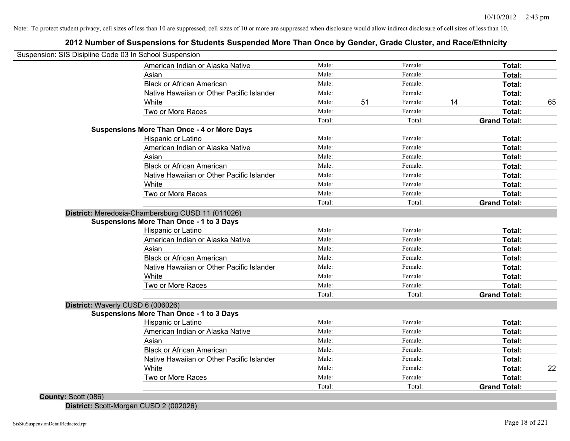### **2012 Number of Suspensions for Students Suspended More Than Once by Gender, Grade Cluster, and Race/Ethnicity**

|                                   |                                                    | Male:  |    | Female: |    | Total:              |    |
|-----------------------------------|----------------------------------------------------|--------|----|---------|----|---------------------|----|
|                                   | American Indian or Alaska Native                   | Male:  |    | Female: |    |                     |    |
|                                   | Asian                                              |        |    |         |    | Total:              |    |
|                                   | <b>Black or African American</b>                   | Male:  |    | Female: |    | Total:              |    |
|                                   | Native Hawaiian or Other Pacific Islander          | Male:  |    | Female: |    | Total:              |    |
|                                   | White                                              | Male:  | 51 | Female: | 14 | Total:              | 65 |
|                                   | Two or More Races                                  | Male:  |    | Female: |    | Total:              |    |
|                                   | <b>Suspensions More Than Once - 4 or More Days</b> | Total: |    | Total:  |    | <b>Grand Total:</b> |    |
|                                   |                                                    | Male:  |    | Female: |    |                     |    |
|                                   | Hispanic or Latino                                 | Male:  |    | Female: |    | Total:              |    |
|                                   | American Indian or Alaska Native                   | Male:  |    | Female: |    | <b>Total:</b>       |    |
|                                   | Asian                                              | Male:  |    |         |    | <b>Total:</b>       |    |
|                                   | <b>Black or African American</b>                   |        |    | Female: |    | Total:              |    |
|                                   | Native Hawaiian or Other Pacific Islander          | Male:  |    | Female: |    | Total:              |    |
|                                   | White                                              | Male:  |    | Female: |    | Total:              |    |
|                                   | Two or More Races                                  | Male:  |    | Female: |    | Total:              |    |
|                                   |                                                    | Total: |    | Total:  |    | <b>Grand Total:</b> |    |
|                                   | District: Meredosia-Chambersburg CUSD 11 (011026)  |        |    |         |    |                     |    |
|                                   | <b>Suspensions More Than Once - 1 to 3 Days</b>    |        |    |         |    |                     |    |
|                                   | Hispanic or Latino                                 | Male:  |    | Female: |    | Total:              |    |
|                                   | American Indian or Alaska Native                   | Male:  |    | Female: |    | Total:              |    |
|                                   | Asian                                              | Male:  |    | Female: |    | Total:              |    |
|                                   | <b>Black or African American</b>                   | Male:  |    | Female: |    | Total:              |    |
|                                   | Native Hawaiian or Other Pacific Islander          | Male:  |    | Female: |    | Total:              |    |
|                                   | White                                              | Male:  |    | Female: |    | Total:              |    |
|                                   | Two or More Races                                  | Male:  |    | Female: |    | Total:              |    |
|                                   |                                                    | Total: |    | Total:  |    | <b>Grand Total:</b> |    |
| District: Waverly CUSD 6 (006026) |                                                    |        |    |         |    |                     |    |
|                                   | <b>Suspensions More Than Once - 1 to 3 Days</b>    |        |    |         |    |                     |    |
|                                   | Hispanic or Latino                                 | Male:  |    | Female: |    | Total:              |    |
|                                   | American Indian or Alaska Native                   | Male:  |    | Female: |    | Total:              |    |
|                                   | Asian                                              | Male:  |    | Female: |    | Total:              |    |
|                                   | <b>Black or African American</b>                   | Male:  |    | Female: |    | Total:              |    |
|                                   | Native Hawaiian or Other Pacific Islander          | Male:  |    | Female: |    | Total:              |    |
|                                   | White                                              | Male:  |    | Female: |    | Total:              | 22 |
|                                   | Two or More Races                                  | Male:  |    | Female: |    | Total:              |    |
|                                   |                                                    | Total: |    | Total:  |    | <b>Grand Total:</b> |    |

**District:** Scott-Morgan CUSD 2 (002026)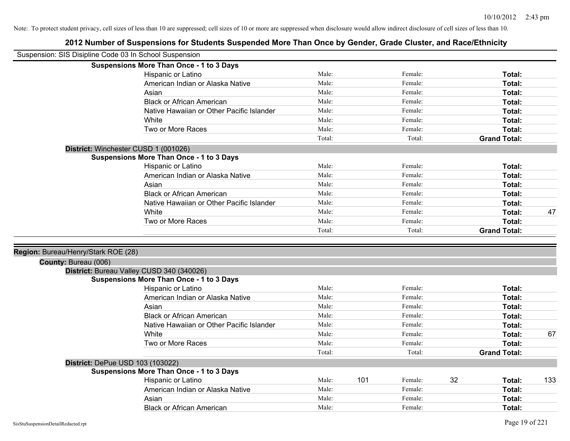| <b>Suspensions More Than Once - 1 to 3 Days</b><br>Male:<br>Female:<br>Hispanic or Latino<br>Total:<br>Male:<br>Female:<br>American Indian or Alaska Native<br>Total:<br>Male:<br>Female:<br>Total:<br>Asian<br>Male:<br>Female:<br><b>Black or African American</b><br>Total:<br>Male:<br>Native Hawaiian or Other Pacific Islander<br>Female:<br>Total:<br>Male:<br>Female:<br>White<br>Total:<br>Male:<br>Female:<br>Total:<br>Two or More Races<br>Total:<br>Total:<br><b>Grand Total:</b><br>District: Winchester CUSD 1 (001026)<br><b>Suspensions More Than Once - 1 to 3 Days</b><br>Hispanic or Latino<br>Male:<br>Female:<br>Total:<br>Male:<br>American Indian or Alaska Native<br>Female:<br>Total:<br>Male:<br>Asian<br>Female:<br>Total:<br><b>Black or African American</b><br>Male:<br>Female:<br>Total:<br>Native Hawaiian or Other Pacific Islander<br>Male:<br>Female:<br>Total:<br>Male:<br>47<br>White<br>Female:<br>Total:<br>Two or More Races<br>Male:<br>Female:<br>Total:<br>Total:<br>Total:<br><b>Grand Total:</b><br>Region: Bureau/Henry/Stark ROE (28)<br>County: Bureau (006)<br>District: Bureau Valley CUSD 340 (340026)<br><b>Suspensions More Than Once - 1 to 3 Days</b><br>Male:<br>Hispanic or Latino<br>Female:<br>Total:<br>American Indian or Alaska Native<br>Male:<br>Female:<br>Total:<br>Asian<br>Male:<br>Female:<br>Total:<br><b>Black or African American</b><br>Female:<br>Male:<br>Total:<br>Native Hawaiian or Other Pacific Islander<br>Male:<br>Female:<br>Total:<br>Male:<br>Female:<br>67<br>White<br>Total:<br>Two or More Races<br>Male:<br>Female:<br>Total:<br>Total:<br>Total:<br><b>Grand Total:</b><br>District: DePue USD 103 (103022)<br><b>Suspensions More Than Once - 1 to 3 Days</b><br>Male:<br>101<br>32<br>133<br>Hispanic or Latino<br>Female:<br>Total:<br>Male:<br>Female:<br>American Indian or Alaska Native<br>Total:<br>Male:<br>Female:<br>Asian<br>Total:<br><b>Black or African American</b><br>Male:<br>Female:<br>Total: | Suspension: SIS Disipline Code 03 In School Suspension |  |  |  |  |
|--------------------------------------------------------------------------------------------------------------------------------------------------------------------------------------------------------------------------------------------------------------------------------------------------------------------------------------------------------------------------------------------------------------------------------------------------------------------------------------------------------------------------------------------------------------------------------------------------------------------------------------------------------------------------------------------------------------------------------------------------------------------------------------------------------------------------------------------------------------------------------------------------------------------------------------------------------------------------------------------------------------------------------------------------------------------------------------------------------------------------------------------------------------------------------------------------------------------------------------------------------------------------------------------------------------------------------------------------------------------------------------------------------------------------------------------------------------------------------------------------------------------------------------------------------------------------------------------------------------------------------------------------------------------------------------------------------------------------------------------------------------------------------------------------------------------------------------------------------------------------------------------------------------------------------------------------------------------------------------------------------------|--------------------------------------------------------|--|--|--|--|
|                                                                                                                                                                                                                                                                                                                                                                                                                                                                                                                                                                                                                                                                                                                                                                                                                                                                                                                                                                                                                                                                                                                                                                                                                                                                                                                                                                                                                                                                                                                                                                                                                                                                                                                                                                                                                                                                                                                                                                                                              |                                                        |  |  |  |  |
|                                                                                                                                                                                                                                                                                                                                                                                                                                                                                                                                                                                                                                                                                                                                                                                                                                                                                                                                                                                                                                                                                                                                                                                                                                                                                                                                                                                                                                                                                                                                                                                                                                                                                                                                                                                                                                                                                                                                                                                                              |                                                        |  |  |  |  |
|                                                                                                                                                                                                                                                                                                                                                                                                                                                                                                                                                                                                                                                                                                                                                                                                                                                                                                                                                                                                                                                                                                                                                                                                                                                                                                                                                                                                                                                                                                                                                                                                                                                                                                                                                                                                                                                                                                                                                                                                              |                                                        |  |  |  |  |
|                                                                                                                                                                                                                                                                                                                                                                                                                                                                                                                                                                                                                                                                                                                                                                                                                                                                                                                                                                                                                                                                                                                                                                                                                                                                                                                                                                                                                                                                                                                                                                                                                                                                                                                                                                                                                                                                                                                                                                                                              |                                                        |  |  |  |  |
|                                                                                                                                                                                                                                                                                                                                                                                                                                                                                                                                                                                                                                                                                                                                                                                                                                                                                                                                                                                                                                                                                                                                                                                                                                                                                                                                                                                                                                                                                                                                                                                                                                                                                                                                                                                                                                                                                                                                                                                                              |                                                        |  |  |  |  |
|                                                                                                                                                                                                                                                                                                                                                                                                                                                                                                                                                                                                                                                                                                                                                                                                                                                                                                                                                                                                                                                                                                                                                                                                                                                                                                                                                                                                                                                                                                                                                                                                                                                                                                                                                                                                                                                                                                                                                                                                              |                                                        |  |  |  |  |
|                                                                                                                                                                                                                                                                                                                                                                                                                                                                                                                                                                                                                                                                                                                                                                                                                                                                                                                                                                                                                                                                                                                                                                                                                                                                                                                                                                                                                                                                                                                                                                                                                                                                                                                                                                                                                                                                                                                                                                                                              |                                                        |  |  |  |  |
|                                                                                                                                                                                                                                                                                                                                                                                                                                                                                                                                                                                                                                                                                                                                                                                                                                                                                                                                                                                                                                                                                                                                                                                                                                                                                                                                                                                                                                                                                                                                                                                                                                                                                                                                                                                                                                                                                                                                                                                                              |                                                        |  |  |  |  |
|                                                                                                                                                                                                                                                                                                                                                                                                                                                                                                                                                                                                                                                                                                                                                                                                                                                                                                                                                                                                                                                                                                                                                                                                                                                                                                                                                                                                                                                                                                                                                                                                                                                                                                                                                                                                                                                                                                                                                                                                              |                                                        |  |  |  |  |
|                                                                                                                                                                                                                                                                                                                                                                                                                                                                                                                                                                                                                                                                                                                                                                                                                                                                                                                                                                                                                                                                                                                                                                                                                                                                                                                                                                                                                                                                                                                                                                                                                                                                                                                                                                                                                                                                                                                                                                                                              |                                                        |  |  |  |  |
|                                                                                                                                                                                                                                                                                                                                                                                                                                                                                                                                                                                                                                                                                                                                                                                                                                                                                                                                                                                                                                                                                                                                                                                                                                                                                                                                                                                                                                                                                                                                                                                                                                                                                                                                                                                                                                                                                                                                                                                                              |                                                        |  |  |  |  |
|                                                                                                                                                                                                                                                                                                                                                                                                                                                                                                                                                                                                                                                                                                                                                                                                                                                                                                                                                                                                                                                                                                                                                                                                                                                                                                                                                                                                                                                                                                                                                                                                                                                                                                                                                                                                                                                                                                                                                                                                              |                                                        |  |  |  |  |
|                                                                                                                                                                                                                                                                                                                                                                                                                                                                                                                                                                                                                                                                                                                                                                                                                                                                                                                                                                                                                                                                                                                                                                                                                                                                                                                                                                                                                                                                                                                                                                                                                                                                                                                                                                                                                                                                                                                                                                                                              |                                                        |  |  |  |  |
|                                                                                                                                                                                                                                                                                                                                                                                                                                                                                                                                                                                                                                                                                                                                                                                                                                                                                                                                                                                                                                                                                                                                                                                                                                                                                                                                                                                                                                                                                                                                                                                                                                                                                                                                                                                                                                                                                                                                                                                                              |                                                        |  |  |  |  |
|                                                                                                                                                                                                                                                                                                                                                                                                                                                                                                                                                                                                                                                                                                                                                                                                                                                                                                                                                                                                                                                                                                                                                                                                                                                                                                                                                                                                                                                                                                                                                                                                                                                                                                                                                                                                                                                                                                                                                                                                              |                                                        |  |  |  |  |
|                                                                                                                                                                                                                                                                                                                                                                                                                                                                                                                                                                                                                                                                                                                                                                                                                                                                                                                                                                                                                                                                                                                                                                                                                                                                                                                                                                                                                                                                                                                                                                                                                                                                                                                                                                                                                                                                                                                                                                                                              |                                                        |  |  |  |  |
|                                                                                                                                                                                                                                                                                                                                                                                                                                                                                                                                                                                                                                                                                                                                                                                                                                                                                                                                                                                                                                                                                                                                                                                                                                                                                                                                                                                                                                                                                                                                                                                                                                                                                                                                                                                                                                                                                                                                                                                                              |                                                        |  |  |  |  |
|                                                                                                                                                                                                                                                                                                                                                                                                                                                                                                                                                                                                                                                                                                                                                                                                                                                                                                                                                                                                                                                                                                                                                                                                                                                                                                                                                                                                                                                                                                                                                                                                                                                                                                                                                                                                                                                                                                                                                                                                              |                                                        |  |  |  |  |
|                                                                                                                                                                                                                                                                                                                                                                                                                                                                                                                                                                                                                                                                                                                                                                                                                                                                                                                                                                                                                                                                                                                                                                                                                                                                                                                                                                                                                                                                                                                                                                                                                                                                                                                                                                                                                                                                                                                                                                                                              |                                                        |  |  |  |  |
|                                                                                                                                                                                                                                                                                                                                                                                                                                                                                                                                                                                                                                                                                                                                                                                                                                                                                                                                                                                                                                                                                                                                                                                                                                                                                                                                                                                                                                                                                                                                                                                                                                                                                                                                                                                                                                                                                                                                                                                                              |                                                        |  |  |  |  |
|                                                                                                                                                                                                                                                                                                                                                                                                                                                                                                                                                                                                                                                                                                                                                                                                                                                                                                                                                                                                                                                                                                                                                                                                                                                                                                                                                                                                                                                                                                                                                                                                                                                                                                                                                                                                                                                                                                                                                                                                              |                                                        |  |  |  |  |
|                                                                                                                                                                                                                                                                                                                                                                                                                                                                                                                                                                                                                                                                                                                                                                                                                                                                                                                                                                                                                                                                                                                                                                                                                                                                                                                                                                                                                                                                                                                                                                                                                                                                                                                                                                                                                                                                                                                                                                                                              |                                                        |  |  |  |  |
|                                                                                                                                                                                                                                                                                                                                                                                                                                                                                                                                                                                                                                                                                                                                                                                                                                                                                                                                                                                                                                                                                                                                                                                                                                                                                                                                                                                                                                                                                                                                                                                                                                                                                                                                                                                                                                                                                                                                                                                                              |                                                        |  |  |  |  |
|                                                                                                                                                                                                                                                                                                                                                                                                                                                                                                                                                                                                                                                                                                                                                                                                                                                                                                                                                                                                                                                                                                                                                                                                                                                                                                                                                                                                                                                                                                                                                                                                                                                                                                                                                                                                                                                                                                                                                                                                              |                                                        |  |  |  |  |
|                                                                                                                                                                                                                                                                                                                                                                                                                                                                                                                                                                                                                                                                                                                                                                                                                                                                                                                                                                                                                                                                                                                                                                                                                                                                                                                                                                                                                                                                                                                                                                                                                                                                                                                                                                                                                                                                                                                                                                                                              |                                                        |  |  |  |  |
|                                                                                                                                                                                                                                                                                                                                                                                                                                                                                                                                                                                                                                                                                                                                                                                                                                                                                                                                                                                                                                                                                                                                                                                                                                                                                                                                                                                                                                                                                                                                                                                                                                                                                                                                                                                                                                                                                                                                                                                                              |                                                        |  |  |  |  |
|                                                                                                                                                                                                                                                                                                                                                                                                                                                                                                                                                                                                                                                                                                                                                                                                                                                                                                                                                                                                                                                                                                                                                                                                                                                                                                                                                                                                                                                                                                                                                                                                                                                                                                                                                                                                                                                                                                                                                                                                              |                                                        |  |  |  |  |
|                                                                                                                                                                                                                                                                                                                                                                                                                                                                                                                                                                                                                                                                                                                                                                                                                                                                                                                                                                                                                                                                                                                                                                                                                                                                                                                                                                                                                                                                                                                                                                                                                                                                                                                                                                                                                                                                                                                                                                                                              |                                                        |  |  |  |  |
|                                                                                                                                                                                                                                                                                                                                                                                                                                                                                                                                                                                                                                                                                                                                                                                                                                                                                                                                                                                                                                                                                                                                                                                                                                                                                                                                                                                                                                                                                                                                                                                                                                                                                                                                                                                                                                                                                                                                                                                                              |                                                        |  |  |  |  |
|                                                                                                                                                                                                                                                                                                                                                                                                                                                                                                                                                                                                                                                                                                                                                                                                                                                                                                                                                                                                                                                                                                                                                                                                                                                                                                                                                                                                                                                                                                                                                                                                                                                                                                                                                                                                                                                                                                                                                                                                              |                                                        |  |  |  |  |
|                                                                                                                                                                                                                                                                                                                                                                                                                                                                                                                                                                                                                                                                                                                                                                                                                                                                                                                                                                                                                                                                                                                                                                                                                                                                                                                                                                                                                                                                                                                                                                                                                                                                                                                                                                                                                                                                                                                                                                                                              |                                                        |  |  |  |  |
|                                                                                                                                                                                                                                                                                                                                                                                                                                                                                                                                                                                                                                                                                                                                                                                                                                                                                                                                                                                                                                                                                                                                                                                                                                                                                                                                                                                                                                                                                                                                                                                                                                                                                                                                                                                                                                                                                                                                                                                                              |                                                        |  |  |  |  |
|                                                                                                                                                                                                                                                                                                                                                                                                                                                                                                                                                                                                                                                                                                                                                                                                                                                                                                                                                                                                                                                                                                                                                                                                                                                                                                                                                                                                                                                                                                                                                                                                                                                                                                                                                                                                                                                                                                                                                                                                              |                                                        |  |  |  |  |
|                                                                                                                                                                                                                                                                                                                                                                                                                                                                                                                                                                                                                                                                                                                                                                                                                                                                                                                                                                                                                                                                                                                                                                                                                                                                                                                                                                                                                                                                                                                                                                                                                                                                                                                                                                                                                                                                                                                                                                                                              |                                                        |  |  |  |  |
|                                                                                                                                                                                                                                                                                                                                                                                                                                                                                                                                                                                                                                                                                                                                                                                                                                                                                                                                                                                                                                                                                                                                                                                                                                                                                                                                                                                                                                                                                                                                                                                                                                                                                                                                                                                                                                                                                                                                                                                                              |                                                        |  |  |  |  |
|                                                                                                                                                                                                                                                                                                                                                                                                                                                                                                                                                                                                                                                                                                                                                                                                                                                                                                                                                                                                                                                                                                                                                                                                                                                                                                                                                                                                                                                                                                                                                                                                                                                                                                                                                                                                                                                                                                                                                                                                              |                                                        |  |  |  |  |
|                                                                                                                                                                                                                                                                                                                                                                                                                                                                                                                                                                                                                                                                                                                                                                                                                                                                                                                                                                                                                                                                                                                                                                                                                                                                                                                                                                                                                                                                                                                                                                                                                                                                                                                                                                                                                                                                                                                                                                                                              |                                                        |  |  |  |  |
|                                                                                                                                                                                                                                                                                                                                                                                                                                                                                                                                                                                                                                                                                                                                                                                                                                                                                                                                                                                                                                                                                                                                                                                                                                                                                                                                                                                                                                                                                                                                                                                                                                                                                                                                                                                                                                                                                                                                                                                                              |                                                        |  |  |  |  |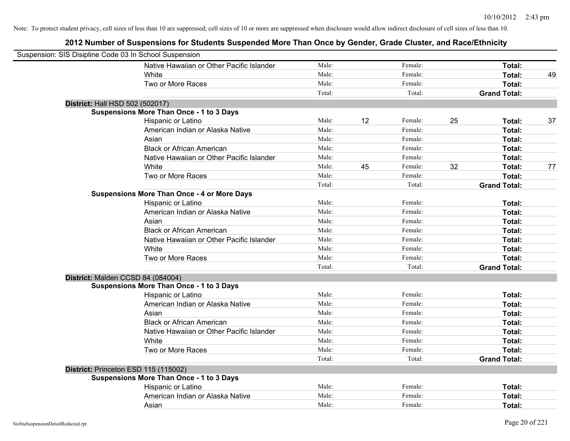| Suspension: SIS Disipline Code 03 In School Suspension |                                                    |        |    |         |    |                     |    |
|--------------------------------------------------------|----------------------------------------------------|--------|----|---------|----|---------------------|----|
|                                                        | Native Hawaiian or Other Pacific Islander          | Male:  |    | Female: |    | Total:              |    |
|                                                        | White                                              | Male:  |    | Female: |    | <b>Total:</b>       | 49 |
|                                                        | Two or More Races                                  | Male:  |    | Female: |    | Total:              |    |
|                                                        |                                                    | Total: |    | Total:  |    | <b>Grand Total:</b> |    |
| District: Hall HSD 502 (502017)                        |                                                    |        |    |         |    |                     |    |
|                                                        | Suspensions More Than Once - 1 to 3 Days           |        |    |         |    |                     |    |
|                                                        | Hispanic or Latino                                 | Male:  | 12 | Female: | 25 | Total:              | 37 |
|                                                        | American Indian or Alaska Native                   | Male:  |    | Female: |    | Total:              |    |
|                                                        | Asian                                              | Male:  |    | Female: |    | Total:              |    |
|                                                        | <b>Black or African American</b>                   | Male:  |    | Female: |    | Total:              |    |
|                                                        | Native Hawaiian or Other Pacific Islander          | Male:  |    | Female: |    | Total:              |    |
|                                                        | White                                              | Male:  | 45 | Female: | 32 | Total:              | 77 |
|                                                        | Two or More Races                                  | Male:  |    | Female: |    | Total:              |    |
|                                                        |                                                    | Total: |    | Total:  |    | <b>Grand Total:</b> |    |
|                                                        | <b>Suspensions More Than Once - 4 or More Days</b> |        |    |         |    |                     |    |
|                                                        | Hispanic or Latino                                 | Male:  |    | Female: |    | Total:              |    |
|                                                        | American Indian or Alaska Native                   | Male:  |    | Female: |    | Total:              |    |
|                                                        | Asian                                              | Male:  |    | Female: |    | Total:              |    |
|                                                        | <b>Black or African American</b>                   | Male:  |    | Female: |    | Total:              |    |
|                                                        | Native Hawaiian or Other Pacific Islander          | Male:  |    | Female: |    | Total:              |    |
|                                                        | White                                              | Male:  |    | Female: |    | Total:              |    |
|                                                        | Two or More Races                                  | Male:  |    | Female: |    | Total:              |    |
|                                                        |                                                    | Total: |    | Total:  |    | <b>Grand Total:</b> |    |
| District: Malden CCSD 84 (084004)                      |                                                    |        |    |         |    |                     |    |
|                                                        | <b>Suspensions More Than Once - 1 to 3 Days</b>    |        |    |         |    |                     |    |
|                                                        | Hispanic or Latino                                 | Male:  |    | Female: |    | Total:              |    |
|                                                        | American Indian or Alaska Native                   | Male:  |    | Female: |    | Total:              |    |
|                                                        | Asian                                              | Male:  |    | Female: |    | Total:              |    |
|                                                        | <b>Black or African American</b>                   | Male:  |    | Female: |    | Total:              |    |
|                                                        | Native Hawaiian or Other Pacific Islander          | Male:  |    | Female: |    | Total:              |    |
|                                                        | White                                              | Male:  |    | Female: |    | Total:              |    |
|                                                        | Two or More Races                                  | Male:  |    | Female: |    | Total:              |    |
|                                                        |                                                    | Total: |    | Total:  |    | <b>Grand Total:</b> |    |
| District: Princeton ESD 115 (115002)                   |                                                    |        |    |         |    |                     |    |
|                                                        | <b>Suspensions More Than Once - 1 to 3 Days</b>    |        |    |         |    |                     |    |
|                                                        | Hispanic or Latino                                 | Male:  |    | Female: |    | Total:              |    |
|                                                        | American Indian or Alaska Native                   | Male:  |    | Female: |    | Total:              |    |
|                                                        | Asian                                              | Male:  |    | Female: |    | Total:              |    |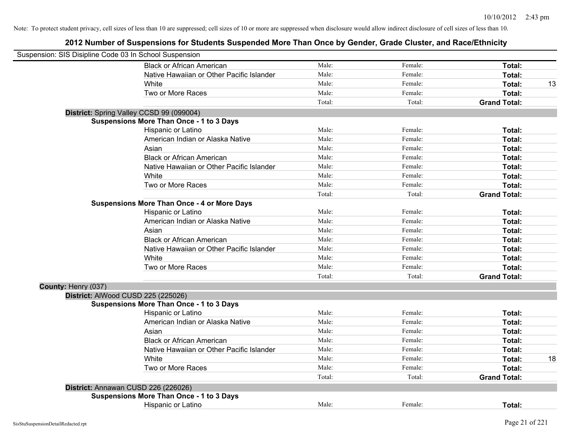| Suspension: SIS Disipline Code 03 In School Suspension |                                                    |        |         |                     |    |
|--------------------------------------------------------|----------------------------------------------------|--------|---------|---------------------|----|
|                                                        | <b>Black or African American</b>                   | Male:  | Female: | Total:              |    |
|                                                        | Native Hawaiian or Other Pacific Islander          | Male:  | Female: | Total:              |    |
|                                                        | White                                              | Male:  | Female: | Total:              | 13 |
|                                                        | Two or More Races                                  | Male:  | Female: | Total:              |    |
|                                                        |                                                    | Total: | Total:  | <b>Grand Total:</b> |    |
|                                                        | District: Spring Valley CCSD 99 (099004)           |        |         |                     |    |
|                                                        | <b>Suspensions More Than Once - 1 to 3 Days</b>    |        |         |                     |    |
|                                                        | Hispanic or Latino                                 | Male:  | Female: | Total:              |    |
|                                                        | American Indian or Alaska Native                   | Male:  | Female: | Total:              |    |
|                                                        | Asian                                              | Male:  | Female: | Total:              |    |
|                                                        | <b>Black or African American</b>                   | Male:  | Female: | Total:              |    |
|                                                        | Native Hawaiian or Other Pacific Islander          | Male:  | Female: | Total:              |    |
|                                                        | White                                              | Male:  | Female: | Total:              |    |
|                                                        | Two or More Races                                  | Male:  | Female: | Total:              |    |
|                                                        |                                                    | Total: | Total:  | <b>Grand Total:</b> |    |
|                                                        | <b>Suspensions More Than Once - 4 or More Days</b> |        |         |                     |    |
|                                                        | Hispanic or Latino                                 | Male:  | Female: | Total:              |    |
|                                                        | American Indian or Alaska Native                   | Male:  | Female: | Total:              |    |
|                                                        | Asian                                              | Male:  | Female: | Total:              |    |
|                                                        | <b>Black or African American</b>                   | Male:  | Female: | Total:              |    |
|                                                        | Native Hawaiian or Other Pacific Islander          | Male:  | Female: | Total:              |    |
|                                                        | White                                              | Male:  | Female: | Total:              |    |
|                                                        | Two or More Races                                  | Male:  | Female: | Total:              |    |
|                                                        |                                                    | Total: | Total:  | <b>Grand Total:</b> |    |
| County: Henry (037)                                    |                                                    |        |         |                     |    |
|                                                        | District: AlWood CUSD 225 (225026)                 |        |         |                     |    |
|                                                        | <b>Suspensions More Than Once - 1 to 3 Days</b>    |        |         |                     |    |
|                                                        | Hispanic or Latino                                 | Male:  | Female: | Total:              |    |
|                                                        | American Indian or Alaska Native                   | Male:  | Female: | Total:              |    |
|                                                        | Asian                                              | Male:  | Female: | Total:              |    |
|                                                        | <b>Black or African American</b>                   | Male:  | Female: | Total:              |    |
|                                                        | Native Hawaiian or Other Pacific Islander          | Male:  | Female: | Total:              |    |
|                                                        | White                                              | Male:  | Female: | Total:              | 18 |
|                                                        | Two or More Races                                  | Male:  | Female: | Total:              |    |
|                                                        |                                                    | Total: | Total:  | <b>Grand Total:</b> |    |
|                                                        | District: Annawan CUSD 226 (226026)                |        |         |                     |    |
|                                                        | <b>Suspensions More Than Once - 1 to 3 Days</b>    |        |         |                     |    |
|                                                        | Hispanic or Latino                                 | Male:  | Female: | Total:              |    |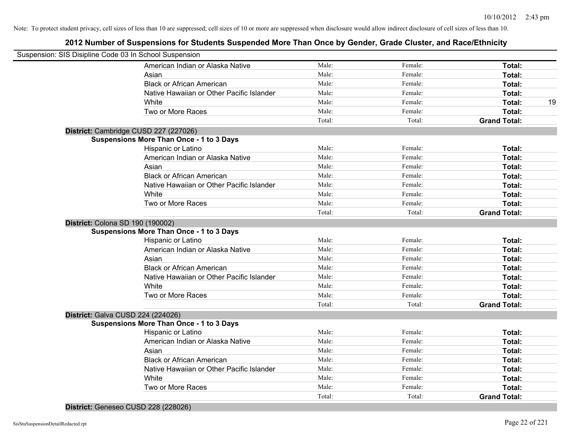### **2012 Number of Suspensions for Students Suspended More Than Once by Gender, Grade Cluster, and Race/Ethnicity**

| Suspension: SIS Disipline Code 03 In School Suspension |                                                 |        |         |                     |    |
|--------------------------------------------------------|-------------------------------------------------|--------|---------|---------------------|----|
|                                                        | American Indian or Alaska Native                | Male:  | Female: | Total:              |    |
|                                                        | Asian                                           | Male:  | Female: | Total:              |    |
|                                                        | <b>Black or African American</b>                | Male:  | Female: | Total:              |    |
|                                                        | Native Hawaiian or Other Pacific Islander       | Male:  | Female: | Total:              |    |
|                                                        | White                                           | Male:  | Female: | Total:              | 19 |
|                                                        | Two or More Races                               | Male:  | Female: | Total:              |    |
|                                                        |                                                 | Total: | Total:  | <b>Grand Total:</b> |    |
|                                                        | District: Cambridge CUSD 227 (227026)           |        |         |                     |    |
|                                                        | <b>Suspensions More Than Once - 1 to 3 Days</b> |        |         |                     |    |
|                                                        | Hispanic or Latino                              | Male:  | Female: | Total:              |    |
|                                                        | American Indian or Alaska Native                | Male:  | Female: | Total:              |    |
|                                                        | Asian                                           | Male:  | Female: | Total:              |    |
|                                                        | <b>Black or African American</b>                | Male:  | Female: | Total:              |    |
|                                                        | Native Hawaiian or Other Pacific Islander       | Male:  | Female: | Total:              |    |
|                                                        | White                                           | Male:  | Female: | Total:              |    |
|                                                        | Two or More Races                               | Male:  | Female: | Total:              |    |
|                                                        |                                                 | Total: | Total:  | <b>Grand Total:</b> |    |
| District: Colona SD 190 (190002)                       |                                                 |        |         |                     |    |
|                                                        | <b>Suspensions More Than Once - 1 to 3 Days</b> |        |         |                     |    |
|                                                        | Hispanic or Latino                              | Male:  | Female: | Total:              |    |
|                                                        | American Indian or Alaska Native                | Male:  | Female: | Total:              |    |
|                                                        | Asian                                           | Male:  | Female: | Total:              |    |
|                                                        | <b>Black or African American</b>                | Male:  | Female: | Total:              |    |
|                                                        | Native Hawaiian or Other Pacific Islander       | Male:  | Female: | Total:              |    |
|                                                        | White                                           | Male:  | Female: | Total:              |    |
|                                                        | Two or More Races                               | Male:  | Female: | Total:              |    |
|                                                        |                                                 | Total: | Total:  | <b>Grand Total:</b> |    |
| District: Galva CUSD 224 (224026)                      |                                                 |        |         |                     |    |
|                                                        | <b>Suspensions More Than Once - 1 to 3 Days</b> |        |         |                     |    |
|                                                        | Hispanic or Latino                              | Male:  | Female: | Total:              |    |
|                                                        | American Indian or Alaska Native                | Male:  | Female: | Total:              |    |
|                                                        | Asian                                           | Male:  | Female: | Total:              |    |
|                                                        | <b>Black or African American</b>                | Male:  | Female: | Total:              |    |
|                                                        | Native Hawaiian or Other Pacific Islander       | Male:  | Female: | Total:              |    |
|                                                        | White                                           | Male:  | Female: | Total:              |    |
|                                                        | Two or More Races                               | Male:  | Female: | Total:              |    |
|                                                        |                                                 | Total: | Total:  | <b>Grand Total:</b> |    |

**District:** Geneseo CUSD 228 (228026)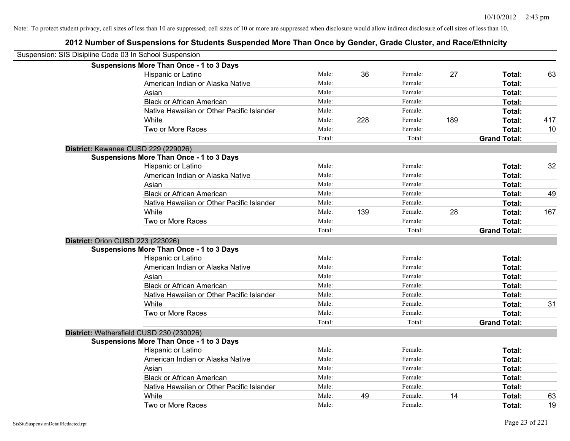| Suspension: SIS Disipline Code 03 In School Suspension |                                                 |        |     |         |     |                     |     |
|--------------------------------------------------------|-------------------------------------------------|--------|-----|---------|-----|---------------------|-----|
|                                                        | <b>Suspensions More Than Once - 1 to 3 Days</b> |        |     |         |     |                     |     |
|                                                        | Hispanic or Latino                              | Male:  | 36  | Female: | 27  | Total:              | 63  |
|                                                        | American Indian or Alaska Native                | Male:  |     | Female: |     | Total:              |     |
|                                                        | Asian                                           | Male:  |     | Female: |     | Total:              |     |
|                                                        | <b>Black or African American</b>                | Male:  |     | Female: |     | Total:              |     |
|                                                        | Native Hawaiian or Other Pacific Islander       | Male:  |     | Female: |     | Total:              |     |
|                                                        | White                                           | Male:  | 228 | Female: | 189 | Total:              | 417 |
|                                                        | Two or More Races                               | Male:  |     | Female: |     | Total:              | 10  |
|                                                        |                                                 | Total: |     | Total:  |     | <b>Grand Total:</b> |     |
|                                                        | District: Kewanee CUSD 229 (229026)             |        |     |         |     |                     |     |
|                                                        | <b>Suspensions More Than Once - 1 to 3 Days</b> |        |     |         |     |                     |     |
|                                                        | Hispanic or Latino                              | Male:  |     | Female: |     | Total:              | 32  |
|                                                        | American Indian or Alaska Native                | Male:  |     | Female: |     | Total:              |     |
|                                                        | Asian                                           | Male:  |     | Female: |     | Total:              |     |
|                                                        | <b>Black or African American</b>                | Male:  |     | Female: |     | Total:              | 49  |
|                                                        | Native Hawaiian or Other Pacific Islander       | Male:  |     | Female: |     | Total:              |     |
|                                                        | White                                           | Male:  | 139 | Female: | 28  | Total:              | 167 |
|                                                        | Two or More Races                               | Male:  |     | Female: |     | Total:              |     |
|                                                        |                                                 | Total: |     | Total:  |     | <b>Grand Total:</b> |     |
| <b>District: Orion CUSD 223 (223026)</b>               |                                                 |        |     |         |     |                     |     |
|                                                        | <b>Suspensions More Than Once - 1 to 3 Days</b> |        |     |         |     |                     |     |
|                                                        | Hispanic or Latino                              | Male:  |     | Female: |     | Total:              |     |
|                                                        | American Indian or Alaska Native                | Male:  |     | Female: |     | Total:              |     |
|                                                        | Asian                                           | Male:  |     | Female: |     | Total:              |     |
|                                                        | <b>Black or African American</b>                | Male:  |     | Female: |     | Total:              |     |
|                                                        | Native Hawaiian or Other Pacific Islander       | Male:  |     | Female: |     | Total:              |     |
|                                                        | White                                           | Male:  |     | Female: |     | Total:              | 31  |
|                                                        | Two or More Races                               | Male:  |     | Female: |     | Total:              |     |
|                                                        |                                                 | Total: |     | Total:  |     | <b>Grand Total:</b> |     |
|                                                        | District: Wethersfield CUSD 230 (230026)        |        |     |         |     |                     |     |
|                                                        | <b>Suspensions More Than Once - 1 to 3 Days</b> |        |     |         |     |                     |     |
|                                                        | Hispanic or Latino                              | Male:  |     | Female: |     | Total:              |     |
|                                                        | American Indian or Alaska Native                | Male:  |     | Female: |     | Total:              |     |
|                                                        | Asian                                           | Male:  |     | Female: |     | Total:              |     |
|                                                        | <b>Black or African American</b>                | Male:  |     | Female: |     | Total:              |     |
|                                                        | Native Hawaiian or Other Pacific Islander       | Male:  |     | Female: |     | Total:              |     |
|                                                        | White                                           | Male:  | 49  | Female: | 14  | Total:              | 63  |
|                                                        | Two or More Races                               | Male:  |     | Female: |     | Total:              | 19  |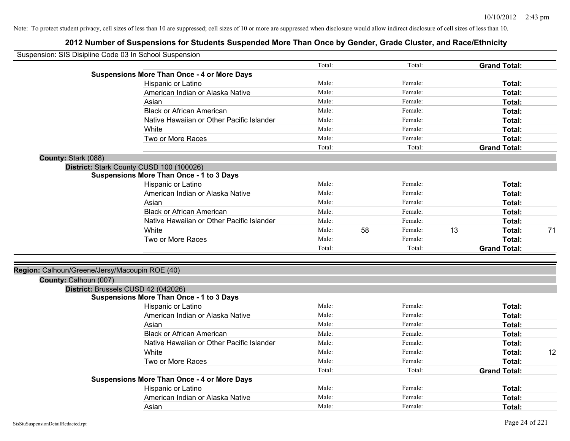| Suspension: SIS Disipline Code 03 In School Suspension |                                                    |        |    |         |    |                     |    |
|--------------------------------------------------------|----------------------------------------------------|--------|----|---------|----|---------------------|----|
|                                                        |                                                    | Total: |    | Total:  |    | <b>Grand Total:</b> |    |
|                                                        | <b>Suspensions More Than Once - 4 or More Days</b> |        |    |         |    |                     |    |
|                                                        | Hispanic or Latino                                 | Male:  |    | Female: |    | Total:              |    |
|                                                        | American Indian or Alaska Native                   | Male:  |    | Female: |    | Total:              |    |
|                                                        | Asian                                              | Male:  |    | Female: |    | Total:              |    |
|                                                        | <b>Black or African American</b>                   | Male:  |    | Female: |    | Total:              |    |
|                                                        | Native Hawaiian or Other Pacific Islander          | Male:  |    | Female: |    | Total:              |    |
|                                                        | White                                              | Male:  |    | Female: |    | Total:              |    |
|                                                        | Two or More Races                                  | Male:  |    | Female: |    | Total:              |    |
|                                                        |                                                    | Total: |    | Total:  |    | <b>Grand Total:</b> |    |
| County: Stark (088)                                    |                                                    |        |    |         |    |                     |    |
|                                                        | District: Stark County CUSD 100 (100026)           |        |    |         |    |                     |    |
|                                                        | <b>Suspensions More Than Once - 1 to 3 Days</b>    |        |    |         |    |                     |    |
|                                                        | Hispanic or Latino                                 | Male:  |    | Female: |    | Total:              |    |
|                                                        | American Indian or Alaska Native                   | Male:  |    | Female: |    | Total:              |    |
|                                                        | Asian                                              | Male:  |    | Female: |    | Total:              |    |
|                                                        | <b>Black or African American</b>                   | Male:  |    | Female: |    | Total:              |    |
|                                                        | Native Hawaiian or Other Pacific Islander          | Male:  |    | Female: |    | Total:              |    |
|                                                        | White                                              | Male:  | 58 | Female: | 13 | Total:              | 71 |
|                                                        | Two or More Races                                  | Male:  |    | Female: |    | Total:              |    |
|                                                        |                                                    | Total: |    | Total:  |    | <b>Grand Total:</b> |    |
|                                                        |                                                    |        |    |         |    |                     |    |
| Region: Calhoun/Greene/Jersy/Macoupin ROE (40)         |                                                    |        |    |         |    |                     |    |
| County: Calhoun (007)                                  |                                                    |        |    |         |    |                     |    |
|                                                        | District: Brussels CUSD 42 (042026)                |        |    |         |    |                     |    |
|                                                        | <b>Suspensions More Than Once - 1 to 3 Days</b>    |        |    |         |    |                     |    |
|                                                        | Hispanic or Latino                                 | Male:  |    | Female: |    | Total:              |    |
|                                                        | American Indian or Alaska Native                   | Male:  |    | Female: |    | Total:              |    |
|                                                        | Asian                                              | Male:  |    | Female: |    | Total:              |    |
|                                                        | <b>Black or African American</b>                   | Male:  |    | Female: |    | Total:              |    |
|                                                        | Native Hawaiian or Other Pacific Islander          | Male:  |    | Female: |    | Total:              |    |
|                                                        | White                                              | Male:  |    | Female: |    | Total:              | 12 |
|                                                        | Two or More Races                                  | Male:  |    | Female: |    | Total:              |    |
|                                                        |                                                    | Total: |    | Total:  |    | <b>Grand Total:</b> |    |
|                                                        | <b>Suspensions More Than Once - 4 or More Days</b> |        |    |         |    |                     |    |
|                                                        | Hispanic or Latino                                 | Male:  |    | Female: |    | Total:              |    |
|                                                        | American Indian or Alaska Native                   | Male:  |    | Female: |    | Total:              |    |
|                                                        | Asian                                              | Male:  |    | Female: |    | Total:              |    |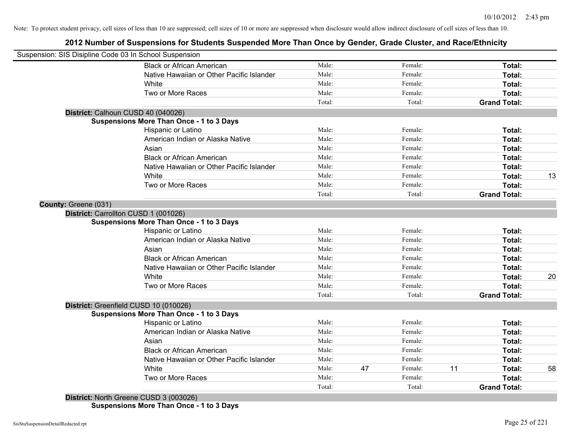### **2012 Number of Suspensions for Students Suspended More Than Once by Gender, Grade Cluster, and Race/Ethnicity**

| Suspension: SIS Disipline Code 03 In School Suspension |                                                 |        |    |         |    |                     |    |
|--------------------------------------------------------|-------------------------------------------------|--------|----|---------|----|---------------------|----|
|                                                        | <b>Black or African American</b>                | Male:  |    | Female: |    | Total:              |    |
|                                                        | Native Hawaiian or Other Pacific Islander       | Male:  |    | Female: |    | Total:              |    |
|                                                        | White                                           | Male:  |    | Female: |    | Total:              |    |
|                                                        | Two or More Races                               | Male:  |    | Female: |    | Total:              |    |
|                                                        |                                                 | Total: |    | Total:  |    | <b>Grand Total:</b> |    |
| District: Calhoun CUSD 40 (040026)                     |                                                 |        |    |         |    |                     |    |
|                                                        | <b>Suspensions More Than Once - 1 to 3 Days</b> |        |    |         |    |                     |    |
|                                                        | Hispanic or Latino                              | Male:  |    | Female: |    | Total:              |    |
|                                                        | American Indian or Alaska Native                | Male:  |    | Female: |    | Total:              |    |
|                                                        | Asian                                           | Male:  |    | Female: |    | Total:              |    |
|                                                        | <b>Black or African American</b>                | Male:  |    | Female: |    | Total:              |    |
|                                                        | Native Hawaiian or Other Pacific Islander       | Male:  |    | Female: |    | Total:              |    |
|                                                        | White                                           | Male:  |    | Female: |    | Total:              | 13 |
|                                                        | Two or More Races                               | Male:  |    | Female: |    | Total:              |    |
|                                                        |                                                 | Total: |    | Total:  |    | <b>Grand Total:</b> |    |
| County: Greene (031)                                   |                                                 |        |    |         |    |                     |    |
| District: Carrollton CUSD 1 (001026)                   |                                                 |        |    |         |    |                     |    |
|                                                        | <b>Suspensions More Than Once - 1 to 3 Days</b> |        |    |         |    |                     |    |
|                                                        | Hispanic or Latino                              | Male:  |    | Female: |    | Total:              |    |
|                                                        | American Indian or Alaska Native                | Male:  |    | Female: |    | Total:              |    |
|                                                        | Asian                                           | Male:  |    | Female: |    | Total:              |    |
|                                                        | <b>Black or African American</b>                | Male:  |    | Female: |    | Total:              |    |
|                                                        | Native Hawaiian or Other Pacific Islander       | Male:  |    | Female: |    | Total:              |    |
|                                                        | White                                           | Male:  |    | Female: |    | Total:              | 20 |
|                                                        | Two or More Races                               | Male:  |    | Female: |    | Total:              |    |
|                                                        |                                                 | Total: |    | Total:  |    | <b>Grand Total:</b> |    |
|                                                        | District: Greenfield CUSD 10 (010026)           |        |    |         |    |                     |    |
|                                                        | <b>Suspensions More Than Once - 1 to 3 Days</b> |        |    |         |    |                     |    |
|                                                        | Hispanic or Latino                              | Male:  |    | Female: |    | Total:              |    |
|                                                        | American Indian or Alaska Native                | Male:  |    | Female: |    | Total:              |    |
|                                                        | Asian                                           | Male:  |    | Female: |    | Total:              |    |
|                                                        | <b>Black or African American</b>                | Male:  |    | Female: |    | Total:              |    |
|                                                        | Native Hawaiian or Other Pacific Islander       | Male:  |    | Female: |    | Total:              |    |
|                                                        | White                                           | Male:  | 47 | Female: | 11 | Total:              | 58 |
|                                                        |                                                 | Male:  |    | Female: |    | Total:              |    |
|                                                        | Two or More Races                               |        |    |         |    |                     |    |

**Suspensions More Than Once - 1 to 3 Days**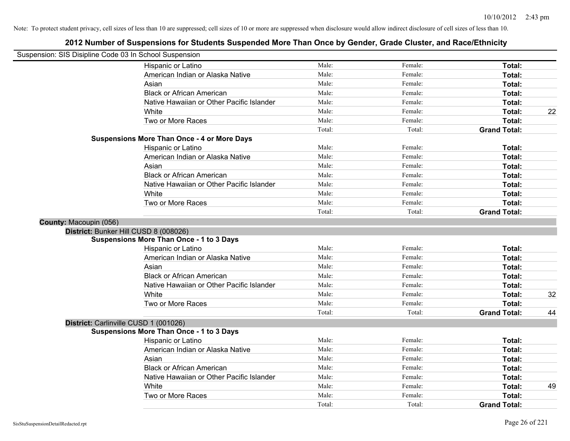| Suspension: SIS Disipline Code 03 In School Suspension |                                                    |        |         |                     |    |
|--------------------------------------------------------|----------------------------------------------------|--------|---------|---------------------|----|
|                                                        | Hispanic or Latino                                 | Male:  | Female: | Total:              |    |
|                                                        | American Indian or Alaska Native                   | Male:  | Female: | Total:              |    |
|                                                        | Asian                                              | Male:  | Female: | Total:              |    |
|                                                        | <b>Black or African American</b>                   | Male:  | Female: | Total:              |    |
|                                                        | Native Hawaiian or Other Pacific Islander          | Male:  | Female: | Total:              |    |
|                                                        | White                                              | Male:  | Female: | Total:              | 22 |
|                                                        | Two or More Races                                  | Male:  | Female: | Total:              |    |
|                                                        |                                                    | Total: | Total:  | <b>Grand Total:</b> |    |
|                                                        | <b>Suspensions More Than Once - 4 or More Days</b> |        |         |                     |    |
|                                                        | Hispanic or Latino                                 | Male:  | Female: | Total:              |    |
|                                                        | American Indian or Alaska Native                   | Male:  | Female: | Total:              |    |
|                                                        | Asian                                              | Male:  | Female: | Total:              |    |
|                                                        | <b>Black or African American</b>                   | Male:  | Female: | Total:              |    |
|                                                        | Native Hawaiian or Other Pacific Islander          | Male:  | Female: | Total:              |    |
|                                                        | White                                              | Male:  | Female: | Total:              |    |
|                                                        | Two or More Races                                  | Male:  | Female: | Total:              |    |
|                                                        |                                                    | Total: | Total:  | <b>Grand Total:</b> |    |
| County: Macoupin (056)                                 |                                                    |        |         |                     |    |
|                                                        | District: Bunker Hill CUSD 8 (008026)              |        |         |                     |    |
|                                                        | <b>Suspensions More Than Once - 1 to 3 Days</b>    |        |         |                     |    |
|                                                        | Hispanic or Latino                                 | Male:  | Female: | Total:              |    |
|                                                        | American Indian or Alaska Native                   | Male:  | Female: | Total:              |    |
|                                                        | Asian                                              | Male:  | Female: | Total:              |    |
|                                                        | <b>Black or African American</b>                   | Male:  | Female: | Total:              |    |
|                                                        | Native Hawaiian or Other Pacific Islander          | Male:  | Female: | Total:              |    |
|                                                        | White                                              | Male:  | Female: | Total:              | 32 |
|                                                        | Two or More Races                                  | Male:  | Female: | Total:              |    |
|                                                        |                                                    | Total: | Total:  | <b>Grand Total:</b> | 44 |
|                                                        | District: Carlinville CUSD 1 (001026)              |        |         |                     |    |
|                                                        | <b>Suspensions More Than Once - 1 to 3 Days</b>    |        |         |                     |    |
|                                                        | Hispanic or Latino                                 | Male:  | Female: | Total:              |    |
|                                                        | American Indian or Alaska Native                   | Male:  | Female: | Total:              |    |
|                                                        | Asian                                              | Male:  | Female: | Total:              |    |
|                                                        | <b>Black or African American</b>                   | Male:  | Female: | Total:              |    |
|                                                        | Native Hawaiian or Other Pacific Islander          | Male:  | Female: | Total:              |    |
|                                                        | White                                              | Male:  | Female: | Total:              | 49 |
|                                                        | Two or More Races                                  | Male:  | Female: | Total:              |    |
|                                                        |                                                    | Total: | Total:  | <b>Grand Total:</b> |    |
|                                                        |                                                    |        |         |                     |    |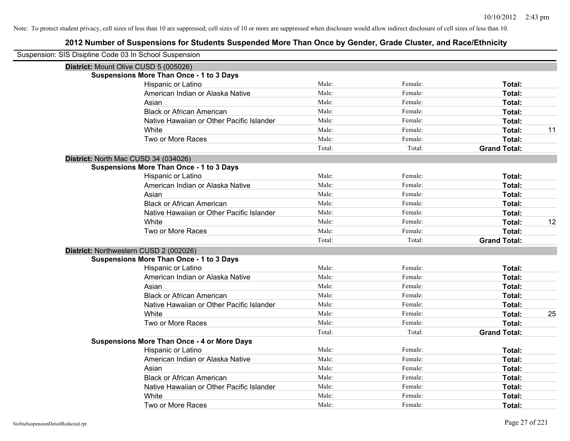| Suspension: SIS Disipline Code 03 In School Suspension                                    |        |         |                     |    |
|-------------------------------------------------------------------------------------------|--------|---------|---------------------|----|
|                                                                                           |        |         |                     |    |
| District: Mount Olive CUSD 5 (005026)<br><b>Suspensions More Than Once - 1 to 3 Days</b>  |        |         |                     |    |
| Hispanic or Latino                                                                        | Male:  | Female: | Total:              |    |
| American Indian or Alaska Native                                                          | Male:  | Female: | Total:              |    |
| Asian                                                                                     | Male:  | Female: | Total:              |    |
| <b>Black or African American</b>                                                          | Male:  | Female: | Total:              |    |
| Native Hawaiian or Other Pacific Islander                                                 | Male:  | Female: | Total:              |    |
| White                                                                                     | Male:  | Female: | Total:              | 11 |
| Two or More Races                                                                         | Male:  | Female: | Total:              |    |
|                                                                                           | Total: | Total:  | <b>Grand Total:</b> |    |
|                                                                                           |        |         |                     |    |
| District: North Mac CUSD 34 (034026)<br><b>Suspensions More Than Once - 1 to 3 Days</b>   |        |         |                     |    |
| Hispanic or Latino                                                                        | Male:  | Female: | Total:              |    |
| American Indian or Alaska Native                                                          | Male:  | Female: | Total:              |    |
| Asian                                                                                     | Male:  | Female: | Total:              |    |
| <b>Black or African American</b>                                                          | Male:  | Female: | Total:              |    |
| Native Hawaiian or Other Pacific Islander                                                 | Male:  | Female: | Total:              |    |
| White                                                                                     | Male:  | Female: | Total:              | 12 |
| Two or More Races                                                                         | Male:  | Female: | Total:              |    |
|                                                                                           | Total: | Total:  | <b>Grand Total:</b> |    |
|                                                                                           |        |         |                     |    |
| District: Northwestern CUSD 2 (002026)<br><b>Suspensions More Than Once - 1 to 3 Days</b> |        |         |                     |    |
| Hispanic or Latino                                                                        | Male:  | Female: | Total:              |    |
| American Indian or Alaska Native                                                          | Male:  | Female: | Total:              |    |
| Asian                                                                                     | Male:  | Female: | Total:              |    |
| <b>Black or African American</b>                                                          | Male:  | Female: | Total:              |    |
| Native Hawaiian or Other Pacific Islander                                                 | Male:  | Female: | Total:              |    |
| White                                                                                     | Male:  | Female: | Total:              | 25 |
| Two or More Races                                                                         | Male:  | Female: | Total:              |    |
|                                                                                           | Total: | Total:  | <b>Grand Total:</b> |    |
| <b>Suspensions More Than Once - 4 or More Days</b>                                        |        |         |                     |    |
| Hispanic or Latino                                                                        | Male:  | Female: | Total:              |    |
| American Indian or Alaska Native                                                          | Male:  | Female: | Total:              |    |
| Asian                                                                                     | Male:  | Female: | Total:              |    |
| <b>Black or African American</b>                                                          | Male:  | Female: | Total:              |    |
| Native Hawaiian or Other Pacific Islander                                                 | Male:  | Female: | Total:              |    |
| White                                                                                     | Male:  | Female: | Total:              |    |
| Two or More Races                                                                         | Male:  | Female: | Total:              |    |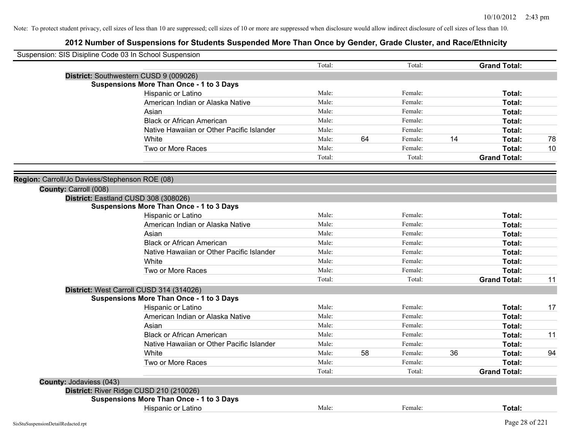| Suspension: SIS Disipline Code 03 In School Suspension |                                                                                             |        |    |         |    |                               |    |
|--------------------------------------------------------|---------------------------------------------------------------------------------------------|--------|----|---------|----|-------------------------------|----|
|                                                        |                                                                                             | Total: |    | Total:  |    | <b>Grand Total:</b>           |    |
|                                                        | District: Southwestern CUSD 9 (009026)                                                      |        |    |         |    |                               |    |
|                                                        | <b>Suspensions More Than Once - 1 to 3 Days</b>                                             |        |    |         |    |                               |    |
|                                                        | Hispanic or Latino                                                                          | Male:  |    | Female: |    | Total:                        |    |
|                                                        | American Indian or Alaska Native                                                            | Male:  |    | Female: |    | Total:                        |    |
|                                                        | Asian                                                                                       | Male:  |    | Female: |    | Total:                        |    |
|                                                        | <b>Black or African American</b>                                                            | Male:  |    | Female: |    | Total:                        |    |
|                                                        | Native Hawaiian or Other Pacific Islander                                                   | Male:  |    | Female: |    | Total:                        |    |
|                                                        | White                                                                                       | Male:  | 64 | Female: | 14 | Total:                        | 78 |
|                                                        | Two or More Races                                                                           | Male:  |    | Female: |    | Total:                        | 10 |
|                                                        |                                                                                             | Total: |    | Total:  |    | <b>Grand Total:</b>           |    |
|                                                        |                                                                                             |        |    |         |    |                               |    |
| Region: Carroll/Jo Daviess/Stephenson ROE (08)         |                                                                                             |        |    |         |    |                               |    |
| County: Carroll (008)                                  |                                                                                             |        |    |         |    |                               |    |
|                                                        | District: Eastland CUSD 308 (308026)                                                        |        |    |         |    |                               |    |
|                                                        | <b>Suspensions More Than Once - 1 to 3 Days</b>                                             | Male:  |    | Female: |    |                               |    |
|                                                        | Hispanic or Latino<br>American Indian or Alaska Native                                      | Male:  |    | Female: |    | Total:                        |    |
|                                                        | Asian                                                                                       | Male:  |    | Female: |    | Total:                        |    |
|                                                        | <b>Black or African American</b>                                                            | Male:  |    | Female: |    | Total:<br>Total:              |    |
|                                                        | Native Hawaiian or Other Pacific Islander                                                   | Male:  |    | Female: |    |                               |    |
|                                                        | White                                                                                       | Male:  |    | Female: |    | Total:                        |    |
|                                                        | Two or More Races                                                                           | Male:  |    | Female: |    | Total:                        |    |
|                                                        |                                                                                             | Total: |    | Total:  |    | Total:<br><b>Grand Total:</b> | 11 |
|                                                        |                                                                                             |        |    |         |    |                               |    |
|                                                        | District: West Carroll CUSD 314 (314026)<br><b>Suspensions More Than Once - 1 to 3 Days</b> |        |    |         |    |                               |    |
|                                                        | Hispanic or Latino                                                                          | Male:  |    | Female: |    | Total:                        | 17 |
|                                                        | American Indian or Alaska Native                                                            | Male:  |    | Female: |    | Total:                        |    |
|                                                        | Asian                                                                                       | Male:  |    | Female: |    | Total:                        |    |
|                                                        | <b>Black or African American</b>                                                            | Male:  |    | Female: |    | Total:                        | 11 |
|                                                        | Native Hawaiian or Other Pacific Islander                                                   | Male:  |    | Female: |    | Total:                        |    |
|                                                        | White                                                                                       | Male:  | 58 | Female: | 36 | Total:                        | 94 |
|                                                        | Two or More Races                                                                           | Male:  |    | Female: |    | Total:                        |    |
|                                                        |                                                                                             | Total: |    | Total:  |    | <b>Grand Total:</b>           |    |
| County: Jodaviess (043)                                |                                                                                             |        |    |         |    |                               |    |
|                                                        | District: River Ridge CUSD 210 (210026)                                                     |        |    |         |    |                               |    |
|                                                        | <b>Suspensions More Than Once - 1 to 3 Days</b>                                             |        |    |         |    |                               |    |
|                                                        | Hispanic or Latino                                                                          | Male:  |    | Female: |    | Total:                        |    |
|                                                        |                                                                                             |        |    |         |    |                               |    |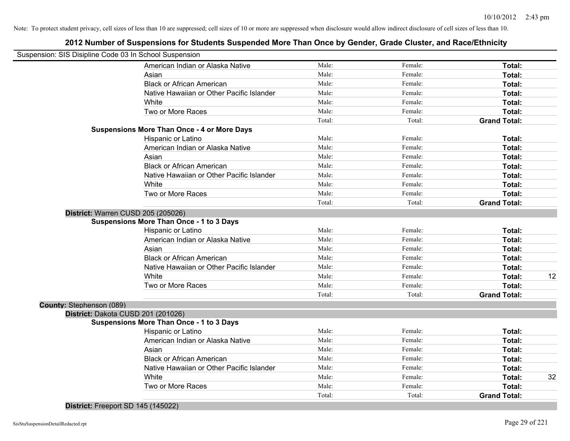### **2012 Number of Suspensions for Students Suspended More Than Once by Gender, Grade Cluster, and Race/Ethnicity**

| Suspension: SIS Disipline Code 03 In School Suspension |                                                    |        |         |                     |    |
|--------------------------------------------------------|----------------------------------------------------|--------|---------|---------------------|----|
|                                                        | American Indian or Alaska Native                   | Male:  | Female: | Total:              |    |
|                                                        | Asian                                              | Male:  | Female: | Total:              |    |
|                                                        | <b>Black or African American</b>                   | Male:  | Female: | Total:              |    |
|                                                        | Native Hawaiian or Other Pacific Islander          | Male:  | Female: | Total:              |    |
|                                                        | White                                              | Male:  | Female: | Total:              |    |
|                                                        | Two or More Races                                  | Male:  | Female: | Total:              |    |
|                                                        |                                                    | Total: | Total:  | <b>Grand Total:</b> |    |
|                                                        | <b>Suspensions More Than Once - 4 or More Days</b> |        |         |                     |    |
|                                                        | Hispanic or Latino                                 | Male:  | Female: | Total:              |    |
|                                                        | American Indian or Alaska Native                   | Male:  | Female: | Total:              |    |
|                                                        | Asian                                              | Male:  | Female: | Total:              |    |
|                                                        | <b>Black or African American</b>                   | Male:  | Female: | Total:              |    |
|                                                        | Native Hawaiian or Other Pacific Islander          | Male:  | Female: | Total:              |    |
|                                                        | White                                              | Male:  | Female: | Total:              |    |
|                                                        | Two or More Races                                  | Male:  | Female: | Total:              |    |
|                                                        |                                                    | Total: | Total:  | <b>Grand Total:</b> |    |
|                                                        | District: Warren CUSD 205 (205026)                 |        |         |                     |    |
|                                                        | <b>Suspensions More Than Once - 1 to 3 Days</b>    |        |         |                     |    |
|                                                        | Hispanic or Latino                                 | Male:  | Female: | Total:              |    |
|                                                        | American Indian or Alaska Native                   | Male:  | Female: | Total:              |    |
|                                                        | Asian                                              | Male:  | Female: | Total:              |    |
|                                                        | <b>Black or African American</b>                   | Male:  | Female: | Total:              |    |
|                                                        | Native Hawaiian or Other Pacific Islander          | Male:  | Female: | Total:              |    |
|                                                        | White                                              | Male:  | Female: | Total:              | 12 |
|                                                        | Two or More Races                                  | Male:  | Female: | Total:              |    |
|                                                        |                                                    | Total: | Total:  | <b>Grand Total:</b> |    |
| County: Stephenson (089)                               |                                                    |        |         |                     |    |
|                                                        | District: Dakota CUSD 201 (201026)                 |        |         |                     |    |
|                                                        | <b>Suspensions More Than Once - 1 to 3 Days</b>    |        |         |                     |    |
|                                                        | Hispanic or Latino                                 | Male:  | Female: | Total:              |    |
|                                                        | American Indian or Alaska Native                   | Male:  | Female: | Total:              |    |
|                                                        | Asian                                              | Male:  | Female: | Total:              |    |
|                                                        | <b>Black or African American</b>                   | Male:  | Female: | Total:              |    |
|                                                        | Native Hawaiian or Other Pacific Islander          | Male:  | Female: | Total:              |    |
|                                                        | White                                              | Male:  | Female: | Total:              | 32 |
|                                                        | Two or More Races                                  | Male:  | Female: | Total:              |    |
|                                                        |                                                    | Total: | Total:  | <b>Grand Total:</b> |    |
|                                                        |                                                    |        |         |                     |    |

**District:** Freeport SD 145 (145022)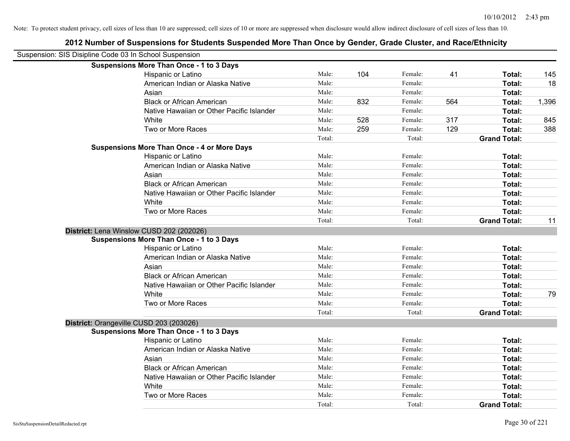| Suspension: SIS Disipline Code 03 In School Suspension |                                                    |        |     |         |     |                     |       |
|--------------------------------------------------------|----------------------------------------------------|--------|-----|---------|-----|---------------------|-------|
|                                                        | <b>Suspensions More Than Once - 1 to 3 Days</b>    |        |     |         |     |                     |       |
|                                                        | Hispanic or Latino                                 | Male:  | 104 | Female: | 41  | Total:              | 145   |
|                                                        | American Indian or Alaska Native                   | Male:  |     | Female: |     | Total:              | 18    |
|                                                        | Asian                                              | Male:  |     | Female: |     | Total:              |       |
|                                                        | <b>Black or African American</b>                   | Male:  | 832 | Female: | 564 | Total:              | 1,396 |
|                                                        | Native Hawaiian or Other Pacific Islander          | Male:  |     | Female: |     | Total:              |       |
|                                                        | White                                              | Male:  | 528 | Female: | 317 | Total:              | 845   |
|                                                        | Two or More Races                                  | Male:  | 259 | Female: | 129 | Total:              | 388   |
|                                                        |                                                    | Total: |     | Total:  |     | <b>Grand Total:</b> |       |
|                                                        | <b>Suspensions More Than Once - 4 or More Days</b> |        |     |         |     |                     |       |
|                                                        | Hispanic or Latino                                 | Male:  |     | Female: |     | Total:              |       |
|                                                        | American Indian or Alaska Native                   | Male:  |     | Female: |     | Total:              |       |
|                                                        | Asian                                              | Male:  |     | Female: |     | Total:              |       |
|                                                        | <b>Black or African American</b>                   | Male:  |     | Female: |     | Total:              |       |
|                                                        | Native Hawaiian or Other Pacific Islander          | Male:  |     | Female: |     | Total:              |       |
|                                                        | White                                              | Male:  |     | Female: |     | Total:              |       |
|                                                        | Two or More Races                                  | Male:  |     | Female: |     | Total:              |       |
|                                                        |                                                    | Total: |     | Total:  |     | <b>Grand Total:</b> | 11    |
|                                                        | District: Lena Winslow CUSD 202 (202026)           |        |     |         |     |                     |       |
|                                                        | <b>Suspensions More Than Once - 1 to 3 Days</b>    |        |     |         |     |                     |       |
|                                                        | Hispanic or Latino                                 | Male:  |     | Female: |     | Total:              |       |
|                                                        | American Indian or Alaska Native                   | Male:  |     | Female: |     | Total:              |       |
|                                                        | Asian                                              | Male:  |     | Female: |     | Total:              |       |
|                                                        | <b>Black or African American</b>                   | Male:  |     | Female: |     | Total:              |       |
|                                                        | Native Hawaiian or Other Pacific Islander          | Male:  |     | Female: |     | Total:              |       |
|                                                        | White                                              | Male:  |     | Female: |     | Total:              | 79    |
|                                                        | Two or More Races                                  | Male:  |     | Female: |     | Total:              |       |
|                                                        |                                                    | Total: |     | Total:  |     | <b>Grand Total:</b> |       |
|                                                        | District: Orangeville CUSD 203 (203026)            |        |     |         |     |                     |       |
|                                                        | <b>Suspensions More Than Once - 1 to 3 Days</b>    |        |     |         |     |                     |       |
|                                                        | Hispanic or Latino                                 | Male:  |     | Female: |     | Total:              |       |
|                                                        | American Indian or Alaska Native                   | Male:  |     | Female: |     | Total:              |       |
|                                                        | Asian                                              | Male:  |     | Female: |     | Total:              |       |
|                                                        | <b>Black or African American</b>                   | Male:  |     | Female: |     | Total:              |       |
|                                                        | Native Hawaiian or Other Pacific Islander          | Male:  |     | Female: |     | Total:              |       |
|                                                        | White                                              | Male:  |     | Female: |     | Total:              |       |
|                                                        | Two or More Races                                  | Male:  |     | Female: |     | Total:              |       |
|                                                        |                                                    | Total: |     | Total:  |     | <b>Grand Total:</b> |       |
|                                                        |                                                    |        |     |         |     |                     |       |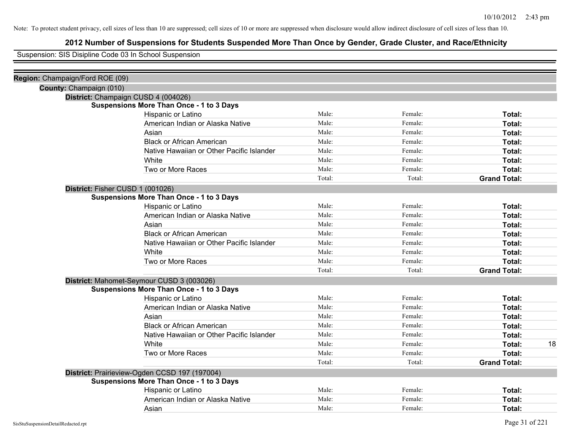### **2012 Number of Suspensions for Students Suspended More Than Once by Gender, Grade Cluster, and Race/Ethnicity**

Suspension: SIS Disipline Code 03 In School Suspension

| Region: Champaign/Ford ROE (09) |                                                 |        |         |                     |    |
|---------------------------------|-------------------------------------------------|--------|---------|---------------------|----|
|                                 | County: Champaign (010)                         |        |         |                     |    |
|                                 | District: Champaign CUSD 4 (004026)             |        |         |                     |    |
|                                 | <b>Suspensions More Than Once - 1 to 3 Days</b> |        |         |                     |    |
|                                 | Hispanic or Latino                              | Male:  | Female: | Total:              |    |
|                                 | American Indian or Alaska Native                | Male:  | Female: | Total:              |    |
|                                 | Asian                                           | Male:  | Female: | Total:              |    |
|                                 | <b>Black or African American</b>                | Male:  | Female: | Total:              |    |
|                                 | Native Hawaiian or Other Pacific Islander       | Male:  | Female: | Total:              |    |
|                                 | White                                           | Male:  | Female: | Total:              |    |
|                                 | Two or More Races                               | Male:  | Female: | Total:              |    |
|                                 |                                                 | Total: | Total:  | <b>Grand Total:</b> |    |
|                                 | District: Fisher CUSD 1 (001026)                |        |         |                     |    |
|                                 | <b>Suspensions More Than Once - 1 to 3 Days</b> |        |         |                     |    |
|                                 | Hispanic or Latino                              | Male:  | Female: | Total:              |    |
|                                 | American Indian or Alaska Native                | Male:  | Female: | Total:              |    |
|                                 | Asian                                           | Male:  | Female: | Total:              |    |
|                                 | <b>Black or African American</b>                | Male:  | Female: | Total:              |    |
|                                 | Native Hawaiian or Other Pacific Islander       | Male:  | Female: | Total:              |    |
|                                 | White                                           | Male:  | Female: | Total:              |    |
|                                 | Two or More Races                               | Male:  | Female: | Total:              |    |
|                                 |                                                 | Total: | Total:  | <b>Grand Total:</b> |    |
|                                 | District: Mahomet-Seymour CUSD 3 (003026)       |        |         |                     |    |
|                                 | <b>Suspensions More Than Once - 1 to 3 Days</b> |        |         |                     |    |
|                                 | Hispanic or Latino                              | Male:  | Female: | Total:              |    |
|                                 | American Indian or Alaska Native                | Male:  | Female: | Total:              |    |
|                                 | Asian                                           | Male:  | Female: | Total:              |    |
|                                 | <b>Black or African American</b>                | Male:  | Female: | Total:              |    |
|                                 | Native Hawaiian or Other Pacific Islander       | Male:  | Female: | Total:              |    |
|                                 | White                                           | Male:  | Female: | Total:              | 18 |
|                                 | Two or More Races                               | Male:  | Female: | Total:              |    |
|                                 |                                                 | Total: | Total:  | <b>Grand Total:</b> |    |
|                                 | District: Prairieview-Ogden CCSD 197 (197004)   |        |         |                     |    |
|                                 | <b>Suspensions More Than Once - 1 to 3 Days</b> |        |         |                     |    |
|                                 | Hispanic or Latino                              | Male:  | Female: | Total:              |    |
|                                 | American Indian or Alaska Native                | Male:  | Female: | Total:              |    |
|                                 | Asian                                           | Male:  | Female: | Total:              |    |
|                                 |                                                 |        |         |                     |    |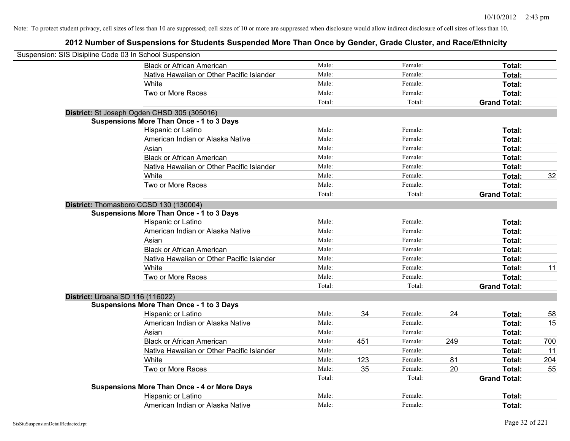| Suspension: SIS Disipline Code 03 In School Suspension |                                                    |        |     |         |     |                     |     |
|--------------------------------------------------------|----------------------------------------------------|--------|-----|---------|-----|---------------------|-----|
|                                                        | <b>Black or African American</b>                   | Male:  |     | Female: |     | Total:              |     |
|                                                        | Native Hawaiian or Other Pacific Islander          | Male:  |     | Female: |     | Total:              |     |
|                                                        | White                                              | Male:  |     | Female: |     | Total:              |     |
|                                                        | Two or More Races                                  | Male:  |     | Female: |     | Total:              |     |
|                                                        |                                                    | Total: |     | Total:  |     | <b>Grand Total:</b> |     |
|                                                        | District: St Joseph Ogden CHSD 305 (305016)        |        |     |         |     |                     |     |
|                                                        | <b>Suspensions More Than Once - 1 to 3 Days</b>    |        |     |         |     |                     |     |
|                                                        | Hispanic or Latino                                 | Male:  |     | Female: |     | Total:              |     |
|                                                        | American Indian or Alaska Native                   | Male:  |     | Female: |     | Total:              |     |
|                                                        | Asian                                              | Male:  |     | Female: |     | Total:              |     |
|                                                        | <b>Black or African American</b>                   | Male:  |     | Female: |     | Total:              |     |
|                                                        | Native Hawaiian or Other Pacific Islander          | Male:  |     | Female: |     | Total:              |     |
|                                                        | White                                              | Male:  |     | Female: |     | Total:              | 32  |
|                                                        | Two or More Races                                  | Male:  |     | Female: |     | Total:              |     |
|                                                        |                                                    | Total: |     | Total:  |     | <b>Grand Total:</b> |     |
|                                                        | District: Thomasboro CCSD 130 (130004)             |        |     |         |     |                     |     |
|                                                        | <b>Suspensions More Than Once - 1 to 3 Days</b>    |        |     |         |     |                     |     |
|                                                        | Hispanic or Latino                                 | Male:  |     | Female: |     | Total:              |     |
|                                                        | American Indian or Alaska Native                   | Male:  |     | Female: |     | Total:              |     |
|                                                        | Asian                                              | Male:  |     | Female: |     | Total:              |     |
|                                                        | <b>Black or African American</b>                   | Male:  |     | Female: |     | Total:              |     |
|                                                        | Native Hawaiian or Other Pacific Islander          | Male:  |     | Female: |     | Total:              |     |
|                                                        | White                                              | Male:  |     | Female: |     | Total:              | 11  |
|                                                        | Two or More Races                                  | Male:  |     | Female: |     | Total:              |     |
|                                                        |                                                    | Total: |     | Total:  |     | <b>Grand Total:</b> |     |
|                                                        | District: Urbana SD 116 (116022)                   |        |     |         |     |                     |     |
|                                                        | <b>Suspensions More Than Once - 1 to 3 Days</b>    |        |     |         |     |                     |     |
|                                                        | Hispanic or Latino                                 | Male:  | 34  | Female: | 24  | Total:              | 58  |
|                                                        | American Indian or Alaska Native                   | Male:  |     | Female: |     | Total:              | 15  |
|                                                        | Asian                                              | Male:  |     | Female: |     | Total:              |     |
|                                                        | <b>Black or African American</b>                   | Male:  | 451 | Female: | 249 | Total:              | 700 |
|                                                        | Native Hawaiian or Other Pacific Islander          | Male:  |     | Female: |     | Total:              | 11  |
|                                                        | White                                              | Male:  | 123 | Female: | 81  | Total:              | 204 |
|                                                        | Two or More Races                                  | Male:  | 35  | Female: | 20  | Total:              | 55  |
|                                                        |                                                    | Total: |     | Total:  |     | <b>Grand Total:</b> |     |
|                                                        | <b>Suspensions More Than Once - 4 or More Days</b> |        |     |         |     |                     |     |
|                                                        | Hispanic or Latino                                 | Male:  |     | Female: |     | Total:              |     |
|                                                        | American Indian or Alaska Native                   | Male:  |     | Female: |     | Total:              |     |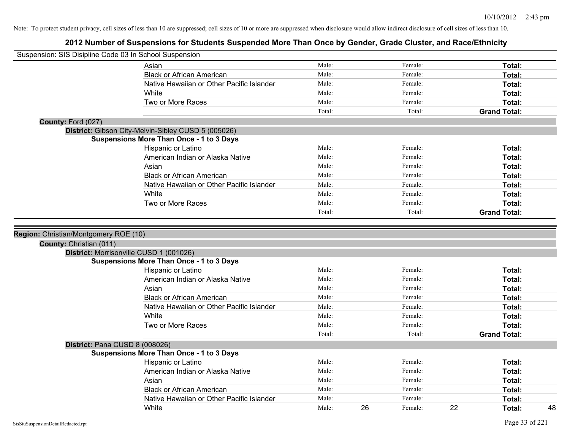| Suspension: SIS Disipline Code 03 In School Suspension |                                                 |        |    |         |    |                     |
|--------------------------------------------------------|-------------------------------------------------|--------|----|---------|----|---------------------|
|                                                        | Asian                                           | Male:  |    | Female: |    | Total:              |
|                                                        | <b>Black or African American</b>                | Male:  |    | Female: |    | Total:              |
|                                                        | Native Hawaiian or Other Pacific Islander       | Male:  |    | Female: |    | Total:              |
|                                                        | White                                           | Male:  |    | Female: |    | Total:              |
|                                                        | Two or More Races                               | Male:  |    | Female: |    | Total:              |
|                                                        |                                                 | Total: |    | Total:  |    | <b>Grand Total:</b> |
| County: Ford (027)                                     |                                                 |        |    |         |    |                     |
| District: Gibson City-Melvin-Sibley CUSD 5 (005026)    |                                                 |        |    |         |    |                     |
|                                                        | <b>Suspensions More Than Once - 1 to 3 Days</b> |        |    |         |    |                     |
|                                                        | Hispanic or Latino                              | Male:  |    | Female: |    | Total:              |
|                                                        | American Indian or Alaska Native                | Male:  |    | Female: |    | Total:              |
|                                                        | Asian                                           | Male:  |    | Female: |    | Total:              |
|                                                        | <b>Black or African American</b>                | Male:  |    | Female: |    | Total:              |
|                                                        | Native Hawaiian or Other Pacific Islander       | Male:  |    | Female: |    | Total:              |
|                                                        | White                                           | Male:  |    | Female: |    | Total:              |
|                                                        | Two or More Races                               | Male:  |    | Female: |    | <b>Total:</b>       |
|                                                        |                                                 | Total: |    | Total:  |    | <b>Grand Total:</b> |
|                                                        |                                                 |        |    |         |    |                     |
| Region: Christian/Montgomery ROE (10)                  |                                                 |        |    |         |    |                     |
| County: Christian (011)                                |                                                 |        |    |         |    |                     |
| District: Morrisonville CUSD 1 (001026)                |                                                 |        |    |         |    |                     |
|                                                        | <b>Suspensions More Than Once - 1 to 3 Days</b> |        |    |         |    |                     |
|                                                        | Hispanic or Latino                              | Male:  |    | Female: |    | Total:              |
|                                                        | American Indian or Alaska Native                | Male:  |    | Female: |    | Total:              |
|                                                        | Asian                                           | Male:  |    | Female: |    | Total:              |
|                                                        | <b>Black or African American</b>                | Male:  |    | Female: |    | Total:              |
|                                                        | Native Hawaiian or Other Pacific Islander       | Male:  |    | Female: |    | Total:              |
|                                                        | White                                           | Male:  |    | Female: |    | Total:              |
|                                                        | Two or More Races                               | Male:  |    | Female: |    | Total:              |
|                                                        |                                                 | Total: |    | Total:  |    | <b>Grand Total:</b> |
| District: Pana CUSD 8 (008026)                         |                                                 |        |    |         |    |                     |
|                                                        | <b>Suspensions More Than Once - 1 to 3 Days</b> |        |    |         |    |                     |
|                                                        | Hispanic or Latino                              | Male:  |    | Female: |    | Total:              |
|                                                        | American Indian or Alaska Native                | Male:  |    | Female: |    | Total:              |
|                                                        | Asian                                           | Male:  |    | Female: |    | Total:              |
|                                                        | <b>Black or African American</b>                | Male:  |    | Female: |    | Total:              |
|                                                        | Native Hawaiian or Other Pacific Islander       | Male:  |    | Female: |    | Total:              |
|                                                        | White                                           | Male:  | 26 | Female: | 22 | Total:              |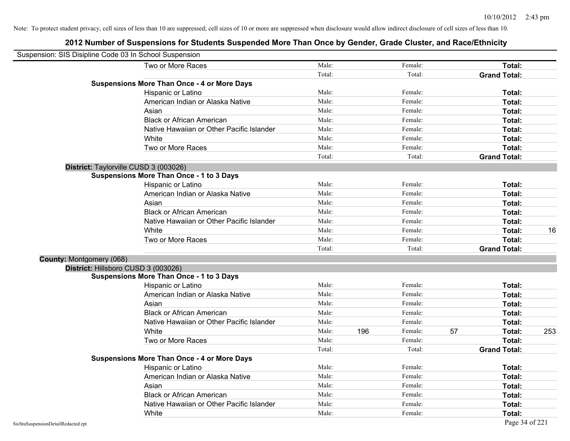| Suspension: SIS Disipline Code 03 In School Suspension |        |     |         |    |                     |     |
|--------------------------------------------------------|--------|-----|---------|----|---------------------|-----|
| Two or More Races                                      | Male:  |     | Female: |    | Total:              |     |
|                                                        | Total: |     | Total:  |    | <b>Grand Total:</b> |     |
| <b>Suspensions More Than Once - 4 or More Days</b>     |        |     |         |    |                     |     |
| Hispanic or Latino                                     | Male:  |     | Female: |    | Total:              |     |
| American Indian or Alaska Native                       | Male:  |     | Female: |    | Total:              |     |
| Asian                                                  | Male:  |     | Female: |    | Total:              |     |
| <b>Black or African American</b>                       | Male:  |     | Female: |    | Total:              |     |
| Native Hawaiian or Other Pacific Islander              | Male:  |     | Female: |    | Total:              |     |
| White                                                  | Male:  |     | Female: |    | Total:              |     |
| Two or More Races                                      | Male:  |     | Female: |    | Total:              |     |
|                                                        | Total: |     | Total:  |    | <b>Grand Total:</b> |     |
| District: Taylorville CUSD 3 (003026)                  |        |     |         |    |                     |     |
| <b>Suspensions More Than Once - 1 to 3 Days</b>        |        |     |         |    |                     |     |
| Hispanic or Latino                                     | Male:  |     | Female: |    | Total:              |     |
| American Indian or Alaska Native                       | Male:  |     | Female: |    | Total:              |     |
| Asian                                                  | Male:  |     | Female: |    | Total:              |     |
| <b>Black or African American</b>                       | Male:  |     | Female: |    | Total:              |     |
| Native Hawaiian or Other Pacific Islander              | Male:  |     | Female: |    | Total:              |     |
| White                                                  | Male:  |     | Female: |    | Total:              | 16  |
| Two or More Races                                      | Male:  |     | Female: |    | Total:              |     |
|                                                        | Total: |     | Total:  |    | <b>Grand Total:</b> |     |
| County: Montgomery (068)                               |        |     |         |    |                     |     |
| District: Hillsboro CUSD 3 (003026)                    |        |     |         |    |                     |     |
| <b>Suspensions More Than Once - 1 to 3 Days</b>        |        |     |         |    |                     |     |
| Hispanic or Latino                                     | Male:  |     | Female: |    | Total:              |     |
| American Indian or Alaska Native                       | Male:  |     | Female: |    | Total:              |     |
| Asian                                                  | Male:  |     | Female: |    | Total:              |     |
| <b>Black or African American</b>                       | Male:  |     | Female: |    | Total:              |     |
| Native Hawaiian or Other Pacific Islander              | Male:  |     | Female: |    | Total:              |     |
| White                                                  | Male:  | 196 | Female: | 57 | Total:              | 253 |
| Two or More Races                                      | Male:  |     | Female: |    | Total:              |     |
|                                                        | Total: |     | Total:  |    | <b>Grand Total:</b> |     |
| <b>Suspensions More Than Once - 4 or More Days</b>     |        |     |         |    |                     |     |
| Hispanic or Latino                                     | Male:  |     | Female: |    | Total:              |     |
| American Indian or Alaska Native                       | Male:  |     | Female: |    | Total:              |     |
| Asian                                                  | Male:  |     | Female: |    | Total:              |     |
| <b>Black or African American</b>                       | Male:  |     | Female: |    | Total:              |     |
| Native Hawaiian or Other Pacific Islander              | Male:  |     | Female: |    | Total:              |     |
| White                                                  | Male:  |     | Female: |    | Total:              |     |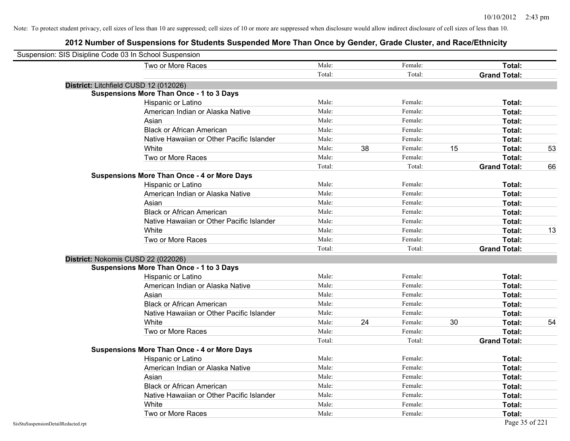| Suspension: SIS Disipline Code 03 In School Suspension |                                                    |        |    |         |    |                     |    |
|--------------------------------------------------------|----------------------------------------------------|--------|----|---------|----|---------------------|----|
|                                                        | Two or More Races                                  | Male:  |    | Female: |    | Total:              |    |
|                                                        |                                                    | Total: |    | Total:  |    | <b>Grand Total:</b> |    |
|                                                        | District: Litchfield CUSD 12 (012026)              |        |    |         |    |                     |    |
|                                                        | <b>Suspensions More Than Once - 1 to 3 Days</b>    |        |    |         |    |                     |    |
|                                                        | Hispanic or Latino                                 | Male:  |    | Female: |    | Total:              |    |
|                                                        | American Indian or Alaska Native                   | Male:  |    | Female: |    | Total:              |    |
|                                                        | Asian                                              | Male:  |    | Female: |    | Total:              |    |
|                                                        | <b>Black or African American</b>                   | Male:  |    | Female: |    | Total:              |    |
|                                                        | Native Hawaiian or Other Pacific Islander          | Male:  |    | Female: |    | Total:              |    |
|                                                        | White                                              | Male:  | 38 | Female: | 15 | Total:              | 53 |
|                                                        | Two or More Races                                  | Male:  |    | Female: |    | Total:              |    |
|                                                        |                                                    | Total: |    | Total:  |    | <b>Grand Total:</b> | 66 |
|                                                        | <b>Suspensions More Than Once - 4 or More Days</b> |        |    |         |    |                     |    |
|                                                        | Hispanic or Latino                                 | Male:  |    | Female: |    | Total:              |    |
|                                                        | American Indian or Alaska Native                   | Male:  |    | Female: |    | Total:              |    |
|                                                        | Asian                                              | Male:  |    | Female: |    | Total:              |    |
|                                                        | <b>Black or African American</b>                   | Male:  |    | Female: |    | Total:              |    |
|                                                        | Native Hawaiian or Other Pacific Islander          | Male:  |    | Female: |    | Total:              |    |
|                                                        | White                                              | Male:  |    | Female: |    | Total:              | 13 |
|                                                        | Two or More Races                                  | Male:  |    | Female: |    | Total:              |    |
|                                                        |                                                    | Total: |    | Total:  |    | <b>Grand Total:</b> |    |
|                                                        | District: Nokomis CUSD 22 (022026)                 |        |    |         |    |                     |    |
|                                                        | <b>Suspensions More Than Once - 1 to 3 Days</b>    |        |    |         |    |                     |    |
|                                                        | Hispanic or Latino                                 | Male:  |    | Female: |    | Total:              |    |
|                                                        | American Indian or Alaska Native                   | Male:  |    | Female: |    | Total:              |    |
|                                                        | Asian                                              | Male:  |    | Female: |    | Total:              |    |
|                                                        | <b>Black or African American</b>                   | Male:  |    | Female: |    | Total:              |    |
|                                                        | Native Hawaiian or Other Pacific Islander          | Male:  |    | Female: |    | Total:              |    |
|                                                        | White                                              | Male:  | 24 | Female: | 30 | Total:              | 54 |
|                                                        | Two or More Races                                  | Male:  |    | Female: |    | Total:              |    |
|                                                        |                                                    | Total: |    | Total:  |    | <b>Grand Total:</b> |    |
|                                                        | <b>Suspensions More Than Once - 4 or More Days</b> |        |    |         |    |                     |    |
|                                                        | Hispanic or Latino                                 | Male:  |    | Female: |    | Total:              |    |
|                                                        | American Indian or Alaska Native                   | Male:  |    | Female: |    | Total:              |    |
|                                                        | Asian                                              | Male:  |    | Female: |    | Total:              |    |
|                                                        | <b>Black or African American</b>                   | Male:  |    | Female: |    | Total:              |    |
|                                                        | Native Hawaiian or Other Pacific Islander          | Male:  |    | Female: |    | Total:              |    |
|                                                        | White                                              | Male:  |    | Female: |    | Total:              |    |
|                                                        | Two or More Races                                  | Male:  |    | Female: |    | Total:              |    |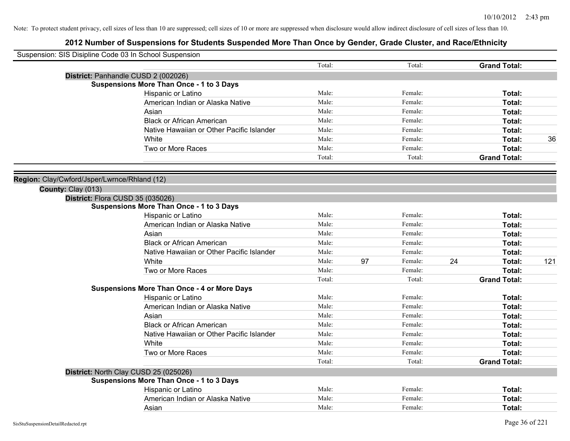| Suspension: SIS Disipline Code 03 In School Suspension |                                                    |        |    |         |                     |        |     |
|--------------------------------------------------------|----------------------------------------------------|--------|----|---------|---------------------|--------|-----|
|                                                        |                                                    | Total: |    | Total:  | <b>Grand Total:</b> |        |     |
|                                                        | District: Panhandle CUSD 2 (002026)                |        |    |         |                     |        |     |
|                                                        | <b>Suspensions More Than Once - 1 to 3 Days</b>    |        |    |         |                     |        |     |
|                                                        | Hispanic or Latino                                 | Male:  |    | Female: |                     | Total: |     |
|                                                        | American Indian or Alaska Native                   | Male:  |    | Female: |                     | Total: |     |
|                                                        | Asian                                              | Male:  |    | Female: |                     | Total: |     |
|                                                        | <b>Black or African American</b>                   | Male:  |    | Female: |                     | Total: |     |
|                                                        | Native Hawaiian or Other Pacific Islander          | Male:  |    | Female: |                     | Total: |     |
|                                                        | White                                              | Male:  |    | Female: |                     | Total: | 36  |
|                                                        | Two or More Races                                  | Male:  |    | Female: |                     | Total: |     |
|                                                        |                                                    | Total: |    | Total:  | <b>Grand Total:</b> |        |     |
| Region: Clay/Cwford/Jsper/Lwrnce/Rhland (12)           |                                                    |        |    |         |                     |        |     |
| County: Clay (013)                                     |                                                    |        |    |         |                     |        |     |
| District: Flora CUSD 35 (035026)                       |                                                    |        |    |         |                     |        |     |
|                                                        | <b>Suspensions More Than Once - 1 to 3 Days</b>    |        |    |         |                     |        |     |
|                                                        | Hispanic or Latino                                 | Male:  |    | Female: |                     | Total: |     |
|                                                        | American Indian or Alaska Native                   | Male:  |    | Female: |                     | Total: |     |
|                                                        | Asian                                              | Male:  |    | Female: |                     | Total: |     |
|                                                        | <b>Black or African American</b>                   | Male:  |    | Female: |                     | Total: |     |
|                                                        | Native Hawaiian or Other Pacific Islander          | Male:  |    | Female: |                     | Total: |     |
|                                                        | White                                              | Male:  | 97 | Female: | 24                  | Total: | 121 |
|                                                        | Two or More Races                                  | Male:  |    | Female: |                     | Total: |     |
|                                                        |                                                    | Total: |    | Total:  | <b>Grand Total:</b> |        |     |
|                                                        | <b>Suspensions More Than Once - 4 or More Days</b> |        |    |         |                     |        |     |
|                                                        | Hispanic or Latino                                 | Male:  |    | Female: |                     | Total: |     |
|                                                        | American Indian or Alaska Native                   | Male:  |    | Female: |                     | Total: |     |
|                                                        | Asian                                              | Male:  |    | Female: |                     | Total: |     |
|                                                        | <b>Black or African American</b>                   | Male:  |    | Female: |                     | Total: |     |
|                                                        | Native Hawaiian or Other Pacific Islander          | Male:  |    | Female: |                     | Total: |     |
|                                                        | White                                              | Male:  |    | Female: |                     | Total: |     |
|                                                        | Two or More Races                                  | Male:  |    | Female: |                     | Total: |     |
|                                                        |                                                    | Total: |    | Total:  | <b>Grand Total:</b> |        |     |
|                                                        | District: North Clay CUSD 25 (025026)              |        |    |         |                     |        |     |
|                                                        | <b>Suspensions More Than Once - 1 to 3 Days</b>    |        |    |         |                     |        |     |
|                                                        | Hispanic or Latino                                 | Male:  |    | Female: |                     | Total: |     |
|                                                        | American Indian or Alaska Native                   | Male:  |    | Female: |                     | Total: |     |
|                                                        | Asian                                              | Male:  |    | Female: |                     | Total: |     |
|                                                        |                                                    |        |    |         |                     |        |     |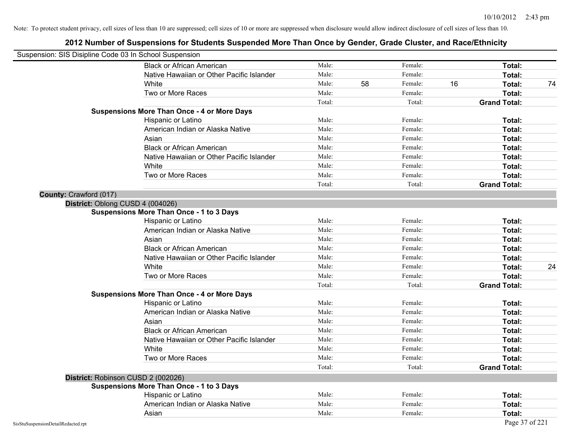| Suspension: SIS Disipline Code 03 In School Suspension |                                                    |        |    |         |    |                     |    |
|--------------------------------------------------------|----------------------------------------------------|--------|----|---------|----|---------------------|----|
|                                                        | <b>Black or African American</b>                   | Male:  |    | Female: |    | Total:              |    |
|                                                        | Native Hawaiian or Other Pacific Islander          | Male:  |    | Female: |    | Total:              |    |
|                                                        | White                                              | Male:  | 58 | Female: | 16 | Total:              | 74 |
|                                                        | Two or More Races                                  | Male:  |    | Female: |    | Total:              |    |
|                                                        |                                                    | Total: |    | Total:  |    | <b>Grand Total:</b> |    |
|                                                        | <b>Suspensions More Than Once - 4 or More Days</b> |        |    |         |    |                     |    |
|                                                        | Hispanic or Latino                                 | Male:  |    | Female: |    | Total:              |    |
|                                                        | American Indian or Alaska Native                   | Male:  |    | Female: |    | Total:              |    |
|                                                        | Asian                                              | Male:  |    | Female: |    | Total:              |    |
|                                                        | <b>Black or African American</b>                   | Male:  |    | Female: |    | Total:              |    |
|                                                        | Native Hawaiian or Other Pacific Islander          | Male:  |    | Female: |    | Total:              |    |
|                                                        | White                                              | Male:  |    | Female: |    | Total:              |    |
|                                                        | Two or More Races                                  | Male:  |    | Female: |    | Total:              |    |
|                                                        |                                                    | Total: |    | Total:  |    | <b>Grand Total:</b> |    |
| County: Crawford (017)                                 |                                                    |        |    |         |    |                     |    |
|                                                        | District: Oblong CUSD 4 (004026)                   |        |    |         |    |                     |    |
|                                                        | <b>Suspensions More Than Once - 1 to 3 Days</b>    |        |    |         |    |                     |    |
|                                                        | Hispanic or Latino                                 | Male:  |    | Female: |    | Total:              |    |
|                                                        | American Indian or Alaska Native                   | Male:  |    | Female: |    | Total:              |    |
|                                                        | Asian                                              | Male:  |    | Female: |    | Total:              |    |
|                                                        | <b>Black or African American</b>                   | Male:  |    | Female: |    | Total:              |    |
|                                                        | Native Hawaiian or Other Pacific Islander          | Male:  |    | Female: |    | Total:              |    |
|                                                        | White                                              | Male:  |    | Female: |    | Total:              | 24 |
|                                                        | Two or More Races                                  | Male:  |    | Female: |    | Total:              |    |
|                                                        |                                                    | Total: |    | Total:  |    | <b>Grand Total:</b> |    |
|                                                        | <b>Suspensions More Than Once - 4 or More Days</b> |        |    |         |    |                     |    |
|                                                        | Hispanic or Latino                                 | Male:  |    | Female: |    | Total:              |    |
|                                                        | American Indian or Alaska Native                   | Male:  |    | Female: |    | Total:              |    |
|                                                        | Asian                                              | Male:  |    | Female: |    | Total:              |    |
|                                                        | <b>Black or African American</b>                   | Male:  |    | Female: |    | Total:              |    |
|                                                        | Native Hawaiian or Other Pacific Islander          | Male:  |    | Female: |    | Total:              |    |
|                                                        | White                                              | Male:  |    | Female: |    | Total:              |    |
|                                                        | Two or More Races                                  | Male:  |    | Female: |    | Total:              |    |
|                                                        |                                                    | Total: |    | Total:  |    | <b>Grand Total:</b> |    |
|                                                        | District: Robinson CUSD 2 (002026)                 |        |    |         |    |                     |    |
|                                                        | <b>Suspensions More Than Once - 1 to 3 Days</b>    |        |    |         |    |                     |    |
|                                                        | Hispanic or Latino                                 | Male:  |    | Female: |    | Total:              |    |
|                                                        | American Indian or Alaska Native                   | Male:  |    | Female: |    | Total:              |    |
|                                                        | Asian                                              | Male:  |    | Female: |    | Total:              |    |
| SisStuSuspensionDetailRedacted.rpt                     |                                                    |        |    |         |    | Page 37 of 221      |    |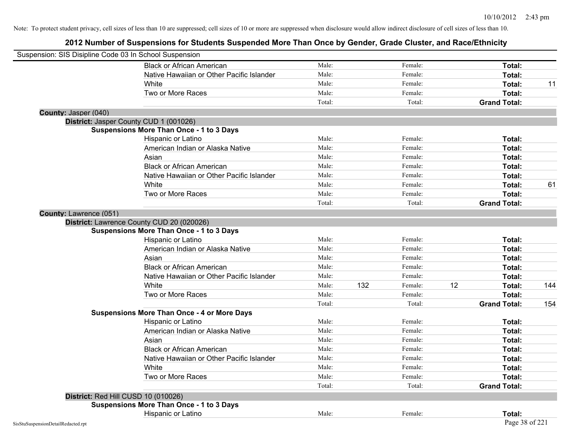| Suspension: SIS Disipline Code 03 In School Suspension |                                                    |        |     |         |    |                     |     |
|--------------------------------------------------------|----------------------------------------------------|--------|-----|---------|----|---------------------|-----|
|                                                        | <b>Black or African American</b>                   | Male:  |     | Female: |    | Total:              |     |
|                                                        | Native Hawaiian or Other Pacific Islander          | Male:  |     | Female: |    | Total:              |     |
|                                                        | White                                              | Male:  |     | Female: |    | Total:              | 11  |
|                                                        | Two or More Races                                  | Male:  |     | Female: |    | Total:              |     |
|                                                        |                                                    | Total: |     | Total:  |    | <b>Grand Total:</b> |     |
| County: Jasper (040)                                   |                                                    |        |     |         |    |                     |     |
|                                                        | District: Jasper County CUD 1 (001026)             |        |     |         |    |                     |     |
|                                                        | <b>Suspensions More Than Once - 1 to 3 Days</b>    |        |     |         |    |                     |     |
|                                                        | Hispanic or Latino                                 | Male:  |     | Female: |    | Total:              |     |
|                                                        | American Indian or Alaska Native                   | Male:  |     | Female: |    | Total:              |     |
|                                                        | Asian                                              | Male:  |     | Female: |    | Total:              |     |
|                                                        | <b>Black or African American</b>                   | Male:  |     | Female: |    | Total:              |     |
|                                                        | Native Hawaiian or Other Pacific Islander          | Male:  |     | Female: |    | Total:              |     |
|                                                        | White                                              | Male:  |     | Female: |    | Total:              | 61  |
|                                                        | Two or More Races                                  | Male:  |     | Female: |    | Total:              |     |
|                                                        |                                                    | Total: |     | Total:  |    | <b>Grand Total:</b> |     |
| County: Lawrence (051)                                 |                                                    |        |     |         |    |                     |     |
|                                                        | District: Lawrence County CUD 20 (020026)          |        |     |         |    |                     |     |
|                                                        | <b>Suspensions More Than Once - 1 to 3 Days</b>    |        |     |         |    |                     |     |
|                                                        | Hispanic or Latino                                 | Male:  |     | Female: |    | Total:              |     |
|                                                        | American Indian or Alaska Native                   | Male:  |     | Female: |    | Total:              |     |
|                                                        | Asian                                              | Male:  |     | Female: |    | Total:              |     |
|                                                        | <b>Black or African American</b>                   | Male:  |     | Female: |    | Total:              |     |
|                                                        | Native Hawaiian or Other Pacific Islander          | Male:  |     | Female: |    | Total:              |     |
|                                                        | White                                              | Male:  | 132 | Female: | 12 | Total:              | 144 |
|                                                        | Two or More Races                                  | Male:  |     | Female: |    | Total:              |     |
|                                                        |                                                    | Total: |     | Total:  |    | <b>Grand Total:</b> | 154 |
|                                                        | <b>Suspensions More Than Once - 4 or More Days</b> |        |     |         |    |                     |     |
|                                                        | Hispanic or Latino                                 | Male:  |     | Female: |    | Total:              |     |
|                                                        | American Indian or Alaska Native                   | Male:  |     | Female: |    | Total:              |     |
|                                                        | Asian                                              | Male:  |     | Female: |    | Total:              |     |
|                                                        | <b>Black or African American</b>                   | Male:  |     | Female: |    | Total:              |     |
|                                                        | Native Hawaiian or Other Pacific Islander          | Male:  |     | Female: |    | Total:              |     |
|                                                        | White                                              | Male:  |     | Female: |    | Total:              |     |
|                                                        | Two or More Races                                  | Male:  |     | Female: |    | Total:              |     |
|                                                        |                                                    | Total: |     | Total:  |    | <b>Grand Total:</b> |     |
|                                                        | District: Red Hill CUSD 10 (010026)                |        |     |         |    |                     |     |
|                                                        | <b>Suspensions More Than Once - 1 to 3 Days</b>    |        |     |         |    |                     |     |
|                                                        | Hispanic or Latino                                 | Male:  |     | Female: |    | Total:              |     |
| SisStuSuspensionDetailRedacted.rpt                     |                                                    |        |     |         |    | Page 38 of 221      |     |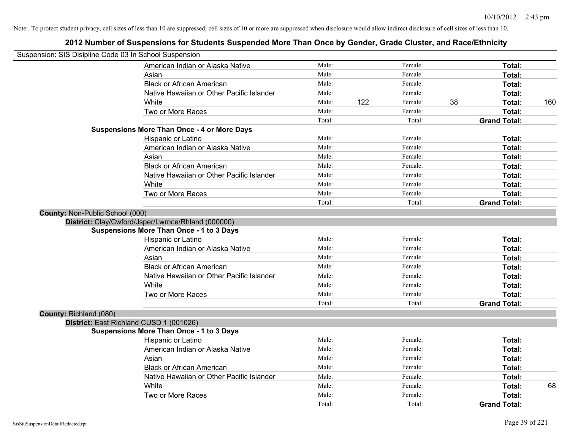| Suspension: SIS Disipline Code 03 In School Suspension |                                                    |        |     |         |    |                     |     |
|--------------------------------------------------------|----------------------------------------------------|--------|-----|---------|----|---------------------|-----|
|                                                        | American Indian or Alaska Native                   | Male:  |     | Female: |    | Total:              |     |
|                                                        | Asian                                              | Male:  |     | Female: |    | Total:              |     |
|                                                        | <b>Black or African American</b>                   | Male:  |     | Female: |    | Total:              |     |
|                                                        | Native Hawaiian or Other Pacific Islander          | Male:  |     | Female: |    | Total:              |     |
|                                                        | White                                              | Male:  | 122 | Female: | 38 | Total:              | 160 |
|                                                        | Two or More Races                                  | Male:  |     | Female: |    | Total:              |     |
|                                                        |                                                    | Total: |     | Total:  |    | <b>Grand Total:</b> |     |
|                                                        | <b>Suspensions More Than Once - 4 or More Days</b> |        |     |         |    |                     |     |
|                                                        | Hispanic or Latino                                 | Male:  |     | Female: |    | Total:              |     |
|                                                        | American Indian or Alaska Native                   | Male:  |     | Female: |    | Total:              |     |
|                                                        | Asian                                              | Male:  |     | Female: |    | Total:              |     |
|                                                        | <b>Black or African American</b>                   | Male:  |     | Female: |    | Total:              |     |
|                                                        | Native Hawaiian or Other Pacific Islander          | Male:  |     | Female: |    | Total:              |     |
|                                                        | White                                              | Male:  |     | Female: |    | Total:              |     |
|                                                        | Two or More Races                                  | Male:  |     | Female: |    | Total:              |     |
|                                                        |                                                    | Total: |     | Total:  |    | <b>Grand Total:</b> |     |
| County: Non-Public School (000)                        |                                                    |        |     |         |    |                     |     |
|                                                        | District: Clay/Cwford/Jsper/Lwrnce/Rhland (000000) |        |     |         |    |                     |     |
|                                                        | <b>Suspensions More Than Once - 1 to 3 Days</b>    |        |     |         |    |                     |     |
|                                                        | Hispanic or Latino                                 | Male:  |     | Female: |    | Total:              |     |
|                                                        | American Indian or Alaska Native                   | Male:  |     | Female: |    | Total:              |     |
|                                                        | Asian                                              | Male:  |     | Female: |    | Total:              |     |
|                                                        | <b>Black or African American</b>                   | Male:  |     | Female: |    | Total:              |     |
|                                                        | Native Hawaiian or Other Pacific Islander          | Male:  |     | Female: |    | Total:              |     |
|                                                        | White                                              | Male:  |     | Female: |    | Total:              |     |
|                                                        | Two or More Races                                  | Male:  |     | Female: |    | Total:              |     |
|                                                        |                                                    | Total: |     | Total:  |    | <b>Grand Total:</b> |     |
| County: Richland (080)                                 |                                                    |        |     |         |    |                     |     |
|                                                        | District: East Richland CUSD 1 (001026)            |        |     |         |    |                     |     |
|                                                        | Suspensions More Than Once - 1 to 3 Days           |        |     |         |    |                     |     |
|                                                        | Hispanic or Latino                                 | Male:  |     | Female: |    | Total:              |     |
|                                                        | American Indian or Alaska Native                   | Male:  |     | Female: |    | Total:              |     |
|                                                        | Asian                                              | Male:  |     | Female: |    | Total:              |     |
|                                                        | <b>Black or African American</b>                   | Male:  |     | Female: |    | Total:              |     |
|                                                        | Native Hawaiian or Other Pacific Islander          | Male:  |     | Female: |    | Total:              |     |
|                                                        | White                                              | Male:  |     | Female: |    | Total:              | 68  |
|                                                        | Two or More Races                                  | Male:  |     | Female: |    | <b>Total:</b>       |     |
|                                                        |                                                    | Total: |     | Total:  |    | <b>Grand Total:</b> |     |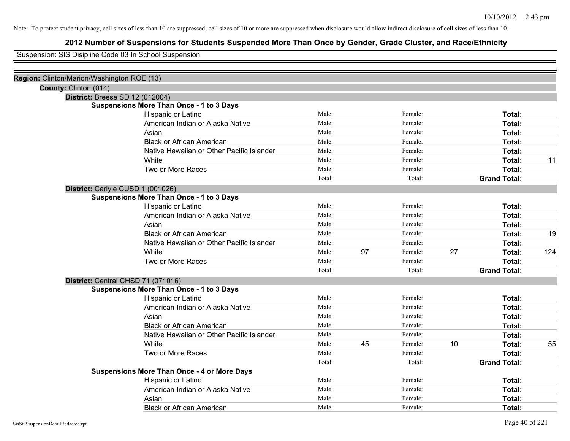# **2012 Number of Suspensions for Students Suspended More Than Once by Gender, Grade Cluster, and Race/Ethnicity**

Suspension: SIS Disipline Code 03 In School Suspension

| Region: Clinton/Marion/Washington ROE (13) |                                                    |        |    |         |    |                     |     |
|--------------------------------------------|----------------------------------------------------|--------|----|---------|----|---------------------|-----|
| County: Clinton (014)                      |                                                    |        |    |         |    |                     |     |
| <b>District: Breese SD 12 (012004)</b>     |                                                    |        |    |         |    |                     |     |
|                                            | <b>Suspensions More Than Once - 1 to 3 Days</b>    |        |    |         |    |                     |     |
|                                            | Hispanic or Latino                                 | Male:  |    | Female: |    | Total:              |     |
|                                            | American Indian or Alaska Native                   | Male:  |    | Female: |    | Total:              |     |
|                                            | Asian                                              | Male:  |    | Female: |    | Total:              |     |
|                                            | <b>Black or African American</b>                   | Male:  |    | Female: |    | Total:              |     |
|                                            | Native Hawaiian or Other Pacific Islander          | Male:  |    | Female: |    | Total:              |     |
|                                            | White                                              | Male:  |    | Female: |    | Total:              | 11  |
|                                            | Two or More Races                                  | Male:  |    | Female: |    | Total:              |     |
|                                            |                                                    | Total: |    | Total:  |    | <b>Grand Total:</b> |     |
| District: Carlyle CUSD 1 (001026)          |                                                    |        |    |         |    |                     |     |
|                                            | <b>Suspensions More Than Once - 1 to 3 Days</b>    |        |    |         |    |                     |     |
|                                            | Hispanic or Latino                                 | Male:  |    | Female: |    | Total:              |     |
|                                            | American Indian or Alaska Native                   | Male:  |    | Female: |    | Total:              |     |
|                                            | Asian                                              | Male:  |    | Female: |    | Total:              |     |
|                                            | <b>Black or African American</b>                   | Male:  |    | Female: |    | Total:              | 19  |
|                                            | Native Hawaiian or Other Pacific Islander          | Male:  |    | Female: |    | Total:              |     |
|                                            | White                                              | Male:  | 97 | Female: | 27 | Total:              | 124 |
|                                            | Two or More Races                                  | Male:  |    | Female: |    | Total:              |     |
|                                            |                                                    | Total: |    | Total:  |    | <b>Grand Total:</b> |     |
| District: Central CHSD 71 (071016)         |                                                    |        |    |         |    |                     |     |
|                                            | <b>Suspensions More Than Once - 1 to 3 Days</b>    |        |    |         |    |                     |     |
|                                            | Hispanic or Latino                                 | Male:  |    | Female: |    | Total:              |     |
|                                            | American Indian or Alaska Native                   | Male:  |    | Female: |    | Total:              |     |
|                                            | Asian                                              | Male:  |    | Female: |    | Total:              |     |
|                                            | <b>Black or African American</b>                   | Male:  |    | Female: |    | Total:              |     |
|                                            | Native Hawaiian or Other Pacific Islander          | Male:  |    | Female: |    | Total:              |     |
|                                            | White                                              | Male:  | 45 | Female: | 10 | Total:              | 55  |
|                                            | Two or More Races                                  | Male:  |    | Female: |    | Total:              |     |
|                                            |                                                    | Total: |    | Total:  |    | <b>Grand Total:</b> |     |
|                                            | <b>Suspensions More Than Once - 4 or More Days</b> |        |    |         |    |                     |     |
|                                            | Hispanic or Latino                                 | Male:  |    | Female: |    | Total:              |     |
|                                            | American Indian or Alaska Native                   | Male:  |    | Female: |    | <b>Total:</b>       |     |
|                                            | Asian                                              | Male:  |    | Female: |    | <b>Total:</b>       |     |
|                                            | <b>Black or African American</b>                   | Male:  |    | Female: |    | Total:              |     |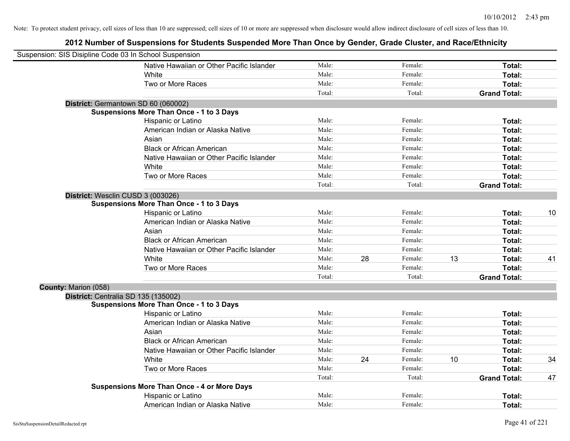|                      | Suspension: SIS Disipline Code 03 In School Suspension |        |    |         |    |                     |    |
|----------------------|--------------------------------------------------------|--------|----|---------|----|---------------------|----|
|                      | Native Hawaiian or Other Pacific Islander              | Male:  |    | Female: |    | Total:              |    |
|                      | White                                                  | Male:  |    | Female: |    | Total:              |    |
|                      | Two or More Races                                      | Male:  |    | Female: |    | Total:              |    |
|                      |                                                        | Total: |    | Total:  |    | <b>Grand Total:</b> |    |
|                      | District: Germantown SD 60 (060002)                    |        |    |         |    |                     |    |
|                      | <b>Suspensions More Than Once - 1 to 3 Days</b>        |        |    |         |    |                     |    |
|                      | Hispanic or Latino                                     | Male:  |    | Female: |    | Total:              |    |
|                      | American Indian or Alaska Native                       | Male:  |    | Female: |    | Total:              |    |
|                      | Asian                                                  | Male:  |    | Female: |    | Total:              |    |
|                      | <b>Black or African American</b>                       | Male:  |    | Female: |    | Total:              |    |
|                      | Native Hawaiian or Other Pacific Islander              | Male:  |    | Female: |    | Total:              |    |
|                      | White                                                  | Male:  |    | Female: |    | Total:              |    |
|                      | Two or More Races                                      | Male:  |    | Female: |    | Total:              |    |
|                      |                                                        | Total: |    | Total:  |    | <b>Grand Total:</b> |    |
|                      | District: Wesclin CUSD 3 (003026)                      |        |    |         |    |                     |    |
|                      | <b>Suspensions More Than Once - 1 to 3 Days</b>        |        |    |         |    |                     |    |
|                      | Hispanic or Latino                                     | Male:  |    | Female: |    | Total:              | 10 |
|                      | American Indian or Alaska Native                       | Male:  |    | Female: |    | Total:              |    |
|                      | Asian                                                  | Male:  |    | Female: |    | Total:              |    |
|                      | <b>Black or African American</b>                       | Male:  |    | Female: |    | Total:              |    |
|                      | Native Hawaiian or Other Pacific Islander              | Male:  |    | Female: |    | Total:              |    |
|                      | White                                                  | Male:  | 28 | Female: | 13 | Total:              | 41 |
|                      | Two or More Races                                      | Male:  |    | Female: |    | Total:              |    |
|                      |                                                        | Total: |    | Total:  |    | <b>Grand Total:</b> |    |
| County: Marion (058) |                                                        |        |    |         |    |                     |    |
|                      | District: Centralia SD 135 (135002)                    |        |    |         |    |                     |    |
|                      | <b>Suspensions More Than Once - 1 to 3 Days</b>        |        |    |         |    |                     |    |
|                      | Hispanic or Latino                                     | Male:  |    | Female: |    | Total:              |    |
|                      | American Indian or Alaska Native                       | Male:  |    | Female: |    | Total:              |    |
|                      | Asian                                                  | Male:  |    | Female: |    | Total:              |    |
|                      | <b>Black or African American</b>                       | Male:  |    | Female: |    | Total:              |    |
|                      | Native Hawaiian or Other Pacific Islander              | Male:  |    | Female: |    | Total:              |    |
|                      | White                                                  | Male:  | 24 | Female: | 10 | Total:              | 34 |
|                      | Two or More Races                                      | Male:  |    | Female: |    | Total:              |    |
|                      |                                                        | Total: |    | Total:  |    | <b>Grand Total:</b> | 47 |
|                      | <b>Suspensions More Than Once - 4 or More Days</b>     |        |    |         |    |                     |    |
|                      | Hispanic or Latino                                     | Male:  |    | Female: |    | <b>Total:</b>       |    |
|                      | American Indian or Alaska Native                       | Male:  |    | Female: |    | Total:              |    |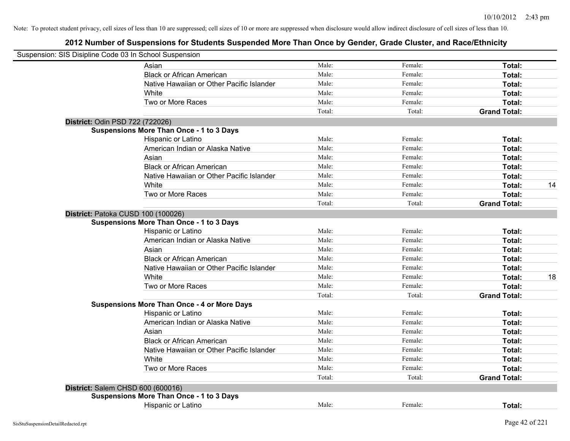| Suspension: SIS Disipline Code 03 In School Suspension |                                                    |        |         |                     |    |
|--------------------------------------------------------|----------------------------------------------------|--------|---------|---------------------|----|
|                                                        | Asian                                              | Male:  | Female: | Total:              |    |
|                                                        | <b>Black or African American</b>                   | Male:  | Female: | Total:              |    |
|                                                        | Native Hawaiian or Other Pacific Islander          | Male:  | Female: | Total:              |    |
|                                                        | White                                              | Male:  | Female: | Total:              |    |
|                                                        | Two or More Races                                  | Male:  | Female: | Total:              |    |
|                                                        |                                                    | Total: | Total:  | <b>Grand Total:</b> |    |
| District: Odin PSD 722 (722026)                        |                                                    |        |         |                     |    |
|                                                        | <b>Suspensions More Than Once - 1 to 3 Days</b>    |        |         |                     |    |
|                                                        | Hispanic or Latino                                 | Male:  | Female: | Total:              |    |
|                                                        | American Indian or Alaska Native                   | Male:  | Female: | Total:              |    |
|                                                        | Asian                                              | Male:  | Female: | Total:              |    |
|                                                        | <b>Black or African American</b>                   | Male:  | Female: | Total:              |    |
|                                                        | Native Hawaiian or Other Pacific Islander          | Male:  | Female: | Total:              |    |
|                                                        | White                                              | Male:  | Female: | Total:              | 14 |
|                                                        | Two or More Races                                  | Male:  | Female: | Total:              |    |
|                                                        |                                                    | Total: | Total:  | <b>Grand Total:</b> |    |
| District: Patoka CUSD 100 (100026)                     |                                                    |        |         |                     |    |
|                                                        | <b>Suspensions More Than Once - 1 to 3 Days</b>    |        |         |                     |    |
|                                                        | Hispanic or Latino                                 | Male:  | Female: | Total:              |    |
|                                                        | American Indian or Alaska Native                   | Male:  | Female: | Total:              |    |
|                                                        | Asian                                              | Male:  | Female: | Total:              |    |
|                                                        | <b>Black or African American</b>                   | Male:  | Female: | Total:              |    |
|                                                        | Native Hawaiian or Other Pacific Islander          | Male:  | Female: | Total:              |    |
|                                                        | White                                              | Male:  | Female: | Total:              | 18 |
|                                                        | Two or More Races                                  | Male:  | Female: | Total:              |    |
|                                                        |                                                    | Total: | Total:  | <b>Grand Total:</b> |    |
|                                                        | <b>Suspensions More Than Once - 4 or More Days</b> |        |         |                     |    |
|                                                        | Hispanic or Latino                                 | Male:  | Female: | Total:              |    |
|                                                        | American Indian or Alaska Native                   | Male:  | Female: | Total:              |    |
|                                                        | Asian                                              | Male:  | Female: | Total:              |    |
|                                                        | <b>Black or African American</b>                   | Male:  | Female: | Total:              |    |
|                                                        | Native Hawaiian or Other Pacific Islander          | Male:  | Female: | Total:              |    |
|                                                        | White                                              | Male:  | Female: | Total:              |    |
|                                                        | Two or More Races                                  | Male:  | Female: | Total:              |    |
|                                                        |                                                    | Total: | Total:  | <b>Grand Total:</b> |    |
| District: Salem CHSD 600 (600016)                      |                                                    |        |         |                     |    |
|                                                        | <b>Suspensions More Than Once - 1 to 3 Days</b>    |        |         |                     |    |
|                                                        | <b>Hispanic or Latino</b>                          | Male:  | Female: | Total:              |    |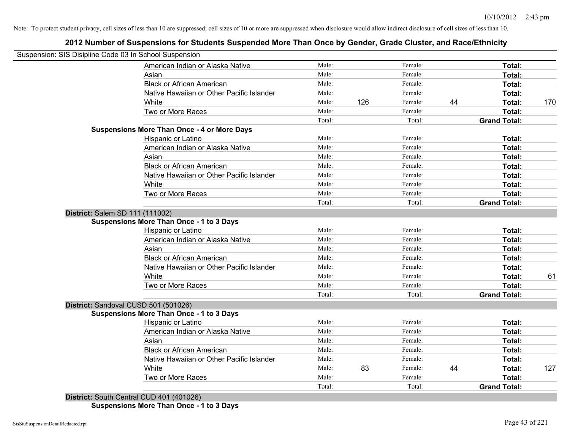# **2012 Number of Suspensions for Students Suspended More Than Once by Gender, Grade Cluster, and Race/Ethnicity**

| Suspension: SIS Disipline Code 03 In School Suspension |                                                    |        |     |         |    |                     |     |
|--------------------------------------------------------|----------------------------------------------------|--------|-----|---------|----|---------------------|-----|
|                                                        | American Indian or Alaska Native                   | Male:  |     | Female: |    | Total:              |     |
|                                                        | Asian                                              | Male:  |     | Female: |    | Total:              |     |
|                                                        | <b>Black or African American</b>                   | Male:  |     | Female: |    | Total:              |     |
|                                                        | Native Hawaiian or Other Pacific Islander          | Male:  |     | Female: |    | Total:              |     |
|                                                        | White                                              | Male:  | 126 | Female: | 44 | Total:              | 170 |
|                                                        | Two or More Races                                  | Male:  |     | Female: |    | Total:              |     |
|                                                        |                                                    | Total: |     | Total:  |    | <b>Grand Total:</b> |     |
|                                                        | <b>Suspensions More Than Once - 4 or More Days</b> |        |     |         |    |                     |     |
|                                                        | Hispanic or Latino                                 | Male:  |     | Female: |    | Total:              |     |
|                                                        | American Indian or Alaska Native                   | Male:  |     | Female: |    | Total:              |     |
|                                                        | Asian                                              | Male:  |     | Female: |    | Total:              |     |
|                                                        | <b>Black or African American</b>                   | Male:  |     | Female: |    | Total:              |     |
|                                                        | Native Hawaiian or Other Pacific Islander          | Male:  |     | Female: |    | Total:              |     |
|                                                        | White                                              | Male:  |     | Female: |    | Total:              |     |
|                                                        | Two or More Races                                  | Male:  |     | Female: |    | Total:              |     |
|                                                        |                                                    | Total: |     | Total:  |    | <b>Grand Total:</b> |     |
| District: Salem SD 111 (111002)                        |                                                    |        |     |         |    |                     |     |
|                                                        | <b>Suspensions More Than Once - 1 to 3 Days</b>    |        |     |         |    |                     |     |
|                                                        | Hispanic or Latino                                 | Male:  |     | Female: |    | Total:              |     |
|                                                        | American Indian or Alaska Native                   | Male:  |     | Female: |    | Total:              |     |
|                                                        | Asian                                              | Male:  |     | Female: |    | Total:              |     |
|                                                        | <b>Black or African American</b>                   | Male:  |     | Female: |    | Total:              |     |
|                                                        | Native Hawaiian or Other Pacific Islander          | Male:  |     | Female: |    | Total:              |     |
|                                                        | White                                              | Male:  |     | Female: |    | Total:              | 61  |
|                                                        | Two or More Races                                  | Male:  |     | Female: |    | Total:              |     |
|                                                        |                                                    | Total: |     | Total:  |    | <b>Grand Total:</b> |     |
| District: Sandoval CUSD 501 (501026)                   |                                                    |        |     |         |    |                     |     |
|                                                        | <b>Suspensions More Than Once - 1 to 3 Days</b>    |        |     |         |    |                     |     |
|                                                        | Hispanic or Latino                                 | Male:  |     | Female: |    | Total:              |     |
|                                                        | American Indian or Alaska Native                   | Male:  |     | Female: |    | Total:              |     |
|                                                        | Asian                                              | Male:  |     | Female: |    | Total:              |     |
|                                                        | <b>Black or African American</b>                   | Male:  |     | Female: |    | Total:              |     |
|                                                        | Native Hawaiian or Other Pacific Islander          | Male:  |     | Female: |    | Total:              |     |
|                                                        | White                                              | Male:  | 83  | Female: | 44 | Total:              | 127 |
|                                                        | Two or More Races                                  | Male:  |     | Female: |    | Total:              |     |
|                                                        |                                                    | Total: |     | Total:  |    | <b>Grand Total:</b> |     |

**Suspensions More Than Once - 1 to 3 Days**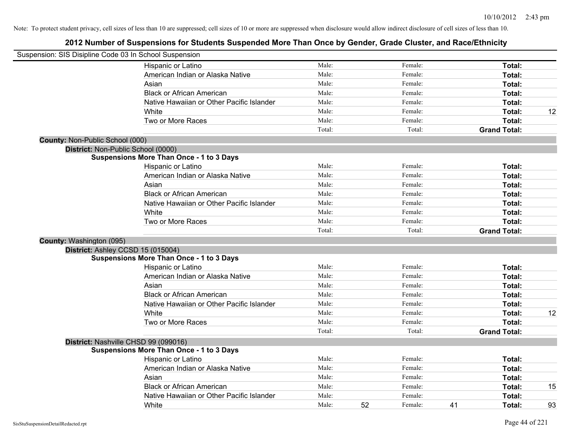| Suspension: SIS Disipline Code 03 In School Suspension |                                                 |        |    |         |    |                     |    |
|--------------------------------------------------------|-------------------------------------------------|--------|----|---------|----|---------------------|----|
|                                                        | Hispanic or Latino                              | Male:  |    | Female: |    | Total:              |    |
|                                                        | American Indian or Alaska Native                | Male:  |    | Female: |    | Total:              |    |
|                                                        | Asian                                           | Male:  |    | Female: |    | Total:              |    |
|                                                        | <b>Black or African American</b>                | Male:  |    | Female: |    | Total:              |    |
|                                                        | Native Hawaiian or Other Pacific Islander       | Male:  |    | Female: |    | Total:              |    |
|                                                        | White                                           | Male:  |    | Female: |    | Total:              | 12 |
|                                                        | Two or More Races                               | Male:  |    | Female: |    | Total:              |    |
|                                                        |                                                 | Total: |    | Total:  |    | <b>Grand Total:</b> |    |
| <b>County: Non-Public School (000)</b>                 |                                                 |        |    |         |    |                     |    |
|                                                        | District: Non-Public School (0000)              |        |    |         |    |                     |    |
|                                                        | Suspensions More Than Once - 1 to 3 Days        |        |    |         |    |                     |    |
|                                                        | Hispanic or Latino                              | Male:  |    | Female: |    | Total:              |    |
|                                                        | American Indian or Alaska Native                | Male:  |    | Female: |    | Total:              |    |
|                                                        | Asian                                           | Male:  |    | Female: |    | Total:              |    |
|                                                        | <b>Black or African American</b>                | Male:  |    | Female: |    | Total:              |    |
|                                                        | Native Hawaiian or Other Pacific Islander       | Male:  |    | Female: |    | Total:              |    |
|                                                        | White                                           | Male:  |    | Female: |    | Total:              |    |
|                                                        | Two or More Races                               | Male:  |    | Female: |    | Total:              |    |
|                                                        |                                                 | Total: |    | Total:  |    | <b>Grand Total:</b> |    |
| County: Washington (095)                               |                                                 |        |    |         |    |                     |    |
|                                                        | District: Ashley CCSD 15 (015004)               |        |    |         |    |                     |    |
|                                                        | <b>Suspensions More Than Once - 1 to 3 Days</b> |        |    |         |    |                     |    |
|                                                        | Hispanic or Latino                              | Male:  |    | Female: |    | Total:              |    |
|                                                        | American Indian or Alaska Native                | Male:  |    | Female: |    | Total:              |    |
|                                                        | Asian                                           | Male:  |    | Female: |    | Total:              |    |
|                                                        | <b>Black or African American</b>                | Male:  |    | Female: |    | Total:              |    |
|                                                        | Native Hawaiian or Other Pacific Islander       | Male:  |    | Female: |    | Total:              |    |
|                                                        | White                                           | Male:  |    | Female: |    | Total:              | 12 |
|                                                        | Two or More Races                               | Male:  |    | Female: |    | Total:              |    |
|                                                        |                                                 | Total: |    | Total:  |    | <b>Grand Total:</b> |    |
|                                                        | District: Nashville CHSD 99 (099016)            |        |    |         |    |                     |    |
|                                                        | <b>Suspensions More Than Once - 1 to 3 Days</b> |        |    |         |    |                     |    |
|                                                        | Hispanic or Latino                              | Male:  |    | Female: |    | Total:              |    |
|                                                        | American Indian or Alaska Native                | Male:  |    | Female: |    | Total:              |    |
|                                                        | Asian                                           | Male:  |    | Female: |    | Total:              |    |
|                                                        | <b>Black or African American</b>                | Male:  |    | Female: |    | Total:              | 15 |
|                                                        | Native Hawaiian or Other Pacific Islander       | Male:  |    | Female: |    | Total:              |    |
|                                                        | White                                           | Male:  | 52 | Female: | 41 | Total:              | 93 |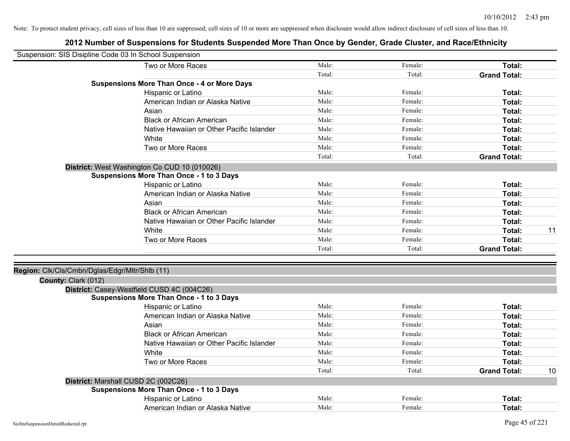| Suspension: SIS Disipline Code 03 In School Suspension |                                                    |        |         |                     |    |
|--------------------------------------------------------|----------------------------------------------------|--------|---------|---------------------|----|
|                                                        | Two or More Races                                  | Male:  | Female: | Total:              |    |
|                                                        |                                                    | Total: | Total:  | <b>Grand Total:</b> |    |
|                                                        | <b>Suspensions More Than Once - 4 or More Days</b> |        |         |                     |    |
|                                                        | Hispanic or Latino                                 | Male:  | Female: | Total:              |    |
|                                                        | American Indian or Alaska Native                   | Male:  | Female: | Total:              |    |
|                                                        | Asian                                              | Male:  | Female: | Total:              |    |
|                                                        | <b>Black or African American</b>                   | Male:  | Female: | Total:              |    |
|                                                        | Native Hawaiian or Other Pacific Islander          | Male:  | Female: | Total:              |    |
|                                                        | White                                              | Male:  | Female: | Total:              |    |
|                                                        | Two or More Races                                  | Male:  | Female: | Total:              |    |
|                                                        |                                                    | Total: | Total:  | <b>Grand Total:</b> |    |
|                                                        | District: West Washington Co CUD 10 (010026)       |        |         |                     |    |
|                                                        | <b>Suspensions More Than Once - 1 to 3 Days</b>    |        |         |                     |    |
|                                                        | Hispanic or Latino                                 | Male:  | Female: | Total:              |    |
|                                                        | American Indian or Alaska Native                   | Male:  | Female: | Total:              |    |
|                                                        | Asian                                              | Male:  | Female: | Total:              |    |
|                                                        | <b>Black or African American</b>                   | Male:  | Female: | Total:              |    |
|                                                        | Native Hawaiian or Other Pacific Islander          | Male:  | Female: | Total:              |    |
|                                                        | White                                              | Male:  | Female: | Total:              | 11 |
|                                                        | Two or More Races                                  | Male:  | Female: | Total:              |    |
|                                                        |                                                    | Total: | Total:  | <b>Grand Total:</b> |    |
| Region: Clk/Cls/Cmbn/Dglas/Edgr/Mltr/Shlb (11)         |                                                    |        |         |                     |    |
| County: Clark (012)                                    | District: Casey-Westfield CUSD 4C (004C26)         |        |         |                     |    |
|                                                        | <b>Suspensions More Than Once - 1 to 3 Days</b>    |        |         |                     |    |
|                                                        | Hispanic or Latino                                 | Male:  | Female: | Total:              |    |
|                                                        | American Indian or Alaska Native                   | Male:  | Female: | Total:              |    |
|                                                        | Asian                                              | Male:  | Female: | Total:              |    |
|                                                        | <b>Black or African American</b>                   | Male:  | Female: | Total:              |    |
|                                                        | Native Hawaiian or Other Pacific Islander          | Male:  | Female: | Total:              |    |
|                                                        | White                                              | Male:  | Female: | Total:              |    |
|                                                        | Two or More Races                                  | Male:  | Female: | Total:              |    |
|                                                        |                                                    | Total: | Total:  | <b>Grand Total:</b> | 10 |
|                                                        | District: Marshall CUSD 2C (002C26)                |        |         |                     |    |
|                                                        | <b>Suspensions More Than Once - 1 to 3 Days</b>    |        |         |                     |    |
|                                                        | Hispanic or Latino                                 | Male:  | Female: | Total:              |    |
|                                                        | American Indian or Alaska Native                   | Male:  | Female: | Total:              |    |
|                                                        |                                                    |        |         |                     |    |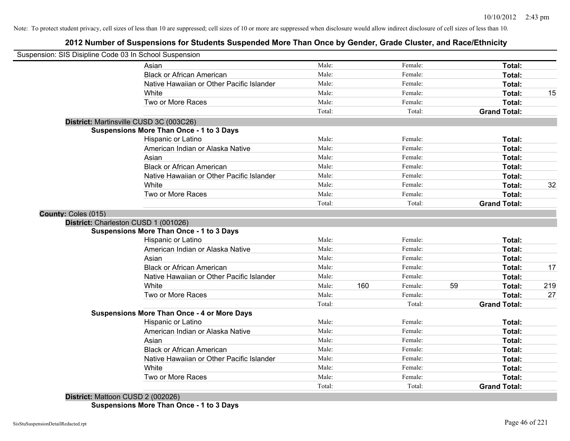# **2012 Number of Suspensions for Students Suspended More Than Once by Gender, Grade Cluster, and Race/Ethnicity**

|                     | Suspension: SIS Disipline Code 03 In School Suspension |        |     |         |    |                     |     |
|---------------------|--------------------------------------------------------|--------|-----|---------|----|---------------------|-----|
|                     | Asian                                                  | Male:  |     | Female: |    | Total:              |     |
|                     | <b>Black or African American</b>                       | Male:  |     | Female: |    | Total:              |     |
|                     | Native Hawaiian or Other Pacific Islander              | Male:  |     | Female: |    | Total:              |     |
|                     | White                                                  | Male:  |     | Female: |    | Total:              | 15  |
|                     | Two or More Races                                      | Male:  |     | Female: |    | Total:              |     |
|                     |                                                        | Total: |     | Total:  |    | <b>Grand Total:</b> |     |
|                     | District: Martinsville CUSD 3C (003C26)                |        |     |         |    |                     |     |
|                     | <b>Suspensions More Than Once - 1 to 3 Days</b>        |        |     |         |    |                     |     |
|                     | Hispanic or Latino                                     | Male:  |     | Female: |    | Total:              |     |
|                     | American Indian or Alaska Native                       | Male:  |     | Female: |    | Total:              |     |
|                     | Asian                                                  | Male:  |     | Female: |    | Total:              |     |
|                     | <b>Black or African American</b>                       | Male:  |     | Female: |    | Total:              |     |
|                     | Native Hawaiian or Other Pacific Islander              | Male:  |     | Female: |    | Total:              |     |
|                     | White                                                  | Male:  |     | Female: |    | Total:              | 32  |
|                     | Two or More Races                                      | Male:  |     | Female: |    | Total:              |     |
|                     |                                                        | Total: |     | Total:  |    | <b>Grand Total:</b> |     |
| County: Coles (015) |                                                        |        |     |         |    |                     |     |
|                     | District: Charleston CUSD 1 (001026)                   |        |     |         |    |                     |     |
|                     | <b>Suspensions More Than Once - 1 to 3 Days</b>        |        |     |         |    |                     |     |
|                     | Hispanic or Latino                                     | Male:  |     | Female: |    | Total:              |     |
|                     | American Indian or Alaska Native                       | Male:  |     | Female: |    | Total:              |     |
|                     | Asian                                                  | Male:  |     | Female: |    | Total:              |     |
|                     | <b>Black or African American</b>                       | Male:  |     | Female: |    | Total:              | 17  |
|                     | Native Hawaiian or Other Pacific Islander              | Male:  |     | Female: |    | Total:              |     |
|                     | White                                                  | Male:  | 160 | Female: | 59 | Total:              | 219 |
|                     | Two or More Races                                      | Male:  |     | Female: |    | Total:              | 27  |
|                     |                                                        | Total: |     | Total:  |    | <b>Grand Total:</b> |     |
|                     | <b>Suspensions More Than Once - 4 or More Days</b>     |        |     |         |    |                     |     |
|                     | Hispanic or Latino                                     | Male:  |     | Female: |    | Total:              |     |
|                     | American Indian or Alaska Native                       | Male:  |     | Female: |    | Total:              |     |
|                     | Asian                                                  | Male:  |     | Female: |    | Total:              |     |
|                     | <b>Black or African American</b>                       | Male:  |     | Female: |    | Total:              |     |
|                     | Native Hawaiian or Other Pacific Islander              | Male:  |     | Female: |    | Total:              |     |
|                     | White                                                  | Male:  |     | Female: |    | Total:              |     |
|                     | Two or More Races                                      | Male:  |     | Female: |    | <b>Total:</b>       |     |
|                     |                                                        | Total: |     | Total:  |    | <b>Grand Total:</b> |     |

**Suspensions More Than Once - 1 to 3 Days**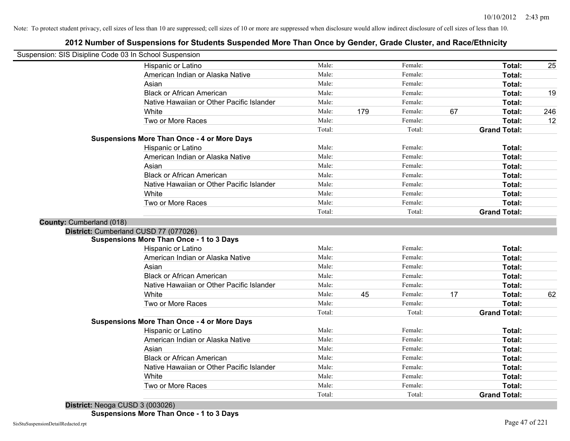# **2012 Number of Suspensions for Students Suspended More Than Once by Gender, Grade Cluster, and Race/Ethnicity**

| Suspension: SIS Disipline Code 03 In School Suspension |        |     |         |    |                     |     |
|--------------------------------------------------------|--------|-----|---------|----|---------------------|-----|
| Hispanic or Latino                                     | Male:  |     | Female: |    | Total:              | 25  |
| American Indian or Alaska Native                       | Male:  |     | Female: |    | Total:              |     |
| Asian                                                  | Male:  |     | Female: |    | Total:              |     |
| <b>Black or African American</b>                       | Male:  |     | Female: |    | Total:              | 19  |
| Native Hawaiian or Other Pacific Islander              | Male:  |     | Female: |    | Total:              |     |
| White                                                  | Male:  | 179 | Female: | 67 | Total:              | 246 |
| Two or More Races                                      | Male:  |     | Female: |    | Total:              | 12  |
|                                                        | Total: |     | Total:  |    | <b>Grand Total:</b> |     |
| <b>Suspensions More Than Once - 4 or More Days</b>     |        |     |         |    |                     |     |
| Hispanic or Latino                                     | Male:  |     | Female: |    | Total:              |     |
| American Indian or Alaska Native                       | Male:  |     | Female: |    | Total:              |     |
| Asian                                                  | Male:  |     | Female: |    | Total:              |     |
| <b>Black or African American</b>                       | Male:  |     | Female: |    | Total:              |     |
| Native Hawaiian or Other Pacific Islander              | Male:  |     | Female: |    | Total:              |     |
| White                                                  | Male:  |     | Female: |    | Total:              |     |
| Two or More Races                                      | Male:  |     | Female: |    | Total:              |     |
|                                                        | Total: |     | Total:  |    | <b>Grand Total:</b> |     |
| County: Cumberland (018)                               |        |     |         |    |                     |     |
| District: Cumberland CUSD 77 (077026)                  |        |     |         |    |                     |     |
| <b>Suspensions More Than Once - 1 to 3 Days</b>        |        |     |         |    |                     |     |
| Hispanic or Latino                                     | Male:  |     | Female: |    | Total:              |     |
| American Indian or Alaska Native                       | Male:  |     | Female: |    | Total:              |     |
| Asian                                                  | Male:  |     | Female: |    | Total:              |     |
| <b>Black or African American</b>                       | Male:  |     | Female: |    | Total:              |     |
| Native Hawaiian or Other Pacific Islander              | Male:  |     | Female: |    | Total:              |     |
| White                                                  | Male:  | 45  | Female: | 17 | Total:              | 62  |
| Two or More Races                                      | Male:  |     | Female: |    | <b>Total:</b>       |     |
|                                                        | Total: |     | Total:  |    | <b>Grand Total:</b> |     |
| <b>Suspensions More Than Once - 4 or More Days</b>     |        |     |         |    |                     |     |
| Hispanic or Latino                                     | Male:  |     | Female: |    | Total:              |     |
| American Indian or Alaska Native                       | Male:  |     | Female: |    | Total:              |     |
| Asian                                                  | Male:  |     | Female: |    | Total:              |     |
| <b>Black or African American</b>                       | Male:  |     | Female: |    | Total:              |     |
| Native Hawaiian or Other Pacific Islander              | Male:  |     | Female: |    | Total:              |     |
| White                                                  | Male:  |     | Female: |    | Total:              |     |
| Two or More Races                                      | Male:  |     | Female: |    | Total:              |     |
|                                                        | Total: |     | Total:  |    | <b>Grand Total:</b> |     |

**District:** Neoga CUSD 3 (003026)

**Suspensions More Than Once - 1 to 3 Days**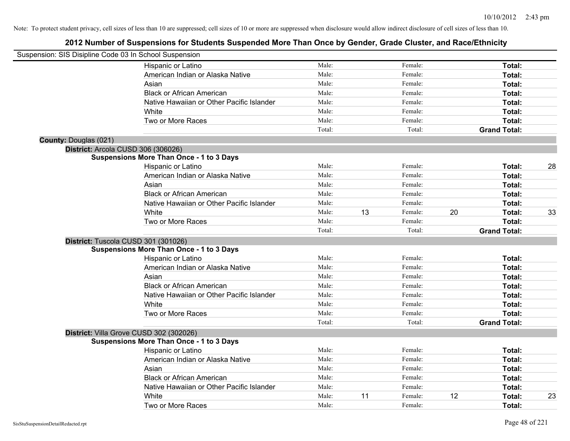| Suspension: SIS Disipline Code 03 In School Suspension |                                                 |        |    |         |                     |    |
|--------------------------------------------------------|-------------------------------------------------|--------|----|---------|---------------------|----|
|                                                        | Hispanic or Latino                              | Male:  |    | Female: | Total:              |    |
|                                                        | American Indian or Alaska Native                | Male:  |    | Female: | Total:              |    |
|                                                        | Asian                                           | Male:  |    | Female: | Total:              |    |
|                                                        | <b>Black or African American</b>                | Male:  |    | Female: | Total:              |    |
|                                                        | Native Hawaiian or Other Pacific Islander       | Male:  |    | Female: | Total:              |    |
|                                                        | White                                           | Male:  |    | Female: | Total:              |    |
|                                                        | Two or More Races                               | Male:  |    | Female: | Total:              |    |
|                                                        |                                                 | Total: |    | Total:  | <b>Grand Total:</b> |    |
| <b>County: Douglas (021)</b>                           |                                                 |        |    |         |                     |    |
| District: Arcola CUSD 306 (306026)                     |                                                 |        |    |         |                     |    |
|                                                        | Suspensions More Than Once - 1 to 3 Days        |        |    |         |                     |    |
|                                                        | Hispanic or Latino                              | Male:  |    | Female: | Total:              | 28 |
|                                                        | American Indian or Alaska Native                | Male:  |    | Female: | Total:              |    |
|                                                        | Asian                                           | Male:  |    | Female: | Total:              |    |
|                                                        | <b>Black or African American</b>                | Male:  |    | Female: | Total:              |    |
|                                                        | Native Hawaiian or Other Pacific Islander       | Male:  |    | Female: | Total:              |    |
|                                                        | White                                           | Male:  | 13 | Female: | 20<br>Total:        | 33 |
|                                                        | Two or More Races                               | Male:  |    | Female: | Total:              |    |
|                                                        |                                                 | Total: |    | Total:  | <b>Grand Total:</b> |    |
|                                                        | District: Tuscola CUSD 301 (301026)             |        |    |         |                     |    |
|                                                        | <b>Suspensions More Than Once - 1 to 3 Days</b> |        |    |         |                     |    |
|                                                        | Hispanic or Latino                              | Male:  |    | Female: | Total:              |    |
|                                                        | American Indian or Alaska Native                | Male:  |    | Female: | Total:              |    |
|                                                        |                                                 |        |    |         |                     |    |
|                                                        | Asian                                           | Male:  |    | Female: | Total:              |    |
|                                                        | <b>Black or African American</b>                | Male:  |    | Female: | Total:              |    |
|                                                        | Native Hawaiian or Other Pacific Islander       | Male:  |    | Female: | Total:              |    |
|                                                        | White                                           | Male:  |    | Female: | Total:              |    |
|                                                        | Two or More Races                               | Male:  |    | Female: | Total:              |    |
|                                                        |                                                 | Total: |    | Total:  | <b>Grand Total:</b> |    |
|                                                        | District: Villa Grove CUSD 302 (302026)         |        |    |         |                     |    |
|                                                        | <b>Suspensions More Than Once - 1 to 3 Days</b> |        |    |         |                     |    |
|                                                        | Hispanic or Latino                              | Male:  |    | Female: | Total:              |    |
|                                                        | American Indian or Alaska Native                | Male:  |    | Female: | Total:              |    |
|                                                        | Asian                                           | Male:  |    | Female: | Total:              |    |
|                                                        | <b>Black or African American</b>                | Male:  |    | Female: | Total:              |    |
|                                                        | Native Hawaiian or Other Pacific Islander       | Male:  |    | Female: | Total:              |    |
|                                                        | White                                           | Male:  | 11 | Female: | 12<br>Total:        | 23 |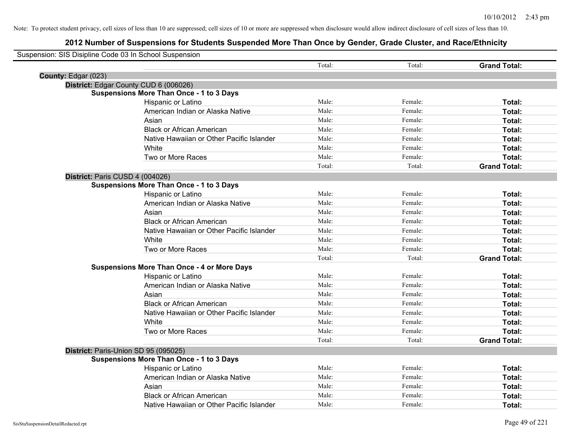| Suspension: SIS Disipline Code 03 In School Suspension |                                                    |        |         |                     |
|--------------------------------------------------------|----------------------------------------------------|--------|---------|---------------------|
|                                                        |                                                    | Total: | Total:  | <b>Grand Total:</b> |
| County: Edgar (023)                                    |                                                    |        |         |                     |
|                                                        | District: Edgar County CUD 6 (006026)              |        |         |                     |
|                                                        | <b>Suspensions More Than Once - 1 to 3 Days</b>    |        |         |                     |
|                                                        | Hispanic or Latino                                 | Male:  | Female: | Total:              |
|                                                        | American Indian or Alaska Native                   | Male:  | Female: | Total:              |
|                                                        | Asian                                              | Male:  | Female: | Total:              |
|                                                        | <b>Black or African American</b>                   | Male:  | Female: | Total:              |
|                                                        | Native Hawaiian or Other Pacific Islander          | Male:  | Female: | Total:              |
|                                                        | White                                              | Male:  | Female: | Total:              |
|                                                        | Two or More Races                                  | Male:  | Female: | Total:              |
|                                                        |                                                    | Total: | Total:  | <b>Grand Total:</b> |
| District: Paris CUSD 4 (004026)                        |                                                    |        |         |                     |
|                                                        | <b>Suspensions More Than Once - 1 to 3 Days</b>    |        |         |                     |
|                                                        | Hispanic or Latino                                 | Male:  | Female: | Total:              |
|                                                        | American Indian or Alaska Native                   | Male:  | Female: | Total:              |
|                                                        | Asian                                              | Male:  | Female: | Total:              |
|                                                        | <b>Black or African American</b>                   | Male:  | Female: | Total:              |
|                                                        | Native Hawaiian or Other Pacific Islander          | Male:  | Female: | Total:              |
|                                                        | White                                              | Male:  | Female: | Total:              |
|                                                        | Two or More Races                                  | Male:  | Female: | Total:              |
|                                                        |                                                    | Total: | Total:  | <b>Grand Total:</b> |
|                                                        | <b>Suspensions More Than Once - 4 or More Days</b> |        |         |                     |
|                                                        | Hispanic or Latino                                 | Male:  | Female: | Total:              |
|                                                        | American Indian or Alaska Native                   | Male:  | Female: | Total:              |
|                                                        | Asian                                              | Male:  | Female: | Total:              |
|                                                        | <b>Black or African American</b>                   | Male:  | Female: | Total:              |
|                                                        | Native Hawaiian or Other Pacific Islander          | Male:  | Female: | Total:              |
|                                                        | White                                              | Male:  | Female: | Total:              |
|                                                        | Two or More Races                                  | Male:  | Female: | Total:              |
|                                                        |                                                    | Total: | Total:  | <b>Grand Total:</b> |
|                                                        | District: Paris-Union SD 95 (095025)               |        |         |                     |
|                                                        | <b>Suspensions More Than Once - 1 to 3 Days</b>    |        |         |                     |
|                                                        | Hispanic or Latino                                 | Male:  | Female: | Total:              |
|                                                        | American Indian or Alaska Native                   | Male:  | Female: | Total:              |
|                                                        | Asian                                              | Male:  | Female: | Total:              |
|                                                        | <b>Black or African American</b>                   | Male:  | Female: | <b>Total:</b>       |
|                                                        | Native Hawaiian or Other Pacific Islander          | Male:  | Female: | Total:              |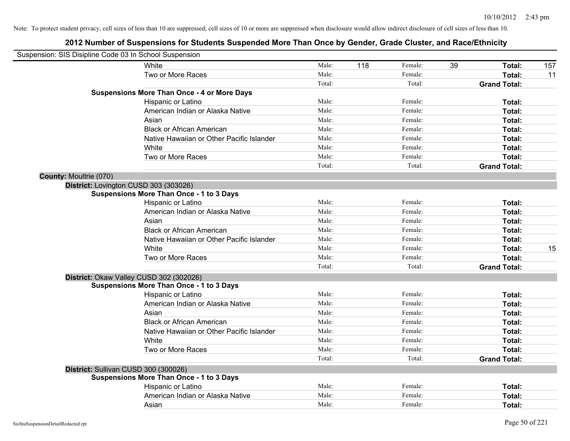| Suspension: SIS Disipline Code 03 In School Suspension |                                                    |        |     |         |    |                     |     |
|--------------------------------------------------------|----------------------------------------------------|--------|-----|---------|----|---------------------|-----|
|                                                        | White                                              | Male:  | 118 | Female: | 39 | Total:              | 157 |
|                                                        | Two or More Races                                  | Male:  |     | Female: |    | Total:              | 11  |
|                                                        |                                                    | Total: |     | Total:  |    | <b>Grand Total:</b> |     |
|                                                        | <b>Suspensions More Than Once - 4 or More Days</b> |        |     |         |    |                     |     |
|                                                        | Hispanic or Latino                                 | Male:  |     | Female: |    | Total:              |     |
|                                                        | American Indian or Alaska Native                   | Male:  |     | Female: |    | Total:              |     |
|                                                        | Asian                                              | Male:  |     | Female: |    | Total:              |     |
|                                                        | <b>Black or African American</b>                   | Male:  |     | Female: |    | Total:              |     |
|                                                        | Native Hawaiian or Other Pacific Islander          | Male:  |     | Female: |    | Total:              |     |
|                                                        | White                                              | Male:  |     | Female: |    | Total:              |     |
|                                                        | Two or More Races                                  | Male:  |     | Female: |    | Total:              |     |
|                                                        |                                                    | Total: |     | Total:  |    | <b>Grand Total:</b> |     |
| <b>County: Moultrie (070)</b>                          |                                                    |        |     |         |    |                     |     |
|                                                        | District: Lovington CUSD 303 (303026)              |        |     |         |    |                     |     |
|                                                        | <b>Suspensions More Than Once - 1 to 3 Days</b>    |        |     |         |    |                     |     |
|                                                        | Hispanic or Latino                                 | Male:  |     | Female: |    | Total:              |     |
|                                                        | American Indian or Alaska Native                   | Male:  |     | Female: |    | Total:              |     |
|                                                        | Asian                                              | Male:  |     | Female: |    | Total:              |     |
|                                                        | <b>Black or African American</b>                   | Male:  |     | Female: |    | Total:              |     |
|                                                        | Native Hawaiian or Other Pacific Islander          | Male:  |     | Female: |    | Total:              |     |
|                                                        | White                                              | Male:  |     | Female: |    | Total:              | 15  |
|                                                        | Two or More Races                                  | Male:  |     | Female: |    | Total:              |     |
|                                                        |                                                    | Total: |     | Total:  |    | <b>Grand Total:</b> |     |
|                                                        | District: Okaw Valley CUSD 302 (302026)            |        |     |         |    |                     |     |
|                                                        | <b>Suspensions More Than Once - 1 to 3 Days</b>    |        |     |         |    |                     |     |
|                                                        | Hispanic or Latino                                 | Male:  |     | Female: |    | Total:              |     |
|                                                        | American Indian or Alaska Native                   | Male:  |     | Female: |    | Total:              |     |
|                                                        | Asian                                              | Male:  |     | Female: |    | Total:              |     |
|                                                        | <b>Black or African American</b>                   | Male:  |     | Female: |    | Total:              |     |
|                                                        | Native Hawaiian or Other Pacific Islander          | Male:  |     | Female: |    | Total:              |     |
|                                                        | White                                              | Male:  |     | Female: |    | Total:              |     |
|                                                        | Two or More Races                                  | Male:  |     | Female: |    | Total:              |     |
|                                                        |                                                    | Total: |     | Total:  |    | <b>Grand Total:</b> |     |
|                                                        | District: Sullivan CUSD 300 (300026)               |        |     |         |    |                     |     |
|                                                        | <b>Suspensions More Than Once - 1 to 3 Days</b>    |        |     |         |    |                     |     |
|                                                        | Hispanic or Latino                                 | Male:  |     | Female: |    | Total:              |     |
|                                                        | American Indian or Alaska Native                   | Male:  |     | Female: |    | Total:              |     |
|                                                        | Asian                                              | Male:  |     | Female: |    | Total:              |     |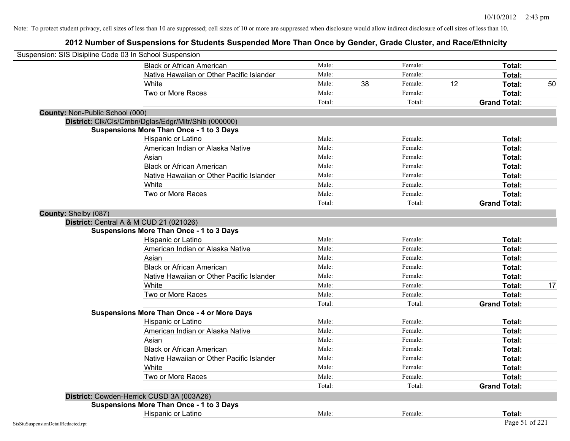| Suspension: SIS Disipline Code 03 In School Suspension |                                                      |        |    |         |    |                     |    |
|--------------------------------------------------------|------------------------------------------------------|--------|----|---------|----|---------------------|----|
|                                                        | <b>Black or African American</b>                     | Male:  |    | Female: |    | <b>Total:</b>       |    |
|                                                        | Native Hawaiian or Other Pacific Islander            | Male:  |    | Female: |    | Total:              |    |
|                                                        | White                                                | Male:  | 38 | Female: | 12 | Total:              | 50 |
|                                                        | Two or More Races                                    | Male:  |    | Female: |    | Total:              |    |
|                                                        |                                                      | Total: |    | Total:  |    | <b>Grand Total:</b> |    |
| County: Non-Public School (000)                        |                                                      |        |    |         |    |                     |    |
|                                                        | District: Clk/Cls/Cmbn/Dglas/Edgr/Mltr/Shlb (000000) |        |    |         |    |                     |    |
|                                                        | <b>Suspensions More Than Once - 1 to 3 Days</b>      |        |    |         |    |                     |    |
|                                                        | Hispanic or Latino                                   | Male:  |    | Female: |    | Total:              |    |
|                                                        | American Indian or Alaska Native                     | Male:  |    | Female: |    | Total:              |    |
|                                                        | Asian                                                | Male:  |    | Female: |    | Total:              |    |
|                                                        | <b>Black or African American</b>                     | Male:  |    | Female: |    | Total:              |    |
|                                                        | Native Hawaiian or Other Pacific Islander            | Male:  |    | Female: |    | Total:              |    |
|                                                        | White                                                | Male:  |    | Female: |    | Total:              |    |
|                                                        | Two or More Races                                    | Male:  |    | Female: |    | Total:              |    |
|                                                        |                                                      | Total: |    | Total:  |    | <b>Grand Total:</b> |    |
| County: Shelby (087)                                   |                                                      |        |    |         |    |                     |    |
|                                                        | District: Central A & M CUD 21 (021026)              |        |    |         |    |                     |    |
|                                                        | <b>Suspensions More Than Once - 1 to 3 Days</b>      |        |    |         |    |                     |    |
|                                                        | Hispanic or Latino                                   | Male:  |    | Female: |    | Total:              |    |
|                                                        | American Indian or Alaska Native                     | Male:  |    | Female: |    | Total:              |    |
|                                                        | Asian                                                | Male:  |    | Female: |    | Total:              |    |
|                                                        | <b>Black or African American</b>                     | Male:  |    | Female: |    | Total:              |    |
|                                                        | Native Hawaiian or Other Pacific Islander            | Male:  |    | Female: |    | Total:              |    |
|                                                        | White                                                | Male:  |    | Female: |    | Total:              | 17 |
|                                                        | Two or More Races                                    | Male:  |    | Female: |    | Total:              |    |
|                                                        |                                                      | Total: |    | Total:  |    | <b>Grand Total:</b> |    |
|                                                        | <b>Suspensions More Than Once - 4 or More Days</b>   |        |    |         |    |                     |    |
|                                                        | Hispanic or Latino                                   | Male:  |    | Female: |    | Total:              |    |
|                                                        | American Indian or Alaska Native                     | Male:  |    | Female: |    | Total:              |    |
|                                                        | Asian                                                | Male:  |    | Female: |    | Total:              |    |
|                                                        | <b>Black or African American</b>                     | Male:  |    | Female: |    | Total:              |    |
|                                                        | Native Hawaiian or Other Pacific Islander            | Male:  |    | Female: |    | Total:              |    |
|                                                        | White                                                | Male:  |    | Female: |    | Total:              |    |
|                                                        | Two or More Races                                    | Male:  |    | Female: |    | <b>Total:</b>       |    |
|                                                        |                                                      | Total: |    | Total:  |    | <b>Grand Total:</b> |    |
|                                                        | District: Cowden-Herrick CUSD 3A (003A26)            |        |    |         |    |                     |    |
|                                                        | <b>Suspensions More Than Once - 1 to 3 Days</b>      |        |    |         |    |                     |    |
|                                                        | Hispanic or Latino                                   | Male:  |    | Female: |    | Total:              |    |
| SisStuSuspensionDetailRedacted.rpt                     |                                                      |        |    |         |    | Page 51 of 221      |    |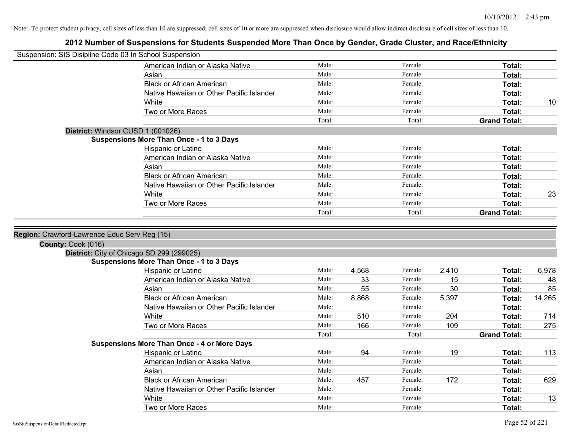| Suspension: SIS Disipline Code 03 In School Suspension |                                                    |        |       |         |       |                     |        |
|--------------------------------------------------------|----------------------------------------------------|--------|-------|---------|-------|---------------------|--------|
|                                                        | American Indian or Alaska Native                   | Male:  |       | Female: |       | Total:              |        |
|                                                        | Asian                                              | Male:  |       | Female: |       | Total:              |        |
|                                                        | <b>Black or African American</b>                   | Male:  |       | Female: |       | Total:              |        |
|                                                        | Native Hawaiian or Other Pacific Islander          | Male:  |       | Female: |       | Total:              |        |
|                                                        | White                                              | Male:  |       | Female: |       | <b>Total:</b>       | 10     |
|                                                        | Two or More Races                                  | Male:  |       | Female: |       | Total:              |        |
|                                                        |                                                    | Total: |       | Total:  |       | <b>Grand Total:</b> |        |
|                                                        | District: Windsor CUSD 1 (001026)                  |        |       |         |       |                     |        |
|                                                        | <b>Suspensions More Than Once - 1 to 3 Days</b>    |        |       |         |       |                     |        |
|                                                        | Hispanic or Latino                                 | Male:  |       | Female: |       | Total:              |        |
|                                                        | American Indian or Alaska Native                   | Male:  |       | Female: |       | Total:              |        |
|                                                        | Asian                                              | Male:  |       | Female: |       | Total:              |        |
|                                                        | <b>Black or African American</b>                   | Male:  |       | Female: |       | Total:              |        |
|                                                        | Native Hawaiian or Other Pacific Islander          | Male:  |       | Female: |       | Total:              |        |
|                                                        | White                                              | Male:  |       | Female: |       | Total:              | 23     |
|                                                        | Two or More Races                                  | Male:  |       | Female: |       | Total:              |        |
|                                                        |                                                    | Total: |       | Total:  |       | <b>Grand Total:</b> |        |
|                                                        |                                                    |        |       |         |       |                     |        |
| Region: Crawford-Lawrence Educ Serv Reg (15)           |                                                    |        |       |         |       |                     |        |
| County: Cook (016)                                     |                                                    |        |       |         |       |                     |        |
|                                                        | District: City of Chicago SD 299 (299025)          |        |       |         |       |                     |        |
|                                                        | <b>Suspensions More Than Once - 1 to 3 Days</b>    |        |       |         |       |                     |        |
|                                                        | Hispanic or Latino                                 | Male:  | 4,568 | Female: | 2,410 | Total:              | 6,978  |
|                                                        | American Indian or Alaska Native                   | Male:  | 33    | Female: | 15    | Total:              | 48     |
|                                                        | Asian                                              | Male:  | 55    | Female: | 30    | Total:              | 85     |
|                                                        | <b>Black or African American</b>                   | Male:  | 8,868 | Female: | 5,397 | Total:              | 14,265 |
|                                                        | Native Hawaiian or Other Pacific Islander          | Male:  |       | Female: |       | Total:              |        |
|                                                        | White                                              | Male:  | 510   | Female: | 204   | Total:              | 714    |
|                                                        | Two or More Races                                  | Male:  | 166   | Female: | 109   | Total:              | 275    |
|                                                        |                                                    | Total: |       | Total:  |       | <b>Grand Total:</b> |        |
|                                                        | <b>Suspensions More Than Once - 4 or More Days</b> |        |       |         |       |                     |        |
|                                                        | Hispanic or Latino                                 | Male:  | 94    | Female: | 19    | Total:              | 113    |
|                                                        | American Indian or Alaska Native                   | Male:  |       | Female: |       | Total:              |        |
|                                                        | Asian                                              | Male:  |       | Female: |       | Total:              |        |
|                                                        | <b>Black or African American</b>                   | Male:  | 457   | Female: | 172   | Total:              | 629    |
|                                                        | Native Hawaiian or Other Pacific Islander          | Male:  |       | Female: |       | Total:              |        |
|                                                        | White                                              | Male:  |       | Female: |       | <b>Total:</b>       | 13     |
|                                                        | Two or More Races                                  | Male:  |       | Female: |       | Total:              |        |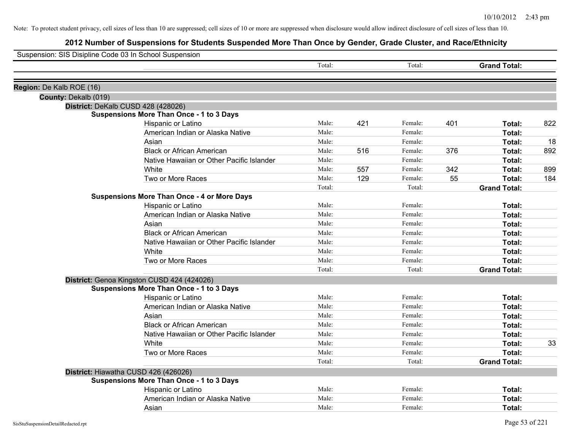| Total:<br>Total:<br><b>Grand Total:</b><br>Region: De Kalb ROE (16)<br>County: Dekalb (019)<br>District: DeKalb CUSD 428 (428026)<br><b>Suspensions More Than Once - 1 to 3 Days</b><br>Male:<br>421<br>Female:<br>401<br>822<br>Hispanic or Latino<br>Total:<br>Male:<br>Female:<br>American Indian or Alaska Native<br>Total:<br>Male:<br>Female:<br>Asian<br>Total:<br><b>Black or African American</b><br>Male:<br>516<br>376<br>Female:<br>Total:<br>Native Hawaiian or Other Pacific Islander<br>Male:<br>Female:<br>Total:<br>White<br>Male:<br>557<br>Female:<br>342<br>899<br>Total:<br>Two or More Races<br>Male:<br>55<br>Total:<br>129<br>Female:<br>184<br>Total:<br>Total:<br><b>Grand Total:</b><br><b>Suspensions More Than Once - 4 or More Days</b><br>Male:<br>Hispanic or Latino<br>Female:<br>Total:<br>Male:<br>Female:<br>American Indian or Alaska Native<br>Total:<br>Male:<br>Asian<br>Female:<br>Total:<br><b>Black or African American</b><br>Male:<br>Female:<br>Total:<br>Male:<br>Native Hawaiian or Other Pacific Islander<br>Female:<br>Total:<br>Male:<br>Female:<br>White<br>Total:<br>Male:<br>Female:<br>Two or More Races<br>Total:<br>Total:<br>Total:<br><b>Grand Total:</b><br>District: Genoa Kingston CUSD 424 (424026)<br><b>Suspensions More Than Once - 1 to 3 Days</b><br>Male:<br>Female:<br>Hispanic or Latino<br>Total:<br>American Indian or Alaska Native<br>Male:<br>Female:<br>Total:<br>Male:<br>Asian<br>Female:<br>Total:<br><b>Black or African American</b><br>Male:<br>Female:<br>Total:<br>Native Hawaiian or Other Pacific Islander<br>Male:<br>Female:<br>Total:<br>White<br>Male:<br>Female:<br>Total:<br>Two or More Races<br>Male:<br>Female:<br>Total:<br>Total:<br>Total:<br><b>Grand Total:</b><br>District: Hiawatha CUSD 426 (426026)<br><b>Suspensions More Than Once - 1 to 3 Days</b><br>Male:<br>Female:<br>Hispanic or Latino<br>Total: | Suspension: SIS Disipline Code 03 In School Suspension |                                  |       |         |        |  |
|---------------------------------------------------------------------------------------------------------------------------------------------------------------------------------------------------------------------------------------------------------------------------------------------------------------------------------------------------------------------------------------------------------------------------------------------------------------------------------------------------------------------------------------------------------------------------------------------------------------------------------------------------------------------------------------------------------------------------------------------------------------------------------------------------------------------------------------------------------------------------------------------------------------------------------------------------------------------------------------------------------------------------------------------------------------------------------------------------------------------------------------------------------------------------------------------------------------------------------------------------------------------------------------------------------------------------------------------------------------------------------------------------------------------------------------------------------------------------------------------------------------------------------------------------------------------------------------------------------------------------------------------------------------------------------------------------------------------------------------------------------------------------------------------------------------------------------------------------------------------------------------------------------------------|--------------------------------------------------------|----------------------------------|-------|---------|--------|--|
| 18<br>892<br>33                                                                                                                                                                                                                                                                                                                                                                                                                                                                                                                                                                                                                                                                                                                                                                                                                                                                                                                                                                                                                                                                                                                                                                                                                                                                                                                                                                                                                                                                                                                                                                                                                                                                                                                                                                                                                                                                                                     |                                                        |                                  |       |         |        |  |
|                                                                                                                                                                                                                                                                                                                                                                                                                                                                                                                                                                                                                                                                                                                                                                                                                                                                                                                                                                                                                                                                                                                                                                                                                                                                                                                                                                                                                                                                                                                                                                                                                                                                                                                                                                                                                                                                                                                     |                                                        |                                  |       |         |        |  |
|                                                                                                                                                                                                                                                                                                                                                                                                                                                                                                                                                                                                                                                                                                                                                                                                                                                                                                                                                                                                                                                                                                                                                                                                                                                                                                                                                                                                                                                                                                                                                                                                                                                                                                                                                                                                                                                                                                                     |                                                        |                                  |       |         |        |  |
|                                                                                                                                                                                                                                                                                                                                                                                                                                                                                                                                                                                                                                                                                                                                                                                                                                                                                                                                                                                                                                                                                                                                                                                                                                                                                                                                                                                                                                                                                                                                                                                                                                                                                                                                                                                                                                                                                                                     |                                                        |                                  |       |         |        |  |
|                                                                                                                                                                                                                                                                                                                                                                                                                                                                                                                                                                                                                                                                                                                                                                                                                                                                                                                                                                                                                                                                                                                                                                                                                                                                                                                                                                                                                                                                                                                                                                                                                                                                                                                                                                                                                                                                                                                     |                                                        |                                  |       |         |        |  |
|                                                                                                                                                                                                                                                                                                                                                                                                                                                                                                                                                                                                                                                                                                                                                                                                                                                                                                                                                                                                                                                                                                                                                                                                                                                                                                                                                                                                                                                                                                                                                                                                                                                                                                                                                                                                                                                                                                                     |                                                        |                                  |       |         |        |  |
|                                                                                                                                                                                                                                                                                                                                                                                                                                                                                                                                                                                                                                                                                                                                                                                                                                                                                                                                                                                                                                                                                                                                                                                                                                                                                                                                                                                                                                                                                                                                                                                                                                                                                                                                                                                                                                                                                                                     |                                                        |                                  |       |         |        |  |
|                                                                                                                                                                                                                                                                                                                                                                                                                                                                                                                                                                                                                                                                                                                                                                                                                                                                                                                                                                                                                                                                                                                                                                                                                                                                                                                                                                                                                                                                                                                                                                                                                                                                                                                                                                                                                                                                                                                     |                                                        |                                  |       |         |        |  |
|                                                                                                                                                                                                                                                                                                                                                                                                                                                                                                                                                                                                                                                                                                                                                                                                                                                                                                                                                                                                                                                                                                                                                                                                                                                                                                                                                                                                                                                                                                                                                                                                                                                                                                                                                                                                                                                                                                                     |                                                        |                                  |       |         |        |  |
|                                                                                                                                                                                                                                                                                                                                                                                                                                                                                                                                                                                                                                                                                                                                                                                                                                                                                                                                                                                                                                                                                                                                                                                                                                                                                                                                                                                                                                                                                                                                                                                                                                                                                                                                                                                                                                                                                                                     |                                                        |                                  |       |         |        |  |
|                                                                                                                                                                                                                                                                                                                                                                                                                                                                                                                                                                                                                                                                                                                                                                                                                                                                                                                                                                                                                                                                                                                                                                                                                                                                                                                                                                                                                                                                                                                                                                                                                                                                                                                                                                                                                                                                                                                     |                                                        |                                  |       |         |        |  |
|                                                                                                                                                                                                                                                                                                                                                                                                                                                                                                                                                                                                                                                                                                                                                                                                                                                                                                                                                                                                                                                                                                                                                                                                                                                                                                                                                                                                                                                                                                                                                                                                                                                                                                                                                                                                                                                                                                                     |                                                        |                                  |       |         |        |  |
|                                                                                                                                                                                                                                                                                                                                                                                                                                                                                                                                                                                                                                                                                                                                                                                                                                                                                                                                                                                                                                                                                                                                                                                                                                                                                                                                                                                                                                                                                                                                                                                                                                                                                                                                                                                                                                                                                                                     |                                                        |                                  |       |         |        |  |
|                                                                                                                                                                                                                                                                                                                                                                                                                                                                                                                                                                                                                                                                                                                                                                                                                                                                                                                                                                                                                                                                                                                                                                                                                                                                                                                                                                                                                                                                                                                                                                                                                                                                                                                                                                                                                                                                                                                     |                                                        |                                  |       |         |        |  |
|                                                                                                                                                                                                                                                                                                                                                                                                                                                                                                                                                                                                                                                                                                                                                                                                                                                                                                                                                                                                                                                                                                                                                                                                                                                                                                                                                                                                                                                                                                                                                                                                                                                                                                                                                                                                                                                                                                                     |                                                        |                                  |       |         |        |  |
|                                                                                                                                                                                                                                                                                                                                                                                                                                                                                                                                                                                                                                                                                                                                                                                                                                                                                                                                                                                                                                                                                                                                                                                                                                                                                                                                                                                                                                                                                                                                                                                                                                                                                                                                                                                                                                                                                                                     |                                                        |                                  |       |         |        |  |
|                                                                                                                                                                                                                                                                                                                                                                                                                                                                                                                                                                                                                                                                                                                                                                                                                                                                                                                                                                                                                                                                                                                                                                                                                                                                                                                                                                                                                                                                                                                                                                                                                                                                                                                                                                                                                                                                                                                     |                                                        |                                  |       |         |        |  |
|                                                                                                                                                                                                                                                                                                                                                                                                                                                                                                                                                                                                                                                                                                                                                                                                                                                                                                                                                                                                                                                                                                                                                                                                                                                                                                                                                                                                                                                                                                                                                                                                                                                                                                                                                                                                                                                                                                                     |                                                        |                                  |       |         |        |  |
|                                                                                                                                                                                                                                                                                                                                                                                                                                                                                                                                                                                                                                                                                                                                                                                                                                                                                                                                                                                                                                                                                                                                                                                                                                                                                                                                                                                                                                                                                                                                                                                                                                                                                                                                                                                                                                                                                                                     |                                                        |                                  |       |         |        |  |
|                                                                                                                                                                                                                                                                                                                                                                                                                                                                                                                                                                                                                                                                                                                                                                                                                                                                                                                                                                                                                                                                                                                                                                                                                                                                                                                                                                                                                                                                                                                                                                                                                                                                                                                                                                                                                                                                                                                     |                                                        |                                  |       |         |        |  |
|                                                                                                                                                                                                                                                                                                                                                                                                                                                                                                                                                                                                                                                                                                                                                                                                                                                                                                                                                                                                                                                                                                                                                                                                                                                                                                                                                                                                                                                                                                                                                                                                                                                                                                                                                                                                                                                                                                                     |                                                        |                                  |       |         |        |  |
|                                                                                                                                                                                                                                                                                                                                                                                                                                                                                                                                                                                                                                                                                                                                                                                                                                                                                                                                                                                                                                                                                                                                                                                                                                                                                                                                                                                                                                                                                                                                                                                                                                                                                                                                                                                                                                                                                                                     |                                                        |                                  |       |         |        |  |
|                                                                                                                                                                                                                                                                                                                                                                                                                                                                                                                                                                                                                                                                                                                                                                                                                                                                                                                                                                                                                                                                                                                                                                                                                                                                                                                                                                                                                                                                                                                                                                                                                                                                                                                                                                                                                                                                                                                     |                                                        |                                  |       |         |        |  |
|                                                                                                                                                                                                                                                                                                                                                                                                                                                                                                                                                                                                                                                                                                                                                                                                                                                                                                                                                                                                                                                                                                                                                                                                                                                                                                                                                                                                                                                                                                                                                                                                                                                                                                                                                                                                                                                                                                                     |                                                        |                                  |       |         |        |  |
|                                                                                                                                                                                                                                                                                                                                                                                                                                                                                                                                                                                                                                                                                                                                                                                                                                                                                                                                                                                                                                                                                                                                                                                                                                                                                                                                                                                                                                                                                                                                                                                                                                                                                                                                                                                                                                                                                                                     |                                                        |                                  |       |         |        |  |
|                                                                                                                                                                                                                                                                                                                                                                                                                                                                                                                                                                                                                                                                                                                                                                                                                                                                                                                                                                                                                                                                                                                                                                                                                                                                                                                                                                                                                                                                                                                                                                                                                                                                                                                                                                                                                                                                                                                     |                                                        |                                  |       |         |        |  |
|                                                                                                                                                                                                                                                                                                                                                                                                                                                                                                                                                                                                                                                                                                                                                                                                                                                                                                                                                                                                                                                                                                                                                                                                                                                                                                                                                                                                                                                                                                                                                                                                                                                                                                                                                                                                                                                                                                                     |                                                        |                                  |       |         |        |  |
|                                                                                                                                                                                                                                                                                                                                                                                                                                                                                                                                                                                                                                                                                                                                                                                                                                                                                                                                                                                                                                                                                                                                                                                                                                                                                                                                                                                                                                                                                                                                                                                                                                                                                                                                                                                                                                                                                                                     |                                                        |                                  |       |         |        |  |
|                                                                                                                                                                                                                                                                                                                                                                                                                                                                                                                                                                                                                                                                                                                                                                                                                                                                                                                                                                                                                                                                                                                                                                                                                                                                                                                                                                                                                                                                                                                                                                                                                                                                                                                                                                                                                                                                                                                     |                                                        |                                  |       |         |        |  |
|                                                                                                                                                                                                                                                                                                                                                                                                                                                                                                                                                                                                                                                                                                                                                                                                                                                                                                                                                                                                                                                                                                                                                                                                                                                                                                                                                                                                                                                                                                                                                                                                                                                                                                                                                                                                                                                                                                                     |                                                        |                                  |       |         |        |  |
|                                                                                                                                                                                                                                                                                                                                                                                                                                                                                                                                                                                                                                                                                                                                                                                                                                                                                                                                                                                                                                                                                                                                                                                                                                                                                                                                                                                                                                                                                                                                                                                                                                                                                                                                                                                                                                                                                                                     |                                                        |                                  |       |         |        |  |
|                                                                                                                                                                                                                                                                                                                                                                                                                                                                                                                                                                                                                                                                                                                                                                                                                                                                                                                                                                                                                                                                                                                                                                                                                                                                                                                                                                                                                                                                                                                                                                                                                                                                                                                                                                                                                                                                                                                     |                                                        |                                  |       |         |        |  |
|                                                                                                                                                                                                                                                                                                                                                                                                                                                                                                                                                                                                                                                                                                                                                                                                                                                                                                                                                                                                                                                                                                                                                                                                                                                                                                                                                                                                                                                                                                                                                                                                                                                                                                                                                                                                                                                                                                                     |                                                        |                                  |       |         |        |  |
|                                                                                                                                                                                                                                                                                                                                                                                                                                                                                                                                                                                                                                                                                                                                                                                                                                                                                                                                                                                                                                                                                                                                                                                                                                                                                                                                                                                                                                                                                                                                                                                                                                                                                                                                                                                                                                                                                                                     |                                                        |                                  |       |         |        |  |
|                                                                                                                                                                                                                                                                                                                                                                                                                                                                                                                                                                                                                                                                                                                                                                                                                                                                                                                                                                                                                                                                                                                                                                                                                                                                                                                                                                                                                                                                                                                                                                                                                                                                                                                                                                                                                                                                                                                     |                                                        |                                  |       |         |        |  |
|                                                                                                                                                                                                                                                                                                                                                                                                                                                                                                                                                                                                                                                                                                                                                                                                                                                                                                                                                                                                                                                                                                                                                                                                                                                                                                                                                                                                                                                                                                                                                                                                                                                                                                                                                                                                                                                                                                                     |                                                        |                                  |       |         |        |  |
|                                                                                                                                                                                                                                                                                                                                                                                                                                                                                                                                                                                                                                                                                                                                                                                                                                                                                                                                                                                                                                                                                                                                                                                                                                                                                                                                                                                                                                                                                                                                                                                                                                                                                                                                                                                                                                                                                                                     |                                                        | American Indian or Alaska Native | Male: | Female: | Total: |  |
| Male:<br>Female:<br>Asian<br>Total:                                                                                                                                                                                                                                                                                                                                                                                                                                                                                                                                                                                                                                                                                                                                                                                                                                                                                                                                                                                                                                                                                                                                                                                                                                                                                                                                                                                                                                                                                                                                                                                                                                                                                                                                                                                                                                                                                 |                                                        |                                  |       |         |        |  |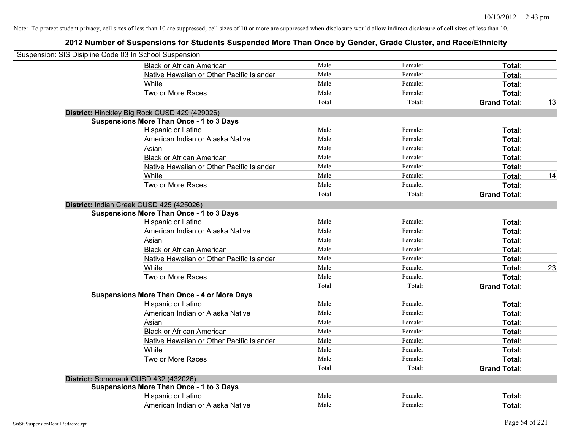| Suspension: SIS Disipline Code 03 In School Suspension |                                                    |        |         |                     |    |
|--------------------------------------------------------|----------------------------------------------------|--------|---------|---------------------|----|
|                                                        | <b>Black or African American</b>                   | Male:  | Female: | Total:              |    |
|                                                        | Native Hawaiian or Other Pacific Islander          | Male:  | Female: | Total:              |    |
|                                                        | White                                              | Male:  | Female: | Total:              |    |
|                                                        | Two or More Races                                  | Male:  | Female: | Total:              |    |
|                                                        |                                                    | Total: | Total:  | <b>Grand Total:</b> | 13 |
|                                                        | District: Hinckley Big Rock CUSD 429 (429026)      |        |         |                     |    |
|                                                        | <b>Suspensions More Than Once - 1 to 3 Days</b>    |        |         |                     |    |
|                                                        | Hispanic or Latino                                 | Male:  | Female: | Total:              |    |
|                                                        | American Indian or Alaska Native                   | Male:  | Female: | Total:              |    |
|                                                        | Asian                                              | Male:  | Female: | Total:              |    |
|                                                        | <b>Black or African American</b>                   | Male:  | Female: | Total:              |    |
|                                                        | Native Hawaiian or Other Pacific Islander          | Male:  | Female: | Total:              |    |
|                                                        | White                                              | Male:  | Female: | Total:              | 14 |
|                                                        | Two or More Races                                  | Male:  | Female: | Total:              |    |
|                                                        |                                                    | Total: | Total:  | <b>Grand Total:</b> |    |
|                                                        | District: Indian Creek CUSD 425 (425026)           |        |         |                     |    |
|                                                        | <b>Suspensions More Than Once - 1 to 3 Days</b>    |        |         |                     |    |
|                                                        | Hispanic or Latino                                 | Male:  | Female: | Total:              |    |
|                                                        | American Indian or Alaska Native                   | Male:  | Female: | Total:              |    |
|                                                        | Asian                                              | Male:  | Female: | Total:              |    |
|                                                        | <b>Black or African American</b>                   | Male:  | Female: | Total:              |    |
|                                                        | Native Hawaiian or Other Pacific Islander          | Male:  | Female: | Total:              |    |
|                                                        | White                                              | Male:  | Female: | Total:              | 23 |
|                                                        | Two or More Races                                  | Male:  | Female: | Total:              |    |
|                                                        |                                                    | Total: | Total:  | <b>Grand Total:</b> |    |
|                                                        | <b>Suspensions More Than Once - 4 or More Days</b> |        |         |                     |    |
|                                                        | Hispanic or Latino                                 | Male:  | Female: | Total:              |    |
|                                                        | American Indian or Alaska Native                   | Male:  | Female: | Total:              |    |
|                                                        | Asian                                              | Male:  | Female: | Total:              |    |
|                                                        | <b>Black or African American</b>                   | Male:  | Female: | Total:              |    |
|                                                        | Native Hawaiian or Other Pacific Islander          | Male:  | Female: | Total:              |    |
|                                                        | White                                              | Male:  | Female: | Total:              |    |
|                                                        | Two or More Races                                  | Male:  | Female: | Total:              |    |
|                                                        |                                                    | Total: | Total:  | <b>Grand Total:</b> |    |
|                                                        | District: Somonauk CUSD 432 (432026)               |        |         |                     |    |
|                                                        | <b>Suspensions More Than Once - 1 to 3 Days</b>    |        |         |                     |    |
|                                                        | Hispanic or Latino                                 | Male:  | Female: | Total:              |    |
|                                                        | American Indian or Alaska Native                   | Male:  | Female: | Total:              |    |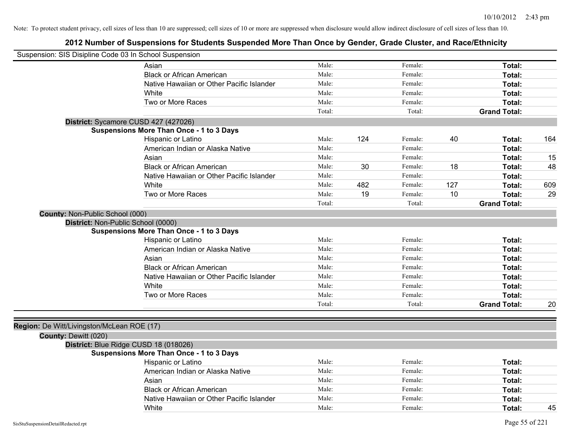| Suspension: SIS Disipline Code 03 In School Suspension |                                                 |        |     |         |     |                     |     |
|--------------------------------------------------------|-------------------------------------------------|--------|-----|---------|-----|---------------------|-----|
|                                                        |                                                 |        |     |         |     |                     |     |
|                                                        | Asian                                           | Male:  |     | Female: |     | Total:              |     |
|                                                        | <b>Black or African American</b>                | Male:  |     | Female: |     | Total:              |     |
|                                                        | Native Hawaiian or Other Pacific Islander       | Male:  |     | Female: |     | Total:              |     |
|                                                        | <b>White</b>                                    | Male:  |     | Female: |     | Total:              |     |
|                                                        | Two or More Races                               | Male:  |     | Female: |     | Total:              |     |
|                                                        |                                                 | Total: |     | Total:  |     | <b>Grand Total:</b> |     |
|                                                        | District: Sycamore CUSD 427 (427026)            |        |     |         |     |                     |     |
|                                                        | <b>Suspensions More Than Once - 1 to 3 Days</b> |        |     |         |     |                     |     |
|                                                        | Hispanic or Latino                              | Male:  | 124 | Female: | 40  | Total:              | 164 |
|                                                        | American Indian or Alaska Native                | Male:  |     | Female: |     | Total:              |     |
|                                                        | Asian                                           | Male:  |     | Female: |     | Total:              | 15  |
|                                                        | <b>Black or African American</b>                | Male:  | 30  | Female: | 18  | Total:              | 48  |
|                                                        | Native Hawaiian or Other Pacific Islander       | Male:  |     | Female: |     | Total:              |     |
|                                                        | White                                           | Male:  | 482 | Female: | 127 | Total:              | 609 |
|                                                        | Two or More Races                               | Male:  | 19  | Female: | 10  | Total:              | 29  |
|                                                        |                                                 | Total: |     | Total:  |     | <b>Grand Total:</b> |     |
| County: Non-Public School (000)                        |                                                 |        |     |         |     |                     |     |
|                                                        | District: Non-Public School (0000)              |        |     |         |     |                     |     |
|                                                        | <b>Suspensions More Than Once - 1 to 3 Days</b> |        |     |         |     |                     |     |
|                                                        | Hispanic or Latino                              | Male:  |     | Female: |     | Total:              |     |
|                                                        | American Indian or Alaska Native                | Male:  |     | Female: |     | Total:              |     |
|                                                        | Asian                                           | Male:  |     | Female: |     | Total:              |     |
|                                                        | <b>Black or African American</b>                | Male:  |     | Female: |     | Total:              |     |
|                                                        | Native Hawaiian or Other Pacific Islander       | Male:  |     | Female: |     | Total:              |     |
|                                                        | White                                           | Male:  |     | Female: |     | Total:              |     |
|                                                        | Two or More Races                               | Male:  |     | Female: |     | Total:              |     |
|                                                        |                                                 | Total: |     | Total:  |     | <b>Grand Total:</b> | 20  |
|                                                        |                                                 |        |     |         |     |                     |     |
| Region: De Witt/Livingston/McLean ROE (17)             |                                                 |        |     |         |     |                     |     |
| County: Dewitt (020)                                   |                                                 |        |     |         |     |                     |     |
|                                                        | District: Blue Ridge CUSD 18 (018026)           |        |     |         |     |                     |     |
|                                                        | <b>Suspensions More Than Once - 1 to 3 Days</b> |        |     |         |     |                     |     |
|                                                        | <b>Hispanic or Latino</b>                       | Male:  |     | Female: |     | Total:              |     |
|                                                        | American Indian or Alaska Native                | Male:  |     | Female: |     | Total:              |     |
|                                                        | Asian                                           | Male:  |     | Female: |     | Total:              |     |
|                                                        | <b>Black or African American</b>                | Male:  |     | Female: |     | Total:              |     |
|                                                        | Native Hawaiian or Other Pacific Islander       | Male:  |     | Female: |     | Total:              |     |
|                                                        | White                                           | Male:  |     | Female: |     | Total:              | 45  |
|                                                        |                                                 |        |     |         |     |                     |     |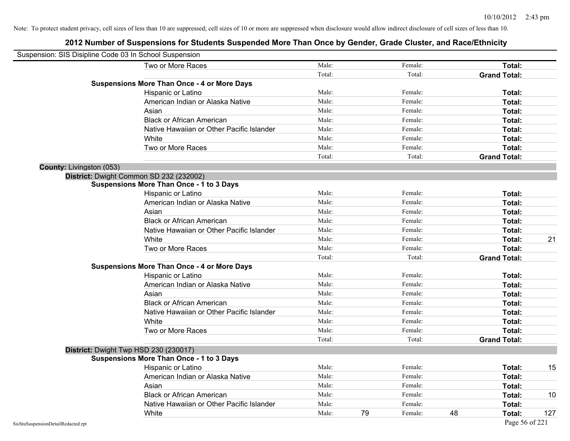| Suspension: SIS Disipline Code 03 In School Suspension |                                                    |        |    |         |    |                     |     |
|--------------------------------------------------------|----------------------------------------------------|--------|----|---------|----|---------------------|-----|
|                                                        | Two or More Races                                  | Male:  |    | Female: |    | Total:              |     |
|                                                        |                                                    | Total: |    | Total:  |    | <b>Grand Total:</b> |     |
|                                                        | <b>Suspensions More Than Once - 4 or More Days</b> |        |    |         |    |                     |     |
|                                                        | Hispanic or Latino                                 | Male:  |    | Female: |    | Total:              |     |
|                                                        | American Indian or Alaska Native                   | Male:  |    | Female: |    | Total:              |     |
|                                                        | Asian                                              | Male:  |    | Female: |    | Total:              |     |
|                                                        | <b>Black or African American</b>                   | Male:  |    | Female: |    | Total:              |     |
|                                                        | Native Hawaiian or Other Pacific Islander          | Male:  |    | Female: |    | Total:              |     |
|                                                        | White                                              | Male:  |    | Female: |    | Total:              |     |
|                                                        | Two or More Races                                  | Male:  |    | Female: |    | Total:              |     |
|                                                        |                                                    | Total: |    | Total:  |    | <b>Grand Total:</b> |     |
| <b>County: Livingston (053)</b>                        |                                                    |        |    |         |    |                     |     |
|                                                        | District: Dwight Common SD 232 (232002)            |        |    |         |    |                     |     |
|                                                        | <b>Suspensions More Than Once - 1 to 3 Days</b>    |        |    |         |    |                     |     |
|                                                        | Hispanic or Latino                                 | Male:  |    | Female: |    | Total:              |     |
|                                                        | American Indian or Alaska Native                   | Male:  |    | Female: |    | Total:              |     |
|                                                        | Asian                                              | Male:  |    | Female: |    | Total:              |     |
|                                                        | <b>Black or African American</b>                   | Male:  |    | Female: |    | Total:              |     |
|                                                        | Native Hawaiian or Other Pacific Islander          | Male:  |    | Female: |    | Total:              |     |
|                                                        | White                                              | Male:  |    | Female: |    | Total:              | 21  |
|                                                        | Two or More Races                                  | Male:  |    | Female: |    | Total:              |     |
|                                                        |                                                    | Total: |    | Total:  |    | <b>Grand Total:</b> |     |
|                                                        | <b>Suspensions More Than Once - 4 or More Days</b> |        |    |         |    |                     |     |
|                                                        | Hispanic or Latino                                 | Male:  |    | Female: |    | Total:              |     |
|                                                        | American Indian or Alaska Native                   | Male:  |    | Female: |    | Total:              |     |
|                                                        | Asian                                              | Male:  |    | Female: |    | Total:              |     |
|                                                        | <b>Black or African American</b>                   | Male:  |    | Female: |    | Total:              |     |
|                                                        | Native Hawaiian or Other Pacific Islander          | Male:  |    | Female: |    | Total:              |     |
|                                                        | White                                              | Male:  |    | Female: |    | Total:              |     |
|                                                        | Two or More Races                                  | Male:  |    | Female: |    | Total:              |     |
|                                                        |                                                    | Total: |    | Total:  |    | <b>Grand Total:</b> |     |
|                                                        | District: Dwight Twp HSD 230 (230017)              |        |    |         |    |                     |     |
|                                                        | <b>Suspensions More Than Once - 1 to 3 Days</b>    |        |    |         |    |                     |     |
|                                                        | Hispanic or Latino                                 | Male:  |    | Female: |    | Total:              | 15  |
|                                                        | American Indian or Alaska Native                   | Male:  |    | Female: |    | Total:              |     |
|                                                        | Asian                                              | Male:  |    | Female: |    | Total:              |     |
|                                                        | <b>Black or African American</b>                   | Male:  |    | Female: |    | Total:              | 10  |
|                                                        | Native Hawaiian or Other Pacific Islander          | Male:  |    | Female: |    | Total:              |     |
|                                                        | White                                              | Male:  | 79 | Female: | 48 | Total:              | 127 |
| SisStuSuspensionDetailRedacted.rpt                     |                                                    |        |    |         |    | Page 56 of 221      |     |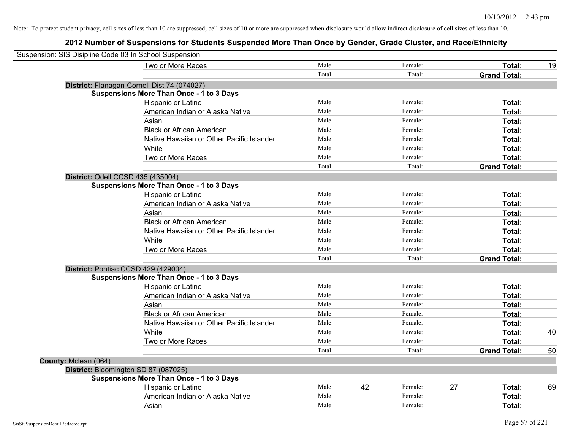| Suspension: SIS Disipline Code 03 In School Suspension |                                                 |        |    |         |    |                     |    |
|--------------------------------------------------------|-------------------------------------------------|--------|----|---------|----|---------------------|----|
|                                                        | Two or More Races                               | Male:  |    | Female: |    | Total:              | 19 |
|                                                        |                                                 | Total: |    | Total:  |    | <b>Grand Total:</b> |    |
|                                                        | District: Flanagan-Cornell Dist 74 (074027)     |        |    |         |    |                     |    |
|                                                        | <b>Suspensions More Than Once - 1 to 3 Days</b> |        |    |         |    |                     |    |
|                                                        | Hispanic or Latino                              | Male:  |    | Female: |    | Total:              |    |
|                                                        | American Indian or Alaska Native                | Male:  |    | Female: |    | Total:              |    |
|                                                        | Asian                                           | Male:  |    | Female: |    | Total:              |    |
|                                                        | <b>Black or African American</b>                | Male:  |    | Female: |    | Total:              |    |
|                                                        | Native Hawaiian or Other Pacific Islander       | Male:  |    | Female: |    | Total:              |    |
|                                                        | White                                           | Male:  |    | Female: |    | Total:              |    |
|                                                        | Two or More Races                               | Male:  |    | Female: |    | Total:              |    |
|                                                        |                                                 | Total: |    | Total:  |    | <b>Grand Total:</b> |    |
|                                                        | District: Odell CCSD 435 (435004)               |        |    |         |    |                     |    |
|                                                        | <b>Suspensions More Than Once - 1 to 3 Days</b> |        |    |         |    |                     |    |
|                                                        | Hispanic or Latino                              | Male:  |    | Female: |    | Total:              |    |
|                                                        | American Indian or Alaska Native                | Male:  |    | Female: |    | Total:              |    |
|                                                        | Asian                                           | Male:  |    | Female: |    | Total:              |    |
|                                                        | <b>Black or African American</b>                | Male:  |    | Female: |    | Total:              |    |
|                                                        | Native Hawaiian or Other Pacific Islander       | Male:  |    | Female: |    | Total:              |    |
|                                                        | White                                           | Male:  |    | Female: |    | Total:              |    |
|                                                        | Two or More Races                               | Male:  |    | Female: |    | Total:              |    |
|                                                        |                                                 | Total: |    | Total:  |    | <b>Grand Total:</b> |    |
|                                                        | District: Pontiac CCSD 429 (429004)             |        |    |         |    |                     |    |
|                                                        | <b>Suspensions More Than Once - 1 to 3 Days</b> |        |    |         |    |                     |    |
|                                                        | Hispanic or Latino                              | Male:  |    | Female: |    | Total:              |    |
|                                                        | American Indian or Alaska Native                | Male:  |    | Female: |    | Total:              |    |
|                                                        | Asian                                           | Male:  |    | Female: |    | Total:              |    |
|                                                        | <b>Black or African American</b>                | Male:  |    | Female: |    | Total:              |    |
|                                                        | Native Hawaiian or Other Pacific Islander       | Male:  |    | Female: |    | Total:              |    |
|                                                        | White                                           | Male:  |    | Female: |    | Total:              | 40 |
|                                                        | Two or More Races                               | Male:  |    | Female: |    | Total:              |    |
|                                                        |                                                 | Total: |    | Total:  |    | <b>Grand Total:</b> | 50 |
| County: Mclean (064)                                   |                                                 |        |    |         |    |                     |    |
|                                                        | District: Bloomington SD 87 (087025)            |        |    |         |    |                     |    |
|                                                        | <b>Suspensions More Than Once - 1 to 3 Days</b> |        |    |         |    |                     |    |
|                                                        | Hispanic or Latino                              | Male:  | 42 | Female: | 27 | Total:              | 69 |
|                                                        | American Indian or Alaska Native                | Male:  |    | Female: |    | Total:              |    |
|                                                        | Asian                                           | Male:  |    | Female: |    | Total:              |    |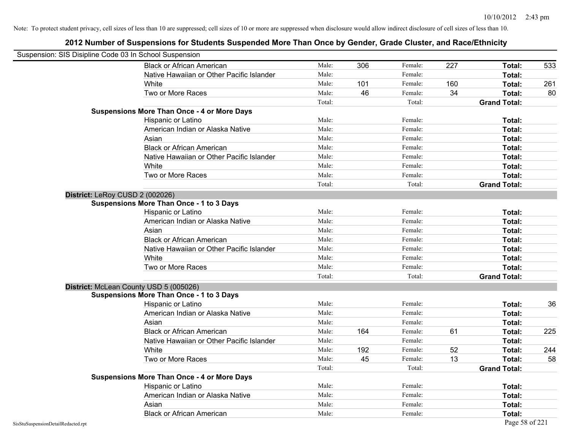| Suspension: SIS Disipline Code 03 In School Suspension |                                                    |        |     |         |     |                     |     |
|--------------------------------------------------------|----------------------------------------------------|--------|-----|---------|-----|---------------------|-----|
|                                                        | <b>Black or African American</b>                   | Male:  | 306 | Female: | 227 | Total:              | 533 |
|                                                        | Native Hawaiian or Other Pacific Islander          | Male:  |     | Female: |     | <b>Total:</b>       |     |
|                                                        | White                                              | Male:  | 101 | Female: | 160 | Total:              | 261 |
|                                                        | Two or More Races                                  | Male:  | 46  | Female: | 34  | Total:              | 80  |
|                                                        |                                                    | Total: |     | Total:  |     | <b>Grand Total:</b> |     |
|                                                        | <b>Suspensions More Than Once - 4 or More Days</b> |        |     |         |     |                     |     |
|                                                        | Hispanic or Latino                                 | Male:  |     | Female: |     | Total:              |     |
|                                                        | American Indian or Alaska Native                   | Male:  |     | Female: |     | Total:              |     |
|                                                        | Asian                                              | Male:  |     | Female: |     | Total:              |     |
|                                                        | <b>Black or African American</b>                   | Male:  |     | Female: |     | Total:              |     |
|                                                        | Native Hawaiian or Other Pacific Islander          | Male:  |     | Female: |     | Total:              |     |
|                                                        | White                                              | Male:  |     | Female: |     | Total:              |     |
|                                                        | Two or More Races                                  | Male:  |     | Female: |     | Total:              |     |
|                                                        |                                                    | Total: |     | Total:  |     | <b>Grand Total:</b> |     |
|                                                        | District: LeRoy CUSD 2 (002026)                    |        |     |         |     |                     |     |
|                                                        | <b>Suspensions More Than Once - 1 to 3 Days</b>    |        |     |         |     |                     |     |
|                                                        | Hispanic or Latino                                 | Male:  |     | Female: |     | Total:              |     |
|                                                        | American Indian or Alaska Native                   | Male:  |     | Female: |     | Total:              |     |
|                                                        | Asian                                              | Male:  |     | Female: |     | Total:              |     |
|                                                        | <b>Black or African American</b>                   | Male:  |     | Female: |     | Total:              |     |
|                                                        | Native Hawaiian or Other Pacific Islander          | Male:  |     | Female: |     | Total:              |     |
|                                                        | White                                              | Male:  |     | Female: |     | Total:              |     |
|                                                        | Two or More Races                                  | Male:  |     | Female: |     | Total:              |     |
|                                                        |                                                    | Total: |     | Total:  |     | <b>Grand Total:</b> |     |
|                                                        | District: McLean County USD 5 (005026)             |        |     |         |     |                     |     |
|                                                        | <b>Suspensions More Than Once - 1 to 3 Days</b>    |        |     |         |     |                     |     |
|                                                        | Hispanic or Latino                                 | Male:  |     | Female: |     | Total:              | 36  |
|                                                        | American Indian or Alaska Native                   | Male:  |     | Female: |     | Total:              |     |
|                                                        | Asian                                              | Male:  |     | Female: |     | Total:              |     |
|                                                        | <b>Black or African American</b>                   | Male:  | 164 | Female: | 61  | Total:              | 225 |
|                                                        | Native Hawaiian or Other Pacific Islander          | Male:  |     | Female: |     | Total:              |     |
|                                                        | White                                              | Male:  | 192 | Female: | 52  | Total:              | 244 |
|                                                        | Two or More Races                                  | Male:  | 45  | Female: | 13  | <b>Total:</b>       | 58  |
|                                                        |                                                    | Total: |     | Total:  |     | <b>Grand Total:</b> |     |
|                                                        | <b>Suspensions More Than Once - 4 or More Days</b> |        |     |         |     |                     |     |
|                                                        | Hispanic or Latino                                 | Male:  |     | Female: |     | Total:              |     |
|                                                        | American Indian or Alaska Native                   | Male:  |     | Female: |     | Total:              |     |
|                                                        | Asian                                              | Male:  |     | Female: |     | Total:              |     |
|                                                        | <b>Black or African American</b>                   | Male:  |     | Female: |     | Total:              |     |
| SisStuSuspensionDetailRedacted.rpt                     |                                                    |        |     |         |     | Page 58 of 221      |     |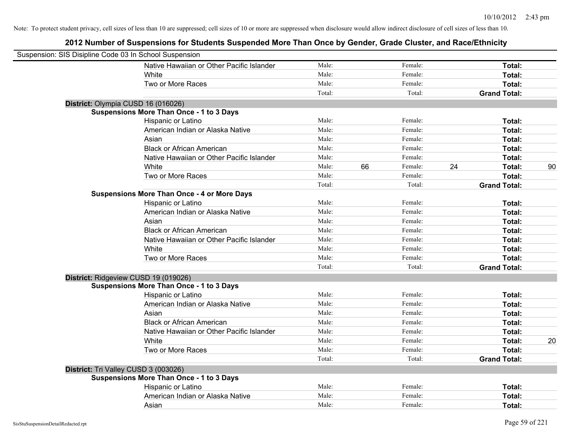| Suspension: SIS Disipline Code 03 In School Suspension |                                                    |        |    |         |    |                     |    |
|--------------------------------------------------------|----------------------------------------------------|--------|----|---------|----|---------------------|----|
|                                                        | Native Hawaiian or Other Pacific Islander          | Male:  |    | Female: |    | Total:              |    |
|                                                        | White                                              | Male:  |    | Female: |    | Total:              |    |
|                                                        | Two or More Races                                  | Male:  |    | Female: |    | Total:              |    |
|                                                        |                                                    | Total: |    | Total:  |    | <b>Grand Total:</b> |    |
| District: Olympia CUSD 16 (016026)                     |                                                    |        |    |         |    |                     |    |
|                                                        | <b>Suspensions More Than Once - 1 to 3 Days</b>    |        |    |         |    |                     |    |
|                                                        | Hispanic or Latino                                 | Male:  |    | Female: |    | Total:              |    |
|                                                        | American Indian or Alaska Native                   | Male:  |    | Female: |    | Total:              |    |
|                                                        | Asian                                              | Male:  |    | Female: |    | Total:              |    |
|                                                        | <b>Black or African American</b>                   | Male:  |    | Female: |    | Total:              |    |
|                                                        | Native Hawaiian or Other Pacific Islander          | Male:  |    | Female: |    | Total:              |    |
|                                                        | White                                              | Male:  | 66 | Female: | 24 | Total:              | 90 |
|                                                        | Two or More Races                                  | Male:  |    | Female: |    | Total:              |    |
|                                                        |                                                    | Total: |    | Total:  |    | <b>Grand Total:</b> |    |
|                                                        | <b>Suspensions More Than Once - 4 or More Days</b> |        |    |         |    |                     |    |
|                                                        | Hispanic or Latino                                 | Male:  |    | Female: |    | Total:              |    |
|                                                        | American Indian or Alaska Native                   | Male:  |    | Female: |    | Total:              |    |
|                                                        | Asian                                              | Male:  |    | Female: |    | Total:              |    |
|                                                        | <b>Black or African American</b>                   | Male:  |    | Female: |    | Total:              |    |
|                                                        | Native Hawaiian or Other Pacific Islander          | Male:  |    | Female: |    | Total:              |    |
|                                                        | White                                              | Male:  |    | Female: |    | Total:              |    |
|                                                        | Two or More Races                                  | Male:  |    | Female: |    | Total:              |    |
|                                                        |                                                    | Total: |    | Total:  |    | <b>Grand Total:</b> |    |
| District: Ridgeview CUSD 19 (019026)                   |                                                    |        |    |         |    |                     |    |
|                                                        | <b>Suspensions More Than Once - 1 to 3 Days</b>    |        |    |         |    |                     |    |
|                                                        | Hispanic or Latino                                 | Male:  |    | Female: |    | Total:              |    |
|                                                        | American Indian or Alaska Native                   | Male:  |    | Female: |    | Total:              |    |
|                                                        | Asian                                              | Male:  |    | Female: |    | Total:              |    |
|                                                        | <b>Black or African American</b>                   | Male:  |    | Female: |    | Total:              |    |
|                                                        | Native Hawaiian or Other Pacific Islander          | Male:  |    | Female: |    | Total:              |    |
|                                                        | White                                              | Male:  |    | Female: |    | Total:              | 20 |
|                                                        | Two or More Races                                  | Male:  |    | Female: |    | Total:              |    |
|                                                        |                                                    | Total: |    | Total:  |    | <b>Grand Total:</b> |    |
| District: Tri Valley CUSD 3 (003026)                   |                                                    |        |    |         |    |                     |    |
|                                                        | <b>Suspensions More Than Once - 1 to 3 Days</b>    |        |    |         |    |                     |    |
|                                                        | Hispanic or Latino                                 | Male:  |    | Female: |    | Total:              |    |
|                                                        | American Indian or Alaska Native                   | Male:  |    | Female: |    | Total:              |    |
|                                                        | Asian                                              | Male:  |    | Female: |    | Total:              |    |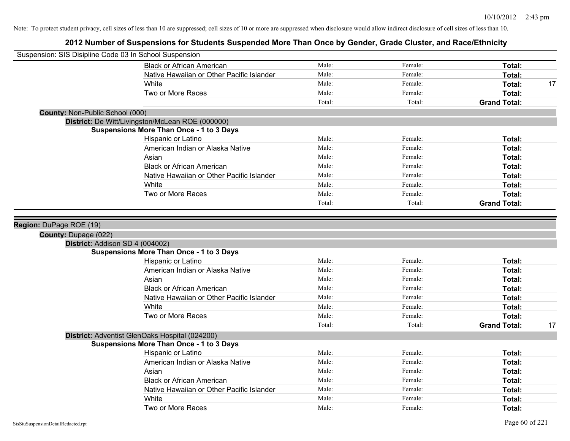| Suspension: SIS Disipline Code 03 In School Suspension |                                                  |        |         |                     |    |
|--------------------------------------------------------|--------------------------------------------------|--------|---------|---------------------|----|
|                                                        | <b>Black or African American</b>                 | Male:  | Female: | Total:              |    |
|                                                        | Native Hawaiian or Other Pacific Islander        | Male:  | Female: | Total:              |    |
|                                                        | <b>White</b>                                     | Male:  | Female: | Total:              | 17 |
|                                                        | Two or More Races                                | Male:  | Female: | Total:              |    |
|                                                        |                                                  | Total: | Total:  | <b>Grand Total:</b> |    |
| <b>County: Non-Public School (000)</b>                 |                                                  |        |         |                     |    |
|                                                        | District: De Witt/Livingston/McLean ROE (000000) |        |         |                     |    |
|                                                        | <b>Suspensions More Than Once - 1 to 3 Days</b>  |        |         |                     |    |
|                                                        | Hispanic or Latino                               | Male:  | Female: | Total:              |    |
|                                                        | American Indian or Alaska Native                 | Male:  | Female: | Total:              |    |
|                                                        | Asian                                            | Male:  | Female: | Total:              |    |
|                                                        | <b>Black or African American</b>                 | Male:  | Female: | Total:              |    |
|                                                        | Native Hawaiian or Other Pacific Islander        | Male:  | Female: | Total:              |    |
|                                                        | White                                            | Male:  | Female: | Total:              |    |
|                                                        | Two or More Races                                | Male:  | Female: | Total:              |    |
|                                                        |                                                  | Total: | Total:  | <b>Grand Total:</b> |    |
| County: Dupage (022)                                   | District: Addison SD 4 (004002)                  |        |         |                     |    |
|                                                        | <b>Suspensions More Than Once - 1 to 3 Days</b>  |        |         |                     |    |
|                                                        | Hispanic or Latino                               | Male:  | Female: | Total:              |    |
|                                                        | American Indian or Alaska Native                 | Male:  | Female: | Total:              |    |
|                                                        | Asian                                            | Male:  | Female: | Total:              |    |
|                                                        | <b>Black or African American</b>                 | Male:  | Female: | Total:              |    |
|                                                        | Native Hawaiian or Other Pacific Islander        | Male:  | Female: | Total:              |    |
|                                                        | White                                            | Male:  | Female: | Total:              |    |
|                                                        | Two or More Races                                | Male:  | Female: | Total:              |    |
|                                                        |                                                  | Total: | Total:  | <b>Grand Total:</b> | 17 |
|                                                        | District: Adventist GlenOaks Hospital (024200)   |        |         |                     |    |
|                                                        | <b>Suspensions More Than Once - 1 to 3 Days</b>  |        |         |                     |    |
|                                                        | Hispanic or Latino                               | Male:  | Female: | Total:              |    |
|                                                        | American Indian or Alaska Native                 | Male:  | Female: | Total:              |    |
|                                                        | Asian                                            | Male:  | Female: | Total:              |    |
|                                                        | <b>Black or African American</b>                 | Male:  | Female: | Total:              |    |
|                                                        | Native Hawaiian or Other Pacific Islander        | Male:  | Female: | Total:              |    |
|                                                        | White                                            | Male:  | Female: | <b>Total:</b>       |    |
|                                                        | Two or More Races                                | Male:  | Female: | Total:              |    |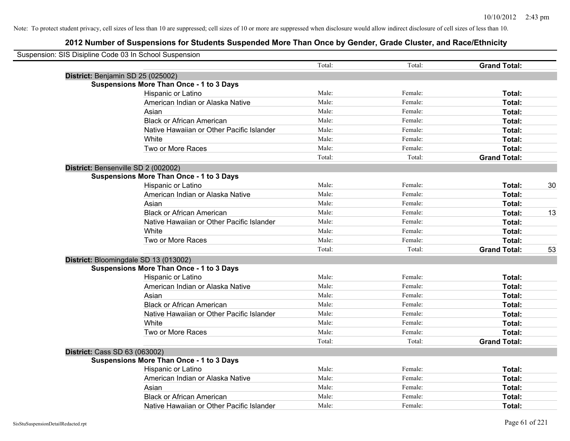|                               | Suspension: SIS Disipline Code 03 In School Suspension |        |         |                     |    |
|-------------------------------|--------------------------------------------------------|--------|---------|---------------------|----|
|                               |                                                        | Total: | Total:  | <b>Grand Total:</b> |    |
|                               | District: Benjamin SD 25 (025002)                      |        |         |                     |    |
|                               | <b>Suspensions More Than Once - 1 to 3 Days</b>        |        |         |                     |    |
|                               | Hispanic or Latino                                     | Male:  | Female: | Total:              |    |
|                               | American Indian or Alaska Native                       | Male:  | Female: | Total:              |    |
|                               | Asian                                                  | Male:  | Female: | Total:              |    |
|                               | <b>Black or African American</b>                       | Male:  | Female: | Total:              |    |
|                               | Native Hawaiian or Other Pacific Islander              | Male:  | Female: | Total:              |    |
|                               | White                                                  | Male:  | Female: | Total:              |    |
|                               | Two or More Races                                      | Male:  | Female: | Total:              |    |
|                               |                                                        | Total: | Total:  | <b>Grand Total:</b> |    |
|                               | District: Bensenville SD 2 (002002)                    |        |         |                     |    |
|                               | <b>Suspensions More Than Once - 1 to 3 Days</b>        |        |         |                     |    |
|                               | Hispanic or Latino                                     | Male:  | Female: | Total:              | 30 |
|                               | American Indian or Alaska Native                       | Male:  | Female: | Total:              |    |
|                               | Asian                                                  | Male:  | Female: | Total:              |    |
|                               | <b>Black or African American</b>                       | Male:  | Female: | Total:              | 13 |
|                               | Native Hawaiian or Other Pacific Islander              | Male:  | Female: | Total:              |    |
|                               | White                                                  | Male:  | Female: | Total:              |    |
|                               | Two or More Races                                      | Male:  | Female: | Total:              |    |
|                               |                                                        | Total: | Total:  | <b>Grand Total:</b> | 53 |
|                               | District: Bloomingdale SD 13 (013002)                  |        |         |                     |    |
|                               | <b>Suspensions More Than Once - 1 to 3 Days</b>        |        |         |                     |    |
|                               | Hispanic or Latino                                     | Male:  | Female: | Total:              |    |
|                               | American Indian or Alaska Native                       | Male:  | Female: | Total:              |    |
|                               | Asian                                                  | Male:  | Female: | Total:              |    |
|                               | <b>Black or African American</b>                       | Male:  | Female: | Total:              |    |
|                               | Native Hawaiian or Other Pacific Islander              | Male:  | Female: | Total:              |    |
|                               | White                                                  | Male:  | Female: | Total:              |    |
|                               | Two or More Races                                      | Male:  | Female: | Total:              |    |
|                               |                                                        | Total: | Total:  | <b>Grand Total:</b> |    |
| District: Cass SD 63 (063002) |                                                        |        |         |                     |    |
|                               | <b>Suspensions More Than Once - 1 to 3 Days</b>        |        |         |                     |    |
|                               | Hispanic or Latino                                     | Male:  | Female: | Total:              |    |
|                               | American Indian or Alaska Native                       | Male:  | Female: | Total:              |    |
|                               | Asian                                                  | Male:  | Female: | Total:              |    |
|                               | <b>Black or African American</b>                       | Male:  | Female: | Total:              |    |
|                               | Native Hawaiian or Other Pacific Islander              | Male:  | Female: | Total:              |    |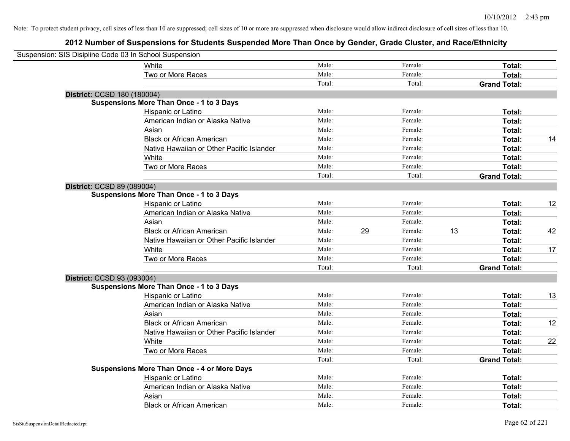| Suspension: SIS Disipline Code 03 In School Suspension |                                                    |        |    |         |    |                     |    |
|--------------------------------------------------------|----------------------------------------------------|--------|----|---------|----|---------------------|----|
|                                                        | White                                              | Male:  |    | Female: |    | Total:              |    |
|                                                        | Two or More Races                                  | Male:  |    | Female: |    | Total:              |    |
|                                                        |                                                    | Total: |    | Total:  |    | <b>Grand Total:</b> |    |
| District: CCSD 180 (180004)                            |                                                    |        |    |         |    |                     |    |
|                                                        | <b>Suspensions More Than Once - 1 to 3 Days</b>    |        |    |         |    |                     |    |
|                                                        | Hispanic or Latino                                 | Male:  |    | Female: |    | Total:              |    |
|                                                        | American Indian or Alaska Native                   | Male:  |    | Female: |    | Total:              |    |
|                                                        | Asian                                              | Male:  |    | Female: |    | Total:              |    |
|                                                        | <b>Black or African American</b>                   | Male:  |    | Female: |    | Total:              | 14 |
|                                                        | Native Hawaiian or Other Pacific Islander          | Male:  |    | Female: |    | Total:              |    |
|                                                        | White                                              | Male:  |    | Female: |    | Total:              |    |
|                                                        | Two or More Races                                  | Male:  |    | Female: |    | Total:              |    |
|                                                        |                                                    | Total: |    | Total:  |    | <b>Grand Total:</b> |    |
| District: CCSD 89 (089004)                             |                                                    |        |    |         |    |                     |    |
|                                                        | <b>Suspensions More Than Once - 1 to 3 Days</b>    |        |    |         |    |                     |    |
|                                                        | Hispanic or Latino                                 | Male:  |    | Female: |    | Total:              | 12 |
|                                                        | American Indian or Alaska Native                   | Male:  |    | Female: |    | Total:              |    |
|                                                        | Asian                                              | Male:  |    | Female: |    | Total:              |    |
|                                                        | <b>Black or African American</b>                   | Male:  | 29 | Female: | 13 | Total:              | 42 |
|                                                        | Native Hawaiian or Other Pacific Islander          | Male:  |    | Female: |    | Total:              |    |
|                                                        | White                                              | Male:  |    | Female: |    | Total:              | 17 |
|                                                        | Two or More Races                                  | Male:  |    | Female: |    | Total:              |    |
|                                                        |                                                    | Total: |    | Total:  |    | <b>Grand Total:</b> |    |
| District: CCSD 93 (093004)                             |                                                    |        |    |         |    |                     |    |
|                                                        | <b>Suspensions More Than Once - 1 to 3 Days</b>    |        |    |         |    |                     |    |
|                                                        | Hispanic or Latino                                 | Male:  |    | Female: |    | Total:              | 13 |
|                                                        | American Indian or Alaska Native                   | Male:  |    | Female: |    | Total:              |    |
|                                                        | Asian                                              | Male:  |    | Female: |    | Total:              |    |
|                                                        | <b>Black or African American</b>                   | Male:  |    | Female: |    | Total:              | 12 |
|                                                        | Native Hawaiian or Other Pacific Islander          | Male:  |    | Female: |    | Total:              |    |
|                                                        | White                                              | Male:  |    | Female: |    | Total:              | 22 |
|                                                        | Two or More Races                                  | Male:  |    | Female: |    | Total:              |    |
|                                                        |                                                    | Total: |    | Total:  |    | <b>Grand Total:</b> |    |
|                                                        | <b>Suspensions More Than Once - 4 or More Days</b> |        |    |         |    |                     |    |
|                                                        | Hispanic or Latino                                 | Male:  |    | Female: |    | Total:              |    |
|                                                        | American Indian or Alaska Native                   | Male:  |    | Female: |    | Total:              |    |
|                                                        | Asian                                              | Male:  |    | Female: |    | Total:              |    |
|                                                        | <b>Black or African American</b>                   | Male:  |    | Female: |    | Total:              |    |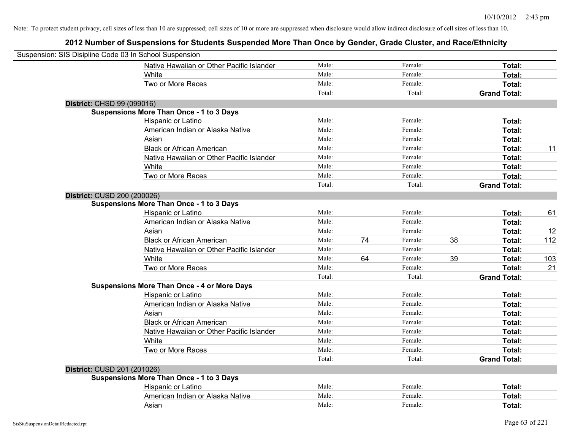| Suspension: SIS Disipline Code 03 In School Suspension |                                                    |        |    |         |    |                     |     |
|--------------------------------------------------------|----------------------------------------------------|--------|----|---------|----|---------------------|-----|
|                                                        | Native Hawaiian or Other Pacific Islander          | Male:  |    | Female: |    | Total:              |     |
|                                                        | White                                              | Male:  |    | Female: |    | Total:              |     |
|                                                        | Two or More Races                                  | Male:  |    | Female: |    | Total:              |     |
|                                                        |                                                    | Total: |    | Total:  |    | <b>Grand Total:</b> |     |
| District: CHSD 99 (099016)                             |                                                    |        |    |         |    |                     |     |
|                                                        | <b>Suspensions More Than Once - 1 to 3 Days</b>    |        |    |         |    |                     |     |
|                                                        | Hispanic or Latino                                 | Male:  |    | Female: |    | Total:              |     |
|                                                        | American Indian or Alaska Native                   | Male:  |    | Female: |    | Total:              |     |
|                                                        | Asian                                              | Male:  |    | Female: |    | Total:              |     |
|                                                        | <b>Black or African American</b>                   | Male:  |    | Female: |    | Total:              | 11  |
|                                                        | Native Hawaiian or Other Pacific Islander          | Male:  |    | Female: |    | Total:              |     |
|                                                        | White                                              | Male:  |    | Female: |    | Total:              |     |
|                                                        | Two or More Races                                  | Male:  |    | Female: |    | Total:              |     |
|                                                        |                                                    | Total: |    | Total:  |    | <b>Grand Total:</b> |     |
| District: CUSD 200 (200026)                            |                                                    |        |    |         |    |                     |     |
|                                                        | <b>Suspensions More Than Once - 1 to 3 Days</b>    |        |    |         |    |                     |     |
|                                                        | Hispanic or Latino                                 | Male:  |    | Female: |    | Total:              | 61  |
|                                                        | American Indian or Alaska Native                   | Male:  |    | Female: |    | Total:              |     |
|                                                        | Asian                                              | Male:  |    | Female: |    | Total:              | 12  |
|                                                        | <b>Black or African American</b>                   | Male:  | 74 | Female: | 38 | Total:              | 112 |
|                                                        | Native Hawaiian or Other Pacific Islander          | Male:  |    | Female: |    | Total:              |     |
|                                                        | White                                              | Male:  | 64 | Female: | 39 | Total:              | 103 |
|                                                        | Two or More Races                                  | Male:  |    | Female: |    | Total:              | 21  |
|                                                        |                                                    | Total: |    | Total:  |    | <b>Grand Total:</b> |     |
|                                                        | <b>Suspensions More Than Once - 4 or More Days</b> |        |    |         |    |                     |     |
|                                                        | Hispanic or Latino                                 | Male:  |    | Female: |    | Total:              |     |
|                                                        | American Indian or Alaska Native                   | Male:  |    | Female: |    | Total:              |     |
|                                                        | Asian                                              | Male:  |    | Female: |    | Total:              |     |
|                                                        | <b>Black or African American</b>                   | Male:  |    | Female: |    | Total:              |     |
|                                                        | Native Hawaiian or Other Pacific Islander          | Male:  |    | Female: |    | Total:              |     |
|                                                        | White                                              | Male:  |    | Female: |    | Total:              |     |
|                                                        | Two or More Races                                  | Male:  |    | Female: |    | Total:              |     |
|                                                        |                                                    | Total: |    | Total:  |    | <b>Grand Total:</b> |     |
| District: CUSD 201 (201026)                            |                                                    |        |    |         |    |                     |     |
|                                                        | <b>Suspensions More Than Once - 1 to 3 Days</b>    |        |    |         |    |                     |     |
|                                                        | Hispanic or Latino                                 | Male:  |    | Female: |    | Total:              |     |
|                                                        | American Indian or Alaska Native                   | Male:  |    | Female: |    | Total:              |     |
|                                                        | Asian                                              | Male:  |    | Female: |    | Total:              |     |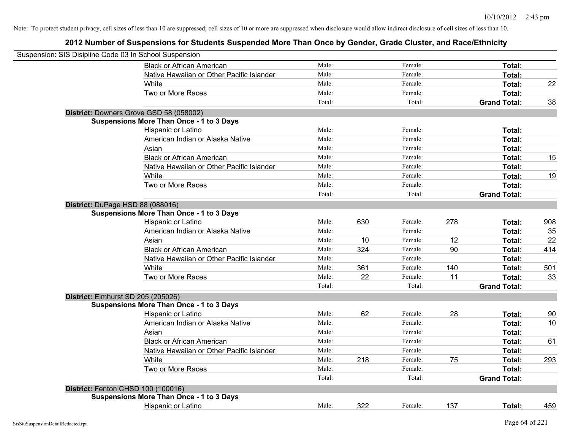| Suspension: SIS Disipline Code 03 In School Suspension |                                                 |        |     |         |     |                     |     |
|--------------------------------------------------------|-------------------------------------------------|--------|-----|---------|-----|---------------------|-----|
|                                                        | <b>Black or African American</b>                | Male:  |     | Female: |     | Total:              |     |
|                                                        | Native Hawaiian or Other Pacific Islander       | Male:  |     | Female: |     | Total:              |     |
|                                                        | White                                           | Male:  |     | Female: |     | Total:              | 22  |
|                                                        | Two or More Races                               | Male:  |     | Female: |     | Total:              |     |
|                                                        |                                                 | Total: |     | Total:  |     | <b>Grand Total:</b> | 38  |
|                                                        | District: Downers Grove GSD 58 (058002)         |        |     |         |     |                     |     |
|                                                        | <b>Suspensions More Than Once - 1 to 3 Days</b> |        |     |         |     |                     |     |
|                                                        | Hispanic or Latino                              | Male:  |     | Female: |     | Total:              |     |
|                                                        | American Indian or Alaska Native                | Male:  |     | Female: |     | Total:              |     |
|                                                        | Asian                                           | Male:  |     | Female: |     | Total:              |     |
|                                                        | <b>Black or African American</b>                | Male:  |     | Female: |     | Total:              | 15  |
|                                                        | Native Hawaiian or Other Pacific Islander       | Male:  |     | Female: |     | Total:              |     |
|                                                        | White                                           | Male:  |     | Female: |     | Total:              | 19  |
|                                                        | Two or More Races                               | Male:  |     | Female: |     | Total:              |     |
|                                                        |                                                 | Total: |     | Total:  |     | <b>Grand Total:</b> |     |
| District: DuPage HSD 88 (088016)                       |                                                 |        |     |         |     |                     |     |
|                                                        | <b>Suspensions More Than Once - 1 to 3 Days</b> |        |     |         |     |                     |     |
|                                                        | Hispanic or Latino                              | Male:  | 630 | Female: | 278 | Total:              | 908 |
|                                                        | American Indian or Alaska Native                | Male:  |     | Female: |     | Total:              | 35  |
|                                                        | Asian                                           | Male:  | 10  | Female: | 12  | Total:              | 22  |
|                                                        | <b>Black or African American</b>                | Male:  | 324 | Female: | 90  | Total:              | 414 |
|                                                        | Native Hawaiian or Other Pacific Islander       | Male:  |     | Female: |     | Total:              |     |
|                                                        | White                                           | Male:  | 361 | Female: | 140 | Total:              | 501 |
|                                                        | Two or More Races                               | Male:  | 22  | Female: | 11  | Total:              | 33  |
|                                                        |                                                 | Total: |     | Total:  |     | <b>Grand Total:</b> |     |
|                                                        | District: Elmhurst SD 205 (205026)              |        |     |         |     |                     |     |
|                                                        | <b>Suspensions More Than Once - 1 to 3 Days</b> |        |     |         |     |                     |     |
|                                                        | Hispanic or Latino                              | Male:  | 62  | Female: | 28  | Total:              | 90  |
|                                                        | American Indian or Alaska Native                | Male:  |     | Female: |     | Total:              | 10  |
|                                                        | Asian                                           | Male:  |     | Female: |     | Total:              |     |
|                                                        | <b>Black or African American</b>                | Male:  |     | Female: |     | Total:              | 61  |
|                                                        | Native Hawaiian or Other Pacific Islander       | Male:  |     | Female: |     | Total:              |     |
|                                                        | White                                           | Male:  | 218 | Female: | 75  | Total:              | 293 |
|                                                        | Two or More Races                               | Male:  |     | Female: |     | Total:              |     |
|                                                        |                                                 | Total: |     | Total:  |     | <b>Grand Total:</b> |     |
|                                                        | District: Fenton CHSD 100 (100016)              |        |     |         |     |                     |     |
|                                                        | <b>Suspensions More Than Once - 1 to 3 Days</b> |        |     |         |     |                     |     |
|                                                        | <b>Hispanic or Latino</b>                       | Male:  | 322 | Female: | 137 | Total:              | 459 |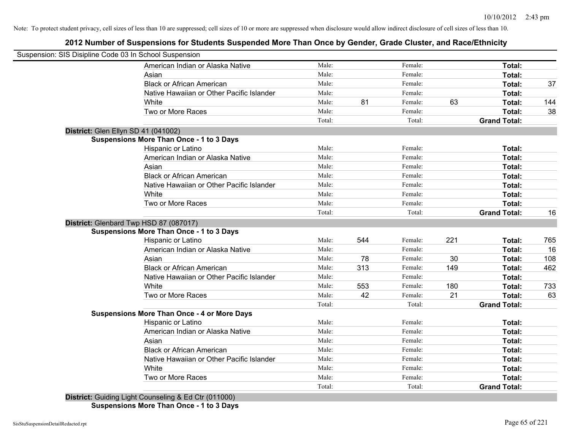# **2012 Number of Suspensions for Students Suspended More Than Once by Gender, Grade Cluster, and Race/Ethnicity**

| Suspension: SIS Disipline Code 03 In School Suspension |        |     |         |     |                     |     |
|--------------------------------------------------------|--------|-----|---------|-----|---------------------|-----|
| American Indian or Alaska Native                       | Male:  |     | Female: |     | Total:              |     |
| Asian                                                  | Male:  |     | Female: |     | Total:              |     |
| <b>Black or African American</b>                       | Male:  |     | Female: |     | Total:              | 37  |
| Native Hawaiian or Other Pacific Islander              | Male:  |     | Female: |     | Total:              |     |
| White                                                  | Male:  | 81  | Female: | 63  | Total:              | 144 |
| Two or More Races                                      | Male:  |     | Female: |     | Total:              | 38  |
|                                                        | Total: |     | Total:  |     | <b>Grand Total:</b> |     |
| District: Glen Ellyn SD 41 (041002)                    |        |     |         |     |                     |     |
| <b>Suspensions More Than Once - 1 to 3 Days</b>        |        |     |         |     |                     |     |
| Hispanic or Latino                                     | Male:  |     | Female: |     | Total:              |     |
| American Indian or Alaska Native                       | Male:  |     | Female: |     | Total:              |     |
| Asian                                                  | Male:  |     | Female: |     | Total:              |     |
| <b>Black or African American</b>                       | Male:  |     | Female: |     | Total:              |     |
| Native Hawaiian or Other Pacific Islander              | Male:  |     | Female: |     | Total:              |     |
| White                                                  | Male:  |     | Female: |     | Total:              |     |
| Two or More Races                                      | Male:  |     | Female: |     | Total:              |     |
|                                                        | Total: |     | Total:  |     | <b>Grand Total:</b> | 16  |
| District: Glenbard Twp HSD 87 (087017)                 |        |     |         |     |                     |     |
| <b>Suspensions More Than Once - 1 to 3 Days</b>        |        |     |         |     |                     |     |
| <b>Hispanic or Latino</b>                              | Male:  | 544 | Female: | 221 | Total:              | 765 |
| American Indian or Alaska Native                       | Male:  |     | Female: |     | Total:              | 16  |
| Asian                                                  | Male:  | 78  | Female: | 30  | Total:              | 108 |
| <b>Black or African American</b>                       | Male:  | 313 | Female: | 149 | Total:              | 462 |
| Native Hawaiian or Other Pacific Islander              | Male:  |     | Female: |     | Total:              |     |
| White                                                  | Male:  | 553 | Female: | 180 | Total:              | 733 |
| Two or More Races                                      | Male:  | 42  | Female: | 21  | Total:              | 63  |
|                                                        | Total: |     | Total:  |     | <b>Grand Total:</b> |     |
| <b>Suspensions More Than Once - 4 or More Days</b>     |        |     |         |     |                     |     |
| Hispanic or Latino                                     | Male:  |     | Female: |     | Total:              |     |
| American Indian or Alaska Native                       | Male:  |     | Female: |     | Total:              |     |
| Asian                                                  | Male:  |     | Female: |     | Total:              |     |
| <b>Black or African American</b>                       | Male:  |     | Female: |     | Total:              |     |
| Native Hawaiian or Other Pacific Islander              | Male:  |     | Female: |     | Total:              |     |
| White                                                  | Male:  |     | Female: |     | Total:              |     |
| Two or More Races                                      | Male:  |     | Female: |     | Total:              |     |
|                                                        | Total: |     | Total:  |     | <b>Grand Total:</b> |     |

**District:** Guiding Light Counseling & Ed Ctr (011000) **Suspensions More Than Once - 1 to 3 Days**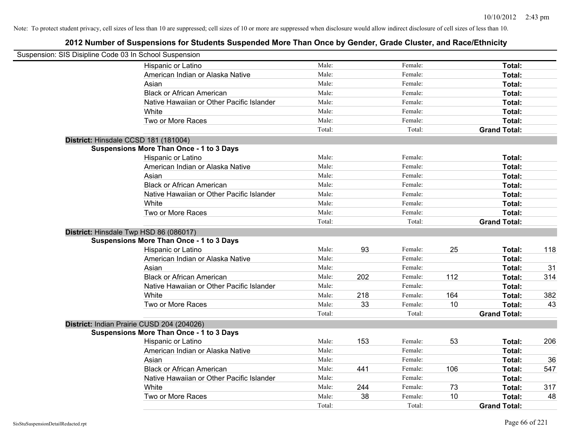| Suspension: SIS Disipline Code 03 In School Suspension |        |     |         |     |                     |     |
|--------------------------------------------------------|--------|-----|---------|-----|---------------------|-----|
| <b>Hispanic or Latino</b>                              | Male:  |     | Female: |     | Total:              |     |
| American Indian or Alaska Native                       | Male:  |     | Female: |     | Total:              |     |
| Asian                                                  | Male:  |     | Female: |     | Total:              |     |
| <b>Black or African American</b>                       | Male:  |     | Female: |     | Total:              |     |
| Native Hawaiian or Other Pacific Islander              | Male:  |     | Female: |     | Total:              |     |
| White                                                  | Male:  |     | Female: |     | Total:              |     |
| Two or More Races                                      | Male:  |     | Female: |     | Total:              |     |
|                                                        | Total: |     | Total:  |     | <b>Grand Total:</b> |     |
| District: Hinsdale CCSD 181 (181004)                   |        |     |         |     |                     |     |
| <b>Suspensions More Than Once - 1 to 3 Days</b>        |        |     |         |     |                     |     |
| Hispanic or Latino                                     | Male:  |     | Female: |     | Total:              |     |
| American Indian or Alaska Native                       | Male:  |     | Female: |     | Total:              |     |
| Asian                                                  | Male:  |     | Female: |     | Total:              |     |
| <b>Black or African American</b>                       | Male:  |     | Female: |     | Total:              |     |
| Native Hawaiian or Other Pacific Islander              | Male:  |     | Female: |     | Total:              |     |
| White                                                  | Male:  |     | Female: |     | Total:              |     |
| Two or More Races                                      | Male:  |     | Female: |     | Total:              |     |
|                                                        | Total: |     | Total:  |     | <b>Grand Total:</b> |     |
| District: Hinsdale Twp HSD 86 (086017)                 |        |     |         |     |                     |     |
| <b>Suspensions More Than Once - 1 to 3 Days</b>        |        |     |         |     |                     |     |
| Hispanic or Latino                                     | Male:  | 93  | Female: | 25  | Total:              | 118 |
| American Indian or Alaska Native                       | Male:  |     | Female: |     | Total:              |     |
| Asian                                                  | Male:  |     | Female: |     | Total:              | 31  |
| <b>Black or African American</b>                       | Male:  | 202 | Female: | 112 | Total:              | 314 |
| Native Hawaiian or Other Pacific Islander              | Male:  |     | Female: |     | Total:              |     |
| White                                                  | Male:  | 218 | Female: | 164 | Total:              | 382 |
| Two or More Races                                      | Male:  | 33  | Female: | 10  | Total:              | 43  |
|                                                        | Total: |     | Total:  |     | <b>Grand Total:</b> |     |
| District: Indian Prairie CUSD 204 (204026)             |        |     |         |     |                     |     |
| <b>Suspensions More Than Once - 1 to 3 Days</b>        |        |     |         |     |                     |     |
| Hispanic or Latino                                     | Male:  | 153 | Female: | 53  | Total:              | 206 |
| American Indian or Alaska Native                       | Male:  |     | Female: |     | Total:              |     |
| Asian                                                  | Male:  |     | Female: |     | Total:              | 36  |
| <b>Black or African American</b>                       | Male:  | 441 | Female: | 106 | Total:              | 547 |
| Native Hawaiian or Other Pacific Islander              | Male:  |     | Female: |     | Total:              |     |
| White                                                  | Male:  | 244 | Female: | 73  | Total:              | 317 |
| Two or More Races                                      | Male:  | 38  | Female: | 10  | Total:              | 48  |
|                                                        | Total: |     | Total:  |     | <b>Grand Total:</b> |     |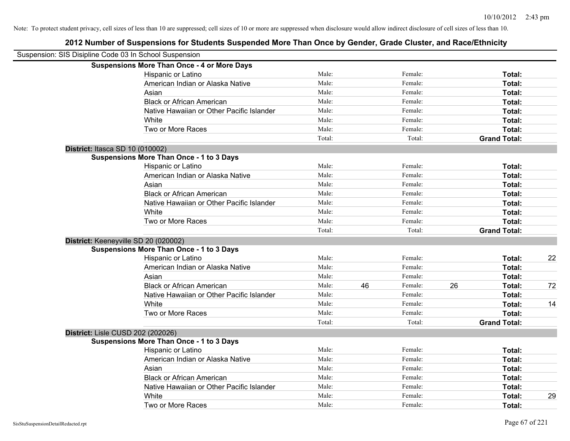| Suspension: SIS Disipline Code 03 In School Suspension |                                                    |        |    |         |    |                     |    |
|--------------------------------------------------------|----------------------------------------------------|--------|----|---------|----|---------------------|----|
|                                                        | <b>Suspensions More Than Once - 4 or More Days</b> |        |    |         |    |                     |    |
|                                                        | Hispanic or Latino                                 | Male:  |    | Female: |    | Total:              |    |
|                                                        | American Indian or Alaska Native                   | Male:  |    | Female: |    | Total:              |    |
|                                                        | Asian                                              | Male:  |    | Female: |    | Total:              |    |
|                                                        | <b>Black or African American</b>                   | Male:  |    | Female: |    | Total:              |    |
|                                                        | Native Hawaiian or Other Pacific Islander          | Male:  |    | Female: |    | Total:              |    |
|                                                        | White                                              | Male:  |    | Female: |    | Total:              |    |
|                                                        | Two or More Races                                  | Male:  |    | Female: |    | Total:              |    |
|                                                        |                                                    | Total: |    | Total:  |    | <b>Grand Total:</b> |    |
|                                                        | District: Itasca SD 10 (010002)                    |        |    |         |    |                     |    |
|                                                        | <b>Suspensions More Than Once - 1 to 3 Days</b>    |        |    |         |    |                     |    |
|                                                        | Hispanic or Latino                                 | Male:  |    | Female: |    | Total:              |    |
|                                                        | American Indian or Alaska Native                   | Male:  |    | Female: |    | Total:              |    |
|                                                        | Asian                                              | Male:  |    | Female: |    | Total:              |    |
|                                                        | <b>Black or African American</b>                   | Male:  |    | Female: |    | Total:              |    |
|                                                        | Native Hawaiian or Other Pacific Islander          | Male:  |    | Female: |    | Total:              |    |
|                                                        | White                                              | Male:  |    | Female: |    | Total:              |    |
|                                                        | Two or More Races                                  | Male:  |    | Female: |    | Total:              |    |
|                                                        |                                                    | Total: |    | Total:  |    | <b>Grand Total:</b> |    |
|                                                        | District: Keeneyville SD 20 (020002)               |        |    |         |    |                     |    |
|                                                        | <b>Suspensions More Than Once - 1 to 3 Days</b>    |        |    |         |    |                     |    |
|                                                        | Hispanic or Latino                                 | Male:  |    | Female: |    | Total:              | 22 |
|                                                        | American Indian or Alaska Native                   | Male:  |    | Female: |    | Total:              |    |
|                                                        | Asian                                              | Male:  |    | Female: |    | Total:              |    |
|                                                        | <b>Black or African American</b>                   | Male:  | 46 | Female: | 26 | Total:              | 72 |
|                                                        | Native Hawaiian or Other Pacific Islander          | Male:  |    | Female: |    | Total:              |    |
|                                                        | White                                              | Male:  |    | Female: |    | Total:              | 14 |
|                                                        | Two or More Races                                  | Male:  |    | Female: |    | Total:              |    |
|                                                        |                                                    | Total: |    | Total:  |    | <b>Grand Total:</b> |    |
|                                                        | District: Lisle CUSD 202 (202026)                  |        |    |         |    |                     |    |
|                                                        | <b>Suspensions More Than Once - 1 to 3 Days</b>    |        |    |         |    |                     |    |
|                                                        | Hispanic or Latino                                 | Male:  |    | Female: |    | Total:              |    |
|                                                        | American Indian or Alaska Native                   | Male:  |    | Female: |    | Total:              |    |
|                                                        | Asian                                              | Male:  |    | Female: |    | Total:              |    |
|                                                        | <b>Black or African American</b>                   | Male:  |    | Female: |    | Total:              |    |
|                                                        | Native Hawaiian or Other Pacific Islander          | Male:  |    | Female: |    | Total:              |    |
|                                                        | White                                              | Male:  |    | Female: |    | Total:              | 29 |
|                                                        | Two or More Races                                  | Male:  |    | Female: |    | Total:              |    |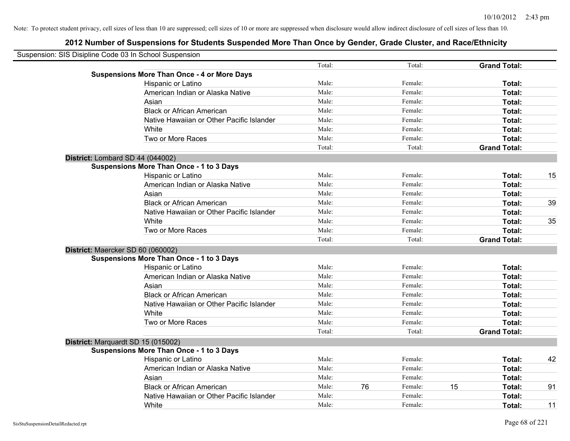| Suspension: SIS Disipline Code 03 In School Suspension |        |    |         |    |                     |    |
|--------------------------------------------------------|--------|----|---------|----|---------------------|----|
|                                                        | Total: |    | Total:  |    | <b>Grand Total:</b> |    |
| <b>Suspensions More Than Once - 4 or More Days</b>     |        |    |         |    |                     |    |
| Hispanic or Latino                                     | Male:  |    | Female: |    | Total:              |    |
| American Indian or Alaska Native                       | Male:  |    | Female: |    | Total:              |    |
| Asian                                                  | Male:  |    | Female: |    | Total:              |    |
| <b>Black or African American</b>                       | Male:  |    | Female: |    | Total:              |    |
| Native Hawaiian or Other Pacific Islander              | Male:  |    | Female: |    | Total:              |    |
| White                                                  | Male:  |    | Female: |    | Total:              |    |
| Two or More Races                                      | Male:  |    | Female: |    | Total:              |    |
|                                                        | Total: |    | Total:  |    | <b>Grand Total:</b> |    |
| District: Lombard SD 44 (044002)                       |        |    |         |    |                     |    |
| <b>Suspensions More Than Once - 1 to 3 Days</b>        |        |    |         |    |                     |    |
| Hispanic or Latino                                     | Male:  |    | Female: |    | Total:              | 15 |
| American Indian or Alaska Native                       | Male:  |    | Female: |    | Total:              |    |
| Asian                                                  | Male:  |    | Female: |    | Total:              |    |
| <b>Black or African American</b>                       | Male:  |    | Female: |    | Total:              | 39 |
| Native Hawaiian or Other Pacific Islander              | Male:  |    | Female: |    | Total:              |    |
| White                                                  | Male:  |    | Female: |    | Total:              | 35 |
| Two or More Races                                      | Male:  |    | Female: |    | Total:              |    |
|                                                        | Total: |    | Total:  |    | <b>Grand Total:</b> |    |
| District: Maercker SD 60 (060002)                      |        |    |         |    |                     |    |
| <b>Suspensions More Than Once - 1 to 3 Days</b>        |        |    |         |    |                     |    |
| Hispanic or Latino                                     | Male:  |    | Female: |    | Total:              |    |
| American Indian or Alaska Native                       | Male:  |    | Female: |    | Total:              |    |
| Asian                                                  | Male:  |    | Female: |    | Total:              |    |
| <b>Black or African American</b>                       | Male:  |    | Female: |    | Total:              |    |
| Native Hawaiian or Other Pacific Islander              | Male:  |    | Female: |    | Total:              |    |
| White                                                  | Male:  |    | Female: |    | Total:              |    |
| Two or More Races                                      | Male:  |    | Female: |    | Total:              |    |
|                                                        | Total: |    | Total:  |    | <b>Grand Total:</b> |    |
| District: Marquardt SD 15 (015002)                     |        |    |         |    |                     |    |
| <b>Suspensions More Than Once - 1 to 3 Days</b>        |        |    |         |    |                     |    |
| Hispanic or Latino                                     | Male:  |    | Female: |    | Total:              | 42 |
| American Indian or Alaska Native                       | Male:  |    | Female: |    | Total:              |    |
| Asian                                                  | Male:  |    | Female: |    | Total:              |    |
| <b>Black or African American</b>                       | Male:  | 76 | Female: | 15 | Total:              | 91 |
| Native Hawaiian or Other Pacific Islander              | Male:  |    | Female: |    | Total:              |    |
| White                                                  | Male:  |    | Female: |    | Total:              | 11 |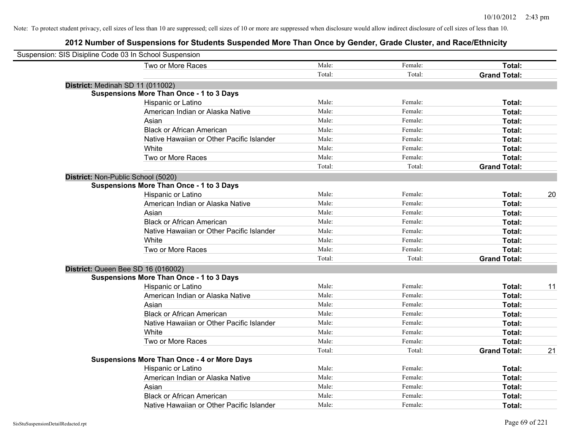| Suspension: SIS Disipline Code 03 In School Suspension |                                                    |        |         |                     |    |
|--------------------------------------------------------|----------------------------------------------------|--------|---------|---------------------|----|
|                                                        |                                                    |        |         |                     |    |
|                                                        | Two or More Races                                  | Male:  | Female: | Total:              |    |
|                                                        |                                                    | Total: | Total:  | <b>Grand Total:</b> |    |
|                                                        | District: Medinah SD 11 (011002)                   |        |         |                     |    |
|                                                        | <b>Suspensions More Than Once - 1 to 3 Days</b>    |        |         |                     |    |
|                                                        | Hispanic or Latino                                 | Male:  | Female: | Total:              |    |
|                                                        | American Indian or Alaska Native                   | Male:  | Female: | Total:              |    |
|                                                        | Asian                                              | Male:  | Female: | Total:              |    |
|                                                        | <b>Black or African American</b>                   | Male:  | Female: | Total:              |    |
|                                                        | Native Hawaiian or Other Pacific Islander          | Male:  | Female: | Total:              |    |
|                                                        | White                                              | Male:  | Female: | Total:              |    |
|                                                        | Two or More Races                                  | Male:  | Female: | Total:              |    |
|                                                        |                                                    | Total: | Total:  | <b>Grand Total:</b> |    |
|                                                        | District: Non-Public School (5020)                 |        |         |                     |    |
|                                                        | <b>Suspensions More Than Once - 1 to 3 Days</b>    |        |         |                     |    |
|                                                        | Hispanic or Latino                                 | Male:  | Female: | Total:              | 20 |
|                                                        | American Indian or Alaska Native                   | Male:  | Female: | Total:              |    |
|                                                        | Asian                                              | Male:  | Female: | Total:              |    |
|                                                        | <b>Black or African American</b>                   | Male:  | Female: | Total:              |    |
|                                                        | Native Hawaiian or Other Pacific Islander          | Male:  | Female: | Total:              |    |
|                                                        | White                                              | Male:  | Female: | Total:              |    |
|                                                        | Two or More Races                                  | Male:  | Female: | Total:              |    |
|                                                        |                                                    | Total: | Total:  | <b>Grand Total:</b> |    |
|                                                        | District: Queen Bee SD 16 (016002)                 |        |         |                     |    |
|                                                        | <b>Suspensions More Than Once - 1 to 3 Days</b>    |        |         |                     |    |
|                                                        | Hispanic or Latino                                 | Male:  | Female: | Total:              | 11 |
|                                                        | American Indian or Alaska Native                   | Male:  | Female: | Total:              |    |
|                                                        | Asian                                              | Male:  | Female: | Total:              |    |
|                                                        | <b>Black or African American</b>                   | Male:  | Female: | Total:              |    |
|                                                        | Native Hawaiian or Other Pacific Islander          | Male:  | Female: | Total:              |    |
|                                                        | White                                              | Male:  | Female: | Total:              |    |
|                                                        | Two or More Races                                  | Male:  | Female: | Total:              |    |
|                                                        |                                                    | Total: | Total:  | <b>Grand Total:</b> | 21 |
|                                                        | <b>Suspensions More Than Once - 4 or More Days</b> |        |         |                     |    |
|                                                        | Hispanic or Latino                                 | Male:  | Female: | Total:              |    |
|                                                        | American Indian or Alaska Native                   | Male:  | Female: | Total:              |    |
|                                                        | Asian                                              | Male:  | Female: | Total:              |    |
|                                                        | <b>Black or African American</b>                   | Male:  | Female: | Total:              |    |
|                                                        | Native Hawaiian or Other Pacific Islander          | Male:  | Female: | Total:              |    |
|                                                        |                                                    |        |         |                     |    |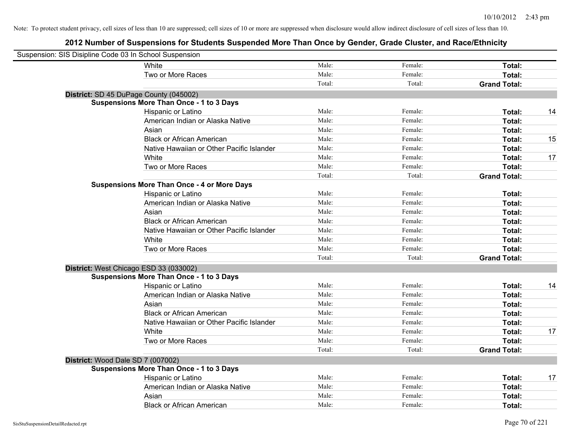| Suspension: SIS Disipline Code 03 In School Suspension |                                                    |        |         |                     |    |
|--------------------------------------------------------|----------------------------------------------------|--------|---------|---------------------|----|
|                                                        | White                                              | Male:  | Female: | Total:              |    |
|                                                        | Two or More Races                                  | Male:  | Female: | Total:              |    |
|                                                        |                                                    | Total: | Total:  | <b>Grand Total:</b> |    |
|                                                        | District: SD 45 DuPage County (045002)             |        |         |                     |    |
|                                                        | <b>Suspensions More Than Once - 1 to 3 Days</b>    |        |         |                     |    |
|                                                        | Hispanic or Latino                                 | Male:  | Female: | Total:              | 14 |
|                                                        | American Indian or Alaska Native                   | Male:  | Female: | Total:              |    |
|                                                        | Asian                                              | Male:  | Female: | Total:              |    |
|                                                        | <b>Black or African American</b>                   | Male:  | Female: | Total:              | 15 |
|                                                        | Native Hawaiian or Other Pacific Islander          | Male:  | Female: | Total:              |    |
|                                                        | White                                              | Male:  | Female: | Total:              | 17 |
|                                                        | Two or More Races                                  | Male:  | Female: | Total:              |    |
|                                                        |                                                    | Total: | Total:  | <b>Grand Total:</b> |    |
|                                                        | <b>Suspensions More Than Once - 4 or More Days</b> |        |         |                     |    |
|                                                        | Hispanic or Latino                                 | Male:  | Female: | Total:              |    |
|                                                        | American Indian or Alaska Native                   | Male:  | Female: | Total:              |    |
|                                                        | Asian                                              | Male:  | Female: | Total:              |    |
|                                                        | <b>Black or African American</b>                   | Male:  | Female: | Total:              |    |
|                                                        | Native Hawaiian or Other Pacific Islander          | Male:  | Female: | Total:              |    |
|                                                        | White                                              | Male:  | Female: | Total:              |    |
|                                                        | Two or More Races                                  | Male:  | Female: | Total:              |    |
|                                                        |                                                    | Total: | Total:  | <b>Grand Total:</b> |    |
|                                                        | District: West Chicago ESD 33 (033002)             |        |         |                     |    |
|                                                        | <b>Suspensions More Than Once - 1 to 3 Days</b>    |        |         |                     |    |
|                                                        | Hispanic or Latino                                 | Male:  | Female: | Total:              | 14 |
|                                                        | American Indian or Alaska Native                   | Male:  | Female: | Total:              |    |
|                                                        | Asian                                              | Male:  | Female: | Total:              |    |
|                                                        | <b>Black or African American</b>                   | Male:  | Female: | Total:              |    |
|                                                        | Native Hawaiian or Other Pacific Islander          | Male:  | Female: | Total:              |    |
|                                                        | White                                              | Male:  | Female: | Total:              | 17 |
|                                                        | Two or More Races                                  | Male:  | Female: | Total:              |    |
|                                                        |                                                    | Total: | Total:  | <b>Grand Total:</b> |    |
| District: Wood Dale SD 7 (007002)                      |                                                    |        |         |                     |    |
|                                                        | <b>Suspensions More Than Once - 1 to 3 Days</b>    |        |         |                     |    |
|                                                        | Hispanic or Latino                                 | Male:  | Female: | Total:              | 17 |
|                                                        | American Indian or Alaska Native                   | Male:  | Female: | Total:              |    |
|                                                        | Asian                                              | Male:  | Female: | Total:              |    |
|                                                        | <b>Black or African American</b>                   | Male:  | Female: | Total:              |    |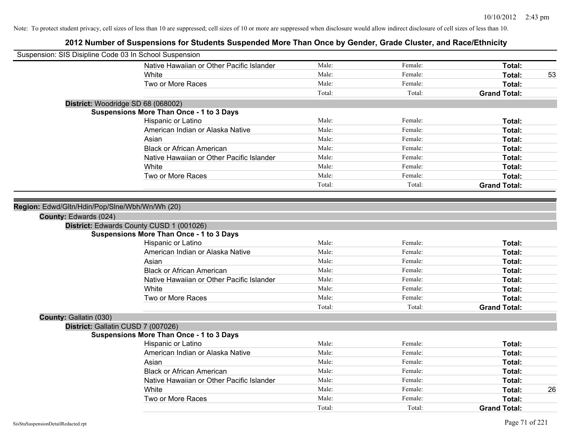| Suspension: SIS Disipline Code 03 In School Suspension |                                                 |        |         |                     |    |
|--------------------------------------------------------|-------------------------------------------------|--------|---------|---------------------|----|
|                                                        | Native Hawaiian or Other Pacific Islander       | Male:  | Female: | Total:              |    |
|                                                        | <b>White</b>                                    | Male:  | Female: | Total:              | 53 |
|                                                        | Two or More Races                               | Male:  | Female: | Total:              |    |
|                                                        |                                                 | Total: | Total:  | <b>Grand Total:</b> |    |
| District: Woodridge SD 68 (068002)                     |                                                 |        |         |                     |    |
|                                                        | <b>Suspensions More Than Once - 1 to 3 Days</b> |        |         |                     |    |
|                                                        | Hispanic or Latino                              | Male:  | Female: | Total:              |    |
|                                                        | American Indian or Alaska Native                | Male:  | Female: | Total:              |    |
|                                                        | Asian                                           | Male:  | Female: | Total:              |    |
|                                                        | <b>Black or African American</b>                | Male:  | Female: | Total:              |    |
|                                                        | Native Hawaiian or Other Pacific Islander       | Male:  | Female: | Total:              |    |
|                                                        | White                                           | Male:  | Female: | Total:              |    |
|                                                        | Two or More Races                               | Male:  | Female: | Total:              |    |
|                                                        |                                                 | Total: | Total:  | <b>Grand Total:</b> |    |
|                                                        |                                                 |        |         |                     |    |
| Region: Edwd/Gltn/Hdin/Pop/Slne/Wbh/Wn/Wh (20)         |                                                 |        |         |                     |    |
| County: Edwards (024)                                  |                                                 |        |         |                     |    |
|                                                        | District: Edwards County CUSD 1 (001026)        |        |         |                     |    |
|                                                        | <b>Suspensions More Than Once - 1 to 3 Days</b> |        |         |                     |    |
|                                                        | Hispanic or Latino                              | Male:  | Female: | Total:              |    |
|                                                        | American Indian or Alaska Native                | Male:  | Female: | Total:              |    |
|                                                        | Asian                                           | Male:  | Female: | Total:              |    |
|                                                        | <b>Black or African American</b>                | Male:  | Female: | Total:              |    |
|                                                        | Native Hawaiian or Other Pacific Islander       | Male:  | Female: | Total:              |    |
|                                                        | White                                           | Male:  | Female: | Total:              |    |
|                                                        | Two or More Races                               | Male:  | Female: | Total:              |    |
|                                                        |                                                 | Total: | Total:  | <b>Grand Total:</b> |    |
| County: Gallatin (030)                                 |                                                 |        |         |                     |    |
| District: Gallatin CUSD 7 (007026)                     |                                                 |        |         |                     |    |
|                                                        | <b>Suspensions More Than Once - 1 to 3 Days</b> |        |         |                     |    |
|                                                        | Hispanic or Latino                              | Male:  | Female: | Total:              |    |
|                                                        | American Indian or Alaska Native                | Male:  | Female: | Total:              |    |
|                                                        | Asian                                           | Male:  | Female: | Total:              |    |
|                                                        | <b>Black or African American</b>                | Male:  | Female: | Total:              |    |
|                                                        | Native Hawaiian or Other Pacific Islander       | Male:  | Female: | Total:              |    |
|                                                        | White                                           | Male:  | Female: | Total:              | 26 |
|                                                        | Two or More Races                               | Male:  | Female: | <b>Total:</b>       |    |
|                                                        |                                                 | Total: | Total:  | <b>Grand Total:</b> |    |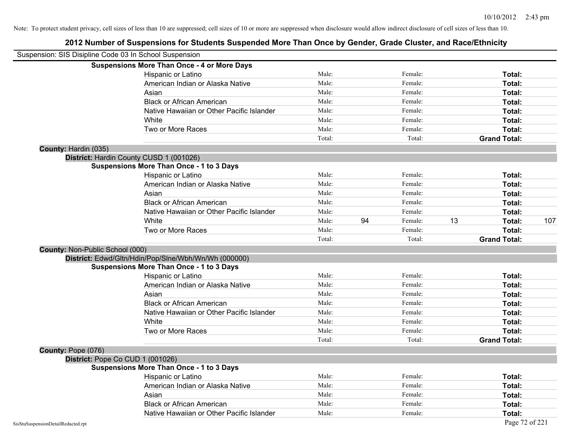|                                    | Suspension: SIS Disipline Code 03 In School Suspension |        |    |         |    |                     |     |
|------------------------------------|--------------------------------------------------------|--------|----|---------|----|---------------------|-----|
|                                    | <b>Suspensions More Than Once - 4 or More Days</b>     |        |    |         |    |                     |     |
|                                    | Hispanic or Latino                                     | Male:  |    | Female: |    | Total:              |     |
|                                    | American Indian or Alaska Native                       | Male:  |    | Female: |    | Total:              |     |
|                                    | Asian                                                  | Male:  |    | Female: |    | Total:              |     |
|                                    | <b>Black or African American</b>                       | Male:  |    | Female: |    | Total:              |     |
|                                    | Native Hawaiian or Other Pacific Islander              | Male:  |    | Female: |    | Total:              |     |
|                                    | White                                                  | Male:  |    | Female: |    | Total:              |     |
|                                    | Two or More Races                                      | Male:  |    | Female: |    | Total:              |     |
|                                    |                                                        | Total: |    | Total:  |    | <b>Grand Total:</b> |     |
| County: Hardin (035)               |                                                        |        |    |         |    |                     |     |
|                                    | District: Hardin County CUSD 1 (001026)                |        |    |         |    |                     |     |
|                                    | <b>Suspensions More Than Once - 1 to 3 Days</b>        |        |    |         |    |                     |     |
|                                    | Hispanic or Latino                                     | Male:  |    | Female: |    | Total:              |     |
|                                    | American Indian or Alaska Native                       | Male:  |    | Female: |    | Total:              |     |
|                                    | Asian                                                  | Male:  |    | Female: |    | Total:              |     |
|                                    | <b>Black or African American</b>                       | Male:  |    | Female: |    | Total:              |     |
|                                    | Native Hawaiian or Other Pacific Islander              | Male:  |    | Female: |    | Total:              |     |
|                                    | White                                                  | Male:  | 94 | Female: | 13 | Total:              | 107 |
|                                    | Two or More Races                                      | Male:  |    | Female: |    | Total:              |     |
|                                    |                                                        | Total: |    | Total:  |    | <b>Grand Total:</b> |     |
| County: Non-Public School (000)    |                                                        |        |    |         |    |                     |     |
|                                    | District: Edwd/Gltn/Hdin/Pop/Slne/Wbh/Wn/Wh (000000)   |        |    |         |    |                     |     |
|                                    | <b>Suspensions More Than Once - 1 to 3 Days</b>        |        |    |         |    |                     |     |
|                                    | Hispanic or Latino                                     | Male:  |    | Female: |    | Total:              |     |
|                                    | American Indian or Alaska Native                       | Male:  |    | Female: |    | Total:              |     |
|                                    | Asian                                                  | Male:  |    | Female: |    | Total:              |     |
|                                    | <b>Black or African American</b>                       | Male:  |    | Female: |    | Total:              |     |
|                                    | Native Hawaiian or Other Pacific Islander              | Male:  |    | Female: |    | Total:              |     |
|                                    | White                                                  | Male:  |    | Female: |    | Total:              |     |
|                                    | Two or More Races                                      | Male:  |    | Female: |    | Total:              |     |
|                                    |                                                        | Total: |    | Total:  |    | <b>Grand Total:</b> |     |
| County: Pope (076)                 |                                                        |        |    |         |    |                     |     |
|                                    | District: Pope Co CUD 1 (001026)                       |        |    |         |    |                     |     |
|                                    | <b>Suspensions More Than Once - 1 to 3 Days</b>        |        |    |         |    |                     |     |
|                                    | Hispanic or Latino                                     | Male:  |    | Female: |    | Total:              |     |
|                                    | American Indian or Alaska Native                       | Male:  |    | Female: |    | Total:              |     |
|                                    | Asian                                                  | Male:  |    | Female: |    | Total:              |     |
|                                    | <b>Black or African American</b>                       | Male:  |    | Female: |    | Total:              |     |
|                                    | Native Hawaiian or Other Pacific Islander              | Male:  |    | Female: |    | Total:              |     |
| SisStuSuspensionDetailRedacted.rpt |                                                        |        |    |         |    | Page 72 of 221      |     |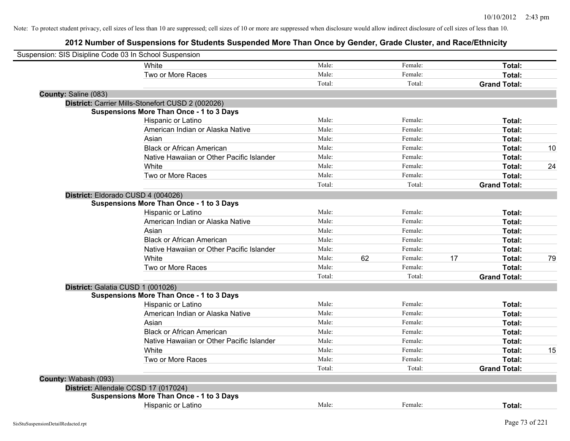|                      | Suspension: SIS Disipline Code 03 In School Suspension |        |    |         |    |                     |    |
|----------------------|--------------------------------------------------------|--------|----|---------|----|---------------------|----|
|                      | White                                                  | Male:  |    | Female: |    | Total:              |    |
|                      | Two or More Races                                      | Male:  |    | Female: |    | Total:              |    |
|                      |                                                        | Total: |    | Total:  |    | <b>Grand Total:</b> |    |
| County: Saline (083) |                                                        |        |    |         |    |                     |    |
|                      | District: Carrier Mills-Stonefort CUSD 2 (002026)      |        |    |         |    |                     |    |
|                      | <b>Suspensions More Than Once - 1 to 3 Days</b>        |        |    |         |    |                     |    |
|                      | Hispanic or Latino                                     | Male:  |    | Female: |    | Total:              |    |
|                      | American Indian or Alaska Native                       | Male:  |    | Female: |    | Total:              |    |
|                      | Asian                                                  | Male:  |    | Female: |    | Total:              |    |
|                      | <b>Black or African American</b>                       | Male:  |    | Female: |    | Total:              | 10 |
|                      | Native Hawaiian or Other Pacific Islander              | Male:  |    | Female: |    | Total:              |    |
|                      | White                                                  | Male:  |    | Female: |    | Total:              | 24 |
|                      | Two or More Races                                      | Male:  |    | Female: |    | Total:              |    |
|                      |                                                        | Total: |    | Total:  |    | <b>Grand Total:</b> |    |
|                      | District: Eldorado CUSD 4 (004026)                     |        |    |         |    |                     |    |
|                      | <b>Suspensions More Than Once - 1 to 3 Days</b>        |        |    |         |    |                     |    |
|                      | Hispanic or Latino                                     | Male:  |    | Female: |    | Total:              |    |
|                      | American Indian or Alaska Native                       | Male:  |    | Female: |    | Total:              |    |
|                      | Asian                                                  | Male:  |    | Female: |    | Total:              |    |
|                      | <b>Black or African American</b>                       | Male:  |    | Female: |    | Total:              |    |
|                      | Native Hawaiian or Other Pacific Islander              | Male:  |    | Female: |    | Total:              |    |
|                      | White                                                  | Male:  | 62 | Female: | 17 | Total:              | 79 |
|                      | Two or More Races                                      | Male:  |    | Female: |    | Total:              |    |
|                      |                                                        | Total: |    | Total:  |    | <b>Grand Total:</b> |    |
|                      | District: Galatia CUSD 1 (001026)                      |        |    |         |    |                     |    |
|                      | <b>Suspensions More Than Once - 1 to 3 Days</b>        |        |    |         |    |                     |    |
|                      | Hispanic or Latino                                     | Male:  |    | Female: |    | Total:              |    |
|                      | American Indian or Alaska Native                       | Male:  |    | Female: |    | Total:              |    |
|                      | Asian                                                  | Male:  |    | Female: |    | Total:              |    |
|                      | <b>Black or African American</b>                       | Male:  |    | Female: |    | Total:              |    |
|                      | Native Hawaiian or Other Pacific Islander              | Male:  |    | Female: |    | Total:              |    |
|                      | White                                                  | Male:  |    | Female: |    | <b>Total:</b>       | 15 |
|                      | Two or More Races                                      | Male:  |    | Female: |    | Total:              |    |
|                      |                                                        | Total: |    | Total:  |    | <b>Grand Total:</b> |    |
| County: Wabash (093) |                                                        |        |    |         |    |                     |    |
|                      | District: Allendale CCSD 17 (017024)                   |        |    |         |    |                     |    |
|                      | <b>Suspensions More Than Once - 1 to 3 Days</b>        |        |    |         |    |                     |    |
|                      | Hispanic or Latino                                     | Male:  |    | Female: |    | Total:              |    |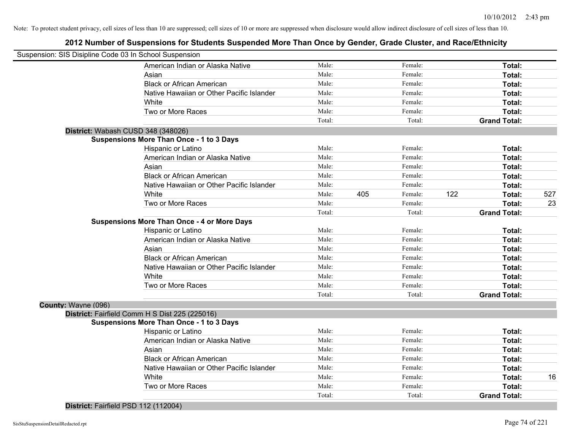# **2012 Number of Suspensions for Students Suspended More Than Once by Gender, Grade Cluster, and Race/Ethnicity**

| Suspension: SIS Disipline Code 03 In School Suspension |                                                    |        |     |         |     |                     |     |
|--------------------------------------------------------|----------------------------------------------------|--------|-----|---------|-----|---------------------|-----|
|                                                        | American Indian or Alaska Native                   | Male:  |     | Female: |     | Total:              |     |
|                                                        | Asian                                              | Male:  |     | Female: |     | Total:              |     |
|                                                        | <b>Black or African American</b>                   | Male:  |     | Female: |     | Total:              |     |
|                                                        | Native Hawaiian or Other Pacific Islander          | Male:  |     | Female: |     | Total:              |     |
|                                                        | White                                              | Male:  |     | Female: |     | Total:              |     |
|                                                        | Two or More Races                                  | Male:  |     | Female: |     | Total:              |     |
|                                                        |                                                    | Total: |     | Total:  |     | <b>Grand Total:</b> |     |
|                                                        | District: Wabash CUSD 348 (348026)                 |        |     |         |     |                     |     |
|                                                        | <b>Suspensions More Than Once - 1 to 3 Days</b>    |        |     |         |     |                     |     |
|                                                        | Hispanic or Latino                                 | Male:  |     | Female: |     | Total:              |     |
|                                                        | American Indian or Alaska Native                   | Male:  |     | Female: |     | Total:              |     |
|                                                        | Asian                                              | Male:  |     | Female: |     | Total:              |     |
|                                                        | <b>Black or African American</b>                   | Male:  |     | Female: |     | Total:              |     |
|                                                        | Native Hawaiian or Other Pacific Islander          | Male:  |     | Female: |     | <b>Total:</b>       |     |
|                                                        | White                                              | Male:  | 405 | Female: | 122 | Total:              | 527 |
|                                                        | Two or More Races                                  | Male:  |     | Female: |     | <b>Total:</b>       | 23  |
|                                                        |                                                    | Total: |     | Total:  |     | <b>Grand Total:</b> |     |
|                                                        | <b>Suspensions More Than Once - 4 or More Days</b> |        |     |         |     |                     |     |
|                                                        | Hispanic or Latino                                 | Male:  |     | Female: |     | Total:              |     |
|                                                        | American Indian or Alaska Native                   | Male:  |     | Female: |     | Total:              |     |
|                                                        | Asian                                              | Male:  |     | Female: |     | Total:              |     |
|                                                        | <b>Black or African American</b>                   | Male:  |     | Female: |     | Total:              |     |
|                                                        | Native Hawaiian or Other Pacific Islander          | Male:  |     | Female: |     | Total:              |     |
|                                                        | White                                              | Male:  |     | Female: |     | Total:              |     |
|                                                        | Two or More Races                                  | Male:  |     | Female: |     | Total:              |     |
|                                                        |                                                    | Total: |     | Total:  |     | <b>Grand Total:</b> |     |
| County: Wayne (096)                                    |                                                    |        |     |         |     |                     |     |
|                                                        | District: Fairfield Comm H S Dist 225 (225016)     |        |     |         |     |                     |     |
|                                                        | <b>Suspensions More Than Once - 1 to 3 Days</b>    |        |     |         |     |                     |     |
|                                                        | Hispanic or Latino                                 | Male:  |     | Female: |     | Total:              |     |
|                                                        | American Indian or Alaska Native                   | Male:  |     | Female: |     | Total:              |     |
|                                                        | Asian                                              | Male:  |     | Female: |     | Total:              |     |
|                                                        | <b>Black or African American</b>                   | Male:  |     | Female: |     | Total:              |     |
|                                                        | Native Hawaiian or Other Pacific Islander          | Male:  |     | Female: |     | Total:              |     |
|                                                        | White                                              | Male:  |     | Female: |     | Total:              | 16  |
|                                                        | Two or More Races                                  | Male:  |     | Female: |     | Total:              |     |
|                                                        |                                                    | Total: |     | Total:  |     | <b>Grand Total:</b> |     |
|                                                        |                                                    |        |     |         |     |                     |     |

**District:** Fairfield PSD 112 (112004)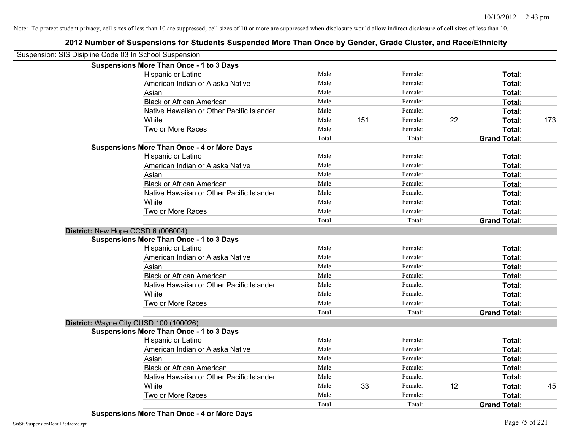| Suspension: SIS Disipline Code 03 In School Suspension |                                                    |        |     |         |    |                     |     |
|--------------------------------------------------------|----------------------------------------------------|--------|-----|---------|----|---------------------|-----|
|                                                        | <b>Suspensions More Than Once - 1 to 3 Days</b>    |        |     |         |    |                     |     |
|                                                        | Hispanic or Latino                                 | Male:  |     | Female: |    | Total:              |     |
|                                                        | American Indian or Alaska Native                   | Male:  |     | Female: |    | Total:              |     |
|                                                        | Asian                                              | Male:  |     | Female: |    | Total:              |     |
|                                                        | <b>Black or African American</b>                   | Male:  |     | Female: |    | Total:              |     |
|                                                        | Native Hawaiian or Other Pacific Islander          | Male:  |     | Female: |    | Total:              |     |
|                                                        | White                                              | Male:  | 151 | Female: | 22 | Total:              | 173 |
|                                                        | Two or More Races                                  | Male:  |     | Female: |    | Total:              |     |
|                                                        |                                                    | Total: |     | Total:  |    | <b>Grand Total:</b> |     |
|                                                        | <b>Suspensions More Than Once - 4 or More Days</b> |        |     |         |    |                     |     |
|                                                        | Hispanic or Latino                                 | Male:  |     | Female: |    | Total:              |     |
|                                                        | American Indian or Alaska Native                   | Male:  |     | Female: |    | Total:              |     |
|                                                        | Asian                                              | Male:  |     | Female: |    | Total:              |     |
|                                                        | <b>Black or African American</b>                   | Male:  |     | Female: |    | Total:              |     |
|                                                        | Native Hawaiian or Other Pacific Islander          | Male:  |     | Female: |    | Total:              |     |
|                                                        | White                                              | Male:  |     | Female: |    | Total:              |     |
|                                                        | Two or More Races                                  | Male:  |     | Female: |    | Total:              |     |
|                                                        |                                                    | Total: |     | Total:  |    | <b>Grand Total:</b> |     |
| District: New Hope CCSD 6 (006004)                     |                                                    |        |     |         |    |                     |     |
|                                                        | <b>Suspensions More Than Once - 1 to 3 Days</b>    |        |     |         |    |                     |     |
|                                                        | Hispanic or Latino                                 | Male:  |     | Female: |    | Total:              |     |
|                                                        | American Indian or Alaska Native                   | Male:  |     | Female: |    | Total:              |     |
|                                                        | Asian                                              | Male:  |     | Female: |    | Total:              |     |
|                                                        | <b>Black or African American</b>                   | Male:  |     | Female: |    | Total:              |     |
|                                                        | Native Hawaiian or Other Pacific Islander          | Male:  |     | Female: |    | Total:              |     |
|                                                        | White                                              | Male:  |     | Female: |    | Total:              |     |
|                                                        | Two or More Races                                  | Male:  |     | Female: |    | Total:              |     |
|                                                        |                                                    | Total: |     | Total:  |    | <b>Grand Total:</b> |     |
|                                                        | District: Wayne City CUSD 100 (100026)             |        |     |         |    |                     |     |
|                                                        | <b>Suspensions More Than Once - 1 to 3 Days</b>    |        |     |         |    |                     |     |
|                                                        | Hispanic or Latino                                 | Male:  |     | Female: |    | Total:              |     |
|                                                        | American Indian or Alaska Native                   | Male:  |     | Female: |    | Total:              |     |
|                                                        | Asian                                              | Male:  |     | Female: |    | Total:              |     |
|                                                        | <b>Black or African American</b>                   | Male:  |     | Female: |    | Total:              |     |
|                                                        | Native Hawaiian or Other Pacific Islander          | Male:  |     | Female: |    | Total:              |     |
|                                                        | White                                              | Male:  | 33  | Female: | 12 | Total:              | 45  |
|                                                        | Two or More Races                                  | Male:  |     | Female: |    | Total:              |     |
|                                                        |                                                    | Total: |     | Total:  |    | <b>Grand Total:</b> |     |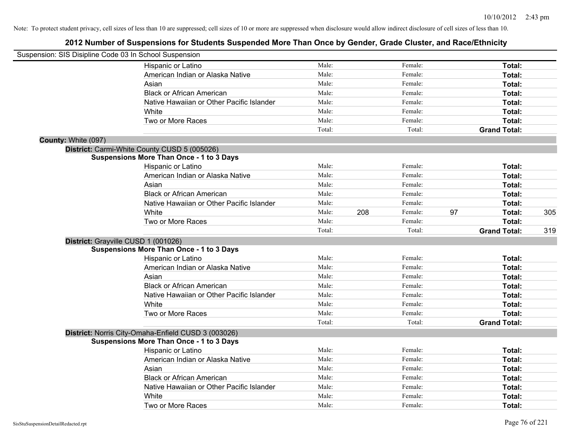| Suspension: SIS Disipline Code 03 In School Suspension |                                                     |        |     |         |    |                     |     |
|--------------------------------------------------------|-----------------------------------------------------|--------|-----|---------|----|---------------------|-----|
|                                                        | Hispanic or Latino                                  | Male:  |     | Female: |    | Total:              |     |
|                                                        | American Indian or Alaska Native                    | Male:  |     | Female: |    | Total:              |     |
|                                                        | Asian                                               | Male:  |     | Female: |    | Total:              |     |
|                                                        | <b>Black or African American</b>                    | Male:  |     | Female: |    | Total:              |     |
|                                                        | Native Hawaiian or Other Pacific Islander           | Male:  |     | Female: |    | Total:              |     |
|                                                        | White                                               | Male:  |     | Female: |    | Total:              |     |
|                                                        | Two or More Races                                   | Male:  |     | Female: |    | Total:              |     |
|                                                        |                                                     | Total: |     | Total:  |    | <b>Grand Total:</b> |     |
| County: White (097)                                    |                                                     |        |     |         |    |                     |     |
|                                                        | District: Carmi-White County CUSD 5 (005026)        |        |     |         |    |                     |     |
|                                                        | <b>Suspensions More Than Once - 1 to 3 Days</b>     |        |     |         |    |                     |     |
|                                                        | Hispanic or Latino                                  | Male:  |     | Female: |    | Total:              |     |
|                                                        | American Indian or Alaska Native                    | Male:  |     | Female: |    | Total:              |     |
|                                                        | Asian                                               | Male:  |     | Female: |    | Total:              |     |
|                                                        | <b>Black or African American</b>                    | Male:  |     | Female: |    | Total:              |     |
|                                                        | Native Hawaiian or Other Pacific Islander           | Male:  |     | Female: |    | Total:              |     |
|                                                        | White                                               | Male:  | 208 | Female: | 97 | Total:              | 305 |
|                                                        | Two or More Races                                   | Male:  |     | Female: |    | <b>Total:</b>       |     |
|                                                        |                                                     | Total: |     | Total:  |    | <b>Grand Total:</b> | 319 |
|                                                        | District: Grayville CUSD 1 (001026)                 |        |     |         |    |                     |     |
|                                                        | <b>Suspensions More Than Once - 1 to 3 Days</b>     |        |     |         |    |                     |     |
|                                                        | Hispanic or Latino                                  | Male:  |     | Female: |    | Total:              |     |
|                                                        | American Indian or Alaska Native                    | Male:  |     | Female: |    | Total:              |     |
|                                                        | Asian                                               | Male:  |     | Female: |    | Total:              |     |
|                                                        | <b>Black or African American</b>                    | Male:  |     | Female: |    | Total:              |     |
|                                                        | Native Hawaiian or Other Pacific Islander           | Male:  |     | Female: |    | Total:              |     |
|                                                        | White                                               | Male:  |     | Female: |    | Total:              |     |
|                                                        | Two or More Races                                   | Male:  |     | Female: |    | <b>Total:</b>       |     |
|                                                        |                                                     | Total: |     | Total:  |    | <b>Grand Total:</b> |     |
|                                                        | District: Norris City-Omaha-Enfield CUSD 3 (003026) |        |     |         |    |                     |     |
|                                                        | <b>Suspensions More Than Once - 1 to 3 Days</b>     |        |     |         |    |                     |     |
|                                                        | Hispanic or Latino                                  | Male:  |     | Female: |    | Total:              |     |
|                                                        | American Indian or Alaska Native                    | Male:  |     | Female: |    | Total:              |     |
|                                                        | Asian                                               | Male:  |     | Female: |    | Total:              |     |
|                                                        | <b>Black or African American</b>                    | Male:  |     | Female: |    | Total:              |     |
|                                                        | Native Hawaiian or Other Pacific Islander           | Male:  |     | Female: |    | Total:              |     |
|                                                        | White                                               | Male:  |     | Female: |    | <b>Total:</b>       |     |
|                                                        | Two or More Races                                   | Male:  |     | Female: |    | Total:              |     |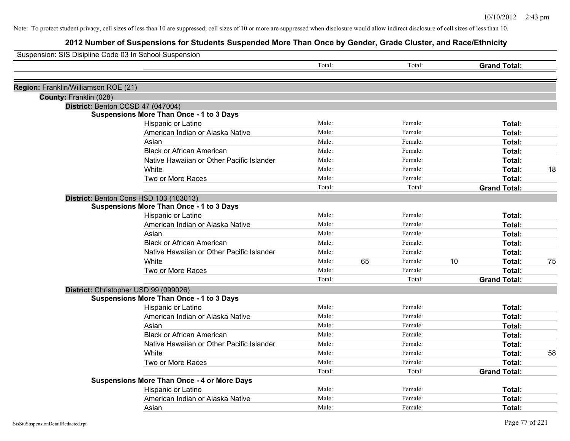| Suspension: SIS Disipline Code 03 In School Suspension |                                                    |        |    |         |    |                     |    |
|--------------------------------------------------------|----------------------------------------------------|--------|----|---------|----|---------------------|----|
|                                                        |                                                    | Total: |    | Total:  |    | <b>Grand Total:</b> |    |
| Region: Franklin/Williamson ROE (21)                   |                                                    |        |    |         |    |                     |    |
| County: Franklin (028)                                 |                                                    |        |    |         |    |                     |    |
|                                                        | District: Benton CCSD 47 (047004)                  |        |    |         |    |                     |    |
|                                                        | <b>Suspensions More Than Once - 1 to 3 Days</b>    |        |    |         |    |                     |    |
|                                                        | Hispanic or Latino                                 | Male:  |    | Female: |    | Total:              |    |
|                                                        | American Indian or Alaska Native                   | Male:  |    | Female: |    | Total:              |    |
|                                                        | Asian                                              | Male:  |    | Female: |    | Total:              |    |
|                                                        | <b>Black or African American</b>                   | Male:  |    | Female: |    | Total:              |    |
|                                                        | Native Hawaiian or Other Pacific Islander          | Male:  |    | Female: |    | Total:              |    |
|                                                        | White                                              | Male:  |    | Female: |    | Total:              | 18 |
|                                                        | Two or More Races                                  | Male:  |    | Female: |    | Total:              |    |
|                                                        |                                                    | Total: |    | Total:  |    | <b>Grand Total:</b> |    |
|                                                        | District: Benton Cons HSD 103 (103013)             |        |    |         |    |                     |    |
|                                                        | <b>Suspensions More Than Once - 1 to 3 Days</b>    |        |    |         |    |                     |    |
|                                                        | Hispanic or Latino                                 | Male:  |    | Female: |    | Total:              |    |
|                                                        | American Indian or Alaska Native                   | Male:  |    | Female: |    | Total:              |    |
|                                                        | Asian                                              | Male:  |    | Female: |    | Total:              |    |
|                                                        | <b>Black or African American</b>                   | Male:  |    | Female: |    | Total:              |    |
|                                                        | Native Hawaiian or Other Pacific Islander          | Male:  |    | Female: |    | Total:              |    |
|                                                        | White                                              | Male:  | 65 | Female: | 10 | Total:              | 75 |
|                                                        | Two or More Races                                  | Male:  |    | Female: |    | Total:              |    |
|                                                        |                                                    | Total: |    | Total:  |    | <b>Grand Total:</b> |    |
|                                                        | District: Christopher USD 99 (099026)              |        |    |         |    |                     |    |
|                                                        | <b>Suspensions More Than Once - 1 to 3 Days</b>    |        |    |         |    |                     |    |
|                                                        | Hispanic or Latino                                 | Male:  |    | Female: |    | Total:              |    |
|                                                        | American Indian or Alaska Native                   | Male:  |    | Female: |    | Total:              |    |
|                                                        | Asian                                              | Male:  |    | Female: |    | Total:              |    |
|                                                        | <b>Black or African American</b>                   | Male:  |    | Female: |    | Total:              |    |
|                                                        | Native Hawaiian or Other Pacific Islander          | Male:  |    | Female: |    | Total:              |    |
|                                                        | <b>White</b>                                       | Male:  |    | Female: |    | Total:              | 58 |
|                                                        | Two or More Races                                  | Male:  |    | Female: |    | Total:              |    |
|                                                        |                                                    | Total: |    | Total:  |    | <b>Grand Total:</b> |    |
|                                                        | <b>Suspensions More Than Once - 4 or More Days</b> |        |    |         |    |                     |    |
|                                                        | Hispanic or Latino                                 | Male:  |    | Female: |    | <b>Total:</b>       |    |
|                                                        | American Indian or Alaska Native                   | Male:  |    | Female: |    | <b>Total:</b>       |    |
|                                                        | Asian                                              | Male:  |    | Female: |    | Total:              |    |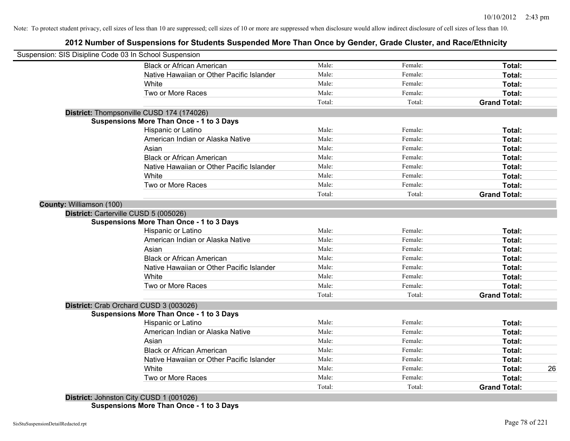# **2012 Number of Suspensions for Students Suspended More Than Once by Gender, Grade Cluster, and Race/Ethnicity**

|                          | Suspension: SIS Disipline Code 03 In School Suspension |        |         |                     |
|--------------------------|--------------------------------------------------------|--------|---------|---------------------|
|                          | <b>Black or African American</b>                       | Male:  | Female: | Total:              |
|                          | Native Hawaiian or Other Pacific Islander              | Male:  | Female: | Total:              |
|                          | White                                                  | Male:  | Female: | Total:              |
|                          | Two or More Races                                      | Male:  | Female: | Total:              |
|                          |                                                        | Total: | Total:  | <b>Grand Total:</b> |
|                          | District: Thompsonville CUSD 174 (174026)              |        |         |                     |
|                          | <b>Suspensions More Than Once - 1 to 3 Days</b>        |        |         |                     |
|                          | Hispanic or Latino                                     | Male:  | Female: | Total:              |
|                          | American Indian or Alaska Native                       | Male:  | Female: | Total:              |
|                          | Asian                                                  | Male:  | Female: | Total:              |
|                          | <b>Black or African American</b>                       | Male:  | Female: | Total:              |
|                          | Native Hawaiian or Other Pacific Islander              | Male:  | Female: | Total:              |
|                          | White                                                  | Male:  | Female: | Total:              |
|                          | Two or More Races                                      | Male:  | Female: | Total:              |
|                          |                                                        | Total: | Total:  | <b>Grand Total:</b> |
| County: Williamson (100) |                                                        |        |         |                     |
|                          | District: Carterville CUSD 5 (005026)                  |        |         |                     |
|                          | <b>Suspensions More Than Once - 1 to 3 Days</b>        |        |         |                     |
|                          | Hispanic or Latino                                     | Male:  | Female: | Total:              |
|                          | American Indian or Alaska Native                       | Male:  | Female: | Total:              |
|                          | Asian                                                  | Male:  | Female: | Total:              |
|                          | <b>Black or African American</b>                       | Male:  | Female: | Total:              |
|                          | Native Hawaiian or Other Pacific Islander              | Male:  | Female: | Total:              |
|                          | White                                                  | Male:  | Female: | Total:              |
|                          | Two or More Races                                      | Male:  | Female: | Total:              |
|                          |                                                        | Total: | Total:  | <b>Grand Total:</b> |
|                          | District: Crab Orchard CUSD 3 (003026)                 |        |         |                     |
|                          | <b>Suspensions More Than Once - 1 to 3 Days</b>        |        |         |                     |
|                          | Hispanic or Latino                                     | Male:  | Female: | Total:              |
|                          | American Indian or Alaska Native                       | Male:  | Female: | Total:              |
|                          | Asian                                                  | Male:  | Female: | Total:              |
|                          | <b>Black or African American</b>                       | Male:  | Female: | Total:              |
|                          | Native Hawaiian or Other Pacific Islander              | Male:  | Female: | Total:              |
|                          | White                                                  | Male:  | Female: | Total:              |
|                          |                                                        |        |         |                     |
|                          | Two or More Races                                      | Male:  | Female: | Total:              |

**Suspensions More Than Once - 1 to 3 Days**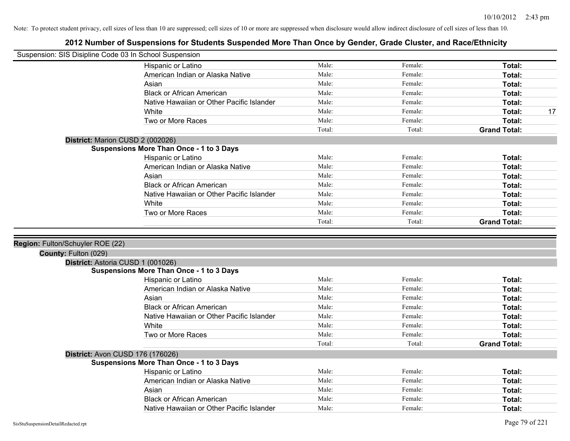| Suspension: SIS Disipline Code 03 In School Suspension |                                                 |        |                    |                     |    |
|--------------------------------------------------------|-------------------------------------------------|--------|--------------------|---------------------|----|
|                                                        | Hispanic or Latino                              | Male:  | Female:            | Total:              |    |
|                                                        | American Indian or Alaska Native                | Male:  | Female:            | Total:              |    |
|                                                        | Asian                                           | Male:  | Female:            | Total:              |    |
|                                                        | <b>Black or African American</b>                | Male:  | Female:            | Total:              |    |
|                                                        | Native Hawaiian or Other Pacific Islander       | Male:  | Female:            | Total:              |    |
|                                                        | White                                           | Male:  | Female:            | Total:              | 17 |
|                                                        | Two or More Races                               | Male:  | Female:            | Total:              |    |
|                                                        |                                                 | Total: | Total:             | <b>Grand Total:</b> |    |
|                                                        | District: Marion CUSD 2 (002026)                |        |                    |                     |    |
|                                                        | <b>Suspensions More Than Once - 1 to 3 Days</b> |        |                    |                     |    |
|                                                        | Hispanic or Latino                              | Male:  | Female:            | Total:              |    |
|                                                        | American Indian or Alaska Native                | Male:  | Female:            | Total:              |    |
|                                                        | Asian                                           | Male:  | Female:            | Total:              |    |
|                                                        | <b>Black or African American</b>                | Male:  | Female:            | Total:              |    |
|                                                        | Native Hawaiian or Other Pacific Islander       | Male:  | Female:            | Total:              |    |
|                                                        | White                                           | Male:  | Female:            | Total:              |    |
|                                                        | Two or More Races                               | Male:  | Female:            | Total:              |    |
|                                                        |                                                 | Total: | Total:             | <b>Grand Total:</b> |    |
|                                                        |                                                 |        |                    |                     |    |
|                                                        |                                                 |        |                    |                     |    |
| Region: Fulton/Schuyler ROE (22)                       |                                                 |        |                    |                     |    |
| County: Fulton (029)                                   |                                                 |        |                    |                     |    |
|                                                        | District: Astoria CUSD 1 (001026)               |        |                    |                     |    |
|                                                        | <b>Suspensions More Than Once - 1 to 3 Days</b> | Male:  | Female:            | Total:              |    |
|                                                        | Hispanic or Latino                              | Male:  | Female:            | Total:              |    |
|                                                        | American Indian or Alaska Native<br>Asian       | Male:  | Female:            |                     |    |
|                                                        | <b>Black or African American</b>                | Male:  |                    | Total:              |    |
|                                                        | Native Hawaiian or Other Pacific Islander       | Male:  | Female:<br>Female: | Total:              |    |
|                                                        | White                                           | Male:  | Female:            | Total:              |    |
|                                                        | Two or More Races                               | Male:  | Female:            | Total:<br>Total:    |    |
|                                                        |                                                 | Total: | Total:             | <b>Grand Total:</b> |    |
|                                                        | District: Avon CUSD 176 (176026)                |        |                    |                     |    |
|                                                        | <b>Suspensions More Than Once - 1 to 3 Days</b> |        |                    |                     |    |
|                                                        | Hispanic or Latino                              | Male:  | Female:            | Total:              |    |
|                                                        | American Indian or Alaska Native                | Male:  | Female:            | Total:              |    |
|                                                        | Asian                                           | Male:  | Female:            | Total:              |    |
|                                                        | <b>Black or African American</b>                | Male:  | Female:            | Total:              |    |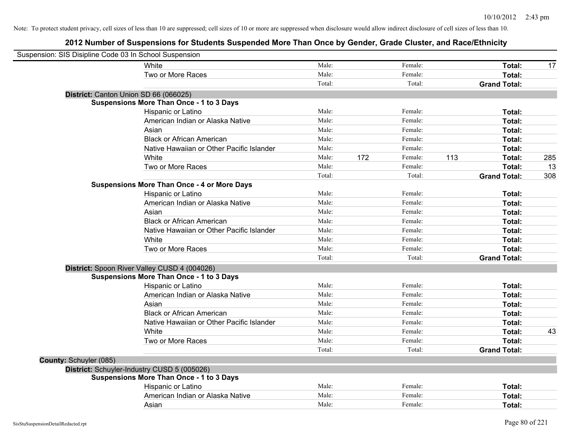| Suspension: SIS Disipline Code 03 In School Suspension |                                                    |        |     |         |     |                     |     |
|--------------------------------------------------------|----------------------------------------------------|--------|-----|---------|-----|---------------------|-----|
|                                                        | White                                              | Male:  |     | Female: |     | Total:              | 17  |
|                                                        | Two or More Races                                  | Male:  |     | Female: |     | Total:              |     |
|                                                        |                                                    | Total: |     | Total:  |     | <b>Grand Total:</b> |     |
|                                                        | District: Canton Union SD 66 (066025)              |        |     |         |     |                     |     |
|                                                        | <b>Suspensions More Than Once - 1 to 3 Days</b>    |        |     |         |     |                     |     |
|                                                        | Hispanic or Latino                                 | Male:  |     | Female: |     | Total:              |     |
|                                                        | American Indian or Alaska Native                   | Male:  |     | Female: |     | Total:              |     |
|                                                        | Asian                                              | Male:  |     | Female: |     | Total:              |     |
|                                                        | <b>Black or African American</b>                   | Male:  |     | Female: |     | Total:              |     |
|                                                        | Native Hawaiian or Other Pacific Islander          | Male:  |     | Female: |     | Total:              |     |
|                                                        | White                                              | Male:  | 172 | Female: | 113 | Total:              | 285 |
|                                                        | Two or More Races                                  | Male:  |     | Female: |     | Total:              | 13  |
|                                                        |                                                    | Total: |     | Total:  |     | <b>Grand Total:</b> | 308 |
|                                                        | <b>Suspensions More Than Once - 4 or More Days</b> |        |     |         |     |                     |     |
|                                                        | Hispanic or Latino                                 | Male:  |     | Female: |     | Total:              |     |
|                                                        | American Indian or Alaska Native                   | Male:  |     | Female: |     | Total:              |     |
|                                                        | Asian                                              | Male:  |     | Female: |     | Total:              |     |
|                                                        | <b>Black or African American</b>                   | Male:  |     | Female: |     | Total:              |     |
|                                                        | Native Hawaiian or Other Pacific Islander          | Male:  |     | Female: |     | Total:              |     |
|                                                        | White                                              | Male:  |     | Female: |     | Total:              |     |
|                                                        | Two or More Races                                  | Male:  |     | Female: |     | Total:              |     |
|                                                        |                                                    | Total: |     | Total:  |     | <b>Grand Total:</b> |     |
|                                                        | District: Spoon River Valley CUSD 4 (004026)       |        |     |         |     |                     |     |
|                                                        | <b>Suspensions More Than Once - 1 to 3 Days</b>    |        |     |         |     |                     |     |
|                                                        | Hispanic or Latino                                 | Male:  |     | Female: |     | Total:              |     |
|                                                        | American Indian or Alaska Native                   | Male:  |     | Female: |     | Total:              |     |
|                                                        | Asian                                              | Male:  |     | Female: |     | Total:              |     |
|                                                        | <b>Black or African American</b>                   | Male:  |     | Female: |     | Total:              |     |
|                                                        | Native Hawaiian or Other Pacific Islander          | Male:  |     | Female: |     | Total:              |     |
|                                                        | White                                              | Male:  |     | Female: |     | Total:              | 43  |
|                                                        | Two or More Races                                  | Male:  |     | Female: |     | Total:              |     |
|                                                        |                                                    | Total: |     | Total:  |     | <b>Grand Total:</b> |     |
| County: Schuyler (085)                                 |                                                    |        |     |         |     |                     |     |
|                                                        | District: Schuyler-Industry CUSD 5 (005026)        |        |     |         |     |                     |     |
|                                                        | <b>Suspensions More Than Once - 1 to 3 Days</b>    |        |     |         |     |                     |     |
|                                                        | Hispanic or Latino                                 | Male:  |     | Female: |     | Total:              |     |
|                                                        | American Indian or Alaska Native                   | Male:  |     | Female: |     | Total:              |     |
|                                                        | Asian                                              | Male:  |     | Female: |     | Total:              |     |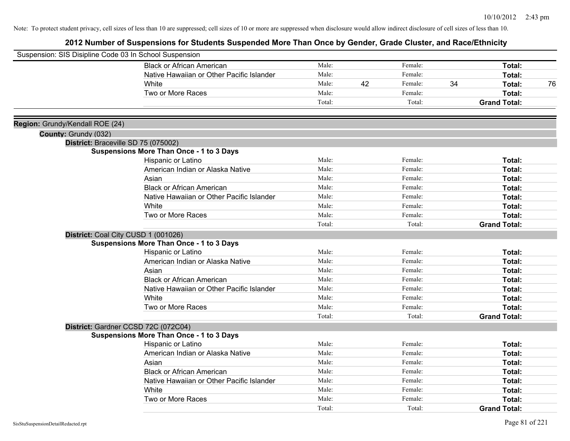| Suspension: SIS Disipline Code 03 In School Suspension |                                                 |        |    |         |    |                     |    |
|--------------------------------------------------------|-------------------------------------------------|--------|----|---------|----|---------------------|----|
|                                                        | <b>Black or African American</b>                | Male:  |    | Female: |    | Total:              |    |
|                                                        | Native Hawaiian or Other Pacific Islander       | Male:  |    | Female: |    | <b>Total:</b>       |    |
|                                                        | White                                           | Male:  | 42 | Female: | 34 | Total:              | 76 |
|                                                        | Two or More Races                               | Male:  |    | Female: |    | Total:              |    |
|                                                        |                                                 | Total: |    | Total:  |    | <b>Grand Total:</b> |    |
| Region: Grundy/Kendall ROE (24)                        |                                                 |        |    |         |    |                     |    |
| County: Grundy (032)                                   |                                                 |        |    |         |    |                     |    |
|                                                        | District: Braceville SD 75 (075002)             |        |    |         |    |                     |    |
|                                                        | <b>Suspensions More Than Once - 1 to 3 Days</b> |        |    |         |    |                     |    |
|                                                        | Hispanic or Latino                              | Male:  |    | Female: |    | Total:              |    |
|                                                        | American Indian or Alaska Native                | Male:  |    | Female: |    | Total:              |    |
|                                                        | Asian                                           | Male:  |    | Female: |    | Total:              |    |
|                                                        | <b>Black or African American</b>                | Male:  |    | Female: |    | Total:              |    |
|                                                        | Native Hawaiian or Other Pacific Islander       | Male:  |    | Female: |    | Total:              |    |
|                                                        | White                                           | Male:  |    | Female: |    | Total:              |    |
|                                                        | Two or More Races                               | Male:  |    | Female: |    | Total:              |    |
|                                                        |                                                 | Total: |    | Total:  |    | <b>Grand Total:</b> |    |
|                                                        | District: Coal City CUSD 1 (001026)             |        |    |         |    |                     |    |
|                                                        | <b>Suspensions More Than Once - 1 to 3 Days</b> |        |    |         |    |                     |    |
|                                                        | Hispanic or Latino                              | Male:  |    | Female: |    | Total:              |    |
|                                                        | American Indian or Alaska Native                | Male:  |    | Female: |    | Total:              |    |
|                                                        | Asian                                           | Male:  |    | Female: |    | Total:              |    |
|                                                        | <b>Black or African American</b>                | Male:  |    | Female: |    | Total:              |    |
|                                                        | Native Hawaiian or Other Pacific Islander       | Male:  |    | Female: |    | Total:              |    |
|                                                        | White                                           | Male:  |    | Female: |    | Total:              |    |
|                                                        | Two or More Races                               | Male:  |    | Female: |    | Total:              |    |
|                                                        |                                                 | Total: |    | Total:  |    | <b>Grand Total:</b> |    |
|                                                        | District: Gardner CCSD 72C (072C04)             |        |    |         |    |                     |    |
|                                                        | <b>Suspensions More Than Once - 1 to 3 Days</b> |        |    |         |    |                     |    |
|                                                        | Hispanic or Latino                              | Male:  |    | Female: |    | Total:              |    |
|                                                        | American Indian or Alaska Native                | Male:  |    | Female: |    | Total:              |    |
|                                                        | Asian                                           | Male:  |    | Female: |    | Total:              |    |
|                                                        | <b>Black or African American</b>                | Male:  |    | Female: |    | <b>Total:</b>       |    |
|                                                        | Native Hawaiian or Other Pacific Islander       | Male:  |    | Female: |    | Total:              |    |
|                                                        | White                                           | Male:  |    | Female: |    | Total:              |    |
|                                                        | Two or More Races                               | Male:  |    | Female: |    | Total:              |    |
|                                                        |                                                 | Total: |    | Total:  |    | <b>Grand Total:</b> |    |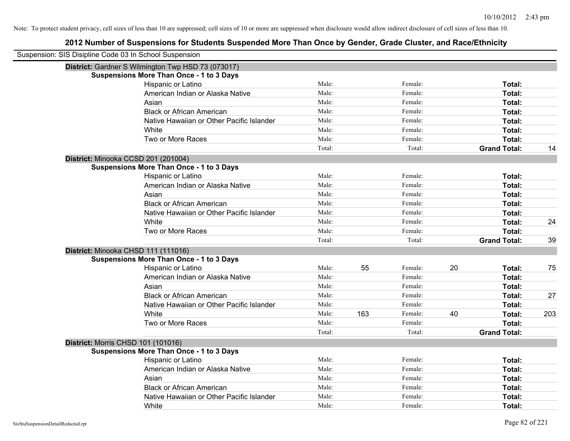| Suspension: SIS Disipline Code 03 In School Suspension |                                                    |        |     |         |    |                     |     |
|--------------------------------------------------------|----------------------------------------------------|--------|-----|---------|----|---------------------|-----|
|                                                        | District: Gardner S Wilmington Twp HSD 73 (073017) |        |     |         |    |                     |     |
|                                                        | <b>Suspensions More Than Once - 1 to 3 Days</b>    |        |     |         |    |                     |     |
|                                                        | Hispanic or Latino                                 | Male:  |     | Female: |    | Total:              |     |
|                                                        | American Indian or Alaska Native                   | Male:  |     | Female: |    | Total:              |     |
|                                                        | Asian                                              | Male:  |     | Female: |    | Total:              |     |
|                                                        | <b>Black or African American</b>                   | Male:  |     | Female: |    | Total:              |     |
|                                                        | Native Hawaiian or Other Pacific Islander          | Male:  |     | Female: |    | Total:              |     |
|                                                        | White                                              | Male:  |     | Female: |    | Total:              |     |
|                                                        | Two or More Races                                  | Male:  |     | Female: |    | Total:              |     |
|                                                        |                                                    | Total: |     | Total:  |    | <b>Grand Total:</b> | 14  |
| District: Minooka CCSD 201 (201004)                    |                                                    |        |     |         |    |                     |     |
|                                                        | <b>Suspensions More Than Once - 1 to 3 Days</b>    |        |     |         |    |                     |     |
|                                                        | Hispanic or Latino                                 | Male:  |     | Female: |    | Total:              |     |
|                                                        | American Indian or Alaska Native                   | Male:  |     | Female: |    | Total:              |     |
|                                                        | Asian                                              | Male:  |     | Female: |    | Total:              |     |
|                                                        | <b>Black or African American</b>                   | Male:  |     | Female: |    | Total:              |     |
|                                                        | Native Hawaiian or Other Pacific Islander          | Male:  |     | Female: |    | Total:              |     |
|                                                        | White                                              | Male:  |     | Female: |    | Total:              | 24  |
|                                                        | Two or More Races                                  | Male:  |     | Female: |    | Total:              |     |
|                                                        |                                                    | Total: |     | Total:  |    | <b>Grand Total:</b> | 39  |
| District: Minooka CHSD 111 (111016)                    |                                                    |        |     |         |    |                     |     |
|                                                        | <b>Suspensions More Than Once - 1 to 3 Days</b>    |        |     |         |    |                     |     |
|                                                        | Hispanic or Latino                                 | Male:  | 55  | Female: | 20 | Total:              | 75  |
|                                                        | American Indian or Alaska Native                   | Male:  |     | Female: |    | Total:              |     |
|                                                        | Asian                                              | Male:  |     | Female: |    | Total:              |     |
|                                                        | <b>Black or African American</b>                   | Male:  |     | Female: |    | Total:              | 27  |
|                                                        | Native Hawaiian or Other Pacific Islander          | Male:  |     | Female: |    | Total:              |     |
|                                                        | White                                              | Male:  | 163 | Female: | 40 | Total:              | 203 |
|                                                        | Two or More Races                                  | Male:  |     | Female: |    | Total:              |     |
|                                                        |                                                    | Total: |     | Total:  |    | <b>Grand Total:</b> |     |
| <b>District: Morris CHSD 101 (101016)</b>              |                                                    |        |     |         |    |                     |     |
|                                                        | <b>Suspensions More Than Once - 1 to 3 Days</b>    |        |     |         |    |                     |     |
|                                                        | <b>Hispanic or Latino</b>                          | Male:  |     | Female: |    | Total:              |     |
|                                                        | American Indian or Alaska Native                   | Male:  |     | Female: |    | Total:              |     |
|                                                        | Asian                                              | Male:  |     | Female: |    | Total:              |     |
|                                                        | <b>Black or African American</b>                   | Male:  |     | Female: |    | Total:              |     |
|                                                        | Native Hawaiian or Other Pacific Islander          | Male:  |     | Female: |    | <b>Total:</b>       |     |
|                                                        | White                                              | Male:  |     | Female: |    | Total:              |     |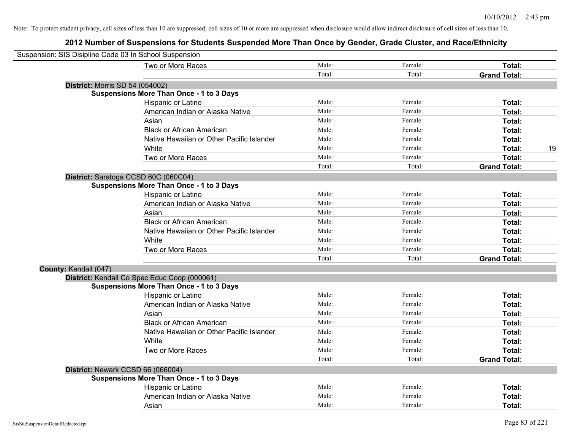| Suspension: SIS Disipline Code 03 In School Suspension |                                                        |        |         |                     |    |
|--------------------------------------------------------|--------------------------------------------------------|--------|---------|---------------------|----|
|                                                        | Two or More Races                                      | Male:  | Female: | Total:              |    |
|                                                        |                                                        | Total: | Total:  | <b>Grand Total:</b> |    |
| <b>District: Morris SD 54 (054002)</b>                 |                                                        |        |         |                     |    |
|                                                        | <b>Suspensions More Than Once - 1 to 3 Days</b>        |        |         |                     |    |
|                                                        | Hispanic or Latino                                     | Male:  | Female: | Total:              |    |
|                                                        | American Indian or Alaska Native                       | Male:  | Female: | Total:              |    |
|                                                        | Asian                                                  | Male:  | Female: | Total:              |    |
|                                                        | <b>Black or African American</b>                       | Male:  | Female: | Total:              |    |
|                                                        | Native Hawaiian or Other Pacific Islander              | Male:  | Female: | Total:              |    |
|                                                        | White                                                  | Male:  | Female: | Total:              | 19 |
|                                                        | Two or More Races                                      | Male:  | Female: | Total:              |    |
|                                                        |                                                        | Total: | Total:  | <b>Grand Total:</b> |    |
|                                                        | District: Saratoga CCSD 60C (060C04)                   |        |         |                     |    |
|                                                        | <b>Suspensions More Than Once - 1 to 3 Days</b>        |        |         |                     |    |
|                                                        | Hispanic or Latino                                     | Male:  | Female: | Total:              |    |
|                                                        | American Indian or Alaska Native                       | Male:  | Female: | Total:              |    |
|                                                        | Asian                                                  | Male:  | Female: | Total:              |    |
|                                                        | <b>Black or African American</b>                       | Male:  | Female: | Total:              |    |
|                                                        | Native Hawaiian or Other Pacific Islander              | Male:  | Female: | Total:              |    |
|                                                        | White                                                  | Male:  | Female: | Total:              |    |
|                                                        | Two or More Races                                      | Male:  | Female: | Total:              |    |
|                                                        |                                                        | Total: | Total:  | <b>Grand Total:</b> |    |
| County: Kendall (047)                                  |                                                        |        |         |                     |    |
|                                                        | District: Kendall Co Spec Educ Coop (000061)           |        |         |                     |    |
|                                                        | <b>Suspensions More Than Once - 1 to 3 Days</b>        |        |         |                     |    |
|                                                        | Hispanic or Latino                                     | Male:  | Female: | Total:              |    |
|                                                        | American Indian or Alaska Native                       | Male:  | Female: | Total:              |    |
|                                                        | Asian                                                  | Male:  | Female: | Total:              |    |
|                                                        | <b>Black or African American</b>                       | Male:  | Female: | Total:              |    |
|                                                        | Native Hawaiian or Other Pacific Islander              | Male:  | Female: | Total:              |    |
|                                                        | White                                                  | Male:  | Female: | Total:              |    |
|                                                        | Two or More Races                                      | Male:  | Female: | Total:              |    |
|                                                        |                                                        | Total: | Total:  | <b>Grand Total:</b> |    |
|                                                        | District: Newark CCSD 66 (066004)                      |        |         |                     |    |
|                                                        | <b>Suspensions More Than Once - 1 to 3 Days</b>        | Male:  | Female: | Total:              |    |
|                                                        | Hispanic or Latino<br>American Indian or Alaska Native | Male:  | Female: |                     |    |
|                                                        |                                                        |        |         | Total:              |    |
|                                                        | Asian                                                  | Male:  | Female: | Total:              |    |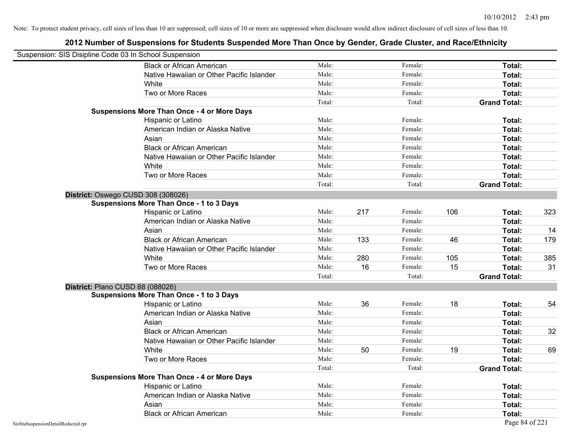|                                    | Suspension: SIS Disipline Code 03 In School Suspension |        |     |         |     |                     |     |
|------------------------------------|--------------------------------------------------------|--------|-----|---------|-----|---------------------|-----|
|                                    | <b>Black or African American</b>                       | Male:  |     | Female: |     | <b>Total:</b>       |     |
|                                    | Native Hawaiian or Other Pacific Islander              | Male:  |     | Female: |     | Total:              |     |
|                                    | White                                                  | Male:  |     | Female: |     | Total:              |     |
|                                    | Two or More Races                                      | Male:  |     | Female: |     | Total:              |     |
|                                    |                                                        | Total: |     | Total:  |     | <b>Grand Total:</b> |     |
|                                    | <b>Suspensions More Than Once - 4 or More Days</b>     |        |     |         |     |                     |     |
|                                    | Hispanic or Latino                                     | Male:  |     | Female: |     | Total:              |     |
|                                    | American Indian or Alaska Native                       | Male:  |     | Female: |     | Total:              |     |
|                                    | Asian                                                  | Male:  |     | Female: |     | Total:              |     |
|                                    | <b>Black or African American</b>                       | Male:  |     | Female: |     | Total:              |     |
|                                    | Native Hawaiian or Other Pacific Islander              | Male:  |     | Female: |     | Total:              |     |
|                                    | White                                                  | Male:  |     | Female: |     | Total:              |     |
|                                    | Two or More Races                                      | Male:  |     | Female: |     | Total:              |     |
|                                    |                                                        | Total: |     | Total:  |     | <b>Grand Total:</b> |     |
|                                    | District: Oswego CUSD 308 (308026)                     |        |     |         |     |                     |     |
|                                    | <b>Suspensions More Than Once - 1 to 3 Days</b>        |        |     |         |     |                     |     |
|                                    | Hispanic or Latino                                     | Male:  | 217 | Female: | 106 | Total:              | 323 |
|                                    | American Indian or Alaska Native                       | Male:  |     | Female: |     | Total:              |     |
|                                    | Asian                                                  | Male:  |     | Female: |     | Total:              | 14  |
|                                    | <b>Black or African American</b>                       | Male:  | 133 | Female: | 46  | Total:              | 179 |
|                                    | Native Hawaiian or Other Pacific Islander              | Male:  |     | Female: |     | Total:              |     |
|                                    | White                                                  | Male:  | 280 | Female: | 105 | Total:              | 385 |
|                                    | Two or More Races                                      | Male:  | 16  | Female: | 15  | Total:              | 31  |
|                                    |                                                        | Total: |     | Total:  |     | <b>Grand Total:</b> |     |
|                                    | District: Plano CUSD 88 (088026)                       |        |     |         |     |                     |     |
|                                    | <b>Suspensions More Than Once - 1 to 3 Days</b>        |        |     |         |     |                     |     |
|                                    | Hispanic or Latino                                     | Male:  | 36  | Female: | 18  | Total:              | 54  |
|                                    | American Indian or Alaska Native                       | Male:  |     | Female: |     | Total:              |     |
|                                    | Asian                                                  | Male:  |     | Female: |     | Total:              |     |
|                                    | <b>Black or African American</b>                       | Male:  |     | Female: |     | Total:              | 32  |
|                                    | Native Hawaiian or Other Pacific Islander              | Male:  |     | Female: |     | Total:              |     |
|                                    | White                                                  | Male:  | 50  | Female: | 19  | Total:              | 69  |
|                                    | Two or More Races                                      | Male:  |     | Female: |     | Total:              |     |
|                                    |                                                        | Total: |     | Total:  |     | <b>Grand Total:</b> |     |
|                                    | <b>Suspensions More Than Once - 4 or More Days</b>     |        |     |         |     |                     |     |
|                                    | Hispanic or Latino                                     | Male:  |     | Female: |     | Total:              |     |
|                                    | American Indian or Alaska Native                       | Male:  |     | Female: |     | Total:              |     |
|                                    | Asian                                                  | Male:  |     | Female: |     | Total:              |     |
|                                    | <b>Black or African American</b>                       | Male:  |     | Female: |     | Total:              |     |
| SisStuSuspensionDetailRedacted.rpt |                                                        |        |     |         |     | Page 84 of 221      |     |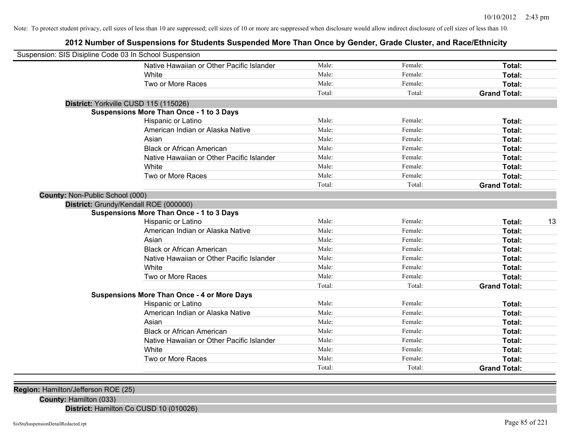# **2012 Number of Suspensions for Students Suspended More Than Once by Gender, Grade Cluster, and Race/Ethnicity**

| Suspension: SIS Disipline Code 03 In School Suspension |        |         |                     |
|--------------------------------------------------------|--------|---------|---------------------|
| Native Hawaiian or Other Pacific Islander              | Male:  | Female: | Total:              |
| White                                                  | Male:  | Female: | Total:              |
| Two or More Races                                      | Male:  | Female: | Total:              |
|                                                        | Total: | Total:  | <b>Grand Total:</b> |
| District: Yorkville CUSD 115 (115026)                  |        |         |                     |
| <b>Suspensions More Than Once - 1 to 3 Days</b>        |        |         |                     |
| Hispanic or Latino                                     | Male:  | Female: | Total:              |
| American Indian or Alaska Native                       | Male:  | Female: | Total:              |
| Asian                                                  | Male:  | Female: | Total:              |
| <b>Black or African American</b>                       | Male:  | Female: | Total:              |
| Native Hawaiian or Other Pacific Islander              | Male:  | Female: | Total:              |
| White                                                  | Male:  | Female: | Total:              |
| Two or More Races                                      | Male:  | Female: | Total:              |
|                                                        | Total: | Total:  | <b>Grand Total:</b> |
| <b>County: Non-Public School (000)</b>                 |        |         |                     |
| District: Grundy/Kendall ROE (000000)                  |        |         |                     |
| <b>Suspensions More Than Once - 1 to 3 Days</b>        |        |         |                     |
| Hispanic or Latino                                     | Male:  | Female: | 13<br>Total:        |
| American Indian or Alaska Native                       | Male:  | Female: | Total:              |
| Asian                                                  | Male:  | Female: | Total:              |
| <b>Black or African American</b>                       | Male:  | Female: | Total:              |
| Native Hawaiian or Other Pacific Islander              | Male:  | Female: | Total:              |
| White                                                  | Male:  | Female: | Total:              |
| Two or More Races                                      | Male:  | Female: | Total:              |
|                                                        | Total: | Total:  | <b>Grand Total:</b> |
| <b>Suspensions More Than Once - 4 or More Days</b>     |        |         |                     |
| <b>Hispanic or Latino</b>                              | Male:  | Female: | Total:              |
| American Indian or Alaska Native                       | Male:  | Female: | Total:              |
| Asian                                                  | Male:  | Female: | Total:              |
| <b>Black or African American</b>                       | Male:  | Female: | Total:              |
| Native Hawaiian or Other Pacific Islander              | Male:  | Female: | Total:              |
| White                                                  | Male:  | Female: | Total:              |
| Two or More Races                                      | Male:  | Female: | Total:              |
|                                                        | Total: | Total:  | <b>Grand Total:</b> |

**Region:** Hamilton/Jefferson ROE (25)

**County:** Hamilton (033)

**District:** Hamilton Co CUSD 10 (010026)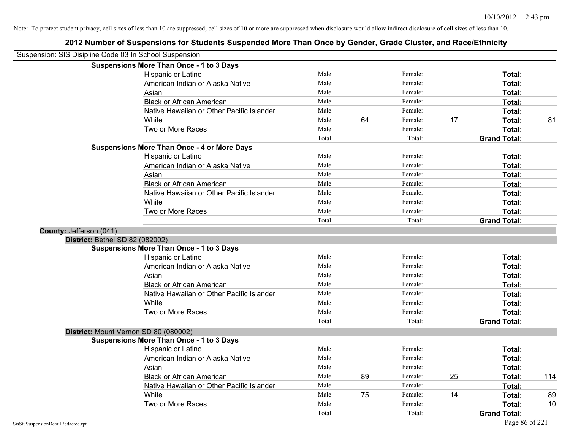| Suspension: SIS Disipline Code 03 In School Suspension |                                                    |        |    |         |    |                     |     |
|--------------------------------------------------------|----------------------------------------------------|--------|----|---------|----|---------------------|-----|
|                                                        | <b>Suspensions More Than Once - 1 to 3 Days</b>    |        |    |         |    |                     |     |
|                                                        | Hispanic or Latino                                 | Male:  |    | Female: |    | Total:              |     |
|                                                        | American Indian or Alaska Native                   | Male:  |    | Female: |    | Total:              |     |
|                                                        | Asian                                              | Male:  |    | Female: |    | Total:              |     |
|                                                        | <b>Black or African American</b>                   | Male:  |    | Female: |    | Total:              |     |
|                                                        | Native Hawaiian or Other Pacific Islander          | Male:  |    | Female: |    | Total:              |     |
|                                                        | White                                              | Male:  | 64 | Female: | 17 | Total:              | 81  |
|                                                        | Two or More Races                                  | Male:  |    | Female: |    | Total:              |     |
|                                                        |                                                    | Total: |    | Total:  |    | <b>Grand Total:</b> |     |
|                                                        | <b>Suspensions More Than Once - 4 or More Days</b> |        |    |         |    |                     |     |
|                                                        | Hispanic or Latino                                 | Male:  |    | Female: |    | Total:              |     |
|                                                        | American Indian or Alaska Native                   | Male:  |    | Female: |    | Total:              |     |
|                                                        | Asian                                              | Male:  |    | Female: |    | Total:              |     |
|                                                        | <b>Black or African American</b>                   | Male:  |    | Female: |    | Total:              |     |
|                                                        | Native Hawaiian or Other Pacific Islander          | Male:  |    | Female: |    | Total:              |     |
|                                                        | White                                              | Male:  |    | Female: |    | Total:              |     |
|                                                        | Two or More Races                                  | Male:  |    | Female: |    | Total:              |     |
|                                                        |                                                    | Total: |    | Total:  |    | <b>Grand Total:</b> |     |
| County: Jefferson (041)                                |                                                    |        |    |         |    |                     |     |
| District: Bethel SD 82 (082002)                        |                                                    |        |    |         |    |                     |     |
|                                                        | <b>Suspensions More Than Once - 1 to 3 Days</b>    |        |    |         |    |                     |     |
|                                                        | Hispanic or Latino                                 | Male:  |    | Female: |    | Total:              |     |
|                                                        | American Indian or Alaska Native                   | Male:  |    | Female: |    | Total:              |     |
|                                                        | Asian                                              | Male:  |    | Female: |    | Total:              |     |
|                                                        | <b>Black or African American</b>                   | Male:  |    | Female: |    | Total:              |     |
|                                                        | Native Hawaiian or Other Pacific Islander          | Male:  |    | Female: |    | Total:              |     |
|                                                        | White                                              | Male:  |    | Female: |    | Total:              |     |
|                                                        | Two or More Races                                  | Male:  |    | Female: |    | Total:              |     |
|                                                        |                                                    | Total: |    | Total:  |    | <b>Grand Total:</b> |     |
|                                                        | District: Mount Vernon SD 80 (080002)              |        |    |         |    |                     |     |
|                                                        | <b>Suspensions More Than Once - 1 to 3 Days</b>    |        |    |         |    |                     |     |
|                                                        | Hispanic or Latino                                 | Male:  |    | Female: |    | Total:              |     |
|                                                        | American Indian or Alaska Native                   | Male:  |    | Female: |    | Total:              |     |
|                                                        | Asian                                              | Male:  |    | Female: |    | Total:              |     |
|                                                        | <b>Black or African American</b>                   | Male:  | 89 | Female: | 25 | Total:              | 114 |
|                                                        | Native Hawaiian or Other Pacific Islander          | Male:  |    | Female: |    | Total:              |     |
|                                                        | White                                              | Male:  | 75 | Female: | 14 | Total:              | 89  |
|                                                        | Two or More Races                                  | Male:  |    | Female: |    | Total:              | 10  |
|                                                        |                                                    | Total: |    | Total:  |    | <b>Grand Total:</b> |     |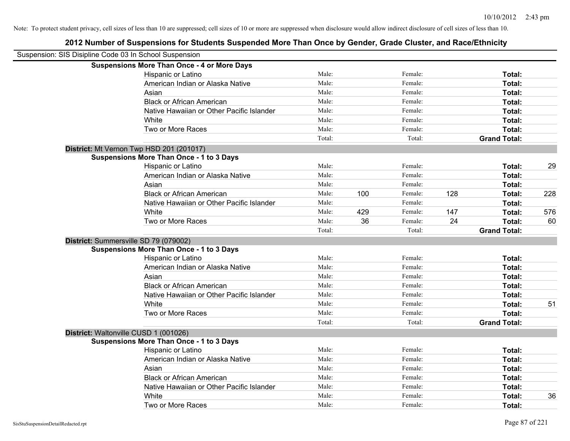| Suspension: SIS Disipline Code 03 In School Suspension |                                                    |        |     |         |     |                     |     |
|--------------------------------------------------------|----------------------------------------------------|--------|-----|---------|-----|---------------------|-----|
|                                                        | <b>Suspensions More Than Once - 4 or More Days</b> |        |     |         |     |                     |     |
|                                                        | Hispanic or Latino                                 | Male:  |     | Female: |     | Total:              |     |
|                                                        | American Indian or Alaska Native                   | Male:  |     | Female: |     | Total:              |     |
|                                                        | Asian                                              | Male:  |     | Female: |     | Total:              |     |
|                                                        | <b>Black or African American</b>                   | Male:  |     | Female: |     | Total:              |     |
|                                                        | Native Hawaiian or Other Pacific Islander          | Male:  |     | Female: |     | Total:              |     |
|                                                        | White                                              | Male:  |     | Female: |     | Total:              |     |
|                                                        | Two or More Races                                  | Male:  |     | Female: |     | Total:              |     |
|                                                        |                                                    | Total: |     | Total:  |     | <b>Grand Total:</b> |     |
|                                                        | District: Mt Vernon Twp HSD 201 (201017)           |        |     |         |     |                     |     |
|                                                        | <b>Suspensions More Than Once - 1 to 3 Days</b>    |        |     |         |     |                     |     |
|                                                        | Hispanic or Latino                                 | Male:  |     | Female: |     | Total:              | 29  |
|                                                        | American Indian or Alaska Native                   | Male:  |     | Female: |     | Total:              |     |
|                                                        | Asian                                              | Male:  |     | Female: |     | Total:              |     |
|                                                        | <b>Black or African American</b>                   | Male:  | 100 | Female: | 128 | Total:              | 228 |
|                                                        | Native Hawaiian or Other Pacific Islander          | Male:  |     | Female: |     | Total:              |     |
|                                                        | White                                              | Male:  | 429 | Female: | 147 | Total:              | 576 |
|                                                        | Two or More Races                                  | Male:  | 36  | Female: | 24  | Total:              | 60  |
|                                                        |                                                    | Total: |     | Total:  |     | <b>Grand Total:</b> |     |
|                                                        | District: Summersville SD 79 (079002)              |        |     |         |     |                     |     |
|                                                        | <b>Suspensions More Than Once - 1 to 3 Days</b>    |        |     |         |     |                     |     |
|                                                        | Hispanic or Latino                                 | Male:  |     | Female: |     | Total:              |     |
|                                                        | American Indian or Alaska Native                   | Male:  |     | Female: |     | Total:              |     |
|                                                        | Asian                                              | Male:  |     | Female: |     | Total:              |     |
|                                                        | <b>Black or African American</b>                   | Male:  |     | Female: |     | Total:              |     |
|                                                        | Native Hawaiian or Other Pacific Islander          | Male:  |     | Female: |     | Total:              |     |
|                                                        | White                                              | Male:  |     | Female: |     | Total:              | 51  |
|                                                        | Two or More Races                                  | Male:  |     | Female: |     | Total:              |     |
|                                                        |                                                    | Total: |     | Total:  |     | <b>Grand Total:</b> |     |
|                                                        | District: Waltonville CUSD 1 (001026)              |        |     |         |     |                     |     |
|                                                        | <b>Suspensions More Than Once - 1 to 3 Days</b>    |        |     |         |     |                     |     |
|                                                        | Hispanic or Latino                                 | Male:  |     | Female: |     | Total:              |     |
|                                                        | American Indian or Alaska Native                   | Male:  |     | Female: |     | Total:              |     |
|                                                        | Asian                                              | Male:  |     | Female: |     | Total:              |     |
|                                                        | <b>Black or African American</b>                   | Male:  |     | Female: |     | Total:              |     |
|                                                        | Native Hawaiian or Other Pacific Islander          | Male:  |     | Female: |     | Total:              |     |
|                                                        | White                                              | Male:  |     | Female: |     | Total:              | 36  |
|                                                        | Two or More Races                                  | Male:  |     | Female: |     | Total:              |     |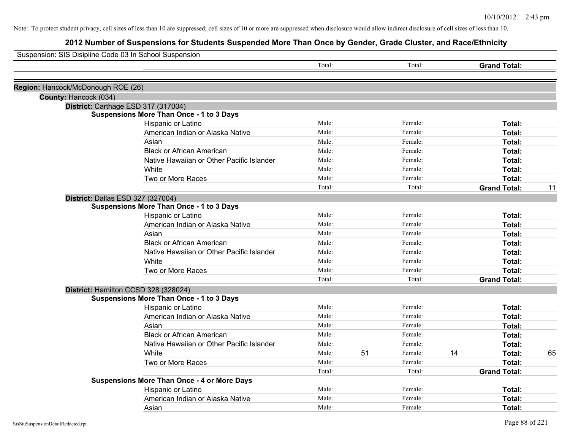| Suspension: SIS Disipline Code 03 In School Suspension |                                                    |        |    |         |    |                     |    |
|--------------------------------------------------------|----------------------------------------------------|--------|----|---------|----|---------------------|----|
|                                                        |                                                    | Total: |    | Total:  |    | <b>Grand Total:</b> |    |
| Region: Hancock/McDonough ROE (26)                     |                                                    |        |    |         |    |                     |    |
| County: Hancock (034)                                  |                                                    |        |    |         |    |                     |    |
|                                                        | District: Carthage ESD 317 (317004)                |        |    |         |    |                     |    |
|                                                        | <b>Suspensions More Than Once - 1 to 3 Days</b>    |        |    |         |    |                     |    |
|                                                        | Hispanic or Latino                                 | Male:  |    | Female: |    | Total:              |    |
|                                                        | American Indian or Alaska Native                   | Male:  |    | Female: |    | Total:              |    |
|                                                        | Asian                                              | Male:  |    | Female: |    | Total:              |    |
|                                                        | <b>Black or African American</b>                   | Male:  |    | Female: |    | Total:              |    |
|                                                        | Native Hawaiian or Other Pacific Islander          | Male:  |    | Female: |    | Total:              |    |
|                                                        | White                                              | Male:  |    | Female: |    | Total:              |    |
|                                                        | Two or More Races                                  | Male:  |    | Female: |    | Total:              |    |
|                                                        |                                                    | Total: |    | Total:  |    | <b>Grand Total:</b> | 11 |
|                                                        | District: Dallas ESD 327 (327004)                  |        |    |         |    |                     |    |
|                                                        | <b>Suspensions More Than Once - 1 to 3 Days</b>    |        |    |         |    |                     |    |
|                                                        | Hispanic or Latino                                 | Male:  |    | Female: |    | Total:              |    |
|                                                        | American Indian or Alaska Native                   | Male:  |    | Female: |    | Total:              |    |
|                                                        | Asian                                              | Male:  |    | Female: |    | Total:              |    |
|                                                        | <b>Black or African American</b>                   | Male:  |    | Female: |    | Total:              |    |
|                                                        | Native Hawaiian or Other Pacific Islander          | Male:  |    | Female: |    | Total:              |    |
|                                                        | White                                              | Male:  |    | Female: |    | Total:              |    |
|                                                        | Two or More Races                                  | Male:  |    | Female: |    | Total:              |    |
|                                                        |                                                    | Total: |    | Total:  |    | <b>Grand Total:</b> |    |
|                                                        | District: Hamilton CCSD 328 (328024)               |        |    |         |    |                     |    |
|                                                        | <b>Suspensions More Than Once - 1 to 3 Days</b>    |        |    |         |    |                     |    |
|                                                        | Hispanic or Latino                                 | Male:  |    | Female: |    | Total:              |    |
|                                                        | American Indian or Alaska Native                   | Male:  |    | Female: |    | Total:              |    |
|                                                        | Asian                                              | Male:  |    | Female: |    | Total:              |    |
|                                                        | <b>Black or African American</b>                   | Male:  |    | Female: |    | Total:              |    |
|                                                        | Native Hawaiian or Other Pacific Islander          | Male:  |    | Female: |    | Total:              |    |
|                                                        | White                                              | Male:  | 51 | Female: | 14 | Total:              | 65 |
|                                                        | Two or More Races                                  | Male:  |    | Female: |    | Total:              |    |
|                                                        |                                                    | Total: |    | Total:  |    | <b>Grand Total:</b> |    |
|                                                        | <b>Suspensions More Than Once - 4 or More Days</b> |        |    |         |    |                     |    |
|                                                        | Hispanic or Latino                                 | Male:  |    | Female: |    | Total:              |    |
|                                                        | American Indian or Alaska Native                   | Male:  |    | Female: |    | Total:              |    |
|                                                        | Asian                                              | Male:  |    | Female: |    | Total:              |    |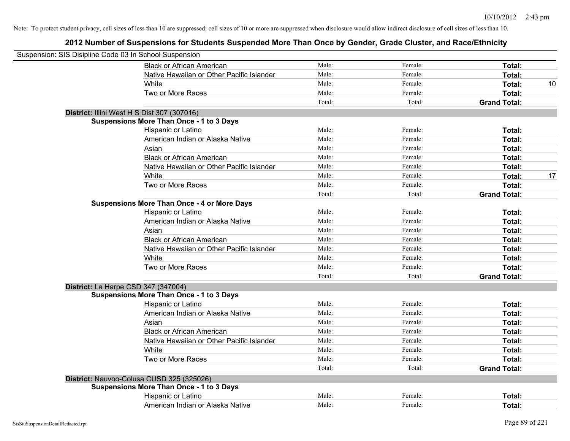| Suspension: SIS Disipline Code 03 In School Suspension |                                                    |        |         |                     |    |
|--------------------------------------------------------|----------------------------------------------------|--------|---------|---------------------|----|
|                                                        | <b>Black or African American</b>                   | Male:  | Female: | Total:              |    |
|                                                        | Native Hawaiian or Other Pacific Islander          | Male:  | Female: | Total:              |    |
|                                                        | White                                              | Male:  | Female: | Total:              | 10 |
|                                                        | Two or More Races                                  | Male:  | Female: | Total:              |    |
|                                                        |                                                    | Total: | Total:  | <b>Grand Total:</b> |    |
|                                                        | District: Illini West H S Dist 307 (307016)        |        |         |                     |    |
|                                                        | <b>Suspensions More Than Once - 1 to 3 Days</b>    |        |         |                     |    |
|                                                        | Hispanic or Latino                                 | Male:  | Female: | Total:              |    |
|                                                        | American Indian or Alaska Native                   | Male:  | Female: | Total:              |    |
|                                                        | Asian                                              | Male:  | Female: | Total:              |    |
|                                                        | <b>Black or African American</b>                   | Male:  | Female: | Total:              |    |
|                                                        | Native Hawaiian or Other Pacific Islander          | Male:  | Female: | Total:              |    |
|                                                        | White                                              | Male:  | Female: | Total:              | 17 |
|                                                        | Two or More Races                                  | Male:  | Female: | Total:              |    |
|                                                        |                                                    | Total: | Total:  | <b>Grand Total:</b> |    |
|                                                        | <b>Suspensions More Than Once - 4 or More Days</b> |        |         |                     |    |
|                                                        | Hispanic or Latino                                 | Male:  | Female: | Total:              |    |
|                                                        | American Indian or Alaska Native                   | Male:  | Female: | Total:              |    |
|                                                        | Asian                                              | Male:  | Female: | Total:              |    |
|                                                        | <b>Black or African American</b>                   | Male:  | Female: | Total:              |    |
|                                                        | Native Hawaiian or Other Pacific Islander          | Male:  | Female: | Total:              |    |
|                                                        | White                                              | Male:  | Female: | Total:              |    |
|                                                        | Two or More Races                                  | Male:  | Female: | Total:              |    |
|                                                        |                                                    | Total: | Total:  | <b>Grand Total:</b> |    |
|                                                        | District: La Harpe CSD 347 (347004)                |        |         |                     |    |
|                                                        | <b>Suspensions More Than Once - 1 to 3 Days</b>    |        |         |                     |    |
|                                                        | Hispanic or Latino                                 | Male:  | Female: | Total:              |    |
|                                                        | American Indian or Alaska Native                   | Male:  | Female: | Total:              |    |
|                                                        | Asian                                              | Male:  | Female: | Total:              |    |
|                                                        | <b>Black or African American</b>                   | Male:  | Female: | Total:              |    |
|                                                        | Native Hawaiian or Other Pacific Islander          | Male:  | Female: | Total:              |    |
|                                                        | White                                              | Male:  | Female: | Total:              |    |
|                                                        | Two or More Races                                  | Male:  | Female: | Total:              |    |
|                                                        |                                                    | Total: | Total:  | <b>Grand Total:</b> |    |
|                                                        | District: Nauvoo-Colusa CUSD 325 (325026)          |        |         |                     |    |
|                                                        | <b>Suspensions More Than Once - 1 to 3 Days</b>    |        |         |                     |    |
|                                                        | Hispanic or Latino                                 | Male:  | Female: | Total:              |    |
|                                                        | American Indian or Alaska Native                   | Male:  | Female: | Total:              |    |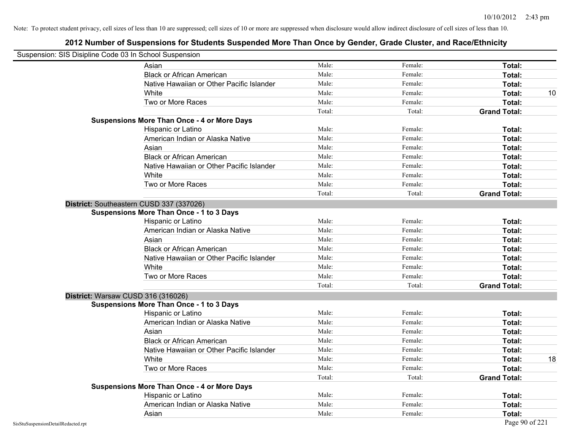| Suspension: SIS Disipline Code 03 In School Suspension |                                                    |        |         |                     |    |
|--------------------------------------------------------|----------------------------------------------------|--------|---------|---------------------|----|
|                                                        | Asian                                              | Male:  | Female: | Total:              |    |
|                                                        | <b>Black or African American</b>                   | Male:  | Female: | Total:              |    |
|                                                        | Native Hawaiian or Other Pacific Islander          | Male:  | Female: | Total:              |    |
|                                                        | White                                              | Male:  | Female: | Total:              | 10 |
|                                                        | Two or More Races                                  | Male:  | Female: | Total:              |    |
|                                                        |                                                    | Total: | Total:  | <b>Grand Total:</b> |    |
|                                                        | <b>Suspensions More Than Once - 4 or More Days</b> |        |         |                     |    |
|                                                        | Hispanic or Latino                                 | Male:  | Female: | Total:              |    |
|                                                        | American Indian or Alaska Native                   | Male:  | Female: | Total:              |    |
|                                                        | Asian                                              | Male:  | Female: | Total:              |    |
|                                                        | <b>Black or African American</b>                   | Male:  | Female: | Total:              |    |
|                                                        | Native Hawaiian or Other Pacific Islander          | Male:  | Female: | Total:              |    |
|                                                        | White                                              | Male:  | Female: | Total:              |    |
|                                                        | Two or More Races                                  | Male:  | Female: | Total:              |    |
|                                                        |                                                    | Total: | Total:  | <b>Grand Total:</b> |    |
|                                                        | District: Southeastern CUSD 337 (337026)           |        |         |                     |    |
|                                                        | <b>Suspensions More Than Once - 1 to 3 Days</b>    |        |         |                     |    |
|                                                        | Hispanic or Latino                                 | Male:  | Female: | Total:              |    |
|                                                        | American Indian or Alaska Native                   | Male:  | Female: | Total:              |    |
|                                                        | Asian                                              | Male:  | Female: | Total:              |    |
|                                                        | <b>Black or African American</b>                   | Male:  | Female: | Total:              |    |
|                                                        | Native Hawaiian or Other Pacific Islander          | Male:  | Female: | Total:              |    |
|                                                        | White                                              | Male:  | Female: | Total:              |    |
|                                                        | Two or More Races                                  | Male:  | Female: | Total:              |    |
|                                                        |                                                    | Total: | Total:  | <b>Grand Total:</b> |    |
|                                                        | District: Warsaw CUSD 316 (316026)                 |        |         |                     |    |
|                                                        | <b>Suspensions More Than Once - 1 to 3 Days</b>    |        |         |                     |    |
|                                                        | Hispanic or Latino                                 | Male:  | Female: | Total:              |    |
|                                                        | American Indian or Alaska Native                   | Male:  | Female: | Total:              |    |
|                                                        | Asian                                              | Male:  | Female: | Total:              |    |
|                                                        | <b>Black or African American</b>                   | Male:  | Female: | Total:              |    |
|                                                        | Native Hawaiian or Other Pacific Islander          | Male:  | Female: | Total:              |    |
|                                                        | White                                              | Male:  | Female: | Total:              | 18 |
|                                                        | Two or More Races                                  | Male:  | Female: | Total:              |    |
|                                                        |                                                    | Total: | Total:  | <b>Grand Total:</b> |    |
|                                                        | <b>Suspensions More Than Once - 4 or More Days</b> |        |         |                     |    |
|                                                        | <b>Hispanic or Latino</b>                          | Male:  | Female: | Total:              |    |
|                                                        | American Indian or Alaska Native                   | Male:  | Female: | Total:              |    |
|                                                        | Asian                                              | Male:  | Female: | Total:              |    |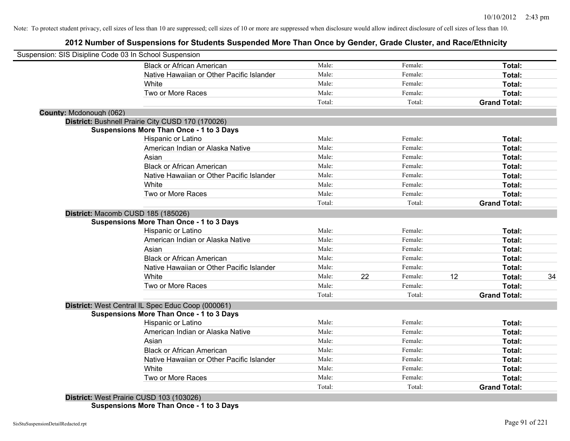# **2012 Number of Suspensions for Students Suspended More Than Once by Gender, Grade Cluster, and Race/Ethnicity**

| Suspension: SIS Disipline Code 03 In School Suspension |        |    |         |    |                     |    |
|--------------------------------------------------------|--------|----|---------|----|---------------------|----|
| <b>Black or African American</b>                       | Male:  |    | Female: |    | Total:              |    |
| Native Hawaiian or Other Pacific Islander              | Male:  |    | Female: |    | Total:              |    |
| White                                                  | Male:  |    | Female: |    | Total:              |    |
| Two or More Races                                      | Male:  |    | Female: |    | Total:              |    |
|                                                        | Total: |    | Total:  |    | <b>Grand Total:</b> |    |
| County: Mcdonough (062)                                |        |    |         |    |                     |    |
| District: Bushnell Prairie City CUSD 170 (170026)      |        |    |         |    |                     |    |
| <b>Suspensions More Than Once - 1 to 3 Days</b>        |        |    |         |    |                     |    |
| Hispanic or Latino                                     | Male:  |    | Female: |    | Total:              |    |
| American Indian or Alaska Native                       | Male:  |    | Female: |    | Total:              |    |
| Asian                                                  | Male:  |    | Female: |    | Total:              |    |
| <b>Black or African American</b>                       | Male:  |    | Female: |    | Total:              |    |
| Native Hawaiian or Other Pacific Islander              | Male:  |    | Female: |    | Total:              |    |
| White                                                  | Male:  |    | Female: |    | Total:              |    |
| Two or More Races                                      | Male:  |    | Female: |    | Total:              |    |
|                                                        | Total: |    | Total:  |    | <b>Grand Total:</b> |    |
| District: Macomb CUSD 185 (185026)                     |        |    |         |    |                     |    |
| <b>Suspensions More Than Once - 1 to 3 Days</b>        |        |    |         |    |                     |    |
| Hispanic or Latino                                     | Male:  |    | Female: |    | Total:              |    |
| American Indian or Alaska Native                       | Male:  |    | Female: |    | Total:              |    |
| Asian                                                  | Male:  |    | Female: |    | Total:              |    |
| <b>Black or African American</b>                       | Male:  |    | Female: |    | Total:              |    |
| Native Hawaiian or Other Pacific Islander              | Male:  |    | Female: |    | Total:              |    |
| White                                                  | Male:  | 22 | Female: | 12 | Total:              | 34 |
| Two or More Races                                      | Male:  |    | Female: |    | Total:              |    |
|                                                        | Total: |    | Total:  |    | <b>Grand Total:</b> |    |
| District: West Central IL Spec Educ Coop (000061)      |        |    |         |    |                     |    |
| <b>Suspensions More Than Once - 1 to 3 Days</b>        |        |    |         |    |                     |    |
| Hispanic or Latino                                     | Male:  |    | Female: |    | Total:              |    |
| American Indian or Alaska Native                       | Male:  |    | Female: |    | Total:              |    |
| Asian                                                  | Male:  |    | Female: |    | Total:              |    |
| <b>Black or African American</b>                       | Male:  |    | Female: |    | Total:              |    |
| Native Hawaiian or Other Pacific Islander              | Male:  |    | Female: |    | Total:              |    |
| White                                                  | Male:  |    | Female: |    | <b>Total:</b>       |    |
| Two or More Races                                      | Male:  |    | Female: |    | Total:              |    |
|                                                        | Total: |    | Total:  |    | <b>Grand Total:</b> |    |

**District:** West Prairie CUSD 103 (103026) **Suspensions More Than Once - 1 to 3 Days**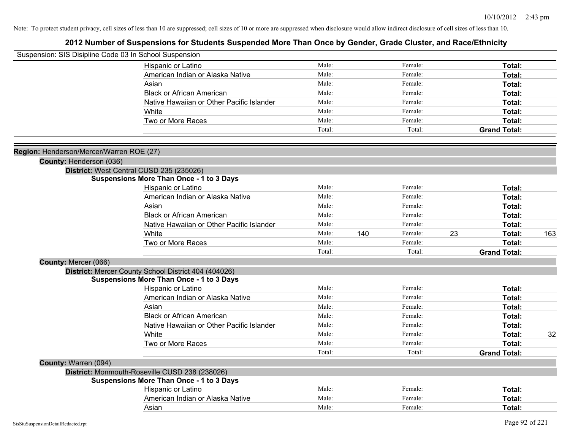| Suspension: SIS Disipline Code 03 In School Suspension |                                                      |        |     |         |    |                     |     |
|--------------------------------------------------------|------------------------------------------------------|--------|-----|---------|----|---------------------|-----|
|                                                        | Hispanic or Latino                                   | Male:  |     | Female: |    | Total:              |     |
|                                                        | American Indian or Alaska Native                     | Male:  |     | Female: |    | Total:              |     |
|                                                        | Asian                                                | Male:  |     | Female: |    | Total:              |     |
|                                                        | <b>Black or African American</b>                     | Male:  |     | Female: |    | Total:              |     |
|                                                        | Native Hawaiian or Other Pacific Islander            | Male:  |     | Female: |    | Total:              |     |
|                                                        | White                                                | Male:  |     | Female: |    | Total:              |     |
|                                                        | Two or More Races                                    | Male:  |     | Female: |    | Total:              |     |
|                                                        |                                                      | Total: |     | Total:  |    | <b>Grand Total:</b> |     |
| Region: Henderson/Mercer/Warren ROE (27)               |                                                      |        |     |         |    |                     |     |
| County: Henderson (036)                                |                                                      |        |     |         |    |                     |     |
|                                                        | District: West Central CUSD 235 (235026)             |        |     |         |    |                     |     |
|                                                        | <b>Suspensions More Than Once - 1 to 3 Days</b>      |        |     |         |    |                     |     |
|                                                        | Hispanic or Latino                                   | Male:  |     | Female: |    | Total:              |     |
|                                                        | American Indian or Alaska Native                     | Male:  |     | Female: |    | Total:              |     |
|                                                        | Asian                                                | Male:  |     | Female: |    | Total:              |     |
|                                                        | <b>Black or African American</b>                     | Male:  |     | Female: |    | Total:              |     |
|                                                        | Native Hawaiian or Other Pacific Islander            | Male:  |     | Female: |    | Total:              |     |
|                                                        | White                                                | Male:  | 140 | Female: | 23 | Total:              | 163 |
|                                                        | Two or More Races                                    | Male:  |     | Female: |    | Total:              |     |
|                                                        |                                                      | Total: |     | Total:  |    | <b>Grand Total:</b> |     |
| County: Mercer (066)                                   |                                                      |        |     |         |    |                     |     |
|                                                        | District: Mercer County School District 404 (404026) |        |     |         |    |                     |     |
|                                                        | <b>Suspensions More Than Once - 1 to 3 Days</b>      |        |     |         |    |                     |     |
|                                                        | Hispanic or Latino                                   | Male:  |     | Female: |    | Total:              |     |
|                                                        | American Indian or Alaska Native                     | Male:  |     | Female: |    | Total:              |     |
|                                                        | Asian                                                | Male:  |     | Female: |    | Total:              |     |
|                                                        | <b>Black or African American</b>                     | Male:  |     | Female: |    | Total:              |     |
|                                                        | Native Hawaiian or Other Pacific Islander            | Male:  |     | Female: |    | Total:              |     |
|                                                        | White                                                | Male:  |     | Female: |    | Total:              | 32  |
|                                                        | Two or More Races                                    | Male:  |     | Female: |    | Total:              |     |
|                                                        |                                                      | Total: |     | Total:  |    | <b>Grand Total:</b> |     |
| County: Warren (094)                                   |                                                      |        |     |         |    |                     |     |
|                                                        | District: Monmouth-Roseville CUSD 238 (238026)       |        |     |         |    |                     |     |
|                                                        | <b>Suspensions More Than Once - 1 to 3 Days</b>      |        |     |         |    |                     |     |
|                                                        | Hispanic or Latino                                   | Male:  |     | Female: |    | Total:              |     |
|                                                        | American Indian or Alaska Native                     | Male:  |     | Female: |    | Total:              |     |
|                                                        | Asian                                                | Male:  |     | Female: |    | Total:              |     |
|                                                        |                                                      |        |     |         |    |                     |     |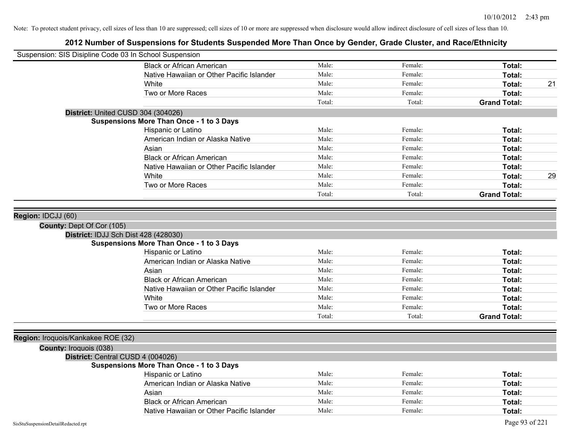| Suspension: SIS Disipline Code 03 In School Suspension |                                                                                         |        |         |                     |    |
|--------------------------------------------------------|-----------------------------------------------------------------------------------------|--------|---------|---------------------|----|
|                                                        | <b>Black or African American</b>                                                        | Male:  | Female: | Total:              |    |
|                                                        | Native Hawaiian or Other Pacific Islander                                               | Male:  | Female: | Total:              |    |
|                                                        | White                                                                                   | Male:  | Female: | Total:              | 21 |
|                                                        | Two or More Races                                                                       | Male:  | Female: | Total:              |    |
|                                                        |                                                                                         | Total: | Total:  | <b>Grand Total:</b> |    |
|                                                        | District: United CUSD 304 (304026)                                                      |        |         |                     |    |
|                                                        | <b>Suspensions More Than Once - 1 to 3 Days</b>                                         |        |         |                     |    |
|                                                        | Hispanic or Latino                                                                      | Male:  | Female: | Total:              |    |
|                                                        | American Indian or Alaska Native                                                        | Male:  | Female: | Total:              |    |
|                                                        | Asian                                                                                   | Male:  | Female: | Total:              |    |
|                                                        | <b>Black or African American</b>                                                        | Male:  | Female: | Total:              |    |
|                                                        | Native Hawaiian or Other Pacific Islander                                               | Male:  | Female: | Total:              |    |
|                                                        | White                                                                                   | Male:  | Female: | Total:              | 29 |
|                                                        | Two or More Races                                                                       | Male:  | Female: | Total:              |    |
|                                                        |                                                                                         | Total: | Total:  | <b>Grand Total:</b> |    |
|                                                        |                                                                                         |        |         |                     |    |
| Region: IDCJJ (60)                                     |                                                                                         |        |         |                     |    |
|                                                        |                                                                                         |        |         |                     |    |
| County: Dept Of Cor (105)                              |                                                                                         |        |         |                     |    |
|                                                        | District: IDJJ Sch Dist 428 (428030)<br><b>Suspensions More Than Once - 1 to 3 Days</b> |        |         |                     |    |
|                                                        | Hispanic or Latino                                                                      | Male:  | Female: | Total:              |    |
|                                                        | American Indian or Alaska Native                                                        | Male:  | Female: | Total:              |    |
|                                                        | Asian                                                                                   | Male:  | Female: | Total:              |    |
|                                                        | <b>Black or African American</b>                                                        | Male:  | Female: | Total:              |    |
|                                                        | Native Hawaiian or Other Pacific Islander                                               | Male:  | Female: | Total:              |    |
|                                                        | White                                                                                   | Male:  | Female: | Total:              |    |
|                                                        | Two or More Races                                                                       | Male:  | Female: | Total:              |    |
|                                                        |                                                                                         |        |         |                     |    |
|                                                        |                                                                                         | Total: | Total:  | <b>Grand Total:</b> |    |
|                                                        |                                                                                         |        |         |                     |    |
| Region: Iroquois/Kankakee ROE (32)                     |                                                                                         |        |         |                     |    |
| <b>County: Iroquois (038)</b>                          |                                                                                         |        |         |                     |    |
|                                                        | District: Central CUSD 4 (004026)                                                       |        |         |                     |    |
|                                                        | <b>Suspensions More Than Once - 1 to 3 Days</b>                                         |        |         |                     |    |
|                                                        | Hispanic or Latino                                                                      | Male:  | Female: | Total:              |    |
|                                                        | American Indian or Alaska Native                                                        | Male:  | Female: | Total:              |    |
|                                                        | Asian                                                                                   | Male:  | Female: | Total:              |    |
|                                                        | <b>Black or African American</b>                                                        | Male:  | Female: | Total:              |    |
|                                                        | Native Hawaiian or Other Pacific Islander                                               | Male:  | Female: | Total:              |    |
| SisStuSuspensionDetailRedacted.rpt                     |                                                                                         |        |         | Page 93 of 221      |    |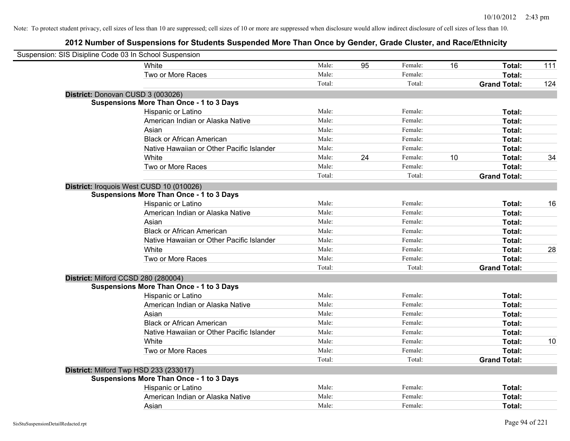| Suspension: SIS Disipline Code 03 In School Suspension |                                                 |        |    |         |    |                     |     |
|--------------------------------------------------------|-------------------------------------------------|--------|----|---------|----|---------------------|-----|
|                                                        | White                                           | Male:  | 95 | Female: | 16 | Total:              | 111 |
|                                                        | Two or More Races                               | Male:  |    | Female: |    | Total:              |     |
|                                                        |                                                 | Total: |    | Total:  |    | <b>Grand Total:</b> | 124 |
| District: Donovan CUSD 3 (003026)                      |                                                 |        |    |         |    |                     |     |
|                                                        | <b>Suspensions More Than Once - 1 to 3 Days</b> |        |    |         |    |                     |     |
|                                                        | Hispanic or Latino                              | Male:  |    | Female: |    | Total:              |     |
|                                                        | American Indian or Alaska Native                | Male:  |    | Female: |    | Total:              |     |
|                                                        | Asian                                           | Male:  |    | Female: |    | Total:              |     |
|                                                        | <b>Black or African American</b>                | Male:  |    | Female: |    | Total:              |     |
|                                                        | Native Hawaiian or Other Pacific Islander       | Male:  |    | Female: |    | Total:              |     |
|                                                        | White                                           | Male:  | 24 | Female: | 10 | Total:              | 34  |
|                                                        | Two or More Races                               | Male:  |    | Female: |    | Total:              |     |
|                                                        |                                                 | Total: |    | Total:  |    | <b>Grand Total:</b> |     |
| District: Iroquois West CUSD 10 (010026)               |                                                 |        |    |         |    |                     |     |
|                                                        | <b>Suspensions More Than Once - 1 to 3 Days</b> |        |    |         |    |                     |     |
|                                                        | Hispanic or Latino                              | Male:  |    | Female: |    | Total:              | 16  |
|                                                        | American Indian or Alaska Native                | Male:  |    | Female: |    | Total:              |     |
|                                                        | Asian                                           | Male:  |    | Female: |    | Total:              |     |
|                                                        | <b>Black or African American</b>                | Male:  |    | Female: |    | Total:              |     |
|                                                        | Native Hawaiian or Other Pacific Islander       | Male:  |    | Female: |    | Total:              |     |
|                                                        | White                                           | Male:  |    | Female: |    | Total:              | 28  |
|                                                        | Two or More Races                               | Male:  |    | Female: |    | Total:              |     |
|                                                        |                                                 | Total: |    | Total:  |    | <b>Grand Total:</b> |     |
| District: Milford CCSD 280 (280004)                    |                                                 |        |    |         |    |                     |     |
|                                                        | <b>Suspensions More Than Once - 1 to 3 Days</b> |        |    |         |    |                     |     |
|                                                        | Hispanic or Latino                              | Male:  |    | Female: |    | Total:              |     |
|                                                        | American Indian or Alaska Native                | Male:  |    | Female: |    | Total:              |     |
|                                                        | Asian                                           | Male:  |    | Female: |    | Total:              |     |
|                                                        | <b>Black or African American</b>                | Male:  |    | Female: |    | Total:              |     |
|                                                        | Native Hawaiian or Other Pacific Islander       | Male:  |    | Female: |    | Total:              |     |
|                                                        | White                                           | Male:  |    | Female: |    | Total:              | 10  |
|                                                        | Two or More Races                               | Male:  |    | Female: |    | Total:              |     |
|                                                        |                                                 | Total: |    | Total:  |    | <b>Grand Total:</b> |     |
| District: Milford Twp HSD 233 (233017)                 |                                                 |        |    |         |    |                     |     |
|                                                        | <b>Suspensions More Than Once - 1 to 3 Days</b> |        |    |         |    |                     |     |
|                                                        | Hispanic or Latino                              | Male:  |    | Female: |    | Total:              |     |
|                                                        | American Indian or Alaska Native                | Male:  |    | Female: |    | Total:              |     |
|                                                        | Asian                                           | Male:  |    | Female: |    | Total:              |     |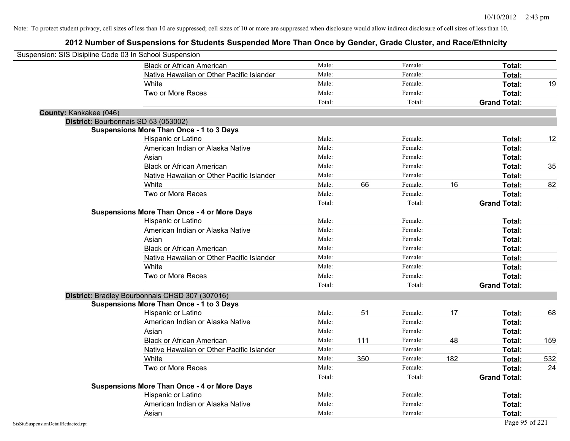| Suspension: SIS Disipline Code 03 In School Suspension |                                                    |        |     |         |     |                     |     |
|--------------------------------------------------------|----------------------------------------------------|--------|-----|---------|-----|---------------------|-----|
|                                                        | <b>Black or African American</b>                   | Male:  |     | Female: |     | Total:              |     |
|                                                        | Native Hawaiian or Other Pacific Islander          | Male:  |     | Female: |     | Total:              |     |
|                                                        | White                                              | Male:  |     | Female: |     | Total:              | 19  |
|                                                        | Two or More Races                                  | Male:  |     | Female: |     | Total:              |     |
|                                                        |                                                    | Total: |     | Total:  |     | <b>Grand Total:</b> |     |
| County: Kankakee (046)                                 |                                                    |        |     |         |     |                     |     |
|                                                        | District: Bourbonnais SD 53 (053002)               |        |     |         |     |                     |     |
|                                                        | <b>Suspensions More Than Once - 1 to 3 Days</b>    |        |     |         |     |                     |     |
|                                                        | Hispanic or Latino                                 | Male:  |     | Female: |     | Total:              | 12  |
|                                                        | American Indian or Alaska Native                   | Male:  |     | Female: |     | <b>Total:</b>       |     |
|                                                        | Asian                                              | Male:  |     | Female: |     | Total:              |     |
|                                                        | <b>Black or African American</b>                   | Male:  |     | Female: |     | Total:              | 35  |
|                                                        | Native Hawaiian or Other Pacific Islander          | Male:  |     | Female: |     | Total:              |     |
|                                                        | White                                              | Male:  | 66  | Female: | 16  | Total:              | 82  |
|                                                        | Two or More Races                                  | Male:  |     | Female: |     | Total:              |     |
|                                                        |                                                    | Total: |     | Total:  |     | <b>Grand Total:</b> |     |
|                                                        | <b>Suspensions More Than Once - 4 or More Days</b> |        |     |         |     |                     |     |
|                                                        | Hispanic or Latino                                 | Male:  |     | Female: |     | Total:              |     |
|                                                        | American Indian or Alaska Native                   | Male:  |     | Female: |     | Total:              |     |
|                                                        | Asian                                              | Male:  |     | Female: |     | Total:              |     |
|                                                        | <b>Black or African American</b>                   | Male:  |     | Female: |     | Total:              |     |
|                                                        | Native Hawaiian or Other Pacific Islander          | Male:  |     | Female: |     | Total:              |     |
|                                                        | White                                              | Male:  |     | Female: |     | Total:              |     |
|                                                        | Two or More Races                                  | Male:  |     | Female: |     | Total:              |     |
|                                                        |                                                    | Total: |     | Total:  |     | <b>Grand Total:</b> |     |
|                                                        | District: Bradley Bourbonnais CHSD 307 (307016)    |        |     |         |     |                     |     |
|                                                        | <b>Suspensions More Than Once - 1 to 3 Days</b>    |        |     |         |     |                     |     |
|                                                        | Hispanic or Latino                                 | Male:  | 51  | Female: | 17  | Total:              | 68  |
|                                                        | American Indian or Alaska Native                   | Male:  |     | Female: |     | Total:              |     |
|                                                        | Asian                                              | Male:  |     | Female: |     | Total:              |     |
|                                                        | <b>Black or African American</b>                   | Male:  | 111 | Female: | 48  | Total:              | 159 |
|                                                        | Native Hawaiian or Other Pacific Islander          | Male:  |     | Female: |     | Total:              |     |
|                                                        | White                                              | Male:  | 350 | Female: | 182 | Total:              | 532 |
|                                                        | Two or More Races                                  | Male:  |     | Female: |     | Total:              | 24  |
|                                                        |                                                    | Total: |     | Total:  |     | <b>Grand Total:</b> |     |
|                                                        | <b>Suspensions More Than Once - 4 or More Days</b> |        |     |         |     |                     |     |
|                                                        | Hispanic or Latino                                 | Male:  |     | Female: |     | Total:              |     |
|                                                        | American Indian or Alaska Native                   | Male:  |     | Female: |     | <b>Total:</b>       |     |
|                                                        | Asian                                              | Male:  |     | Female: |     | Total:              |     |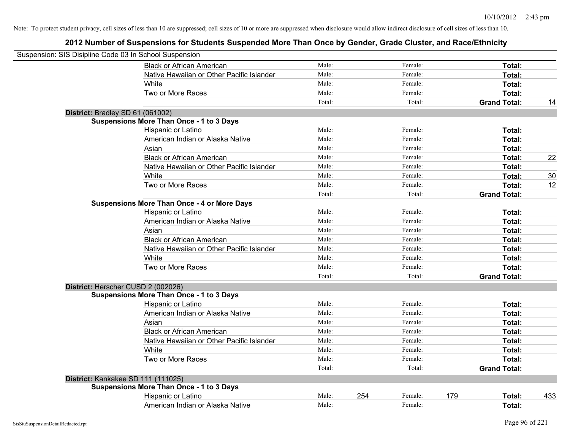| Suspension: SIS Disipline Code 03 In School Suspension |                                                    |        |     |         |     |                     |     |
|--------------------------------------------------------|----------------------------------------------------|--------|-----|---------|-----|---------------------|-----|
|                                                        | <b>Black or African American</b>                   | Male:  |     | Female: |     | Total:              |     |
|                                                        | Native Hawaiian or Other Pacific Islander          | Male:  |     | Female: |     | Total:              |     |
|                                                        | White                                              | Male:  |     | Female: |     | Total:              |     |
|                                                        | Two or More Races                                  | Male:  |     | Female: |     | Total:              |     |
|                                                        |                                                    | Total: |     | Total:  |     | <b>Grand Total:</b> | 14  |
| District: Bradley SD 61 (061002)                       |                                                    |        |     |         |     |                     |     |
|                                                        | <b>Suspensions More Than Once - 1 to 3 Days</b>    |        |     |         |     |                     |     |
|                                                        | Hispanic or Latino                                 | Male:  |     | Female: |     | Total:              |     |
|                                                        | American Indian or Alaska Native                   | Male:  |     | Female: |     | Total:              |     |
|                                                        | Asian                                              | Male:  |     | Female: |     | Total:              |     |
|                                                        | <b>Black or African American</b>                   | Male:  |     | Female: |     | Total:              | 22  |
|                                                        | Native Hawaiian or Other Pacific Islander          | Male:  |     | Female: |     | Total:              |     |
|                                                        | White                                              | Male:  |     | Female: |     | Total:              | 30  |
|                                                        | Two or More Races                                  | Male:  |     | Female: |     | Total:              | 12  |
|                                                        |                                                    | Total: |     | Total:  |     | <b>Grand Total:</b> |     |
|                                                        | <b>Suspensions More Than Once - 4 or More Days</b> |        |     |         |     |                     |     |
|                                                        | Hispanic or Latino                                 | Male:  |     | Female: |     | Total:              |     |
|                                                        | American Indian or Alaska Native                   | Male:  |     | Female: |     | Total:              |     |
|                                                        | Asian                                              | Male:  |     | Female: |     | Total:              |     |
|                                                        | <b>Black or African American</b>                   | Male:  |     | Female: |     | Total:              |     |
|                                                        | Native Hawaiian or Other Pacific Islander          | Male:  |     | Female: |     | Total:              |     |
|                                                        | White                                              | Male:  |     | Female: |     | Total:              |     |
|                                                        | Two or More Races                                  | Male:  |     | Female: |     | Total:              |     |
|                                                        |                                                    | Total: |     | Total:  |     | <b>Grand Total:</b> |     |
| District: Herscher CUSD 2 (002026)                     |                                                    |        |     |         |     |                     |     |
|                                                        | <b>Suspensions More Than Once - 1 to 3 Days</b>    |        |     |         |     |                     |     |
|                                                        | Hispanic or Latino                                 | Male:  |     | Female: |     | Total:              |     |
|                                                        | American Indian or Alaska Native                   | Male:  |     | Female: |     | Total:              |     |
|                                                        | Asian                                              | Male:  |     | Female: |     | Total:              |     |
|                                                        | <b>Black or African American</b>                   | Male:  |     | Female: |     | Total:              |     |
|                                                        | Native Hawaiian or Other Pacific Islander          | Male:  |     | Female: |     | Total:              |     |
|                                                        | White                                              | Male:  |     | Female: |     | Total:              |     |
|                                                        | Two or More Races                                  | Male:  |     | Female: |     | Total:              |     |
|                                                        |                                                    | Total: |     | Total:  |     | <b>Grand Total:</b> |     |
| District: Kankakee SD 111 (111025)                     |                                                    |        |     |         |     |                     |     |
|                                                        | <b>Suspensions More Than Once - 1 to 3 Days</b>    |        |     |         |     |                     |     |
|                                                        | Hispanic or Latino                                 | Male:  | 254 | Female: | 179 | Total:              | 433 |
|                                                        | American Indian or Alaska Native                   | Male:  |     | Female: |     | Total:              |     |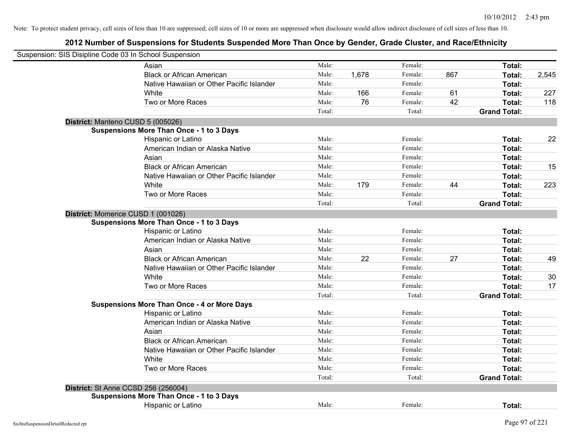| Suspension: SIS Disipline Code 03 In School Suspension |                                                    |        |       |         |     |                     |       |
|--------------------------------------------------------|----------------------------------------------------|--------|-------|---------|-----|---------------------|-------|
|                                                        | Asian                                              | Male:  |       | Female: |     | Total:              |       |
|                                                        | <b>Black or African American</b>                   | Male:  | 1,678 | Female: | 867 | Total:              | 2,545 |
|                                                        | Native Hawaiian or Other Pacific Islander          | Male:  |       | Female: |     | Total:              |       |
|                                                        | White                                              | Male:  | 166   | Female: | 61  | Total:              | 227   |
|                                                        | Two or More Races                                  | Male:  | 76    | Female: | 42  | Total:              | 118   |
|                                                        |                                                    | Total: |       | Total:  |     | <b>Grand Total:</b> |       |
| District: Manteno CUSD 5 (005026)                      |                                                    |        |       |         |     |                     |       |
|                                                        | <b>Suspensions More Than Once - 1 to 3 Days</b>    |        |       |         |     |                     |       |
|                                                        | Hispanic or Latino                                 | Male:  |       | Female: |     | Total:              | 22    |
|                                                        | American Indian or Alaska Native                   | Male:  |       | Female: |     | Total:              |       |
|                                                        | Asian                                              | Male:  |       | Female: |     | Total:              |       |
|                                                        | <b>Black or African American</b>                   | Male:  |       | Female: |     | Total:              | 15    |
|                                                        | Native Hawaiian or Other Pacific Islander          | Male:  |       | Female: |     | Total:              |       |
|                                                        | White                                              | Male:  | 179   | Female: | 44  | Total:              | 223   |
|                                                        | Two or More Races                                  | Male:  |       | Female: |     | Total:              |       |
|                                                        |                                                    | Total: |       | Total:  |     | <b>Grand Total:</b> |       |
| District: Momence CUSD 1 (001026)                      |                                                    |        |       |         |     |                     |       |
|                                                        | <b>Suspensions More Than Once - 1 to 3 Days</b>    |        |       |         |     |                     |       |
|                                                        | Hispanic or Latino                                 | Male:  |       | Female: |     | Total:              |       |
|                                                        | American Indian or Alaska Native                   | Male:  |       | Female: |     | Total:              |       |
|                                                        | Asian                                              | Male:  |       | Female: |     | Total:              |       |
|                                                        | <b>Black or African American</b>                   | Male:  | 22    | Female: | 27  | Total:              | 49    |
|                                                        | Native Hawaiian or Other Pacific Islander          | Male:  |       | Female: |     | Total:              |       |
|                                                        | White                                              | Male:  |       | Female: |     | Total:              | 30    |
|                                                        | Two or More Races                                  | Male:  |       | Female: |     | Total:              | 17    |
|                                                        |                                                    | Total: |       | Total:  |     | <b>Grand Total:</b> |       |
|                                                        | <b>Suspensions More Than Once - 4 or More Days</b> |        |       |         |     |                     |       |
|                                                        | Hispanic or Latino                                 | Male:  |       | Female: |     | Total:              |       |
|                                                        | American Indian or Alaska Native                   | Male:  |       | Female: |     | Total:              |       |
|                                                        | Asian                                              | Male:  |       | Female: |     | Total:              |       |
|                                                        | <b>Black or African American</b>                   | Male:  |       | Female: |     | Total:              |       |
|                                                        | Native Hawaiian or Other Pacific Islander          | Male:  |       | Female: |     | Total:              |       |
|                                                        | White                                              | Male:  |       | Female: |     | Total:              |       |
|                                                        | Two or More Races                                  | Male:  |       | Female: |     | Total:              |       |
|                                                        |                                                    | Total: |       | Total:  |     | <b>Grand Total:</b> |       |
| <b>District: St Anne CCSD 256 (256004)</b>             |                                                    |        |       |         |     |                     |       |
|                                                        | <b>Suspensions More Than Once - 1 to 3 Days</b>    |        |       |         |     |                     |       |
|                                                        | Hispanic or Latino                                 | Male:  |       | Female: |     | Total:              |       |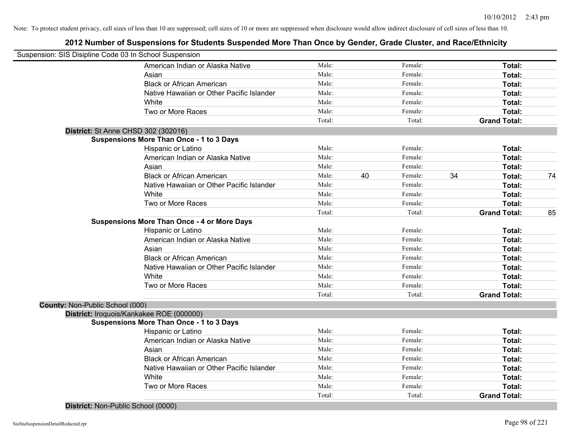# **2012 Number of Suspensions for Students Suspended More Than Once by Gender, Grade Cluster, and Race/Ethnicity**

| Suspension: SIS Disipline Code 03 In School Suspension |                                                    |        |    |         |    |                     |    |
|--------------------------------------------------------|----------------------------------------------------|--------|----|---------|----|---------------------|----|
|                                                        | American Indian or Alaska Native                   | Male:  |    | Female: |    | Total:              |    |
|                                                        | Asian                                              | Male:  |    | Female: |    | Total:              |    |
|                                                        | <b>Black or African American</b>                   | Male:  |    | Female: |    | Total:              |    |
|                                                        | Native Hawaiian or Other Pacific Islander          | Male:  |    | Female: |    | Total:              |    |
|                                                        | White                                              | Male:  |    | Female: |    | Total:              |    |
|                                                        | Two or More Races                                  | Male:  |    | Female: |    | Total:              |    |
|                                                        |                                                    | Total: |    | Total:  |    | <b>Grand Total:</b> |    |
|                                                        | District: St Anne CHSD 302 (302016)                |        |    |         |    |                     |    |
|                                                        | <b>Suspensions More Than Once - 1 to 3 Days</b>    |        |    |         |    |                     |    |
|                                                        | Hispanic or Latino                                 | Male:  |    | Female: |    | Total:              |    |
|                                                        | American Indian or Alaska Native                   | Male:  |    | Female: |    | Total:              |    |
|                                                        | Asian                                              | Male:  |    | Female: |    | Total:              |    |
|                                                        | <b>Black or African American</b>                   | Male:  | 40 | Female: | 34 | Total:              | 74 |
|                                                        | Native Hawaiian or Other Pacific Islander          | Male:  |    | Female: |    | Total:              |    |
|                                                        | White                                              | Male:  |    | Female: |    | Total:              |    |
|                                                        | Two or More Races                                  | Male:  |    | Female: |    | Total:              |    |
|                                                        |                                                    | Total: |    | Total:  |    | <b>Grand Total:</b> | 85 |
|                                                        | <b>Suspensions More Than Once - 4 or More Days</b> |        |    |         |    |                     |    |
|                                                        | Hispanic or Latino                                 | Male:  |    | Female: |    | Total:              |    |
|                                                        | American Indian or Alaska Native                   | Male:  |    | Female: |    | Total:              |    |
|                                                        | Asian                                              | Male:  |    | Female: |    | Total:              |    |
|                                                        | <b>Black or African American</b>                   | Male:  |    | Female: |    | Total:              |    |
|                                                        | Native Hawaiian or Other Pacific Islander          | Male:  |    | Female: |    | Total:              |    |
|                                                        | White                                              | Male:  |    | Female: |    | Total:              |    |
|                                                        | Two or More Races                                  | Male:  |    | Female: |    | Total:              |    |
|                                                        |                                                    | Total: |    | Total:  |    | <b>Grand Total:</b> |    |
| County: Non-Public School (000)                        |                                                    |        |    |         |    |                     |    |
|                                                        | District: Iroquois/Kankakee ROE (000000)           |        |    |         |    |                     |    |
|                                                        | <b>Suspensions More Than Once - 1 to 3 Days</b>    |        |    |         |    |                     |    |
|                                                        | Hispanic or Latino                                 | Male:  |    | Female: |    | Total:              |    |
|                                                        | American Indian or Alaska Native                   | Male:  |    | Female: |    | Total:              |    |
|                                                        | Asian                                              | Male:  |    | Female: |    | Total:              |    |
|                                                        | <b>Black or African American</b>                   | Male:  |    | Female: |    | Total:              |    |
|                                                        | Native Hawaiian or Other Pacific Islander          | Male:  |    | Female: |    | Total:              |    |
|                                                        | White                                              | Male:  |    | Female: |    | Total:              |    |
|                                                        | Two or More Races                                  | Male:  |    | Female: |    | Total:              |    |
|                                                        |                                                    | Total: |    | Total:  |    | <b>Grand Total:</b> |    |
|                                                        |                                                    |        |    |         |    |                     |    |

**District:** Non-Public School (0000)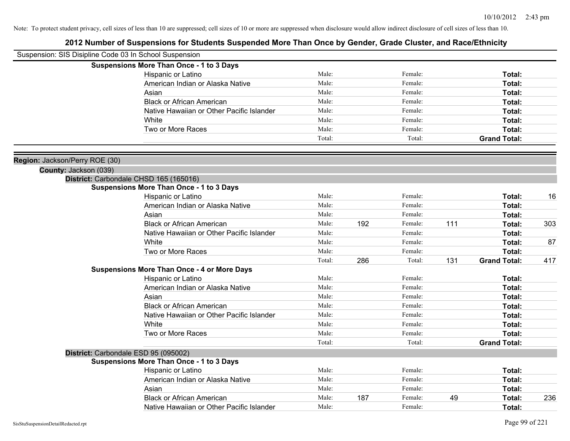| Suspension: SIS Disipline Code 03 In School Suspension |                                                    |        |     |         |     |                     |     |
|--------------------------------------------------------|----------------------------------------------------|--------|-----|---------|-----|---------------------|-----|
|                                                        | <b>Suspensions More Than Once - 1 to 3 Days</b>    |        |     |         |     |                     |     |
|                                                        | Hispanic or Latino                                 | Male:  |     | Female: |     | Total:              |     |
|                                                        | American Indian or Alaska Native                   | Male:  |     | Female: |     | Total:              |     |
|                                                        | Asian                                              | Male:  |     | Female: |     | Total:              |     |
|                                                        | <b>Black or African American</b>                   | Male:  |     | Female: |     | Total:              |     |
|                                                        | Native Hawaiian or Other Pacific Islander          | Male:  |     | Female: |     | Total:              |     |
|                                                        | White                                              | Male:  |     | Female: |     | <b>Total:</b>       |     |
|                                                        | Two or More Races                                  | Male:  |     | Female: |     | <b>Total:</b>       |     |
|                                                        |                                                    | Total: |     | Total:  |     | <b>Grand Total:</b> |     |
| Region: Jackson/Perry ROE (30)                         |                                                    |        |     |         |     |                     |     |
| County: Jackson (039)                                  |                                                    |        |     |         |     |                     |     |
|                                                        | District: Carbondale CHSD 165 (165016)             |        |     |         |     |                     |     |
|                                                        | <b>Suspensions More Than Once - 1 to 3 Days</b>    |        |     |         |     |                     |     |
|                                                        | Hispanic or Latino                                 | Male:  |     | Female: |     | Total:              | 16  |
|                                                        | American Indian or Alaska Native                   | Male:  |     | Female: |     | Total:              |     |
|                                                        | Asian                                              | Male:  |     | Female: |     | Total:              |     |
|                                                        | <b>Black or African American</b>                   | Male:  | 192 | Female: | 111 | Total:              | 303 |
|                                                        | Native Hawaiian or Other Pacific Islander          | Male:  |     | Female: |     | Total:              |     |
|                                                        | White                                              | Male:  |     | Female: |     | <b>Total:</b>       | 87  |
|                                                        | Two or More Races                                  | Male:  |     | Female: |     | <b>Total:</b>       |     |
|                                                        |                                                    | Total: | 286 | Total:  | 131 | <b>Grand Total:</b> | 417 |
|                                                        | <b>Suspensions More Than Once - 4 or More Days</b> |        |     |         |     |                     |     |
|                                                        | Hispanic or Latino                                 | Male:  |     | Female: |     | Total:              |     |
|                                                        | American Indian or Alaska Native                   | Male:  |     | Female: |     | Total:              |     |
|                                                        | Asian                                              | Male:  |     | Female: |     | Total:              |     |
|                                                        | <b>Black or African American</b>                   | Male:  |     | Female: |     | Total:              |     |
|                                                        | Native Hawaiian or Other Pacific Islander          | Male:  |     | Female: |     | Total:              |     |
|                                                        | White                                              | Male:  |     | Female: |     | Total:              |     |
|                                                        | Two or More Races                                  | Male:  |     | Female: |     | Total:              |     |
|                                                        |                                                    | Total: |     | Total:  |     | <b>Grand Total:</b> |     |
|                                                        | District: Carbondale ESD 95 (095002)               |        |     |         |     |                     |     |
|                                                        | <b>Suspensions More Than Once - 1 to 3 Days</b>    |        |     |         |     |                     |     |
|                                                        | Hispanic or Latino                                 | Male:  |     | Female: |     | Total:              |     |
|                                                        | American Indian or Alaska Native                   | Male:  |     | Female: |     | <b>Total:</b>       |     |
|                                                        | Asian                                              | Male:  |     | Female: |     | Total:              |     |
|                                                        | <b>Black or African American</b>                   | Male:  | 187 | Female: | 49  | Total:              | 236 |
|                                                        | Native Hawaiian or Other Pacific Islander          | Male:  |     | Female: |     | Total:              |     |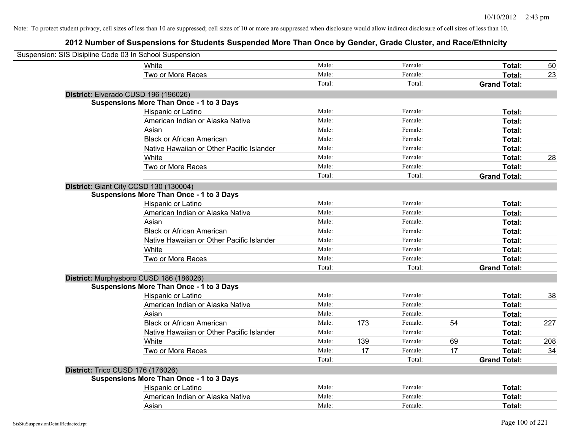| Suspension: SIS Disipline Code 03 In School Suspension |                                                 |        |     |         |    |                     |     |
|--------------------------------------------------------|-------------------------------------------------|--------|-----|---------|----|---------------------|-----|
|                                                        | <b>White</b>                                    | Male:  |     | Female: |    | Total:              | 50  |
|                                                        | Two or More Races                               | Male:  |     | Female: |    | Total:              | 23  |
|                                                        |                                                 | Total: |     | Total:  |    | <b>Grand Total:</b> |     |
| District: Elverado CUSD 196 (196026)                   |                                                 |        |     |         |    |                     |     |
|                                                        | <b>Suspensions More Than Once - 1 to 3 Days</b> |        |     |         |    |                     |     |
|                                                        | Hispanic or Latino                              | Male:  |     | Female: |    | Total:              |     |
|                                                        | American Indian or Alaska Native                | Male:  |     | Female: |    | Total:              |     |
|                                                        | Asian                                           | Male:  |     | Female: |    | Total:              |     |
|                                                        | <b>Black or African American</b>                | Male:  |     | Female: |    | Total:              |     |
|                                                        | Native Hawaiian or Other Pacific Islander       | Male:  |     | Female: |    | Total:              |     |
|                                                        | White                                           | Male:  |     | Female: |    | Total:              | 28  |
|                                                        | Two or More Races                               | Male:  |     | Female: |    | Total:              |     |
|                                                        |                                                 | Total: |     | Total:  |    | <b>Grand Total:</b> |     |
| District: Giant City CCSD 130 (130004)                 |                                                 |        |     |         |    |                     |     |
|                                                        | <b>Suspensions More Than Once - 1 to 3 Days</b> |        |     |         |    |                     |     |
|                                                        | Hispanic or Latino                              | Male:  |     | Female: |    | Total:              |     |
|                                                        | American Indian or Alaska Native                | Male:  |     | Female: |    | Total:              |     |
|                                                        | Asian                                           | Male:  |     | Female: |    | Total:              |     |
|                                                        | <b>Black or African American</b>                | Male:  |     | Female: |    | Total:              |     |
|                                                        | Native Hawaiian or Other Pacific Islander       | Male:  |     | Female: |    | Total:              |     |
|                                                        | White                                           | Male:  |     | Female: |    | Total:              |     |
|                                                        | Two or More Races                               | Male:  |     | Female: |    | Total:              |     |
|                                                        |                                                 | Total: |     | Total:  |    | <b>Grand Total:</b> |     |
| District: Murphysboro CUSD 186 (186026)                |                                                 |        |     |         |    |                     |     |
|                                                        | <b>Suspensions More Than Once - 1 to 3 Days</b> |        |     |         |    |                     |     |
|                                                        | Hispanic or Latino                              | Male:  |     | Female: |    | Total:              | 38  |
|                                                        | American Indian or Alaska Native                | Male:  |     | Female: |    | Total:              |     |
|                                                        | Asian                                           | Male:  |     | Female: |    | Total:              |     |
|                                                        | <b>Black or African American</b>                | Male:  | 173 | Female: | 54 | Total:              | 227 |
|                                                        | Native Hawaiian or Other Pacific Islander       | Male:  |     | Female: |    | Total:              |     |
|                                                        | White                                           | Male:  | 139 | Female: | 69 | Total:              | 208 |
|                                                        | Two or More Races                               | Male:  | 17  | Female: | 17 | Total:              | 34  |
|                                                        |                                                 | Total: |     | Total:  |    | <b>Grand Total:</b> |     |
| District: Trico CUSD 176 (176026)                      |                                                 |        |     |         |    |                     |     |
|                                                        | <b>Suspensions More Than Once - 1 to 3 Days</b> |        |     |         |    |                     |     |
|                                                        | Hispanic or Latino                              | Male:  |     | Female: |    | Total:              |     |
|                                                        | American Indian or Alaska Native                | Male:  |     | Female: |    | Total:              |     |
|                                                        | Asian                                           | Male:  |     | Female: |    | Total:              |     |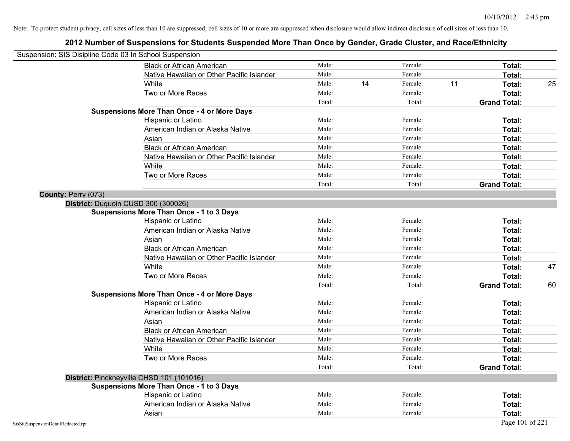| Suspension: SIS Disipline Code 03 In School Suspension |                                                    |        |    |         |    |                     |    |
|--------------------------------------------------------|----------------------------------------------------|--------|----|---------|----|---------------------|----|
|                                                        | <b>Black or African American</b>                   | Male:  |    | Female: |    | Total:              |    |
|                                                        | Native Hawaiian or Other Pacific Islander          | Male:  |    | Female: |    | Total:              |    |
|                                                        | White                                              | Male:  | 14 | Female: | 11 | Total:              | 25 |
|                                                        | Two or More Races                                  | Male:  |    | Female: |    | Total:              |    |
|                                                        |                                                    | Total: |    | Total:  |    | <b>Grand Total:</b> |    |
|                                                        | <b>Suspensions More Than Once - 4 or More Days</b> |        |    |         |    |                     |    |
|                                                        | Hispanic or Latino                                 | Male:  |    | Female: |    | Total:              |    |
|                                                        | American Indian or Alaska Native                   | Male:  |    | Female: |    | Total:              |    |
|                                                        | Asian                                              | Male:  |    | Female: |    | Total:              |    |
|                                                        | <b>Black or African American</b>                   | Male:  |    | Female: |    | Total:              |    |
|                                                        | Native Hawaiian or Other Pacific Islander          | Male:  |    | Female: |    | Total:              |    |
|                                                        | White                                              | Male:  |    | Female: |    | Total:              |    |
|                                                        | Two or More Races                                  | Male:  |    | Female: |    | Total:              |    |
|                                                        |                                                    | Total: |    | Total:  |    | <b>Grand Total:</b> |    |
| County: Perry (073)                                    |                                                    |        |    |         |    |                     |    |
|                                                        | District: Duquoin CUSD 300 (300026)                |        |    |         |    |                     |    |
|                                                        | <b>Suspensions More Than Once - 1 to 3 Days</b>    |        |    |         |    |                     |    |
|                                                        | Hispanic or Latino                                 | Male:  |    | Female: |    | Total:              |    |
|                                                        | American Indian or Alaska Native                   | Male:  |    | Female: |    | Total:              |    |
|                                                        | Asian                                              | Male:  |    | Female: |    | Total:              |    |
|                                                        | <b>Black or African American</b>                   | Male:  |    | Female: |    | Total:              |    |
|                                                        | Native Hawaiian or Other Pacific Islander          | Male:  |    | Female: |    | Total:              |    |
|                                                        | White                                              | Male:  |    | Female: |    | Total:              | 47 |
|                                                        | Two or More Races                                  | Male:  |    | Female: |    | Total:              |    |
|                                                        |                                                    | Total: |    | Total:  |    | <b>Grand Total:</b> | 60 |
|                                                        | <b>Suspensions More Than Once - 4 or More Days</b> |        |    |         |    |                     |    |
|                                                        | Hispanic or Latino                                 | Male:  |    | Female: |    | Total:              |    |
|                                                        | American Indian or Alaska Native                   | Male:  |    | Female: |    | Total:              |    |
|                                                        | Asian                                              | Male:  |    | Female: |    | Total:              |    |
|                                                        | <b>Black or African American</b>                   | Male:  |    | Female: |    | Total:              |    |
|                                                        | Native Hawaiian or Other Pacific Islander          | Male:  |    | Female: |    | Total:              |    |
|                                                        | White                                              | Male:  |    | Female: |    | Total:              |    |
|                                                        | Two or More Races                                  | Male:  |    | Female: |    | Total:              |    |
|                                                        |                                                    | Total: |    | Total:  |    | <b>Grand Total:</b> |    |
|                                                        | District: Pinckneyville CHSD 101 (101016)          |        |    |         |    |                     |    |
|                                                        | <b>Suspensions More Than Once - 1 to 3 Days</b>    |        |    |         |    |                     |    |
|                                                        | Hispanic or Latino                                 | Male:  |    | Female: |    | Total:              |    |
|                                                        | American Indian or Alaska Native                   | Male:  |    | Female: |    | Total:              |    |
|                                                        | Asian                                              | Male:  |    | Female: |    | Total:              |    |
| SisStuSuspensionDetailRedacted.rpt                     |                                                    |        |    |         |    | Page 101 of 221     |    |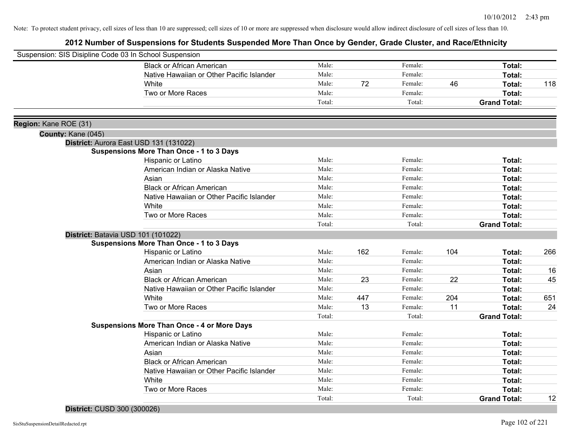# **2012 Number of Suspensions for Students Suspended More Than Once by Gender, Grade Cluster, and Race/Ethnicity**

| Suspension: SIS Disipline Code 03 In School Suspension |                                                    |        |     |         |     |                     |     |
|--------------------------------------------------------|----------------------------------------------------|--------|-----|---------|-----|---------------------|-----|
|                                                        | <b>Black or African American</b>                   | Male:  |     | Female: |     | Total:              |     |
|                                                        | Native Hawaiian or Other Pacific Islander          | Male:  |     | Female: |     | Total:              |     |
|                                                        | White                                              | Male:  | 72  | Female: | 46  | Total:              | 118 |
|                                                        | Two or More Races                                  | Male:  |     | Female: |     | <b>Total:</b>       |     |
|                                                        |                                                    | Total: |     | Total:  |     | <b>Grand Total:</b> |     |
|                                                        |                                                    |        |     |         |     |                     |     |
| Region: Kane ROE (31)                                  |                                                    |        |     |         |     |                     |     |
| County: Kane (045)                                     | District: Aurora East USD 131 (131022)             |        |     |         |     |                     |     |
|                                                        | <b>Suspensions More Than Once - 1 to 3 Days</b>    |        |     |         |     |                     |     |
|                                                        | Hispanic or Latino                                 | Male:  |     | Female: |     | Total:              |     |
|                                                        | American Indian or Alaska Native                   | Male:  |     | Female: |     | <b>Total:</b>       |     |
|                                                        | Asian                                              | Male:  |     | Female: |     | Total:              |     |
|                                                        | <b>Black or African American</b>                   | Male:  |     | Female: |     | Total:              |     |
|                                                        | Native Hawaiian or Other Pacific Islander          | Male:  |     | Female: |     | Total:              |     |
|                                                        | White                                              | Male:  |     | Female: |     | <b>Total:</b>       |     |
|                                                        | Two or More Races                                  | Male:  |     | Female: |     | <b>Total:</b>       |     |
|                                                        |                                                    | Total: |     | Total:  |     | <b>Grand Total:</b> |     |
|                                                        | District: Batavia USD 101 (101022)                 |        |     |         |     |                     |     |
|                                                        | <b>Suspensions More Than Once - 1 to 3 Days</b>    |        |     |         |     |                     |     |
|                                                        | Hispanic or Latino                                 | Male:  | 162 | Female: | 104 | Total:              | 266 |
|                                                        | American Indian or Alaska Native                   | Male:  |     | Female: |     | Total:              |     |
|                                                        | Asian                                              | Male:  |     | Female: |     | Total:              | 16  |
|                                                        | <b>Black or African American</b>                   | Male:  | 23  | Female: | 22  | Total:              | 45  |
|                                                        | Native Hawaiian or Other Pacific Islander          | Male:  |     | Female: |     | Total:              |     |
|                                                        | White                                              | Male:  | 447 | Female: | 204 | Total:              | 651 |
|                                                        | Two or More Races                                  | Male:  | 13  | Female: | 11  | <b>Total:</b>       | 24  |
|                                                        |                                                    | Total: |     | Total:  |     | <b>Grand Total:</b> |     |
|                                                        | <b>Suspensions More Than Once - 4 or More Days</b> |        |     |         |     |                     |     |
|                                                        | Hispanic or Latino                                 | Male:  |     | Female: |     | <b>Total:</b>       |     |
|                                                        | American Indian or Alaska Native                   | Male:  |     | Female: |     | Total:              |     |
|                                                        | Asian                                              | Male:  |     | Female: |     | <b>Total:</b>       |     |
|                                                        | <b>Black or African American</b>                   | Male:  |     | Female: |     | Total:              |     |
|                                                        | Native Hawaiian or Other Pacific Islander          | Male:  |     | Female: |     | Total:              |     |
|                                                        | White                                              | Male:  |     | Female: |     | Total:              |     |
|                                                        | Two or More Races                                  | Male:  |     | Female: |     | Total:              |     |
|                                                        |                                                    | Total: |     | Total:  |     | <b>Grand Total:</b> | 12  |

**District:** CUSD 300 (300026)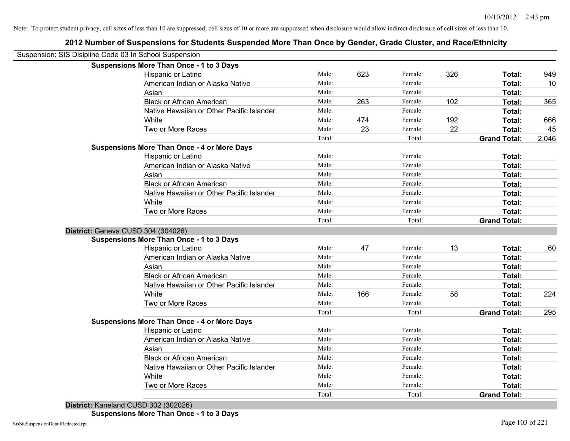| Suspension: SIS Disipline Code 03 In School Suspension |                                                    |        |     |         |     |                     |       |
|--------------------------------------------------------|----------------------------------------------------|--------|-----|---------|-----|---------------------|-------|
|                                                        | <b>Suspensions More Than Once - 1 to 3 Days</b>    |        |     |         |     |                     |       |
|                                                        | Hispanic or Latino                                 | Male:  | 623 | Female: | 326 | Total:              | 949   |
|                                                        | American Indian or Alaska Native                   | Male:  |     | Female: |     | Total:              | 10    |
|                                                        | Asian                                              | Male:  |     | Female: |     | Total:              |       |
|                                                        | <b>Black or African American</b>                   | Male:  | 263 | Female: | 102 | Total:              | 365   |
|                                                        | Native Hawaiian or Other Pacific Islander          | Male:  |     | Female: |     | Total:              |       |
|                                                        | White                                              | Male:  | 474 | Female: | 192 | Total:              | 666   |
|                                                        | Two or More Races                                  | Male:  | 23  | Female: | 22  | Total:              | 45    |
|                                                        |                                                    | Total: |     | Total:  |     | <b>Grand Total:</b> | 2,046 |
|                                                        | <b>Suspensions More Than Once - 4 or More Days</b> |        |     |         |     |                     |       |
|                                                        | Hispanic or Latino                                 | Male:  |     | Female: |     | Total:              |       |
|                                                        | American Indian or Alaska Native                   | Male:  |     | Female: |     | Total:              |       |
|                                                        | Asian                                              | Male:  |     | Female: |     | <b>Total:</b>       |       |
|                                                        | <b>Black or African American</b>                   | Male:  |     | Female: |     | Total:              |       |
|                                                        | Native Hawaiian or Other Pacific Islander          | Male:  |     | Female: |     | Total:              |       |
|                                                        | White                                              | Male:  |     | Female: |     | Total:              |       |
|                                                        | Two or More Races                                  | Male:  |     | Female: |     | Total:              |       |
|                                                        |                                                    | Total: |     | Total:  |     | <b>Grand Total:</b> |       |
| District: Geneva CUSD 304 (304026)                     |                                                    |        |     |         |     |                     |       |
|                                                        | <b>Suspensions More Than Once - 1 to 3 Days</b>    |        |     |         |     |                     |       |
|                                                        | Hispanic or Latino                                 | Male:  | 47  | Female: | 13  | Total:              | 60    |
|                                                        | American Indian or Alaska Native                   | Male:  |     | Female: |     | Total:              |       |
|                                                        | Asian                                              | Male:  |     | Female: |     | Total:              |       |
|                                                        | <b>Black or African American</b>                   | Male:  |     | Female: |     | Total:              |       |
|                                                        | Native Hawaiian or Other Pacific Islander          | Male:  |     | Female: |     | Total:              |       |
|                                                        | White                                              | Male:  | 166 | Female: | 58  | Total:              | 224   |
|                                                        | Two or More Races                                  | Male:  |     | Female: |     | Total:              |       |
|                                                        |                                                    | Total: |     | Total:  |     | <b>Grand Total:</b> | 295   |
|                                                        | <b>Suspensions More Than Once - 4 or More Days</b> |        |     |         |     |                     |       |
|                                                        | Hispanic or Latino                                 | Male:  |     | Female: |     | Total:              |       |
|                                                        | American Indian or Alaska Native                   | Male:  |     | Female: |     | Total:              |       |
|                                                        | Asian                                              | Male:  |     | Female: |     | Total:              |       |
|                                                        | <b>Black or African American</b>                   | Male:  |     | Female: |     | Total:              |       |
|                                                        | Native Hawaiian or Other Pacific Islander          | Male:  |     | Female: |     | Total:              |       |
|                                                        | White                                              | Male:  |     | Female: |     | Total:              |       |
|                                                        | Two or More Races                                  | Male:  |     | Female: |     | Total:              |       |
|                                                        |                                                    | Total: |     | Total:  |     | <b>Grand Total:</b> |       |

**2012 Number of Suspensions for Students Suspended More Than Once by Gender, Grade Cluster, and Race/Ethnicity**

**District:** Kaneland CUSD 302 (302026)

**Suspensions More Than Once - 1 to 3 Days**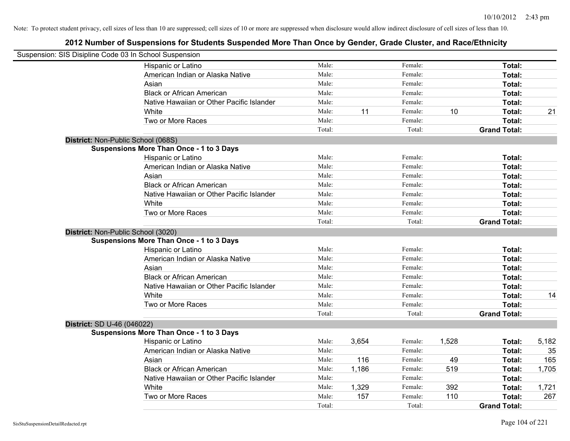|                                    | Suspension: SIS Disipline Code 03 In School Suspension |        |       |         |       |                     |       |
|------------------------------------|--------------------------------------------------------|--------|-------|---------|-------|---------------------|-------|
|                                    | Hispanic or Latino                                     | Male:  |       | Female: |       | Total:              |       |
|                                    | American Indian or Alaska Native                       | Male:  |       | Female: |       | Total:              |       |
|                                    | Asian                                                  | Male:  |       | Female: |       | Total:              |       |
|                                    | <b>Black or African American</b>                       | Male:  |       | Female: |       | Total:              |       |
|                                    | Native Hawaiian or Other Pacific Islander              | Male:  |       | Female: |       | Total:              |       |
|                                    | White                                                  | Male:  | 11    | Female: | 10    | Total:              | 21    |
|                                    | Two or More Races                                      | Male:  |       | Female: |       | Total:              |       |
|                                    |                                                        | Total: |       | Total:  |       | <b>Grand Total:</b> |       |
| District: Non-Public School (068S) |                                                        |        |       |         |       |                     |       |
|                                    | <b>Suspensions More Than Once - 1 to 3 Days</b>        |        |       |         |       |                     |       |
|                                    | Hispanic or Latino                                     | Male:  |       | Female: |       | Total:              |       |
|                                    | American Indian or Alaska Native                       | Male:  |       | Female: |       | Total:              |       |
|                                    | Asian                                                  | Male:  |       | Female: |       | Total:              |       |
|                                    | <b>Black or African American</b>                       | Male:  |       | Female: |       | Total:              |       |
|                                    | Native Hawaiian or Other Pacific Islander              | Male:  |       | Female: |       | Total:              |       |
|                                    | White                                                  | Male:  |       | Female: |       | Total:              |       |
|                                    | Two or More Races                                      | Male:  |       | Female: |       | Total:              |       |
|                                    |                                                        | Total: |       | Total:  |       | <b>Grand Total:</b> |       |
| District: Non-Public School (3020) |                                                        |        |       |         |       |                     |       |
|                                    | <b>Suspensions More Than Once - 1 to 3 Days</b>        |        |       |         |       |                     |       |
|                                    | Hispanic or Latino                                     | Male:  |       | Female: |       | Total:              |       |
|                                    | American Indian or Alaska Native                       | Male:  |       | Female: |       | Total:              |       |
|                                    | Asian                                                  | Male:  |       | Female: |       | Total:              |       |
|                                    | <b>Black or African American</b>                       | Male:  |       | Female: |       | Total:              |       |
|                                    | Native Hawaiian or Other Pacific Islander              | Male:  |       | Female: |       | Total:              |       |
|                                    | White                                                  | Male:  |       | Female: |       | Total:              | 14    |
|                                    | Two or More Races                                      | Male:  |       | Female: |       | Total:              |       |
|                                    |                                                        | Total: |       | Total:  |       | <b>Grand Total:</b> |       |
| District: SD U-46 (046022)         |                                                        |        |       |         |       |                     |       |
|                                    | <b>Suspensions More Than Once - 1 to 3 Days</b>        |        |       |         |       |                     |       |
|                                    | Hispanic or Latino                                     | Male:  | 3,654 | Female: | 1,528 | Total:              | 5,182 |
|                                    | American Indian or Alaska Native                       | Male:  |       | Female: |       | Total:              | 35    |
|                                    | Asian                                                  | Male:  | 116   | Female: | 49    | Total:              | 165   |
|                                    | <b>Black or African American</b>                       | Male:  | 1,186 | Female: | 519   | Total:              | 1,705 |
|                                    | Native Hawaiian or Other Pacific Islander              | Male:  |       | Female: |       | Total:              |       |
|                                    | White                                                  | Male:  | 1,329 | Female: | 392   | Total:              | 1,721 |
|                                    | Two or More Races                                      | Male:  | 157   | Female: | 110   | Total:              | 267   |
|                                    |                                                        | Total: |       | Total:  |       | <b>Grand Total:</b> |       |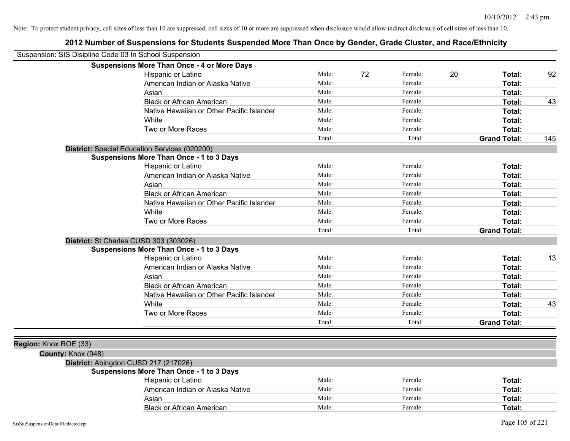| Suspension: SIS Disipline Code 03 In School Suspension |                                                    |                |    |         |                     |                 |
|--------------------------------------------------------|----------------------------------------------------|----------------|----|---------|---------------------|-----------------|
|                                                        | <b>Suspensions More Than Once - 4 or More Days</b> |                |    |         |                     |                 |
|                                                        | Hispanic or Latino                                 | Male:          | 72 | Female: | 20<br>Total:        | 92              |
|                                                        | American Indian or Alaska Native                   | Male:          |    | Female: | Total:              |                 |
|                                                        | Asian                                              | Male:          |    | Female: | Total:              |                 |
|                                                        | <b>Black or African American</b>                   | Male:          |    | Female: | Total:              | 43              |
|                                                        | Native Hawaiian or Other Pacific Islander          | Male:          |    | Female: | Total:              |                 |
|                                                        | White                                              | Male:          |    | Female: | Total:              |                 |
|                                                        | Two or More Races                                  | Male:          |    | Female: | Total:              |                 |
|                                                        |                                                    | Total:         |    | Total:  | <b>Grand Total:</b> | 145             |
|                                                        | District: Special Education Services (020200)      |                |    |         |                     |                 |
|                                                        | <b>Suspensions More Than Once - 1 to 3 Days</b>    |                |    |         |                     |                 |
|                                                        | Hispanic or Latino                                 | Male:          |    | Female: | Total:              |                 |
|                                                        | American Indian or Alaska Native                   | Male:          |    | Female: | Total:              |                 |
|                                                        | Asian                                              | Male:          |    | Female: | Total:              |                 |
|                                                        | <b>Black or African American</b>                   | Male:          |    | Female: | Total:              |                 |
|                                                        | Native Hawaiian or Other Pacific Islander          | Male:          |    | Female: | Total:              |                 |
|                                                        | White                                              | Male:          |    | Female: | Total:              |                 |
|                                                        | Two or More Races                                  | Male:          |    | Female: | Total:              |                 |
|                                                        |                                                    | Total:         |    | Total:  | <b>Grand Total:</b> |                 |
|                                                        | District: St Charles CUSD 303 (303026)             |                |    |         |                     |                 |
|                                                        | <b>Suspensions More Than Once - 1 to 3 Days</b>    |                |    |         |                     |                 |
|                                                        | Hispanic or Latino                                 | Male:          |    | Female: | Total:              | 13              |
|                                                        | American Indian or Alaska Native                   | Male:          |    | Female: | Total:              |                 |
|                                                        | Asian                                              | Male:          |    | Female: | Total:              |                 |
|                                                        | <b>Black or African American</b>                   | Male:          |    | Female: | Total:              |                 |
|                                                        | Native Hawaiian or Other Pacific Islander          | Male:          |    | Female: | Total:              |                 |
|                                                        | White                                              | Male:          |    | Female: | Total:              | 43              |
|                                                        | Two or More Races                                  | Male:          |    | Female: | Total:              |                 |
|                                                        |                                                    | Total:         |    | Total:  | <b>Grand Total:</b> |                 |
|                                                        |                                                    |                |    |         |                     |                 |
| Region: Knox ROE (33)                                  |                                                    |                |    |         |                     |                 |
| County: Knox (048)                                     |                                                    |                |    |         |                     |                 |
|                                                        | District: Abingdon CUSD 217 (217026)               |                |    |         |                     |                 |
|                                                        | <b>Suspensions More Than Once - 1 to 3 Days</b>    |                |    |         |                     |                 |
|                                                        | Hispanic or Latino                                 | Male:<br>Male: |    | Female: | Total:              |                 |
|                                                        | American Indian or Alaska Native                   |                |    | Female: | <b>Total:</b>       |                 |
|                                                        | Asian                                              | Male:          |    | Female: | Total:              |                 |
|                                                        | <b>Black or African American</b>                   | Male:          |    | Female: | Total:              |                 |
| SisStuSuspensionDetailRedacted.rpt                     |                                                    |                |    |         |                     | Page 105 of 221 |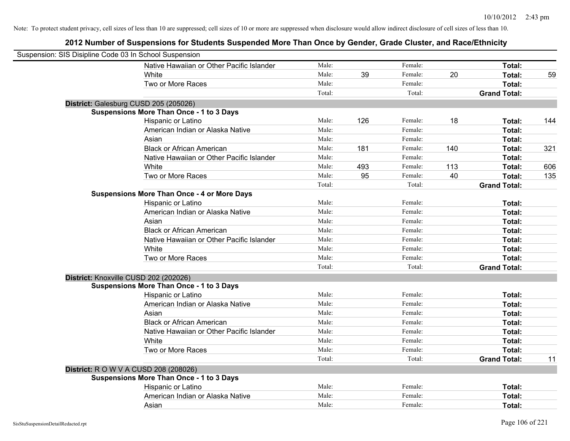| Suspension: SIS Disipline Code 03 In School Suspension |                                                    |        |     |         |     |                     |     |
|--------------------------------------------------------|----------------------------------------------------|--------|-----|---------|-----|---------------------|-----|
|                                                        | Native Hawaiian or Other Pacific Islander          | Male:  |     | Female: |     | Total:              |     |
|                                                        | White                                              | Male:  | 39  | Female: | 20  | Total:              | 59  |
|                                                        | Two or More Races                                  | Male:  |     | Female: |     | Total:              |     |
|                                                        |                                                    | Total: |     | Total:  |     | <b>Grand Total:</b> |     |
| District: Galesburg CUSD 205 (205026)                  |                                                    |        |     |         |     |                     |     |
|                                                        | <b>Suspensions More Than Once - 1 to 3 Days</b>    |        |     |         |     |                     |     |
|                                                        | Hispanic or Latino                                 | Male:  | 126 | Female: | 18  | Total:              | 144 |
|                                                        | American Indian or Alaska Native                   | Male:  |     | Female: |     | Total:              |     |
|                                                        | Asian                                              | Male:  |     | Female: |     | Total:              |     |
|                                                        | <b>Black or African American</b>                   | Male:  | 181 | Female: | 140 | Total:              | 321 |
|                                                        | Native Hawaiian or Other Pacific Islander          | Male:  |     | Female: |     | Total:              |     |
|                                                        | White                                              | Male:  | 493 | Female: | 113 | Total:              | 606 |
|                                                        | Two or More Races                                  | Male:  | 95  | Female: | 40  | Total:              | 135 |
|                                                        |                                                    | Total: |     | Total:  |     | <b>Grand Total:</b> |     |
|                                                        | <b>Suspensions More Than Once - 4 or More Days</b> |        |     |         |     |                     |     |
|                                                        | Hispanic or Latino                                 | Male:  |     | Female: |     | Total:              |     |
|                                                        | American Indian or Alaska Native                   | Male:  |     | Female: |     | Total:              |     |
|                                                        | Asian                                              | Male:  |     | Female: |     | Total:              |     |
|                                                        | <b>Black or African American</b>                   | Male:  |     | Female: |     | Total:              |     |
|                                                        | Native Hawaiian or Other Pacific Islander          | Male:  |     | Female: |     | Total:              |     |
|                                                        | White                                              | Male:  |     | Female: |     | Total:              |     |
|                                                        | Two or More Races                                  | Male:  |     | Female: |     | Total:              |     |
|                                                        |                                                    | Total: |     | Total:  |     | <b>Grand Total:</b> |     |
| District: Knoxville CUSD 202 (202026)                  |                                                    |        |     |         |     |                     |     |
|                                                        | <b>Suspensions More Than Once - 1 to 3 Days</b>    |        |     |         |     |                     |     |
|                                                        | Hispanic or Latino                                 | Male:  |     | Female: |     | Total:              |     |
|                                                        | American Indian or Alaska Native                   | Male:  |     | Female: |     | Total:              |     |
|                                                        | Asian                                              | Male:  |     | Female: |     | Total:              |     |
|                                                        | <b>Black or African American</b>                   | Male:  |     | Female: |     | Total:              |     |
|                                                        | Native Hawaiian or Other Pacific Islander          | Male:  |     | Female: |     | Total:              |     |
|                                                        | White                                              | Male:  |     | Female: |     | Total:              |     |
|                                                        | Two or More Races                                  | Male:  |     | Female: |     | Total:              |     |
|                                                        |                                                    | Total: |     | Total:  |     | <b>Grand Total:</b> | 11  |
| <b>District:</b> R O W V A CUSD 208 (208026)           |                                                    |        |     |         |     |                     |     |
|                                                        | <b>Suspensions More Than Once - 1 to 3 Days</b>    |        |     |         |     |                     |     |
|                                                        | Hispanic or Latino                                 | Male:  |     | Female: |     | Total:              |     |
|                                                        | American Indian or Alaska Native                   | Male:  |     | Female: |     | Total:              |     |
|                                                        | Asian                                              | Male:  |     | Female: |     | Total:              |     |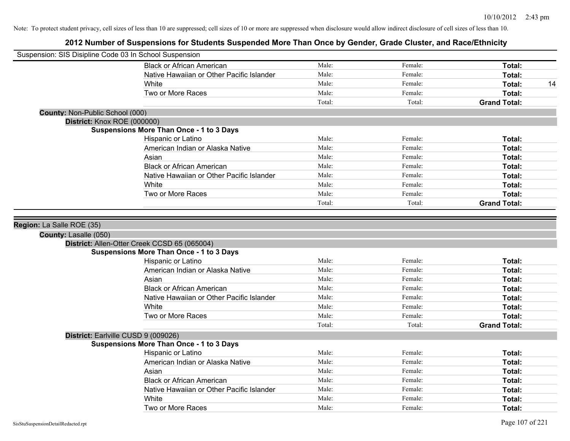| Suspension: SIS Disipline Code 03 In School Suspension |                                                 |        |         |                     |
|--------------------------------------------------------|-------------------------------------------------|--------|---------|---------------------|
|                                                        | <b>Black or African American</b>                | Male:  | Female: | Total:              |
|                                                        | Native Hawaiian or Other Pacific Islander       | Male:  | Female: | Total:              |
|                                                        | White                                           | Male:  | Female: | Total:<br>14        |
|                                                        | Two or More Races                               | Male:  | Female: | Total:              |
|                                                        |                                                 | Total: | Total:  | <b>Grand Total:</b> |
| County: Non-Public School (000)                        |                                                 |        |         |                     |
| District: Knox ROE (000000)                            |                                                 |        |         |                     |
|                                                        | <b>Suspensions More Than Once - 1 to 3 Days</b> |        |         |                     |
|                                                        | Hispanic or Latino                              | Male:  | Female: | Total:              |
|                                                        | American Indian or Alaska Native                | Male:  | Female: | Total:              |
|                                                        | Asian                                           | Male:  | Female: | Total:              |
|                                                        | <b>Black or African American</b>                | Male:  | Female: | Total:              |
|                                                        | Native Hawaiian or Other Pacific Islander       | Male:  | Female: | Total:              |
|                                                        | White                                           | Male:  | Female: | Total:              |
|                                                        | Two or More Races                               | Male:  | Female: | Total:              |
|                                                        |                                                 | Total: | Total:  | <b>Grand Total:</b> |
| County: Lasalle (050)                                  | District: Allen-Otter Creek CCSD 65 (065004)    |        |         |                     |
|                                                        |                                                 |        |         |                     |
|                                                        | <b>Suspensions More Than Once - 1 to 3 Days</b> |        |         |                     |
|                                                        | Hispanic or Latino                              | Male:  | Female: | Total:              |
|                                                        | American Indian or Alaska Native                | Male:  | Female: | Total:              |
|                                                        | Asian                                           | Male:  | Female: | Total:              |
|                                                        | <b>Black or African American</b>                | Male:  | Female: | Total:              |
|                                                        | Native Hawaiian or Other Pacific Islander       | Male:  | Female: | Total:              |
|                                                        | White                                           | Male:  | Female: | <b>Total:</b>       |
|                                                        | Two or More Races                               | Male:  | Female: | Total:              |
|                                                        |                                                 | Total: | Total:  | <b>Grand Total:</b> |
| District: Earlville CUSD 9 (009026)                    |                                                 |        |         |                     |
|                                                        | <b>Suspensions More Than Once - 1 to 3 Days</b> |        |         |                     |
|                                                        | Hispanic or Latino                              | Male:  | Female: | Total:              |
|                                                        | American Indian or Alaska Native                | Male:  | Female: | Total:              |
|                                                        | Asian                                           | Male:  | Female: | Total:              |
|                                                        | <b>Black or African American</b>                | Male:  | Female: | Total:              |
|                                                        | Native Hawaiian or Other Pacific Islander       | Male:  | Female: | Total:              |
|                                                        | White                                           | Male:  | Female: | <b>Total:</b>       |
|                                                        |                                                 |        |         | Total:              |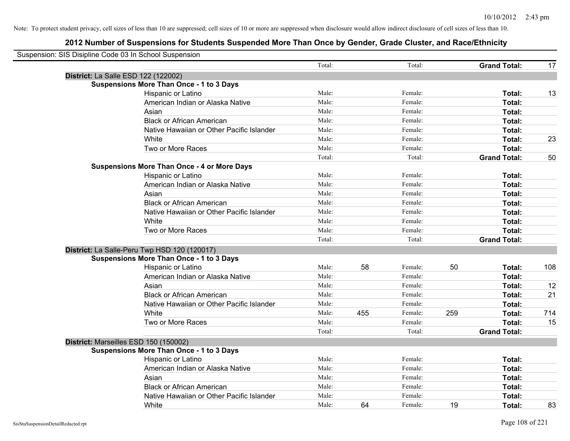| Suspension: SIS Disipline Code 03 In School Suspension |                                                    |        |     |         |     |                     |     |
|--------------------------------------------------------|----------------------------------------------------|--------|-----|---------|-----|---------------------|-----|
|                                                        |                                                    | Total: |     | Total:  |     | <b>Grand Total:</b> | 17  |
|                                                        | District: La Salle ESD 122 (122002)                |        |     |         |     |                     |     |
|                                                        | <b>Suspensions More Than Once - 1 to 3 Days</b>    |        |     |         |     |                     |     |
|                                                        | Hispanic or Latino                                 | Male:  |     | Female: |     | Total:              | 13  |
|                                                        | American Indian or Alaska Native                   | Male:  |     | Female: |     | <b>Total:</b>       |     |
|                                                        | Asian                                              | Male:  |     | Female: |     | Total:              |     |
|                                                        | <b>Black or African American</b>                   | Male:  |     | Female: |     | Total:              |     |
|                                                        | Native Hawaiian or Other Pacific Islander          | Male:  |     | Female: |     | Total:              |     |
|                                                        | White                                              | Male:  |     | Female: |     | Total:              | 23  |
|                                                        | Two or More Races                                  | Male:  |     | Female: |     | Total:              |     |
|                                                        |                                                    | Total: |     | Total:  |     | <b>Grand Total:</b> | 50  |
|                                                        | <b>Suspensions More Than Once - 4 or More Days</b> |        |     |         |     |                     |     |
|                                                        | Hispanic or Latino                                 | Male:  |     | Female: |     | Total:              |     |
|                                                        | American Indian or Alaska Native                   | Male:  |     | Female: |     | Total:              |     |
|                                                        | Asian                                              | Male:  |     | Female: |     | Total:              |     |
|                                                        | <b>Black or African American</b>                   | Male:  |     | Female: |     | Total:              |     |
|                                                        | Native Hawaiian or Other Pacific Islander          | Male:  |     | Female: |     | Total:              |     |
|                                                        | White                                              | Male:  |     | Female: |     | Total:              |     |
|                                                        | Two or More Races                                  | Male:  |     | Female: |     | Total:              |     |
|                                                        |                                                    | Total: |     | Total:  |     | <b>Grand Total:</b> |     |
|                                                        | District: La Salle-Peru Twp HSD 120 (120017)       |        |     |         |     |                     |     |
|                                                        | <b>Suspensions More Than Once - 1 to 3 Days</b>    |        |     |         |     |                     |     |
|                                                        | Hispanic or Latino                                 | Male:  | 58  | Female: | 50  | Total:              | 108 |
|                                                        | American Indian or Alaska Native                   | Male:  |     | Female: |     | Total:              |     |
|                                                        | Asian                                              | Male:  |     | Female: |     | Total:              | 12  |
|                                                        | <b>Black or African American</b>                   | Male:  |     | Female: |     | Total:              | 21  |
|                                                        | Native Hawaiian or Other Pacific Islander          | Male:  |     | Female: |     | Total:              |     |
|                                                        | White                                              | Male:  | 455 | Female: | 259 | Total:              | 714 |
|                                                        | Two or More Races                                  | Male:  |     | Female: |     | Total:              | 15  |
|                                                        |                                                    | Total: |     | Total:  |     | <b>Grand Total:</b> |     |
|                                                        | District: Marseilles ESD 150 (150002)              |        |     |         |     |                     |     |
|                                                        | <b>Suspensions More Than Once - 1 to 3 Days</b>    |        |     |         |     |                     |     |
|                                                        | Hispanic or Latino                                 | Male:  |     | Female: |     | Total:              |     |
|                                                        | American Indian or Alaska Native                   | Male:  |     | Female: |     | Total:              |     |
|                                                        | Asian                                              | Male:  |     | Female: |     | Total:              |     |
|                                                        | <b>Black or African American</b>                   | Male:  |     | Female: |     | Total:              |     |
|                                                        | Native Hawaiian or Other Pacific Islander          | Male:  |     | Female: |     | Total:              |     |
|                                                        | White                                              | Male:  | 64  | Female: | 19  | Total:              | 83  |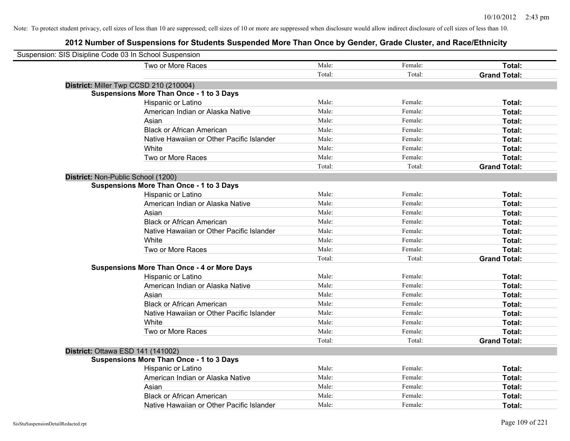| Suspension: SIS Disipline Code 03 In School Suspension |                                                    |        |         |                     |
|--------------------------------------------------------|----------------------------------------------------|--------|---------|---------------------|
|                                                        | Two or More Races                                  | Male:  | Female: | Total:              |
|                                                        |                                                    | Total: | Total:  | <b>Grand Total:</b> |
|                                                        | District: Miller Twp CCSD 210 (210004)             |        |         |                     |
|                                                        | <b>Suspensions More Than Once - 1 to 3 Days</b>    |        |         |                     |
|                                                        | Hispanic or Latino                                 | Male:  | Female: | Total:              |
|                                                        | American Indian or Alaska Native                   | Male:  | Female: | Total:              |
|                                                        | Asian                                              | Male:  | Female: | Total:              |
|                                                        | <b>Black or African American</b>                   | Male:  | Female: | Total:              |
|                                                        | Native Hawaiian or Other Pacific Islander          | Male:  | Female: | Total:              |
|                                                        | White                                              | Male:  | Female: | Total:              |
|                                                        | Two or More Races                                  | Male:  | Female: | Total:              |
|                                                        |                                                    | Total: | Total:  | <b>Grand Total:</b> |
| District: Non-Public School (1200)                     |                                                    |        |         |                     |
|                                                        | <b>Suspensions More Than Once - 1 to 3 Days</b>    |        |         |                     |
|                                                        | Hispanic or Latino                                 | Male:  | Female: | Total:              |
|                                                        | American Indian or Alaska Native                   | Male:  | Female: | Total:              |
|                                                        | Asian                                              | Male:  | Female: | Total:              |
|                                                        | <b>Black or African American</b>                   | Male:  | Female: | Total:              |
|                                                        | Native Hawaiian or Other Pacific Islander          | Male:  | Female: | Total:              |
|                                                        | White                                              | Male:  | Female: | Total:              |
|                                                        | Two or More Races                                  | Male:  | Female: | Total:              |
|                                                        |                                                    | Total: | Total:  | <b>Grand Total:</b> |
|                                                        | <b>Suspensions More Than Once - 4 or More Days</b> |        |         |                     |
|                                                        | Hispanic or Latino                                 | Male:  | Female: | Total:              |
|                                                        | American Indian or Alaska Native                   | Male:  | Female: | Total:              |
|                                                        | Asian                                              | Male:  | Female: | Total:              |
|                                                        | <b>Black or African American</b>                   | Male:  | Female: | Total:              |
|                                                        | Native Hawaiian or Other Pacific Islander          | Male:  | Female: | Total:              |
|                                                        | White                                              | Male:  | Female: | Total:              |
|                                                        | Two or More Races                                  | Male:  | Female: | Total:              |
|                                                        |                                                    | Total: | Total:  | <b>Grand Total:</b> |
| District: Ottawa ESD 141 (141002)                      |                                                    |        |         |                     |
|                                                        | <b>Suspensions More Than Once - 1 to 3 Days</b>    |        |         |                     |
|                                                        | Hispanic or Latino                                 | Male:  | Female: | Total:              |
|                                                        | American Indian or Alaska Native                   | Male:  | Female: | Total:              |
|                                                        | Asian                                              | Male:  | Female: | Total:              |
|                                                        | <b>Black or African American</b>                   | Male:  | Female: | Total:              |
|                                                        | Native Hawaiian or Other Pacific Islander          | Male:  | Female: | Total:              |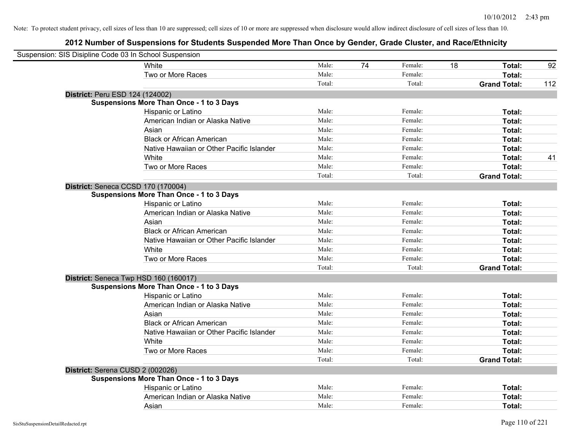| Suspension: SIS Disipline Code 03 In School Suspension |                                                 |        |    |         |    |                     |     |
|--------------------------------------------------------|-------------------------------------------------|--------|----|---------|----|---------------------|-----|
|                                                        | White                                           | Male:  | 74 | Female: | 18 | Total:              | 92  |
|                                                        | Two or More Races                               | Male:  |    | Female: |    | Total:              |     |
|                                                        |                                                 | Total: |    | Total:  |    | <b>Grand Total:</b> | 112 |
| District: Peru ESD 124 (124002)                        |                                                 |        |    |         |    |                     |     |
|                                                        | <b>Suspensions More Than Once - 1 to 3 Days</b> |        |    |         |    |                     |     |
|                                                        | Hispanic or Latino                              | Male:  |    | Female: |    | Total:              |     |
|                                                        | American Indian or Alaska Native                | Male:  |    | Female: |    | Total:              |     |
|                                                        | Asian                                           | Male:  |    | Female: |    | Total:              |     |
|                                                        | <b>Black or African American</b>                | Male:  |    | Female: |    | Total:              |     |
|                                                        | Native Hawaiian or Other Pacific Islander       | Male:  |    | Female: |    | Total:              |     |
|                                                        | White                                           | Male:  |    | Female: |    | Total:              | 41  |
|                                                        | Two or More Races                               | Male:  |    | Female: |    | Total:              |     |
|                                                        |                                                 | Total: |    | Total:  |    | <b>Grand Total:</b> |     |
| District: Seneca CCSD 170 (170004)                     |                                                 |        |    |         |    |                     |     |
|                                                        | <b>Suspensions More Than Once - 1 to 3 Days</b> |        |    |         |    |                     |     |
|                                                        | Hispanic or Latino                              | Male:  |    | Female: |    | Total:              |     |
|                                                        | American Indian or Alaska Native                | Male:  |    | Female: |    | Total:              |     |
|                                                        | Asian                                           | Male:  |    | Female: |    | Total:              |     |
|                                                        | <b>Black or African American</b>                | Male:  |    | Female: |    | Total:              |     |
|                                                        | Native Hawaiian or Other Pacific Islander       | Male:  |    | Female: |    | Total:              |     |
|                                                        | White                                           | Male:  |    | Female: |    | Total:              |     |
|                                                        | Two or More Races                               | Male:  |    | Female: |    | Total:              |     |
|                                                        |                                                 | Total: |    | Total:  |    | <b>Grand Total:</b> |     |
| District: Seneca Twp HSD 160 (160017)                  |                                                 |        |    |         |    |                     |     |
|                                                        | <b>Suspensions More Than Once - 1 to 3 Days</b> |        |    |         |    |                     |     |
|                                                        | Hispanic or Latino                              | Male:  |    | Female: |    | Total:              |     |
|                                                        | American Indian or Alaska Native                | Male:  |    | Female: |    | Total:              |     |
|                                                        | Asian                                           | Male:  |    | Female: |    | Total:              |     |
|                                                        | <b>Black or African American</b>                | Male:  |    | Female: |    | Total:              |     |
|                                                        | Native Hawaiian or Other Pacific Islander       | Male:  |    | Female: |    | Total:              |     |
|                                                        | White                                           | Male:  |    | Female: |    | Total:              |     |
|                                                        | Two or More Races                               | Male:  |    | Female: |    | Total:              |     |
|                                                        |                                                 | Total: |    | Total:  |    | <b>Grand Total:</b> |     |
| District: Serena CUSD 2 (002026)                       |                                                 |        |    |         |    |                     |     |
|                                                        | <b>Suspensions More Than Once - 1 to 3 Days</b> |        |    |         |    |                     |     |
|                                                        | Hispanic or Latino                              | Male:  |    | Female: |    | Total:              |     |
|                                                        | American Indian or Alaska Native                | Male:  |    | Female: |    | Total:              |     |
|                                                        | Asian                                           | Male:  |    | Female: |    | Total:              |     |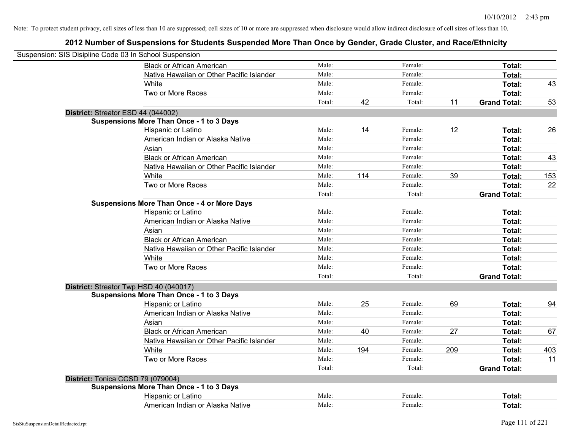| Suspension: SIS Disipline Code 03 In School Suspension |                                                    |        |     |         |     |                     |     |
|--------------------------------------------------------|----------------------------------------------------|--------|-----|---------|-----|---------------------|-----|
|                                                        | <b>Black or African American</b>                   | Male:  |     | Female: |     | Total:              |     |
|                                                        | Native Hawaiian or Other Pacific Islander          | Male:  |     | Female: |     | Total:              |     |
|                                                        | White                                              | Male:  |     | Female: |     | Total:              | 43  |
|                                                        | Two or More Races                                  | Male:  |     | Female: |     | Total:              |     |
|                                                        |                                                    | Total: | 42  | Total:  | 11  | <b>Grand Total:</b> | 53  |
| District: Streator ESD 44 (044002)                     |                                                    |        |     |         |     |                     |     |
|                                                        | <b>Suspensions More Than Once - 1 to 3 Days</b>    |        |     |         |     |                     |     |
|                                                        | Hispanic or Latino                                 | Male:  | 14  | Female: | 12  | Total:              | 26  |
|                                                        | American Indian or Alaska Native                   | Male:  |     | Female: |     | Total:              |     |
|                                                        | Asian                                              | Male:  |     | Female: |     | Total:              |     |
|                                                        | <b>Black or African American</b>                   | Male:  |     | Female: |     | Total:              | 43  |
|                                                        | Native Hawaiian or Other Pacific Islander          | Male:  |     | Female: |     | Total:              |     |
|                                                        | White                                              | Male:  | 114 | Female: | 39  | Total:              | 153 |
|                                                        | Two or More Races                                  | Male:  |     | Female: |     | Total:              | 22  |
|                                                        |                                                    | Total: |     | Total:  |     | <b>Grand Total:</b> |     |
|                                                        | <b>Suspensions More Than Once - 4 or More Days</b> |        |     |         |     |                     |     |
|                                                        | Hispanic or Latino                                 | Male:  |     | Female: |     | Total:              |     |
|                                                        | American Indian or Alaska Native                   | Male:  |     | Female: |     | Total:              |     |
|                                                        | Asian                                              | Male:  |     | Female: |     | Total:              |     |
|                                                        | <b>Black or African American</b>                   | Male:  |     | Female: |     | Total:              |     |
|                                                        | Native Hawaiian or Other Pacific Islander          | Male:  |     | Female: |     | Total:              |     |
|                                                        | White                                              | Male:  |     | Female: |     | Total:              |     |
|                                                        | Two or More Races                                  | Male:  |     | Female: |     | Total:              |     |
|                                                        |                                                    | Total: |     | Total:  |     | <b>Grand Total:</b> |     |
|                                                        | District: Streator Twp HSD 40 (040017)             |        |     |         |     |                     |     |
|                                                        | <b>Suspensions More Than Once - 1 to 3 Days</b>    |        |     |         |     |                     |     |
|                                                        | Hispanic or Latino                                 | Male:  | 25  | Female: | 69  | Total:              | 94  |
|                                                        | American Indian or Alaska Native                   | Male:  |     | Female: |     | Total:              |     |
|                                                        | Asian                                              | Male:  |     | Female: |     | Total:              |     |
|                                                        | <b>Black or African American</b>                   | Male:  | 40  | Female: | 27  | Total:              | 67  |
|                                                        | Native Hawaiian or Other Pacific Islander          | Male:  |     | Female: |     | Total:              |     |
|                                                        | White                                              | Male:  | 194 | Female: | 209 | Total:              | 403 |
|                                                        | Two or More Races                                  | Male:  |     | Female: |     | Total:              | 11  |
|                                                        |                                                    | Total: |     | Total:  |     | <b>Grand Total:</b> |     |
| District: Tonica CCSD 79 (079004)                      |                                                    |        |     |         |     |                     |     |
|                                                        | <b>Suspensions More Than Once - 1 to 3 Days</b>    |        |     |         |     |                     |     |
|                                                        | Hispanic or Latino                                 | Male:  |     | Female: |     | Total:              |     |
|                                                        | American Indian or Alaska Native                   | Male:  |     | Female: |     | Total:              |     |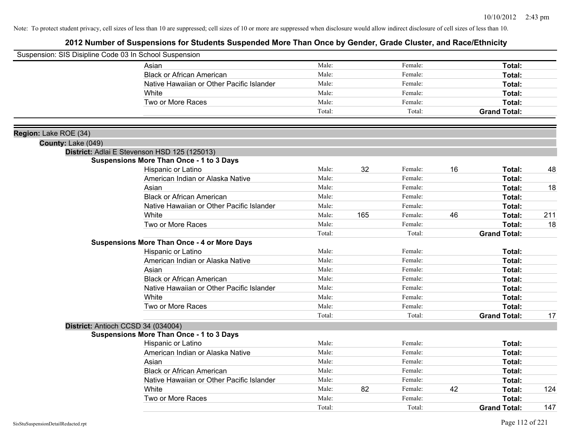| Suspension: SIS Disipline Code 03 In School Suspension |                                                    |        |     |         |    |                     |     |
|--------------------------------------------------------|----------------------------------------------------|--------|-----|---------|----|---------------------|-----|
|                                                        | Asian                                              | Male:  |     | Female: |    | Total:              |     |
|                                                        | <b>Black or African American</b>                   | Male:  |     | Female: |    | Total:              |     |
|                                                        | Native Hawaiian or Other Pacific Islander          | Male:  |     | Female: |    | Total:              |     |
|                                                        | White                                              | Male:  |     | Female: |    | Total:              |     |
|                                                        | Two or More Races                                  | Male:  |     | Female: |    | Total:              |     |
|                                                        |                                                    | Total: |     | Total:  |    | <b>Grand Total:</b> |     |
|                                                        |                                                    |        |     |         |    |                     |     |
| Region: Lake ROE (34)<br>County: Lake (049)            |                                                    |        |     |         |    |                     |     |
|                                                        | District: Adlai E Stevenson HSD 125 (125013)       |        |     |         |    |                     |     |
|                                                        | <b>Suspensions More Than Once - 1 to 3 Days</b>    |        |     |         |    |                     |     |
|                                                        | Hispanic or Latino                                 | Male:  | 32  | Female: | 16 | Total:              | 48  |
|                                                        | American Indian or Alaska Native                   | Male:  |     | Female: |    | Total:              |     |
|                                                        | Asian                                              | Male:  |     | Female: |    | Total:              | 18  |
|                                                        | <b>Black or African American</b>                   | Male:  |     | Female: |    | Total:              |     |
|                                                        | Native Hawaiian or Other Pacific Islander          | Male:  |     | Female: |    | Total:              |     |
|                                                        | White                                              | Male:  | 165 | Female: | 46 | Total:              | 211 |
|                                                        | Two or More Races                                  | Male:  |     | Female: |    | Total:              | 18  |
|                                                        |                                                    | Total: |     | Total:  |    | <b>Grand Total:</b> |     |
|                                                        | <b>Suspensions More Than Once - 4 or More Days</b> |        |     |         |    |                     |     |
|                                                        | Hispanic or Latino                                 | Male:  |     | Female: |    | Total:              |     |
|                                                        | American Indian or Alaska Native                   | Male:  |     | Female: |    | Total:              |     |
|                                                        | Asian                                              | Male:  |     | Female: |    | Total:              |     |
|                                                        | <b>Black or African American</b>                   | Male:  |     | Female: |    | Total:              |     |
|                                                        | Native Hawaiian or Other Pacific Islander          | Male:  |     | Female: |    | Total:              |     |
|                                                        | White                                              | Male:  |     | Female: |    | Total:              |     |
|                                                        | Two or More Races                                  | Male:  |     | Female: |    | Total:              |     |
|                                                        |                                                    | Total: |     | Total:  |    | <b>Grand Total:</b> | 17  |
|                                                        | District: Antioch CCSD 34 (034004)                 |        |     |         |    |                     |     |
|                                                        | <b>Suspensions More Than Once - 1 to 3 Days</b>    |        |     |         |    |                     |     |
|                                                        | Hispanic or Latino                                 | Male:  |     | Female: |    | Total:              |     |
|                                                        | American Indian or Alaska Native                   | Male:  |     | Female: |    | Total:              |     |
|                                                        | Asian                                              | Male:  |     | Female: |    | Total:              |     |
|                                                        | <b>Black or African American</b>                   | Male:  |     | Female: |    | Total:              |     |
|                                                        | Native Hawaiian or Other Pacific Islander          | Male:  |     | Female: |    | Total:              |     |
|                                                        | White                                              | Male:  | 82  | Female: | 42 | Total:              | 124 |
|                                                        | Two or More Races                                  | Male:  |     | Female: |    | Total:              |     |
|                                                        |                                                    | Total: |     | Total:  |    | <b>Grand Total:</b> | 147 |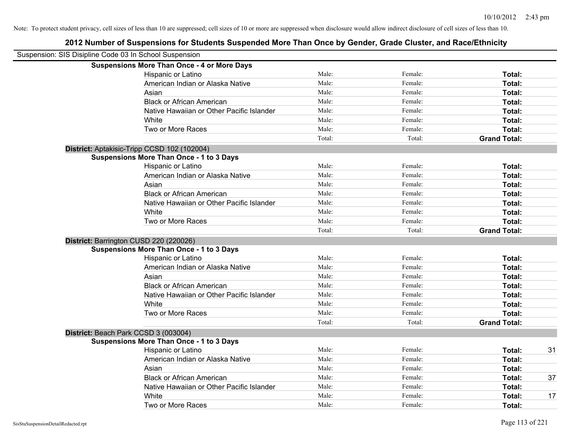| Suspension: SIS Disipline Code 03 In School Suspension |                                                    |        |         |                     |    |
|--------------------------------------------------------|----------------------------------------------------|--------|---------|---------------------|----|
|                                                        | <b>Suspensions More Than Once - 4 or More Days</b> |        |         |                     |    |
|                                                        | Hispanic or Latino                                 | Male:  | Female: | Total:              |    |
|                                                        | American Indian or Alaska Native                   | Male:  | Female: | Total:              |    |
|                                                        | Asian                                              | Male:  | Female: | Total:              |    |
|                                                        | <b>Black or African American</b>                   | Male:  | Female: | Total:              |    |
|                                                        | Native Hawaiian or Other Pacific Islander          | Male:  | Female: | Total:              |    |
|                                                        | White                                              | Male:  | Female: | Total:              |    |
|                                                        | Two or More Races                                  | Male:  | Female: | Total:              |    |
|                                                        |                                                    | Total: | Total:  | <b>Grand Total:</b> |    |
|                                                        | District: Aptakisic-Tripp CCSD 102 (102004)        |        |         |                     |    |
|                                                        | <b>Suspensions More Than Once - 1 to 3 Days</b>    |        |         |                     |    |
|                                                        | Hispanic or Latino                                 | Male:  | Female: | Total:              |    |
|                                                        | American Indian or Alaska Native                   | Male:  | Female: | Total:              |    |
|                                                        | Asian                                              | Male:  | Female: | Total:              |    |
|                                                        | <b>Black or African American</b>                   | Male:  | Female: | Total:              |    |
|                                                        | Native Hawaiian or Other Pacific Islander          | Male:  | Female: | Total:              |    |
|                                                        | White                                              | Male:  | Female: | Total:              |    |
|                                                        | Two or More Races                                  | Male:  | Female: | Total:              |    |
|                                                        |                                                    | Total: | Total:  | <b>Grand Total:</b> |    |
|                                                        | District: Barrington CUSD 220 (220026)             |        |         |                     |    |
|                                                        | <b>Suspensions More Than Once - 1 to 3 Days</b>    |        |         |                     |    |
|                                                        | Hispanic or Latino                                 | Male:  | Female: | Total:              |    |
|                                                        | American Indian or Alaska Native                   | Male:  | Female: | Total:              |    |
|                                                        | Asian                                              | Male:  | Female: | Total:              |    |
|                                                        | <b>Black or African American</b>                   | Male:  | Female: | Total:              |    |
|                                                        | Native Hawaiian or Other Pacific Islander          | Male:  | Female: | Total:              |    |
|                                                        | White                                              | Male:  | Female: | Total:              |    |
|                                                        | Two or More Races                                  | Male:  | Female: | Total:              |    |
|                                                        |                                                    | Total: | Total:  | <b>Grand Total:</b> |    |
|                                                        | District: Beach Park CCSD 3 (003004)               |        |         |                     |    |
|                                                        | <b>Suspensions More Than Once - 1 to 3 Days</b>    |        |         |                     |    |
|                                                        | Hispanic or Latino                                 | Male:  | Female: | Total:              | 31 |
|                                                        | American Indian or Alaska Native                   | Male:  | Female: | Total:              |    |
|                                                        | Asian                                              | Male:  | Female: | Total:              |    |
|                                                        | <b>Black or African American</b>                   | Male:  | Female: | Total:              | 37 |
|                                                        | Native Hawaiian or Other Pacific Islander          | Male:  | Female: | Total:              |    |
|                                                        | White                                              | Male:  | Female: | Total:              | 17 |
|                                                        | Two or More Races                                  | Male:  | Female: | Total:              |    |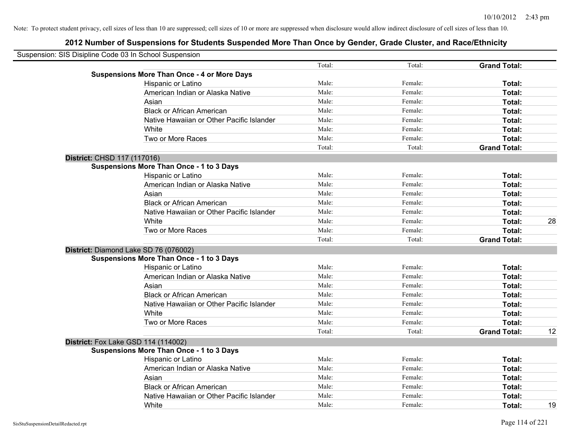| Suspension: SIS Disipline Code 03 In School Suspension |                                                    |        |         |                     |    |
|--------------------------------------------------------|----------------------------------------------------|--------|---------|---------------------|----|
|                                                        |                                                    | Total: | Total:  | <b>Grand Total:</b> |    |
|                                                        | <b>Suspensions More Than Once - 4 or More Days</b> |        |         |                     |    |
|                                                        | Hispanic or Latino                                 | Male:  | Female: | Total:              |    |
|                                                        | American Indian or Alaska Native                   | Male:  | Female: | Total:              |    |
|                                                        | Asian                                              | Male:  | Female: | Total:              |    |
|                                                        | <b>Black or African American</b>                   | Male:  | Female: | Total:              |    |
|                                                        | Native Hawaiian or Other Pacific Islander          | Male:  | Female: | Total:              |    |
|                                                        | White                                              | Male:  | Female: | Total:              |    |
|                                                        | Two or More Races                                  | Male:  | Female: | Total:              |    |
|                                                        |                                                    | Total: | Total:  | <b>Grand Total:</b> |    |
| District: CHSD 117 (117016)                            |                                                    |        |         |                     |    |
|                                                        | <b>Suspensions More Than Once - 1 to 3 Days</b>    |        |         |                     |    |
|                                                        | Hispanic or Latino                                 | Male:  | Female: | Total:              |    |
|                                                        | American Indian or Alaska Native                   | Male:  | Female: | Total:              |    |
|                                                        | Asian                                              | Male:  | Female: | Total:              |    |
|                                                        | <b>Black or African American</b>                   | Male:  | Female: | Total:              |    |
|                                                        | Native Hawaiian or Other Pacific Islander          | Male:  | Female: | Total:              |    |
|                                                        | White                                              | Male:  | Female: | Total:              | 28 |
|                                                        | Two or More Races                                  | Male:  | Female: | Total:              |    |
|                                                        |                                                    | Total: | Total:  | <b>Grand Total:</b> |    |
|                                                        | District: Diamond Lake SD 76 (076002)              |        |         |                     |    |
|                                                        | <b>Suspensions More Than Once - 1 to 3 Days</b>    |        |         |                     |    |
|                                                        | Hispanic or Latino                                 | Male:  | Female: | Total:              |    |
|                                                        | American Indian or Alaska Native                   | Male:  | Female: | Total:              |    |
|                                                        | Asian                                              | Male:  | Female: | Total:              |    |
|                                                        | <b>Black or African American</b>                   | Male:  | Female: | Total:              |    |
|                                                        | Native Hawaiian or Other Pacific Islander          | Male:  | Female: | Total:              |    |
|                                                        | White                                              | Male:  | Female: | Total:              |    |
|                                                        | Two or More Races                                  | Male:  | Female: | Total:              |    |
|                                                        |                                                    | Total: | Total:  | <b>Grand Total:</b> | 12 |
|                                                        | <b>District:</b> Fox Lake GSD 114 (114002)         |        |         |                     |    |
|                                                        | <b>Suspensions More Than Once - 1 to 3 Days</b>    |        |         |                     |    |
|                                                        | Hispanic or Latino                                 | Male:  | Female: | Total:              |    |
|                                                        | American Indian or Alaska Native                   | Male:  | Female: | Total:              |    |
|                                                        | Asian                                              | Male:  | Female: | Total:              |    |
|                                                        | <b>Black or African American</b>                   | Male:  | Female: | Total:              |    |
|                                                        | Native Hawaiian or Other Pacific Islander          | Male:  | Female: | Total:              |    |
|                                                        | White                                              | Male:  | Female: | Total:              | 19 |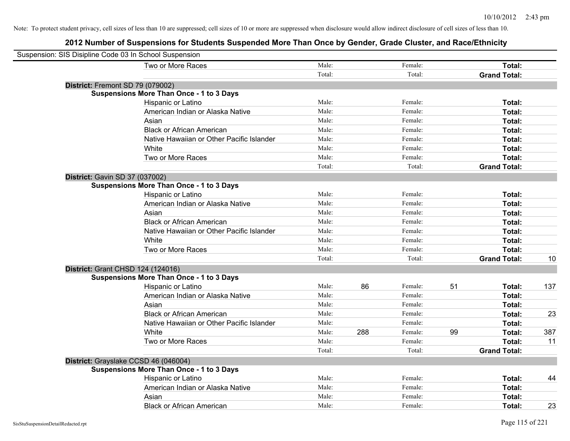| Suspension: SIS Disipline Code 03 In School Suspension |        |     |         |    |                     |     |
|--------------------------------------------------------|--------|-----|---------|----|---------------------|-----|
| Two or More Races                                      | Male:  |     | Female: |    | Total:              |     |
|                                                        | Total: |     | Total:  |    | <b>Grand Total:</b> |     |
| District: Fremont SD 79 (079002)                       |        |     |         |    |                     |     |
| <b>Suspensions More Than Once - 1 to 3 Days</b>        |        |     |         |    |                     |     |
| Hispanic or Latino                                     | Male:  |     | Female: |    | Total:              |     |
| American Indian or Alaska Native                       | Male:  |     | Female: |    | Total:              |     |
| Asian                                                  | Male:  |     | Female: |    | Total:              |     |
| <b>Black or African American</b>                       | Male:  |     | Female: |    | Total:              |     |
| Native Hawaiian or Other Pacific Islander              | Male:  |     | Female: |    | Total:              |     |
| White                                                  | Male:  |     | Female: |    | Total:              |     |
| Two or More Races                                      | Male:  |     | Female: |    | Total:              |     |
|                                                        | Total: |     | Total:  |    | <b>Grand Total:</b> |     |
| District: Gavin SD 37 (037002)                         |        |     |         |    |                     |     |
| <b>Suspensions More Than Once - 1 to 3 Days</b>        |        |     |         |    |                     |     |
| Hispanic or Latino                                     | Male:  |     | Female: |    | Total:              |     |
| American Indian or Alaska Native                       | Male:  |     | Female: |    | Total:              |     |
| Asian                                                  | Male:  |     | Female: |    | Total:              |     |
| <b>Black or African American</b>                       | Male:  |     | Female: |    | Total:              |     |
| Native Hawaiian or Other Pacific Islander              | Male:  |     | Female: |    | Total:              |     |
| White                                                  | Male:  |     | Female: |    | Total:              |     |
| Two or More Races                                      | Male:  |     | Female: |    | Total:              |     |
|                                                        | Total: |     | Total:  |    | <b>Grand Total:</b> | 10  |
| District: Grant CHSD 124 (124016)                      |        |     |         |    |                     |     |
| <b>Suspensions More Than Once - 1 to 3 Days</b>        |        |     |         |    |                     |     |
| Hispanic or Latino                                     | Male:  | 86  | Female: | 51 | Total:              | 137 |
| American Indian or Alaska Native                       | Male:  |     | Female: |    | Total:              |     |
| Asian                                                  | Male:  |     | Female: |    | Total:              |     |
| <b>Black or African American</b>                       | Male:  |     | Female: |    | Total:              | 23  |
| Native Hawaiian or Other Pacific Islander              | Male:  |     | Female: |    | Total:              |     |
| White                                                  | Male:  | 288 | Female: | 99 | Total:              | 387 |
| Two or More Races                                      | Male:  |     | Female: |    | Total:              | 11  |
|                                                        | Total: |     | Total:  |    | <b>Grand Total:</b> |     |
| District: Grayslake CCSD 46 (046004)                   |        |     |         |    |                     |     |
| <b>Suspensions More Than Once - 1 to 3 Days</b>        |        |     |         |    |                     |     |
| Hispanic or Latino                                     | Male:  |     | Female: |    | Total:              | 44  |
| American Indian or Alaska Native                       | Male:  |     | Female: |    | Total:              |     |
| Asian                                                  | Male:  |     | Female: |    | Total:              |     |
| <b>Black or African American</b>                       | Male:  |     | Female: |    | Total:              | 23  |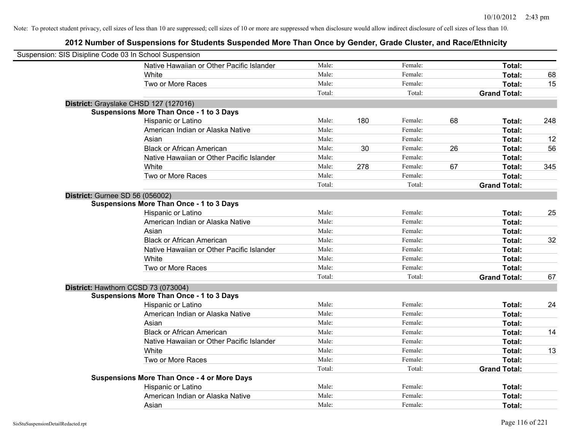| Suspension: SIS Disipline Code 03 In School Suspension |                                                    |        |     |         |    |                     |     |
|--------------------------------------------------------|----------------------------------------------------|--------|-----|---------|----|---------------------|-----|
|                                                        | Native Hawaiian or Other Pacific Islander          | Male:  |     | Female: |    | Total:              |     |
|                                                        | White                                              | Male:  |     | Female: |    | Total:              | 68  |
|                                                        | Two or More Races                                  | Male:  |     | Female: |    | Total:              | 15  |
|                                                        |                                                    | Total: |     | Total:  |    | <b>Grand Total:</b> |     |
| District: Grayslake CHSD 127 (127016)                  |                                                    |        |     |         |    |                     |     |
|                                                        | <b>Suspensions More Than Once - 1 to 3 Days</b>    |        |     |         |    |                     |     |
|                                                        | Hispanic or Latino                                 | Male:  | 180 | Female: | 68 | Total:              | 248 |
|                                                        | American Indian or Alaska Native                   | Male:  |     | Female: |    | Total:              |     |
|                                                        | Asian                                              | Male:  |     | Female: |    | Total:              | 12  |
|                                                        | <b>Black or African American</b>                   | Male:  | 30  | Female: | 26 | Total:              | 56  |
|                                                        | Native Hawaiian or Other Pacific Islander          | Male:  |     | Female: |    | Total:              |     |
|                                                        | White                                              | Male:  | 278 | Female: | 67 | Total:              | 345 |
|                                                        | Two or More Races                                  | Male:  |     | Female: |    | Total:              |     |
|                                                        |                                                    | Total: |     | Total:  |    | <b>Grand Total:</b> |     |
| <b>District: Gurnee SD 56 (056002)</b>                 |                                                    |        |     |         |    |                     |     |
|                                                        | <b>Suspensions More Than Once - 1 to 3 Days</b>    |        |     |         |    |                     |     |
|                                                        | Hispanic or Latino                                 | Male:  |     | Female: |    | Total:              | 25  |
|                                                        | American Indian or Alaska Native                   | Male:  |     | Female: |    | Total:              |     |
|                                                        | Asian                                              | Male:  |     | Female: |    | Total:              |     |
|                                                        | <b>Black or African American</b>                   | Male:  |     | Female: |    | Total:              | 32  |
|                                                        | Native Hawaiian or Other Pacific Islander          | Male:  |     | Female: |    | Total:              |     |
|                                                        | White                                              | Male:  |     | Female: |    | Total:              |     |
|                                                        | Two or More Races                                  | Male:  |     | Female: |    | Total:              |     |
|                                                        |                                                    | Total: |     | Total:  |    | <b>Grand Total:</b> | 67  |
| District: Hawthorn CCSD 73 (073004)                    |                                                    |        |     |         |    |                     |     |
|                                                        | <b>Suspensions More Than Once - 1 to 3 Days</b>    |        |     |         |    |                     |     |
|                                                        | Hispanic or Latino                                 | Male:  |     | Female: |    | Total:              | 24  |
|                                                        | American Indian or Alaska Native                   | Male:  |     | Female: |    | Total:              |     |
|                                                        | Asian                                              | Male:  |     | Female: |    | Total:              |     |
|                                                        | <b>Black or African American</b>                   | Male:  |     | Female: |    | Total:              | 14  |
|                                                        | Native Hawaiian or Other Pacific Islander          | Male:  |     | Female: |    | Total:              |     |
|                                                        | White                                              | Male:  |     | Female: |    | Total:              | 13  |
|                                                        | Two or More Races                                  | Male:  |     | Female: |    | Total:              |     |
|                                                        |                                                    | Total: |     | Total:  |    | <b>Grand Total:</b> |     |
|                                                        | <b>Suspensions More Than Once - 4 or More Days</b> |        |     |         |    |                     |     |
|                                                        | Hispanic or Latino                                 | Male:  |     | Female: |    | Total:              |     |
|                                                        | American Indian or Alaska Native                   | Male:  |     | Female: |    | Total:              |     |
|                                                        | Asian                                              | Male:  |     | Female: |    | Total:              |     |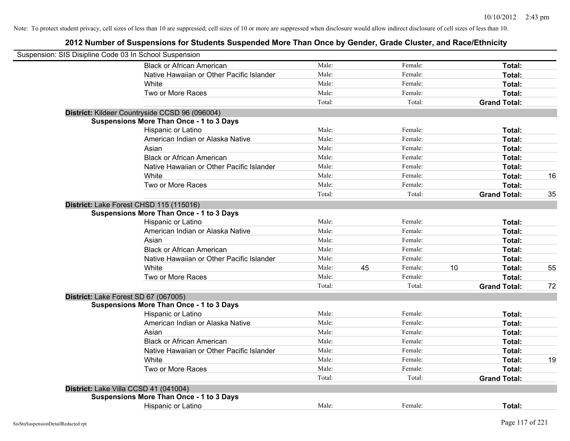| Suspension: SIS Disipline Code 03 In School Suspension |                                                 |        |    |         |    |                     |    |
|--------------------------------------------------------|-------------------------------------------------|--------|----|---------|----|---------------------|----|
|                                                        | <b>Black or African American</b>                | Male:  |    | Female: |    | Total:              |    |
|                                                        | Native Hawaiian or Other Pacific Islander       | Male:  |    | Female: |    | Total:              |    |
|                                                        | White                                           | Male:  |    | Female: |    | Total:              |    |
|                                                        | Two or More Races                               | Male:  |    | Female: |    | Total:              |    |
|                                                        |                                                 | Total: |    | Total:  |    | <b>Grand Total:</b> |    |
|                                                        | District: Kildeer Countryside CCSD 96 (096004)  |        |    |         |    |                     |    |
|                                                        | <b>Suspensions More Than Once - 1 to 3 Days</b> |        |    |         |    |                     |    |
|                                                        | Hispanic or Latino                              | Male:  |    | Female: |    | Total:              |    |
|                                                        | American Indian or Alaska Native                | Male:  |    | Female: |    | Total:              |    |
|                                                        | Asian                                           | Male:  |    | Female: |    | Total:              |    |
|                                                        | <b>Black or African American</b>                | Male:  |    | Female: |    | Total:              |    |
|                                                        | Native Hawaiian or Other Pacific Islander       | Male:  |    | Female: |    | Total:              |    |
|                                                        | White                                           | Male:  |    | Female: |    | Total:              | 16 |
|                                                        | Two or More Races                               | Male:  |    | Female: |    | Total:              |    |
|                                                        |                                                 | Total: |    | Total:  |    | <b>Grand Total:</b> | 35 |
|                                                        | District: Lake Forest CHSD 115 (115016)         |        |    |         |    |                     |    |
|                                                        | <b>Suspensions More Than Once - 1 to 3 Days</b> |        |    |         |    |                     |    |
|                                                        | Hispanic or Latino                              | Male:  |    | Female: |    | Total:              |    |
|                                                        | American Indian or Alaska Native                | Male:  |    | Female: |    | Total:              |    |
|                                                        | Asian                                           | Male:  |    | Female: |    | Total:              |    |
|                                                        | <b>Black or African American</b>                | Male:  |    | Female: |    | Total:              |    |
|                                                        | Native Hawaiian or Other Pacific Islander       | Male:  |    | Female: |    | Total:              |    |
|                                                        | White                                           | Male:  | 45 | Female: | 10 | Total:              | 55 |
|                                                        | Two or More Races                               | Male:  |    | Female: |    | Total:              |    |
|                                                        |                                                 | Total: |    | Total:  |    | <b>Grand Total:</b> | 72 |
| District: Lake Forest SD 67 (067005)                   |                                                 |        |    |         |    |                     |    |
|                                                        | <b>Suspensions More Than Once - 1 to 3 Days</b> |        |    |         |    |                     |    |
|                                                        | Hispanic or Latino                              | Male:  |    | Female: |    | Total:              |    |
|                                                        | American Indian or Alaska Native                | Male:  |    | Female: |    | Total:              |    |
|                                                        | Asian                                           | Male:  |    | Female: |    | Total:              |    |
|                                                        | <b>Black or African American</b>                | Male:  |    | Female: |    | Total:              |    |
|                                                        | Native Hawaiian or Other Pacific Islander       | Male:  |    | Female: |    | Total:              |    |
|                                                        | White                                           | Male:  |    | Female: |    | Total:              | 19 |
|                                                        | Two or More Races                               | Male:  |    | Female: |    | Total:              |    |
|                                                        |                                                 | Total: |    | Total:  |    | <b>Grand Total:</b> |    |
| District: Lake Villa CCSD 41 (041004)                  |                                                 |        |    |         |    |                     |    |
|                                                        | <b>Suspensions More Than Once - 1 to 3 Days</b> |        |    |         |    |                     |    |
|                                                        | Hispanic or Latino                              | Male:  |    | Female: |    | Total:              |    |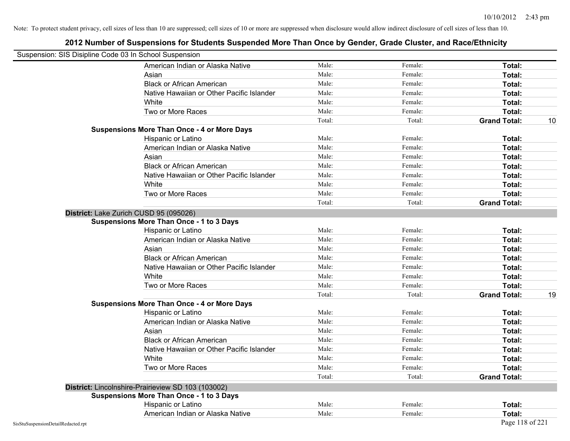| Suspension: SIS Disipline Code 03 In School Suspension |                                                    |        |         |                           |
|--------------------------------------------------------|----------------------------------------------------|--------|---------|---------------------------|
|                                                        | American Indian or Alaska Native                   | Male:  | Female: | Total:                    |
|                                                        | Asian                                              | Male:  | Female: | Total:                    |
|                                                        | <b>Black or African American</b>                   | Male:  | Female: | Total:                    |
|                                                        | Native Hawaiian or Other Pacific Islander          | Male:  | Female: | Total:                    |
|                                                        | White                                              | Male:  | Female: | Total:                    |
|                                                        | Two or More Races                                  | Male:  | Female: | Total:                    |
|                                                        |                                                    | Total: | Total:  | <b>Grand Total:</b><br>10 |
|                                                        | <b>Suspensions More Than Once - 4 or More Days</b> |        |         |                           |
|                                                        | Hispanic or Latino                                 | Male:  | Female: | Total:                    |
|                                                        | American Indian or Alaska Native                   | Male:  | Female: | Total:                    |
|                                                        | Asian                                              | Male:  | Female: | Total:                    |
|                                                        | <b>Black or African American</b>                   | Male:  | Female: | Total:                    |
|                                                        | Native Hawaiian or Other Pacific Islander          | Male:  | Female: | Total:                    |
|                                                        | White                                              | Male:  | Female: | Total:                    |
|                                                        | Two or More Races                                  | Male:  | Female: | Total:                    |
|                                                        |                                                    | Total: | Total:  | <b>Grand Total:</b>       |
|                                                        | District: Lake Zurich CUSD 95 (095026)             |        |         |                           |
|                                                        | <b>Suspensions More Than Once - 1 to 3 Days</b>    |        |         |                           |
|                                                        | Hispanic or Latino                                 | Male:  | Female: | Total:                    |
|                                                        | American Indian or Alaska Native                   | Male:  | Female: | Total:                    |
|                                                        | Asian                                              | Male:  | Female: | Total:                    |
|                                                        | <b>Black or African American</b>                   | Male:  | Female: | Total:                    |
|                                                        | Native Hawaiian or Other Pacific Islander          | Male:  | Female: | Total:                    |
|                                                        | White                                              | Male:  | Female: | Total:                    |
|                                                        | Two or More Races                                  | Male:  | Female: | Total:                    |
|                                                        |                                                    | Total: | Total:  | 19<br><b>Grand Total:</b> |
|                                                        | <b>Suspensions More Than Once - 4 or More Days</b> |        |         |                           |
|                                                        | Hispanic or Latino                                 | Male:  | Female: | Total:                    |
|                                                        | American Indian or Alaska Native                   | Male:  | Female: | Total:                    |
|                                                        | Asian                                              | Male:  | Female: | Total:                    |
|                                                        | <b>Black or African American</b>                   | Male:  | Female: | Total:                    |
|                                                        | Native Hawaiian or Other Pacific Islander          | Male:  | Female: | Total:                    |
|                                                        | White                                              | Male:  | Female: | Total:                    |
|                                                        | Two or More Races                                  | Male:  | Female: | Total:                    |
|                                                        |                                                    | Total: | Total:  | <b>Grand Total:</b>       |
|                                                        | District: Lincolnshire-Prairieview SD 103 (103002) |        |         |                           |
|                                                        | <b>Suspensions More Than Once - 1 to 3 Days</b>    |        |         |                           |
|                                                        | Hispanic or Latino                                 | Male:  | Female: | Total:                    |
|                                                        | American Indian or Alaska Native                   | Male:  | Female: | Total:                    |
| SisStuSuspensionDetailRedacted.rpt                     |                                                    |        |         | Page 118 of 221           |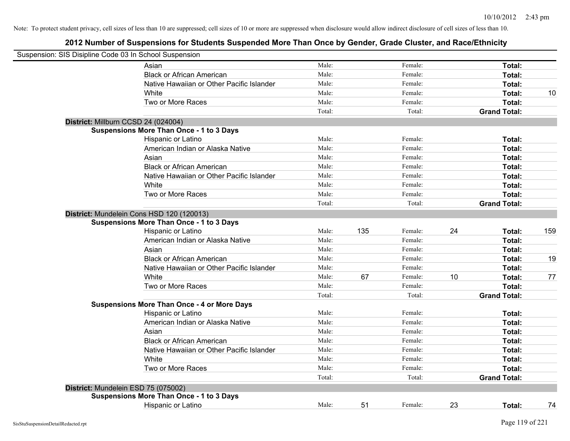| Male:<br>Asian<br><b>Black or African American</b><br>Male:                            |     | Female:<br>Female: |    | Total:              |     |
|----------------------------------------------------------------------------------------|-----|--------------------|----|---------------------|-----|
|                                                                                        |     |                    |    |                     |     |
|                                                                                        |     |                    |    | Total:              |     |
| Native Hawaiian or Other Pacific Islander<br>Male:                                     |     | Female:            |    | Total:              |     |
| Male:<br>White                                                                         |     | Female:            |    | Total:              | 10  |
| Male:<br>Two or More Races                                                             |     | Female:            |    | Total:              |     |
| Total:                                                                                 |     | Total:             |    | <b>Grand Total:</b> |     |
| District: Millburn CCSD 24 (024004)                                                    |     |                    |    |                     |     |
| <b>Suspensions More Than Once - 1 to 3 Days</b>                                        |     |                    |    |                     |     |
| Male:<br>Hispanic or Latino                                                            |     | Female:            |    | Total:              |     |
| American Indian or Alaska Native<br>Male:                                              |     | Female:            |    | Total:              |     |
| Asian<br>Male:                                                                         |     | Female:            |    | Total:              |     |
| <b>Black or African American</b><br>Male:                                              |     | Female:            |    | Total:              |     |
| Native Hawaiian or Other Pacific Islander<br>Male:                                     |     | Female:            |    | Total:              |     |
| White<br>Male:                                                                         |     | Female:            |    | Total:              |     |
| Two or More Races<br>Male:                                                             |     | Female:            |    | Total:              |     |
| Total:                                                                                 |     | Total:             |    | <b>Grand Total:</b> |     |
| District: Mundelein Cons HSD 120 (120013)                                              |     |                    |    |                     |     |
| <b>Suspensions More Than Once - 1 to 3 Days</b>                                        |     |                    |    |                     |     |
| Male:<br>Hispanic or Latino                                                            | 135 | Female:            | 24 | Total:              | 159 |
| Male:<br>American Indian or Alaska Native<br>Male:                                     |     | Female:<br>Female: |    | Total:              |     |
| Asian                                                                                  |     |                    |    | Total:              |     |
| <b>Black or African American</b><br>Male:                                              |     | Female:            |    | Total:              | 19  |
| Male:<br>Native Hawaiian or Other Pacific Islander                                     |     | Female:            |    | Total:              |     |
| White<br>Male:                                                                         | 67  | Female:            | 10 | Total:              | 77  |
| Two or More Races<br>Male:<br>Total:                                                   |     | Female:<br>Total:  |    | Total:              |     |
| <b>Suspensions More Than Once - 4 or More Days</b>                                     |     |                    |    | <b>Grand Total:</b> |     |
| Male:<br>Hispanic or Latino                                                            |     | Female:            |    | Total:              |     |
| Male:<br>American Indian or Alaska Native                                              |     | Female:            |    | Total:              |     |
| Male:<br>Asian                                                                         |     | Female:            |    | Total:              |     |
| <b>Black or African American</b><br>Male:                                              |     | Female:            |    | Total:              |     |
| Native Hawaiian or Other Pacific Islander<br>Male:                                     |     | Female:            |    | Total:              |     |
| Male:<br>White                                                                         |     | Female:            |    | Total:              |     |
| Male:<br>Two or More Races                                                             |     | Female:            |    | Total:              |     |
| Total:                                                                                 |     | Total:             |    | <b>Grand Total:</b> |     |
|                                                                                        |     |                    |    |                     |     |
| District: Mundelein ESD 75 (075002)<br><b>Suspensions More Than Once - 1 to 3 Days</b> |     |                    |    |                     |     |
| Male:<br>Hispanic or Latino                                                            | 51  | Female:            | 23 | Total:              | 74  |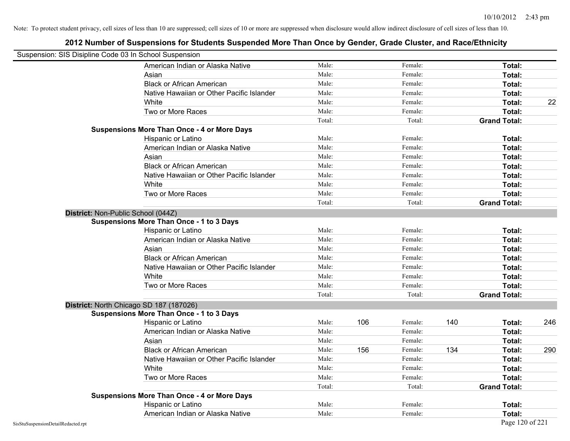| Suspension: SIS Disipline Code 03 In School Suspension |                                                    |        |     |         |     |                     |     |
|--------------------------------------------------------|----------------------------------------------------|--------|-----|---------|-----|---------------------|-----|
|                                                        | American Indian or Alaska Native                   | Male:  |     | Female: |     | <b>Total:</b>       |     |
|                                                        | Asian                                              | Male:  |     | Female: |     | Total:              |     |
|                                                        | <b>Black or African American</b>                   | Male:  |     | Female: |     | Total:              |     |
|                                                        | Native Hawaiian or Other Pacific Islander          | Male:  |     | Female: |     | Total:              |     |
|                                                        | White                                              | Male:  |     | Female: |     | Total:              | 22  |
|                                                        | Two or More Races                                  | Male:  |     | Female: |     | Total:              |     |
|                                                        |                                                    | Total: |     | Total:  |     | <b>Grand Total:</b> |     |
|                                                        | <b>Suspensions More Than Once - 4 or More Days</b> |        |     |         |     |                     |     |
|                                                        | Hispanic or Latino                                 | Male:  |     | Female: |     | Total:              |     |
|                                                        | American Indian or Alaska Native                   | Male:  |     | Female: |     | Total:              |     |
|                                                        | Asian                                              | Male:  |     | Female: |     | Total:              |     |
|                                                        | <b>Black or African American</b>                   | Male:  |     | Female: |     | Total:              |     |
|                                                        | Native Hawaiian or Other Pacific Islander          | Male:  |     | Female: |     | Total:              |     |
|                                                        | White                                              | Male:  |     | Female: |     | Total:              |     |
|                                                        | Two or More Races                                  | Male:  |     | Female: |     | Total:              |     |
|                                                        |                                                    | Total: |     | Total:  |     | <b>Grand Total:</b> |     |
|                                                        | District: Non-Public School (044Z)                 |        |     |         |     |                     |     |
|                                                        | <b>Suspensions More Than Once - 1 to 3 Days</b>    |        |     |         |     |                     |     |
|                                                        | Hispanic or Latino                                 | Male:  |     | Female: |     | Total:              |     |
|                                                        | American Indian or Alaska Native                   | Male:  |     | Female: |     | Total:              |     |
|                                                        | Asian                                              | Male:  |     | Female: |     | Total:              |     |
|                                                        | <b>Black or African American</b>                   | Male:  |     | Female: |     | Total:              |     |
|                                                        | Native Hawaiian or Other Pacific Islander          | Male:  |     | Female: |     | Total:              |     |
|                                                        | White                                              | Male:  |     | Female: |     | Total:              |     |
|                                                        | Two or More Races                                  | Male:  |     | Female: |     | Total:              |     |
|                                                        |                                                    | Total: |     | Total:  |     | <b>Grand Total:</b> |     |
|                                                        | District: North Chicago SD 187 (187026)            |        |     |         |     |                     |     |
|                                                        | <b>Suspensions More Than Once - 1 to 3 Days</b>    |        |     |         |     |                     |     |
|                                                        | Hispanic or Latino                                 | Male:  | 106 | Female: | 140 | Total:              | 246 |
|                                                        | American Indian or Alaska Native                   | Male:  |     | Female: |     | Total:              |     |
|                                                        | Asian                                              | Male:  |     | Female: |     | Total:              |     |
|                                                        | <b>Black or African American</b>                   | Male:  | 156 | Female: | 134 | Total:              | 290 |
|                                                        | Native Hawaiian or Other Pacific Islander          | Male:  |     | Female: |     | Total:              |     |
|                                                        | White                                              | Male:  |     | Female: |     | Total:              |     |
|                                                        | Two or More Races                                  | Male:  |     | Female: |     | Total:              |     |
|                                                        |                                                    | Total: |     | Total:  |     | <b>Grand Total:</b> |     |
|                                                        | <b>Suspensions More Than Once - 4 or More Days</b> |        |     |         |     |                     |     |
|                                                        | Hispanic or Latino                                 | Male:  |     | Female: |     | Total:              |     |
|                                                        | American Indian or Alaska Native                   | Male:  |     | Female: |     | Total:              |     |
| SisStuSuspensionDetailRedacted.rpt                     |                                                    |        |     |         |     | Page 120 of 221     |     |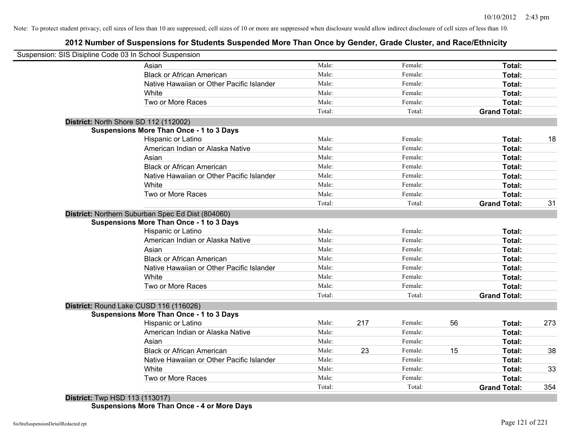# **2012 Number of Suspensions for Students Suspended More Than Once by Gender, Grade Cluster, and Race/Ethnicity**

|                                       | Suspension: SIS Disipline Code 03 In School Suspension |        |     |         |    |                     |     |
|---------------------------------------|--------------------------------------------------------|--------|-----|---------|----|---------------------|-----|
|                                       | Asian                                                  | Male:  |     | Female: |    | Total:              |     |
|                                       | <b>Black or African American</b>                       | Male:  |     | Female: |    | Total:              |     |
|                                       | Native Hawaiian or Other Pacific Islander              | Male:  |     | Female: |    | Total:              |     |
|                                       | White                                                  | Male:  |     | Female: |    | Total:              |     |
|                                       | Two or More Races                                      | Male:  |     | Female: |    | Total:              |     |
|                                       |                                                        | Total: |     | Total:  |    | <b>Grand Total:</b> |     |
| District: North Shore SD 112 (112002) |                                                        |        |     |         |    |                     |     |
|                                       | <b>Suspensions More Than Once - 1 to 3 Days</b>        |        |     |         |    |                     |     |
|                                       | Hispanic or Latino                                     | Male:  |     | Female: |    | Total:              | 18  |
|                                       | American Indian or Alaska Native                       | Male:  |     | Female: |    | Total:              |     |
|                                       | Asian                                                  | Male:  |     | Female: |    | Total:              |     |
|                                       | <b>Black or African American</b>                       | Male:  |     | Female: |    | Total:              |     |
|                                       | Native Hawaiian or Other Pacific Islander              | Male:  |     | Female: |    | Total:              |     |
|                                       | White                                                  | Male:  |     | Female: |    | Total:              |     |
|                                       | Two or More Races                                      | Male:  |     | Female: |    | Total:              |     |
|                                       |                                                        | Total: |     | Total:  |    | <b>Grand Total:</b> | 31  |
|                                       | District: Northern Suburban Spec Ed Dist (804060)      |        |     |         |    |                     |     |
|                                       | <b>Suspensions More Than Once - 1 to 3 Days</b>        |        |     |         |    |                     |     |
|                                       | Hispanic or Latino                                     | Male:  |     | Female: |    | Total:              |     |
|                                       | American Indian or Alaska Native                       | Male:  |     | Female: |    | Total:              |     |
|                                       | Asian                                                  | Male:  |     | Female: |    | Total:              |     |
|                                       | <b>Black or African American</b>                       | Male:  |     | Female: |    | Total:              |     |
|                                       | Native Hawaiian or Other Pacific Islander              | Male:  |     | Female: |    | Total:              |     |
|                                       | White                                                  | Male:  |     | Female: |    | Total:              |     |
|                                       | Two or More Races                                      | Male:  |     | Female: |    | Total:              |     |
|                                       |                                                        | Total: |     | Total:  |    | <b>Grand Total:</b> |     |
|                                       | District: Round Lake CUSD 116 (116026)                 |        |     |         |    |                     |     |
|                                       | <b>Suspensions More Than Once - 1 to 3 Days</b>        |        |     |         |    |                     |     |
|                                       | Hispanic or Latino                                     | Male:  | 217 | Female: | 56 | Total:              | 273 |
|                                       | American Indian or Alaska Native                       | Male:  |     | Female: |    | Total:              |     |
|                                       | Asian                                                  | Male:  |     | Female: |    | Total:              |     |
|                                       | <b>Black or African American</b>                       | Male:  | 23  | Female: | 15 | Total:              | 38  |
|                                       | Native Hawaiian or Other Pacific Islander              | Male:  |     | Female: |    | Total:              |     |
|                                       | White                                                  | Male:  |     | Female: |    | Total:              | 33  |
|                                       | Two or More Races                                      | Male:  |     | Female: |    | <b>Total:</b>       |     |
|                                       |                                                        | Total: |     | Total:  |    | <b>Grand Total:</b> | 354 |
| <b>District:</b> Twp HSD 113 (113017) |                                                        |        |     |         |    |                     |     |

**Suspensions More Than Once - 4 or More Days**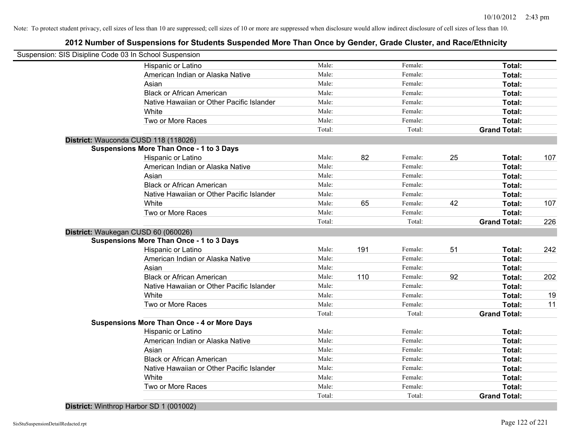| Suspension: SIS Disipline Code 03 In School Suspension |        |     |         |    |                     |     |
|--------------------------------------------------------|--------|-----|---------|----|---------------------|-----|
| Hispanic or Latino                                     | Male:  |     | Female: |    | Total:              |     |
| American Indian or Alaska Native                       | Male:  |     | Female: |    | Total:              |     |
| Asian                                                  | Male:  |     | Female: |    | Total:              |     |
| <b>Black or African American</b>                       | Male:  |     | Female: |    | Total:              |     |
| Native Hawaiian or Other Pacific Islander              | Male:  |     | Female: |    | Total:              |     |
| White                                                  | Male:  |     | Female: |    | Total:              |     |
| Two or More Races                                      | Male:  |     | Female: |    | Total:              |     |
|                                                        | Total: |     | Total:  |    | <b>Grand Total:</b> |     |
| District: Wauconda CUSD 118 (118026)                   |        |     |         |    |                     |     |
| <b>Suspensions More Than Once - 1 to 3 Days</b>        |        |     |         |    |                     |     |
| Hispanic or Latino                                     | Male:  | 82  | Female: | 25 | Total:              | 107 |
| American Indian or Alaska Native                       | Male:  |     | Female: |    | Total:              |     |
| Asian                                                  | Male:  |     | Female: |    | Total:              |     |
| <b>Black or African American</b>                       | Male:  |     | Female: |    | Total:              |     |
| Native Hawaiian or Other Pacific Islander              | Male:  |     | Female: |    | Total:              |     |
| White                                                  | Male:  | 65  | Female: | 42 | Total:              | 107 |
| Two or More Races                                      | Male:  |     | Female: |    | Total:              |     |
|                                                        | Total: |     | Total:  |    | <b>Grand Total:</b> | 226 |
| District: Waukegan CUSD 60 (060026)                    |        |     |         |    |                     |     |
| <b>Suspensions More Than Once - 1 to 3 Days</b>        |        |     |         |    |                     |     |
| Hispanic or Latino                                     | Male:  | 191 | Female: | 51 | Total:              | 242 |
| American Indian or Alaska Native                       | Male:  |     | Female: |    | Total:              |     |
| Asian                                                  | Male:  |     | Female: |    | Total:              |     |
| <b>Black or African American</b>                       | Male:  | 110 | Female: | 92 | Total:              | 202 |
| Native Hawaiian or Other Pacific Islander              | Male:  |     | Female: |    | Total:              |     |
| White                                                  | Male:  |     | Female: |    | Total:              | 19  |
| Two or More Races                                      | Male:  |     | Female: |    | Total:              | 11  |
|                                                        | Total: |     | Total:  |    | <b>Grand Total:</b> |     |
| <b>Suspensions More Than Once - 4 or More Days</b>     |        |     |         |    |                     |     |
| Hispanic or Latino                                     | Male:  |     | Female: |    | Total:              |     |
| American Indian or Alaska Native                       | Male:  |     | Female: |    | Total:              |     |
| Asian                                                  | Male:  |     | Female: |    | Total:              |     |
| <b>Black or African American</b>                       | Male:  |     | Female: |    | Total:              |     |
| Native Hawaiian or Other Pacific Islander              | Male:  |     | Female: |    | Total:              |     |
| White                                                  | Male:  |     | Female: |    | Total:              |     |
| Two or More Races                                      | Male:  |     | Female: |    | Total:              |     |
|                                                        | Total: |     | Total:  |    | <b>Grand Total:</b> |     |
| District: Winthrop Harbor SD 1 (001002)                |        |     |         |    |                     |     |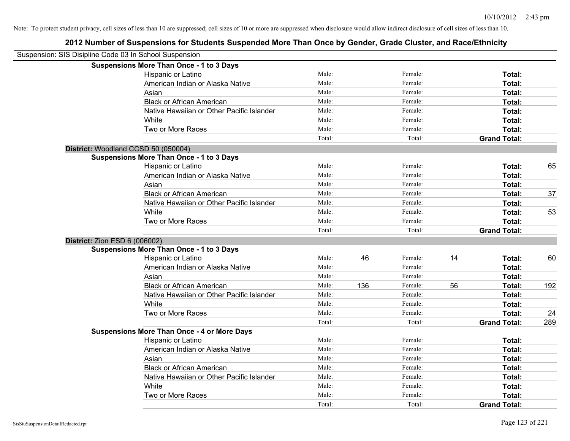| Suspension: SIS Disipline Code 03 In School Suspension |                                                    |        |     |         |    |                     |     |
|--------------------------------------------------------|----------------------------------------------------|--------|-----|---------|----|---------------------|-----|
|                                                        | <b>Suspensions More Than Once - 1 to 3 Days</b>    |        |     |         |    |                     |     |
|                                                        | Hispanic or Latino                                 | Male:  |     | Female: |    | Total:              |     |
|                                                        | American Indian or Alaska Native                   | Male:  |     | Female: |    | Total:              |     |
|                                                        | Asian                                              | Male:  |     | Female: |    | Total:              |     |
|                                                        | <b>Black or African American</b>                   | Male:  |     | Female: |    | Total:              |     |
|                                                        | Native Hawaiian or Other Pacific Islander          | Male:  |     | Female: |    | Total:              |     |
|                                                        | White                                              | Male:  |     | Female: |    | Total:              |     |
|                                                        | Two or More Races                                  | Male:  |     | Female: |    | Total:              |     |
|                                                        |                                                    | Total: |     | Total:  |    | <b>Grand Total:</b> |     |
|                                                        | District: Woodland CCSD 50 (050004)                |        |     |         |    |                     |     |
|                                                        | <b>Suspensions More Than Once - 1 to 3 Days</b>    |        |     |         |    |                     |     |
|                                                        | Hispanic or Latino                                 | Male:  |     | Female: |    | Total:              | 65  |
|                                                        | American Indian or Alaska Native                   | Male:  |     | Female: |    | Total:              |     |
|                                                        | Asian                                              | Male:  |     | Female: |    | Total:              |     |
|                                                        | <b>Black or African American</b>                   | Male:  |     | Female: |    | Total:              | 37  |
|                                                        | Native Hawaiian or Other Pacific Islander          | Male:  |     | Female: |    | Total:              |     |
|                                                        | White                                              | Male:  |     | Female: |    | Total:              | 53  |
|                                                        | Two or More Races                                  | Male:  |     | Female: |    | Total:              |     |
|                                                        |                                                    | Total: |     | Total:  |    | <b>Grand Total:</b> |     |
| District: Zion ESD 6 (006002)                          |                                                    |        |     |         |    |                     |     |
|                                                        | <b>Suspensions More Than Once - 1 to 3 Days</b>    |        |     |         |    |                     |     |
|                                                        | Hispanic or Latino                                 | Male:  | 46  | Female: | 14 | Total:              | 60  |
|                                                        | American Indian or Alaska Native                   | Male:  |     | Female: |    | Total:              |     |
|                                                        | Asian                                              | Male:  |     | Female: |    | Total:              |     |
|                                                        | <b>Black or African American</b>                   | Male:  | 136 | Female: | 56 | Total:              | 192 |
|                                                        | Native Hawaiian or Other Pacific Islander          | Male:  |     | Female: |    | Total:              |     |
|                                                        | White                                              | Male:  |     | Female: |    | Total:              |     |
|                                                        | Two or More Races                                  | Male:  |     | Female: |    | Total:              | 24  |
|                                                        |                                                    | Total: |     | Total:  |    | <b>Grand Total:</b> | 289 |
|                                                        | <b>Suspensions More Than Once - 4 or More Days</b> |        |     |         |    |                     |     |
|                                                        | Hispanic or Latino                                 | Male:  |     | Female: |    | Total:              |     |
|                                                        | American Indian or Alaska Native                   | Male:  |     | Female: |    | Total:              |     |
|                                                        | Asian                                              | Male:  |     | Female: |    | Total:              |     |
|                                                        | <b>Black or African American</b>                   | Male:  |     | Female: |    | Total:              |     |
|                                                        | Native Hawaiian or Other Pacific Islander          | Male:  |     | Female: |    | Total:              |     |
|                                                        | White                                              | Male:  |     | Female: |    | Total:              |     |
|                                                        | Two or More Races                                  | Male:  |     | Female: |    | <b>Total:</b>       |     |
|                                                        |                                                    | Total: |     | Total:  |    | <b>Grand Total:</b> |     |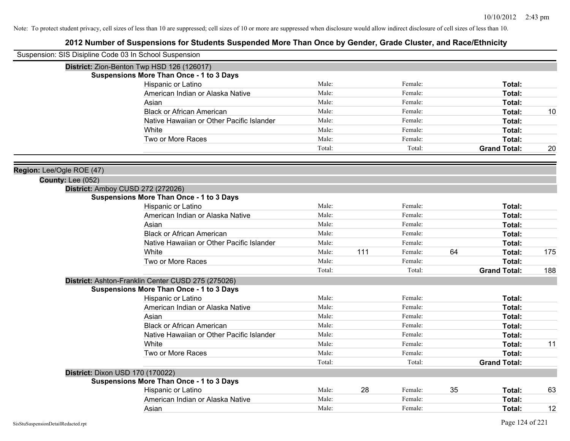| Suspension: SIS Disipline Code 03 In School Suspension |                                                    |        |     |         |    |                     |     |
|--------------------------------------------------------|----------------------------------------------------|--------|-----|---------|----|---------------------|-----|
|                                                        | District: Zion-Benton Twp HSD 126 (126017)         |        |     |         |    |                     |     |
|                                                        | <b>Suspensions More Than Once - 1 to 3 Days</b>    |        |     |         |    |                     |     |
|                                                        | Hispanic or Latino                                 | Male:  |     | Female: |    | Total:              |     |
|                                                        | American Indian or Alaska Native                   | Male:  |     | Female: |    | <b>Total:</b>       |     |
|                                                        | Asian                                              | Male:  |     | Female: |    | <b>Total:</b>       |     |
|                                                        | <b>Black or African American</b>                   | Male:  |     | Female: |    | <b>Total:</b>       | 10  |
|                                                        | Native Hawaiian or Other Pacific Islander          | Male:  |     | Female: |    | <b>Total:</b>       |     |
|                                                        | White                                              | Male:  |     | Female: |    | <b>Total:</b>       |     |
|                                                        | Two or More Races                                  | Male:  |     | Female: |    | Total:              |     |
|                                                        |                                                    | Total: |     | Total:  |    | <b>Grand Total:</b> | 20  |
| Region: Lee/Ogle ROE (47)                              |                                                    |        |     |         |    |                     |     |
| County: Lee (052)                                      |                                                    |        |     |         |    |                     |     |
|                                                        | District: Amboy CUSD 272 (272026)                  |        |     |         |    |                     |     |
|                                                        | <b>Suspensions More Than Once - 1 to 3 Days</b>    |        |     |         |    |                     |     |
|                                                        | Hispanic or Latino                                 | Male:  |     | Female: |    | Total:              |     |
|                                                        | American Indian or Alaska Native                   | Male:  |     | Female: |    | Total:              |     |
|                                                        | Asian                                              | Male:  |     | Female: |    | Total:              |     |
|                                                        | <b>Black or African American</b>                   | Male:  |     | Female: |    | Total:              |     |
|                                                        | Native Hawaiian or Other Pacific Islander          | Male:  |     | Female: |    | Total:              |     |
|                                                        | White                                              | Male:  | 111 | Female: | 64 | Total:              | 175 |
|                                                        | Two or More Races                                  | Male:  |     | Female: |    | Total:              |     |
|                                                        |                                                    | Total: |     | Total:  |    | <b>Grand Total:</b> | 188 |
|                                                        | District: Ashton-Franklin Center CUSD 275 (275026) |        |     |         |    |                     |     |
|                                                        | <b>Suspensions More Than Once - 1 to 3 Days</b>    |        |     |         |    |                     |     |
|                                                        | Hispanic or Latino                                 | Male:  |     | Female: |    | <b>Total:</b>       |     |
|                                                        | American Indian or Alaska Native                   | Male:  |     | Female: |    | <b>Total:</b>       |     |
|                                                        | Asian                                              | Male:  |     | Female: |    | Total:              |     |
|                                                        | <b>Black or African American</b>                   | Male:  |     | Female: |    | Total:              |     |
|                                                        | Native Hawaiian or Other Pacific Islander          | Male:  |     | Female: |    | Total:              |     |
|                                                        | White                                              | Male:  |     | Female: |    | Total:              | 11  |
|                                                        | Two or More Races                                  | Male:  |     | Female: |    | <b>Total:</b>       |     |
|                                                        |                                                    | Total: |     | Total:  |    | <b>Grand Total:</b> |     |
|                                                        | District: Dixon USD 170 (170022)                   |        |     |         |    |                     |     |
|                                                        | <b>Suspensions More Than Once - 1 to 3 Days</b>    |        |     |         |    |                     |     |
|                                                        | Hispanic or Latino                                 | Male:  | 28  | Female: | 35 | Total:              | 63  |
|                                                        | American Indian or Alaska Native                   | Male:  |     | Female: |    | Total:              |     |
|                                                        | Asian                                              | Male:  |     | Female: |    | Total:              | 12  |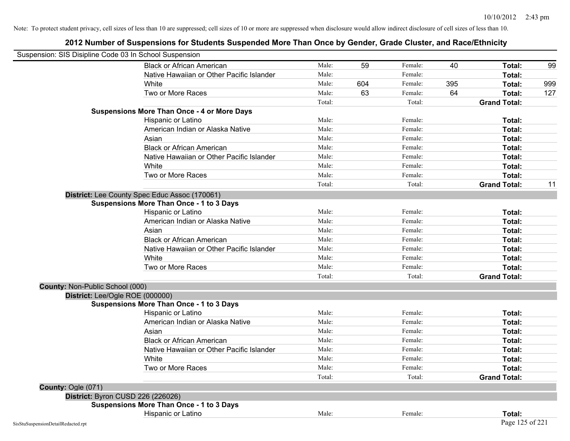| Suspension: SIS Disipline Code 03 In School Suspension |                                                    |        |     |         |     |                     |     |
|--------------------------------------------------------|----------------------------------------------------|--------|-----|---------|-----|---------------------|-----|
|                                                        | <b>Black or African American</b>                   | Male:  | 59  | Female: | 40  | Total:              | 99  |
|                                                        | Native Hawaiian or Other Pacific Islander          | Male:  |     | Female: |     | Total:              |     |
|                                                        | White                                              | Male:  | 604 | Female: | 395 | Total:              | 999 |
|                                                        | Two or More Races                                  | Male:  | 63  | Female: | 64  | Total:              | 127 |
|                                                        |                                                    | Total: |     | Total:  |     | <b>Grand Total:</b> |     |
|                                                        | <b>Suspensions More Than Once - 4 or More Days</b> |        |     |         |     |                     |     |
|                                                        | Hispanic or Latino                                 | Male:  |     | Female: |     | Total:              |     |
|                                                        | American Indian or Alaska Native                   | Male:  |     | Female: |     | Total:              |     |
|                                                        | Asian                                              | Male:  |     | Female: |     | Total:              |     |
|                                                        | <b>Black or African American</b>                   | Male:  |     | Female: |     | Total:              |     |
|                                                        | Native Hawaiian or Other Pacific Islander          | Male:  |     | Female: |     | Total:              |     |
|                                                        | White                                              | Male:  |     | Female: |     | Total:              |     |
|                                                        | Two or More Races                                  | Male:  |     | Female: |     | Total:              |     |
|                                                        |                                                    | Total: |     | Total:  |     | <b>Grand Total:</b> | 11  |
|                                                        | District: Lee County Spec Educ Assoc (170061)      |        |     |         |     |                     |     |
|                                                        | <b>Suspensions More Than Once - 1 to 3 Days</b>    |        |     |         |     |                     |     |
|                                                        | Hispanic or Latino                                 | Male:  |     | Female: |     | Total:              |     |
|                                                        | American Indian or Alaska Native                   | Male:  |     | Female: |     | Total:              |     |
|                                                        | Asian                                              | Male:  |     | Female: |     | Total:              |     |
|                                                        | <b>Black or African American</b>                   | Male:  |     | Female: |     | Total:              |     |
|                                                        | Native Hawaiian or Other Pacific Islander          | Male:  |     | Female: |     | Total:              |     |
|                                                        | White                                              | Male:  |     | Female: |     | Total:              |     |
|                                                        | Two or More Races                                  | Male:  |     | Female: |     | Total:              |     |
|                                                        |                                                    | Total: |     | Total:  |     | <b>Grand Total:</b> |     |
| County: Non-Public School (000)                        |                                                    |        |     |         |     |                     |     |
| District: Lee/Ogle ROE (000000)                        |                                                    |        |     |         |     |                     |     |
|                                                        | <b>Suspensions More Than Once - 1 to 3 Days</b>    |        |     |         |     |                     |     |
|                                                        | Hispanic or Latino                                 | Male:  |     | Female: |     | Total:              |     |
|                                                        | American Indian or Alaska Native                   | Male:  |     | Female: |     | Total:              |     |
|                                                        | Asian                                              | Male:  |     | Female: |     | Total:              |     |
|                                                        | <b>Black or African American</b>                   | Male:  |     | Female: |     | Total:              |     |
|                                                        | Native Hawaiian or Other Pacific Islander          | Male:  |     | Female: |     | Total:              |     |
|                                                        | White                                              | Male:  |     | Female: |     | Total:              |     |
|                                                        | Two or More Races                                  | Male:  |     | Female: |     | Total:              |     |
|                                                        |                                                    | Total: |     | Total:  |     | <b>Grand Total:</b> |     |
| County: Ogle (071)                                     |                                                    |        |     |         |     |                     |     |
|                                                        | District: Byron CUSD 226 (226026)                  |        |     |         |     |                     |     |
|                                                        | <b>Suspensions More Than Once - 1 to 3 Days</b>    |        |     |         |     |                     |     |
|                                                        | Hispanic or Latino                                 | Male:  |     | Female: |     | Total:              |     |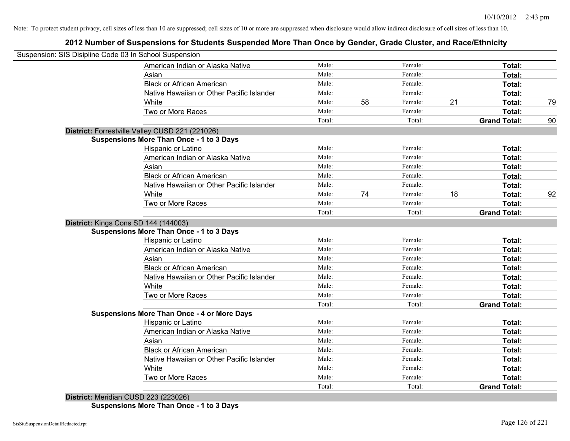# **2012 Number of Suspensions for Students Suspended More Than Once by Gender, Grade Cluster, and Race/Ethnicity**

| Suspension: SIS Disipline Code 03 In School Suspension |        |    |         |    |                     |    |
|--------------------------------------------------------|--------|----|---------|----|---------------------|----|
| American Indian or Alaska Native                       | Male:  |    | Female: |    | Total:              |    |
| Asian                                                  | Male:  |    | Female: |    | Total:              |    |
| <b>Black or African American</b>                       | Male:  |    | Female: |    | Total:              |    |
| Native Hawaiian or Other Pacific Islander              | Male:  |    | Female: |    | Total:              |    |
| White                                                  | Male:  | 58 | Female: | 21 | Total:              | 79 |
| Two or More Races                                      | Male:  |    | Female: |    | Total:              |    |
|                                                        | Total: |    | Total:  |    | <b>Grand Total:</b> | 90 |
| District: Forrestville Valley CUSD 221 (221026)        |        |    |         |    |                     |    |
| <b>Suspensions More Than Once - 1 to 3 Days</b>        |        |    |         |    |                     |    |
| Hispanic or Latino                                     | Male:  |    | Female: |    | Total:              |    |
| American Indian or Alaska Native                       | Male:  |    | Female: |    | Total:              |    |
| Asian                                                  | Male:  |    | Female: |    | Total:              |    |
| <b>Black or African American</b>                       | Male:  |    | Female: |    | Total:              |    |
| Native Hawaiian or Other Pacific Islander              | Male:  |    | Female: |    | Total:              |    |
| White                                                  | Male:  | 74 | Female: | 18 | Total:              | 92 |
| Two or More Races                                      | Male:  |    | Female: |    | Total:              |    |
|                                                        | Total: |    | Total:  |    | <b>Grand Total:</b> |    |
| District: Kings Cons SD 144 (144003)                   |        |    |         |    |                     |    |
| <b>Suspensions More Than Once - 1 to 3 Days</b>        |        |    |         |    |                     |    |
| <b>Hispanic or Latino</b>                              | Male:  |    | Female: |    | Total:              |    |
| American Indian or Alaska Native                       | Male:  |    | Female: |    | Total:              |    |
| Asian                                                  | Male:  |    | Female: |    | Total:              |    |
| <b>Black or African American</b>                       | Male:  |    | Female: |    | Total:              |    |
| Native Hawaiian or Other Pacific Islander              | Male:  |    | Female: |    | Total:              |    |
| White                                                  | Male:  |    | Female: |    | Total:              |    |
| Two or More Races                                      | Male:  |    | Female: |    | Total:              |    |
|                                                        | Total: |    | Total:  |    | <b>Grand Total:</b> |    |
| <b>Suspensions More Than Once - 4 or More Days</b>     |        |    |         |    |                     |    |
| Hispanic or Latino                                     | Male:  |    | Female: |    | Total:              |    |
| American Indian or Alaska Native                       | Male:  |    | Female: |    | Total:              |    |
| Asian                                                  | Male:  |    | Female: |    | Total:              |    |
| <b>Black or African American</b>                       | Male:  |    | Female: |    | Total:              |    |
| Native Hawaiian or Other Pacific Islander              | Male:  |    | Female: |    | Total:              |    |
| White                                                  | Male:  |    | Female: |    | Total:              |    |
| Two or More Races                                      | Male:  |    | Female: |    | Total:              |    |
|                                                        | Total: |    | Total:  |    | <b>Grand Total:</b> |    |
| District: Meridian CUSD 223 (223026)                   |        |    |         |    |                     |    |

**Suspensions More Than Once - 1 to 3 Days**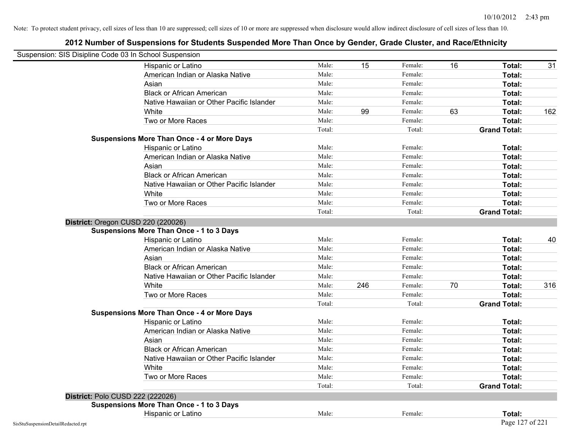|                                    | Suspension: SIS Disipline Code 03 In School Suspension |        |     |         |    |                     |     |
|------------------------------------|--------------------------------------------------------|--------|-----|---------|----|---------------------|-----|
|                                    | Hispanic or Latino                                     | Male:  | 15  | Female: | 16 | Total:              | 31  |
|                                    | American Indian or Alaska Native                       | Male:  |     | Female: |    | Total:              |     |
|                                    | Asian                                                  | Male:  |     | Female: |    | Total:              |     |
|                                    | <b>Black or African American</b>                       | Male:  |     | Female: |    | Total:              |     |
|                                    | Native Hawaiian or Other Pacific Islander              | Male:  |     | Female: |    | Total:              |     |
|                                    | White                                                  | Male:  | 99  | Female: | 63 | Total:              | 162 |
|                                    | Two or More Races                                      | Male:  |     | Female: |    | Total:              |     |
|                                    |                                                        | Total: |     | Total:  |    | <b>Grand Total:</b> |     |
|                                    | <b>Suspensions More Than Once - 4 or More Days</b>     |        |     |         |    |                     |     |
|                                    | Hispanic or Latino                                     | Male:  |     | Female: |    | Total:              |     |
|                                    | American Indian or Alaska Native                       | Male:  |     | Female: |    | Total:              |     |
|                                    | Asian                                                  | Male:  |     | Female: |    | Total:              |     |
|                                    | <b>Black or African American</b>                       | Male:  |     | Female: |    | Total:              |     |
|                                    | Native Hawaiian or Other Pacific Islander              | Male:  |     | Female: |    | Total:              |     |
|                                    | White                                                  | Male:  |     | Female: |    | Total:              |     |
|                                    | Two or More Races                                      | Male:  |     | Female: |    | Total:              |     |
|                                    |                                                        | Total: |     | Total:  |    | <b>Grand Total:</b> |     |
|                                    | District: Oregon CUSD 220 (220026)                     |        |     |         |    |                     |     |
|                                    | <b>Suspensions More Than Once - 1 to 3 Days</b>        |        |     |         |    |                     |     |
|                                    | Hispanic or Latino                                     | Male:  |     | Female: |    | Total:              | 40  |
|                                    | American Indian or Alaska Native                       | Male:  |     | Female: |    | Total:              |     |
|                                    | Asian                                                  | Male:  |     | Female: |    | Total:              |     |
|                                    | <b>Black or African American</b>                       | Male:  |     | Female: |    | Total:              |     |
|                                    | Native Hawaiian or Other Pacific Islander              | Male:  |     | Female: |    | Total:              |     |
|                                    | White                                                  | Male:  | 246 | Female: | 70 | Total:              | 316 |
|                                    | Two or More Races                                      | Male:  |     | Female: |    | Total:              |     |
|                                    |                                                        | Total: |     | Total:  |    | <b>Grand Total:</b> |     |
|                                    | <b>Suspensions More Than Once - 4 or More Days</b>     |        |     |         |    |                     |     |
|                                    | Hispanic or Latino                                     | Male:  |     | Female: |    | Total:              |     |
|                                    | American Indian or Alaska Native                       | Male:  |     | Female: |    | Total:              |     |
|                                    | Asian                                                  | Male:  |     | Female: |    | Total:              |     |
|                                    | <b>Black or African American</b>                       | Male:  |     | Female: |    | Total:              |     |
|                                    | Native Hawaiian or Other Pacific Islander              | Male:  |     | Female: |    | <b>Total:</b>       |     |
|                                    | White                                                  | Male:  |     | Female: |    | Total:              |     |
|                                    | Two or More Races                                      | Male:  |     | Female: |    | Total:              |     |
|                                    |                                                        | Total: |     | Total:  |    | <b>Grand Total:</b> |     |
|                                    | District: Polo CUSD 222 (222026)                       |        |     |         |    |                     |     |
|                                    | <b>Suspensions More Than Once - 1 to 3 Days</b>        |        |     |         |    |                     |     |
|                                    | Hispanic or Latino                                     | Male:  |     | Female: |    | Total:              |     |
| SisStuSuspensionDetailRedacted.rpt |                                                        |        |     |         |    | Page 127 of 221     |     |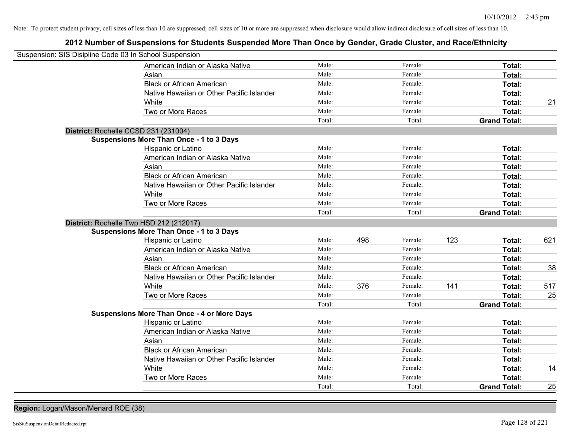# **2012 Number of Suspensions for Students Suspended More Than Once by Gender, Grade Cluster, and Race/Ethnicity**

| Suspension: SIS Disipline Code 03 In School Suspension |                                           |        |     |         |     |                     |     |
|--------------------------------------------------------|-------------------------------------------|--------|-----|---------|-----|---------------------|-----|
|                                                        | American Indian or Alaska Native          | Male:  |     | Female: |     | Total:              |     |
| Asian                                                  |                                           | Male:  |     | Female: |     | Total:              |     |
|                                                        | <b>Black or African American</b>          | Male:  |     | Female: |     | Total:              |     |
|                                                        | Native Hawaiian or Other Pacific Islander | Male:  |     | Female: |     | Total:              |     |
| White                                                  |                                           | Male:  |     | Female: |     | Total:              | 21  |
|                                                        | Two or More Races                         | Male:  |     | Female: |     | Total:              |     |
|                                                        |                                           | Total: |     | Total:  |     | <b>Grand Total:</b> |     |
| District: Rochelle CCSD 231 (231004)                   |                                           |        |     |         |     |                     |     |
| <b>Suspensions More Than Once - 1 to 3 Days</b>        |                                           |        |     |         |     |                     |     |
| Hispanic or Latino                                     |                                           | Male:  |     | Female: |     | Total:              |     |
|                                                        | American Indian or Alaska Native          | Male:  |     | Female: |     | Total:              |     |
| Asian                                                  |                                           | Male:  |     | Female: |     | Total:              |     |
|                                                        | <b>Black or African American</b>          | Male:  |     | Female: |     | Total:              |     |
|                                                        | Native Hawaiian or Other Pacific Islander | Male:  |     | Female: |     | Total:              |     |
| White                                                  |                                           | Male:  |     | Female: |     | Total:              |     |
|                                                        | Two or More Races                         | Male:  |     | Female: |     | Total:              |     |
|                                                        |                                           | Total: |     | Total:  |     | <b>Grand Total:</b> |     |
| District: Rochelle Twp HSD 212 (212017)                |                                           |        |     |         |     |                     |     |
| <b>Suspensions More Than Once - 1 to 3 Days</b>        |                                           |        |     |         |     |                     |     |
| Hispanic or Latino                                     |                                           | Male:  | 498 | Female: | 123 | Total:              | 621 |
|                                                        | American Indian or Alaska Native          | Male:  |     | Female: |     | Total:              |     |
| Asian                                                  |                                           | Male:  |     | Female: |     | Total:              |     |
|                                                        | <b>Black or African American</b>          | Male:  |     | Female: |     | Total:              | 38  |
|                                                        | Native Hawaiian or Other Pacific Islander | Male:  |     | Female: |     | Total:              |     |
| White                                                  |                                           | Male:  | 376 | Female: | 141 | Total:              | 517 |
|                                                        | Two or More Races                         | Male:  |     | Female: |     | Total:              | 25  |
|                                                        |                                           | Total: |     | Total:  |     | <b>Grand Total:</b> |     |
| <b>Suspensions More Than Once - 4 or More Days</b>     |                                           |        |     |         |     |                     |     |
| Hispanic or Latino                                     |                                           | Male:  |     | Female: |     | Total:              |     |
|                                                        | American Indian or Alaska Native          | Male:  |     | Female: |     | Total:              |     |
| Asian                                                  |                                           | Male:  |     | Female: |     | Total:              |     |
|                                                        | <b>Black or African American</b>          | Male:  |     | Female: |     | Total:              |     |
|                                                        | Native Hawaiian or Other Pacific Islander | Male:  |     | Female: |     | Total:              |     |
| White                                                  |                                           | Male:  |     | Female: |     | Total:              | 14  |
|                                                        | Two or More Races                         | Male:  |     | Female: |     | Total:              |     |
|                                                        |                                           | Total: |     | Total:  |     | <b>Grand Total:</b> | 25  |

**Region:** Logan/Mason/Menard ROE (38)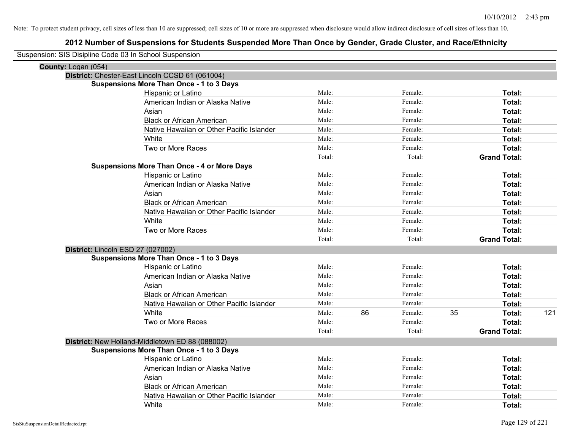| Suspension: SIS Disipline Code 03 In School Suspension |                                                    |        |    |         |    |                     |     |
|--------------------------------------------------------|----------------------------------------------------|--------|----|---------|----|---------------------|-----|
| County: Logan (054)                                    |                                                    |        |    |         |    |                     |     |
|                                                        | District: Chester-East Lincoln CCSD 61 (061004)    |        |    |         |    |                     |     |
|                                                        | <b>Suspensions More Than Once - 1 to 3 Days</b>    |        |    |         |    |                     |     |
|                                                        | Hispanic or Latino                                 | Male:  |    | Female: |    | Total:              |     |
|                                                        | American Indian or Alaska Native                   | Male:  |    | Female: |    | Total:              |     |
|                                                        | Asian                                              | Male:  |    | Female: |    | Total:              |     |
|                                                        | <b>Black or African American</b>                   | Male:  |    | Female: |    | Total:              |     |
|                                                        | Native Hawaiian or Other Pacific Islander          | Male:  |    | Female: |    | Total:              |     |
|                                                        | White                                              | Male:  |    | Female: |    | Total:              |     |
|                                                        | Two or More Races                                  | Male:  |    | Female: |    | Total:              |     |
|                                                        |                                                    | Total: |    | Total:  |    | <b>Grand Total:</b> |     |
|                                                        | <b>Suspensions More Than Once - 4 or More Days</b> |        |    |         |    |                     |     |
|                                                        | Hispanic or Latino                                 | Male:  |    | Female: |    | Total:              |     |
|                                                        | American Indian or Alaska Native                   | Male:  |    | Female: |    | Total:              |     |
|                                                        | Asian                                              | Male:  |    | Female: |    | Total:              |     |
|                                                        | <b>Black or African American</b>                   | Male:  |    | Female: |    | Total:              |     |
|                                                        | Native Hawaiian or Other Pacific Islander          | Male:  |    | Female: |    | Total:              |     |
|                                                        | White                                              | Male:  |    | Female: |    | Total:              |     |
|                                                        | Two or More Races                                  | Male:  |    | Female: |    | Total:              |     |
|                                                        |                                                    | Total: |    | Total:  |    | <b>Grand Total:</b> |     |
| District: Lincoln ESD 27 (027002)                      |                                                    |        |    |         |    |                     |     |
|                                                        | <b>Suspensions More Than Once - 1 to 3 Days</b>    |        |    |         |    |                     |     |
|                                                        | Hispanic or Latino                                 | Male:  |    | Female: |    | Total:              |     |
|                                                        | American Indian or Alaska Native                   | Male:  |    | Female: |    | Total:              |     |
|                                                        | Asian                                              | Male:  |    | Female: |    | Total:              |     |
|                                                        | <b>Black or African American</b>                   | Male:  |    | Female: |    | Total:              |     |
|                                                        | Native Hawaiian or Other Pacific Islander          | Male:  |    | Female: |    | Total:              |     |
|                                                        | White                                              | Male:  | 86 | Female: | 35 | Total:              | 121 |
|                                                        | Two or More Races                                  | Male:  |    | Female: |    | Total:              |     |
|                                                        |                                                    | Total: |    | Total:  |    | <b>Grand Total:</b> |     |
|                                                        | District: New Holland-Middletown ED 88 (088002)    |        |    |         |    |                     |     |
|                                                        | <b>Suspensions More Than Once - 1 to 3 Days</b>    |        |    |         |    |                     |     |
|                                                        | <b>Hispanic or Latino</b>                          | Male:  |    | Female: |    | Total:              |     |
|                                                        | American Indian or Alaska Native                   | Male:  |    | Female: |    | Total:              |     |
|                                                        | Asian                                              | Male:  |    | Female: |    | Total:              |     |
|                                                        | <b>Black or African American</b>                   | Male:  |    | Female: |    | Total:              |     |
|                                                        | Native Hawaiian or Other Pacific Islander          | Male:  |    | Female: |    | Total:              |     |
|                                                        | White                                              | Male:  |    | Female: |    | Total:              |     |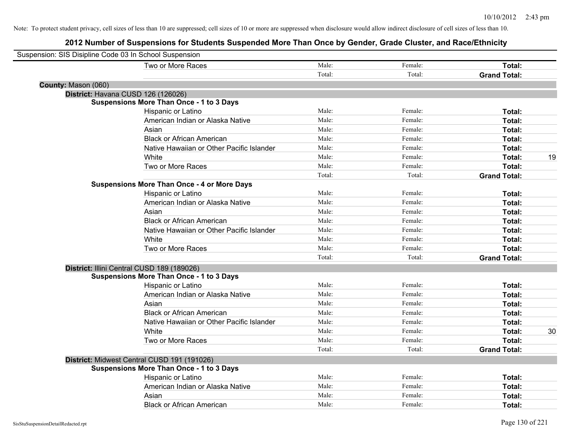| Suspension: SIS Disipline Code 03 In School Suspension |                                                    |        |         |                     |    |
|--------------------------------------------------------|----------------------------------------------------|--------|---------|---------------------|----|
|                                                        | Two or More Races                                  | Male:  | Female: | Total:              |    |
|                                                        |                                                    | Total: | Total:  | <b>Grand Total:</b> |    |
| County: Mason (060)                                    |                                                    |        |         |                     |    |
|                                                        | District: Havana CUSD 126 (126026)                 |        |         |                     |    |
|                                                        | <b>Suspensions More Than Once - 1 to 3 Days</b>    |        |         |                     |    |
|                                                        | Hispanic or Latino                                 | Male:  | Female: | Total:              |    |
|                                                        | American Indian or Alaska Native                   | Male:  | Female: | Total:              |    |
|                                                        | Asian                                              | Male:  | Female: | Total:              |    |
|                                                        | <b>Black or African American</b>                   | Male:  | Female: | Total:              |    |
|                                                        | Native Hawaiian or Other Pacific Islander          | Male:  | Female: | Total:              |    |
|                                                        | White                                              | Male:  | Female: | Total:              | 19 |
|                                                        | Two or More Races                                  | Male:  | Female: | Total:              |    |
|                                                        |                                                    | Total: | Total:  | <b>Grand Total:</b> |    |
|                                                        | <b>Suspensions More Than Once - 4 or More Days</b> |        |         |                     |    |
|                                                        | Hispanic or Latino                                 | Male:  | Female: | Total:              |    |
|                                                        | American Indian or Alaska Native                   | Male:  | Female: | Total:              |    |
|                                                        | Asian                                              | Male:  | Female: | Total:              |    |
|                                                        | <b>Black or African American</b>                   | Male:  | Female: | Total:              |    |
|                                                        | Native Hawaiian or Other Pacific Islander          | Male:  | Female: | Total:              |    |
|                                                        | White                                              | Male:  | Female: | Total:              |    |
|                                                        | Two or More Races                                  | Male:  | Female: | Total:              |    |
|                                                        |                                                    | Total: | Total:  | <b>Grand Total:</b> |    |
|                                                        | District: Illini Central CUSD 189 (189026)         |        |         |                     |    |
|                                                        | <b>Suspensions More Than Once - 1 to 3 Days</b>    |        |         |                     |    |
|                                                        | Hispanic or Latino                                 | Male:  | Female: | Total:              |    |
|                                                        | American Indian or Alaska Native                   | Male:  | Female: | Total:              |    |
|                                                        | Asian                                              | Male:  | Female: | Total:              |    |
|                                                        | <b>Black or African American</b>                   | Male:  | Female: | Total:              |    |
|                                                        | Native Hawaiian or Other Pacific Islander          | Male:  | Female: | Total:              |    |
|                                                        | White                                              | Male:  | Female: | Total:              | 30 |
|                                                        | Two or More Races                                  | Male:  | Female: | Total:              |    |
|                                                        |                                                    | Total: | Total:  | <b>Grand Total:</b> |    |
|                                                        | District: Midwest Central CUSD 191 (191026)        |        |         |                     |    |
|                                                        | <b>Suspensions More Than Once - 1 to 3 Days</b>    |        |         |                     |    |
|                                                        | <b>Hispanic or Latino</b>                          | Male:  | Female: | Total:              |    |
|                                                        | American Indian or Alaska Native                   | Male:  | Female: | Total:              |    |
|                                                        | Asian                                              | Male:  | Female: | Total:              |    |
|                                                        | <b>Black or African American</b>                   | Male:  | Female: | Total:              |    |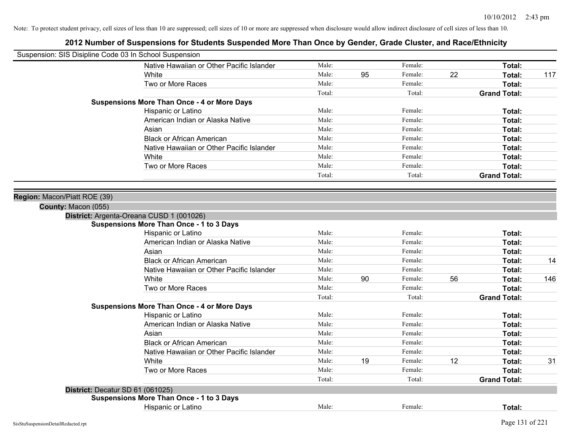| Suspension: SIS Disipline Code 03 In School Suspension |                                                    |        |    |         |    |                     |     |
|--------------------------------------------------------|----------------------------------------------------|--------|----|---------|----|---------------------|-----|
|                                                        | Native Hawaiian or Other Pacific Islander          | Male:  |    | Female: |    | Total:              |     |
|                                                        | White                                              | Male:  | 95 | Female: | 22 | Total:              | 117 |
|                                                        | Two or More Races                                  | Male:  |    | Female: |    | <b>Total:</b>       |     |
|                                                        |                                                    | Total: |    | Total:  |    | <b>Grand Total:</b> |     |
|                                                        | <b>Suspensions More Than Once - 4 or More Days</b> |        |    |         |    |                     |     |
|                                                        | Hispanic or Latino                                 | Male:  |    | Female: |    | Total:              |     |
|                                                        | American Indian or Alaska Native                   | Male:  |    | Female: |    | Total:              |     |
|                                                        | Asian                                              | Male:  |    | Female: |    | Total:              |     |
|                                                        | <b>Black or African American</b>                   | Male:  |    | Female: |    | Total:              |     |
|                                                        | Native Hawaiian or Other Pacific Islander          | Male:  |    | Female: |    | Total:              |     |
|                                                        | White                                              | Male:  |    | Female: |    | Total:              |     |
|                                                        | Two or More Races                                  | Male:  |    | Female: |    | Total:              |     |
|                                                        |                                                    | Total: |    | Total:  |    | <b>Grand Total:</b> |     |
| Region: Macon/Piatt ROE (39)                           |                                                    |        |    |         |    |                     |     |
| County: Macon (055)                                    |                                                    |        |    |         |    |                     |     |
|                                                        | District: Argenta-Oreana CUSD 1 (001026)           |        |    |         |    |                     |     |
|                                                        | <b>Suspensions More Than Once - 1 to 3 Days</b>    |        |    |         |    |                     |     |
|                                                        | Hispanic or Latino                                 | Male:  |    | Female: |    | Total:              |     |
|                                                        | American Indian or Alaska Native                   | Male:  |    | Female: |    | Total:              |     |
|                                                        | Asian                                              | Male:  |    | Female: |    | Total:              |     |
|                                                        | <b>Black or African American</b>                   | Male:  |    | Female: |    | Total:              | 14  |
|                                                        | Native Hawaiian or Other Pacific Islander          | Male:  |    | Female: |    | Total:              |     |
|                                                        | White                                              | Male:  | 90 | Female: | 56 | Total:              | 146 |
|                                                        | Two or More Races                                  | Male:  |    | Female: |    | Total:              |     |
|                                                        |                                                    | Total: |    | Total:  |    | <b>Grand Total:</b> |     |
|                                                        | <b>Suspensions More Than Once - 4 or More Days</b> |        |    |         |    |                     |     |
|                                                        | Hispanic or Latino                                 | Male:  |    | Female: |    | Total:              |     |
|                                                        | American Indian or Alaska Native                   | Male:  |    | Female: |    | Total:              |     |
|                                                        | Asian                                              | Male:  |    | Female: |    | Total:              |     |
|                                                        | <b>Black or African American</b>                   | Male:  |    | Female: |    | Total:              |     |
|                                                        | Native Hawaiian or Other Pacific Islander          | Male:  |    | Female: |    | Total:              |     |
|                                                        | White                                              | Male:  | 19 | Female: | 12 | Total:              | 31  |
|                                                        | Two or More Races                                  | Male:  |    | Female: |    | Total:              |     |
|                                                        |                                                    | Total: |    | Total:  |    | <b>Grand Total:</b> |     |
| District: Decatur SD 61 (061025)                       |                                                    |        |    |         |    |                     |     |
|                                                        | <b>Suspensions More Than Once - 1 to 3 Days</b>    |        |    |         |    |                     |     |
|                                                        | Hispanic or Latino                                 | Male:  |    | Female: |    | Total:              |     |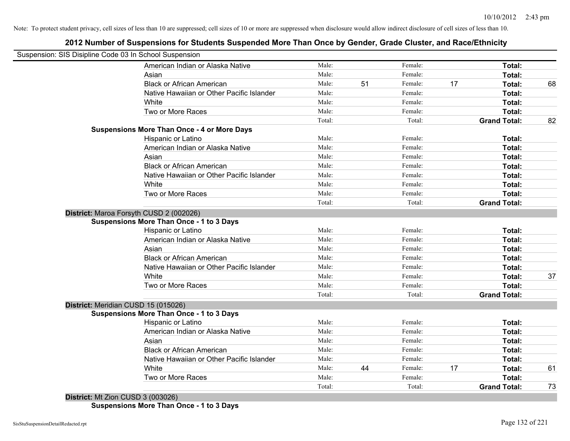# **2012 Number of Suspensions for Students Suspended More Than Once by Gender, Grade Cluster, and Race/Ethnicity**

| Suspension: SIS Disipline Code 03 In School Suspension |        |    |         |    |                     |    |
|--------------------------------------------------------|--------|----|---------|----|---------------------|----|
| American Indian or Alaska Native                       | Male:  |    | Female: |    | Total:              |    |
| Asian                                                  | Male:  |    | Female: |    | Total:              |    |
| <b>Black or African American</b>                       | Male:  | 51 | Female: | 17 | Total:              | 68 |
| Native Hawaiian or Other Pacific Islander              | Male:  |    | Female: |    | Total:              |    |
| White                                                  | Male:  |    | Female: |    | Total:              |    |
| Two or More Races                                      | Male:  |    | Female: |    | Total:              |    |
|                                                        | Total: |    | Total:  |    | <b>Grand Total:</b> | 82 |
| <b>Suspensions More Than Once - 4 or More Days</b>     |        |    |         |    |                     |    |
| Hispanic or Latino                                     | Male:  |    | Female: |    | Total:              |    |
| American Indian or Alaska Native                       | Male:  |    | Female: |    | Total:              |    |
| Asian                                                  | Male:  |    | Female: |    | Total:              |    |
| <b>Black or African American</b>                       | Male:  |    | Female: |    | Total:              |    |
| Native Hawaiian or Other Pacific Islander              | Male:  |    | Female: |    | Total:              |    |
| White                                                  | Male:  |    | Female: |    | Total:              |    |
| Two or More Races                                      | Male:  |    | Female: |    | Total:              |    |
|                                                        | Total: |    | Total:  |    | <b>Grand Total:</b> |    |
| District: Maroa Forsyth CUSD 2 (002026)                |        |    |         |    |                     |    |
| <b>Suspensions More Than Once - 1 to 3 Days</b>        |        |    |         |    |                     |    |
| Hispanic or Latino                                     | Male:  |    | Female: |    | Total:              |    |
| American Indian or Alaska Native                       | Male:  |    | Female: |    | Total:              |    |
| Asian                                                  | Male:  |    | Female: |    | Total:              |    |
| <b>Black or African American</b>                       | Male:  |    | Female: |    | Total:              |    |
| Native Hawaiian or Other Pacific Islander              | Male:  |    | Female: |    | Total:              |    |
| White                                                  | Male:  |    | Female: |    | Total:              | 37 |
| Two or More Races                                      | Male:  |    | Female: |    | Total:              |    |
|                                                        | Total: |    | Total:  |    | <b>Grand Total:</b> |    |
| District: Meridian CUSD 15 (015026)                    |        |    |         |    |                     |    |
| <b>Suspensions More Than Once - 1 to 3 Days</b>        |        |    |         |    |                     |    |
| Hispanic or Latino                                     | Male:  |    | Female: |    | Total:              |    |
| American Indian or Alaska Native                       | Male:  |    | Female: |    | Total:              |    |
| Asian                                                  | Male:  |    | Female: |    | Total:              |    |
| <b>Black or African American</b>                       | Male:  |    | Female: |    | Total:              |    |
| Native Hawaiian or Other Pacific Islander              | Male:  |    | Female: |    | Total:              |    |
| White                                                  | Male:  | 44 | Female: | 17 | Total:              | 61 |
| Two or More Races                                      | Male:  |    | Female: |    | Total:              |    |
|                                                        | Total: |    | Total:  |    | <b>Grand Total:</b> | 73 |

**Suspensions More Than Once - 1 to 3 Days**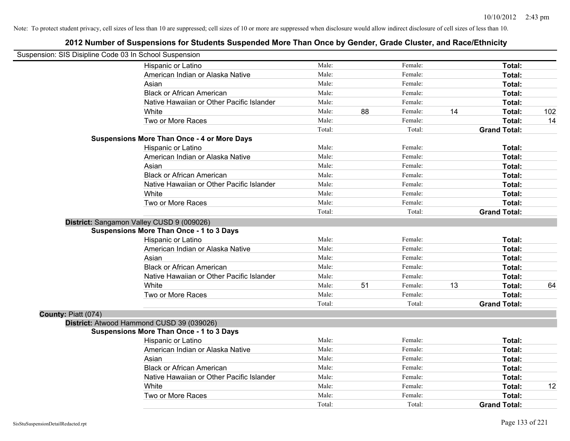|                     | Suspension: SIS Disipline Code 03 In School Suspension |        |    |         |    |                     |     |
|---------------------|--------------------------------------------------------|--------|----|---------|----|---------------------|-----|
|                     | Hispanic or Latino                                     | Male:  |    | Female: |    | Total:              |     |
|                     | American Indian or Alaska Native                       | Male:  |    | Female: |    | Total:              |     |
|                     | Asian                                                  | Male:  |    | Female: |    | Total:              |     |
|                     | <b>Black or African American</b>                       | Male:  |    | Female: |    | Total:              |     |
|                     | Native Hawaiian or Other Pacific Islander              | Male:  |    | Female: |    | Total:              |     |
|                     | White                                                  | Male:  | 88 | Female: | 14 | Total:              | 102 |
|                     | Two or More Races                                      | Male:  |    | Female: |    | Total:              | 14  |
|                     |                                                        | Total: |    | Total:  |    | <b>Grand Total:</b> |     |
|                     | <b>Suspensions More Than Once - 4 or More Days</b>     |        |    |         |    |                     |     |
|                     | Hispanic or Latino                                     | Male:  |    | Female: |    | Total:              |     |
|                     | American Indian or Alaska Native                       | Male:  |    | Female: |    | Total:              |     |
|                     | Asian                                                  | Male:  |    | Female: |    | Total:              |     |
|                     | <b>Black or African American</b>                       | Male:  |    | Female: |    | Total:              |     |
|                     | Native Hawaiian or Other Pacific Islander              | Male:  |    | Female: |    | Total:              |     |
|                     | White                                                  | Male:  |    | Female: |    | Total:              |     |
|                     | Two or More Races                                      | Male:  |    | Female: |    | Total:              |     |
|                     |                                                        | Total: |    | Total:  |    | <b>Grand Total:</b> |     |
|                     | District: Sangamon Valley CUSD 9 (009026)              |        |    |         |    |                     |     |
|                     | <b>Suspensions More Than Once - 1 to 3 Days</b>        |        |    |         |    |                     |     |
|                     | Hispanic or Latino                                     | Male:  |    | Female: |    | Total:              |     |
|                     | American Indian or Alaska Native                       | Male:  |    | Female: |    | Total:              |     |
|                     | Asian                                                  | Male:  |    | Female: |    | Total:              |     |
|                     | <b>Black or African American</b>                       | Male:  |    | Female: |    | Total:              |     |
|                     | Native Hawaiian or Other Pacific Islander              | Male:  |    | Female: |    | Total:              |     |
|                     | White                                                  | Male:  | 51 | Female: | 13 | Total:              | 64  |
|                     | Two or More Races                                      | Male:  |    | Female: |    | Total:              |     |
|                     |                                                        | Total: |    | Total:  |    | <b>Grand Total:</b> |     |
| County: Piatt (074) |                                                        |        |    |         |    |                     |     |
|                     | District: Atwood Hammond CUSD 39 (039026)              |        |    |         |    |                     |     |
|                     | <b>Suspensions More Than Once - 1 to 3 Days</b>        |        |    |         |    |                     |     |
|                     | Hispanic or Latino                                     | Male:  |    | Female: |    | Total:              |     |
|                     | American Indian or Alaska Native                       | Male:  |    | Female: |    | Total:              |     |
|                     | Asian                                                  | Male:  |    | Female: |    | Total:              |     |
|                     | <b>Black or African American</b>                       | Male:  |    | Female: |    | Total:              |     |
|                     | Native Hawaiian or Other Pacific Islander              | Male:  |    | Female: |    | Total:              |     |
|                     | White                                                  | Male:  |    | Female: |    | Total:              | 12  |
|                     | Two or More Races                                      | Male:  |    | Female: |    | Total:              |     |
|                     |                                                        | Total: |    | Total:  |    | <b>Grand Total:</b> |     |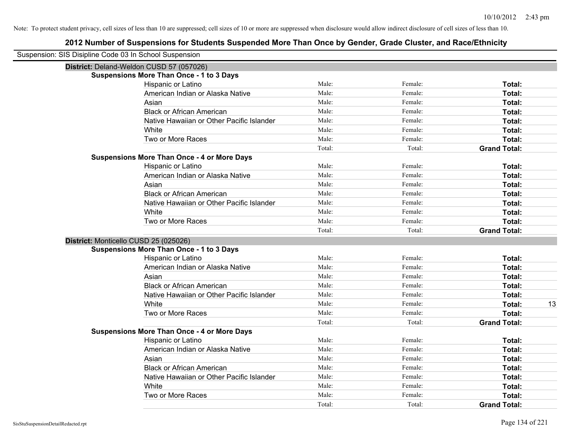| Suspension: SIS Disipline Code 03 In School Suspension |                                                    |        |         |                     |    |
|--------------------------------------------------------|----------------------------------------------------|--------|---------|---------------------|----|
|                                                        | District: Deland-Weldon CUSD 57 (057026)           |        |         |                     |    |
|                                                        | <b>Suspensions More Than Once - 1 to 3 Days</b>    |        |         |                     |    |
|                                                        | Hispanic or Latino                                 | Male:  | Female: | Total:              |    |
|                                                        | American Indian or Alaska Native                   | Male:  | Female: | Total:              |    |
|                                                        | Asian                                              | Male:  | Female: | Total:              |    |
|                                                        | <b>Black or African American</b>                   | Male:  | Female: | Total:              |    |
|                                                        | Native Hawaiian or Other Pacific Islander          | Male:  | Female: | Total:              |    |
|                                                        | White                                              | Male:  | Female: | Total:              |    |
|                                                        | Two or More Races                                  | Male:  | Female: | <b>Total:</b>       |    |
|                                                        |                                                    | Total: | Total:  | <b>Grand Total:</b> |    |
|                                                        | <b>Suspensions More Than Once - 4 or More Days</b> |        |         |                     |    |
|                                                        | Hispanic or Latino                                 | Male:  | Female: | Total:              |    |
|                                                        | American Indian or Alaska Native                   | Male:  | Female: | Total:              |    |
|                                                        | Asian                                              | Male:  | Female: | Total:              |    |
|                                                        | <b>Black or African American</b>                   | Male:  | Female: | Total:              |    |
|                                                        | Native Hawaiian or Other Pacific Islander          | Male:  | Female: | Total:              |    |
|                                                        | White                                              | Male:  | Female: | Total:              |    |
|                                                        | Two or More Races                                  | Male:  | Female: | Total:              |    |
|                                                        |                                                    | Total: | Total:  | <b>Grand Total:</b> |    |
| District: Monticello CUSD 25 (025026)                  |                                                    |        |         |                     |    |
|                                                        | <b>Suspensions More Than Once - 1 to 3 Days</b>    |        |         |                     |    |
|                                                        | Hispanic or Latino                                 | Male:  | Female: | Total:              |    |
|                                                        | American Indian or Alaska Native                   | Male:  | Female: | Total:              |    |
|                                                        | Asian                                              | Male:  | Female: | Total:              |    |
|                                                        | <b>Black or African American</b>                   | Male:  | Female: | Total:              |    |
|                                                        | Native Hawaiian or Other Pacific Islander          | Male:  | Female: | Total:              |    |
|                                                        | White                                              | Male:  | Female: | Total:              | 13 |
|                                                        | Two or More Races                                  | Male:  | Female: | <b>Total:</b>       |    |
|                                                        |                                                    | Total: | Total:  | <b>Grand Total:</b> |    |
|                                                        | <b>Suspensions More Than Once - 4 or More Days</b> |        |         |                     |    |
|                                                        | Hispanic or Latino                                 | Male:  | Female: | Total:              |    |
|                                                        | American Indian or Alaska Native                   | Male:  | Female: | Total:              |    |
|                                                        | Asian                                              | Male:  | Female: | Total:              |    |
|                                                        | <b>Black or African American</b>                   | Male:  | Female: | Total:              |    |
|                                                        | Native Hawaiian or Other Pacific Islander          | Male:  | Female: | Total:              |    |
|                                                        | White                                              | Male:  | Female: | Total:              |    |
|                                                        | Two or More Races                                  | Male:  | Female: | <b>Total:</b>       |    |
|                                                        |                                                    | Total: | Total:  | <b>Grand Total:</b> |    |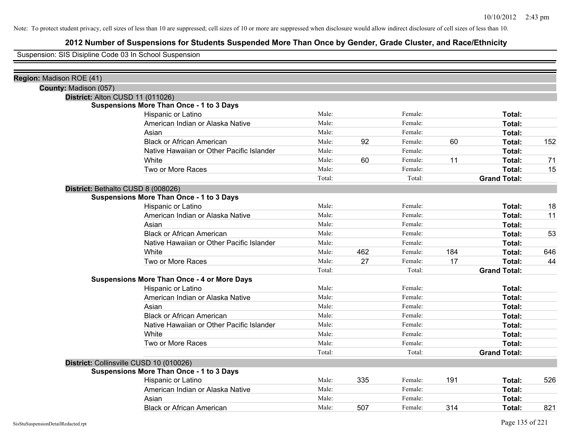# **2012 Number of Suspensions for Students Suspended More Than Once by Gender, Grade Cluster, and Race/Ethnicity**

Suspension: SIS Disipline Code 03 In School Suspension

| Region: Madison ROE (41) |                                                    |        |     |         |     |                     |     |
|--------------------------|----------------------------------------------------|--------|-----|---------|-----|---------------------|-----|
| County: Madison (057)    |                                                    |        |     |         |     |                     |     |
|                          | District: Alton CUSD 11 (011026)                   |        |     |         |     |                     |     |
|                          | <b>Suspensions More Than Once - 1 to 3 Days</b>    |        |     |         |     |                     |     |
|                          | Hispanic or Latino                                 | Male:  |     | Female: |     | Total:              |     |
|                          | American Indian or Alaska Native                   | Male:  |     | Female: |     | Total:              |     |
|                          | Asian                                              | Male:  |     | Female: |     | Total:              |     |
|                          | <b>Black or African American</b>                   | Male:  | 92  | Female: | 60  | Total:              | 152 |
|                          | Native Hawaiian or Other Pacific Islander          | Male:  |     | Female: |     | Total:              |     |
|                          | White                                              | Male:  | 60  | Female: | 11  | Total:              | 71  |
|                          | Two or More Races                                  | Male:  |     | Female: |     | Total:              | 15  |
|                          |                                                    | Total: |     | Total:  |     | <b>Grand Total:</b> |     |
|                          | District: Bethalto CUSD 8 (008026)                 |        |     |         |     |                     |     |
|                          | <b>Suspensions More Than Once - 1 to 3 Days</b>    |        |     |         |     |                     |     |
|                          | Hispanic or Latino                                 | Male:  |     | Female: |     | Total:              | 18  |
|                          | American Indian or Alaska Native                   | Male:  |     | Female: |     | Total:              | 11  |
|                          | Asian                                              | Male:  |     | Female: |     | Total:              |     |
|                          | <b>Black or African American</b>                   | Male:  |     | Female: |     | Total:              | 53  |
|                          | Native Hawaiian or Other Pacific Islander          | Male:  |     | Female: |     | Total:              |     |
|                          | White                                              | Male:  | 462 | Female: | 184 | Total:              | 646 |
|                          | Two or More Races                                  | Male:  | 27  | Female: | 17  | Total:              | 44  |
|                          |                                                    | Total: |     | Total:  |     | <b>Grand Total:</b> |     |
|                          | <b>Suspensions More Than Once - 4 or More Days</b> |        |     |         |     |                     |     |
|                          | Hispanic or Latino                                 | Male:  |     | Female: |     | Total:              |     |
|                          | American Indian or Alaska Native                   | Male:  |     | Female: |     | Total:              |     |
|                          | Asian                                              | Male:  |     | Female: |     | Total:              |     |
|                          | <b>Black or African American</b>                   | Male:  |     | Female: |     | Total:              |     |
|                          | Native Hawaiian or Other Pacific Islander          | Male:  |     | Female: |     | Total:              |     |
|                          | White                                              | Male:  |     | Female: |     | Total:              |     |
|                          | Two or More Races                                  | Male:  |     | Female: |     | Total:              |     |
|                          |                                                    | Total: |     | Total:  |     | <b>Grand Total:</b> |     |
|                          | District: Collinsville CUSD 10 (010026)            |        |     |         |     |                     |     |
|                          | <b>Suspensions More Than Once - 1 to 3 Days</b>    |        |     |         |     |                     |     |
|                          | Hispanic or Latino                                 | Male:  | 335 | Female: | 191 | Total:              | 526 |
|                          | American Indian or Alaska Native                   | Male:  |     | Female: |     | Total:              |     |
|                          | Asian                                              | Male:  |     | Female: |     | Total:              |     |
|                          | <b>Black or African American</b>                   | Male:  | 507 | Female: | 314 | Total:              | 821 |
|                          |                                                    |        |     |         |     |                     |     |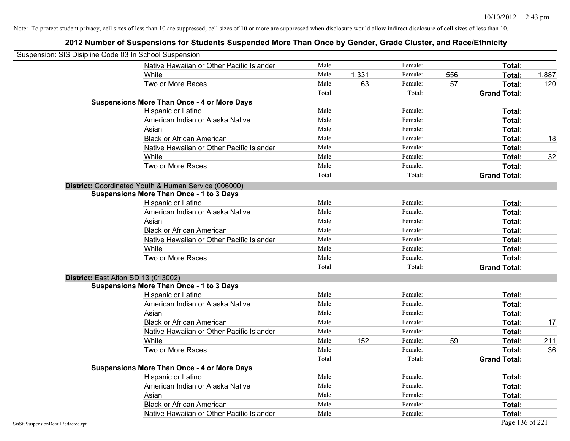|                                    | Suspension: SIS Disipline Code 03 In School Suspension |        |       |         |     |                     |       |
|------------------------------------|--------------------------------------------------------|--------|-------|---------|-----|---------------------|-------|
|                                    | Native Hawaiian or Other Pacific Islander              | Male:  |       | Female: |     | Total:              |       |
|                                    | White                                                  | Male:  | 1,331 | Female: | 556 | Total:              | 1,887 |
|                                    | Two or More Races                                      | Male:  | 63    | Female: | 57  | Total:              | 120   |
|                                    |                                                        | Total: |       | Total:  |     | <b>Grand Total:</b> |       |
|                                    | <b>Suspensions More Than Once - 4 or More Days</b>     |        |       |         |     |                     |       |
|                                    | Hispanic or Latino                                     | Male:  |       | Female: |     | Total:              |       |
|                                    | American Indian or Alaska Native                       | Male:  |       | Female: |     | Total:              |       |
|                                    | Asian                                                  | Male:  |       | Female: |     | Total:              |       |
|                                    | <b>Black or African American</b>                       | Male:  |       | Female: |     | Total:              | 18    |
|                                    | Native Hawaiian or Other Pacific Islander              | Male:  |       | Female: |     | Total:              |       |
|                                    | White                                                  | Male:  |       | Female: |     | Total:              | 32    |
|                                    | Two or More Races                                      | Male:  |       | Female: |     | Total:              |       |
|                                    |                                                        | Total: |       | Total:  |     | <b>Grand Total:</b> |       |
|                                    | District: Coordinated Youth & Human Service (006000)   |        |       |         |     |                     |       |
|                                    | <b>Suspensions More Than Once - 1 to 3 Days</b>        |        |       |         |     |                     |       |
|                                    | Hispanic or Latino                                     | Male:  |       | Female: |     | Total:              |       |
|                                    | American Indian or Alaska Native                       | Male:  |       | Female: |     | Total:              |       |
|                                    | Asian                                                  | Male:  |       | Female: |     | Total:              |       |
|                                    | <b>Black or African American</b>                       | Male:  |       | Female: |     | Total:              |       |
|                                    | Native Hawaiian or Other Pacific Islander              | Male:  |       | Female: |     | Total:              |       |
|                                    | White                                                  | Male:  |       | Female: |     | Total:              |       |
|                                    | Two or More Races                                      | Male:  |       | Female: |     | Total:              |       |
|                                    |                                                        | Total: |       | Total:  |     | <b>Grand Total:</b> |       |
|                                    | District: East Alton SD 13 (013002)                    |        |       |         |     |                     |       |
|                                    | <b>Suspensions More Than Once - 1 to 3 Days</b>        |        |       |         |     |                     |       |
|                                    | Hispanic or Latino                                     | Male:  |       | Female: |     | Total:              |       |
|                                    | American Indian or Alaska Native                       | Male:  |       | Female: |     | Total:              |       |
|                                    | Asian                                                  | Male:  |       | Female: |     | Total:              |       |
|                                    | <b>Black or African American</b>                       | Male:  |       | Female: |     | Total:              | 17    |
|                                    | Native Hawaiian or Other Pacific Islander              | Male:  |       | Female: |     | Total:              |       |
|                                    | White                                                  | Male:  | 152   | Female: | 59  | Total:              | 211   |
|                                    | Two or More Races                                      | Male:  |       | Female: |     | Total:              | 36    |
|                                    |                                                        | Total: |       | Total:  |     | <b>Grand Total:</b> |       |
|                                    | <b>Suspensions More Than Once - 4 or More Days</b>     |        |       |         |     |                     |       |
|                                    | Hispanic or Latino                                     | Male:  |       | Female: |     | Total:              |       |
|                                    | American Indian or Alaska Native                       | Male:  |       | Female: |     | Total:              |       |
|                                    | Asian                                                  | Male:  |       | Female: |     | Total:              |       |
|                                    | <b>Black or African American</b>                       | Male:  |       | Female: |     | Total:              |       |
|                                    | Native Hawaiian or Other Pacific Islander              | Male:  |       | Female: |     | Total:              |       |
| SisStuSuspensionDetailRedacted.rpt |                                                        |        |       |         |     | Page 136 of 221     |       |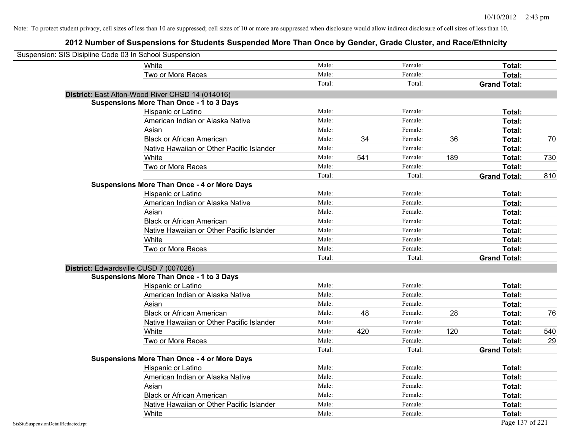| Suspension: SIS Disipline Code 03 In School Suspension |                                                    |        |     |         |     |                     |     |
|--------------------------------------------------------|----------------------------------------------------|--------|-----|---------|-----|---------------------|-----|
|                                                        | White                                              | Male:  |     | Female: |     | Total:              |     |
|                                                        | Two or More Races                                  | Male:  |     | Female: |     | Total:              |     |
|                                                        |                                                    | Total: |     | Total:  |     | <b>Grand Total:</b> |     |
|                                                        | District: East Alton-Wood River CHSD 14 (014016)   |        |     |         |     |                     |     |
|                                                        | <b>Suspensions More Than Once - 1 to 3 Days</b>    |        |     |         |     |                     |     |
|                                                        | Hispanic or Latino                                 | Male:  |     | Female: |     | Total:              |     |
|                                                        | American Indian or Alaska Native                   | Male:  |     | Female: |     | Total:              |     |
|                                                        | Asian                                              | Male:  |     | Female: |     | Total:              |     |
|                                                        | <b>Black or African American</b>                   | Male:  | 34  | Female: | 36  | Total:              | 70  |
|                                                        | Native Hawaiian or Other Pacific Islander          | Male:  |     | Female: |     | Total:              |     |
|                                                        | White                                              | Male:  | 541 | Female: | 189 | Total:              | 730 |
|                                                        | Two or More Races                                  | Male:  |     | Female: |     | Total:              |     |
|                                                        |                                                    | Total: |     | Total:  |     | <b>Grand Total:</b> | 810 |
|                                                        | <b>Suspensions More Than Once - 4 or More Days</b> |        |     |         |     |                     |     |
|                                                        | Hispanic or Latino                                 | Male:  |     | Female: |     | Total:              |     |
|                                                        | American Indian or Alaska Native                   | Male:  |     | Female: |     | Total:              |     |
|                                                        | Asian                                              | Male:  |     | Female: |     | Total:              |     |
|                                                        | <b>Black or African American</b>                   | Male:  |     | Female: |     | Total:              |     |
|                                                        | Native Hawaiian or Other Pacific Islander          | Male:  |     | Female: |     | Total:              |     |
|                                                        | White                                              | Male:  |     | Female: |     | Total:              |     |
|                                                        | Two or More Races                                  | Male:  |     | Female: |     | Total:              |     |
|                                                        |                                                    | Total: |     | Total:  |     | <b>Grand Total:</b> |     |
|                                                        | District: Edwardsville CUSD 7 (007026)             |        |     |         |     |                     |     |
|                                                        | <b>Suspensions More Than Once - 1 to 3 Days</b>    |        |     |         |     |                     |     |
|                                                        | Hispanic or Latino                                 | Male:  |     | Female: |     | Total:              |     |
|                                                        | American Indian or Alaska Native                   | Male:  |     | Female: |     | Total:              |     |
|                                                        | Asian                                              | Male:  |     | Female: |     | Total:              |     |
|                                                        | <b>Black or African American</b>                   | Male:  | 48  | Female: | 28  | Total:              | 76  |
|                                                        | Native Hawaiian or Other Pacific Islander          | Male:  |     | Female: |     | Total:              |     |
|                                                        | White                                              | Male:  | 420 | Female: | 120 | Total:              | 540 |
|                                                        | Two or More Races                                  | Male:  |     | Female: |     | Total:              | 29  |
|                                                        |                                                    | Total: |     | Total:  |     | <b>Grand Total:</b> |     |
|                                                        | <b>Suspensions More Than Once - 4 or More Days</b> |        |     |         |     |                     |     |
|                                                        | Hispanic or Latino                                 | Male:  |     | Female: |     | Total:              |     |
|                                                        | American Indian or Alaska Native                   | Male:  |     | Female: |     | Total:              |     |
|                                                        | Asian                                              | Male:  |     | Female: |     | Total:              |     |
|                                                        | <b>Black or African American</b>                   | Male:  |     | Female: |     | Total:              |     |
|                                                        | Native Hawaiian or Other Pacific Islander          | Male:  |     | Female: |     | Total:              |     |
|                                                        | White                                              | Male:  |     | Female: |     | Total:              |     |
| SisStuSuspensionDetailRedacted.rpt                     |                                                    |        |     |         |     | Page 137 of 221     |     |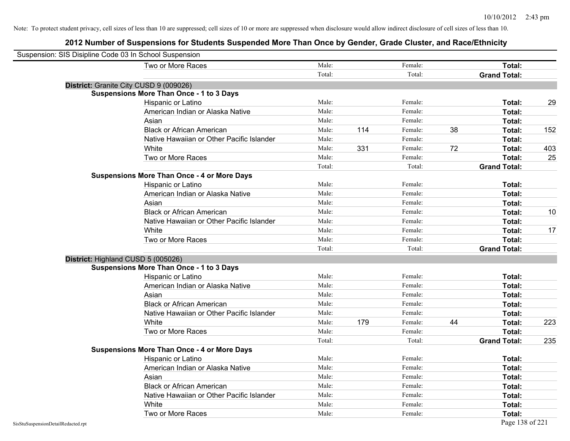| Suspension: SIS Disipline Code 03 In School Suspension |                                                    |        |     |         |    |                     |     |
|--------------------------------------------------------|----------------------------------------------------|--------|-----|---------|----|---------------------|-----|
|                                                        | Two or More Races                                  | Male:  |     | Female: |    | Total:              |     |
|                                                        |                                                    | Total: |     | Total:  |    | <b>Grand Total:</b> |     |
| District: Granite City CUSD 9 (009026)                 |                                                    |        |     |         |    |                     |     |
|                                                        | <b>Suspensions More Than Once - 1 to 3 Days</b>    |        |     |         |    |                     |     |
|                                                        | Hispanic or Latino                                 | Male:  |     | Female: |    | Total:              | 29  |
|                                                        | American Indian or Alaska Native                   | Male:  |     | Female: |    | Total:              |     |
|                                                        | Asian                                              | Male:  |     | Female: |    | Total:              |     |
|                                                        | <b>Black or African American</b>                   | Male:  | 114 | Female: | 38 | Total:              | 152 |
|                                                        | Native Hawaiian or Other Pacific Islander          | Male:  |     | Female: |    | Total:              |     |
|                                                        | White                                              | Male:  | 331 | Female: | 72 | Total:              | 403 |
|                                                        | Two or More Races                                  | Male:  |     | Female: |    | Total:              | 25  |
|                                                        |                                                    | Total: |     | Total:  |    | <b>Grand Total:</b> |     |
|                                                        | <b>Suspensions More Than Once - 4 or More Days</b> |        |     |         |    |                     |     |
|                                                        | Hispanic or Latino                                 | Male:  |     | Female: |    | Total:              |     |
|                                                        | American Indian or Alaska Native                   | Male:  |     | Female: |    | Total:              |     |
|                                                        | Asian                                              | Male:  |     | Female: |    | Total:              |     |
|                                                        | <b>Black or African American</b>                   | Male:  |     | Female: |    | Total:              | 10  |
|                                                        | Native Hawaiian or Other Pacific Islander          | Male:  |     | Female: |    | Total:              |     |
|                                                        | White                                              | Male:  |     | Female: |    | Total:              | 17  |
|                                                        | Two or More Races                                  | Male:  |     | Female: |    | Total:              |     |
|                                                        |                                                    | Total: |     | Total:  |    | <b>Grand Total:</b> |     |
| District: Highland CUSD 5 (005026)                     |                                                    |        |     |         |    |                     |     |
|                                                        | <b>Suspensions More Than Once - 1 to 3 Days</b>    |        |     |         |    |                     |     |
|                                                        | Hispanic or Latino                                 | Male:  |     | Female: |    | Total:              |     |
|                                                        | American Indian or Alaska Native                   | Male:  |     | Female: |    | Total:              |     |
|                                                        | Asian                                              | Male:  |     | Female: |    | Total:              |     |
|                                                        | <b>Black or African American</b>                   | Male:  |     | Female: |    | Total:              |     |
|                                                        | Native Hawaiian or Other Pacific Islander          | Male:  |     | Female: |    | Total:              |     |
|                                                        | White                                              | Male:  | 179 | Female: | 44 | Total:              | 223 |
|                                                        | Two or More Races                                  | Male:  |     | Female: |    | Total:              |     |
|                                                        |                                                    | Total: |     | Total:  |    | <b>Grand Total:</b> | 235 |
|                                                        | <b>Suspensions More Than Once - 4 or More Days</b> |        |     |         |    |                     |     |
|                                                        | <b>Hispanic or Latino</b>                          | Male:  |     | Female: |    | Total:              |     |
|                                                        | American Indian or Alaska Native                   | Male:  |     | Female: |    | Total:              |     |
|                                                        | Asian                                              | Male:  |     | Female: |    | Total:              |     |
|                                                        | <b>Black or African American</b>                   | Male:  |     | Female: |    | Total:              |     |
|                                                        | Native Hawaiian or Other Pacific Islander          | Male:  |     | Female: |    | Total:              |     |
|                                                        | White                                              | Male:  |     | Female: |    | Total:              |     |
|                                                        | Two or More Races                                  | Male:  |     | Female: |    | Total:              |     |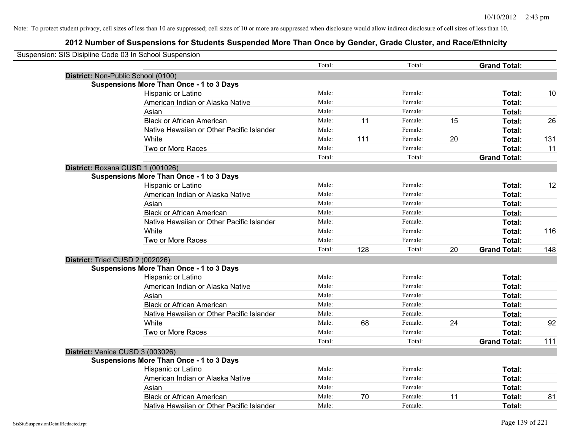| Suspension: SIS Disipline Code 03 In School Suspension |                                                 |        |     |         |    |                     |     |
|--------------------------------------------------------|-------------------------------------------------|--------|-----|---------|----|---------------------|-----|
|                                                        |                                                 | Total: |     | Total:  |    | <b>Grand Total:</b> |     |
|                                                        | District: Non-Public School (0100)              |        |     |         |    |                     |     |
|                                                        | <b>Suspensions More Than Once - 1 to 3 Days</b> |        |     |         |    |                     |     |
|                                                        | Hispanic or Latino                              | Male:  |     | Female: |    | Total:              | 10  |
|                                                        | American Indian or Alaska Native                | Male:  |     | Female: |    | Total:              |     |
|                                                        | Asian                                           | Male:  |     | Female: |    | Total:              |     |
|                                                        | <b>Black or African American</b>                | Male:  | 11  | Female: | 15 | Total:              | 26  |
|                                                        | Native Hawaiian or Other Pacific Islander       | Male:  |     | Female: |    | Total:              |     |
|                                                        | White                                           | Male:  | 111 | Female: | 20 | Total:              | 131 |
|                                                        | Two or More Races                               | Male:  |     | Female: |    | Total:              | 11  |
|                                                        |                                                 | Total: |     | Total:  |    | <b>Grand Total:</b> |     |
|                                                        | District: Roxana CUSD 1 (001026)                |        |     |         |    |                     |     |
|                                                        | <b>Suspensions More Than Once - 1 to 3 Days</b> |        |     |         |    |                     |     |
|                                                        | Hispanic or Latino                              | Male:  |     | Female: |    | Total:              | 12  |
|                                                        | American Indian or Alaska Native                | Male:  |     | Female: |    | Total:              |     |
|                                                        | Asian                                           | Male:  |     | Female: |    | Total:              |     |
|                                                        | <b>Black or African American</b>                | Male:  |     | Female: |    | Total:              |     |
|                                                        | Native Hawaiian or Other Pacific Islander       | Male:  |     | Female: |    | Total:              |     |
|                                                        | White                                           | Male:  |     | Female: |    | Total:              | 116 |
|                                                        | Two or More Races                               | Male:  |     | Female: |    | Total:              |     |
|                                                        |                                                 | Total: | 128 | Total:  | 20 | <b>Grand Total:</b> | 148 |
|                                                        | District: Triad CUSD 2 (002026)                 |        |     |         |    |                     |     |
|                                                        | <b>Suspensions More Than Once - 1 to 3 Days</b> |        |     |         |    |                     |     |
|                                                        | Hispanic or Latino                              | Male:  |     | Female: |    | Total:              |     |
|                                                        | American Indian or Alaska Native                | Male:  |     | Female: |    | Total:              |     |
|                                                        | Asian                                           | Male:  |     | Female: |    | Total:              |     |
|                                                        | <b>Black or African American</b>                | Male:  |     | Female: |    | Total:              |     |
|                                                        | Native Hawaiian or Other Pacific Islander       | Male:  |     | Female: |    | Total:              |     |
|                                                        | White                                           | Male:  | 68  | Female: | 24 | Total:              | 92  |
|                                                        | Two or More Races                               | Male:  |     | Female: |    | Total:              |     |
|                                                        |                                                 | Total: |     | Total:  |    | <b>Grand Total:</b> | 111 |
|                                                        | District: Venice CUSD 3 (003026)                |        |     |         |    |                     |     |
|                                                        | <b>Suspensions More Than Once - 1 to 3 Days</b> |        |     |         |    |                     |     |
|                                                        | Hispanic or Latino                              | Male:  |     | Female: |    | Total:              |     |
|                                                        | American Indian or Alaska Native                | Male:  |     | Female: |    | Total:              |     |
|                                                        | Asian                                           | Male:  |     | Female: |    | Total:              |     |
|                                                        | <b>Black or African American</b>                | Male:  | 70  | Female: | 11 | Total:              | 81  |
|                                                        | Native Hawaiian or Other Pacific Islander       | Male:  |     | Female: |    | Total:              |     |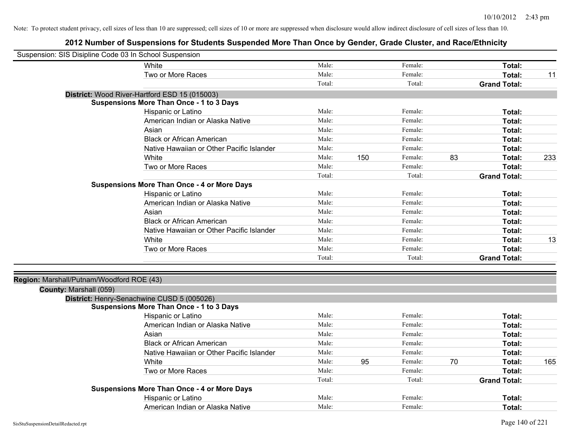| Suspension: SIS Disipline Code 03 In School Suspension |                                                    |        |     |         |    |                     |     |
|--------------------------------------------------------|----------------------------------------------------|--------|-----|---------|----|---------------------|-----|
|                                                        | White                                              | Male:  |     | Female: |    | Total:              |     |
|                                                        | Two or More Races                                  | Male:  |     | Female: |    | Total:              | 11  |
|                                                        |                                                    | Total: |     | Total:  |    | <b>Grand Total:</b> |     |
|                                                        | District: Wood River-Hartford ESD 15 (015003)      |        |     |         |    |                     |     |
|                                                        | <b>Suspensions More Than Once - 1 to 3 Days</b>    |        |     |         |    |                     |     |
|                                                        | Hispanic or Latino                                 | Male:  |     | Female: |    | Total:              |     |
|                                                        | American Indian or Alaska Native                   | Male:  |     | Female: |    | Total:              |     |
|                                                        | Asian                                              | Male:  |     | Female: |    | Total:              |     |
|                                                        | <b>Black or African American</b>                   | Male:  |     | Female: |    | Total:              |     |
|                                                        | Native Hawaiian or Other Pacific Islander          | Male:  |     | Female: |    | Total:              |     |
|                                                        | White                                              | Male:  | 150 | Female: | 83 | Total:              | 233 |
|                                                        | Two or More Races                                  | Male:  |     | Female: |    | Total:              |     |
|                                                        |                                                    | Total: |     | Total:  |    | <b>Grand Total:</b> |     |
|                                                        | <b>Suspensions More Than Once - 4 or More Days</b> |        |     |         |    |                     |     |
|                                                        | Hispanic or Latino                                 | Male:  |     | Female: |    | Total:              |     |
|                                                        | American Indian or Alaska Native                   | Male:  |     | Female: |    | Total:              |     |
|                                                        | Asian                                              | Male:  |     | Female: |    | Total:              |     |
|                                                        | <b>Black or African American</b>                   | Male:  |     | Female: |    | Total:              |     |
|                                                        | Native Hawaiian or Other Pacific Islander          | Male:  |     | Female: |    | Total:              |     |
|                                                        | White                                              | Male:  |     | Female: |    | Total:              | 13  |
|                                                        | Two or More Races                                  | Male:  |     | Female: |    | Total:              |     |
|                                                        |                                                    | Total: |     | Total:  |    | <b>Grand Total:</b> |     |
|                                                        |                                                    |        |     |         |    |                     |     |
| Region: Marshall/Putnam/Woodford ROE (43)              |                                                    |        |     |         |    |                     |     |
| County: Marshall (059)                                 |                                                    |        |     |         |    |                     |     |
|                                                        | District: Henry-Senachwine CUSD 5 (005026)         |        |     |         |    |                     |     |
|                                                        | <b>Suspensions More Than Once - 1 to 3 Days</b>    |        |     |         |    |                     |     |
|                                                        | Hispanic or Latino                                 | Male:  |     | Female: |    | Total:              |     |
|                                                        | American Indian or Alaska Native                   | Male:  |     | Female: |    | Total:              |     |
|                                                        | Asian                                              | Male:  |     | Female: |    | Total:              |     |
|                                                        | <b>Black or African American</b>                   | Male:  |     | Female: |    | Total:              |     |
|                                                        | Native Hawaiian or Other Pacific Islander          | Male:  |     | Female: |    | Total:              |     |
|                                                        | White                                              | Male:  | 95  | Female: | 70 | Total:              | 165 |
|                                                        | Two or More Races                                  | Male:  |     | Female: |    | Total:              |     |
|                                                        |                                                    | Total: |     | Total:  |    | <b>Grand Total:</b> |     |
|                                                        | <b>Suspensions More Than Once - 4 or More Days</b> |        |     |         |    |                     |     |
|                                                        | Hispanic or Latino                                 | Male:  |     | Female: |    | Total:              |     |
|                                                        | American Indian or Alaska Native                   | Male:  |     | Female: |    | Total:              |     |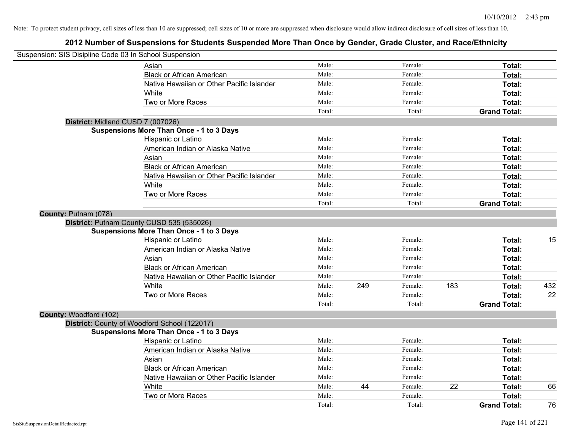|                        | Suspension: SIS Disipline Code 03 In School Suspension |        |     |         |     |                     |     |
|------------------------|--------------------------------------------------------|--------|-----|---------|-----|---------------------|-----|
|                        | Asian                                                  | Male:  |     | Female: |     | Total:              |     |
|                        | <b>Black or African American</b>                       | Male:  |     | Female: |     | Total:              |     |
|                        | Native Hawaiian or Other Pacific Islander              | Male:  |     | Female: |     | Total:              |     |
|                        | White                                                  | Male:  |     | Female: |     | Total:              |     |
|                        | Two or More Races                                      | Male:  |     | Female: |     | Total:              |     |
|                        |                                                        | Total: |     | Total:  |     | <b>Grand Total:</b> |     |
|                        | District: Midland CUSD 7 (007026)                      |        |     |         |     |                     |     |
|                        | <b>Suspensions More Than Once - 1 to 3 Days</b>        |        |     |         |     |                     |     |
|                        | Hispanic or Latino                                     | Male:  |     | Female: |     | Total:              |     |
|                        | American Indian or Alaska Native                       | Male:  |     | Female: |     | Total:              |     |
|                        | Asian                                                  | Male:  |     | Female: |     | Total:              |     |
|                        | <b>Black or African American</b>                       | Male:  |     | Female: |     | Total:              |     |
|                        | Native Hawaiian or Other Pacific Islander              | Male:  |     | Female: |     | Total:              |     |
|                        | White                                                  | Male:  |     | Female: |     | Total:              |     |
|                        | Two or More Races                                      | Male:  |     | Female: |     | Total:              |     |
|                        |                                                        | Total: |     | Total:  |     | <b>Grand Total:</b> |     |
| County: Putnam (078)   |                                                        |        |     |         |     |                     |     |
|                        | District: Putnam County CUSD 535 (535026)              |        |     |         |     |                     |     |
|                        | <b>Suspensions More Than Once - 1 to 3 Days</b>        |        |     |         |     |                     |     |
|                        | Hispanic or Latino                                     | Male:  |     | Female: |     | Total:              | 15  |
|                        | American Indian or Alaska Native                       | Male:  |     | Female: |     | Total:              |     |
|                        | Asian                                                  | Male:  |     | Female: |     | Total:              |     |
|                        | <b>Black or African American</b>                       | Male:  |     | Female: |     | Total:              |     |
|                        | Native Hawaiian or Other Pacific Islander              | Male:  |     | Female: |     | Total:              |     |
|                        | <b>White</b>                                           | Male:  | 249 | Female: | 183 | Total:              | 432 |
|                        | Two or More Races                                      | Male:  |     | Female: |     | Total:              | 22  |
|                        |                                                        | Total: |     | Total:  |     | <b>Grand Total:</b> |     |
| County: Woodford (102) |                                                        |        |     |         |     |                     |     |
|                        | District: County of Woodford School (122017)           |        |     |         |     |                     |     |
|                        | <b>Suspensions More Than Once - 1 to 3 Days</b>        |        |     |         |     |                     |     |
|                        | Hispanic or Latino                                     | Male:  |     | Female: |     | Total:              |     |
|                        | American Indian or Alaska Native                       | Male:  |     | Female: |     | Total:              |     |
|                        | Asian                                                  | Male:  |     | Female: |     | Total:              |     |
|                        | <b>Black or African American</b>                       | Male:  |     | Female: |     | Total:              |     |
|                        | Native Hawaiian or Other Pacific Islander              | Male:  |     | Female: |     | Total:              |     |
|                        | White                                                  | Male:  | 44  | Female: | 22  | Total:              | 66  |
|                        | Two or More Races                                      | Male:  |     | Female: |     | <b>Total:</b>       |     |
|                        |                                                        | Total: |     | Total:  |     | <b>Grand Total:</b> | 76  |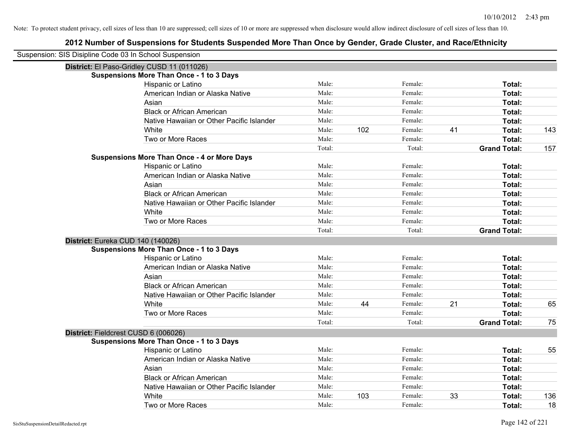| Suspension: SIS Disipline Code 03 In School Suspension |                                                    |        |     |         |    |                     |     |
|--------------------------------------------------------|----------------------------------------------------|--------|-----|---------|----|---------------------|-----|
|                                                        | District: El Paso-Gridley CUSD 11 (011026)         |        |     |         |    |                     |     |
|                                                        | <b>Suspensions More Than Once - 1 to 3 Days</b>    |        |     |         |    |                     |     |
|                                                        | Hispanic or Latino                                 | Male:  |     | Female: |    | Total:              |     |
|                                                        | American Indian or Alaska Native                   | Male:  |     | Female: |    | Total:              |     |
|                                                        | Asian                                              | Male:  |     | Female: |    | Total:              |     |
|                                                        | <b>Black or African American</b>                   | Male:  |     | Female: |    | Total:              |     |
|                                                        | Native Hawaiian or Other Pacific Islander          | Male:  |     | Female: |    | Total:              |     |
|                                                        | White                                              | Male:  | 102 | Female: | 41 | Total:              | 143 |
|                                                        | Two or More Races                                  | Male:  |     | Female: |    | <b>Total:</b>       |     |
|                                                        |                                                    | Total: |     | Total:  |    | <b>Grand Total:</b> | 157 |
|                                                        | <b>Suspensions More Than Once - 4 or More Days</b> |        |     |         |    |                     |     |
|                                                        | Hispanic or Latino                                 | Male:  |     | Female: |    | Total:              |     |
|                                                        | American Indian or Alaska Native                   | Male:  |     | Female: |    | Total:              |     |
|                                                        | Asian                                              | Male:  |     | Female: |    | Total:              |     |
|                                                        | <b>Black or African American</b>                   | Male:  |     | Female: |    | Total:              |     |
|                                                        | Native Hawaiian or Other Pacific Islander          | Male:  |     | Female: |    | Total:              |     |
|                                                        | White                                              | Male:  |     | Female: |    | Total:              |     |
|                                                        | Two or More Races                                  | Male:  |     | Female: |    | Total:              |     |
|                                                        |                                                    | Total: |     | Total:  |    | <b>Grand Total:</b> |     |
| District: Eureka CUD 140 (140026)                      |                                                    |        |     |         |    |                     |     |
|                                                        | <b>Suspensions More Than Once - 1 to 3 Days</b>    |        |     |         |    |                     |     |
|                                                        | Hispanic or Latino                                 | Male:  |     | Female: |    | Total:              |     |
|                                                        | American Indian or Alaska Native                   | Male:  |     | Female: |    | Total:              |     |
|                                                        | Asian                                              | Male:  |     | Female: |    | Total:              |     |
|                                                        | <b>Black or African American</b>                   | Male:  |     | Female: |    | Total:              |     |
|                                                        | Native Hawaiian or Other Pacific Islander          | Male:  |     | Female: |    | Total:              |     |
|                                                        | White                                              | Male:  | 44  | Female: | 21 | Total:              | 65  |
|                                                        | Two or More Races                                  | Male:  |     | Female: |    | Total:              |     |
|                                                        |                                                    | Total: |     | Total:  |    | <b>Grand Total:</b> | 75  |
| District: Fieldcrest CUSD 6 (006026)                   |                                                    |        |     |         |    |                     |     |
|                                                        | <b>Suspensions More Than Once - 1 to 3 Days</b>    |        |     |         |    |                     |     |
|                                                        | Hispanic or Latino                                 | Male:  |     | Female: |    | Total:              | 55  |
|                                                        | American Indian or Alaska Native                   | Male:  |     | Female: |    | Total:              |     |
|                                                        | Asian                                              | Male:  |     | Female: |    | Total:              |     |
|                                                        | <b>Black or African American</b>                   | Male:  |     | Female: |    | Total:              |     |
|                                                        | Native Hawaiian or Other Pacific Islander          | Male:  |     | Female: |    | Total:              |     |
|                                                        | White                                              | Male:  | 103 | Female: | 33 | <b>Total:</b>       | 136 |
|                                                        | Two or More Races                                  | Male:  |     | Female: |    | Total:              | 18  |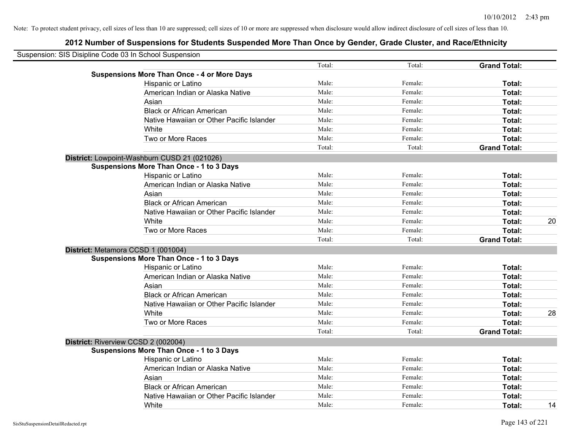| Suspension: SIS Disipline Code 03 In School Suspension |        |         |                     |    |
|--------------------------------------------------------|--------|---------|---------------------|----|
|                                                        | Total: | Total:  | <b>Grand Total:</b> |    |
| <b>Suspensions More Than Once - 4 or More Days</b>     |        |         |                     |    |
| Hispanic or Latino                                     | Male:  | Female: | Total:              |    |
| American Indian or Alaska Native                       | Male:  | Female: | Total:              |    |
| Asian                                                  | Male:  | Female: | Total:              |    |
| <b>Black or African American</b>                       | Male:  | Female: | Total:              |    |
| Native Hawaiian or Other Pacific Islander              | Male:  | Female: | Total:              |    |
| White                                                  | Male:  | Female: | Total:              |    |
| Two or More Races                                      | Male:  | Female: | Total:              |    |
|                                                        | Total: | Total:  | <b>Grand Total:</b> |    |
| District: Lowpoint-Washburn CUSD 21 (021026)           |        |         |                     |    |
| Suspensions More Than Once - 1 to 3 Days               |        |         |                     |    |
| Hispanic or Latino                                     | Male:  | Female: | Total:              |    |
| American Indian or Alaska Native                       | Male:  | Female: | Total:              |    |
| Asian                                                  | Male:  | Female: | Total:              |    |
| <b>Black or African American</b>                       | Male:  | Female: | Total:              |    |
| Native Hawaiian or Other Pacific Islander              | Male:  | Female: | Total:              |    |
| White                                                  | Male:  | Female: | Total:              | 20 |
| Two or More Races                                      | Male:  | Female: | Total:              |    |
|                                                        | Total: | Total:  | <b>Grand Total:</b> |    |
| District: Metamora CCSD 1 (001004)                     |        |         |                     |    |
| <b>Suspensions More Than Once - 1 to 3 Days</b>        |        |         |                     |    |
| Hispanic or Latino                                     | Male:  | Female: | Total:              |    |
| American Indian or Alaska Native                       | Male:  | Female: | Total:              |    |
| Asian                                                  | Male:  | Female: | Total:              |    |
| <b>Black or African American</b>                       | Male:  | Female: | Total:              |    |
| Native Hawaiian or Other Pacific Islander              | Male:  | Female: | Total:              |    |
| White                                                  | Male:  | Female: | Total:              | 28 |
| Two or More Races                                      | Male:  | Female: | Total:              |    |
|                                                        | Total: | Total:  | <b>Grand Total:</b> |    |
| District: Riverview CCSD 2 (002004)                    |        |         |                     |    |
| <b>Suspensions More Than Once - 1 to 3 Days</b>        |        |         |                     |    |
| Hispanic or Latino                                     | Male:  | Female: | Total:              |    |
| American Indian or Alaska Native                       | Male:  | Female: | Total:              |    |
| Asian                                                  | Male:  | Female: | Total:              |    |
| <b>Black or African American</b>                       | Male:  | Female: | Total:              |    |
| Native Hawaiian or Other Pacific Islander              | Male:  | Female: | Total:              |    |
| White                                                  | Male:  | Female: | Total:              | 14 |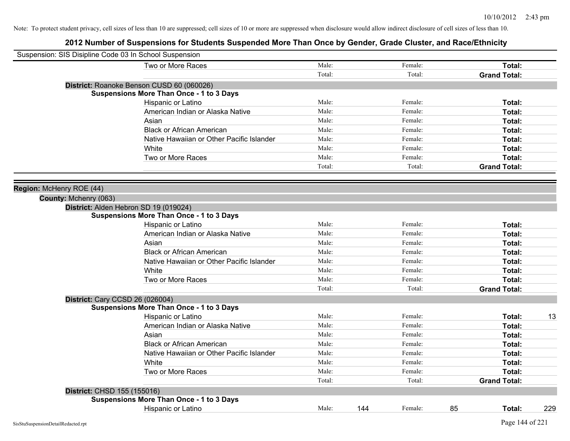| Suspension: SIS Disipline Code 03 In School Suspension |                                                 |        |     |         |    |                     |     |
|--------------------------------------------------------|-------------------------------------------------|--------|-----|---------|----|---------------------|-----|
|                                                        | Two or More Races                               | Male:  |     | Female: |    | Total:              |     |
|                                                        |                                                 | Total: |     | Total:  |    | <b>Grand Total:</b> |     |
|                                                        | District: Roanoke Benson CUSD 60 (060026)       |        |     |         |    |                     |     |
|                                                        | <b>Suspensions More Than Once - 1 to 3 Days</b> |        |     |         |    |                     |     |
|                                                        | Hispanic or Latino                              | Male:  |     | Female: |    | Total:              |     |
|                                                        | American Indian or Alaska Native                | Male:  |     | Female: |    | Total:              |     |
|                                                        | Asian                                           | Male:  |     | Female: |    | Total:              |     |
|                                                        | <b>Black or African American</b>                | Male:  |     | Female: |    | Total:              |     |
|                                                        | Native Hawaiian or Other Pacific Islander       | Male:  |     | Female: |    | Total:              |     |
|                                                        | White                                           | Male:  |     | Female: |    | Total:              |     |
|                                                        | Two or More Races                               | Male:  |     | Female: |    | Total:              |     |
|                                                        |                                                 | Total: |     | Total:  |    | <b>Grand Total:</b> |     |
|                                                        |                                                 |        |     |         |    |                     |     |
| Region: McHenry ROE (44)                               |                                                 |        |     |         |    |                     |     |
| County: Mchenry (063)                                  |                                                 |        |     |         |    |                     |     |
|                                                        | District: Alden Hebron SD 19 (019024)           |        |     |         |    |                     |     |
|                                                        | <b>Suspensions More Than Once - 1 to 3 Days</b> |        |     |         |    |                     |     |
|                                                        | Hispanic or Latino                              | Male:  |     | Female: |    | Total:              |     |
|                                                        | American Indian or Alaska Native                | Male:  |     | Female: |    | Total:              |     |
|                                                        | Asian                                           | Male:  |     | Female: |    | Total:              |     |
|                                                        | <b>Black or African American</b>                | Male:  |     | Female: |    | Total:              |     |
|                                                        | Native Hawaiian or Other Pacific Islander       | Male:  |     | Female: |    | Total:              |     |
|                                                        | <b>White</b>                                    | Male:  |     | Female: |    | Total:              |     |
|                                                        | Two or More Races                               | Male:  |     | Female: |    | Total:              |     |
|                                                        |                                                 | Total: |     | Total:  |    | <b>Grand Total:</b> |     |
|                                                        | <b>District: Cary CCSD 26 (026004)</b>          |        |     |         |    |                     |     |
|                                                        | <b>Suspensions More Than Once - 1 to 3 Days</b> |        |     |         |    |                     |     |
|                                                        | Hispanic or Latino                              | Male:  |     | Female: |    | Total:              | 13  |
|                                                        | American Indian or Alaska Native                | Male:  |     | Female: |    | Total:              |     |
|                                                        | Asian                                           | Male:  |     | Female: |    | Total:              |     |
|                                                        | <b>Black or African American</b>                | Male:  |     | Female: |    | Total:              |     |
|                                                        | Native Hawaiian or Other Pacific Islander       | Male:  |     | Female: |    | Total:              |     |
|                                                        | White                                           | Male:  |     | Female: |    | Total:              |     |
|                                                        | Two or More Races                               | Male:  |     | Female: |    | Total:              |     |
|                                                        |                                                 | Total: |     | Total:  |    | <b>Grand Total:</b> |     |
|                                                        | District: CHSD 155 (155016)                     |        |     |         |    |                     |     |
|                                                        | <b>Suspensions More Than Once - 1 to 3 Days</b> |        |     |         |    |                     |     |
|                                                        | <b>Hispanic or Latino</b>                       | Male:  | 144 | Female: | 85 | Total:              | 229 |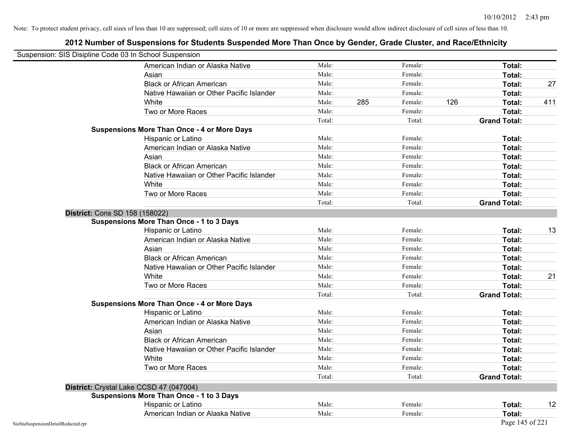| Suspension: SIS Disipline Code 03 In School Suspension |                                                    |        |     |         |     |                     |     |
|--------------------------------------------------------|----------------------------------------------------|--------|-----|---------|-----|---------------------|-----|
|                                                        | American Indian or Alaska Native                   | Male:  |     | Female: |     | Total:              |     |
|                                                        | Asian                                              | Male:  |     | Female: |     | Total:              |     |
|                                                        | <b>Black or African American</b>                   | Male:  |     | Female: |     | Total:              | 27  |
|                                                        | Native Hawaiian or Other Pacific Islander          | Male:  |     | Female: |     | Total:              |     |
|                                                        | White                                              | Male:  | 285 | Female: | 126 | Total:              | 411 |
|                                                        | Two or More Races                                  | Male:  |     | Female: |     | Total:              |     |
|                                                        |                                                    | Total: |     | Total:  |     | <b>Grand Total:</b> |     |
|                                                        | <b>Suspensions More Than Once - 4 or More Days</b> |        |     |         |     |                     |     |
|                                                        | Hispanic or Latino                                 | Male:  |     | Female: |     | Total:              |     |
|                                                        | American Indian or Alaska Native                   | Male:  |     | Female: |     | Total:              |     |
|                                                        | Asian                                              | Male:  |     | Female: |     | Total:              |     |
|                                                        | <b>Black or African American</b>                   | Male:  |     | Female: |     | Total:              |     |
|                                                        | Native Hawaiian or Other Pacific Islander          | Male:  |     | Female: |     | Total:              |     |
|                                                        | White                                              | Male:  |     | Female: |     | Total:              |     |
|                                                        | Two or More Races                                  | Male:  |     | Female: |     | Total:              |     |
|                                                        |                                                    | Total: |     | Total:  |     | <b>Grand Total:</b> |     |
| District: Cons SD 158 (158022)                         |                                                    |        |     |         |     |                     |     |
|                                                        | Suspensions More Than Once - 1 to 3 Days           |        |     |         |     |                     |     |
|                                                        | Hispanic or Latino                                 | Male:  |     | Female: |     | Total:              | 13  |
|                                                        | American Indian or Alaska Native                   | Male:  |     | Female: |     | Total:              |     |
|                                                        | Asian                                              | Male:  |     | Female: |     | Total:              |     |
|                                                        | <b>Black or African American</b>                   | Male:  |     | Female: |     | Total:              |     |
|                                                        | Native Hawaiian or Other Pacific Islander          | Male:  |     | Female: |     | Total:              |     |
|                                                        | White                                              | Male:  |     | Female: |     | Total:              | 21  |
|                                                        | Two or More Races                                  | Male:  |     | Female: |     | Total:              |     |
|                                                        |                                                    | Total: |     | Total:  |     | <b>Grand Total:</b> |     |
|                                                        | <b>Suspensions More Than Once - 4 or More Days</b> |        |     |         |     |                     |     |
|                                                        | Hispanic or Latino                                 | Male:  |     | Female: |     | Total:              |     |
|                                                        | American Indian or Alaska Native                   | Male:  |     | Female: |     | Total:              |     |
|                                                        | Asian                                              | Male:  |     | Female: |     | Total:              |     |
|                                                        | <b>Black or African American</b>                   | Male:  |     | Female: |     | Total:              |     |
|                                                        | Native Hawaiian or Other Pacific Islander          | Male:  |     | Female: |     | Total:              |     |
|                                                        | White                                              | Male:  |     | Female: |     | Total:              |     |
|                                                        | Two or More Races                                  | Male:  |     | Female: |     | Total:              |     |
|                                                        |                                                    | Total: |     | Total:  |     | <b>Grand Total:</b> |     |
|                                                        | District: Crystal Lake CCSD 47 (047004)            |        |     |         |     |                     |     |
|                                                        | <b>Suspensions More Than Once - 1 to 3 Days</b>    |        |     |         |     |                     |     |
|                                                        | Hispanic or Latino                                 | Male:  |     | Female: |     | Total:              | 12  |
|                                                        | American Indian or Alaska Native                   | Male:  |     | Female: |     | Total:              |     |
| SisStuSuspensionDetailRedacted.rpt                     |                                                    |        |     |         |     | Page 145 of 221     |     |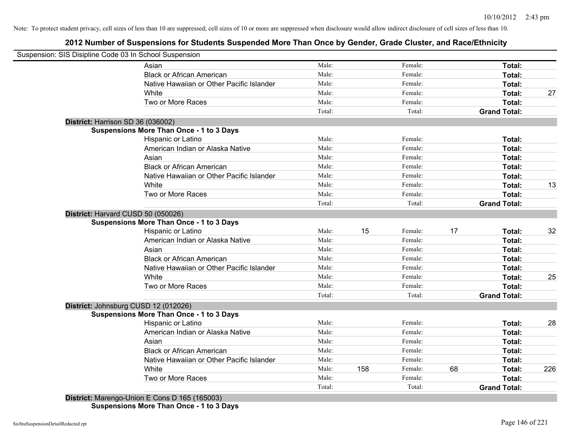# **2012 Number of Suspensions for Students Suspended More Than Once by Gender, Grade Cluster, and Race/Ethnicity**

|                                      | Suspension: SIS Disipline Code 03 In School Suspension |                 |     |                   |    |                               |     |
|--------------------------------------|--------------------------------------------------------|-----------------|-----|-------------------|----|-------------------------------|-----|
|                                      | Asian                                                  | Male:           |     | Female:           |    | Total:                        |     |
|                                      | <b>Black or African American</b>                       | Male:           |     | Female:           |    | Total:                        |     |
|                                      | Native Hawaiian or Other Pacific Islander              | Male:           |     | Female:           |    | Total:                        |     |
|                                      | White                                                  | Male:           |     | Female:           |    | Total:                        | 27  |
|                                      | Two or More Races                                      | Male:           |     | Female:           |    | Total:                        |     |
|                                      |                                                        | Total:          |     | Total:            |    | <b>Grand Total:</b>           |     |
| District: Harrison SD 36 (036002)    |                                                        |                 |     |                   |    |                               |     |
|                                      | <b>Suspensions More Than Once - 1 to 3 Days</b>        |                 |     |                   |    |                               |     |
|                                      | Hispanic or Latino                                     | Male:           |     | Female:           |    | Total:                        |     |
|                                      | American Indian or Alaska Native                       | Male:           |     | Female:           |    | Total:                        |     |
|                                      | Asian                                                  | Male:           |     | Female:           |    | Total:                        |     |
|                                      | <b>Black or African American</b>                       | Male:           |     | Female:           |    | Total:                        |     |
|                                      | Native Hawaiian or Other Pacific Islander              | Male:           |     | Female:           |    | Total:                        |     |
|                                      | White                                                  | Male:           |     | Female:           |    | Total:                        | 13  |
|                                      | Two or More Races                                      | Male:           |     | Female:           |    | Total:                        |     |
|                                      |                                                        | Total:          |     | Total:            |    | <b>Grand Total:</b>           |     |
| District: Harvard CUSD 50 (050026)   |                                                        |                 |     |                   |    |                               |     |
|                                      | <b>Suspensions More Than Once - 1 to 3 Days</b>        |                 |     |                   |    |                               |     |
|                                      | Hispanic or Latino                                     | Male:           | 15  | Female:           | 17 | Total:                        | 32  |
|                                      | American Indian or Alaska Native                       | Male:           |     | Female:           |    | Total:                        |     |
|                                      | Asian                                                  | Male:           |     | Female:           |    | Total:                        |     |
|                                      | <b>Black or African American</b>                       | Male:           |     | Female:           |    | Total:                        |     |
|                                      | Native Hawaiian or Other Pacific Islander              | Male:           |     | Female:           |    | Total:                        |     |
|                                      | White                                                  | Male:           |     | Female:           |    | Total:                        | 25  |
|                                      | Two or More Races                                      | Male:           |     | Female:           |    | Total:                        |     |
|                                      |                                                        | Total:          |     | Total:            |    | <b>Grand Total:</b>           |     |
| District: Johnsburg CUSD 12 (012026) |                                                        |                 |     |                   |    |                               |     |
|                                      | <b>Suspensions More Than Once - 1 to 3 Days</b>        |                 |     |                   |    |                               |     |
|                                      | Hispanic or Latino                                     | Male:           |     | Female:           |    | Total:                        | 28  |
|                                      | American Indian or Alaska Native                       | Male:           |     | Female:           |    | Total:                        |     |
|                                      | Asian                                                  | Male:           |     | Female:           |    | Total:                        |     |
|                                      | <b>Black or African American</b>                       | Male:           |     | Female:           |    | Total:                        |     |
|                                      | Native Hawaiian or Other Pacific Islander              | Male:           | 158 | Female:           |    | Total:                        |     |
|                                      |                                                        |                 |     | Female:           | 68 | Total:                        | 226 |
|                                      | White                                                  | Male:           |     |                   |    |                               |     |
|                                      | Two or More Races                                      | Male:<br>Total: |     | Female:<br>Total: |    | Total:<br><b>Grand Total:</b> |     |

**Suspensions More Than Once - 1 to 3 Days**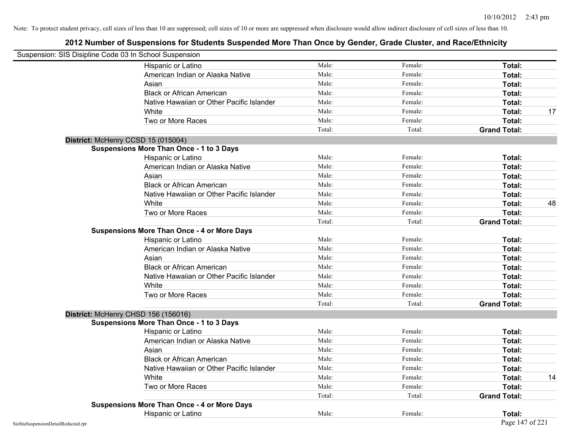| Suspension: SIS Disipline Code 03 In School Suspension |                                                    |        |         |                     |    |
|--------------------------------------------------------|----------------------------------------------------|--------|---------|---------------------|----|
|                                                        | Hispanic or Latino                                 | Male:  | Female: | Total:              |    |
|                                                        | American Indian or Alaska Native                   | Male:  | Female: | Total:              |    |
|                                                        | Asian                                              | Male:  | Female: | Total:              |    |
|                                                        | <b>Black or African American</b>                   | Male:  | Female: | Total:              |    |
|                                                        | Native Hawaiian or Other Pacific Islander          | Male:  | Female: | Total:              |    |
|                                                        | White                                              | Male:  | Female: | Total:              | 17 |
|                                                        | Two or More Races                                  | Male:  | Female: | Total:              |    |
|                                                        |                                                    | Total: | Total:  | <b>Grand Total:</b> |    |
|                                                        | District: McHenry CCSD 15 (015004)                 |        |         |                     |    |
|                                                        | <b>Suspensions More Than Once - 1 to 3 Days</b>    |        |         |                     |    |
|                                                        | Hispanic or Latino                                 | Male:  | Female: | Total:              |    |
|                                                        | American Indian or Alaska Native                   | Male:  | Female: | Total:              |    |
|                                                        | Asian                                              | Male:  | Female: | Total:              |    |
|                                                        | <b>Black or African American</b>                   | Male:  | Female: | Total:              |    |
|                                                        | Native Hawaiian or Other Pacific Islander          | Male:  | Female: | Total:              |    |
|                                                        | White                                              | Male:  | Female: | Total:              | 48 |
|                                                        | Two or More Races                                  | Male:  | Female: | Total:              |    |
|                                                        |                                                    | Total: | Total:  | <b>Grand Total:</b> |    |
|                                                        | <b>Suspensions More Than Once - 4 or More Days</b> |        |         |                     |    |
|                                                        | Hispanic or Latino                                 | Male:  | Female: | Total:              |    |
|                                                        | American Indian or Alaska Native                   | Male:  | Female: | Total:              |    |
|                                                        | Asian                                              | Male:  | Female: | Total:              |    |
|                                                        | <b>Black or African American</b>                   | Male:  | Female: | Total:              |    |
|                                                        | Native Hawaiian or Other Pacific Islander          | Male:  | Female: | Total:              |    |
|                                                        | White                                              | Male:  | Female: | Total:              |    |
|                                                        | Two or More Races                                  | Male:  | Female: | Total:              |    |
|                                                        |                                                    | Total: | Total:  | <b>Grand Total:</b> |    |
|                                                        | District: McHenry CHSD 156 (156016)                |        |         |                     |    |
|                                                        | <b>Suspensions More Than Once - 1 to 3 Days</b>    |        |         |                     |    |
|                                                        | Hispanic or Latino                                 | Male:  | Female: | Total:              |    |
|                                                        | American Indian or Alaska Native                   | Male:  | Female: | Total:              |    |
|                                                        | Asian                                              | Male:  | Female: | Total:              |    |
|                                                        | <b>Black or African American</b>                   | Male:  | Female: | <b>Total:</b>       |    |
|                                                        | Native Hawaiian or Other Pacific Islander          | Male:  | Female: | Total:              |    |
|                                                        | White                                              | Male:  | Female: | Total:              | 14 |
|                                                        | Two or More Races                                  | Male:  | Female: | Total:              |    |
|                                                        |                                                    | Total: | Total:  | <b>Grand Total:</b> |    |
|                                                        | <b>Suspensions More Than Once - 4 or More Days</b> |        |         |                     |    |
|                                                        | Hispanic or Latino                                 | Male:  | Female: | Total:              |    |
| SisStuSuspensionDetailRedacted.rpt                     |                                                    |        |         | Page 147 of 221     |    |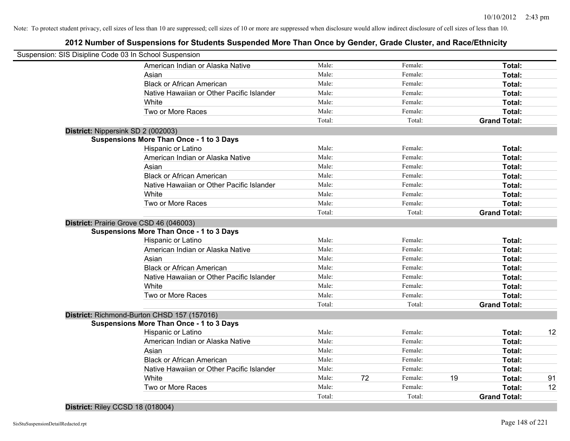|                                    | Suspension: SIS Disipline Code 03 In School Suspension |        |    |         |    |                     |    |
|------------------------------------|--------------------------------------------------------|--------|----|---------|----|---------------------|----|
|                                    | American Indian or Alaska Native                       | Male:  |    | Female: |    | Total:              |    |
|                                    | Asian                                                  | Male:  |    | Female: |    | Total:              |    |
|                                    | <b>Black or African American</b>                       | Male:  |    | Female: |    | Total:              |    |
|                                    | Native Hawaiian or Other Pacific Islander              | Male:  |    | Female: |    | Total:              |    |
|                                    | White                                                  | Male:  |    | Female: |    | Total:              |    |
|                                    | Two or More Races                                      | Male:  |    | Female: |    | Total:              |    |
|                                    |                                                        | Total: |    | Total:  |    | <b>Grand Total:</b> |    |
| District: Nippersink SD 2 (002003) |                                                        |        |    |         |    |                     |    |
|                                    | <b>Suspensions More Than Once - 1 to 3 Days</b>        |        |    |         |    |                     |    |
|                                    | Hispanic or Latino                                     | Male:  |    | Female: |    | Total:              |    |
|                                    | American Indian or Alaska Native                       | Male:  |    | Female: |    | Total:              |    |
|                                    | Asian                                                  | Male:  |    | Female: |    | Total:              |    |
|                                    | <b>Black or African American</b>                       | Male:  |    | Female: |    | Total:              |    |
|                                    | Native Hawaiian or Other Pacific Islander              | Male:  |    | Female: |    | Total:              |    |
|                                    | White                                                  | Male:  |    | Female: |    | Total:              |    |
|                                    | Two or More Races                                      | Male:  |    | Female: |    | Total:              |    |
|                                    |                                                        | Total: |    | Total:  |    | <b>Grand Total:</b> |    |
|                                    | District: Prairie Grove CSD 46 (046003)                |        |    |         |    |                     |    |
|                                    | <b>Suspensions More Than Once - 1 to 3 Days</b>        |        |    |         |    |                     |    |
|                                    | Hispanic or Latino                                     | Male:  |    | Female: |    | Total:              |    |
|                                    | American Indian or Alaska Native                       | Male:  |    | Female: |    | Total:              |    |
|                                    | Asian                                                  | Male:  |    | Female: |    | Total:              |    |
|                                    | <b>Black or African American</b>                       | Male:  |    | Female: |    | Total:              |    |
|                                    | Native Hawaiian or Other Pacific Islander              | Male:  |    | Female: |    | Total:              |    |
|                                    | White                                                  | Male:  |    | Female: |    | Total:              |    |
|                                    | Two or More Races                                      | Male:  |    | Female: |    | Total:              |    |
|                                    |                                                        | Total: |    | Total:  |    | <b>Grand Total:</b> |    |
|                                    | District: Richmond-Burton CHSD 157 (157016)            |        |    |         |    |                     |    |
|                                    | <b>Suspensions More Than Once - 1 to 3 Days</b>        |        |    |         |    |                     |    |
|                                    | Hispanic or Latino                                     | Male:  |    | Female: |    | Total:              | 12 |
|                                    | American Indian or Alaska Native                       | Male:  |    | Female: |    | Total:              |    |
|                                    | Asian                                                  | Male:  |    | Female: |    | Total:              |    |
|                                    | <b>Black or African American</b>                       | Male:  |    | Female: |    | Total:              |    |
|                                    | Native Hawaiian or Other Pacific Islander              | Male:  |    | Female: |    | Total:              |    |
|                                    | White                                                  | Male:  | 72 | Female: | 19 | Total:              | 91 |
|                                    | Two or More Races                                      | Male:  |    | Female: |    | Total:              | 12 |
|                                    |                                                        | Total: |    | Total:  |    | <b>Grand Total:</b> |    |
|                                    |                                                        |        |    |         |    |                     |    |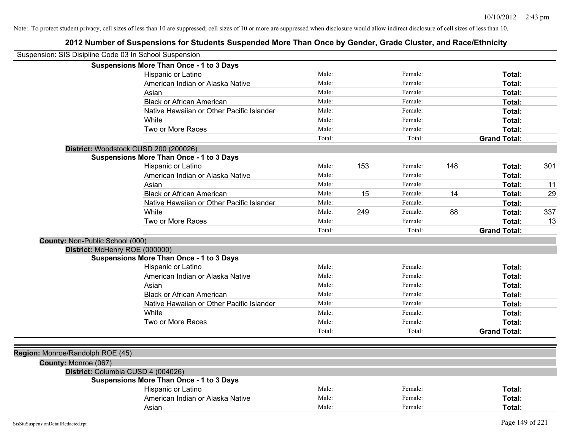| Suspension: SIS Disipline Code 03 In School Suspension |                                                 |        |     |         |     |                     |     |
|--------------------------------------------------------|-------------------------------------------------|--------|-----|---------|-----|---------------------|-----|
|                                                        | <b>Suspensions More Than Once - 1 to 3 Days</b> |        |     |         |     |                     |     |
|                                                        | Hispanic or Latino                              | Male:  |     | Female: |     | Total:              |     |
|                                                        | American Indian or Alaska Native                | Male:  |     | Female: |     | Total:              |     |
|                                                        | Asian                                           | Male:  |     | Female: |     | Total:              |     |
|                                                        | <b>Black or African American</b>                | Male:  |     | Female: |     | Total:              |     |
|                                                        | Native Hawaiian or Other Pacific Islander       | Male:  |     | Female: |     | Total:              |     |
|                                                        | White                                           | Male:  |     | Female: |     | Total:              |     |
|                                                        | Two or More Races                               | Male:  |     | Female: |     | Total:              |     |
|                                                        |                                                 | Total: |     | Total:  |     | <b>Grand Total:</b> |     |
|                                                        | District: Woodstock CUSD 200 (200026)           |        |     |         |     |                     |     |
|                                                        | <b>Suspensions More Than Once - 1 to 3 Days</b> |        |     |         |     |                     |     |
|                                                        | Hispanic or Latino                              | Male:  | 153 | Female: | 148 | Total:              | 301 |
|                                                        | American Indian or Alaska Native                | Male:  |     | Female: |     | Total:              |     |
|                                                        | Asian                                           | Male:  |     | Female: |     | Total:              | 11  |
|                                                        | <b>Black or African American</b>                | Male:  | 15  | Female: | 14  | Total:              | 29  |
|                                                        | Native Hawaiian or Other Pacific Islander       | Male:  |     | Female: |     | Total:              |     |
|                                                        | White                                           | Male:  | 249 | Female: | 88  | Total:              | 337 |
|                                                        | Two or More Races                               | Male:  |     | Female: |     | Total:              | 13  |
|                                                        |                                                 | Total: |     | Total:  |     | <b>Grand Total:</b> |     |
| County: Non-Public School (000)                        |                                                 |        |     |         |     |                     |     |
| District: McHenry ROE (000000)                         |                                                 |        |     |         |     |                     |     |
|                                                        | <b>Suspensions More Than Once - 1 to 3 Days</b> |        |     |         |     |                     |     |
|                                                        | Hispanic or Latino                              | Male:  |     | Female: |     | Total:              |     |
|                                                        | American Indian or Alaska Native                | Male:  |     | Female: |     | Total:              |     |
|                                                        | Asian                                           | Male:  |     | Female: |     | Total:              |     |
|                                                        | <b>Black or African American</b>                | Male:  |     | Female: |     | Total:              |     |
|                                                        | Native Hawaiian or Other Pacific Islander       | Male:  |     | Female: |     | Total:              |     |
|                                                        | White                                           | Male:  |     | Female: |     | Total:              |     |
|                                                        | Two or More Races                               | Male:  |     | Female: |     | Total:              |     |
|                                                        |                                                 | Total: |     | Total:  |     | <b>Grand Total:</b> |     |
|                                                        |                                                 |        |     |         |     |                     |     |
| Region: Monroe/Randolph ROE (45)                       |                                                 |        |     |         |     |                     |     |
| County: Monroe (067)                                   |                                                 |        |     |         |     |                     |     |
|                                                        | District: Columbia CUSD 4 (004026)              |        |     |         |     |                     |     |
|                                                        | <b>Suspensions More Than Once - 1 to 3 Days</b> |        |     |         |     |                     |     |
|                                                        | Hispanic or Latino                              | Male:  |     | Female: |     | Total:              |     |
|                                                        | American Indian or Alaska Native                | Male:  |     | Female: |     | Total:              |     |
|                                                        | Asian                                           | Male:  |     | Female: |     | Total:              |     |
|                                                        |                                                 |        |     |         |     |                     |     |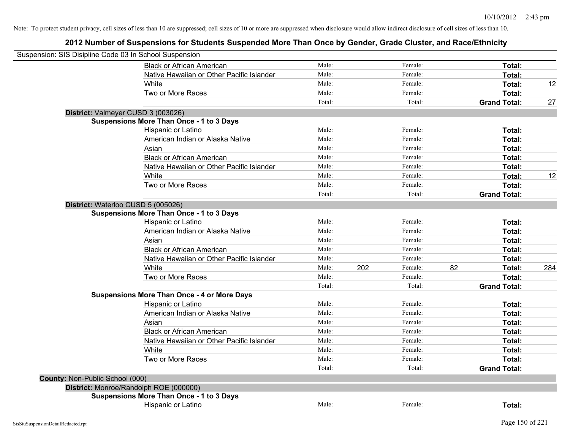| Suspension: SIS Disipline Code 03 In School Suspension |                                                    |        |     |         |    |                     |     |
|--------------------------------------------------------|----------------------------------------------------|--------|-----|---------|----|---------------------|-----|
|                                                        | <b>Black or African American</b>                   | Male:  |     | Female: |    | Total:              |     |
|                                                        | Native Hawaiian or Other Pacific Islander          | Male:  |     | Female: |    | Total:              |     |
|                                                        | White                                              | Male:  |     | Female: |    | Total:              | 12  |
|                                                        | Two or More Races                                  | Male:  |     | Female: |    | Total:              |     |
|                                                        |                                                    | Total: |     | Total:  |    | <b>Grand Total:</b> | 27  |
|                                                        | District: Valmeyer CUSD 3 (003026)                 |        |     |         |    |                     |     |
|                                                        | <b>Suspensions More Than Once - 1 to 3 Days</b>    |        |     |         |    |                     |     |
|                                                        | Hispanic or Latino                                 | Male:  |     | Female: |    | Total:              |     |
|                                                        | American Indian or Alaska Native                   | Male:  |     | Female: |    | Total:              |     |
|                                                        | Asian                                              | Male:  |     | Female: |    | Total:              |     |
|                                                        | <b>Black or African American</b>                   | Male:  |     | Female: |    | Total:              |     |
|                                                        | Native Hawaiian or Other Pacific Islander          | Male:  |     | Female: |    | Total:              |     |
|                                                        | White                                              | Male:  |     | Female: |    | Total:              | 12  |
|                                                        | Two or More Races                                  | Male:  |     | Female: |    | Total:              |     |
|                                                        |                                                    | Total: |     | Total:  |    | <b>Grand Total:</b> |     |
|                                                        | District: Waterloo CUSD 5 (005026)                 |        |     |         |    |                     |     |
|                                                        | <b>Suspensions More Than Once - 1 to 3 Days</b>    |        |     |         |    |                     |     |
|                                                        | Hispanic or Latino                                 | Male:  |     | Female: |    | Total:              |     |
|                                                        | American Indian or Alaska Native                   | Male:  |     | Female: |    | Total:              |     |
|                                                        | Asian                                              | Male:  |     | Female: |    | Total:              |     |
|                                                        | <b>Black or African American</b>                   | Male:  |     | Female: |    | Total:              |     |
|                                                        | Native Hawaiian or Other Pacific Islander          | Male:  |     | Female: |    | Total:              |     |
|                                                        | White                                              | Male:  | 202 | Female: | 82 | Total:              | 284 |
|                                                        | Two or More Races                                  | Male:  |     | Female: |    | Total:              |     |
|                                                        |                                                    | Total: |     | Total:  |    | <b>Grand Total:</b> |     |
|                                                        | <b>Suspensions More Than Once - 4 or More Days</b> |        |     |         |    |                     |     |
|                                                        | Hispanic or Latino                                 | Male:  |     | Female: |    | Total:              |     |
|                                                        | American Indian or Alaska Native                   | Male:  |     | Female: |    | Total:              |     |
|                                                        | Asian                                              | Male:  |     | Female: |    | Total:              |     |
|                                                        | <b>Black or African American</b>                   | Male:  |     | Female: |    | Total:              |     |
|                                                        | Native Hawaiian or Other Pacific Islander          | Male:  |     | Female: |    | Total:              |     |
|                                                        | White                                              | Male:  |     | Female: |    | Total:              |     |
|                                                        | Two or More Races                                  | Male:  |     | Female: |    | Total:              |     |
|                                                        |                                                    | Total: |     | Total:  |    | <b>Grand Total:</b> |     |
| County: Non-Public School (000)                        |                                                    |        |     |         |    |                     |     |
|                                                        | District: Monroe/Randolph ROE (000000)             |        |     |         |    |                     |     |
|                                                        | <b>Suspensions More Than Once - 1 to 3 Days</b>    |        |     |         |    |                     |     |
|                                                        | Hispanic or Latino                                 | Male:  |     | Female: |    | Total:              |     |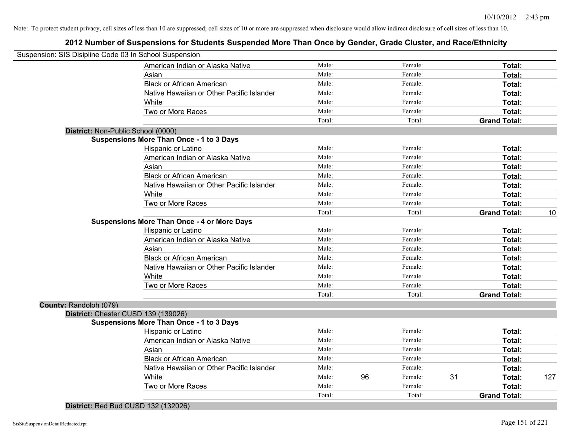# **2012 Number of Suspensions for Students Suspended More Than Once by Gender, Grade Cluster, and Race/Ethnicity**

| Suspension: SIS Disipline Code 03 In School Suspension |                                                    |        |    |         |    |                     |     |
|--------------------------------------------------------|----------------------------------------------------|--------|----|---------|----|---------------------|-----|
|                                                        | American Indian or Alaska Native                   | Male:  |    | Female: |    | Total:              |     |
|                                                        | Asian                                              | Male:  |    | Female: |    | Total:              |     |
|                                                        | <b>Black or African American</b>                   | Male:  |    | Female: |    | Total:              |     |
|                                                        | Native Hawaiian or Other Pacific Islander          | Male:  |    | Female: |    | Total:              |     |
|                                                        | White                                              | Male:  |    | Female: |    | Total:              |     |
|                                                        | Two or More Races                                  | Male:  |    | Female: |    | Total:              |     |
|                                                        |                                                    | Total: |    | Total:  |    | <b>Grand Total:</b> |     |
| District: Non-Public School (0000)                     |                                                    |        |    |         |    |                     |     |
|                                                        | <b>Suspensions More Than Once - 1 to 3 Days</b>    |        |    |         |    |                     |     |
|                                                        | Hispanic or Latino                                 | Male:  |    | Female: |    | Total:              |     |
|                                                        | American Indian or Alaska Native                   | Male:  |    | Female: |    | Total:              |     |
|                                                        | Asian                                              | Male:  |    | Female: |    | Total:              |     |
|                                                        | <b>Black or African American</b>                   | Male:  |    | Female: |    | Total:              |     |
|                                                        | Native Hawaiian or Other Pacific Islander          | Male:  |    | Female: |    | Total:              |     |
|                                                        | White                                              | Male:  |    | Female: |    | Total:              |     |
|                                                        | Two or More Races                                  | Male:  |    | Female: |    | <b>Total:</b>       |     |
|                                                        |                                                    | Total: |    | Total:  |    | <b>Grand Total:</b> | 10  |
|                                                        | <b>Suspensions More Than Once - 4 or More Days</b> |        |    |         |    |                     |     |
|                                                        | Hispanic or Latino                                 | Male:  |    | Female: |    | Total:              |     |
|                                                        | American Indian or Alaska Native                   | Male:  |    | Female: |    | Total:              |     |
|                                                        | Asian                                              | Male:  |    | Female: |    | Total:              |     |
|                                                        | <b>Black or African American</b>                   | Male:  |    | Female: |    | Total:              |     |
|                                                        | Native Hawaiian or Other Pacific Islander          | Male:  |    | Female: |    | Total:              |     |
|                                                        | White                                              | Male:  |    | Female: |    | Total:              |     |
|                                                        | Two or More Races                                  | Male:  |    | Female: |    | Total:              |     |
|                                                        |                                                    | Total: |    | Total:  |    | <b>Grand Total:</b> |     |
| County: Randolph (079)                                 |                                                    |        |    |         |    |                     |     |
|                                                        | District: Chester CUSD 139 (139026)                |        |    |         |    |                     |     |
|                                                        | <b>Suspensions More Than Once - 1 to 3 Days</b>    |        |    |         |    |                     |     |
|                                                        | Hispanic or Latino                                 | Male:  |    | Female: |    | Total:              |     |
|                                                        | American Indian or Alaska Native                   | Male:  |    | Female: |    | Total:              |     |
|                                                        | Asian                                              | Male:  |    | Female: |    | Total:              |     |
|                                                        | <b>Black or African American</b>                   | Male:  |    | Female: |    | Total:              |     |
|                                                        | Native Hawaiian or Other Pacific Islander          | Male:  |    | Female: |    | Total:              |     |
|                                                        | White                                              | Male:  | 96 | Female: | 31 | Total:              | 127 |
|                                                        | Two or More Races                                  | Male:  |    | Female: |    | Total:              |     |
|                                                        |                                                    | Total: |    | Total:  |    | <b>Grand Total:</b> |     |
|                                                        |                                                    |        |    |         |    |                     |     |

**District:** Red Bud CUSD 132 (132026)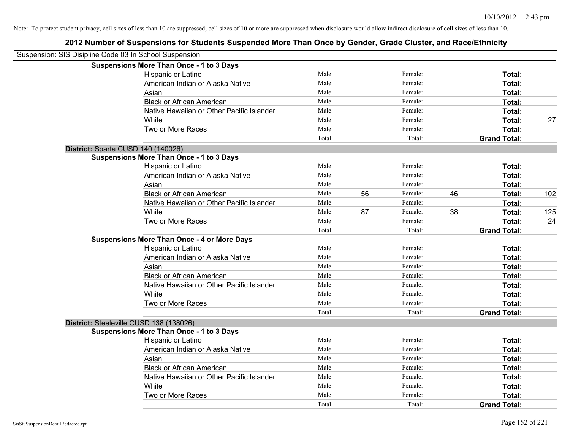| Suspension: SIS Disipline Code 03 In School Suspension |                                                    |        |    |         |    |                     |     |
|--------------------------------------------------------|----------------------------------------------------|--------|----|---------|----|---------------------|-----|
|                                                        | <b>Suspensions More Than Once - 1 to 3 Days</b>    |        |    |         |    |                     |     |
|                                                        | Hispanic or Latino                                 | Male:  |    | Female: |    | Total:              |     |
|                                                        | American Indian or Alaska Native                   | Male:  |    | Female: |    | Total:              |     |
|                                                        | Asian                                              | Male:  |    | Female: |    | Total:              |     |
|                                                        | <b>Black or African American</b>                   | Male:  |    | Female: |    | Total:              |     |
|                                                        | Native Hawaiian or Other Pacific Islander          | Male:  |    | Female: |    | Total:              |     |
|                                                        | White                                              | Male:  |    | Female: |    | Total:              | 27  |
|                                                        | Two or More Races                                  | Male:  |    | Female: |    | Total:              |     |
|                                                        |                                                    | Total: |    | Total:  |    | <b>Grand Total:</b> |     |
| District: Sparta CUSD 140 (140026)                     |                                                    |        |    |         |    |                     |     |
|                                                        | <b>Suspensions More Than Once - 1 to 3 Days</b>    |        |    |         |    |                     |     |
|                                                        | Hispanic or Latino                                 | Male:  |    | Female: |    | Total:              |     |
|                                                        | American Indian or Alaska Native                   | Male:  |    | Female: |    | Total:              |     |
|                                                        | Asian                                              | Male:  |    | Female: |    | Total:              |     |
|                                                        | <b>Black or African American</b>                   | Male:  | 56 | Female: | 46 | Total:              | 102 |
|                                                        | Native Hawaiian or Other Pacific Islander          | Male:  |    | Female: |    | Total:              |     |
|                                                        | White                                              | Male:  | 87 | Female: | 38 | Total:              | 125 |
|                                                        | Two or More Races                                  | Male:  |    | Female: |    | Total:              | 24  |
|                                                        |                                                    | Total: |    | Total:  |    | <b>Grand Total:</b> |     |
|                                                        | <b>Suspensions More Than Once - 4 or More Days</b> |        |    |         |    |                     |     |
|                                                        | Hispanic or Latino                                 | Male:  |    | Female: |    | Total:              |     |
|                                                        | American Indian or Alaska Native                   | Male:  |    | Female: |    | Total:              |     |
|                                                        | Asian                                              | Male:  |    | Female: |    | Total:              |     |
|                                                        | <b>Black or African American</b>                   | Male:  |    | Female: |    | Total:              |     |
|                                                        | Native Hawaiian or Other Pacific Islander          | Male:  |    | Female: |    | Total:              |     |
|                                                        | White                                              | Male:  |    | Female: |    | Total:              |     |
|                                                        | Two or More Races                                  | Male:  |    | Female: |    | Total:              |     |
|                                                        |                                                    | Total: |    | Total:  |    | <b>Grand Total:</b> |     |
| District: Steeleville CUSD 138 (138026)                |                                                    |        |    |         |    |                     |     |
|                                                        | <b>Suspensions More Than Once - 1 to 3 Days</b>    |        |    |         |    |                     |     |
|                                                        | Hispanic or Latino                                 | Male:  |    | Female: |    | Total:              |     |
|                                                        | American Indian or Alaska Native                   | Male:  |    | Female: |    | Total:              |     |
|                                                        | Asian                                              | Male:  |    | Female: |    | Total:              |     |
|                                                        | <b>Black or African American</b>                   | Male:  |    | Female: |    | Total:              |     |
|                                                        | Native Hawaiian or Other Pacific Islander          | Male:  |    | Female: |    | Total:              |     |
|                                                        | White                                              | Male:  |    | Female: |    | Total:              |     |
|                                                        | Two or More Races                                  | Male:  |    | Female: |    | Total:              |     |
|                                                        |                                                    | Total: |    | Total:  |    | <b>Grand Total:</b> |     |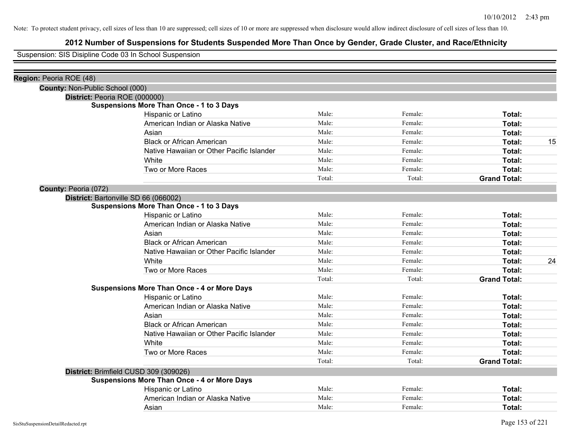# **2012 Number of Suspensions for Students Suspended More Than Once by Gender, Grade Cluster, and Race/Ethnicity**

Suspension: SIS Disipline Code 03 In School Suspension

| Region: Peoria ROE (48)         |                                                    |        |         |                     |    |
|---------------------------------|----------------------------------------------------|--------|---------|---------------------|----|
| County: Non-Public School (000) |                                                    |        |         |                     |    |
|                                 | District: Peoria ROE (000000)                      |        |         |                     |    |
|                                 | <b>Suspensions More Than Once - 1 to 3 Days</b>    |        |         |                     |    |
|                                 | Hispanic or Latino                                 | Male:  | Female: | Total:              |    |
|                                 | American Indian or Alaska Native                   | Male:  | Female: | Total:              |    |
|                                 | Asian                                              | Male:  | Female: | Total:              |    |
|                                 | <b>Black or African American</b>                   | Male:  | Female: | Total:              | 15 |
|                                 | Native Hawaiian or Other Pacific Islander          | Male:  | Female: | Total:              |    |
|                                 | White                                              | Male:  | Female: | Total:              |    |
|                                 | Two or More Races                                  | Male:  | Female: | Total:              |    |
|                                 |                                                    | Total: | Total:  | <b>Grand Total:</b> |    |
| County: Peoria (072)            |                                                    |        |         |                     |    |
|                                 | District: Bartonville SD 66 (066002)               |        |         |                     |    |
|                                 | <b>Suspensions More Than Once - 1 to 3 Days</b>    |        |         |                     |    |
|                                 | Hispanic or Latino                                 | Male:  | Female: | <b>Total:</b>       |    |
|                                 | American Indian or Alaska Native                   | Male:  | Female: | Total:              |    |
|                                 | Asian                                              | Male:  | Female: | Total:              |    |
|                                 | <b>Black or African American</b>                   | Male:  | Female: | Total:              |    |
|                                 | Native Hawaiian or Other Pacific Islander          | Male:  | Female: | Total:              |    |
|                                 | White                                              | Male:  | Female: | Total:              | 24 |
|                                 | Two or More Races                                  | Male:  | Female: | Total:              |    |
|                                 |                                                    | Total: | Total:  | <b>Grand Total:</b> |    |
|                                 | <b>Suspensions More Than Once - 4 or More Days</b> |        |         |                     |    |
|                                 | Hispanic or Latino                                 | Male:  | Female: | Total:              |    |
|                                 | American Indian or Alaska Native                   | Male:  | Female: | Total:              |    |
|                                 | Asian                                              | Male:  | Female: | Total:              |    |
|                                 | <b>Black or African American</b>                   | Male:  | Female: | Total:              |    |
|                                 | Native Hawaiian or Other Pacific Islander          | Male:  | Female: | Total:              |    |
|                                 | White                                              | Male:  | Female: | Total:              |    |
|                                 | Two or More Races                                  | Male:  | Female: | Total:              |    |
|                                 |                                                    | Total: | Total:  | <b>Grand Total:</b> |    |
|                                 | District: Brimfield CUSD 309 (309026)              |        |         |                     |    |
|                                 | <b>Suspensions More Than Once - 4 or More Days</b> |        |         |                     |    |
|                                 | Hispanic or Latino                                 | Male:  | Female: | Total:              |    |
|                                 | American Indian or Alaska Native                   | Male:  | Female: | Total:              |    |
|                                 | Asian                                              | Male:  | Female: | Total:              |    |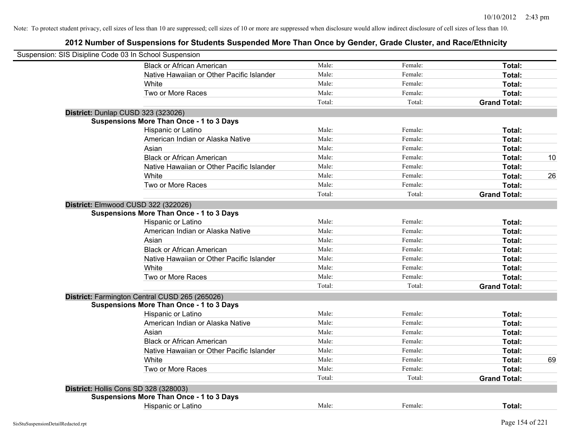| Suspension: SIS Disipline Code 03 In School Suspension |                                                 |        |         |                     |    |
|--------------------------------------------------------|-------------------------------------------------|--------|---------|---------------------|----|
|                                                        | <b>Black or African American</b>                | Male:  | Female: | Total:              |    |
|                                                        | Native Hawaiian or Other Pacific Islander       | Male:  | Female: | Total:              |    |
|                                                        | White                                           | Male:  | Female: | Total:              |    |
|                                                        | Two or More Races                               | Male:  | Female: | Total:              |    |
|                                                        |                                                 | Total: | Total:  | <b>Grand Total:</b> |    |
|                                                        | District: Dunlap CUSD 323 (323026)              |        |         |                     |    |
|                                                        | <b>Suspensions More Than Once - 1 to 3 Days</b> |        |         |                     |    |
|                                                        | Hispanic or Latino                              | Male:  | Female: | Total:              |    |
|                                                        | American Indian or Alaska Native                | Male:  | Female: | Total:              |    |
|                                                        | Asian                                           | Male:  | Female: | Total:              |    |
|                                                        | <b>Black or African American</b>                | Male:  | Female: | Total:              | 10 |
|                                                        | Native Hawaiian or Other Pacific Islander       | Male:  | Female: | Total:              |    |
|                                                        | White                                           | Male:  | Female: | Total:              | 26 |
|                                                        | Two or More Races                               | Male:  | Female: | Total:              |    |
|                                                        |                                                 | Total: | Total:  | <b>Grand Total:</b> |    |
|                                                        | District: Elmwood CUSD 322 (322026)             |        |         |                     |    |
|                                                        | <b>Suspensions More Than Once - 1 to 3 Days</b> |        |         |                     |    |
|                                                        | Hispanic or Latino                              | Male:  | Female: | Total:              |    |
|                                                        | American Indian or Alaska Native                | Male:  | Female: | Total:              |    |
|                                                        | Asian                                           | Male:  | Female: | Total:              |    |
|                                                        | <b>Black or African American</b>                | Male:  | Female: | Total:              |    |
|                                                        | Native Hawaiian or Other Pacific Islander       | Male:  | Female: | Total:              |    |
|                                                        | White                                           | Male:  | Female: | Total:              |    |
|                                                        | Two or More Races                               | Male:  | Female: | Total:              |    |
|                                                        |                                                 | Total: | Total:  | <b>Grand Total:</b> |    |
|                                                        | District: Farmington Central CUSD 265 (265026)  |        |         |                     |    |
|                                                        | <b>Suspensions More Than Once - 1 to 3 Days</b> |        |         |                     |    |
|                                                        | Hispanic or Latino                              | Male:  | Female: | Total:              |    |
|                                                        | American Indian or Alaska Native                | Male:  | Female: | Total:              |    |
|                                                        | Asian                                           | Male:  | Female: | Total:              |    |
|                                                        | <b>Black or African American</b>                | Male:  | Female: | Total:              |    |
|                                                        | Native Hawaiian or Other Pacific Islander       | Male:  | Female: | Total:              |    |
|                                                        | White                                           | Male:  | Female: | Total:              | 69 |
|                                                        | Two or More Races                               | Male:  | Female: | Total:              |    |
|                                                        |                                                 | Total: | Total:  | <b>Grand Total:</b> |    |
|                                                        | District: Hollis Cons SD 328 (328003)           |        |         |                     |    |
|                                                        | <b>Suspensions More Than Once - 1 to 3 Days</b> |        |         |                     |    |
|                                                        | Hispanic or Latino                              | Male:  | Female: | Total:              |    |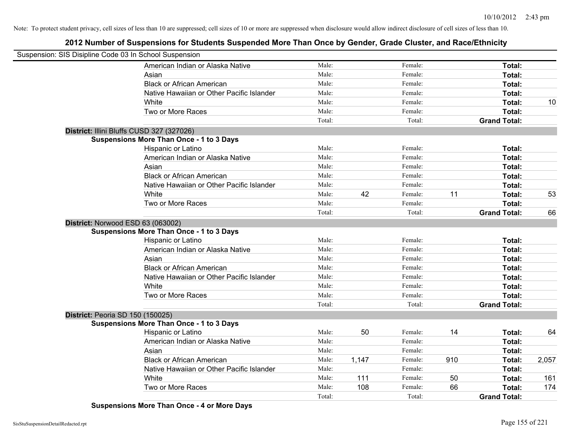# **2012 Number of Suspensions for Students Suspended More Than Once by Gender, Grade Cluster, and Race/Ethnicity**

| Suspension: SIS Disipline Code 03 In School Suspension |                                                 |        |       |         |     |                     |       |
|--------------------------------------------------------|-------------------------------------------------|--------|-------|---------|-----|---------------------|-------|
|                                                        | American Indian or Alaska Native                | Male:  |       | Female: |     | Total:              |       |
|                                                        | Asian                                           | Male:  |       | Female: |     | Total:              |       |
|                                                        | <b>Black or African American</b>                | Male:  |       | Female: |     | Total:              |       |
|                                                        | Native Hawaiian or Other Pacific Islander       | Male:  |       | Female: |     | Total:              |       |
|                                                        | White                                           | Male:  |       | Female: |     | Total:              | 10    |
|                                                        | Two or More Races                               | Male:  |       | Female: |     | Total:              |       |
|                                                        |                                                 | Total: |       | Total:  |     | <b>Grand Total:</b> |       |
|                                                        | District: Illini Bluffs CUSD 327 (327026)       |        |       |         |     |                     |       |
|                                                        | <b>Suspensions More Than Once - 1 to 3 Days</b> |        |       |         |     |                     |       |
|                                                        | Hispanic or Latino                              | Male:  |       | Female: |     | Total:              |       |
|                                                        | American Indian or Alaska Native                | Male:  |       | Female: |     | Total:              |       |
|                                                        | Asian                                           | Male:  |       | Female: |     | Total:              |       |
|                                                        | <b>Black or African American</b>                | Male:  |       | Female: |     | Total:              |       |
|                                                        | Native Hawaiian or Other Pacific Islander       | Male:  |       | Female: |     | Total:              |       |
|                                                        | White                                           | Male:  | 42    | Female: | 11  | Total:              | 53    |
|                                                        | Two or More Races                               | Male:  |       | Female: |     | Total:              |       |
|                                                        |                                                 | Total: |       | Total:  |     | <b>Grand Total:</b> | 66    |
| District: Norwood ESD 63 (063002)                      |                                                 |        |       |         |     |                     |       |
|                                                        | <b>Suspensions More Than Once - 1 to 3 Days</b> |        |       |         |     |                     |       |
|                                                        | Hispanic or Latino                              | Male:  |       | Female: |     | Total:              |       |
|                                                        | American Indian or Alaska Native                | Male:  |       | Female: |     | Total:              |       |
|                                                        | Asian                                           | Male:  |       | Female: |     | Total:              |       |
|                                                        | <b>Black or African American</b>                | Male:  |       | Female: |     | Total:              |       |
|                                                        | Native Hawaiian or Other Pacific Islander       | Male:  |       | Female: |     | Total:              |       |
|                                                        | White                                           | Male:  |       | Female: |     | Total:              |       |
|                                                        | Two or More Races                               | Male:  |       | Female: |     | Total:              |       |
|                                                        |                                                 | Total: |       | Total:  |     | <b>Grand Total:</b> |       |
| District: Peoria SD 150 (150025)                       |                                                 |        |       |         |     |                     |       |
|                                                        | <b>Suspensions More Than Once - 1 to 3 Days</b> |        |       |         |     |                     |       |
|                                                        | Hispanic or Latino                              | Male:  | 50    | Female: | 14  | Total:              | 64    |
|                                                        | American Indian or Alaska Native                | Male:  |       | Female: |     | Total:              |       |
|                                                        | Asian                                           | Male:  |       | Female: |     | Total:              |       |
|                                                        | <b>Black or African American</b>                | Male:  | 1,147 | Female: | 910 | Total:              | 2,057 |
|                                                        | Native Hawaiian or Other Pacific Islander       | Male:  |       | Female: |     | Total:              |       |
|                                                        | White                                           | Male:  | 111   | Female: | 50  | Total:              | 161   |
|                                                        | Two or More Races                               | Male:  | 108   | Female: | 66  | Total:              | 174   |
|                                                        |                                                 | Total: |       | Total:  |     | <b>Grand Total:</b> |       |

**Suspensions More Than Once - 4 or More Days**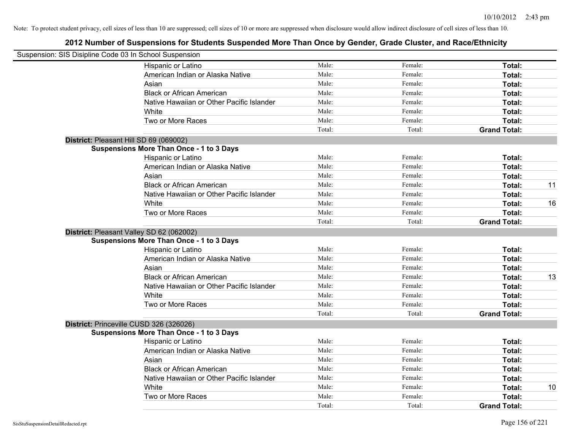| Suspension: SIS Disipline Code 03 In School Suspension |        |         |                     |    |
|--------------------------------------------------------|--------|---------|---------------------|----|
| <b>Hispanic or Latino</b>                              | Male:  | Female: | Total:              |    |
| American Indian or Alaska Native                       | Male:  | Female: | Total:              |    |
| Asian                                                  | Male:  | Female: | Total:              |    |
| <b>Black or African American</b>                       | Male:  | Female: | Total:              |    |
| Native Hawaiian or Other Pacific Islander              | Male:  | Female: | Total:              |    |
| White                                                  | Male:  | Female: | Total:              |    |
| Two or More Races                                      | Male:  | Female: | Total:              |    |
|                                                        | Total: | Total:  | <b>Grand Total:</b> |    |
| District: Pleasant Hill SD 69 (069002)                 |        |         |                     |    |
| <b>Suspensions More Than Once - 1 to 3 Days</b>        |        |         |                     |    |
| Hispanic or Latino                                     | Male:  | Female: | Total:              |    |
| American Indian or Alaska Native                       | Male:  | Female: | Total:              |    |
| Asian                                                  | Male:  | Female: | Total:              |    |
| <b>Black or African American</b>                       | Male:  | Female: | Total:              | 11 |
| Native Hawaiian or Other Pacific Islander              | Male:  | Female: | Total:              |    |
| White                                                  | Male:  | Female: | Total:              | 16 |
| Two or More Races                                      | Male:  | Female: | Total:              |    |
|                                                        | Total: | Total:  | <b>Grand Total:</b> |    |
| District: Pleasant Valley SD 62 (062002)               |        |         |                     |    |
| <b>Suspensions More Than Once - 1 to 3 Days</b>        |        |         |                     |    |
| Hispanic or Latino                                     | Male:  | Female: | Total:              |    |
| American Indian or Alaska Native                       | Male:  | Female: | Total:              |    |
| Asian                                                  | Male:  | Female: | Total:              |    |
| <b>Black or African American</b>                       | Male:  | Female: | Total:              | 13 |
| Native Hawaiian or Other Pacific Islander              | Male:  | Female: | Total:              |    |
| White                                                  | Male:  | Female: | Total:              |    |
| Two or More Races                                      | Male:  | Female: | Total:              |    |
|                                                        | Total: | Total:  | <b>Grand Total:</b> |    |
| District: Princeville CUSD 326 (326026)                |        |         |                     |    |
| <b>Suspensions More Than Once - 1 to 3 Days</b>        |        |         |                     |    |
| Hispanic or Latino                                     | Male:  | Female: | Total:              |    |
| American Indian or Alaska Native                       | Male:  | Female: | Total:              |    |
| Asian                                                  | Male:  | Female: | Total:              |    |
| <b>Black or African American</b>                       | Male:  | Female: | Total:              |    |
| Native Hawaiian or Other Pacific Islander              | Male:  | Female: | Total:              |    |
| White                                                  | Male:  | Female: | Total:              | 10 |
| Two or More Races                                      | Male:  | Female: | Total:              |    |
|                                                        | Total: | Total:  | <b>Grand Total:</b> |    |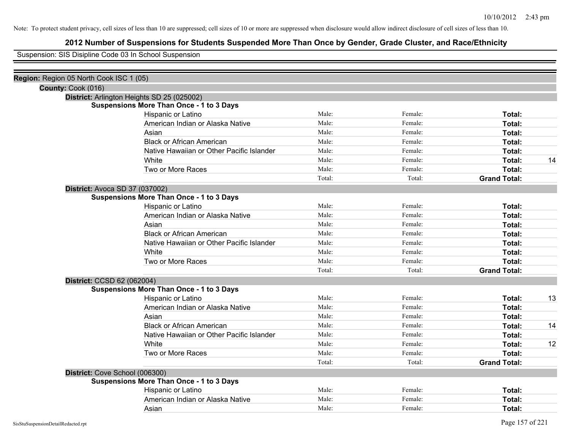# **2012 Number of Suspensions for Students Suspended More Than Once by Gender, Grade Cluster, and Race/Ethnicity**

Suspension: SIS Disipline Code 03 In School Suspension

| Region: Region 05 North Cook ISC 1 (05)         |                                           |        |         |                     |    |
|-------------------------------------------------|-------------------------------------------|--------|---------|---------------------|----|
| County: Cook (016)                              |                                           |        |         |                     |    |
| District: Arlington Heights SD 25 (025002)      |                                           |        |         |                     |    |
| <b>Suspensions More Than Once - 1 to 3 Days</b> |                                           |        |         |                     |    |
| Hispanic or Latino                              |                                           | Male:  | Female: | Total:              |    |
|                                                 | American Indian or Alaska Native          | Male:  | Female: | Total:              |    |
| Asian                                           |                                           | Male:  | Female: | Total:              |    |
| <b>Black or African American</b>                |                                           | Male:  | Female: | Total:              |    |
|                                                 | Native Hawaiian or Other Pacific Islander | Male:  | Female: | Total:              |    |
| White                                           |                                           | Male:  | Female: | Total:              | 14 |
| Two or More Races                               |                                           | Male:  | Female: | Total:              |    |
|                                                 |                                           | Total: | Total:  | <b>Grand Total:</b> |    |
| <b>District: Avoca SD 37 (037002)</b>           |                                           |        |         |                     |    |
| <b>Suspensions More Than Once - 1 to 3 Days</b> |                                           |        |         |                     |    |
| Hispanic or Latino                              |                                           | Male:  | Female: | Total:              |    |
|                                                 | American Indian or Alaska Native          | Male:  | Female: | Total:              |    |
| Asian                                           |                                           | Male:  | Female: | Total:              |    |
| <b>Black or African American</b>                |                                           | Male:  | Female: | Total:              |    |
|                                                 | Native Hawaiian or Other Pacific Islander | Male:  | Female: | Total:              |    |
| White                                           |                                           | Male:  | Female: | Total:              |    |
| Two or More Races                               |                                           | Male:  | Female: | Total:              |    |
|                                                 |                                           | Total: | Total:  | <b>Grand Total:</b> |    |
| District: CCSD 62 (062004)                      |                                           |        |         |                     |    |
| <b>Suspensions More Than Once - 1 to 3 Days</b> |                                           |        |         |                     |    |
| Hispanic or Latino                              |                                           | Male:  | Female: | Total:              | 13 |
|                                                 | American Indian or Alaska Native          | Male:  | Female: | Total:              |    |
| Asian                                           |                                           | Male:  | Female: | Total:              |    |
| <b>Black or African American</b>                |                                           | Male:  | Female: | Total:              | 14 |
|                                                 | Native Hawaiian or Other Pacific Islander | Male:  | Female: | Total:              |    |
| White                                           |                                           | Male:  | Female: | Total:              | 12 |
| Two or More Races                               |                                           | Male:  | Female: | Total:              |    |
|                                                 |                                           | Total: | Total:  | <b>Grand Total:</b> |    |
| District: Cove School (006300)                  |                                           |        |         |                     |    |
| <b>Suspensions More Than Once - 1 to 3 Days</b> |                                           |        |         |                     |    |
| Hispanic or Latino                              |                                           | Male:  | Female: | Total:              |    |
|                                                 | American Indian or Alaska Native          | Male:  | Female: | Total:              |    |
| Asian                                           |                                           | Male:  | Female: | Total:              |    |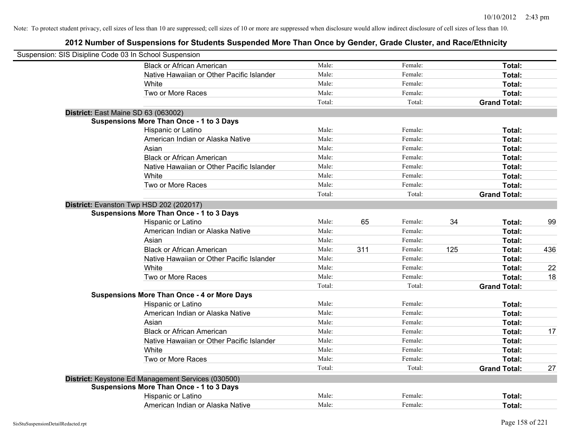| Suspension: SIS Disipline Code 03 In School Suspension |                                                    |        |     |         |     |                     |     |
|--------------------------------------------------------|----------------------------------------------------|--------|-----|---------|-----|---------------------|-----|
|                                                        | <b>Black or African American</b>                   | Male:  |     | Female: |     | Total:              |     |
|                                                        | Native Hawaiian or Other Pacific Islander          | Male:  |     | Female: |     | Total:              |     |
|                                                        | White                                              | Male:  |     | Female: |     | Total:              |     |
|                                                        | Two or More Races                                  | Male:  |     | Female: |     | Total:              |     |
|                                                        |                                                    | Total: |     | Total:  |     | <b>Grand Total:</b> |     |
| District: East Maine SD 63 (063002)                    |                                                    |        |     |         |     |                     |     |
|                                                        | <b>Suspensions More Than Once - 1 to 3 Days</b>    |        |     |         |     |                     |     |
|                                                        | Hispanic or Latino                                 | Male:  |     | Female: |     | Total:              |     |
|                                                        | American Indian or Alaska Native                   | Male:  |     | Female: |     | Total:              |     |
|                                                        | Asian                                              | Male:  |     | Female: |     | Total:              |     |
|                                                        | <b>Black or African American</b>                   | Male:  |     | Female: |     | Total:              |     |
|                                                        | Native Hawaiian or Other Pacific Islander          | Male:  |     | Female: |     | Total:              |     |
|                                                        | White                                              | Male:  |     | Female: |     | Total:              |     |
|                                                        | Two or More Races                                  | Male:  |     | Female: |     | Total:              |     |
|                                                        |                                                    | Total: |     | Total:  |     | <b>Grand Total:</b> |     |
|                                                        | District: Evanston Twp HSD 202 (202017)            |        |     |         |     |                     |     |
|                                                        | <b>Suspensions More Than Once - 1 to 3 Days</b>    |        |     |         |     |                     |     |
|                                                        | Hispanic or Latino                                 | Male:  | 65  | Female: | 34  | Total:              | 99  |
|                                                        | American Indian or Alaska Native                   | Male:  |     | Female: |     | Total:              |     |
|                                                        | Asian                                              | Male:  |     | Female: |     | Total:              |     |
|                                                        | <b>Black or African American</b>                   | Male:  | 311 | Female: | 125 | Total:              | 436 |
|                                                        | Native Hawaiian or Other Pacific Islander          | Male:  |     | Female: |     | Total:              |     |
|                                                        | White                                              | Male:  |     | Female: |     | Total:              | 22  |
|                                                        | Two or More Races                                  | Male:  |     | Female: |     | Total:              | 18  |
|                                                        |                                                    | Total: |     | Total:  |     | <b>Grand Total:</b> |     |
|                                                        | <b>Suspensions More Than Once - 4 or More Days</b> |        |     |         |     |                     |     |
|                                                        | Hispanic or Latino                                 | Male:  |     | Female: |     | Total:              |     |
|                                                        | American Indian or Alaska Native                   | Male:  |     | Female: |     | Total:              |     |
|                                                        | Asian                                              | Male:  |     | Female: |     | Total:              |     |
|                                                        | <b>Black or African American</b>                   | Male:  |     | Female: |     | Total:              | 17  |
|                                                        | Native Hawaiian or Other Pacific Islander          | Male:  |     | Female: |     | Total:              |     |
|                                                        | White                                              | Male:  |     | Female: |     | Total:              |     |
|                                                        | Two or More Races                                  | Male:  |     | Female: |     | Total:              |     |
|                                                        |                                                    | Total: |     | Total:  |     | <b>Grand Total:</b> | 27  |
|                                                        | District: Keystone Ed Management Services (030500) |        |     |         |     |                     |     |
|                                                        | <b>Suspensions More Than Once - 1 to 3 Days</b>    |        |     |         |     |                     |     |
|                                                        | Hispanic or Latino                                 | Male:  |     | Female: |     | Total:              |     |
|                                                        | American Indian or Alaska Native                   | Male:  |     | Female: |     | Total:              |     |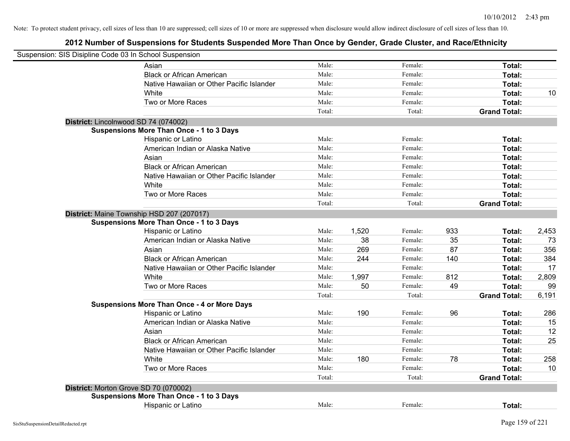| Suspension: SIS Disipline Code 03 In School Suspension |                                                    |        |       |         |     |                     |       |
|--------------------------------------------------------|----------------------------------------------------|--------|-------|---------|-----|---------------------|-------|
|                                                        | Asian                                              | Male:  |       | Female: |     | Total:              |       |
|                                                        | <b>Black or African American</b>                   | Male:  |       | Female: |     | Total:              |       |
|                                                        | Native Hawaiian or Other Pacific Islander          | Male:  |       | Female: |     | Total:              |       |
|                                                        | White                                              | Male:  |       | Female: |     | Total:              | 10    |
|                                                        | Two or More Races                                  | Male:  |       | Female: |     | Total:              |       |
|                                                        |                                                    | Total: |       | Total:  |     | <b>Grand Total:</b> |       |
| District: Lincolnwood SD 74 (074002)                   |                                                    |        |       |         |     |                     |       |
|                                                        | <b>Suspensions More Than Once - 1 to 3 Days</b>    |        |       |         |     |                     |       |
|                                                        | Hispanic or Latino                                 | Male:  |       | Female: |     | Total:              |       |
|                                                        | American Indian or Alaska Native                   | Male:  |       | Female: |     | Total:              |       |
|                                                        | Asian                                              | Male:  |       | Female: |     | Total:              |       |
|                                                        | <b>Black or African American</b>                   | Male:  |       | Female: |     | Total:              |       |
|                                                        | Native Hawaiian or Other Pacific Islander          | Male:  |       | Female: |     | Total:              |       |
|                                                        | White                                              | Male:  |       | Female: |     | Total:              |       |
|                                                        | Two or More Races                                  | Male:  |       | Female: |     | Total:              |       |
|                                                        |                                                    | Total: |       | Total:  |     | <b>Grand Total:</b> |       |
|                                                        | District: Maine Township HSD 207 (207017)          |        |       |         |     |                     |       |
|                                                        | <b>Suspensions More Than Once - 1 to 3 Days</b>    |        |       |         |     |                     |       |
|                                                        | Hispanic or Latino                                 | Male:  | 1,520 | Female: | 933 | Total:              | 2,453 |
|                                                        | American Indian or Alaska Native                   | Male:  | 38    | Female: | 35  | Total:              | 73    |
|                                                        | Asian                                              | Male:  | 269   | Female: | 87  | Total:              | 356   |
|                                                        | <b>Black or African American</b>                   | Male:  | 244   | Female: | 140 | Total:              | 384   |
|                                                        | Native Hawaiian or Other Pacific Islander          | Male:  |       | Female: |     | Total:              | 17    |
|                                                        | White                                              | Male:  | 1,997 | Female: | 812 | Total:              | 2,809 |
|                                                        | Two or More Races                                  | Male:  | 50    | Female: | 49  | Total:              | 99    |
|                                                        |                                                    | Total: |       | Total:  |     | <b>Grand Total:</b> | 6,191 |
|                                                        | <b>Suspensions More Than Once - 4 or More Days</b> |        |       |         |     |                     |       |
|                                                        | Hispanic or Latino                                 | Male:  | 190   | Female: | 96  | Total:              | 286   |
|                                                        | American Indian or Alaska Native                   | Male:  |       | Female: |     | Total:              | 15    |
|                                                        | Asian                                              | Male:  |       | Female: |     | Total:              | 12    |
|                                                        | <b>Black or African American</b>                   | Male:  |       | Female: |     | Total:              | 25    |
|                                                        | Native Hawaiian or Other Pacific Islander          | Male:  |       | Female: |     | Total:              |       |
|                                                        | White                                              | Male:  | 180   | Female: | 78  | Total:              | 258   |
|                                                        | Two or More Races                                  | Male:  |       | Female: |     | Total:              | 10    |
|                                                        |                                                    | Total: |       | Total:  |     | <b>Grand Total:</b> |       |
| District: Morton Grove SD 70 (070002)                  |                                                    |        |       |         |     |                     |       |
|                                                        | <b>Suspensions More Than Once - 1 to 3 Days</b>    |        |       |         |     |                     |       |
|                                                        | Hispanic or Latino                                 | Male:  |       | Female: |     | Total:              |       |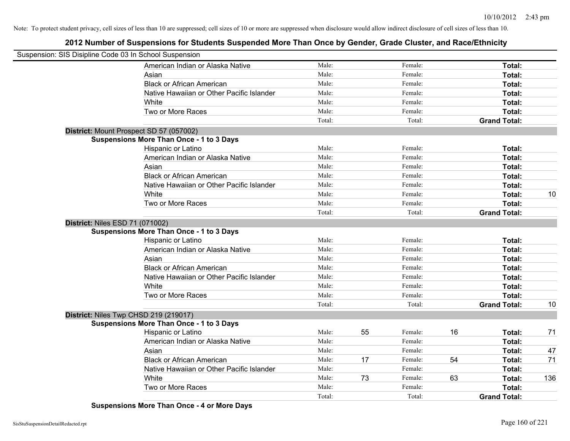# **2012 Number of Suspensions for Students Suspended More Than Once by Gender, Grade Cluster, and Race/Ethnicity**

| Suspension: SIS Disipline Code 03 In School Suspension |                                                 |        |    |         |    |                     |     |
|--------------------------------------------------------|-------------------------------------------------|--------|----|---------|----|---------------------|-----|
|                                                        | American Indian or Alaska Native                | Male:  |    | Female: |    | Total:              |     |
|                                                        | Asian                                           | Male:  |    | Female: |    | Total:              |     |
|                                                        | <b>Black or African American</b>                | Male:  |    | Female: |    | Total:              |     |
|                                                        | Native Hawaiian or Other Pacific Islander       | Male:  |    | Female: |    | Total:              |     |
|                                                        | <b>White</b>                                    | Male:  |    | Female: |    | Total:              |     |
|                                                        | Two or More Races                               | Male:  |    | Female: |    | Total:              |     |
|                                                        |                                                 | Total: |    | Total:  |    | <b>Grand Total:</b> |     |
|                                                        | District: Mount Prospect SD 57 (057002)         |        |    |         |    |                     |     |
|                                                        | <b>Suspensions More Than Once - 1 to 3 Days</b> |        |    |         |    |                     |     |
|                                                        | Hispanic or Latino                              | Male:  |    | Female: |    | Total:              |     |
|                                                        | American Indian or Alaska Native                | Male:  |    | Female: |    | Total:              |     |
|                                                        | Asian                                           | Male:  |    | Female: |    | Total:              |     |
|                                                        | <b>Black or African American</b>                | Male:  |    | Female: |    | Total:              |     |
|                                                        | Native Hawaiian or Other Pacific Islander       | Male:  |    | Female: |    | Total:              |     |
|                                                        | White                                           | Male:  |    | Female: |    | Total:              | 10  |
|                                                        | Two or More Races                               | Male:  |    | Female: |    | Total:              |     |
|                                                        |                                                 | Total: |    | Total:  |    | <b>Grand Total:</b> |     |
|                                                        | <b>District: Niles ESD 71 (071002)</b>          |        |    |         |    |                     |     |
|                                                        | <b>Suspensions More Than Once - 1 to 3 Days</b> |        |    |         |    |                     |     |
|                                                        | <b>Hispanic or Latino</b>                       | Male:  |    | Female: |    | Total:              |     |
|                                                        | American Indian or Alaska Native                | Male:  |    | Female: |    | Total:              |     |
|                                                        | Asian                                           | Male:  |    | Female: |    | Total:              |     |
|                                                        | <b>Black or African American</b>                | Male:  |    | Female: |    | Total:              |     |
|                                                        | Native Hawaiian or Other Pacific Islander       | Male:  |    | Female: |    | Total:              |     |
|                                                        | White                                           | Male:  |    | Female: |    | Total:              |     |
|                                                        | Two or More Races                               | Male:  |    | Female: |    | Total:              |     |
|                                                        |                                                 | Total: |    | Total:  |    | <b>Grand Total:</b> | 10  |
|                                                        | District: Niles Twp CHSD 219 (219017)           |        |    |         |    |                     |     |
|                                                        | <b>Suspensions More Than Once - 1 to 3 Days</b> |        |    |         |    |                     |     |
|                                                        | Hispanic or Latino                              | Male:  | 55 | Female: | 16 | Total:              | 71  |
|                                                        | American Indian or Alaska Native                | Male:  |    | Female: |    | Total:              |     |
|                                                        | Asian                                           | Male:  |    | Female: |    | Total:              | 47  |
|                                                        | <b>Black or African American</b>                | Male:  | 17 | Female: | 54 | Total:              | 71  |
|                                                        | Native Hawaiian or Other Pacific Islander       | Male:  |    | Female: |    | Total:              |     |
|                                                        | White                                           | Male:  | 73 | Female: | 63 | Total:              | 136 |
|                                                        | Two or More Races                               | Male:  |    | Female: |    | Total:              |     |
|                                                        |                                                 | Total: |    | Total:  |    | <b>Grand Total:</b> |     |

**Suspensions More Than Once - 4 or More Days**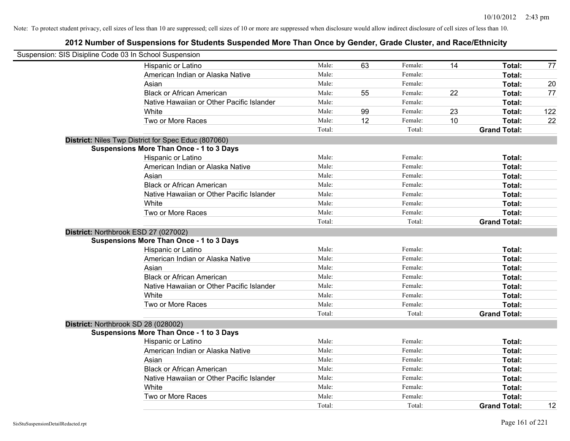| Suspension: SIS Disipline Code 03 In School Suspension |                                                     |        |    |         |    |                     |     |
|--------------------------------------------------------|-----------------------------------------------------|--------|----|---------|----|---------------------|-----|
|                                                        | Hispanic or Latino                                  | Male:  | 63 | Female: | 14 | Total:              | 77  |
|                                                        | American Indian or Alaska Native                    | Male:  |    | Female: |    | Total:              |     |
|                                                        | Asian                                               | Male:  |    | Female: |    | Total:              | 20  |
|                                                        | <b>Black or African American</b>                    | Male:  | 55 | Female: | 22 | Total:              | 77  |
|                                                        | Native Hawaiian or Other Pacific Islander           | Male:  |    | Female: |    | Total:              |     |
|                                                        | White                                               | Male:  | 99 | Female: | 23 | Total:              | 122 |
|                                                        | Two or More Races                                   | Male:  | 12 | Female: | 10 | Total:              | 22  |
|                                                        |                                                     | Total: |    | Total:  |    | <b>Grand Total:</b> |     |
|                                                        | District: Niles Twp District for Spec Educ (807060) |        |    |         |    |                     |     |
|                                                        | <b>Suspensions More Than Once - 1 to 3 Days</b>     |        |    |         |    |                     |     |
|                                                        | Hispanic or Latino                                  | Male:  |    | Female: |    | Total:              |     |
|                                                        | American Indian or Alaska Native                    | Male:  |    | Female: |    | Total:              |     |
|                                                        | Asian                                               | Male:  |    | Female: |    | Total:              |     |
|                                                        | <b>Black or African American</b>                    | Male:  |    | Female: |    | Total:              |     |
|                                                        | Native Hawaiian or Other Pacific Islander           | Male:  |    | Female: |    | Total:              |     |
|                                                        | White                                               | Male:  |    | Female: |    | Total:              |     |
|                                                        | Two or More Races                                   | Male:  |    | Female: |    | Total:              |     |
|                                                        |                                                     | Total: |    | Total:  |    | <b>Grand Total:</b> |     |
|                                                        | District: Northbrook ESD 27 (027002)                |        |    |         |    |                     |     |
|                                                        | <b>Suspensions More Than Once - 1 to 3 Days</b>     |        |    |         |    |                     |     |
|                                                        | Hispanic or Latino                                  | Male:  |    | Female: |    | Total:              |     |
|                                                        | American Indian or Alaska Native                    | Male:  |    | Female: |    | Total:              |     |
|                                                        | Asian                                               | Male:  |    | Female: |    | Total:              |     |
|                                                        | <b>Black or African American</b>                    | Male:  |    | Female: |    | Total:              |     |
|                                                        | Native Hawaiian or Other Pacific Islander           | Male:  |    | Female: |    | Total:              |     |
|                                                        | White                                               | Male:  |    | Female: |    | Total:              |     |
|                                                        | Two or More Races                                   | Male:  |    | Female: |    | Total:              |     |
|                                                        |                                                     | Total: |    | Total:  |    | <b>Grand Total:</b> |     |
|                                                        | District: Northbrook SD 28 (028002)                 |        |    |         |    |                     |     |
|                                                        | <b>Suspensions More Than Once - 1 to 3 Days</b>     |        |    |         |    |                     |     |
|                                                        | Hispanic or Latino                                  | Male:  |    | Female: |    | Total:              |     |
|                                                        | American Indian or Alaska Native                    | Male:  |    | Female: |    | Total:              |     |
|                                                        | Asian                                               | Male:  |    | Female: |    | Total:              |     |
|                                                        | <b>Black or African American</b>                    | Male:  |    | Female: |    | Total:              |     |
|                                                        | Native Hawaiian or Other Pacific Islander           | Male:  |    | Female: |    | Total:              |     |
|                                                        | White                                               | Male:  |    | Female: |    | Total:              |     |
|                                                        | Two or More Races                                   | Male:  |    | Female: |    | Total:              |     |
|                                                        |                                                     | Total: |    | Total:  |    | <b>Grand Total:</b> | 12  |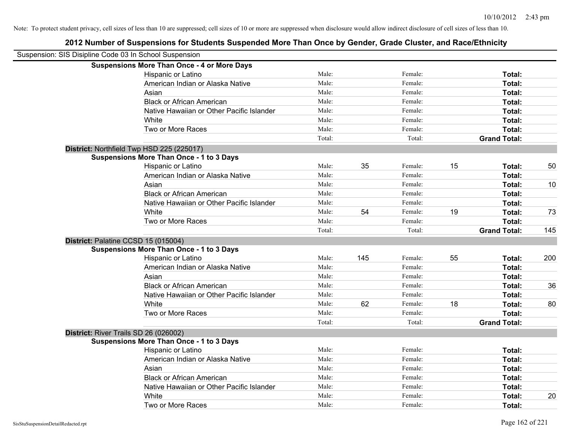| Suspension: SIS Disipline Code 03 In School Suspension |                                                    |        |     |         |    |                     |     |
|--------------------------------------------------------|----------------------------------------------------|--------|-----|---------|----|---------------------|-----|
|                                                        | <b>Suspensions More Than Once - 4 or More Days</b> |        |     |         |    |                     |     |
|                                                        | Hispanic or Latino                                 | Male:  |     | Female: |    | Total:              |     |
|                                                        | American Indian or Alaska Native                   | Male:  |     | Female: |    | Total:              |     |
|                                                        | Asian                                              | Male:  |     | Female: |    | Total:              |     |
|                                                        | <b>Black or African American</b>                   | Male:  |     | Female: |    | Total:              |     |
|                                                        | Native Hawaiian or Other Pacific Islander          | Male:  |     | Female: |    | Total:              |     |
|                                                        | White                                              | Male:  |     | Female: |    | Total:              |     |
|                                                        | Two or More Races                                  | Male:  |     | Female: |    | Total:              |     |
|                                                        |                                                    | Total: |     | Total:  |    | <b>Grand Total:</b> |     |
|                                                        | District: Northfield Twp HSD 225 (225017)          |        |     |         |    |                     |     |
|                                                        | <b>Suspensions More Than Once - 1 to 3 Days</b>    |        |     |         |    |                     |     |
|                                                        | Hispanic or Latino                                 | Male:  | 35  | Female: | 15 | Total:              | 50  |
|                                                        | American Indian or Alaska Native                   | Male:  |     | Female: |    | Total:              |     |
|                                                        | Asian                                              | Male:  |     | Female: |    | Total:              | 10  |
|                                                        | <b>Black or African American</b>                   | Male:  |     | Female: |    | Total:              |     |
|                                                        | Native Hawaiian or Other Pacific Islander          | Male:  |     | Female: |    | Total:              |     |
|                                                        | White                                              | Male:  | 54  | Female: | 19 | Total:              | 73  |
|                                                        | Two or More Races                                  | Male:  |     | Female: |    | Total:              |     |
|                                                        |                                                    | Total: |     | Total:  |    | <b>Grand Total:</b> | 145 |
|                                                        | District: Palatine CCSD 15 (015004)                |        |     |         |    |                     |     |
|                                                        | <b>Suspensions More Than Once - 1 to 3 Days</b>    |        |     |         |    |                     |     |
|                                                        | Hispanic or Latino                                 | Male:  | 145 | Female: | 55 | Total:              | 200 |
|                                                        | American Indian or Alaska Native                   | Male:  |     | Female: |    | Total:              |     |
|                                                        | Asian                                              | Male:  |     | Female: |    | Total:              |     |
|                                                        | <b>Black or African American</b>                   | Male:  |     | Female: |    | Total:              | 36  |
|                                                        | Native Hawaiian or Other Pacific Islander          | Male:  |     | Female: |    | Total:              |     |
|                                                        | White                                              | Male:  | 62  | Female: | 18 | Total:              | 80  |
|                                                        | Two or More Races                                  | Male:  |     | Female: |    | Total:              |     |
|                                                        |                                                    | Total: |     | Total:  |    | <b>Grand Total:</b> |     |
|                                                        | District: River Trails SD 26 (026002)              |        |     |         |    |                     |     |
|                                                        | <b>Suspensions More Than Once - 1 to 3 Days</b>    |        |     |         |    |                     |     |
|                                                        | Hispanic or Latino                                 | Male:  |     | Female: |    | Total:              |     |
|                                                        | American Indian or Alaska Native                   | Male:  |     | Female: |    | Total:              |     |
|                                                        | Asian                                              | Male:  |     | Female: |    | Total:              |     |
|                                                        | <b>Black or African American</b>                   | Male:  |     | Female: |    | Total:              |     |
|                                                        | Native Hawaiian or Other Pacific Islander          | Male:  |     | Female: |    | Total:              |     |
|                                                        | White                                              | Male:  |     | Female: |    | Total:              | 20  |
|                                                        | Two or More Races                                  | Male:  |     | Female: |    | Total:              |     |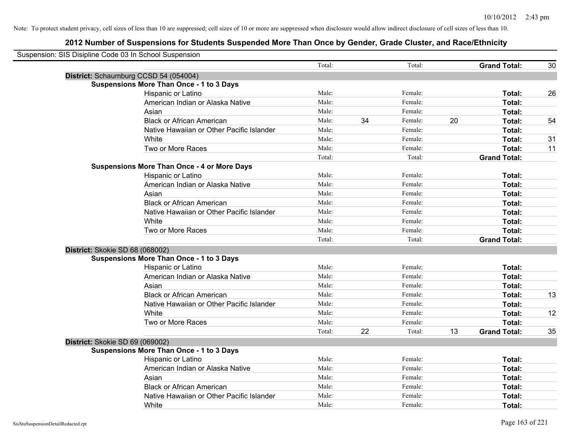| Suspension: SIS Disipline Code 03 In School Suspension |                                                    |        |    |         |    |                     |    |
|--------------------------------------------------------|----------------------------------------------------|--------|----|---------|----|---------------------|----|
|                                                        |                                                    | Total: |    | Total:  |    | <b>Grand Total:</b> | 30 |
|                                                        | District: Schaumburg CCSD 54 (054004)              |        |    |         |    |                     |    |
|                                                        | <b>Suspensions More Than Once - 1 to 3 Days</b>    |        |    |         |    |                     |    |
|                                                        | Hispanic or Latino                                 | Male:  |    | Female: |    | Total:              | 26 |
|                                                        | American Indian or Alaska Native                   | Male:  |    | Female: |    | Total:              |    |
|                                                        | Asian                                              | Male:  |    | Female: |    | Total:              |    |
|                                                        | <b>Black or African American</b>                   | Male:  | 34 | Female: | 20 | Total:              | 54 |
|                                                        | Native Hawaiian or Other Pacific Islander          | Male:  |    | Female: |    | Total:              |    |
|                                                        | White                                              | Male:  |    | Female: |    | Total:              | 31 |
|                                                        | Two or More Races                                  | Male:  |    | Female: |    | Total:              | 11 |
|                                                        |                                                    | Total: |    | Total:  |    | <b>Grand Total:</b> |    |
|                                                        | <b>Suspensions More Than Once - 4 or More Days</b> |        |    |         |    |                     |    |
|                                                        | Hispanic or Latino                                 | Male:  |    | Female: |    | Total:              |    |
|                                                        | American Indian or Alaska Native                   | Male:  |    | Female: |    | Total:              |    |
|                                                        | Asian                                              | Male:  |    | Female: |    | Total:              |    |
|                                                        | <b>Black or African American</b>                   | Male:  |    | Female: |    | Total:              |    |
|                                                        | Native Hawaiian or Other Pacific Islander          | Male:  |    | Female: |    | Total:              |    |
|                                                        | White                                              | Male:  |    | Female: |    | Total:              |    |
|                                                        | Two or More Races                                  | Male:  |    | Female: |    | Total:              |    |
|                                                        |                                                    | Total: |    | Total:  |    | <b>Grand Total:</b> |    |
| District: Skokie SD 68 (068002)                        |                                                    |        |    |         |    |                     |    |
|                                                        | <b>Suspensions More Than Once - 1 to 3 Days</b>    |        |    |         |    |                     |    |
|                                                        | Hispanic or Latino                                 | Male:  |    | Female: |    | Total:              |    |
|                                                        | American Indian or Alaska Native                   | Male:  |    | Female: |    | Total:              |    |
|                                                        | Asian                                              | Male:  |    | Female: |    | Total:              |    |
|                                                        | <b>Black or African American</b>                   | Male:  |    | Female: |    | Total:              | 13 |
|                                                        | Native Hawaiian or Other Pacific Islander          | Male:  |    | Female: |    | Total:              |    |
|                                                        | White                                              | Male:  |    | Female: |    | Total:              | 12 |
|                                                        | Two or More Races                                  | Male:  |    | Female: |    | Total:              |    |
|                                                        |                                                    | Total: | 22 | Total:  | 13 | <b>Grand Total:</b> | 35 |
| District: Skokie SD 69 (069002)                        |                                                    |        |    |         |    |                     |    |
|                                                        | <b>Suspensions More Than Once - 1 to 3 Days</b>    |        |    |         |    |                     |    |
|                                                        | Hispanic or Latino                                 | Male:  |    | Female: |    | Total:              |    |
|                                                        | American Indian or Alaska Native                   | Male:  |    | Female: |    | Total:              |    |
|                                                        | Asian                                              | Male:  |    | Female: |    | Total:              |    |
|                                                        | <b>Black or African American</b>                   | Male:  |    | Female: |    | Total:              |    |
|                                                        | Native Hawaiian or Other Pacific Islander          | Male:  |    | Female: |    | Total:              |    |
|                                                        | White                                              | Male:  |    | Female: |    | Total:              |    |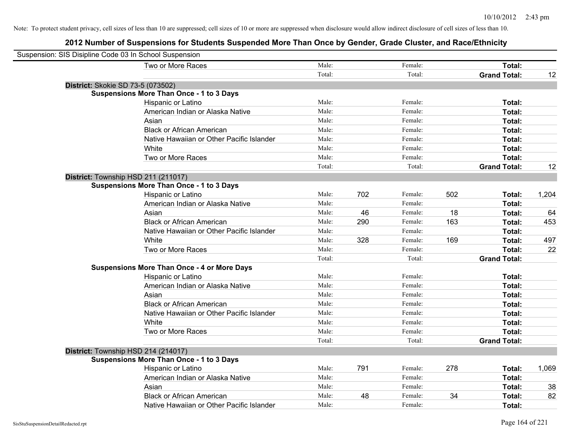| Suspension: SIS Disipline Code 03 In School Suspension |                                                    |        |     |         |     |                     |       |
|--------------------------------------------------------|----------------------------------------------------|--------|-----|---------|-----|---------------------|-------|
|                                                        | Two or More Races                                  | Male:  |     | Female: |     | Total:              |       |
|                                                        |                                                    | Total: |     | Total:  |     | <b>Grand Total:</b> | 12    |
| District: Skokie SD 73-5 (073502)                      |                                                    |        |     |         |     |                     |       |
|                                                        | <b>Suspensions More Than Once - 1 to 3 Days</b>    |        |     |         |     |                     |       |
|                                                        | Hispanic or Latino                                 | Male:  |     | Female: |     | Total:              |       |
|                                                        | American Indian or Alaska Native                   | Male:  |     | Female: |     | Total:              |       |
|                                                        | Asian                                              | Male:  |     | Female: |     | Total:              |       |
|                                                        | <b>Black or African American</b>                   | Male:  |     | Female: |     | Total:              |       |
|                                                        | Native Hawaiian or Other Pacific Islander          | Male:  |     | Female: |     | Total:              |       |
|                                                        | White                                              | Male:  |     | Female: |     | Total:              |       |
|                                                        | Two or More Races                                  | Male:  |     | Female: |     | Total:              |       |
|                                                        |                                                    | Total: |     | Total:  |     | <b>Grand Total:</b> | 12    |
| District: Township HSD 211 (211017)                    |                                                    |        |     |         |     |                     |       |
|                                                        | <b>Suspensions More Than Once - 1 to 3 Days</b>    |        |     |         |     |                     |       |
|                                                        | Hispanic or Latino                                 | Male:  | 702 | Female: | 502 | Total:              | 1,204 |
|                                                        | American Indian or Alaska Native                   | Male:  |     | Female: |     | Total:              |       |
|                                                        | Asian                                              | Male:  | 46  | Female: | 18  | Total:              | 64    |
|                                                        | <b>Black or African American</b>                   | Male:  | 290 | Female: | 163 | Total:              | 453   |
|                                                        | Native Hawaiian or Other Pacific Islander          | Male:  |     | Female: |     | Total:              |       |
|                                                        | White                                              | Male:  | 328 | Female: | 169 | Total:              | 497   |
|                                                        | Two or More Races                                  | Male:  |     | Female: |     | Total:              | 22    |
|                                                        |                                                    | Total: |     | Total:  |     | <b>Grand Total:</b> |       |
|                                                        | <b>Suspensions More Than Once - 4 or More Days</b> |        |     |         |     |                     |       |
|                                                        | Hispanic or Latino                                 | Male:  |     | Female: |     | Total:              |       |
|                                                        | American Indian or Alaska Native                   | Male:  |     | Female: |     | Total:              |       |
|                                                        | Asian                                              | Male:  |     | Female: |     | Total:              |       |
|                                                        | <b>Black or African American</b>                   | Male:  |     | Female: |     | Total:              |       |
|                                                        | Native Hawaiian or Other Pacific Islander          | Male:  |     | Female: |     | Total:              |       |
|                                                        | White                                              | Male:  |     | Female: |     | Total:              |       |
|                                                        | Two or More Races                                  | Male:  |     | Female: |     | Total:              |       |
|                                                        |                                                    | Total: |     | Total:  |     | <b>Grand Total:</b> |       |
| District: Township HSD 214 (214017)                    |                                                    |        |     |         |     |                     |       |
|                                                        | <b>Suspensions More Than Once - 1 to 3 Days</b>    |        |     |         |     |                     |       |
|                                                        | Hispanic or Latino                                 | Male:  | 791 | Female: | 278 | Total:              | 1,069 |
|                                                        | American Indian or Alaska Native                   | Male:  |     | Female: |     | Total:              |       |
|                                                        | Asian                                              | Male:  |     | Female: |     | Total:              | 38    |
|                                                        | <b>Black or African American</b>                   | Male:  | 48  | Female: | 34  | Total:              | 82    |
|                                                        | Native Hawaiian or Other Pacific Islander          | Male:  |     | Female: |     | Total:              |       |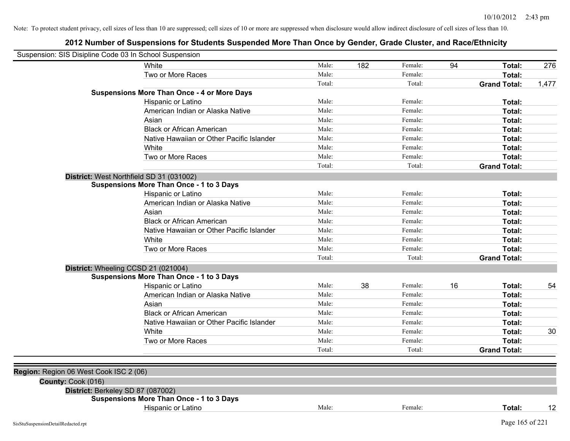| Suspension: SIS Disipline Code 03 In School Suspension |                                                    |        |     |         |    |                     |       |
|--------------------------------------------------------|----------------------------------------------------|--------|-----|---------|----|---------------------|-------|
|                                                        | White                                              | Male:  | 182 | Female: | 94 | Total:              | 276   |
|                                                        | Two or More Races                                  | Male:  |     | Female: |    | Total:              |       |
|                                                        |                                                    | Total: |     | Total:  |    | <b>Grand Total:</b> | 1,477 |
|                                                        | <b>Suspensions More Than Once - 4 or More Days</b> |        |     |         |    |                     |       |
|                                                        | Hispanic or Latino                                 | Male:  |     | Female: |    | Total:              |       |
|                                                        | American Indian or Alaska Native                   | Male:  |     | Female: |    | Total:              |       |
|                                                        | Asian                                              | Male:  |     | Female: |    | Total:              |       |
|                                                        | <b>Black or African American</b>                   | Male:  |     | Female: |    | Total:              |       |
|                                                        | Native Hawaiian or Other Pacific Islander          | Male:  |     | Female: |    | Total:              |       |
|                                                        | White                                              | Male:  |     | Female: |    | Total:              |       |
|                                                        | Two or More Races                                  | Male:  |     | Female: |    | <b>Total:</b>       |       |
|                                                        |                                                    | Total: |     | Total:  |    | <b>Grand Total:</b> |       |
|                                                        | District: West Northfield SD 31 (031002)           |        |     |         |    |                     |       |
|                                                        | <b>Suspensions More Than Once - 1 to 3 Days</b>    |        |     |         |    |                     |       |
|                                                        | Hispanic or Latino                                 | Male:  |     | Female: |    | Total:              |       |
|                                                        | American Indian or Alaska Native                   | Male:  |     | Female: |    | Total:              |       |
|                                                        | Asian                                              | Male:  |     | Female: |    | Total:              |       |
|                                                        | <b>Black or African American</b>                   | Male:  |     | Female: |    | Total:              |       |
|                                                        | Native Hawaiian or Other Pacific Islander          | Male:  |     | Female: |    | Total:              |       |
|                                                        | White                                              | Male:  |     | Female: |    | Total:              |       |
|                                                        | Two or More Races                                  | Male:  |     | Female: |    | Total:              |       |
|                                                        |                                                    | Total: |     | Total:  |    | <b>Grand Total:</b> |       |
|                                                        | District: Wheeling CCSD 21 (021004)                |        |     |         |    |                     |       |
|                                                        | <b>Suspensions More Than Once - 1 to 3 Days</b>    |        |     |         |    |                     |       |
|                                                        | Hispanic or Latino                                 | Male:  | 38  | Female: | 16 | Total:              | 54    |
|                                                        | American Indian or Alaska Native                   | Male:  |     | Female: |    | Total:              |       |
|                                                        | Asian                                              | Male:  |     | Female: |    | Total:              |       |
|                                                        | <b>Black or African American</b>                   | Male:  |     | Female: |    | Total:              |       |
|                                                        | Native Hawaiian or Other Pacific Islander          | Male:  |     | Female: |    | <b>Total:</b>       |       |
|                                                        | White                                              | Male:  |     | Female: |    | <b>Total:</b>       | 30    |
|                                                        | Two or More Races                                  | Male:  |     | Female: |    | Total:              |       |
|                                                        |                                                    | Total: |     | Total:  |    | <b>Grand Total:</b> |       |
|                                                        |                                                    |        |     |         |    |                     |       |
| Region: Region 06 West Cook ISC 2 (06)                 |                                                    |        |     |         |    |                     |       |
| County: Cook (016)                                     |                                                    |        |     |         |    |                     |       |
|                                                        | District: Berkeley SD 87 (087002)                  |        |     |         |    |                     |       |
|                                                        | <b>Suspensions More Than Once - 1 to 3 Days</b>    |        |     |         |    |                     |       |
|                                                        | Hispanic or Latino                                 | Male:  |     | Female: |    | Total:              | 12    |
| SisStuSuspensionDetailRedacted.rpt                     |                                                    |        |     |         |    | Page 165 of 221     |       |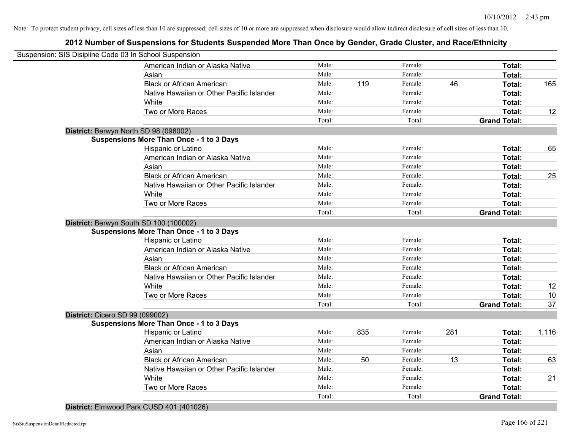| Suspension: SIS Disipline Code 03 In School Suspension |                                                 |        |     |         |     |                     |       |
|--------------------------------------------------------|-------------------------------------------------|--------|-----|---------|-----|---------------------|-------|
|                                                        | American Indian or Alaska Native                | Male:  |     | Female: |     | Total:              |       |
|                                                        | Asian                                           | Male:  |     | Female: |     | Total:              |       |
|                                                        | <b>Black or African American</b>                | Male:  | 119 | Female: | 46  | Total:              | 165   |
|                                                        | Native Hawaiian or Other Pacific Islander       | Male:  |     | Female: |     | Total:              |       |
|                                                        | White                                           | Male:  |     | Female: |     | Total:              |       |
|                                                        | Two or More Races                               | Male:  |     | Female: |     | Total:              | 12    |
|                                                        |                                                 | Total: |     | Total:  |     | <b>Grand Total:</b> |       |
| District: Berwyn North SD 98 (098002)                  |                                                 |        |     |         |     |                     |       |
|                                                        | <b>Suspensions More Than Once - 1 to 3 Days</b> |        |     |         |     |                     |       |
|                                                        | Hispanic or Latino                              | Male:  |     | Female: |     | Total:              | 65    |
|                                                        | American Indian or Alaska Native                | Male:  |     | Female: |     | Total:              |       |
|                                                        | Asian                                           | Male:  |     | Female: |     | Total:              |       |
|                                                        | <b>Black or African American</b>                | Male:  |     | Female: |     | Total:              | 25    |
|                                                        | Native Hawaiian or Other Pacific Islander       | Male:  |     | Female: |     | Total:              |       |
|                                                        | White                                           | Male:  |     | Female: |     | Total:              |       |
|                                                        | Two or More Races                               | Male:  |     | Female: |     | Total:              |       |
|                                                        |                                                 | Total: |     | Total:  |     | <b>Grand Total:</b> |       |
|                                                        | District: Berwyn South SD 100 (100002)          |        |     |         |     |                     |       |
|                                                        | <b>Suspensions More Than Once - 1 to 3 Days</b> |        |     |         |     |                     |       |
|                                                        | Hispanic or Latino                              | Male:  |     | Female: |     | Total:              |       |
|                                                        | American Indian or Alaska Native                | Male:  |     | Female: |     | Total:              |       |
|                                                        | Asian                                           | Male:  |     | Female: |     | Total:              |       |
|                                                        | <b>Black or African American</b>                | Male:  |     | Female: |     | Total:              |       |
|                                                        | Native Hawaiian or Other Pacific Islander       | Male:  |     | Female: |     | Total:              |       |
|                                                        | White                                           | Male:  |     | Female: |     | Total:              | 12    |
|                                                        | Two or More Races                               | Male:  |     | Female: |     | Total:              | 10    |
|                                                        |                                                 | Total: |     | Total:  |     | <b>Grand Total:</b> | 37    |
| District: Cicero SD 99 (099002)                        |                                                 |        |     |         |     |                     |       |
|                                                        | <b>Suspensions More Than Once - 1 to 3 Days</b> |        |     |         |     |                     |       |
|                                                        | Hispanic or Latino                              | Male:  | 835 | Female: | 281 | Total:              | 1,116 |
|                                                        | American Indian or Alaska Native                | Male:  |     | Female: |     | Total:              |       |
|                                                        | Asian                                           | Male:  |     | Female: |     | Total:              |       |
|                                                        | <b>Black or African American</b>                | Male:  | 50  | Female: | 13  | Total:              | 63    |
|                                                        | Native Hawaiian or Other Pacific Islander       | Male:  |     | Female: |     | Total:              |       |
|                                                        | White                                           | Male:  |     | Female: |     | Total:              | 21    |
|                                                        | Two or More Races                               | Male:  |     | Female: |     | Total:              |       |
|                                                        |                                                 | Total: |     | Total:  |     | <b>Grand Total:</b> |       |
|                                                        | District: Elmwood Park CUSD 401 (401026)        |        |     |         |     |                     |       |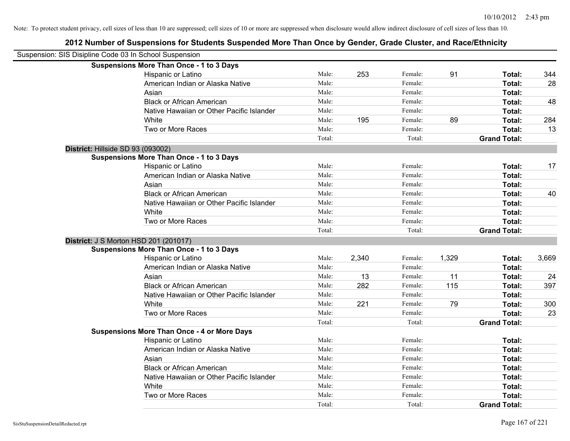| Suspension: SIS Disipline Code 03 In School Suspension |                                                    |        |       |         |       |                     |       |
|--------------------------------------------------------|----------------------------------------------------|--------|-------|---------|-------|---------------------|-------|
|                                                        | <b>Suspensions More Than Once - 1 to 3 Days</b>    |        |       |         |       |                     |       |
|                                                        | Hispanic or Latino                                 | Male:  | 253   | Female: | 91    | Total:              | 344   |
|                                                        | American Indian or Alaska Native                   | Male:  |       | Female: |       | <b>Total:</b>       | 28    |
|                                                        | Asian                                              | Male:  |       | Female: |       | Total:              |       |
|                                                        | <b>Black or African American</b>                   | Male:  |       | Female: |       | Total:              | 48    |
|                                                        | Native Hawaiian or Other Pacific Islander          | Male:  |       | Female: |       | Total:              |       |
|                                                        | White                                              | Male:  | 195   | Female: | 89    | Total:              | 284   |
|                                                        | Two or More Races                                  | Male:  |       | Female: |       | Total:              | 13    |
|                                                        |                                                    | Total: |       | Total:  |       | <b>Grand Total:</b> |       |
| District: Hillside SD 93 (093002)                      |                                                    |        |       |         |       |                     |       |
|                                                        | <b>Suspensions More Than Once - 1 to 3 Days</b>    |        |       |         |       |                     |       |
|                                                        | Hispanic or Latino                                 | Male:  |       | Female: |       | Total:              | 17    |
|                                                        | American Indian or Alaska Native                   | Male:  |       | Female: |       | Total:              |       |
|                                                        | Asian                                              | Male:  |       | Female: |       | Total:              |       |
|                                                        | <b>Black or African American</b>                   | Male:  |       | Female: |       | Total:              | 40    |
|                                                        | Native Hawaiian or Other Pacific Islander          | Male:  |       | Female: |       | Total:              |       |
|                                                        | White                                              | Male:  |       | Female: |       | Total:              |       |
|                                                        | Two or More Races                                  | Male:  |       | Female: |       | Total:              |       |
|                                                        |                                                    | Total: |       | Total:  |       | <b>Grand Total:</b> |       |
| District: J S Morton HSD 201 (201017)                  |                                                    |        |       |         |       |                     |       |
|                                                        | <b>Suspensions More Than Once - 1 to 3 Days</b>    |        |       |         |       |                     |       |
|                                                        | Hispanic or Latino                                 | Male:  | 2,340 | Female: | 1,329 | Total:              | 3,669 |
|                                                        | American Indian or Alaska Native                   | Male:  |       | Female: |       | Total:              |       |
|                                                        | Asian                                              | Male:  | 13    | Female: | 11    | Total:              | 24    |
|                                                        | <b>Black or African American</b>                   | Male:  | 282   | Female: | 115   | Total:              | 397   |
|                                                        | Native Hawaiian or Other Pacific Islander          | Male:  |       | Female: |       | Total:              |       |
|                                                        | White                                              | Male:  | 221   | Female: | 79    | Total:              | 300   |
|                                                        | Two or More Races                                  | Male:  |       | Female: |       | Total:              | 23    |
|                                                        |                                                    | Total: |       | Total:  |       | <b>Grand Total:</b> |       |
|                                                        | <b>Suspensions More Than Once - 4 or More Days</b> |        |       |         |       |                     |       |
|                                                        | Hispanic or Latino                                 | Male:  |       | Female: |       | Total:              |       |
|                                                        | American Indian or Alaska Native                   | Male:  |       | Female: |       | Total:              |       |
|                                                        | Asian                                              | Male:  |       | Female: |       | Total:              |       |
|                                                        | <b>Black or African American</b>                   | Male:  |       | Female: |       | Total:              |       |
|                                                        | Native Hawaiian or Other Pacific Islander          | Male:  |       | Female: |       | Total:              |       |
|                                                        | White                                              | Male:  |       | Female: |       | Total:              |       |
|                                                        | Two or More Races                                  | Male:  |       | Female: |       | <b>Total:</b>       |       |
|                                                        |                                                    | Total: |       | Total:  |       | <b>Grand Total:</b> |       |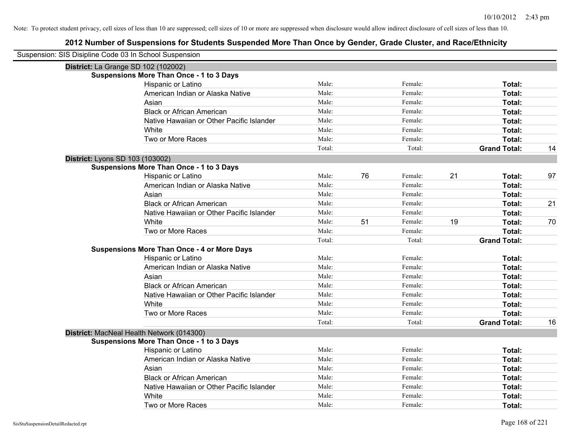| Suspension: SIS Disipline Code 03 In School Suspension |                                                    |        |    |         |    |                     |    |
|--------------------------------------------------------|----------------------------------------------------|--------|----|---------|----|---------------------|----|
|                                                        | District: La Grange SD 102 (102002)                |        |    |         |    |                     |    |
|                                                        | <b>Suspensions More Than Once - 1 to 3 Days</b>    |        |    |         |    |                     |    |
|                                                        | Hispanic or Latino                                 | Male:  |    | Female: |    | Total:              |    |
|                                                        | American Indian or Alaska Native                   | Male:  |    | Female: |    | Total:              |    |
|                                                        | Asian                                              | Male:  |    | Female: |    | Total:              |    |
|                                                        | <b>Black or African American</b>                   | Male:  |    | Female: |    | Total:              |    |
|                                                        | Native Hawaiian or Other Pacific Islander          | Male:  |    | Female: |    | Total:              |    |
|                                                        | White                                              | Male:  |    | Female: |    | Total:              |    |
|                                                        | Two or More Races                                  | Male:  |    | Female: |    | Total:              |    |
|                                                        |                                                    | Total: |    | Total:  |    | <b>Grand Total:</b> | 14 |
| District: Lyons SD 103 (103002)                        |                                                    |        |    |         |    |                     |    |
|                                                        | <b>Suspensions More Than Once - 1 to 3 Days</b>    |        |    |         |    |                     |    |
|                                                        | Hispanic or Latino                                 | Male:  | 76 | Female: | 21 | Total:              | 97 |
|                                                        | American Indian or Alaska Native                   | Male:  |    | Female: |    | Total:              |    |
|                                                        | Asian                                              | Male:  |    | Female: |    | Total:              |    |
|                                                        | <b>Black or African American</b>                   | Male:  |    | Female: |    | Total:              | 21 |
|                                                        | Native Hawaiian or Other Pacific Islander          | Male:  |    | Female: |    | Total:              |    |
|                                                        | White                                              | Male:  | 51 | Female: | 19 | Total:              | 70 |
|                                                        | Two or More Races                                  | Male:  |    | Female: |    | Total:              |    |
|                                                        |                                                    | Total: |    | Total:  |    | <b>Grand Total:</b> |    |
|                                                        | <b>Suspensions More Than Once - 4 or More Days</b> |        |    |         |    |                     |    |
|                                                        | Hispanic or Latino                                 | Male:  |    | Female: |    | Total:              |    |
|                                                        | American Indian or Alaska Native                   | Male:  |    | Female: |    | Total:              |    |
|                                                        | Asian                                              | Male:  |    | Female: |    | Total:              |    |
|                                                        | <b>Black or African American</b>                   | Male:  |    | Female: |    | Total:              |    |
|                                                        | Native Hawaiian or Other Pacific Islander          | Male:  |    | Female: |    | Total:              |    |
|                                                        | White                                              | Male:  |    | Female: |    | Total:              |    |
|                                                        | Two or More Races                                  | Male:  |    | Female: |    | Total:              |    |
|                                                        |                                                    | Total: |    | Total:  |    | <b>Grand Total:</b> | 16 |
|                                                        | District: MacNeal Health Network (014300)          |        |    |         |    |                     |    |
|                                                        | <b>Suspensions More Than Once - 1 to 3 Days</b>    |        |    |         |    |                     |    |
|                                                        | Hispanic or Latino                                 | Male:  |    | Female: |    | Total:              |    |
|                                                        | American Indian or Alaska Native                   | Male:  |    | Female: |    | Total:              |    |
|                                                        | Asian                                              | Male:  |    | Female: |    | Total:              |    |
|                                                        | <b>Black or African American</b>                   | Male:  |    | Female: |    | Total:              |    |
|                                                        | Native Hawaiian or Other Pacific Islander          | Male:  |    | Female: |    | Total:              |    |
|                                                        | White                                              | Male:  |    | Female: |    | Total:              |    |
|                                                        | Two or More Races                                  | Male:  |    | Female: |    | Total:              |    |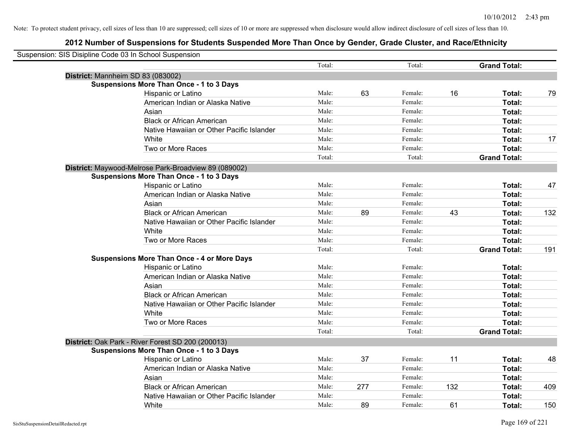| Suspension: SIS Disipline Code 03 In School Suspension |                                                      |        |     |         |     |                     |     |
|--------------------------------------------------------|------------------------------------------------------|--------|-----|---------|-----|---------------------|-----|
|                                                        |                                                      | Total: |     | Total:  |     | <b>Grand Total:</b> |     |
| District: Mannheim SD 83 (083002)                      |                                                      |        |     |         |     |                     |     |
|                                                        | <b>Suspensions More Than Once - 1 to 3 Days</b>      |        |     |         |     |                     |     |
|                                                        | Hispanic or Latino                                   | Male:  | 63  | Female: | 16  | Total:              | 79  |
|                                                        | American Indian or Alaska Native                     | Male:  |     | Female: |     | <b>Total:</b>       |     |
|                                                        | Asian                                                | Male:  |     | Female: |     | Total:              |     |
|                                                        | <b>Black or African American</b>                     | Male:  |     | Female: |     | Total:              |     |
|                                                        | Native Hawaiian or Other Pacific Islander            | Male:  |     | Female: |     | Total:              |     |
|                                                        | White                                                | Male:  |     | Female: |     | Total:              | 17  |
|                                                        | Two or More Races                                    | Male:  |     | Female: |     | Total:              |     |
|                                                        |                                                      | Total: |     | Total:  |     | <b>Grand Total:</b> |     |
|                                                        | District: Maywood-Melrose Park-Broadview 89 (089002) |        |     |         |     |                     |     |
|                                                        | <b>Suspensions More Than Once - 1 to 3 Days</b>      |        |     |         |     |                     |     |
|                                                        | Hispanic or Latino                                   | Male:  |     | Female: |     | Total:              | 47  |
|                                                        | American Indian or Alaska Native                     | Male:  |     | Female: |     | Total:              |     |
|                                                        | Asian                                                | Male:  |     | Female: |     | Total:              |     |
|                                                        | <b>Black or African American</b>                     | Male:  | 89  | Female: | 43  | Total:              | 132 |
|                                                        | Native Hawaiian or Other Pacific Islander            | Male:  |     | Female: |     | Total:              |     |
|                                                        | White                                                | Male:  |     | Female: |     | Total:              |     |
|                                                        | Two or More Races                                    | Male:  |     | Female: |     | Total:              |     |
|                                                        |                                                      | Total: |     | Total:  |     | <b>Grand Total:</b> | 191 |
|                                                        | <b>Suspensions More Than Once - 4 or More Days</b>   |        |     |         |     |                     |     |
|                                                        | Hispanic or Latino                                   | Male:  |     | Female: |     | Total:              |     |
|                                                        | American Indian or Alaska Native                     | Male:  |     | Female: |     | Total:              |     |
|                                                        | Asian                                                | Male:  |     | Female: |     | Total:              |     |
|                                                        | <b>Black or African American</b>                     | Male:  |     | Female: |     | Total:              |     |
|                                                        | Native Hawaiian or Other Pacific Islander            | Male:  |     | Female: |     | Total:              |     |
|                                                        | White                                                | Male:  |     | Female: |     | Total:              |     |
|                                                        | Two or More Races                                    | Male:  |     | Female: |     | Total:              |     |
|                                                        |                                                      | Total: |     | Total:  |     | <b>Grand Total:</b> |     |
|                                                        | District: Oak Park - River Forest SD 200 (200013)    |        |     |         |     |                     |     |
|                                                        | <b>Suspensions More Than Once - 1 to 3 Days</b>      |        |     |         |     |                     |     |
|                                                        | Hispanic or Latino                                   | Male:  | 37  | Female: | 11  | Total:              | 48  |
|                                                        | American Indian or Alaska Native                     | Male:  |     | Female: |     | Total:              |     |
|                                                        | Asian                                                | Male:  |     | Female: |     | Total:              |     |
|                                                        | <b>Black or African American</b>                     | Male:  | 277 | Female: | 132 | Total:              | 409 |
|                                                        | Native Hawaiian or Other Pacific Islander            | Male:  |     | Female: |     | Total:              |     |
|                                                        | White                                                | Male:  | 89  | Female: | 61  | Total:              | 150 |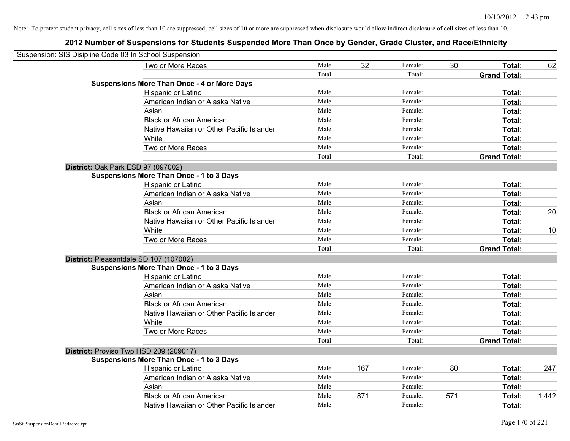| Suspension: SIS Disipline Code 03 In School Suspension |                                                    |        |     |         |     |                     |       |
|--------------------------------------------------------|----------------------------------------------------|--------|-----|---------|-----|---------------------|-------|
|                                                        | Two or More Races                                  | Male:  | 32  | Female: | 30  | Total:              | 62    |
|                                                        |                                                    | Total: |     | Total:  |     | <b>Grand Total:</b> |       |
|                                                        | <b>Suspensions More Than Once - 4 or More Days</b> |        |     |         |     |                     |       |
|                                                        | Hispanic or Latino                                 | Male:  |     | Female: |     | Total:              |       |
|                                                        | American Indian or Alaska Native                   | Male:  |     | Female: |     | Total:              |       |
|                                                        | Asian                                              | Male:  |     | Female: |     | Total:              |       |
|                                                        | <b>Black or African American</b>                   | Male:  |     | Female: |     | Total:              |       |
|                                                        | Native Hawaiian or Other Pacific Islander          | Male:  |     | Female: |     | Total:              |       |
|                                                        | White                                              | Male:  |     | Female: |     | Total:              |       |
|                                                        | Two or More Races                                  | Male:  |     | Female: |     | Total:              |       |
|                                                        |                                                    | Total: |     | Total:  |     | <b>Grand Total:</b> |       |
|                                                        | District: Oak Park ESD 97 (097002)                 |        |     |         |     |                     |       |
|                                                        | <b>Suspensions More Than Once - 1 to 3 Days</b>    |        |     |         |     |                     |       |
|                                                        | Hispanic or Latino                                 | Male:  |     | Female: |     | Total:              |       |
|                                                        | American Indian or Alaska Native                   | Male:  |     | Female: |     | Total:              |       |
|                                                        | Asian                                              | Male:  |     | Female: |     | Total:              |       |
|                                                        | <b>Black or African American</b>                   | Male:  |     | Female: |     | Total:              | 20    |
|                                                        | Native Hawaiian or Other Pacific Islander          | Male:  |     | Female: |     | Total:              |       |
|                                                        | White                                              | Male:  |     | Female: |     | Total:              | 10    |
|                                                        | Two or More Races                                  | Male:  |     | Female: |     | Total:              |       |
|                                                        |                                                    | Total: |     | Total:  |     | <b>Grand Total:</b> |       |
|                                                        | District: Pleasantdale SD 107 (107002)             |        |     |         |     |                     |       |
|                                                        | <b>Suspensions More Than Once - 1 to 3 Days</b>    |        |     |         |     |                     |       |
|                                                        | Hispanic or Latino                                 | Male:  |     | Female: |     | Total:              |       |
|                                                        | American Indian or Alaska Native                   | Male:  |     | Female: |     | Total:              |       |
|                                                        | Asian                                              | Male:  |     | Female: |     | Total:              |       |
|                                                        | <b>Black or African American</b>                   | Male:  |     | Female: |     | Total:              |       |
|                                                        | Native Hawaiian or Other Pacific Islander          | Male:  |     | Female: |     | Total:              |       |
|                                                        | White                                              | Male:  |     | Female: |     | Total:              |       |
|                                                        | Two or More Races                                  | Male:  |     | Female: |     | Total:              |       |
|                                                        |                                                    | Total: |     | Total:  |     | <b>Grand Total:</b> |       |
|                                                        | District: Proviso Twp HSD 209 (209017)             |        |     |         |     |                     |       |
|                                                        | <b>Suspensions More Than Once - 1 to 3 Days</b>    |        |     |         |     |                     |       |
|                                                        | Hispanic or Latino                                 | Male:  | 167 | Female: | 80  | Total:              | 247   |
|                                                        | American Indian or Alaska Native                   | Male:  |     | Female: |     | Total:              |       |
|                                                        | Asian                                              | Male:  |     | Female: |     | Total:              |       |
|                                                        | <b>Black or African American</b>                   | Male:  | 871 | Female: | 571 | Total:              | 1,442 |
|                                                        | Native Hawaiian or Other Pacific Islander          | Male:  |     | Female: |     | Total:              |       |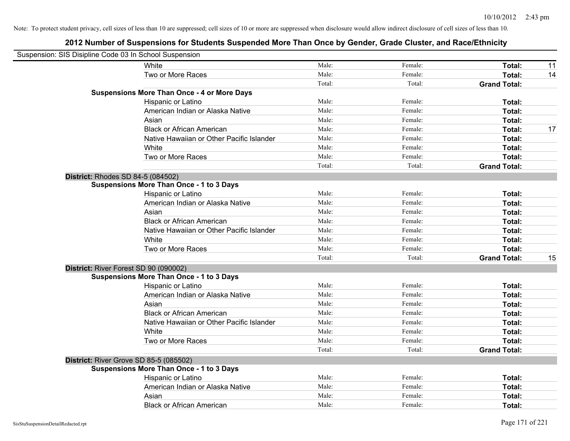| Suspension: SIS Disipline Code 03 In School Suspension |                                                    |        |         |                     |    |
|--------------------------------------------------------|----------------------------------------------------|--------|---------|---------------------|----|
|                                                        | White                                              | Male:  | Female: | Total:              | 11 |
|                                                        | Two or More Races                                  | Male:  | Female: | Total:              | 14 |
|                                                        |                                                    | Total: | Total:  | <b>Grand Total:</b> |    |
|                                                        | <b>Suspensions More Than Once - 4 or More Days</b> |        |         |                     |    |
|                                                        | Hispanic or Latino                                 | Male:  | Female: | Total:              |    |
|                                                        | American Indian or Alaska Native                   | Male:  | Female: | Total:              |    |
|                                                        | Asian                                              | Male:  | Female: | Total:              |    |
|                                                        | <b>Black or African American</b>                   | Male:  | Female: | Total:              | 17 |
|                                                        | Native Hawaiian or Other Pacific Islander          | Male:  | Female: | Total:              |    |
|                                                        | White                                              | Male:  | Female: | Total:              |    |
|                                                        | Two or More Races                                  | Male:  | Female: | Total:              |    |
|                                                        |                                                    | Total: | Total:  | <b>Grand Total:</b> |    |
|                                                        | <b>District: Rhodes SD 84-5 (084502)</b>           |        |         |                     |    |
|                                                        | <b>Suspensions More Than Once - 1 to 3 Days</b>    |        |         |                     |    |
|                                                        | Hispanic or Latino                                 | Male:  | Female: | Total:              |    |
|                                                        | American Indian or Alaska Native                   | Male:  | Female: | Total:              |    |
|                                                        | Asian                                              | Male:  | Female: | Total:              |    |
|                                                        | <b>Black or African American</b>                   | Male:  | Female: | Total:              |    |
|                                                        | Native Hawaiian or Other Pacific Islander          | Male:  | Female: | Total:              |    |
|                                                        | White                                              | Male:  | Female: | Total:              |    |
|                                                        | Two or More Races                                  | Male:  | Female: | Total:              |    |
|                                                        |                                                    | Total: | Total:  | <b>Grand Total:</b> | 15 |
|                                                        | District: River Forest SD 90 (090002)              |        |         |                     |    |
|                                                        | <b>Suspensions More Than Once - 1 to 3 Days</b>    |        |         |                     |    |
|                                                        | Hispanic or Latino                                 | Male:  | Female: | Total:              |    |
|                                                        | American Indian or Alaska Native                   | Male:  | Female: | Total:              |    |
|                                                        | Asian                                              | Male:  | Female: | Total:              |    |
|                                                        | <b>Black or African American</b>                   | Male:  | Female: | Total:              |    |
|                                                        | Native Hawaiian or Other Pacific Islander          | Male:  | Female: | Total:              |    |
|                                                        | White                                              | Male:  | Female: | Total:              |    |
|                                                        | Two or More Races                                  | Male:  | Female: | Total:              |    |
|                                                        |                                                    | Total: | Total:  | <b>Grand Total:</b> |    |
|                                                        | District: River Grove SD 85-5 (085502)             |        |         |                     |    |
|                                                        | <b>Suspensions More Than Once - 1 to 3 Days</b>    |        |         |                     |    |
|                                                        | Hispanic or Latino                                 | Male:  | Female: | Total:              |    |
|                                                        | American Indian or Alaska Native                   | Male:  | Female: | Total:              |    |
|                                                        | Asian                                              | Male:  | Female: | Total:              |    |
|                                                        | <b>Black or African American</b>                   | Male:  | Female: | Total:              |    |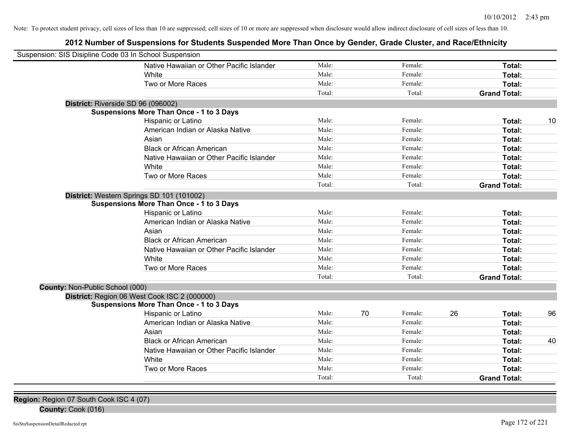# **2012 Number of Suspensions for Students Suspended More Than Once by Gender, Grade Cluster, and Race/Ethnicity**

| Suspension: SIS Disipline Code 03 In School Suspension |        |    |         |    |                     |    |
|--------------------------------------------------------|--------|----|---------|----|---------------------|----|
| Native Hawaiian or Other Pacific Islander              | Male:  |    | Female: |    | Total:              |    |
| White                                                  | Male:  |    | Female: |    | Total:              |    |
| Two or More Races                                      | Male:  |    | Female: |    | Total:              |    |
|                                                        | Total: |    | Total:  |    | <b>Grand Total:</b> |    |
| District: Riverside SD 96 (096002)                     |        |    |         |    |                     |    |
| <b>Suspensions More Than Once - 1 to 3 Days</b>        |        |    |         |    |                     |    |
| Hispanic or Latino                                     | Male:  |    | Female: |    | Total:              | 10 |
| American Indian or Alaska Native                       | Male:  |    | Female: |    | <b>Total:</b>       |    |
| Asian                                                  | Male:  |    | Female: |    | Total:              |    |
| <b>Black or African American</b>                       | Male:  |    | Female: |    | Total:              |    |
| Native Hawaiian or Other Pacific Islander              | Male:  |    | Female: |    | Total:              |    |
| White                                                  | Male:  |    | Female: |    | Total:              |    |
| Two or More Races                                      | Male:  |    | Female: |    | Total:              |    |
|                                                        | Total: |    | Total:  |    | <b>Grand Total:</b> |    |
| District: Western Springs SD 101 (101002)              |        |    |         |    |                     |    |
| <b>Suspensions More Than Once - 1 to 3 Days</b>        |        |    |         |    |                     |    |
| Hispanic or Latino                                     | Male:  |    | Female: |    | Total:              |    |
| American Indian or Alaska Native                       | Male:  |    | Female: |    | Total:              |    |
| Asian                                                  | Male:  |    | Female: |    | Total:              |    |
| <b>Black or African American</b>                       | Male:  |    | Female: |    | Total:              |    |
| Native Hawaiian or Other Pacific Islander              | Male:  |    | Female: |    | Total:              |    |
| White                                                  | Male:  |    | Female: |    | Total:              |    |
| Two or More Races                                      | Male:  |    | Female: |    | Total:              |    |
|                                                        | Total: |    | Total:  |    | <b>Grand Total:</b> |    |
| County: Non-Public School (000)                        |        |    |         |    |                     |    |
| District: Region 06 West Cook ISC 2 (000000)           |        |    |         |    |                     |    |
| <b>Suspensions More Than Once - 1 to 3 Days</b>        |        |    |         |    |                     |    |
| Hispanic or Latino                                     | Male:  | 70 | Female: | 26 | Total:              | 96 |
| American Indian or Alaska Native                       | Male:  |    | Female: |    | Total:              |    |
| Asian                                                  | Male:  |    | Female: |    | Total:              |    |
| <b>Black or African American</b>                       | Male:  |    | Female: |    | Total:              | 40 |
| Native Hawaiian or Other Pacific Islander              | Male:  |    | Female: |    | Total:              |    |
| White                                                  | Male:  |    | Female: |    | <b>Total:</b>       |    |
| Two or More Races                                      | Male:  |    | Female: |    | <b>Total:</b>       |    |
|                                                        | Total: |    | Total:  |    | <b>Grand Total:</b> |    |

**Region:** Region 07 South Cook ISC 4 (07)

**County:** Cook (016)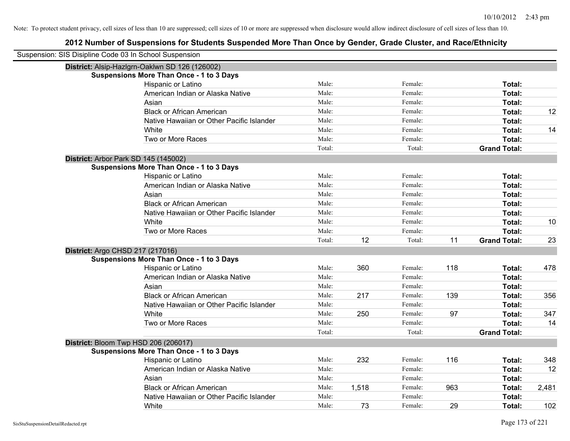| Suspension: SIS Disipline Code 03 In School Suspension |                                                 |        |       |         |     |                     |       |
|--------------------------------------------------------|-------------------------------------------------|--------|-------|---------|-----|---------------------|-------|
|                                                        | District: Alsip-Hazlgrn-Oaklwn SD 126 (126002)  |        |       |         |     |                     |       |
|                                                        | <b>Suspensions More Than Once - 1 to 3 Days</b> |        |       |         |     |                     |       |
|                                                        | Hispanic or Latino                              | Male:  |       | Female: |     | Total:              |       |
|                                                        | American Indian or Alaska Native                | Male:  |       | Female: |     | Total:              |       |
|                                                        | Asian                                           | Male:  |       | Female: |     | Total:              |       |
|                                                        | <b>Black or African American</b>                | Male:  |       | Female: |     | Total:              | 12    |
|                                                        | Native Hawaiian or Other Pacific Islander       | Male:  |       | Female: |     | Total:              |       |
|                                                        | White                                           | Male:  |       | Female: |     | Total:              | 14    |
|                                                        | Two or More Races                               | Male:  |       | Female: |     | Total:              |       |
|                                                        |                                                 | Total: |       | Total:  |     | <b>Grand Total:</b> |       |
| District: Arbor Park SD 145 (145002)                   |                                                 |        |       |         |     |                     |       |
|                                                        | <b>Suspensions More Than Once - 1 to 3 Days</b> |        |       |         |     |                     |       |
|                                                        | Hispanic or Latino                              | Male:  |       | Female: |     | Total:              |       |
|                                                        | American Indian or Alaska Native                | Male:  |       | Female: |     | Total:              |       |
|                                                        | Asian                                           | Male:  |       | Female: |     | Total:              |       |
|                                                        | <b>Black or African American</b>                | Male:  |       | Female: |     | Total:              |       |
|                                                        | Native Hawaiian or Other Pacific Islander       | Male:  |       | Female: |     | Total:              |       |
|                                                        | White                                           | Male:  |       | Female: |     | Total:              | 10    |
|                                                        | Two or More Races                               | Male:  |       | Female: |     | Total:              |       |
|                                                        |                                                 | Total: | 12    | Total:  | 11  | <b>Grand Total:</b> | 23    |
| District: Argo CHSD 217 (217016)                       |                                                 |        |       |         |     |                     |       |
|                                                        | <b>Suspensions More Than Once - 1 to 3 Days</b> |        |       |         |     |                     |       |
|                                                        | Hispanic or Latino                              | Male:  | 360   | Female: | 118 | Total:              | 478   |
|                                                        | American Indian or Alaska Native                | Male:  |       | Female: |     | Total:              |       |
|                                                        | Asian                                           | Male:  |       | Female: |     | Total:              |       |
|                                                        | <b>Black or African American</b>                | Male:  | 217   | Female: | 139 | Total:              | 356   |
|                                                        | Native Hawaiian or Other Pacific Islander       | Male:  |       | Female: |     | Total:              |       |
|                                                        | White                                           | Male:  | 250   | Female: | 97  | Total:              | 347   |
|                                                        | Two or More Races                               | Male:  |       | Female: |     | Total:              | 14    |
|                                                        |                                                 | Total: |       | Total:  |     | <b>Grand Total:</b> |       |
|                                                        | District: Bloom Twp HSD 206 (206017)            |        |       |         |     |                     |       |
|                                                        | <b>Suspensions More Than Once - 1 to 3 Days</b> |        |       |         |     |                     |       |
|                                                        | Hispanic or Latino                              | Male:  | 232   | Female: | 116 | Total:              | 348   |
|                                                        | American Indian or Alaska Native                | Male:  |       | Female: |     | Total:              | 12    |
|                                                        | Asian                                           | Male:  |       | Female: |     | Total:              |       |
|                                                        | <b>Black or African American</b>                | Male:  | 1,518 | Female: | 963 | Total:              | 2,481 |
|                                                        | Native Hawaiian or Other Pacific Islander       | Male:  |       | Female: |     | Total:              |       |
|                                                        | White                                           | Male:  | 73    | Female: | 29  | Total:              | 102   |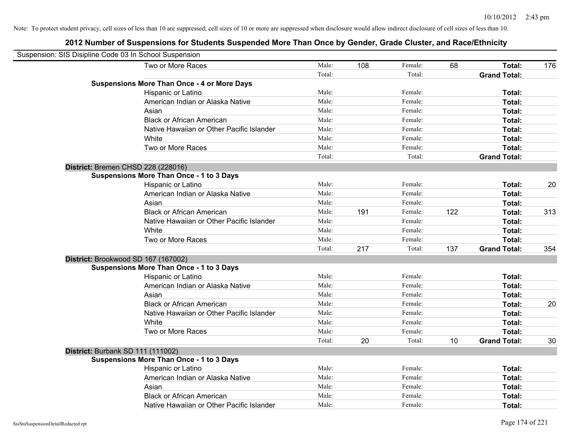| Suspension: SIS Disipline Code 03 In School Suspension |                                                    |        |     |         |     |                     |     |
|--------------------------------------------------------|----------------------------------------------------|--------|-----|---------|-----|---------------------|-----|
|                                                        | Two or More Races                                  | Male:  | 108 | Female: | 68  | Total:              | 176 |
|                                                        |                                                    | Total: |     | Total:  |     | <b>Grand Total:</b> |     |
|                                                        | <b>Suspensions More Than Once - 4 or More Days</b> |        |     |         |     |                     |     |
|                                                        | Hispanic or Latino                                 | Male:  |     | Female: |     | Total:              |     |
|                                                        | American Indian or Alaska Native                   | Male:  |     | Female: |     | Total:              |     |
|                                                        | Asian                                              | Male:  |     | Female: |     | Total:              |     |
|                                                        | <b>Black or African American</b>                   | Male:  |     | Female: |     | Total:              |     |
|                                                        | Native Hawaiian or Other Pacific Islander          | Male:  |     | Female: |     | Total:              |     |
|                                                        | White                                              | Male:  |     | Female: |     | Total:              |     |
|                                                        | Two or More Races                                  | Male:  |     | Female: |     | Total:              |     |
|                                                        |                                                    | Total: |     | Total:  |     | <b>Grand Total:</b> |     |
| District: Bremen CHSD 228 (228016)                     |                                                    |        |     |         |     |                     |     |
|                                                        | <b>Suspensions More Than Once - 1 to 3 Days</b>    |        |     |         |     |                     |     |
|                                                        | Hispanic or Latino                                 | Male:  |     | Female: |     | Total:              | 20  |
|                                                        | American Indian or Alaska Native                   | Male:  |     | Female: |     | <b>Total:</b>       |     |
|                                                        | Asian                                              | Male:  |     | Female: |     | Total:              |     |
|                                                        | <b>Black or African American</b>                   | Male:  | 191 | Female: | 122 | Total:              | 313 |
|                                                        | Native Hawaiian or Other Pacific Islander          | Male:  |     | Female: |     | Total:              |     |
|                                                        | White                                              | Male:  |     | Female: |     | Total:              |     |
|                                                        | Two or More Races                                  | Male:  |     | Female: |     | Total:              |     |
|                                                        |                                                    | Total: | 217 | Total:  | 137 | <b>Grand Total:</b> | 354 |
| District: Brookwood SD 167 (167002)                    |                                                    |        |     |         |     |                     |     |
|                                                        | <b>Suspensions More Than Once - 1 to 3 Days</b>    |        |     |         |     |                     |     |
|                                                        | Hispanic or Latino                                 | Male:  |     | Female: |     | Total:              |     |
|                                                        | American Indian or Alaska Native                   | Male:  |     | Female: |     | Total:              |     |
|                                                        | Asian                                              | Male:  |     | Female: |     | Total:              |     |
|                                                        | <b>Black or African American</b>                   | Male:  |     | Female: |     | Total:              | 20  |
|                                                        | Native Hawaiian or Other Pacific Islander          | Male:  |     | Female: |     | Total:              |     |
|                                                        | White                                              | Male:  |     | Female: |     | Total:              |     |
|                                                        | Two or More Races                                  | Male:  |     | Female: |     | Total:              |     |
|                                                        |                                                    | Total: | 20  | Total:  | 10  | <b>Grand Total:</b> | 30  |
| District: Burbank SD 111 (111002)                      |                                                    |        |     |         |     |                     |     |
|                                                        | <b>Suspensions More Than Once - 1 to 3 Days</b>    |        |     |         |     |                     |     |
|                                                        | Hispanic or Latino                                 | Male:  |     | Female: |     | Total:              |     |
|                                                        | American Indian or Alaska Native                   | Male:  |     | Female: |     | Total:              |     |
|                                                        | Asian                                              | Male:  |     | Female: |     | Total:              |     |
|                                                        | <b>Black or African American</b>                   | Male:  |     | Female: |     | Total:              |     |
|                                                        | Native Hawaiian or Other Pacific Islander          | Male:  |     | Female: |     | Total:              |     |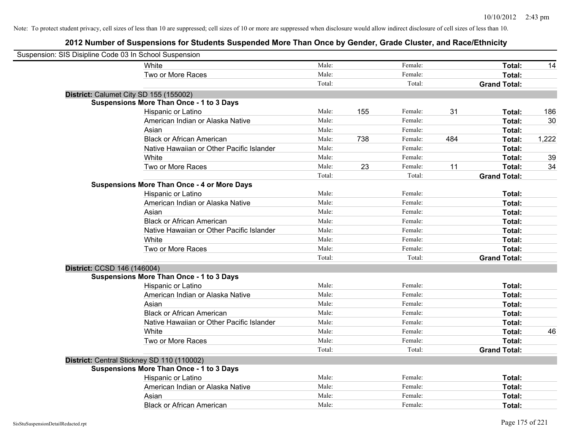| Suspension: SIS Disipline Code 03 In School Suspension |                                                    |        |     |         |     |                     |       |
|--------------------------------------------------------|----------------------------------------------------|--------|-----|---------|-----|---------------------|-------|
|                                                        | White                                              | Male:  |     | Female: |     | Total:              | 14    |
|                                                        | Two or More Races                                  | Male:  |     | Female: |     | Total:              |       |
|                                                        |                                                    | Total: |     | Total:  |     | <b>Grand Total:</b> |       |
| District: Calumet City SD 155 (155002)                 |                                                    |        |     |         |     |                     |       |
|                                                        | <b>Suspensions More Than Once - 1 to 3 Days</b>    |        |     |         |     |                     |       |
|                                                        | Hispanic or Latino                                 | Male:  | 155 | Female: | 31  | Total:              | 186   |
|                                                        | American Indian or Alaska Native                   | Male:  |     | Female: |     | Total:              | 30    |
|                                                        | Asian                                              | Male:  |     | Female: |     | Total:              |       |
|                                                        | <b>Black or African American</b>                   | Male:  | 738 | Female: | 484 | Total:              | 1,222 |
|                                                        | Native Hawaiian or Other Pacific Islander          | Male:  |     | Female: |     | Total:              |       |
|                                                        | White                                              | Male:  |     | Female: |     | Total:              | 39    |
|                                                        | Two or More Races                                  | Male:  | 23  | Female: | 11  | Total:              | 34    |
|                                                        |                                                    | Total: |     | Total:  |     | <b>Grand Total:</b> |       |
|                                                        | <b>Suspensions More Than Once - 4 or More Days</b> |        |     |         |     |                     |       |
|                                                        | Hispanic or Latino                                 | Male:  |     | Female: |     | Total:              |       |
|                                                        | American Indian or Alaska Native                   | Male:  |     | Female: |     | Total:              |       |
|                                                        | Asian                                              | Male:  |     | Female: |     | Total:              |       |
|                                                        | <b>Black or African American</b>                   | Male:  |     | Female: |     | Total:              |       |
|                                                        | Native Hawaiian or Other Pacific Islander          | Male:  |     | Female: |     | Total:              |       |
|                                                        | White                                              | Male:  |     | Female: |     | Total:              |       |
|                                                        | Two or More Races                                  | Male:  |     | Female: |     | Total:              |       |
|                                                        |                                                    | Total: |     | Total:  |     | <b>Grand Total:</b> |       |
| District: CCSD 146 (146004)                            |                                                    |        |     |         |     |                     |       |
|                                                        | <b>Suspensions More Than Once - 1 to 3 Days</b>    |        |     |         |     |                     |       |
|                                                        | Hispanic or Latino                                 | Male:  |     | Female: |     | Total:              |       |
|                                                        | American Indian or Alaska Native                   | Male:  |     | Female: |     | Total:              |       |
|                                                        | Asian                                              | Male:  |     | Female: |     | Total:              |       |
|                                                        | <b>Black or African American</b>                   | Male:  |     | Female: |     | Total:              |       |
|                                                        | Native Hawaiian or Other Pacific Islander          | Male:  |     | Female: |     | Total:              |       |
|                                                        | White                                              | Male:  |     | Female: |     | Total:              | 46    |
|                                                        | Two or More Races                                  | Male:  |     | Female: |     | Total:              |       |
|                                                        |                                                    | Total: |     | Total:  |     | <b>Grand Total:</b> |       |
| District: Central Stickney SD 110 (110002)             |                                                    |        |     |         |     |                     |       |
|                                                        | <b>Suspensions More Than Once - 1 to 3 Days</b>    |        |     |         |     |                     |       |
|                                                        | Hispanic or Latino                                 | Male:  |     | Female: |     | Total:              |       |
|                                                        | American Indian or Alaska Native                   | Male:  |     | Female: |     | Total:              |       |
|                                                        | Asian                                              | Male:  |     | Female: |     | Total:              |       |
|                                                        | <b>Black or African American</b>                   | Male:  |     | Female: |     | Total:              |       |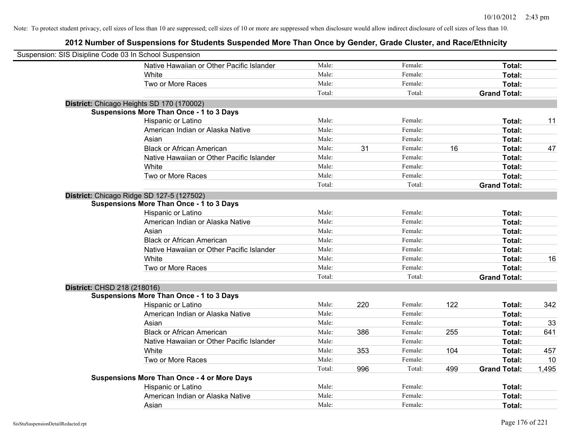| Suspension: SIS Disipline Code 03 In School Suspension |                                                    |        |     |         |     |                     |       |
|--------------------------------------------------------|----------------------------------------------------|--------|-----|---------|-----|---------------------|-------|
|                                                        | Native Hawaiian or Other Pacific Islander          | Male:  |     | Female: |     | Total:              |       |
|                                                        | White                                              | Male:  |     | Female: |     | Total:              |       |
|                                                        | Two or More Races                                  | Male:  |     | Female: |     | Total:              |       |
|                                                        |                                                    | Total: |     | Total:  |     | <b>Grand Total:</b> |       |
|                                                        | District: Chicago Heights SD 170 (170002)          |        |     |         |     |                     |       |
|                                                        | <b>Suspensions More Than Once - 1 to 3 Days</b>    |        |     |         |     |                     |       |
|                                                        | Hispanic or Latino                                 | Male:  |     | Female: |     | Total:              | 11    |
|                                                        | American Indian or Alaska Native                   | Male:  |     | Female: |     | Total:              |       |
|                                                        | Asian                                              | Male:  |     | Female: |     | Total:              |       |
|                                                        | <b>Black or African American</b>                   | Male:  | 31  | Female: | 16  | Total:              | 47    |
|                                                        | Native Hawaiian or Other Pacific Islander          | Male:  |     | Female: |     | Total:              |       |
|                                                        | White                                              | Male:  |     | Female: |     | Total:              |       |
|                                                        | Two or More Races                                  | Male:  |     | Female: |     | Total:              |       |
|                                                        |                                                    | Total: |     | Total:  |     | <b>Grand Total:</b> |       |
|                                                        | District: Chicago Ridge SD 127-5 (127502)          |        |     |         |     |                     |       |
|                                                        | <b>Suspensions More Than Once - 1 to 3 Days</b>    |        |     |         |     |                     |       |
|                                                        | Hispanic or Latino                                 | Male:  |     | Female: |     | Total:              |       |
|                                                        | American Indian or Alaska Native                   | Male:  |     | Female: |     | Total:              |       |
|                                                        | Asian                                              | Male:  |     | Female: |     | Total:              |       |
|                                                        | <b>Black or African American</b>                   | Male:  |     | Female: |     | Total:              |       |
|                                                        | Native Hawaiian or Other Pacific Islander          | Male:  |     | Female: |     | Total:              |       |
|                                                        | White                                              | Male:  |     | Female: |     | Total:              | 16    |
|                                                        | Two or More Races                                  | Male:  |     | Female: |     | Total:              |       |
|                                                        |                                                    | Total: |     | Total:  |     | <b>Grand Total:</b> |       |
| District: CHSD 218 (218016)                            |                                                    |        |     |         |     |                     |       |
|                                                        | <b>Suspensions More Than Once - 1 to 3 Days</b>    |        |     |         |     |                     |       |
|                                                        | Hispanic or Latino                                 | Male:  | 220 | Female: | 122 | Total:              | 342   |
|                                                        | American Indian or Alaska Native                   | Male:  |     | Female: |     | Total:              |       |
|                                                        | Asian                                              | Male:  |     | Female: |     | Total:              | 33    |
|                                                        | <b>Black or African American</b>                   | Male:  | 386 | Female: | 255 | Total:              | 641   |
|                                                        | Native Hawaiian or Other Pacific Islander          | Male:  |     | Female: |     | Total:              |       |
|                                                        | White                                              | Male:  | 353 | Female: | 104 | Total:              | 457   |
|                                                        | Two or More Races                                  | Male:  |     | Female: |     | Total:              | 10    |
|                                                        |                                                    | Total: | 996 | Total:  | 499 | <b>Grand Total:</b> | 1,495 |
|                                                        | <b>Suspensions More Than Once - 4 or More Days</b> |        |     |         |     |                     |       |
|                                                        | Hispanic or Latino                                 | Male:  |     | Female: |     | Total:              |       |
|                                                        | American Indian or Alaska Native                   | Male:  |     | Female: |     | <b>Total:</b>       |       |
|                                                        | Asian                                              | Male:  |     | Female: |     | Total:              |       |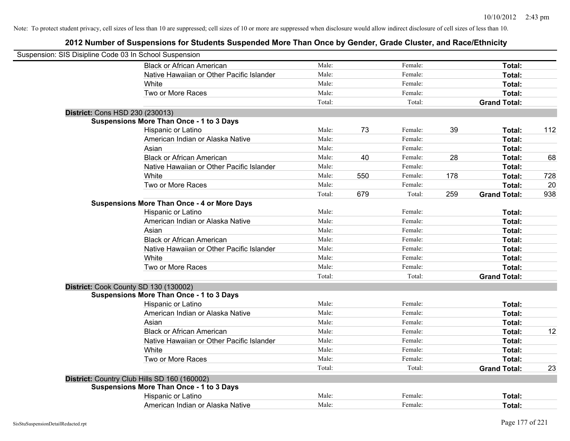| Suspension: SIS Disipline Code 03 In School Suspension |                                                    |        |     |         |     |                     |     |
|--------------------------------------------------------|----------------------------------------------------|--------|-----|---------|-----|---------------------|-----|
|                                                        | <b>Black or African American</b>                   | Male:  |     | Female: |     | Total:              |     |
|                                                        | Native Hawaiian or Other Pacific Islander          | Male:  |     | Female: |     | Total:              |     |
|                                                        | White                                              | Male:  |     | Female: |     | Total:              |     |
|                                                        | Two or More Races                                  | Male:  |     | Female: |     | Total:              |     |
|                                                        |                                                    | Total: |     | Total:  |     | <b>Grand Total:</b> |     |
| District: Cons HSD 230 (230013)                        |                                                    |        |     |         |     |                     |     |
|                                                        | <b>Suspensions More Than Once - 1 to 3 Days</b>    |        |     |         |     |                     |     |
|                                                        | Hispanic or Latino                                 | Male:  | 73  | Female: | 39  | Total:              | 112 |
|                                                        | American Indian or Alaska Native                   | Male:  |     | Female: |     | Total:              |     |
|                                                        | Asian                                              | Male:  |     | Female: |     | Total:              |     |
|                                                        | <b>Black or African American</b>                   | Male:  | 40  | Female: | 28  | Total:              | 68  |
|                                                        | Native Hawaiian or Other Pacific Islander          | Male:  |     | Female: |     | Total:              |     |
|                                                        | White                                              | Male:  | 550 | Female: | 178 | Total:              | 728 |
|                                                        | Two or More Races                                  | Male:  |     | Female: |     | Total:              | 20  |
|                                                        |                                                    | Total: | 679 | Total:  | 259 | <b>Grand Total:</b> | 938 |
|                                                        | <b>Suspensions More Than Once - 4 or More Days</b> |        |     |         |     |                     |     |
|                                                        | Hispanic or Latino                                 | Male:  |     | Female: |     | Total:              |     |
|                                                        | American Indian or Alaska Native                   | Male:  |     | Female: |     | Total:              |     |
|                                                        | Asian                                              | Male:  |     | Female: |     | Total:              |     |
|                                                        | <b>Black or African American</b>                   | Male:  |     | Female: |     | Total:              |     |
|                                                        | Native Hawaiian or Other Pacific Islander          | Male:  |     | Female: |     | Total:              |     |
|                                                        | White                                              | Male:  |     | Female: |     | Total:              |     |
|                                                        | Two or More Races                                  | Male:  |     | Female: |     | Total:              |     |
|                                                        |                                                    | Total: |     | Total:  |     | <b>Grand Total:</b> |     |
| District: Cook County SD 130 (130002)                  |                                                    |        |     |         |     |                     |     |
|                                                        | <b>Suspensions More Than Once - 1 to 3 Days</b>    |        |     |         |     |                     |     |
|                                                        | Hispanic or Latino                                 | Male:  |     | Female: |     | Total:              |     |
|                                                        | American Indian or Alaska Native                   | Male:  |     | Female: |     | Total:              |     |
|                                                        | Asian                                              | Male:  |     | Female: |     | Total:              |     |
|                                                        | <b>Black or African American</b>                   | Male:  |     | Female: |     | Total:              | 12  |
|                                                        | Native Hawaiian or Other Pacific Islander          | Male:  |     | Female: |     | Total:              |     |
|                                                        | White                                              | Male:  |     | Female: |     | Total:              |     |
|                                                        | Two or More Races                                  | Male:  |     | Female: |     | Total:              |     |
|                                                        |                                                    | Total: |     | Total:  |     | <b>Grand Total:</b> | 23  |
|                                                        | District: Country Club Hills SD 160 (160002)       |        |     |         |     |                     |     |
|                                                        | <b>Suspensions More Than Once - 1 to 3 Days</b>    |        |     |         |     |                     |     |
|                                                        | Hispanic or Latino                                 | Male:  |     | Female: |     | <b>Total:</b>       |     |
|                                                        | American Indian or Alaska Native                   | Male:  |     | Female: |     | Total:              |     |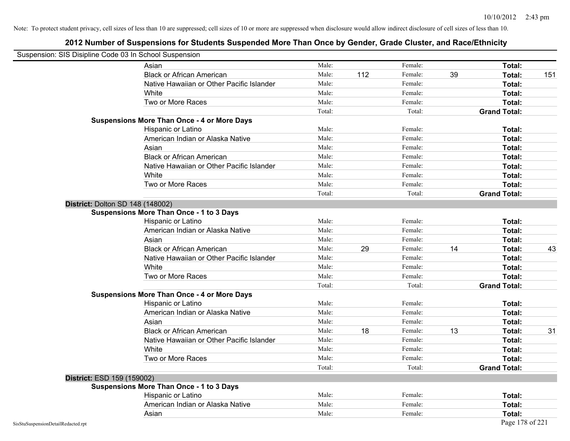| Suspension: SIS Disipline Code 03 In School Suspension |                                                    |        |     |         |    |                     |     |
|--------------------------------------------------------|----------------------------------------------------|--------|-----|---------|----|---------------------|-----|
|                                                        | Asian                                              | Male:  |     | Female: |    | Total:              |     |
|                                                        | <b>Black or African American</b>                   | Male:  | 112 | Female: | 39 | Total:              | 151 |
|                                                        | Native Hawaiian or Other Pacific Islander          | Male:  |     | Female: |    | Total:              |     |
|                                                        | White                                              | Male:  |     | Female: |    | Total:              |     |
|                                                        | Two or More Races                                  | Male:  |     | Female: |    | Total:              |     |
|                                                        |                                                    | Total: |     | Total:  |    | <b>Grand Total:</b> |     |
|                                                        | <b>Suspensions More Than Once - 4 or More Days</b> |        |     |         |    |                     |     |
|                                                        | Hispanic or Latino                                 | Male:  |     | Female: |    | Total:              |     |
|                                                        | American Indian or Alaska Native                   | Male:  |     | Female: |    | Total:              |     |
|                                                        | Asian                                              | Male:  |     | Female: |    | Total:              |     |
|                                                        | <b>Black or African American</b>                   | Male:  |     | Female: |    | Total:              |     |
|                                                        | Native Hawaiian or Other Pacific Islander          | Male:  |     | Female: |    | Total:              |     |
|                                                        | White                                              | Male:  |     | Female: |    | Total:              |     |
|                                                        | Two or More Races                                  | Male:  |     | Female: |    | Total:              |     |
|                                                        |                                                    | Total: |     | Total:  |    | <b>Grand Total:</b> |     |
|                                                        | <b>District: Dolton SD 148 (148002)</b>            |        |     |         |    |                     |     |
|                                                        | <b>Suspensions More Than Once - 1 to 3 Days</b>    |        |     |         |    |                     |     |
|                                                        | Hispanic or Latino                                 | Male:  |     | Female: |    | Total:              |     |
|                                                        | American Indian or Alaska Native                   | Male:  |     | Female: |    | Total:              |     |
|                                                        | Asian                                              | Male:  |     | Female: |    | Total:              |     |
|                                                        | <b>Black or African American</b>                   | Male:  | 29  | Female: | 14 | Total:              | 43  |
|                                                        | Native Hawaiian or Other Pacific Islander          | Male:  |     | Female: |    | Total:              |     |
|                                                        | White                                              | Male:  |     | Female: |    | Total:              |     |
|                                                        | Two or More Races                                  | Male:  |     | Female: |    | Total:              |     |
|                                                        |                                                    | Total: |     | Total:  |    | <b>Grand Total:</b> |     |
|                                                        | <b>Suspensions More Than Once - 4 or More Days</b> |        |     |         |    |                     |     |
|                                                        | Hispanic or Latino                                 | Male:  |     | Female: |    | Total:              |     |
|                                                        | American Indian or Alaska Native                   | Male:  |     | Female: |    | Total:              |     |
|                                                        | Asian                                              | Male:  |     | Female: |    | Total:              |     |
|                                                        | <b>Black or African American</b>                   | Male:  | 18  | Female: | 13 | Total:              | 31  |
|                                                        | Native Hawaiian or Other Pacific Islander          | Male:  |     | Female: |    | Total:              |     |
|                                                        | White                                              | Male:  |     | Female: |    | Total:              |     |
|                                                        | Two or More Races                                  | Male:  |     | Female: |    | Total:              |     |
|                                                        |                                                    | Total: |     | Total:  |    | <b>Grand Total:</b> |     |
| District: ESD 159 (159002)                             |                                                    |        |     |         |    |                     |     |
|                                                        | <b>Suspensions More Than Once - 1 to 3 Days</b>    |        |     |         |    |                     |     |
|                                                        | Hispanic or Latino                                 | Male:  |     | Female: |    | Total:              |     |
|                                                        | American Indian or Alaska Native                   | Male:  |     | Female: |    | Total:              |     |
|                                                        | Asian                                              | Male:  |     | Female: |    | Total:              |     |
| SisStuSuspensionDetailRedacted.rpt                     |                                                    |        |     |         |    | Page 178 of 221     |     |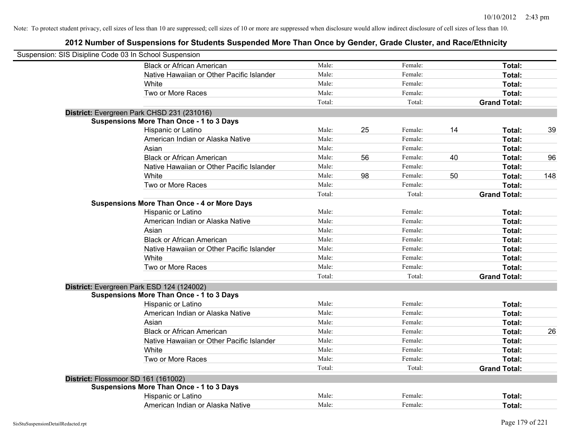| Suspension: SIS Disipline Code 03 In School Suspension |                                                    |        |    |         |    |                     |     |
|--------------------------------------------------------|----------------------------------------------------|--------|----|---------|----|---------------------|-----|
|                                                        | <b>Black or African American</b>                   | Male:  |    | Female: |    | Total:              |     |
|                                                        | Native Hawaiian or Other Pacific Islander          | Male:  |    | Female: |    | Total:              |     |
|                                                        | White                                              | Male:  |    | Female: |    | Total:              |     |
|                                                        | Two or More Races                                  | Male:  |    | Female: |    | Total:              |     |
|                                                        |                                                    | Total: |    | Total:  |    | <b>Grand Total:</b> |     |
|                                                        | District: Evergreen Park CHSD 231 (231016)         |        |    |         |    |                     |     |
|                                                        | <b>Suspensions More Than Once - 1 to 3 Days</b>    |        |    |         |    |                     |     |
|                                                        | Hispanic or Latino                                 | Male:  | 25 | Female: | 14 | Total:              | 39  |
|                                                        | American Indian or Alaska Native                   | Male:  |    | Female: |    | Total:              |     |
|                                                        | Asian                                              | Male:  |    | Female: |    | Total:              |     |
|                                                        | <b>Black or African American</b>                   | Male:  | 56 | Female: | 40 | Total:              | 96  |
|                                                        | Native Hawaiian or Other Pacific Islander          | Male:  |    | Female: |    | Total:              |     |
|                                                        | White                                              | Male:  | 98 | Female: | 50 | Total:              | 148 |
|                                                        | Two or More Races                                  | Male:  |    | Female: |    | Total:              |     |
|                                                        |                                                    | Total: |    | Total:  |    | <b>Grand Total:</b> |     |
|                                                        | <b>Suspensions More Than Once - 4 or More Days</b> |        |    |         |    |                     |     |
|                                                        | Hispanic or Latino                                 | Male:  |    | Female: |    | Total:              |     |
|                                                        | American Indian or Alaska Native                   | Male:  |    | Female: |    | Total:              |     |
|                                                        | Asian                                              | Male:  |    | Female: |    | Total:              |     |
|                                                        | <b>Black or African American</b>                   | Male:  |    | Female: |    | Total:              |     |
|                                                        | Native Hawaiian or Other Pacific Islander          | Male:  |    | Female: |    | Total:              |     |
|                                                        | White                                              | Male:  |    | Female: |    | Total:              |     |
|                                                        | Two or More Races                                  | Male:  |    | Female: |    | Total:              |     |
|                                                        |                                                    | Total: |    | Total:  |    | <b>Grand Total:</b> |     |
|                                                        | District: Evergreen Park ESD 124 (124002)          |        |    |         |    |                     |     |
|                                                        | <b>Suspensions More Than Once - 1 to 3 Days</b>    |        |    |         |    |                     |     |
|                                                        | Hispanic or Latino                                 | Male:  |    | Female: |    | Total:              |     |
|                                                        | American Indian or Alaska Native                   | Male:  |    | Female: |    | Total:              |     |
|                                                        | Asian                                              | Male:  |    | Female: |    | Total:              |     |
|                                                        | <b>Black or African American</b>                   | Male:  |    | Female: |    | Total:              | 26  |
|                                                        | Native Hawaiian or Other Pacific Islander          | Male:  |    | Female: |    | Total:              |     |
|                                                        | White                                              | Male:  |    | Female: |    | Total:              |     |
|                                                        | Two or More Races                                  | Male:  |    | Female: |    | Total:              |     |
|                                                        |                                                    | Total: |    | Total:  |    | <b>Grand Total:</b> |     |
|                                                        | District: Flossmoor SD 161 (161002)                |        |    |         |    |                     |     |
|                                                        | <b>Suspensions More Than Once - 1 to 3 Days</b>    |        |    |         |    |                     |     |
|                                                        | Hispanic or Latino                                 | Male:  |    | Female: |    | Total:              |     |
|                                                        | American Indian or Alaska Native                   | Male:  |    | Female: |    | Total:              |     |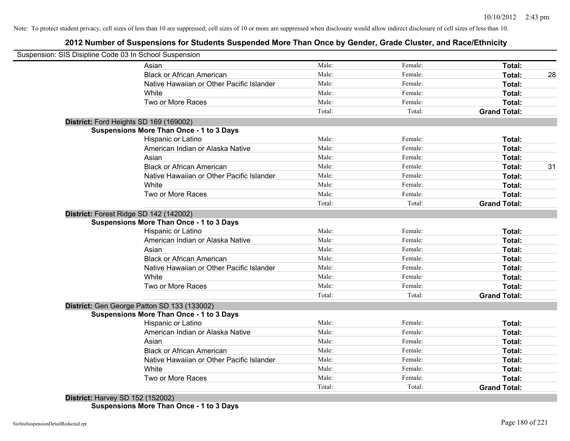# **2012 Number of Suspensions for Students Suspended More Than Once by Gender, Grade Cluster, and Race/Ethnicity**

| Suspension: SIS Disipline Code 03 In School Suspension                                    |        |         |                     |
|-------------------------------------------------------------------------------------------|--------|---------|---------------------|
| Asian                                                                                     | Male:  | Female: | Total:              |
| <b>Black or African American</b>                                                          | Male:  | Female: | Total:              |
| Native Hawaiian or Other Pacific Islander                                                 | Male:  | Female: | Total:              |
| White                                                                                     | Male:  | Female: | Total:              |
| Two or More Races                                                                         | Male:  | Female: | Total:              |
|                                                                                           | Total: | Total:  | <b>Grand Total:</b> |
| District: Ford Heights SD 169 (169002)                                                    |        |         |                     |
| <b>Suspensions More Than Once - 1 to 3 Days</b>                                           |        |         |                     |
| <b>Hispanic or Latino</b>                                                                 | Male:  | Female: | Total:              |
| American Indian or Alaska Native                                                          | Male:  | Female: | Total:              |
| Asian                                                                                     | Male:  | Female: | Total:              |
| <b>Black or African American</b>                                                          | Male:  | Female: | Total:              |
| Native Hawaiian or Other Pacific Islander                                                 | Male:  | Female: | Total:              |
| White                                                                                     | Male:  | Female: | Total:              |
| Two or More Races                                                                         | Male:  | Female: | Total:              |
|                                                                                           | Total: | Total:  | <b>Grand Total:</b> |
| District: Forest Ridge SD 142 (142002)<br><b>Suspensions More Than Once - 1 to 3 Days</b> |        |         |                     |
| Hispanic or Latino                                                                        | Male:  | Female: | Total:              |
| American Indian or Alaska Native                                                          | Male:  | Female: | Total:              |
| Asian                                                                                     | Male:  | Female: | Total:              |
| <b>Black or African American</b>                                                          | Male:  | Female: | Total:              |
| Native Hawaiian or Other Pacific Islander                                                 | Male:  | Female: | Total:              |
| White                                                                                     | Male:  | Female: | Total:              |
| Two or More Races                                                                         | Male:  | Female: | Total:              |
|                                                                                           | Total: | Total:  | <b>Grand Total:</b> |
| District: Gen George Patton SD 133 (133002)                                               |        |         |                     |
| <b>Suspensions More Than Once - 1 to 3 Days</b>                                           |        |         |                     |
| Hispanic or Latino                                                                        | Male:  | Female: | Total:              |
| American Indian or Alaska Native                                                          | Male:  | Female: | Total:              |
| Asian                                                                                     | Male:  | Female: | Total:              |
| <b>Black or African American</b>                                                          | Male:  | Female: | Total:              |
| Native Hawaiian or Other Pacific Islander                                                 | Male:  | Female: | Total:              |
| White                                                                                     | Male:  | Female: | Total:              |
| Two or More Races                                                                         | Male:  | Female: | <b>Total:</b>       |
|                                                                                           | Total: | Total:  | <b>Grand Total:</b> |

**Suspensions More Than Once - 1 to 3 Days**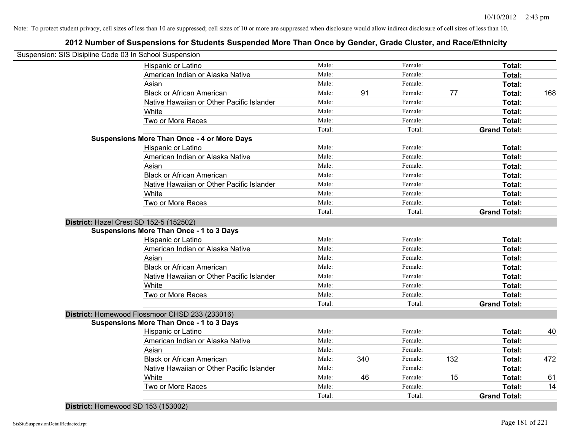| Suspension: SIS Disipline Code 03 In School Suspension |        |     |         |     |                     |     |
|--------------------------------------------------------|--------|-----|---------|-----|---------------------|-----|
| Hispanic or Latino                                     | Male:  |     | Female: |     | Total:              |     |
| American Indian or Alaska Native                       | Male:  |     | Female: |     | Total:              |     |
| Asian                                                  | Male:  |     | Female: |     | Total:              |     |
| <b>Black or African American</b>                       | Male:  | 91  | Female: | 77  | Total:              | 168 |
| Native Hawaiian or Other Pacific Islander              | Male:  |     | Female: |     | Total:              |     |
| White                                                  | Male:  |     | Female: |     | Total:              |     |
| Two or More Races                                      | Male:  |     | Female: |     | Total:              |     |
|                                                        | Total: |     | Total:  |     | <b>Grand Total:</b> |     |
| <b>Suspensions More Than Once - 4 or More Days</b>     |        |     |         |     |                     |     |
| Hispanic or Latino                                     | Male:  |     | Female: |     | Total:              |     |
| American Indian or Alaska Native                       | Male:  |     | Female: |     | Total:              |     |
| Asian                                                  | Male:  |     | Female: |     | Total:              |     |
| <b>Black or African American</b>                       | Male:  |     | Female: |     | Total:              |     |
| Native Hawaiian or Other Pacific Islander              | Male:  |     | Female: |     | Total:              |     |
| White                                                  | Male:  |     | Female: |     | Total:              |     |
| Two or More Races                                      | Male:  |     | Female: |     | Total:              |     |
|                                                        | Total: |     | Total:  |     | <b>Grand Total:</b> |     |
| District: Hazel Crest SD 152-5 (152502)                |        |     |         |     |                     |     |
| <b>Suspensions More Than Once - 1 to 3 Days</b>        |        |     |         |     |                     |     |
| Hispanic or Latino                                     | Male:  |     | Female: |     | Total:              |     |
| American Indian or Alaska Native                       | Male:  |     | Female: |     | Total:              |     |
| Asian                                                  | Male:  |     | Female: |     | Total:              |     |
| <b>Black or African American</b>                       | Male:  |     | Female: |     | Total:              |     |
| Native Hawaiian or Other Pacific Islander              | Male:  |     | Female: |     | Total:              |     |
| White                                                  | Male:  |     | Female: |     | Total:              |     |
| Two or More Races                                      | Male:  |     | Female: |     | Total:              |     |
|                                                        | Total: |     | Total:  |     | <b>Grand Total:</b> |     |
| District: Homewood Flossmoor CHSD 233 (233016)         |        |     |         |     |                     |     |
| <b>Suspensions More Than Once - 1 to 3 Days</b>        |        |     |         |     |                     |     |
| Hispanic or Latino                                     | Male:  |     | Female: |     | Total:              | 40  |
| American Indian or Alaska Native                       | Male:  |     | Female: |     | Total:              |     |
| Asian                                                  | Male:  |     | Female: |     | Total:              |     |
| <b>Black or African American</b>                       | Male:  | 340 | Female: | 132 | Total:              | 472 |
| Native Hawaiian or Other Pacific Islander              | Male:  |     | Female: |     | Total:              |     |
| White                                                  | Male:  | 46  | Female: | 15  | Total:              | 61  |
| Two or More Races                                      | Male:  |     | Female: |     | Total:              | 14  |
|                                                        | Total: |     | Total:  |     | <b>Grand Total:</b> |     |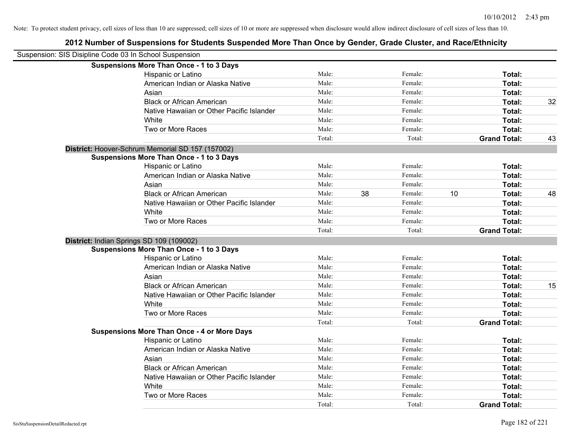| Suspension: SIS Disipline Code 03 In School Suspension |                                                    |        |    |         |    |                     |    |
|--------------------------------------------------------|----------------------------------------------------|--------|----|---------|----|---------------------|----|
|                                                        | <b>Suspensions More Than Once - 1 to 3 Days</b>    |        |    |         |    |                     |    |
|                                                        | Hispanic or Latino                                 | Male:  |    | Female: |    | Total:              |    |
|                                                        | American Indian or Alaska Native                   | Male:  |    | Female: |    | Total:              |    |
|                                                        | Asian                                              | Male:  |    | Female: |    | Total:              |    |
|                                                        | <b>Black or African American</b>                   | Male:  |    | Female: |    | Total:              | 32 |
|                                                        | Native Hawaiian or Other Pacific Islander          | Male:  |    | Female: |    | Total:              |    |
|                                                        | White                                              | Male:  |    | Female: |    | Total:              |    |
|                                                        | Two or More Races                                  | Male:  |    | Female: |    | Total:              |    |
|                                                        |                                                    | Total: |    | Total:  |    | <b>Grand Total:</b> | 43 |
|                                                        | District: Hoover-Schrum Memorial SD 157 (157002)   |        |    |         |    |                     |    |
|                                                        | <b>Suspensions More Than Once - 1 to 3 Days</b>    |        |    |         |    |                     |    |
|                                                        | Hispanic or Latino                                 | Male:  |    | Female: |    | Total:              |    |
|                                                        | American Indian or Alaska Native                   | Male:  |    | Female: |    | Total:              |    |
|                                                        | Asian                                              | Male:  |    | Female: |    | Total:              |    |
|                                                        | <b>Black or African American</b>                   | Male:  | 38 | Female: | 10 | Total:              | 48 |
|                                                        | Native Hawaiian or Other Pacific Islander          | Male:  |    | Female: |    | Total:              |    |
|                                                        | White                                              | Male:  |    | Female: |    | Total:              |    |
|                                                        | Two or More Races                                  | Male:  |    | Female: |    | Total:              |    |
|                                                        |                                                    | Total: |    | Total:  |    | <b>Grand Total:</b> |    |
|                                                        | District: Indian Springs SD 109 (109002)           |        |    |         |    |                     |    |
|                                                        | <b>Suspensions More Than Once - 1 to 3 Days</b>    |        |    |         |    |                     |    |
|                                                        | Hispanic or Latino                                 | Male:  |    | Female: |    | Total:              |    |
|                                                        | American Indian or Alaska Native                   | Male:  |    | Female: |    | Total:              |    |
|                                                        | Asian                                              | Male:  |    | Female: |    | Total:              |    |
|                                                        | <b>Black or African American</b>                   | Male:  |    | Female: |    | Total:              | 15 |
|                                                        | Native Hawaiian or Other Pacific Islander          | Male:  |    | Female: |    | Total:              |    |
|                                                        | White                                              | Male:  |    | Female: |    | Total:              |    |
|                                                        | Two or More Races                                  | Male:  |    | Female: |    | Total:              |    |
|                                                        |                                                    | Total: |    | Total:  |    | <b>Grand Total:</b> |    |
|                                                        | <b>Suspensions More Than Once - 4 or More Days</b> |        |    |         |    |                     |    |
|                                                        | Hispanic or Latino                                 | Male:  |    | Female: |    | Total:              |    |
|                                                        | American Indian or Alaska Native                   | Male:  |    | Female: |    | Total:              |    |
|                                                        | Asian                                              | Male:  |    | Female: |    | Total:              |    |
|                                                        | <b>Black or African American</b>                   | Male:  |    | Female: |    | Total:              |    |
|                                                        | Native Hawaiian or Other Pacific Islander          | Male:  |    | Female: |    | Total:              |    |
|                                                        | White                                              | Male:  |    | Female: |    | Total:              |    |
|                                                        | Two or More Races                                  | Male:  |    | Female: |    | Total:              |    |
|                                                        |                                                    | Total: |    | Total:  |    | <b>Grand Total:</b> |    |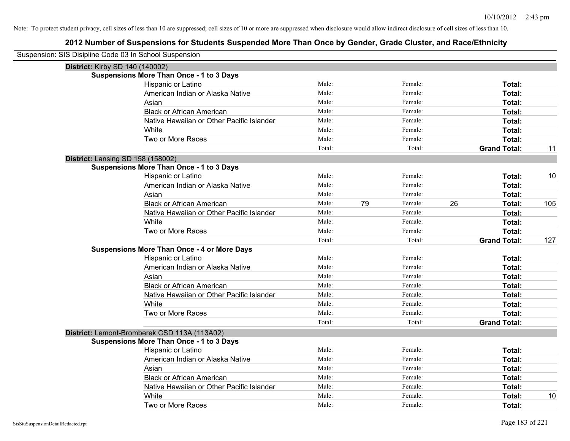| Suspension: SIS Disipline Code 03 In School Suspension |                                                    |        |    |         |    |                     |     |
|--------------------------------------------------------|----------------------------------------------------|--------|----|---------|----|---------------------|-----|
| <b>District: Kirby SD 140 (140002)</b>                 |                                                    |        |    |         |    |                     |     |
|                                                        | <b>Suspensions More Than Once - 1 to 3 Days</b>    |        |    |         |    |                     |     |
|                                                        | Hispanic or Latino                                 | Male:  |    | Female: |    | Total:              |     |
|                                                        | American Indian or Alaska Native                   | Male:  |    | Female: |    | Total:              |     |
|                                                        | Asian                                              | Male:  |    | Female: |    | Total:              |     |
|                                                        | <b>Black or African American</b>                   | Male:  |    | Female: |    | Total:              |     |
|                                                        | Native Hawaiian or Other Pacific Islander          | Male:  |    | Female: |    | Total:              |     |
|                                                        | White                                              | Male:  |    | Female: |    | Total:              |     |
|                                                        | Two or More Races                                  | Male:  |    | Female: |    | Total:              |     |
|                                                        |                                                    | Total: |    | Total:  |    | <b>Grand Total:</b> | 11  |
| <b>District: Lansing SD 158 (158002)</b>               |                                                    |        |    |         |    |                     |     |
|                                                        | <b>Suspensions More Than Once - 1 to 3 Days</b>    |        |    |         |    |                     |     |
|                                                        | Hispanic or Latino                                 | Male:  |    | Female: |    | Total:              | 10  |
|                                                        | American Indian or Alaska Native                   | Male:  |    | Female: |    | Total:              |     |
|                                                        | Asian                                              | Male:  |    | Female: |    | Total:              |     |
|                                                        | <b>Black or African American</b>                   | Male:  | 79 | Female: | 26 | Total:              | 105 |
|                                                        | Native Hawaiian or Other Pacific Islander          | Male:  |    | Female: |    | <b>Total:</b>       |     |
|                                                        | White                                              | Male:  |    | Female: |    | Total:              |     |
|                                                        | Two or More Races                                  | Male:  |    | Female: |    | Total:              |     |
|                                                        |                                                    | Total: |    | Total:  |    | <b>Grand Total:</b> | 127 |
|                                                        | <b>Suspensions More Than Once - 4 or More Days</b> |        |    |         |    |                     |     |
|                                                        | Hispanic or Latino                                 | Male:  |    | Female: |    | Total:              |     |
|                                                        | American Indian or Alaska Native                   | Male:  |    | Female: |    | Total:              |     |
|                                                        | Asian                                              | Male:  |    | Female: |    | Total:              |     |
|                                                        | <b>Black or African American</b>                   | Male:  |    | Female: |    | Total:              |     |
|                                                        | Native Hawaiian or Other Pacific Islander          | Male:  |    | Female: |    | <b>Total:</b>       |     |
|                                                        | White                                              | Male:  |    | Female: |    | Total:              |     |
|                                                        | Two or More Races                                  | Male:  |    | Female: |    | Total:              |     |
|                                                        |                                                    | Total: |    | Total:  |    | <b>Grand Total:</b> |     |
|                                                        | District: Lemont-Bromberek CSD 113A (113A02)       |        |    |         |    |                     |     |
|                                                        | <b>Suspensions More Than Once - 1 to 3 Days</b>    |        |    |         |    |                     |     |
|                                                        | Hispanic or Latino                                 | Male:  |    | Female: |    | Total:              |     |
|                                                        | American Indian or Alaska Native                   | Male:  |    | Female: |    | Total:              |     |
|                                                        | Asian                                              | Male:  |    | Female: |    | Total:              |     |
|                                                        | <b>Black or African American</b>                   | Male:  |    | Female: |    | Total:              |     |
|                                                        | Native Hawaiian or Other Pacific Islander          | Male:  |    | Female: |    | Total:              |     |
|                                                        | White                                              | Male:  |    | Female: |    | <b>Total:</b>       | 10  |
|                                                        | Two or More Races                                  | Male:  |    | Female: |    | Total:              |     |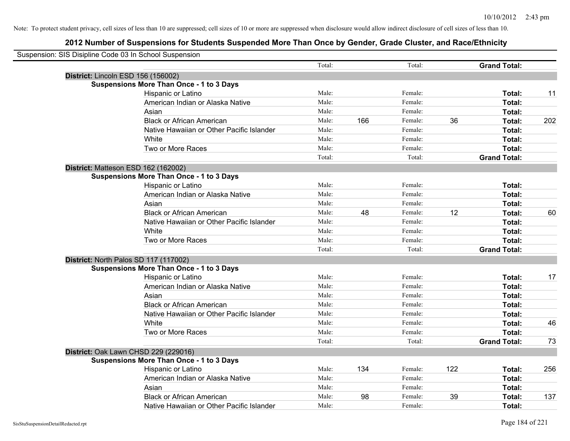| Suspension: SIS Disipline Code 03 In School Suspension |                                                 |        |     |         |     |                     |     |
|--------------------------------------------------------|-------------------------------------------------|--------|-----|---------|-----|---------------------|-----|
|                                                        |                                                 | Total: |     | Total:  |     | <b>Grand Total:</b> |     |
|                                                        | District: Lincoln ESD 156 (156002)              |        |     |         |     |                     |     |
|                                                        | <b>Suspensions More Than Once - 1 to 3 Days</b> |        |     |         |     |                     |     |
|                                                        | Hispanic or Latino                              | Male:  |     | Female: |     | Total:              | 11  |
|                                                        | American Indian or Alaska Native                | Male:  |     | Female: |     | <b>Total:</b>       |     |
|                                                        | Asian                                           | Male:  |     | Female: |     | Total:              |     |
|                                                        | <b>Black or African American</b>                | Male:  | 166 | Female: | 36  | Total:              | 202 |
|                                                        | Native Hawaiian or Other Pacific Islander       | Male:  |     | Female: |     | Total:              |     |
|                                                        | White                                           | Male:  |     | Female: |     | Total:              |     |
|                                                        | Two or More Races                               | Male:  |     | Female: |     | Total:              |     |
|                                                        |                                                 | Total: |     | Total:  |     | <b>Grand Total:</b> |     |
|                                                        | District: Matteson ESD 162 (162002)             |        |     |         |     |                     |     |
|                                                        | <b>Suspensions More Than Once - 1 to 3 Days</b> |        |     |         |     |                     |     |
|                                                        | Hispanic or Latino                              | Male:  |     | Female: |     | Total:              |     |
|                                                        | American Indian or Alaska Native                | Male:  |     | Female: |     | Total:              |     |
|                                                        | Asian                                           | Male:  |     | Female: |     | Total:              |     |
|                                                        | <b>Black or African American</b>                | Male:  | 48  | Female: | 12  | Total:              | 60  |
|                                                        | Native Hawaiian or Other Pacific Islander       | Male:  |     | Female: |     | Total:              |     |
|                                                        | White                                           | Male:  |     | Female: |     | Total:              |     |
|                                                        | Two or More Races                               | Male:  |     | Female: |     | Total:              |     |
|                                                        |                                                 | Total: |     | Total:  |     | <b>Grand Total:</b> |     |
|                                                        | District: North Palos SD 117 (117002)           |        |     |         |     |                     |     |
|                                                        | <b>Suspensions More Than Once - 1 to 3 Days</b> |        |     |         |     |                     |     |
|                                                        | Hispanic or Latino                              | Male:  |     | Female: |     | Total:              | 17  |
|                                                        | American Indian or Alaska Native                | Male:  |     | Female: |     | Total:              |     |
|                                                        | Asian                                           | Male:  |     | Female: |     | Total:              |     |
|                                                        | <b>Black or African American</b>                | Male:  |     | Female: |     | Total:              |     |
|                                                        | Native Hawaiian or Other Pacific Islander       | Male:  |     | Female: |     | Total:              |     |
|                                                        | White                                           | Male:  |     | Female: |     | Total:              | 46  |
|                                                        | Two or More Races                               | Male:  |     | Female: |     | Total:              |     |
|                                                        |                                                 | Total: |     | Total:  |     | <b>Grand Total:</b> | 73  |
|                                                        | District: Oak Lawn CHSD 229 (229016)            |        |     |         |     |                     |     |
|                                                        | <b>Suspensions More Than Once - 1 to 3 Days</b> |        |     |         |     |                     |     |
|                                                        | Hispanic or Latino                              | Male:  | 134 | Female: | 122 | Total:              | 256 |
|                                                        | American Indian or Alaska Native                | Male:  |     | Female: |     | <b>Total:</b>       |     |
|                                                        | Asian                                           | Male:  |     | Female: |     | Total:              |     |
|                                                        | <b>Black or African American</b>                | Male:  | 98  | Female: | 39  | Total:              | 137 |
|                                                        | Native Hawaiian or Other Pacific Islander       | Male:  |     | Female: |     | Total:              |     |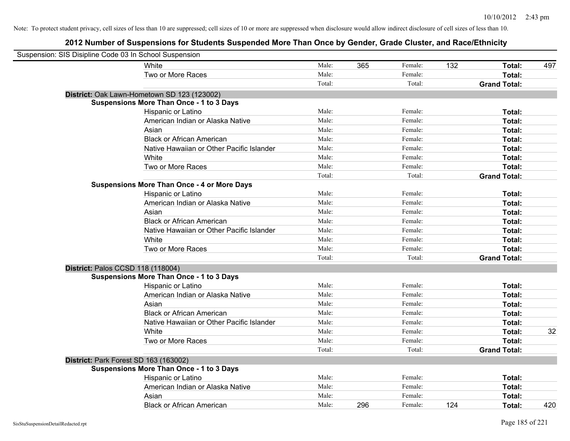| Suspension: SIS Disipline Code 03 In School Suspension |                                                    |        |     |         |     |                     |     |
|--------------------------------------------------------|----------------------------------------------------|--------|-----|---------|-----|---------------------|-----|
|                                                        | White                                              | Male:  | 365 | Female: | 132 | Total:              | 497 |
|                                                        | Two or More Races                                  | Male:  |     | Female: |     | <b>Total:</b>       |     |
|                                                        |                                                    | Total: |     | Total:  |     | <b>Grand Total:</b> |     |
|                                                        | District: Oak Lawn-Hometown SD 123 (123002)        |        |     |         |     |                     |     |
|                                                        | <b>Suspensions More Than Once - 1 to 3 Days</b>    |        |     |         |     |                     |     |
|                                                        | Hispanic or Latino                                 | Male:  |     | Female: |     | Total:              |     |
|                                                        | American Indian or Alaska Native                   | Male:  |     | Female: |     | Total:              |     |
|                                                        | Asian                                              | Male:  |     | Female: |     | Total:              |     |
|                                                        | <b>Black or African American</b>                   | Male:  |     | Female: |     | Total:              |     |
|                                                        | Native Hawaiian or Other Pacific Islander          | Male:  |     | Female: |     | Total:              |     |
|                                                        | White                                              | Male:  |     | Female: |     | Total:              |     |
|                                                        | Two or More Races                                  | Male:  |     | Female: |     | Total:              |     |
|                                                        |                                                    | Total: |     | Total:  |     | <b>Grand Total:</b> |     |
|                                                        | <b>Suspensions More Than Once - 4 or More Days</b> |        |     |         |     |                     |     |
|                                                        | Hispanic or Latino                                 | Male:  |     | Female: |     | Total:              |     |
|                                                        | American Indian or Alaska Native                   | Male:  |     | Female: |     | Total:              |     |
|                                                        | Asian                                              | Male:  |     | Female: |     | Total:              |     |
|                                                        | <b>Black or African American</b>                   | Male:  |     | Female: |     | Total:              |     |
|                                                        | Native Hawaiian or Other Pacific Islander          | Male:  |     | Female: |     | Total:              |     |
|                                                        | White                                              | Male:  |     | Female: |     | Total:              |     |
|                                                        | Two or More Races                                  | Male:  |     | Female: |     | Total:              |     |
|                                                        |                                                    | Total: |     | Total:  |     | <b>Grand Total:</b> |     |
| District: Palos CCSD 118 (118004)                      |                                                    |        |     |         |     |                     |     |
|                                                        | <b>Suspensions More Than Once - 1 to 3 Days</b>    |        |     |         |     |                     |     |
|                                                        | Hispanic or Latino                                 | Male:  |     | Female: |     | Total:              |     |
|                                                        | American Indian or Alaska Native                   | Male:  |     | Female: |     | Total:              |     |
|                                                        | Asian                                              | Male:  |     | Female: |     | Total:              |     |
|                                                        | <b>Black or African American</b>                   | Male:  |     | Female: |     | Total:              |     |
|                                                        | Native Hawaiian or Other Pacific Islander          | Male:  |     | Female: |     | Total:              |     |
|                                                        | White                                              | Male:  |     | Female: |     | Total:              | 32  |
|                                                        | Two or More Races                                  | Male:  |     | Female: |     | Total:              |     |
|                                                        |                                                    | Total: |     | Total:  |     | <b>Grand Total:</b> |     |
| District: Park Forest SD 163 (163002)                  |                                                    |        |     |         |     |                     |     |
|                                                        | <b>Suspensions More Than Once - 1 to 3 Days</b>    |        |     |         |     |                     |     |
|                                                        | Hispanic or Latino                                 | Male:  |     | Female: |     | Total:              |     |
|                                                        | American Indian or Alaska Native                   | Male:  |     | Female: |     | Total:              |     |
|                                                        | Asian                                              | Male:  |     | Female: |     | Total:              |     |
|                                                        | <b>Black or African American</b>                   | Male:  | 296 | Female: | 124 | Total:              | 420 |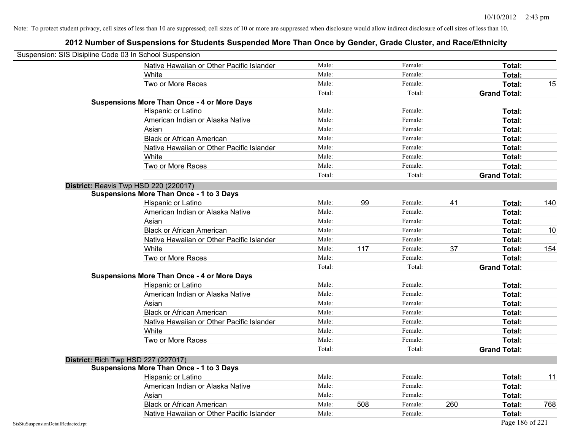| Suspension: SIS Disipline Code 03 In School Suspension |                                                    |        |     |         |     |                     |     |
|--------------------------------------------------------|----------------------------------------------------|--------|-----|---------|-----|---------------------|-----|
|                                                        | Native Hawaiian or Other Pacific Islander          | Male:  |     | Female: |     | Total:              |     |
|                                                        | White                                              | Male:  |     | Female: |     | Total:              |     |
|                                                        | Two or More Races                                  | Male:  |     | Female: |     | Total:              | 15  |
|                                                        |                                                    | Total: |     | Total:  |     | <b>Grand Total:</b> |     |
|                                                        | <b>Suspensions More Than Once - 4 or More Days</b> |        |     |         |     |                     |     |
|                                                        | Hispanic or Latino                                 | Male:  |     | Female: |     | Total:              |     |
|                                                        | American Indian or Alaska Native                   | Male:  |     | Female: |     | Total:              |     |
|                                                        | Asian                                              | Male:  |     | Female: |     | Total:              |     |
|                                                        | <b>Black or African American</b>                   | Male:  |     | Female: |     | Total:              |     |
|                                                        | Native Hawaiian or Other Pacific Islander          | Male:  |     | Female: |     | Total:              |     |
|                                                        | White                                              | Male:  |     | Female: |     | Total:              |     |
|                                                        | Two or More Races                                  | Male:  |     | Female: |     | Total:              |     |
|                                                        |                                                    | Total: |     | Total:  |     | <b>Grand Total:</b> |     |
|                                                        | District: Reavis Twp HSD 220 (220017)              |        |     |         |     |                     |     |
|                                                        | <b>Suspensions More Than Once - 1 to 3 Days</b>    |        |     |         |     |                     |     |
|                                                        | Hispanic or Latino                                 | Male:  | 99  | Female: | 41  | Total:              | 140 |
|                                                        | American Indian or Alaska Native                   | Male:  |     | Female: |     | Total:              |     |
|                                                        | Asian                                              | Male:  |     | Female: |     | Total:              |     |
|                                                        | <b>Black or African American</b>                   | Male:  |     | Female: |     | Total:              | 10  |
|                                                        | Native Hawaiian or Other Pacific Islander          | Male:  |     | Female: |     | Total:              |     |
|                                                        | White                                              | Male:  | 117 | Female: | 37  | Total:              | 154 |
|                                                        | Two or More Races                                  | Male:  |     | Female: |     | Total:              |     |
|                                                        |                                                    | Total: |     | Total:  |     | <b>Grand Total:</b> |     |
|                                                        | <b>Suspensions More Than Once - 4 or More Days</b> |        |     |         |     |                     |     |
|                                                        | Hispanic or Latino                                 | Male:  |     | Female: |     | Total:              |     |
|                                                        | American Indian or Alaska Native                   | Male:  |     | Female: |     | Total:              |     |
|                                                        | Asian                                              | Male:  |     | Female: |     | Total:              |     |
|                                                        | <b>Black or African American</b>                   | Male:  |     | Female: |     | Total:              |     |
|                                                        | Native Hawaiian or Other Pacific Islander          | Male:  |     | Female: |     | Total:              |     |
|                                                        | White                                              | Male:  |     | Female: |     | Total:              |     |
|                                                        | Two or More Races                                  | Male:  |     | Female: |     | Total:              |     |
|                                                        |                                                    | Total: |     | Total:  |     | <b>Grand Total:</b> |     |
|                                                        | District: Rich Twp HSD 227 (227017)                |        |     |         |     |                     |     |
|                                                        | <b>Suspensions More Than Once - 1 to 3 Days</b>    |        |     |         |     |                     |     |
|                                                        | Hispanic or Latino                                 | Male:  |     | Female: |     | Total:              | 11  |
|                                                        | American Indian or Alaska Native                   | Male:  |     | Female: |     | Total:              |     |
|                                                        | Asian                                              | Male:  |     | Female: |     | Total:              |     |
|                                                        | <b>Black or African American</b>                   | Male:  | 508 | Female: | 260 | Total:              | 768 |
|                                                        | Native Hawaiian or Other Pacific Islander          | Male:  |     | Female: |     | Total:              |     |
| SisStuSuspensionDetailRedacted.rpt                     |                                                    |        |     |         |     | Page 186 of 221     |     |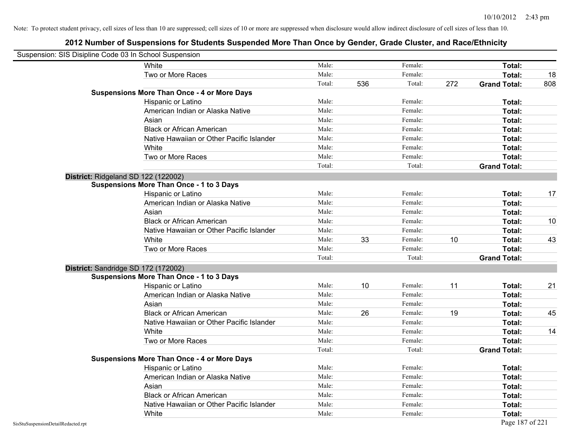| Suspension: SIS Disipline Code 03 In School Suspension |                                                    |        |     |         |     |                     |     |
|--------------------------------------------------------|----------------------------------------------------|--------|-----|---------|-----|---------------------|-----|
|                                                        | White                                              | Male:  |     | Female: |     | <b>Total:</b>       |     |
|                                                        | Two or More Races                                  | Male:  |     | Female: |     | Total:              | 18  |
|                                                        |                                                    | Total: | 536 | Total:  | 272 | <b>Grand Total:</b> | 808 |
|                                                        | <b>Suspensions More Than Once - 4 or More Days</b> |        |     |         |     |                     |     |
|                                                        | Hispanic or Latino                                 | Male:  |     | Female: |     | Total:              |     |
|                                                        | American Indian or Alaska Native                   | Male:  |     | Female: |     | Total:              |     |
|                                                        | Asian                                              | Male:  |     | Female: |     | Total:              |     |
|                                                        | <b>Black or African American</b>                   | Male:  |     | Female: |     | Total:              |     |
|                                                        | Native Hawaiian or Other Pacific Islander          | Male:  |     | Female: |     | Total:              |     |
|                                                        | White                                              | Male:  |     | Female: |     | Total:              |     |
|                                                        | Two or More Races                                  | Male:  |     | Female: |     | Total:              |     |
|                                                        |                                                    | Total: |     | Total:  |     | <b>Grand Total:</b> |     |
|                                                        | District: Ridgeland SD 122 (122002)                |        |     |         |     |                     |     |
|                                                        | <b>Suspensions More Than Once - 1 to 3 Days</b>    |        |     |         |     |                     |     |
|                                                        | Hispanic or Latino                                 | Male:  |     | Female: |     | Total:              | 17  |
|                                                        | American Indian or Alaska Native                   | Male:  |     | Female: |     | <b>Total:</b>       |     |
|                                                        | Asian                                              | Male:  |     | Female: |     | Total:              |     |
|                                                        | <b>Black or African American</b>                   | Male:  |     | Female: |     | Total:              | 10  |
|                                                        | Native Hawaiian or Other Pacific Islander          | Male:  |     | Female: |     | Total:              |     |
|                                                        | White                                              | Male:  | 33  | Female: | 10  | Total:              | 43  |
|                                                        | Two or More Races                                  | Male:  |     | Female: |     | Total:              |     |
|                                                        |                                                    | Total: |     | Total:  |     | <b>Grand Total:</b> |     |
|                                                        | District: Sandridge SD 172 (172002)                |        |     |         |     |                     |     |
|                                                        | <b>Suspensions More Than Once - 1 to 3 Days</b>    |        |     |         |     |                     |     |
|                                                        | Hispanic or Latino                                 | Male:  | 10  | Female: | 11  | Total:              | 21  |
|                                                        | American Indian or Alaska Native                   | Male:  |     | Female: |     | Total:              |     |
|                                                        | Asian                                              | Male:  |     | Female: |     | Total:              |     |
|                                                        | <b>Black or African American</b>                   | Male:  | 26  | Female: | 19  | Total:              | 45  |
|                                                        | Native Hawaiian or Other Pacific Islander          | Male:  |     | Female: |     | Total:              |     |
|                                                        | White                                              | Male:  |     | Female: |     | Total:              | 14  |
|                                                        | Two or More Races                                  | Male:  |     | Female: |     | Total:              |     |
|                                                        |                                                    | Total: |     | Total:  |     | <b>Grand Total:</b> |     |
|                                                        | <b>Suspensions More Than Once - 4 or More Days</b> |        |     |         |     |                     |     |
|                                                        | Hispanic or Latino                                 | Male:  |     | Female: |     | Total:              |     |
|                                                        | American Indian or Alaska Native                   | Male:  |     | Female: |     | Total:              |     |
|                                                        | Asian                                              | Male:  |     | Female: |     | Total:              |     |
|                                                        | <b>Black or African American</b>                   | Male:  |     | Female: |     | Total:              |     |
|                                                        | Native Hawaiian or Other Pacific Islander          | Male:  |     | Female: |     | Total:              |     |
|                                                        | White                                              | Male:  |     | Female: |     | Total:              |     |
| SisStuSuspensionDetailRedacted.rpt                     |                                                    |        |     |         |     | Page 187 of 221     |     |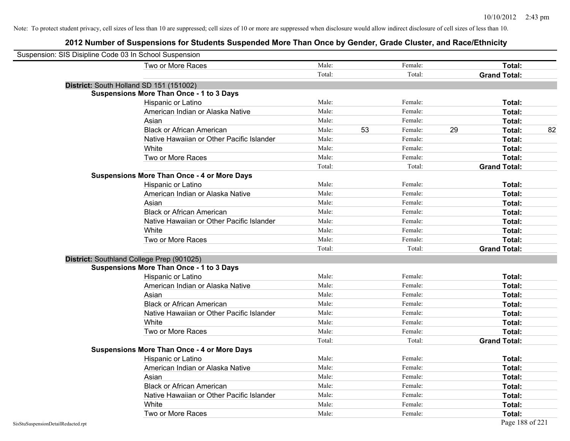| Suspension: SIS Disipline Code 03 In School Suspension |                                                    |        |    |         |    |                     |    |
|--------------------------------------------------------|----------------------------------------------------|--------|----|---------|----|---------------------|----|
|                                                        | Two or More Races                                  | Male:  |    | Female: |    | Total:              |    |
|                                                        |                                                    | Total: |    | Total:  |    | <b>Grand Total:</b> |    |
|                                                        | District: South Holland SD 151 (151002)            |        |    |         |    |                     |    |
|                                                        | <b>Suspensions More Than Once - 1 to 3 Days</b>    |        |    |         |    |                     |    |
|                                                        | Hispanic or Latino                                 | Male:  |    | Female: |    | Total:              |    |
|                                                        | American Indian or Alaska Native                   | Male:  |    | Female: |    | Total:              |    |
|                                                        | Asian                                              | Male:  |    | Female: |    | Total:              |    |
|                                                        | <b>Black or African American</b>                   | Male:  | 53 | Female: | 29 | Total:              | 82 |
|                                                        | Native Hawaiian or Other Pacific Islander          | Male:  |    | Female: |    | Total:              |    |
|                                                        | White                                              | Male:  |    | Female: |    | Total:              |    |
|                                                        | Two or More Races                                  | Male:  |    | Female: |    | Total:              |    |
|                                                        |                                                    | Total: |    | Total:  |    | <b>Grand Total:</b> |    |
|                                                        | <b>Suspensions More Than Once - 4 or More Days</b> |        |    |         |    |                     |    |
|                                                        | Hispanic or Latino                                 | Male:  |    | Female: |    | Total:              |    |
|                                                        | American Indian or Alaska Native                   | Male:  |    | Female: |    | Total:              |    |
|                                                        | Asian                                              | Male:  |    | Female: |    | Total:              |    |
|                                                        | <b>Black or African American</b>                   | Male:  |    | Female: |    | Total:              |    |
|                                                        | Native Hawaiian or Other Pacific Islander          | Male:  |    | Female: |    | Total:              |    |
|                                                        | White                                              | Male:  |    | Female: |    | Total:              |    |
|                                                        | Two or More Races                                  | Male:  |    | Female: |    | Total:              |    |
|                                                        |                                                    | Total: |    | Total:  |    | <b>Grand Total:</b> |    |
|                                                        | District: Southland College Prep (901025)          |        |    |         |    |                     |    |
|                                                        | <b>Suspensions More Than Once - 1 to 3 Days</b>    |        |    |         |    |                     |    |
|                                                        | Hispanic or Latino                                 | Male:  |    | Female: |    | Total:              |    |
|                                                        | American Indian or Alaska Native                   | Male:  |    | Female: |    | Total:              |    |
|                                                        | Asian                                              | Male:  |    | Female: |    | Total:              |    |
|                                                        | <b>Black or African American</b>                   | Male:  |    | Female: |    | Total:              |    |
|                                                        | Native Hawaiian or Other Pacific Islander          | Male:  |    | Female: |    | Total:              |    |
|                                                        | White                                              | Male:  |    | Female: |    | Total:              |    |
|                                                        | Two or More Races                                  | Male:  |    | Female: |    | Total:              |    |
|                                                        |                                                    | Total: |    | Total:  |    | <b>Grand Total:</b> |    |
|                                                        | <b>Suspensions More Than Once - 4 or More Days</b> |        |    |         |    |                     |    |
|                                                        | Hispanic or Latino                                 | Male:  |    | Female: |    | Total:              |    |
|                                                        | American Indian or Alaska Native                   | Male:  |    | Female: |    | Total:              |    |
|                                                        | Asian                                              | Male:  |    | Female: |    | Total:              |    |
|                                                        | <b>Black or African American</b>                   | Male:  |    | Female: |    | Total:              |    |
|                                                        | Native Hawaiian or Other Pacific Islander          | Male:  |    | Female: |    | Total:              |    |
|                                                        | White                                              | Male:  |    | Female: |    | Total:              |    |
|                                                        | Two or More Races                                  | Male:  |    | Female: |    | Total:              |    |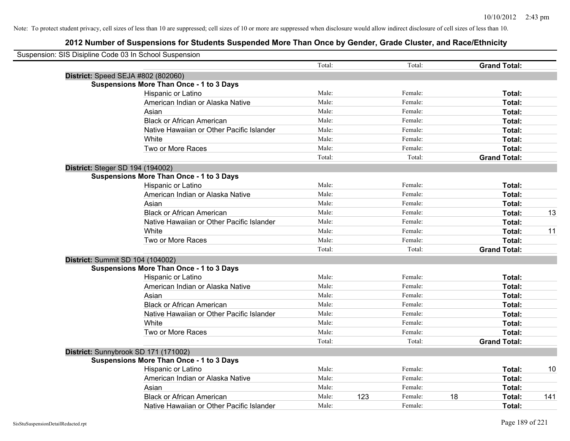| Suspension: SIS Disipline Code 03 In School Suspension |        |                |                     |     |
|--------------------------------------------------------|--------|----------------|---------------------|-----|
|                                                        | Total: | Total:         | <b>Grand Total:</b> |     |
| District: Speed SEJA #802 (802060)                     |        |                |                     |     |
| <b>Suspensions More Than Once - 1 to 3 Days</b>        |        |                |                     |     |
| Hispanic or Latino                                     | Male:  | Female:        | Total:              |     |
| American Indian or Alaska Native                       | Male:  | Female:        | Total:              |     |
| Asian                                                  | Male:  | Female:        | Total:              |     |
| <b>Black or African American</b>                       | Male:  | Female:        | Total:              |     |
| Native Hawaiian or Other Pacific Islander              | Male:  | Female:        | Total:              |     |
| White                                                  | Male:  | Female:        | Total:              |     |
| Two or More Races                                      | Male:  | Female:        | Total:              |     |
|                                                        | Total: | Total:         | <b>Grand Total:</b> |     |
| District: Steger SD 194 (194002)                       |        |                |                     |     |
| <b>Suspensions More Than Once - 1 to 3 Days</b>        |        |                |                     |     |
| Hispanic or Latino                                     | Male:  | Female:        | Total:              |     |
| American Indian or Alaska Native                       | Male:  | Female:        | Total:              |     |
| Asian                                                  | Male:  | Female:        | Total:              |     |
| <b>Black or African American</b>                       | Male:  | Female:        | Total:              | 13  |
| Native Hawaiian or Other Pacific Islander              | Male:  | Female:        | Total:              |     |
| White                                                  | Male:  | Female:        | Total:              | 11  |
| Two or More Races                                      | Male:  | Female:        | Total:              |     |
|                                                        | Total: | Total:         | <b>Grand Total:</b> |     |
| <b>District: Summit SD 104 (104002)</b>                |        |                |                     |     |
| <b>Suspensions More Than Once - 1 to 3 Days</b>        |        |                |                     |     |
| Hispanic or Latino                                     | Male:  | Female:        | Total:              |     |
| American Indian or Alaska Native                       | Male:  | Female:        | Total:              |     |
| Asian                                                  | Male:  | Female:        | Total:              |     |
| <b>Black or African American</b>                       | Male:  | Female:        | Total:              |     |
| Native Hawaiian or Other Pacific Islander              | Male:  | Female:        | Total:              |     |
| White                                                  | Male:  | Female:        | Total:              |     |
| Two or More Races                                      | Male:  | Female:        | Total:              |     |
|                                                        | Total: | Total:         | <b>Grand Total:</b> |     |
| District: Sunnybrook SD 171 (171002)                   |        |                |                     |     |
| <b>Suspensions More Than Once - 1 to 3 Days</b>        |        |                |                     |     |
| Hispanic or Latino                                     | Male:  | Female:        | Total:              | 10  |
| American Indian or Alaska Native                       | Male:  | Female:        | Total:              |     |
| Asian                                                  | Male:  | Female:        | Total:              |     |
| <b>Black or African American</b>                       | Male:  | Female:<br>123 | 18<br>Total:        | 141 |
| Native Hawaiian or Other Pacific Islander              | Male:  | Female:        | Total:              |     |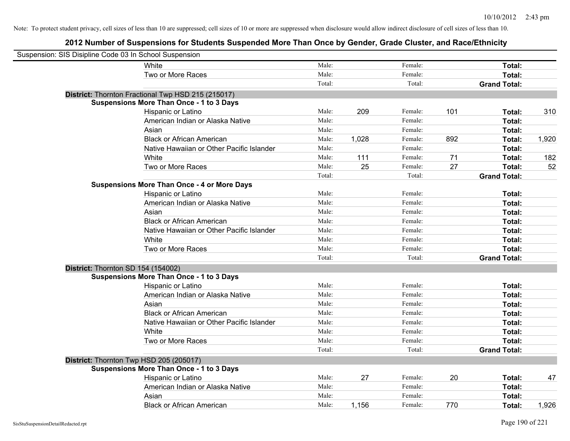| Suspension: SIS Disipline Code 03 In School Suspension |                                                    |        |       |         |     |                     |       |
|--------------------------------------------------------|----------------------------------------------------|--------|-------|---------|-----|---------------------|-------|
|                                                        | White                                              | Male:  |       | Female: |     | Total:              |       |
|                                                        | Two or More Races                                  | Male:  |       | Female: |     | Total:              |       |
|                                                        |                                                    | Total: |       | Total:  |     | <b>Grand Total:</b> |       |
|                                                        | District: Thornton Fractional Twp HSD 215 (215017) |        |       |         |     |                     |       |
|                                                        | <b>Suspensions More Than Once - 1 to 3 Days</b>    |        |       |         |     |                     |       |
|                                                        | Hispanic or Latino                                 | Male:  | 209   | Female: | 101 | Total:              | 310   |
|                                                        | American Indian or Alaska Native                   | Male:  |       | Female: |     | Total:              |       |
|                                                        | Asian                                              | Male:  |       | Female: |     | Total:              |       |
|                                                        | <b>Black or African American</b>                   | Male:  | 1,028 | Female: | 892 | Total:              | 1,920 |
|                                                        | Native Hawaiian or Other Pacific Islander          | Male:  |       | Female: |     | Total:              |       |
|                                                        | White                                              | Male:  | 111   | Female: | 71  | Total:              | 182   |
|                                                        | Two or More Races                                  | Male:  | 25    | Female: | 27  | Total:              | 52    |
|                                                        |                                                    | Total: |       | Total:  |     | <b>Grand Total:</b> |       |
|                                                        | <b>Suspensions More Than Once - 4 or More Days</b> |        |       |         |     |                     |       |
|                                                        | Hispanic or Latino                                 | Male:  |       | Female: |     | Total:              |       |
|                                                        | American Indian or Alaska Native                   | Male:  |       | Female: |     | Total:              |       |
|                                                        | Asian                                              | Male:  |       | Female: |     | Total:              |       |
|                                                        | <b>Black or African American</b>                   | Male:  |       | Female: |     | Total:              |       |
|                                                        | Native Hawaiian or Other Pacific Islander          | Male:  |       | Female: |     | Total:              |       |
|                                                        | White                                              | Male:  |       | Female: |     | Total:              |       |
|                                                        | Two or More Races                                  | Male:  |       | Female: |     | Total:              |       |
|                                                        |                                                    | Total: |       | Total:  |     | <b>Grand Total:</b> |       |
| District: Thornton SD 154 (154002)                     |                                                    |        |       |         |     |                     |       |
|                                                        | <b>Suspensions More Than Once - 1 to 3 Days</b>    |        |       |         |     |                     |       |
|                                                        | Hispanic or Latino                                 | Male:  |       | Female: |     | Total:              |       |
|                                                        | American Indian or Alaska Native                   | Male:  |       | Female: |     | Total:              |       |
|                                                        | Asian                                              | Male:  |       | Female: |     | Total:              |       |
|                                                        | <b>Black or African American</b>                   | Male:  |       | Female: |     | Total:              |       |
|                                                        | Native Hawaiian or Other Pacific Islander          | Male:  |       | Female: |     | Total:              |       |
|                                                        | White                                              | Male:  |       | Female: |     | Total:              |       |
|                                                        | Two or More Races                                  | Male:  |       | Female: |     | Total:              |       |
|                                                        |                                                    | Total: |       | Total:  |     | <b>Grand Total:</b> |       |
|                                                        | District: Thornton Twp HSD 205 (205017)            |        |       |         |     |                     |       |
|                                                        | <b>Suspensions More Than Once - 1 to 3 Days</b>    |        |       |         |     |                     |       |
|                                                        | Hispanic or Latino                                 | Male:  | 27    | Female: | 20  | Total:              | 47    |
|                                                        | American Indian or Alaska Native                   | Male:  |       | Female: |     | Total:              |       |
|                                                        | Asian                                              | Male:  |       | Female: |     | <b>Total:</b>       |       |
|                                                        | <b>Black or African American</b>                   | Male:  | 1,156 | Female: | 770 | Total:              | 1,926 |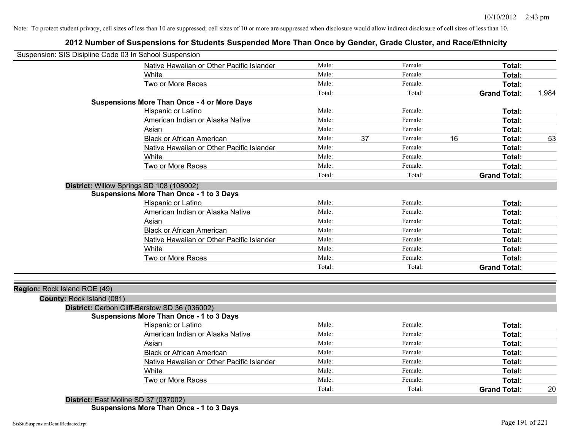## **2012 Number of Suspensions for Students Suspended More Than Once by Gender, Grade Cluster, and Race/Ethnicity**

| Suspension: SIS Disipline Code 03 In School Suspension |                                                    |        |    |         |    |                     |       |
|--------------------------------------------------------|----------------------------------------------------|--------|----|---------|----|---------------------|-------|
|                                                        | Native Hawaiian or Other Pacific Islander          | Male:  |    | Female: |    | Total:              |       |
|                                                        | White                                              | Male:  |    | Female: |    | Total:              |       |
|                                                        | Two or More Races                                  | Male:  |    | Female: |    | Total:              |       |
|                                                        |                                                    | Total: |    | Total:  |    | <b>Grand Total:</b> | 1,984 |
|                                                        | <b>Suspensions More Than Once - 4 or More Days</b> |        |    |         |    |                     |       |
|                                                        | Hispanic or Latino                                 | Male:  |    | Female: |    | Total:              |       |
|                                                        | American Indian or Alaska Native                   | Male:  |    | Female: |    | Total:              |       |
|                                                        | Asian                                              | Male:  |    | Female: |    | Total:              |       |
|                                                        | <b>Black or African American</b>                   | Male:  | 37 | Female: | 16 | Total:              | 53    |
|                                                        | Native Hawaiian or Other Pacific Islander          | Male:  |    | Female: |    | Total:              |       |
|                                                        | White                                              | Male:  |    | Female: |    | Total:              |       |
|                                                        | Two or More Races                                  | Male:  |    | Female: |    | Total:              |       |
|                                                        |                                                    | Total: |    | Total:  |    | <b>Grand Total:</b> |       |
|                                                        | District: Willow Springs SD 108 (108002)           |        |    |         |    |                     |       |
|                                                        | <b>Suspensions More Than Once - 1 to 3 Days</b>    |        |    |         |    |                     |       |
|                                                        | Hispanic or Latino                                 | Male:  |    | Female: |    | Total:              |       |
|                                                        | American Indian or Alaska Native                   | Male:  |    | Female: |    | Total:              |       |
|                                                        | Asian                                              | Male:  |    | Female: |    | Total:              |       |
|                                                        | <b>Black or African American</b>                   | Male:  |    | Female: |    | Total:              |       |
|                                                        | Native Hawaiian or Other Pacific Islander          | Male:  |    | Female: |    | Total:              |       |
|                                                        | White                                              | Male:  |    | Female: |    | Total:              |       |
|                                                        | Two or More Races                                  | Male:  |    | Female: |    | <b>Total:</b>       |       |
|                                                        |                                                    | Total: |    | Total:  |    | <b>Grand Total:</b> |       |
|                                                        |                                                    |        |    |         |    |                     |       |
| Region: Rock Island ROE (49)                           |                                                    |        |    |         |    |                     |       |
| County: Rock Island (081)                              |                                                    |        |    |         |    |                     |       |
|                                                        | District: Carbon Cliff-Barstow SD 36 (036002)      |        |    |         |    |                     |       |
|                                                        | <b>Suspensions More Than Once - 1 to 3 Days</b>    |        |    |         |    |                     |       |
|                                                        | Hispanic or Latino                                 | Male:  |    | Female: |    | Total:              |       |
|                                                        | American Indian or Alaska Native                   | Male:  |    | Female: |    | Total:              |       |
|                                                        | Asian                                              | Male:  |    | Female: |    | Total:              |       |
|                                                        | <b>Black or African American</b>                   | Male:  |    | Female: |    | Total:              |       |
|                                                        | Native Hawaiian or Other Pacific Islander          | Male:  |    | Female: |    | Total:              |       |
|                                                        | White                                              | Male:  |    | Female: |    | Total:              |       |
|                                                        | Two or More Races                                  | Male:  |    | Female: |    | Total:              |       |
|                                                        |                                                    | Total: |    | Total:  |    | <b>Grand Total:</b> | 20    |
|                                                        | $Dimitation$ $Tast$ Meline CD 27 (027002)          |        |    |         |    |                     |       |

**District:** East Moline SD 37 (037002) **Suspensions More Than Once - 1 to 3 Days**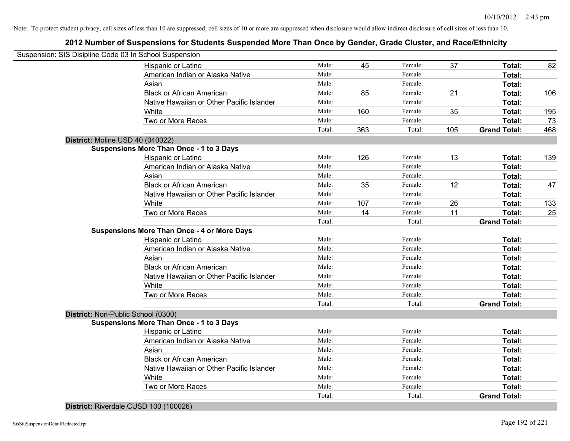## **2012 Number of Suspensions for Students Suspended More Than Once by Gender, Grade Cluster, and Race/Ethnicity**

| Suspension: SIS Disipline Code 03 In School Suspension |        |     |         |     |                     |     |
|--------------------------------------------------------|--------|-----|---------|-----|---------------------|-----|
| Hispanic or Latino                                     | Male:  | 45  | Female: | 37  | Total:              | 82  |
| American Indian or Alaska Native                       | Male:  |     | Female: |     | Total:              |     |
| Asian                                                  | Male:  |     | Female: |     | Total:              |     |
| <b>Black or African American</b>                       | Male:  | 85  | Female: | 21  | Total:              | 106 |
| Native Hawaiian or Other Pacific Islander              | Male:  |     | Female: |     | Total:              |     |
| White                                                  | Male:  | 160 | Female: | 35  | Total:              | 195 |
| Two or More Races                                      | Male:  |     | Female: |     | Total:              | 73  |
|                                                        | Total: | 363 | Total:  | 105 | <b>Grand Total:</b> | 468 |
| District: Moline USD 40 (040022)                       |        |     |         |     |                     |     |
| <b>Suspensions More Than Once - 1 to 3 Days</b>        |        |     |         |     |                     |     |
| Hispanic or Latino                                     | Male:  | 126 | Female: | 13  | Total:              | 139 |
| American Indian or Alaska Native                       | Male:  |     | Female: |     | Total:              |     |
| Asian                                                  | Male:  |     | Female: |     | Total:              |     |
| <b>Black or African American</b>                       | Male:  | 35  | Female: | 12  | Total:              | 47  |
| Native Hawaiian or Other Pacific Islander              | Male:  |     | Female: |     | Total:              |     |
| White                                                  | Male:  | 107 | Female: | 26  | Total:              | 133 |
| Two or More Races                                      | Male:  | 14  | Female: | 11  | Total:              | 25  |
|                                                        | Total: |     | Total:  |     | <b>Grand Total:</b> |     |
| <b>Suspensions More Than Once - 4 or More Days</b>     |        |     |         |     |                     |     |
| Hispanic or Latino                                     | Male:  |     | Female: |     | Total:              |     |
| American Indian or Alaska Native                       | Male:  |     | Female: |     | Total:              |     |
| Asian                                                  | Male:  |     | Female: |     | Total:              |     |
| <b>Black or African American</b>                       | Male:  |     | Female: |     | Total:              |     |
| Native Hawaiian or Other Pacific Islander              | Male:  |     | Female: |     | Total:              |     |
| White                                                  | Male:  |     | Female: |     | Total:              |     |
| Two or More Races                                      | Male:  |     | Female: |     | Total:              |     |
|                                                        | Total: |     | Total:  |     | <b>Grand Total:</b> |     |
| District: Non-Public School (0300)                     |        |     |         |     |                     |     |
| <b>Suspensions More Than Once - 1 to 3 Days</b>        |        |     |         |     |                     |     |
| Hispanic or Latino                                     | Male:  |     | Female: |     | Total:              |     |
| American Indian or Alaska Native                       | Male:  |     | Female: |     | Total:              |     |
| Asian                                                  | Male:  |     | Female: |     | Total:              |     |
| <b>Black or African American</b>                       | Male:  |     | Female: |     | Total:              |     |
| Native Hawaiian or Other Pacific Islander              | Male:  |     | Female: |     | Total:              |     |
| White                                                  | Male:  |     | Female: |     | Total:              |     |
| Two or More Races                                      | Male:  |     | Female: |     | Total:              |     |
|                                                        | Total: |     | Total:  |     | <b>Grand Total:</b> |     |

**District:** Riverdale CUSD 100 (100026)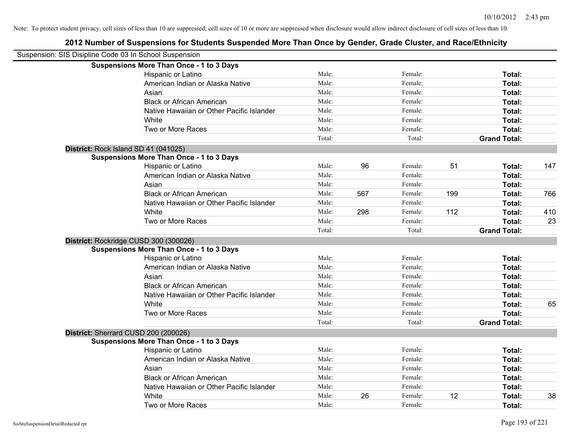| Suspension: SIS Disipline Code 03 In School Suspension |                                                 |        |     |         |     |                     |     |
|--------------------------------------------------------|-------------------------------------------------|--------|-----|---------|-----|---------------------|-----|
|                                                        | <b>Suspensions More Than Once - 1 to 3 Days</b> |        |     |         |     |                     |     |
|                                                        | Hispanic or Latino                              | Male:  |     | Female: |     | Total:              |     |
|                                                        | American Indian or Alaska Native                | Male:  |     | Female: |     | Total:              |     |
|                                                        | Asian                                           | Male:  |     | Female: |     | Total:              |     |
|                                                        | <b>Black or African American</b>                | Male:  |     | Female: |     | Total:              |     |
|                                                        | Native Hawaiian or Other Pacific Islander       | Male:  |     | Female: |     | Total:              |     |
|                                                        | White                                           | Male:  |     | Female: |     | Total:              |     |
|                                                        | Two or More Races                               | Male:  |     | Female: |     | Total:              |     |
|                                                        |                                                 | Total: |     | Total:  |     | <b>Grand Total:</b> |     |
|                                                        | District: Rock Island SD 41 (041025)            |        |     |         |     |                     |     |
|                                                        | <b>Suspensions More Than Once - 1 to 3 Days</b> |        |     |         |     |                     |     |
|                                                        | Hispanic or Latino                              | Male:  | 96  | Female: | 51  | Total:              | 147 |
|                                                        | American Indian or Alaska Native                | Male:  |     | Female: |     | Total:              |     |
|                                                        | Asian                                           | Male:  |     | Female: |     | Total:              |     |
|                                                        | <b>Black or African American</b>                | Male:  | 567 | Female: | 199 | Total:              | 766 |
|                                                        | Native Hawaiian or Other Pacific Islander       | Male:  |     | Female: |     | Total:              |     |
|                                                        | White                                           | Male:  | 298 | Female: | 112 | Total:              | 410 |
|                                                        | Two or More Races                               | Male:  |     | Female: |     | Total:              | 23  |
|                                                        |                                                 | Total: |     | Total:  |     | <b>Grand Total:</b> |     |
|                                                        | District: Rockridge CUSD 300 (300026)           |        |     |         |     |                     |     |
|                                                        | <b>Suspensions More Than Once - 1 to 3 Days</b> |        |     |         |     |                     |     |
|                                                        | Hispanic or Latino                              | Male:  |     | Female: |     | Total:              |     |
|                                                        | American Indian or Alaska Native                | Male:  |     | Female: |     | Total:              |     |
|                                                        | Asian                                           | Male:  |     | Female: |     | Total:              |     |
|                                                        | <b>Black or African American</b>                | Male:  |     | Female: |     | Total:              |     |
|                                                        | Native Hawaiian or Other Pacific Islander       | Male:  |     | Female: |     | Total:              |     |
|                                                        | White                                           | Male:  |     | Female: |     | Total:              | 65  |
|                                                        | Two or More Races                               | Male:  |     | Female: |     | Total:              |     |
|                                                        |                                                 | Total: |     | Total:  |     | <b>Grand Total:</b> |     |
|                                                        | District: Sherrard CUSD 200 (200026)            |        |     |         |     |                     |     |
|                                                        | <b>Suspensions More Than Once - 1 to 3 Days</b> |        |     |         |     |                     |     |
|                                                        | Hispanic or Latino                              | Male:  |     | Female: |     | Total:              |     |
|                                                        | American Indian or Alaska Native                | Male:  |     | Female: |     | Total:              |     |
|                                                        | Asian                                           | Male:  |     | Female: |     | Total:              |     |
|                                                        | <b>Black or African American</b>                | Male:  |     | Female: |     | Total:              |     |
|                                                        | Native Hawaiian or Other Pacific Islander       | Male:  |     | Female: |     | Total:              |     |
|                                                        | White                                           | Male:  | 26  | Female: | 12  | <b>Total:</b>       | 38  |
|                                                        | Two or More Races                               | Male:  |     | Female: |     | Total:              |     |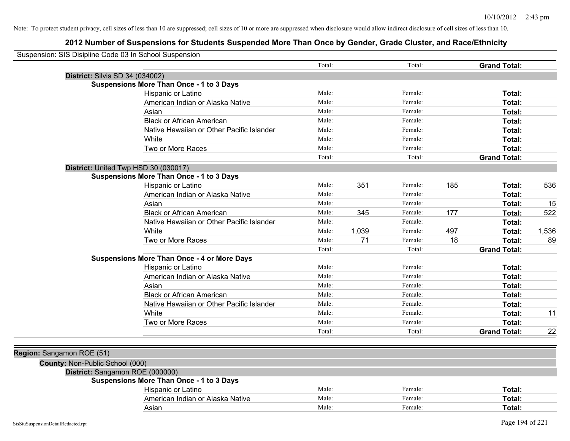| Suspension: SIS Disipline Code 03 In School Suspension |        |       |         |     |                     |       |
|--------------------------------------------------------|--------|-------|---------|-----|---------------------|-------|
|                                                        | Total: |       | Total:  |     | <b>Grand Total:</b> |       |
| <b>District: Silvis SD 34 (034002)</b>                 |        |       |         |     |                     |       |
| <b>Suspensions More Than Once - 1 to 3 Days</b>        |        |       |         |     |                     |       |
| Hispanic or Latino                                     | Male:  |       | Female: |     | Total:              |       |
| American Indian or Alaska Native                       | Male:  |       | Female: |     | Total:              |       |
| Asian                                                  | Male:  |       | Female: |     | Total:              |       |
| <b>Black or African American</b>                       | Male:  |       | Female: |     | Total:              |       |
| Native Hawaiian or Other Pacific Islander              | Male:  |       | Female: |     | Total:              |       |
| White                                                  | Male:  |       | Female: |     | Total:              |       |
| Two or More Races                                      | Male:  |       | Female: |     | Total:              |       |
|                                                        | Total: |       | Total:  |     | <b>Grand Total:</b> |       |
| District: United Twp HSD 30 (030017)                   |        |       |         |     |                     |       |
| <b>Suspensions More Than Once - 1 to 3 Days</b>        |        |       |         |     |                     |       |
| Hispanic or Latino                                     | Male:  | 351   | Female: | 185 | Total:              | 536   |
| American Indian or Alaska Native                       | Male:  |       | Female: |     | Total:              |       |
| Asian                                                  | Male:  |       | Female: |     | Total:              | 15    |
| <b>Black or African American</b>                       | Male:  | 345   | Female: | 177 | Total:              | 522   |
| Native Hawaiian or Other Pacific Islander              | Male:  |       | Female: |     | Total:              |       |
| White                                                  | Male:  | 1,039 | Female: | 497 | Total:              | 1,536 |
| Two or More Races                                      | Male:  | 71    | Female: | 18  | Total:              | 89    |
|                                                        | Total: |       | Total:  |     | <b>Grand Total:</b> |       |
| <b>Suspensions More Than Once - 4 or More Days</b>     |        |       |         |     |                     |       |
| Hispanic or Latino                                     | Male:  |       | Female: |     | Total:              |       |
| American Indian or Alaska Native                       | Male:  |       | Female: |     | Total:              |       |
| Asian                                                  | Male:  |       | Female: |     | Total:              |       |
| <b>Black or African American</b>                       | Male:  |       | Female: |     | Total:              |       |
| Native Hawaiian or Other Pacific Islander              | Male:  |       | Female: |     | Total:              |       |
| White                                                  | Male:  |       | Female: |     | Total:              | 11    |
| Two or More Races                                      | Male:  |       | Female: |     | <b>Total:</b>       |       |
|                                                        | Total: |       | Total:  |     | <b>Grand Total:</b> | 22    |
|                                                        |        |       |         |     |                     |       |
| Region: Sangamon ROE (51)                              |        |       |         |     |                     |       |
| County: Non-Public School (000)                        |        |       |         |     |                     |       |
| District: Sangamon ROE (000000)                        |        |       |         |     |                     |       |
| <b>Suspensions More Than Once - 1 to 3 Days</b>        |        |       |         |     |                     |       |
| Hispanic or Latino                                     | Male:  |       | Female: |     | Total:              |       |
| American Indian or Alaska Native                       | Male:  |       | Female: |     | Total:              |       |
| Asian                                                  | Male:  |       | Female: |     | Total:              |       |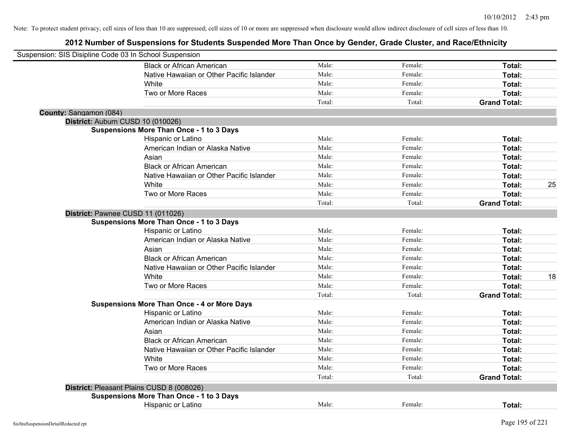| Suspension: SIS Disipline Code 03 In School Suspension |                                                    |        |         |                     |    |
|--------------------------------------------------------|----------------------------------------------------|--------|---------|---------------------|----|
|                                                        | <b>Black or African American</b>                   | Male:  | Female: | Total:              |    |
|                                                        | Native Hawaiian or Other Pacific Islander          | Male:  | Female: | Total:              |    |
|                                                        | White                                              | Male:  | Female: | Total:              |    |
|                                                        | Two or More Races                                  | Male:  | Female: | Total:              |    |
|                                                        |                                                    | Total: | Total:  | <b>Grand Total:</b> |    |
| County: Sangamon (084)                                 |                                                    |        |         |                     |    |
|                                                        | District: Auburn CUSD 10 (010026)                  |        |         |                     |    |
|                                                        | <b>Suspensions More Than Once - 1 to 3 Days</b>    |        |         |                     |    |
|                                                        | Hispanic or Latino                                 | Male:  | Female: | Total:              |    |
|                                                        | American Indian or Alaska Native                   | Male:  | Female: | Total:              |    |
|                                                        | Asian                                              | Male:  | Female: | Total:              |    |
|                                                        | <b>Black or African American</b>                   | Male:  | Female: | Total:              |    |
|                                                        | Native Hawaiian or Other Pacific Islander          | Male:  | Female: | Total:              |    |
|                                                        | White                                              | Male:  | Female: | Total:              | 25 |
|                                                        | Two or More Races                                  | Male:  | Female: | Total:              |    |
|                                                        |                                                    | Total: | Total:  | <b>Grand Total:</b> |    |
|                                                        | District: Pawnee CUSD 11 (011026)                  |        |         |                     |    |
|                                                        | <b>Suspensions More Than Once - 1 to 3 Days</b>    |        |         |                     |    |
|                                                        | Hispanic or Latino                                 | Male:  | Female: | Total:              |    |
|                                                        | American Indian or Alaska Native                   | Male:  | Female: | Total:              |    |
|                                                        | Asian                                              | Male:  | Female: | Total:              |    |
|                                                        | <b>Black or African American</b>                   | Male:  | Female: | Total:              |    |
|                                                        | Native Hawaiian or Other Pacific Islander          | Male:  | Female: | Total:              |    |
|                                                        | White                                              | Male:  | Female: | Total:              | 18 |
|                                                        | Two or More Races                                  | Male:  | Female: | Total:              |    |
|                                                        |                                                    | Total: | Total:  | <b>Grand Total:</b> |    |
|                                                        | <b>Suspensions More Than Once - 4 or More Days</b> |        |         |                     |    |
|                                                        | Hispanic or Latino                                 | Male:  | Female: | Total:              |    |
|                                                        | American Indian or Alaska Native                   | Male:  | Female: | Total:              |    |
|                                                        | Asian                                              | Male:  | Female: | Total:              |    |
|                                                        | <b>Black or African American</b>                   | Male:  | Female: | Total:              |    |
|                                                        | Native Hawaiian or Other Pacific Islander          | Male:  | Female: | Total:              |    |
|                                                        | White                                              | Male:  | Female: | Total:              |    |
|                                                        | Two or More Races                                  | Male:  | Female: | Total:              |    |
|                                                        |                                                    | Total: | Total:  | <b>Grand Total:</b> |    |
|                                                        | District: Pleasant Plains CUSD 8 (008026)          |        |         |                     |    |
|                                                        | <b>Suspensions More Than Once - 1 to 3 Days</b>    |        |         |                     |    |
|                                                        | <b>Hispanic or Latino</b>                          | Male:  | Female: | Total:              |    |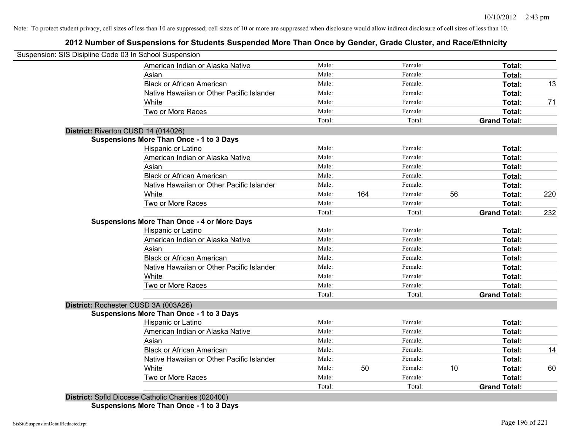## **2012 Number of Suspensions for Students Suspended More Than Once by Gender, Grade Cluster, and Race/Ethnicity**

| Suspension: SIS Disipline Code 03 In School Suspension |        |     |         |    |                     |     |
|--------------------------------------------------------|--------|-----|---------|----|---------------------|-----|
| American Indian or Alaska Native                       | Male:  |     | Female: |    | Total:              |     |
| Asian                                                  | Male:  |     | Female: |    | Total:              |     |
| <b>Black or African American</b>                       | Male:  |     | Female: |    | Total:              | 13  |
| Native Hawaiian or Other Pacific Islander              | Male:  |     | Female: |    | Total:              |     |
| White                                                  | Male:  |     | Female: |    | Total:              | 71  |
| Two or More Races                                      | Male:  |     | Female: |    | Total:              |     |
|                                                        | Total: |     | Total:  |    | <b>Grand Total:</b> |     |
| District: Riverton CUSD 14 (014026)                    |        |     |         |    |                     |     |
| <b>Suspensions More Than Once - 1 to 3 Days</b>        |        |     |         |    |                     |     |
| Hispanic or Latino                                     | Male:  |     | Female: |    | Total:              |     |
| American Indian or Alaska Native                       | Male:  |     | Female: |    | Total:              |     |
| Asian                                                  | Male:  |     | Female: |    | Total:              |     |
| <b>Black or African American</b>                       | Male:  |     | Female: |    | Total:              |     |
| Native Hawaiian or Other Pacific Islander              | Male:  |     | Female: |    | Total:              |     |
| White                                                  | Male:  | 164 | Female: | 56 | Total:              | 220 |
| Two or More Races                                      | Male:  |     | Female: |    | Total:              |     |
|                                                        | Total: |     | Total:  |    | <b>Grand Total:</b> | 232 |
| <b>Suspensions More Than Once - 4 or More Days</b>     |        |     |         |    |                     |     |
| Hispanic or Latino                                     | Male:  |     | Female: |    | Total:              |     |
| American Indian or Alaska Native                       | Male:  |     | Female: |    | Total:              |     |
| Asian                                                  | Male:  |     | Female: |    | Total:              |     |
| <b>Black or African American</b>                       | Male:  |     | Female: |    | Total:              |     |
| Native Hawaiian or Other Pacific Islander              | Male:  |     | Female: |    | Total:              |     |
| White                                                  | Male:  |     | Female: |    | Total:              |     |
| Two or More Races                                      | Male:  |     | Female: |    | Total:              |     |
|                                                        | Total: |     | Total:  |    | <b>Grand Total:</b> |     |
| District: Rochester CUSD 3A (003A26)                   |        |     |         |    |                     |     |
| <b>Suspensions More Than Once - 1 to 3 Days</b>        |        |     |         |    |                     |     |
| <b>Hispanic or Latino</b>                              | Male:  |     | Female: |    | Total:              |     |
| American Indian or Alaska Native                       | Male:  |     | Female: |    | Total:              |     |
| Asian                                                  | Male:  |     | Female: |    | Total:              |     |
| <b>Black or African American</b>                       | Male:  |     | Female: |    | Total:              | 14  |
| Native Hawaiian or Other Pacific Islander              | Male:  |     | Female: |    | Total:              |     |
| White                                                  | Male:  | 50  | Female: | 10 | Total:              | 60  |
| Two or More Races                                      | Male:  |     | Female: |    | Total:              |     |
|                                                        | Total: |     | Total:  |    | <b>Grand Total:</b> |     |

**Suspensions More Than Once - 1 to 3 Days**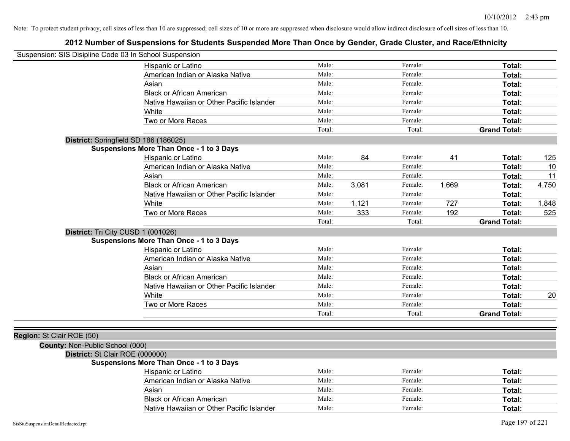| Suspension: SIS Disipline Code 03 In School Suspension |                                                 |        |       |         |       |                     |       |
|--------------------------------------------------------|-------------------------------------------------|--------|-------|---------|-------|---------------------|-------|
|                                                        | Hispanic or Latino                              | Male:  |       | Female: |       | Total:              |       |
|                                                        | American Indian or Alaska Native                | Male:  |       | Female: |       | Total:              |       |
|                                                        | Asian                                           | Male:  |       | Female: |       | Total:              |       |
|                                                        | <b>Black or African American</b>                | Male:  |       | Female: |       | Total:              |       |
|                                                        | Native Hawaiian or Other Pacific Islander       | Male:  |       | Female: |       | Total:              |       |
|                                                        | White                                           | Male:  |       | Female: |       | Total:              |       |
|                                                        | Two or More Races                               | Male:  |       | Female: |       | Total:              |       |
|                                                        |                                                 | Total: |       | Total:  |       | <b>Grand Total:</b> |       |
| District: Springfield SD 186 (186025)                  |                                                 |        |       |         |       |                     |       |
|                                                        | <b>Suspensions More Than Once - 1 to 3 Days</b> |        |       |         |       |                     |       |
|                                                        | Hispanic or Latino                              | Male:  | 84    | Female: | 41    | Total:              | 125   |
|                                                        | American Indian or Alaska Native                | Male:  |       | Female: |       | Total:              | 10    |
|                                                        | Asian                                           | Male:  |       | Female: |       | Total:              | 11    |
|                                                        | <b>Black or African American</b>                | Male:  | 3,081 | Female: | 1,669 | Total:              | 4,750 |
|                                                        | Native Hawaiian or Other Pacific Islander       | Male:  |       | Female: |       | Total:              |       |
|                                                        | White                                           | Male:  | 1,121 | Female: | 727   | Total:              | 1,848 |
|                                                        | Two or More Races                               | Male:  | 333   | Female: | 192   | Total:              | 525   |
|                                                        |                                                 | Total: |       | Total:  |       | <b>Grand Total:</b> |       |
| District: Tri City CUSD 1 (001026)                     |                                                 |        |       |         |       |                     |       |
|                                                        | <b>Suspensions More Than Once - 1 to 3 Days</b> |        |       |         |       |                     |       |
|                                                        | Hispanic or Latino                              | Male:  |       | Female: |       | Total:              |       |
|                                                        | American Indian or Alaska Native                | Male:  |       | Female: |       | Total:              |       |
|                                                        | Asian                                           | Male:  |       | Female: |       | Total:              |       |
|                                                        | <b>Black or African American</b>                | Male:  |       | Female: |       | Total:              |       |
|                                                        | Native Hawaiian or Other Pacific Islander       | Male:  |       | Female: |       | Total:              |       |
|                                                        | White                                           | Male:  |       | Female: |       | Total:              | 20    |
|                                                        | Two or More Races                               | Male:  |       | Female: |       | Total:              |       |
|                                                        |                                                 | Total: |       | Total:  |       | <b>Grand Total:</b> |       |
|                                                        |                                                 |        |       |         |       |                     |       |
| Region: St Clair ROE (50)                              |                                                 |        |       |         |       |                     |       |
| County: Non-Public School (000)                        |                                                 |        |       |         |       |                     |       |
| District: St Clair ROE (000000)                        |                                                 |        |       |         |       |                     |       |
|                                                        | <b>Suspensions More Than Once - 1 to 3 Days</b> |        |       |         |       |                     |       |
|                                                        | Hispanic or Latino                              | Male:  |       | Female: |       | Total:              |       |
|                                                        | American Indian or Alaska Native                | Male:  |       | Female: |       | Total:              |       |
|                                                        | Asian                                           | Male:  |       | Female: |       | Total:              |       |
|                                                        | <b>Black or African American</b>                | Male:  |       | Female: |       | Total:              |       |
|                                                        | Native Hawaiian or Other Pacific Islander       | Male:  |       | Female: |       | Total:              |       |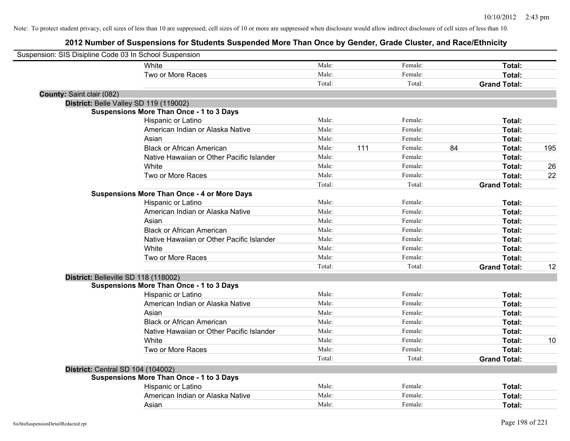| Suspension: SIS Disipline Code 03 In School Suspension |                                                    |        |     |         |    |                     |     |
|--------------------------------------------------------|----------------------------------------------------|--------|-----|---------|----|---------------------|-----|
|                                                        | White                                              | Male:  |     | Female: |    | Total:              |     |
|                                                        | Two or More Races                                  | Male:  |     | Female: |    | Total:              |     |
|                                                        |                                                    | Total: |     | Total:  |    | <b>Grand Total:</b> |     |
| County: Saint clair (082)                              |                                                    |        |     |         |    |                     |     |
|                                                        | District: Belle Valley SD 119 (119002)             |        |     |         |    |                     |     |
|                                                        | <b>Suspensions More Than Once - 1 to 3 Days</b>    |        |     |         |    |                     |     |
|                                                        | Hispanic or Latino                                 | Male:  |     | Female: |    | Total:              |     |
|                                                        | American Indian or Alaska Native                   | Male:  |     | Female: |    | Total:              |     |
|                                                        | Asian                                              | Male:  |     | Female: |    | Total:              |     |
|                                                        | <b>Black or African American</b>                   | Male:  | 111 | Female: | 84 | Total:              | 195 |
|                                                        | Native Hawaiian or Other Pacific Islander          | Male:  |     | Female: |    | Total:              |     |
|                                                        | White                                              | Male:  |     | Female: |    | Total:              | 26  |
|                                                        | Two or More Races                                  | Male:  |     | Female: |    | Total:              | 22  |
|                                                        |                                                    | Total: |     | Total:  |    | <b>Grand Total:</b> |     |
|                                                        | <b>Suspensions More Than Once - 4 or More Days</b> |        |     |         |    |                     |     |
|                                                        | Hispanic or Latino                                 | Male:  |     | Female: |    | Total:              |     |
|                                                        | American Indian or Alaska Native                   | Male:  |     | Female: |    | Total:              |     |
|                                                        | Asian                                              | Male:  |     | Female: |    | Total:              |     |
|                                                        | <b>Black or African American</b>                   | Male:  |     | Female: |    | Total:              |     |
|                                                        | Native Hawaiian or Other Pacific Islander          | Male:  |     | Female: |    | Total:              |     |
|                                                        | White                                              | Male:  |     | Female: |    | Total:              |     |
|                                                        | Two or More Races                                  | Male:  |     | Female: |    | Total:              |     |
|                                                        |                                                    | Total: |     | Total:  |    | <b>Grand Total:</b> | 12  |
|                                                        | District: Belleville SD 118 (118002)               |        |     |         |    |                     |     |
|                                                        | <b>Suspensions More Than Once - 1 to 3 Days</b>    |        |     |         |    |                     |     |
|                                                        | Hispanic or Latino                                 | Male:  |     | Female: |    | Total:              |     |
|                                                        | American Indian or Alaska Native                   | Male:  |     | Female: |    | Total:              |     |
|                                                        | Asian                                              | Male:  |     | Female: |    | Total:              |     |
|                                                        | <b>Black or African American</b>                   | Male:  |     | Female: |    | Total:              |     |
|                                                        | Native Hawaiian or Other Pacific Islander          | Male:  |     | Female: |    | Total:              |     |
|                                                        | <b>White</b>                                       | Male:  |     | Female: |    | Total:              | 10  |
|                                                        | Two or More Races                                  | Male:  |     | Female: |    | Total:              |     |
|                                                        |                                                    | Total: |     | Total:  |    | <b>Grand Total:</b> |     |
|                                                        | District: Central SD 104 (104002)                  |        |     |         |    |                     |     |
|                                                        | <b>Suspensions More Than Once - 1 to 3 Days</b>    |        |     |         |    |                     |     |
|                                                        | Hispanic or Latino                                 | Male:  |     | Female: |    | Total:              |     |
|                                                        | American Indian or Alaska Native                   | Male:  |     | Female: |    | <b>Total:</b>       |     |
|                                                        | Asian                                              | Male:  |     | Female: |    | Total:              |     |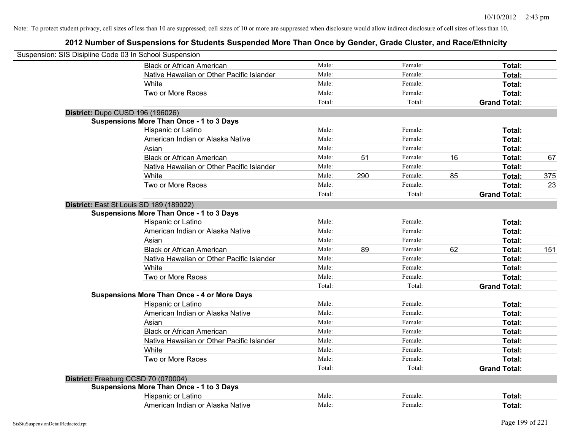| Suspension: SIS Disipline Code 03 In School Suspension |                                                    |        |     |         |    |                     |     |
|--------------------------------------------------------|----------------------------------------------------|--------|-----|---------|----|---------------------|-----|
|                                                        | <b>Black or African American</b>                   | Male:  |     | Female: |    | Total:              |     |
|                                                        | Native Hawaiian or Other Pacific Islander          | Male:  |     | Female: |    | Total:              |     |
|                                                        | White                                              | Male:  |     | Female: |    | Total:              |     |
|                                                        | Two or More Races                                  | Male:  |     | Female: |    | Total:              |     |
|                                                        |                                                    | Total: |     | Total:  |    | <b>Grand Total:</b> |     |
| District: Dupo CUSD 196 (196026)                       |                                                    |        |     |         |    |                     |     |
|                                                        | <b>Suspensions More Than Once - 1 to 3 Days</b>    |        |     |         |    |                     |     |
|                                                        | Hispanic or Latino                                 | Male:  |     | Female: |    | Total:              |     |
|                                                        | American Indian or Alaska Native                   | Male:  |     | Female: |    | Total:              |     |
|                                                        | Asian                                              | Male:  |     | Female: |    | Total:              |     |
|                                                        | <b>Black or African American</b>                   | Male:  | 51  | Female: | 16 | Total:              | 67  |
|                                                        | Native Hawaiian or Other Pacific Islander          | Male:  |     | Female: |    | Total:              |     |
|                                                        | White                                              | Male:  | 290 | Female: | 85 | Total:              | 375 |
|                                                        | Two or More Races                                  | Male:  |     | Female: |    | Total:              | 23  |
|                                                        |                                                    | Total: |     | Total:  |    | <b>Grand Total:</b> |     |
| District: East St Louis SD 189 (189022)                |                                                    |        |     |         |    |                     |     |
|                                                        | <b>Suspensions More Than Once - 1 to 3 Days</b>    |        |     |         |    |                     |     |
|                                                        | Hispanic or Latino                                 | Male:  |     | Female: |    | Total:              |     |
|                                                        | American Indian or Alaska Native                   | Male:  |     | Female: |    | Total:              |     |
|                                                        | Asian                                              | Male:  |     | Female: |    | Total:              |     |
|                                                        | <b>Black or African American</b>                   | Male:  | 89  | Female: | 62 | Total:              | 151 |
|                                                        | Native Hawaiian or Other Pacific Islander          | Male:  |     | Female: |    | Total:              |     |
|                                                        | White                                              | Male:  |     | Female: |    | Total:              |     |
|                                                        | Two or More Races                                  | Male:  |     | Female: |    | Total:              |     |
|                                                        |                                                    | Total: |     | Total:  |    | <b>Grand Total:</b> |     |
|                                                        | <b>Suspensions More Than Once - 4 or More Days</b> |        |     |         |    |                     |     |
|                                                        | Hispanic or Latino                                 | Male:  |     | Female: |    | Total:              |     |
|                                                        | American Indian or Alaska Native                   | Male:  |     | Female: |    | Total:              |     |
|                                                        | Asian                                              | Male:  |     | Female: |    | Total:              |     |
|                                                        | <b>Black or African American</b>                   | Male:  |     | Female: |    | Total:              |     |
|                                                        | Native Hawaiian or Other Pacific Islander          | Male:  |     | Female: |    | Total:              |     |
|                                                        | White                                              | Male:  |     | Female: |    | Total:              |     |
|                                                        | Two or More Races                                  | Male:  |     | Female: |    | Total:              |     |
|                                                        |                                                    | Total: |     | Total:  |    | <b>Grand Total:</b> |     |
| District: Freeburg CCSD 70 (070004)                    |                                                    |        |     |         |    |                     |     |
|                                                        | <b>Suspensions More Than Once - 1 to 3 Days</b>    |        |     |         |    |                     |     |
|                                                        | Hispanic or Latino                                 | Male:  |     | Female: |    | Total:              |     |
|                                                        | American Indian or Alaska Native                   | Male:  |     | Female: |    | Total:              |     |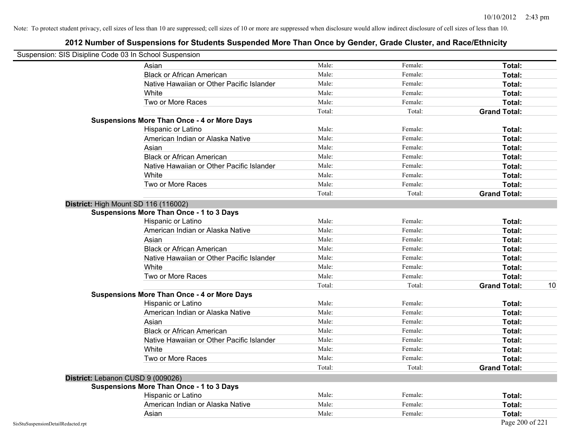| Suspension: SIS Disipline Code 03 In School Suspension |                                                    |        |         |                           |
|--------------------------------------------------------|----------------------------------------------------|--------|---------|---------------------------|
|                                                        | Asian                                              | Male:  | Female: | Total:                    |
|                                                        | <b>Black or African American</b>                   | Male:  | Female: | Total:                    |
|                                                        | Native Hawaiian or Other Pacific Islander          | Male:  | Female: | Total:                    |
|                                                        | White                                              | Male:  | Female: | Total:                    |
|                                                        | Two or More Races                                  | Male:  | Female: | Total:                    |
|                                                        |                                                    | Total: | Total:  | <b>Grand Total:</b>       |
|                                                        | <b>Suspensions More Than Once - 4 or More Days</b> |        |         |                           |
|                                                        | Hispanic or Latino                                 | Male:  | Female: | Total:                    |
|                                                        | American Indian or Alaska Native                   | Male:  | Female: | Total:                    |
|                                                        | Asian                                              | Male:  | Female: | Total:                    |
|                                                        | <b>Black or African American</b>                   | Male:  | Female: | Total:                    |
|                                                        | Native Hawaiian or Other Pacific Islander          | Male:  | Female: | Total:                    |
|                                                        | White                                              | Male:  | Female: | Total:                    |
|                                                        | Two or More Races                                  | Male:  | Female: | Total:                    |
|                                                        |                                                    | Total: | Total:  | <b>Grand Total:</b>       |
|                                                        | District: High Mount SD 116 (116002)               |        |         |                           |
|                                                        | <b>Suspensions More Than Once - 1 to 3 Days</b>    |        |         |                           |
|                                                        | Hispanic or Latino                                 | Male:  | Female: | Total:                    |
|                                                        | American Indian or Alaska Native                   | Male:  | Female: | Total:                    |
|                                                        | Asian                                              | Male:  | Female: | Total:                    |
|                                                        | <b>Black or African American</b>                   | Male:  | Female: | Total:                    |
|                                                        | Native Hawaiian or Other Pacific Islander          | Male:  | Female: | Total:                    |
|                                                        | White                                              | Male:  | Female: | Total:                    |
|                                                        | Two or More Races                                  | Male:  | Female: | Total:                    |
|                                                        |                                                    | Total: | Total:  | 10<br><b>Grand Total:</b> |
|                                                        | <b>Suspensions More Than Once - 4 or More Days</b> |        |         |                           |
|                                                        | Hispanic or Latino                                 | Male:  | Female: | Total:                    |
|                                                        | American Indian or Alaska Native                   | Male:  | Female: | Total:                    |
|                                                        | Asian                                              | Male:  | Female: | Total:                    |
|                                                        | <b>Black or African American</b>                   | Male:  | Female: | Total:                    |
|                                                        | Native Hawaiian or Other Pacific Islander          | Male:  | Female: | Total:                    |
|                                                        | White                                              | Male:  | Female: | Total:                    |
|                                                        | Two or More Races                                  | Male:  | Female: | Total:                    |
|                                                        |                                                    | Total: | Total:  | <b>Grand Total:</b>       |
|                                                        | District: Lebanon CUSD 9 (009026)                  |        |         |                           |
|                                                        | <b>Suspensions More Than Once - 1 to 3 Days</b>    |        |         |                           |
|                                                        | Hispanic or Latino                                 | Male:  | Female: | Total:                    |
|                                                        | American Indian or Alaska Native                   | Male:  | Female: | Total:                    |
|                                                        | Asian                                              | Male:  | Female: | Total:                    |
| SisStuSuspensionDetailRedacted.rpt                     |                                                    |        |         | Page 200 of 221           |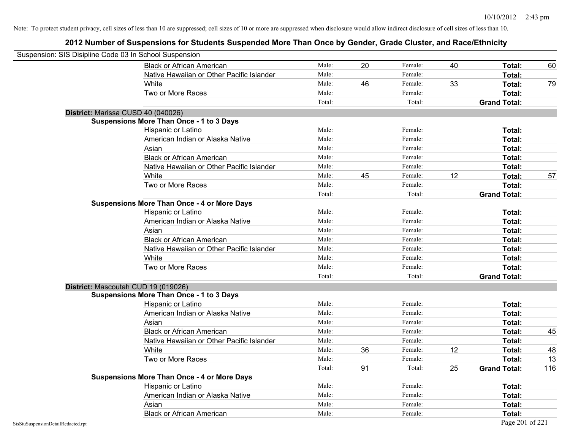| Suspension: SIS Disipline Code 03 In School Suspension |                                                    |        |    |         |    |                     |     |
|--------------------------------------------------------|----------------------------------------------------|--------|----|---------|----|---------------------|-----|
|                                                        | <b>Black or African American</b>                   | Male:  | 20 | Female: | 40 | Total:              | 60  |
|                                                        | Native Hawaiian or Other Pacific Islander          | Male:  |    | Female: |    | Total:              |     |
|                                                        | White                                              | Male:  | 46 | Female: | 33 | Total:              | 79  |
|                                                        | Two or More Races                                  | Male:  |    | Female: |    | Total:              |     |
|                                                        |                                                    | Total: |    | Total:  |    | <b>Grand Total:</b> |     |
|                                                        | District: Marissa CUSD 40 (040026)                 |        |    |         |    |                     |     |
|                                                        | <b>Suspensions More Than Once - 1 to 3 Days</b>    |        |    |         |    |                     |     |
|                                                        | Hispanic or Latino                                 | Male:  |    | Female: |    | Total:              |     |
|                                                        | American Indian or Alaska Native                   | Male:  |    | Female: |    | Total:              |     |
|                                                        | Asian                                              | Male:  |    | Female: |    | Total:              |     |
|                                                        | <b>Black or African American</b>                   | Male:  |    | Female: |    | Total:              |     |
|                                                        | Native Hawaiian or Other Pacific Islander          | Male:  |    | Female: |    | Total:              |     |
|                                                        | White                                              | Male:  | 45 | Female: | 12 | Total:              | 57  |
|                                                        | Two or More Races                                  | Male:  |    | Female: |    | Total:              |     |
|                                                        |                                                    | Total: |    | Total:  |    | <b>Grand Total:</b> |     |
|                                                        | <b>Suspensions More Than Once - 4 or More Days</b> |        |    |         |    |                     |     |
|                                                        | Hispanic or Latino                                 | Male:  |    | Female: |    | Total:              |     |
|                                                        | American Indian or Alaska Native                   | Male:  |    | Female: |    | Total:              |     |
|                                                        | Asian                                              | Male:  |    | Female: |    | Total:              |     |
|                                                        | <b>Black or African American</b>                   | Male:  |    | Female: |    | Total:              |     |
|                                                        | Native Hawaiian or Other Pacific Islander          | Male:  |    | Female: |    | Total:              |     |
|                                                        | White                                              | Male:  |    | Female: |    | Total:              |     |
|                                                        | Two or More Races                                  | Male:  |    | Female: |    | Total:              |     |
|                                                        |                                                    | Total: |    | Total:  |    | <b>Grand Total:</b> |     |
|                                                        | District: Mascoutah CUD 19 (019026)                |        |    |         |    |                     |     |
|                                                        | <b>Suspensions More Than Once - 1 to 3 Days</b>    |        |    |         |    |                     |     |
|                                                        | Hispanic or Latino                                 | Male:  |    | Female: |    | Total:              |     |
|                                                        | American Indian or Alaska Native                   | Male:  |    | Female: |    | Total:              |     |
|                                                        | Asian                                              | Male:  |    | Female: |    | Total:              |     |
|                                                        | <b>Black or African American</b>                   | Male:  |    | Female: |    | Total:              | 45  |
|                                                        | Native Hawaiian or Other Pacific Islander          | Male:  |    | Female: |    | Total:              |     |
|                                                        | White                                              | Male:  | 36 | Female: | 12 | Total:              | 48  |
|                                                        | Two or More Races                                  | Male:  |    | Female: |    | Total:              | 13  |
|                                                        |                                                    | Total: | 91 | Total:  | 25 | <b>Grand Total:</b> | 116 |
|                                                        | <b>Suspensions More Than Once - 4 or More Days</b> |        |    |         |    |                     |     |
|                                                        | Hispanic or Latino                                 | Male:  |    | Female: |    | Total:              |     |
|                                                        | American Indian or Alaska Native                   | Male:  |    | Female: |    | Total:              |     |
|                                                        | Asian                                              | Male:  |    | Female: |    | Total:              |     |
|                                                        | <b>Black or African American</b>                   | Male:  |    | Female: |    | Total:              |     |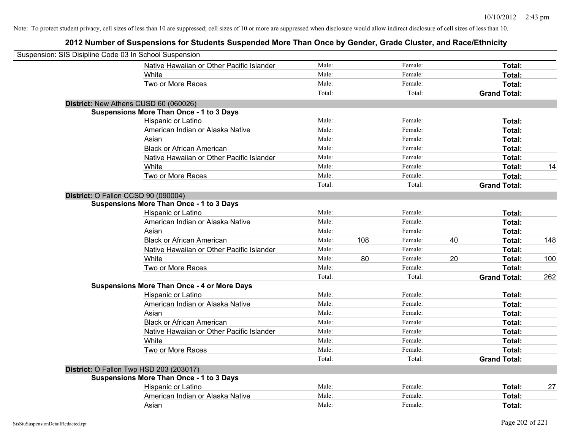| Suspension: SIS Disipline Code 03 In School Suspension |                                                    |        |     |         |    |                     |     |
|--------------------------------------------------------|----------------------------------------------------|--------|-----|---------|----|---------------------|-----|
|                                                        | Native Hawaiian or Other Pacific Islander          | Male:  |     | Female: |    | Total:              |     |
|                                                        | White                                              | Male:  |     | Female: |    | Total:              |     |
|                                                        | Two or More Races                                  | Male:  |     | Female: |    | Total:              |     |
|                                                        |                                                    | Total: |     | Total:  |    | <b>Grand Total:</b> |     |
| District: New Athens CUSD 60 (060026)                  |                                                    |        |     |         |    |                     |     |
|                                                        | <b>Suspensions More Than Once - 1 to 3 Days</b>    |        |     |         |    |                     |     |
|                                                        | Hispanic or Latino                                 | Male:  |     | Female: |    | Total:              |     |
|                                                        | American Indian or Alaska Native                   | Male:  |     | Female: |    | Total:              |     |
|                                                        | Asian                                              | Male:  |     | Female: |    | Total:              |     |
|                                                        | <b>Black or African American</b>                   | Male:  |     | Female: |    | Total:              |     |
|                                                        | Native Hawaiian or Other Pacific Islander          | Male:  |     | Female: |    | Total:              |     |
|                                                        | White                                              | Male:  |     | Female: |    | Total:              | 14  |
|                                                        | Two or More Races                                  | Male:  |     | Female: |    | Total:              |     |
|                                                        |                                                    | Total: |     | Total:  |    | <b>Grand Total:</b> |     |
| District: O Fallon CCSD 90 (090004)                    |                                                    |        |     |         |    |                     |     |
|                                                        | <b>Suspensions More Than Once - 1 to 3 Days</b>    |        |     |         |    |                     |     |
|                                                        | Hispanic or Latino                                 | Male:  |     | Female: |    | Total:              |     |
|                                                        | American Indian or Alaska Native                   | Male:  |     | Female: |    | Total:              |     |
|                                                        | Asian                                              | Male:  |     | Female: |    | Total:              |     |
|                                                        | <b>Black or African American</b>                   | Male:  | 108 | Female: | 40 | Total:              | 148 |
|                                                        | Native Hawaiian or Other Pacific Islander          | Male:  |     | Female: |    | Total:              |     |
|                                                        | White                                              | Male:  | 80  | Female: | 20 | Total:              | 100 |
|                                                        | Two or More Races                                  | Male:  |     | Female: |    | Total:              |     |
|                                                        |                                                    | Total: |     | Total:  |    | <b>Grand Total:</b> | 262 |
|                                                        | <b>Suspensions More Than Once - 4 or More Days</b> |        |     |         |    |                     |     |
|                                                        | Hispanic or Latino                                 | Male:  |     | Female: |    | Total:              |     |
|                                                        | American Indian or Alaska Native                   | Male:  |     | Female: |    | Total:              |     |
|                                                        | Asian                                              | Male:  |     | Female: |    | Total:              |     |
|                                                        | <b>Black or African American</b>                   | Male:  |     | Female: |    | Total:              |     |
|                                                        | Native Hawaiian or Other Pacific Islander          | Male:  |     | Female: |    | Total:              |     |
|                                                        | White                                              | Male:  |     | Female: |    | Total:              |     |
|                                                        | Two or More Races                                  | Male:  |     | Female: |    | Total:              |     |
|                                                        |                                                    | Total: |     | Total:  |    | <b>Grand Total:</b> |     |
| District: O Fallon Twp HSD 203 (203017)                |                                                    |        |     |         |    |                     |     |
|                                                        | <b>Suspensions More Than Once - 1 to 3 Days</b>    |        |     |         |    |                     |     |
|                                                        | Hispanic or Latino                                 | Male:  |     | Female: |    | Total:              | 27  |
|                                                        | American Indian or Alaska Native                   | Male:  |     | Female: |    | Total:              |     |
|                                                        | Asian                                              | Male:  |     | Female: |    | Total:              |     |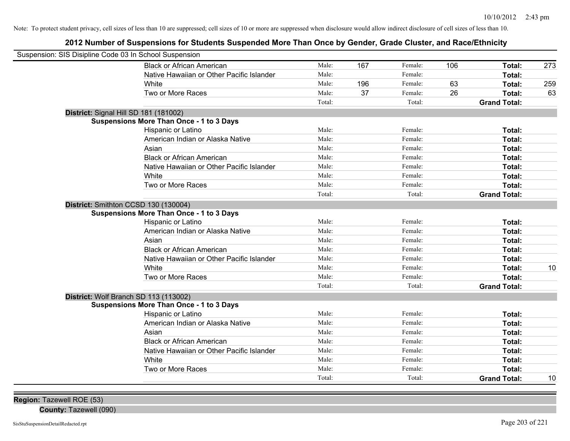| Suspension: SIS Disipline Code 03 In School Suspension |                                                 |        |     |         |     |                     |     |
|--------------------------------------------------------|-------------------------------------------------|--------|-----|---------|-----|---------------------|-----|
|                                                        | <b>Black or African American</b>                | Male:  | 167 | Female: | 106 | Total:              | 273 |
|                                                        | Native Hawaiian or Other Pacific Islander       | Male:  |     | Female: |     | Total:              |     |
|                                                        | White                                           | Male:  | 196 | Female: | 63  | Total:              | 259 |
|                                                        | Two or More Races                               | Male:  | 37  | Female: | 26  | Total:              | 63  |
|                                                        |                                                 | Total: |     | Total:  |     | <b>Grand Total:</b> |     |
|                                                        | District: Signal Hill SD 181 (181002)           |        |     |         |     |                     |     |
|                                                        | <b>Suspensions More Than Once - 1 to 3 Days</b> |        |     |         |     |                     |     |
|                                                        | Hispanic or Latino                              | Male:  |     | Female: |     | Total:              |     |
|                                                        | American Indian or Alaska Native                | Male:  |     | Female: |     | Total:              |     |
|                                                        | Asian                                           | Male:  |     | Female: |     | Total:              |     |
|                                                        | <b>Black or African American</b>                | Male:  |     | Female: |     | Total:              |     |
|                                                        | Native Hawaiian or Other Pacific Islander       | Male:  |     | Female: |     | Total:              |     |
|                                                        | White                                           | Male:  |     | Female: |     | Total:              |     |
|                                                        | Two or More Races                               | Male:  |     | Female: |     | Total:              |     |
|                                                        |                                                 | Total: |     | Total:  |     | <b>Grand Total:</b> |     |
|                                                        | District: Smithton CCSD 130 (130004)            |        |     |         |     |                     |     |
|                                                        | <b>Suspensions More Than Once - 1 to 3 Days</b> |        |     |         |     |                     |     |
|                                                        | Hispanic or Latino                              | Male:  |     | Female: |     | <b>Total:</b>       |     |
|                                                        | American Indian or Alaska Native                | Male:  |     | Female: |     | <b>Total:</b>       |     |
|                                                        | Asian                                           | Male:  |     | Female: |     | Total:              |     |
|                                                        | <b>Black or African American</b>                | Male:  |     | Female: |     | Total:              |     |
|                                                        | Native Hawaiian or Other Pacific Islander       | Male:  |     | Female: |     | Total:              |     |
|                                                        | White                                           | Male:  |     | Female: |     | Total:              | 10  |
|                                                        | Two or More Races                               | Male:  |     | Female: |     | Total:              |     |
|                                                        |                                                 | Total: |     | Total:  |     | <b>Grand Total:</b> |     |
|                                                        | District: Wolf Branch SD 113 (113002)           |        |     |         |     |                     |     |
|                                                        | <b>Suspensions More Than Once - 1 to 3 Days</b> |        |     |         |     |                     |     |
|                                                        | Hispanic or Latino                              | Male:  |     | Female: |     | Total:              |     |
|                                                        | American Indian or Alaska Native                | Male:  |     | Female: |     | Total:              |     |
|                                                        | Asian                                           | Male:  |     | Female: |     | Total:              |     |
|                                                        | <b>Black or African American</b>                | Male:  |     | Female: |     | Total:              |     |
|                                                        | Native Hawaiian or Other Pacific Islander       | Male:  |     | Female: |     | Total:              |     |
|                                                        | White                                           | Male:  |     | Female: |     | Total:              |     |
|                                                        | Two or More Races                               | Male:  |     | Female: |     | Total:              |     |
|                                                        |                                                 | Total: |     | Total:  |     | <b>Grand Total:</b> | 10  |
|                                                        |                                                 |        |     |         |     |                     |     |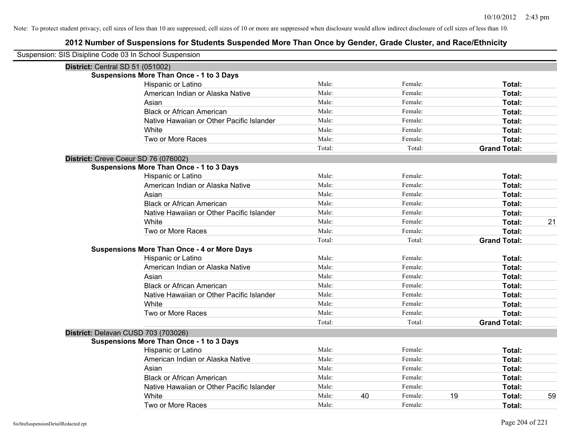| Suspension: SIS Disipline Code 03 In School Suspension |                                                    |        |    |         |    |                     |    |
|--------------------------------------------------------|----------------------------------------------------|--------|----|---------|----|---------------------|----|
| District: Central SD 51 (051002)                       |                                                    |        |    |         |    |                     |    |
|                                                        | <b>Suspensions More Than Once - 1 to 3 Days</b>    |        |    |         |    |                     |    |
|                                                        | Hispanic or Latino                                 | Male:  |    | Female: |    | Total:              |    |
|                                                        | American Indian or Alaska Native                   | Male:  |    | Female: |    | Total:              |    |
|                                                        | Asian                                              | Male:  |    | Female: |    | Total:              |    |
|                                                        | <b>Black or African American</b>                   | Male:  |    | Female: |    | Total:              |    |
|                                                        | Native Hawaiian or Other Pacific Islander          | Male:  |    | Female: |    | Total:              |    |
|                                                        | White                                              | Male:  |    | Female: |    | Total:              |    |
|                                                        | Two or More Races                                  | Male:  |    | Female: |    | Total:              |    |
|                                                        |                                                    | Total: |    | Total:  |    | <b>Grand Total:</b> |    |
|                                                        | District: Creve Coeur SD 76 (076002)               |        |    |         |    |                     |    |
|                                                        | <b>Suspensions More Than Once - 1 to 3 Days</b>    |        |    |         |    |                     |    |
|                                                        | Hispanic or Latino                                 | Male:  |    | Female: |    | Total:              |    |
|                                                        | American Indian or Alaska Native                   | Male:  |    | Female: |    | Total:              |    |
|                                                        | Asian                                              | Male:  |    | Female: |    | Total:              |    |
|                                                        | <b>Black or African American</b>                   | Male:  |    | Female: |    | Total:              |    |
|                                                        | Native Hawaiian or Other Pacific Islander          | Male:  |    | Female: |    | Total:              |    |
|                                                        | White                                              | Male:  |    | Female: |    | <b>Total:</b>       | 21 |
|                                                        | Two or More Races                                  | Male:  |    | Female: |    | Total:              |    |
|                                                        |                                                    | Total: |    | Total:  |    | <b>Grand Total:</b> |    |
|                                                        | <b>Suspensions More Than Once - 4 or More Days</b> |        |    |         |    |                     |    |
|                                                        | Hispanic or Latino                                 | Male:  |    | Female: |    | Total:              |    |
|                                                        | American Indian or Alaska Native                   | Male:  |    | Female: |    | Total:              |    |
|                                                        | Asian                                              | Male:  |    | Female: |    | Total:              |    |
|                                                        | <b>Black or African American</b>                   | Male:  |    | Female: |    | Total:              |    |
|                                                        | Native Hawaiian or Other Pacific Islander          | Male:  |    | Female: |    | Total:              |    |
|                                                        | White                                              | Male:  |    | Female: |    | Total:              |    |
|                                                        | Two or More Races                                  | Male:  |    | Female: |    | Total:              |    |
|                                                        |                                                    | Total: |    | Total:  |    | <b>Grand Total:</b> |    |
|                                                        | District: Delavan CUSD 703 (703026)                |        |    |         |    |                     |    |
|                                                        | <b>Suspensions More Than Once - 1 to 3 Days</b>    |        |    |         |    |                     |    |
|                                                        | Hispanic or Latino                                 | Male:  |    | Female: |    | Total:              |    |
|                                                        | American Indian or Alaska Native                   | Male:  |    | Female: |    | Total:              |    |
|                                                        | Asian                                              | Male:  |    | Female: |    | Total:              |    |
|                                                        | <b>Black or African American</b>                   | Male:  |    | Female: |    | Total:              |    |
|                                                        | Native Hawaiian or Other Pacific Islander          | Male:  |    | Female: |    | Total:              |    |
|                                                        | White                                              | Male:  | 40 | Female: | 19 | <b>Total:</b>       | 59 |
|                                                        | Two or More Races                                  | Male:  |    | Female: |    | Total:              |    |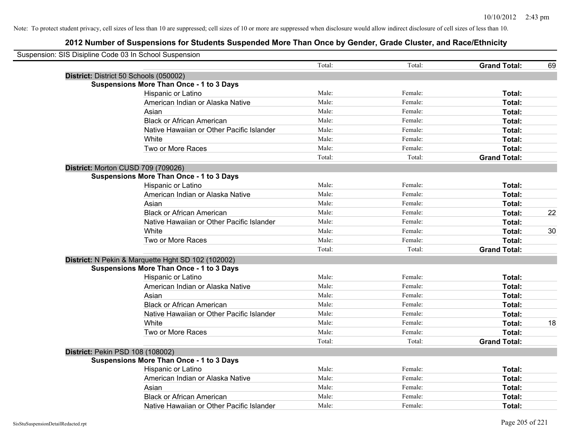| Suspension: SIS Disipline Code 03 In School Suspension<br>Total:<br>Total:<br><b>Grand Total:</b><br>69<br>District: District 50 Schools (050002)<br><b>Suspensions More Than Once - 1 to 3 Days</b><br>Male:<br>Hispanic or Latino<br>Female:<br>Total:<br>American Indian or Alaska Native<br>Male:<br>Female:<br>Total:<br>Male:<br>Asian<br>Female:<br>Total:<br>Male:<br><b>Black or African American</b><br>Female:<br>Total:<br>Native Hawaiian or Other Pacific Islander<br>Male:<br>Female:<br>Total:<br>White<br>Male:<br>Female:<br>Total:<br>Two or More Races<br>Male:<br>Female:<br>Total:<br>Total:<br>Total:<br><b>Grand Total:</b><br>District: Morton CUSD 709 (709026)<br><b>Suspensions More Than Once - 1 to 3 Days</b><br>Male:<br>Female:<br>Hispanic or Latino<br>Total:<br>Male:<br>American Indian or Alaska Native<br>Female:<br>Total:<br>Male:<br>Female:<br>Total:<br>Asian<br>Male:<br><b>Black or African American</b><br>Female:<br>22<br>Total:<br>Male:<br>Female:<br>Native Hawaiian or Other Pacific Islander<br>Total:<br>Male:<br>Female:<br>White<br>Total:<br>30<br>Male:<br>Two or More Races<br>Female:<br>Total:<br>Total:<br>Total:<br><b>Grand Total:</b><br>District: N Pekin & Marquette Hght SD 102 (102002)<br><b>Suspensions More Than Once - 1 to 3 Days</b><br>Male:<br>Hispanic or Latino<br>Female:<br>Total:<br>American Indian or Alaska Native<br>Male:<br>Female:<br>Total:<br>Male:<br>Asian<br>Female:<br>Total:<br>Male:<br><b>Black or African American</b><br>Female:<br>Total:<br>Native Hawaiian or Other Pacific Islander<br>Male:<br>Female:<br>Total:<br>White<br>Male:<br>18<br>Female:<br>Total:<br>Two or More Races<br>Male:<br><b>Total:</b><br>Female:<br>Total:<br>Total:<br><b>Grand Total:</b><br>District: Pekin PSD 108 (108002)<br><b>Suspensions More Than Once - 1 to 3 Days</b><br>Male:<br>Female:<br>Hispanic or Latino<br>Total:<br>Male:<br>American Indian or Alaska Native<br>Female:<br>Total:<br>Male:<br>Female:<br>Total:<br>Asian<br>Male:<br><b>Black or African American</b><br>Female:<br>Total: |                                           |       |         |        |  |
|----------------------------------------------------------------------------------------------------------------------------------------------------------------------------------------------------------------------------------------------------------------------------------------------------------------------------------------------------------------------------------------------------------------------------------------------------------------------------------------------------------------------------------------------------------------------------------------------------------------------------------------------------------------------------------------------------------------------------------------------------------------------------------------------------------------------------------------------------------------------------------------------------------------------------------------------------------------------------------------------------------------------------------------------------------------------------------------------------------------------------------------------------------------------------------------------------------------------------------------------------------------------------------------------------------------------------------------------------------------------------------------------------------------------------------------------------------------------------------------------------------------------------------------------------------------------------------------------------------------------------------------------------------------------------------------------------------------------------------------------------------------------------------------------------------------------------------------------------------------------------------------------------------------------------------------------------------------------------------------------------------------------------------------------------------------------------------------------------|-------------------------------------------|-------|---------|--------|--|
|                                                                                                                                                                                                                                                                                                                                                                                                                                                                                                                                                                                                                                                                                                                                                                                                                                                                                                                                                                                                                                                                                                                                                                                                                                                                                                                                                                                                                                                                                                                                                                                                                                                                                                                                                                                                                                                                                                                                                                                                                                                                                                    |                                           |       |         |        |  |
|                                                                                                                                                                                                                                                                                                                                                                                                                                                                                                                                                                                                                                                                                                                                                                                                                                                                                                                                                                                                                                                                                                                                                                                                                                                                                                                                                                                                                                                                                                                                                                                                                                                                                                                                                                                                                                                                                                                                                                                                                                                                                                    |                                           |       |         |        |  |
|                                                                                                                                                                                                                                                                                                                                                                                                                                                                                                                                                                                                                                                                                                                                                                                                                                                                                                                                                                                                                                                                                                                                                                                                                                                                                                                                                                                                                                                                                                                                                                                                                                                                                                                                                                                                                                                                                                                                                                                                                                                                                                    |                                           |       |         |        |  |
|                                                                                                                                                                                                                                                                                                                                                                                                                                                                                                                                                                                                                                                                                                                                                                                                                                                                                                                                                                                                                                                                                                                                                                                                                                                                                                                                                                                                                                                                                                                                                                                                                                                                                                                                                                                                                                                                                                                                                                                                                                                                                                    |                                           |       |         |        |  |
|                                                                                                                                                                                                                                                                                                                                                                                                                                                                                                                                                                                                                                                                                                                                                                                                                                                                                                                                                                                                                                                                                                                                                                                                                                                                                                                                                                                                                                                                                                                                                                                                                                                                                                                                                                                                                                                                                                                                                                                                                                                                                                    |                                           |       |         |        |  |
|                                                                                                                                                                                                                                                                                                                                                                                                                                                                                                                                                                                                                                                                                                                                                                                                                                                                                                                                                                                                                                                                                                                                                                                                                                                                                                                                                                                                                                                                                                                                                                                                                                                                                                                                                                                                                                                                                                                                                                                                                                                                                                    |                                           |       |         |        |  |
|                                                                                                                                                                                                                                                                                                                                                                                                                                                                                                                                                                                                                                                                                                                                                                                                                                                                                                                                                                                                                                                                                                                                                                                                                                                                                                                                                                                                                                                                                                                                                                                                                                                                                                                                                                                                                                                                                                                                                                                                                                                                                                    |                                           |       |         |        |  |
|                                                                                                                                                                                                                                                                                                                                                                                                                                                                                                                                                                                                                                                                                                                                                                                                                                                                                                                                                                                                                                                                                                                                                                                                                                                                                                                                                                                                                                                                                                                                                                                                                                                                                                                                                                                                                                                                                                                                                                                                                                                                                                    |                                           |       |         |        |  |
|                                                                                                                                                                                                                                                                                                                                                                                                                                                                                                                                                                                                                                                                                                                                                                                                                                                                                                                                                                                                                                                                                                                                                                                                                                                                                                                                                                                                                                                                                                                                                                                                                                                                                                                                                                                                                                                                                                                                                                                                                                                                                                    |                                           |       |         |        |  |
|                                                                                                                                                                                                                                                                                                                                                                                                                                                                                                                                                                                                                                                                                                                                                                                                                                                                                                                                                                                                                                                                                                                                                                                                                                                                                                                                                                                                                                                                                                                                                                                                                                                                                                                                                                                                                                                                                                                                                                                                                                                                                                    |                                           |       |         |        |  |
|                                                                                                                                                                                                                                                                                                                                                                                                                                                                                                                                                                                                                                                                                                                                                                                                                                                                                                                                                                                                                                                                                                                                                                                                                                                                                                                                                                                                                                                                                                                                                                                                                                                                                                                                                                                                                                                                                                                                                                                                                                                                                                    |                                           |       |         |        |  |
|                                                                                                                                                                                                                                                                                                                                                                                                                                                                                                                                                                                                                                                                                                                                                                                                                                                                                                                                                                                                                                                                                                                                                                                                                                                                                                                                                                                                                                                                                                                                                                                                                                                                                                                                                                                                                                                                                                                                                                                                                                                                                                    |                                           |       |         |        |  |
|                                                                                                                                                                                                                                                                                                                                                                                                                                                                                                                                                                                                                                                                                                                                                                                                                                                                                                                                                                                                                                                                                                                                                                                                                                                                                                                                                                                                                                                                                                                                                                                                                                                                                                                                                                                                                                                                                                                                                                                                                                                                                                    |                                           |       |         |        |  |
|                                                                                                                                                                                                                                                                                                                                                                                                                                                                                                                                                                                                                                                                                                                                                                                                                                                                                                                                                                                                                                                                                                                                                                                                                                                                                                                                                                                                                                                                                                                                                                                                                                                                                                                                                                                                                                                                                                                                                                                                                                                                                                    |                                           |       |         |        |  |
|                                                                                                                                                                                                                                                                                                                                                                                                                                                                                                                                                                                                                                                                                                                                                                                                                                                                                                                                                                                                                                                                                                                                                                                                                                                                                                                                                                                                                                                                                                                                                                                                                                                                                                                                                                                                                                                                                                                                                                                                                                                                                                    |                                           |       |         |        |  |
|                                                                                                                                                                                                                                                                                                                                                                                                                                                                                                                                                                                                                                                                                                                                                                                                                                                                                                                                                                                                                                                                                                                                                                                                                                                                                                                                                                                                                                                                                                                                                                                                                                                                                                                                                                                                                                                                                                                                                                                                                                                                                                    |                                           |       |         |        |  |
|                                                                                                                                                                                                                                                                                                                                                                                                                                                                                                                                                                                                                                                                                                                                                                                                                                                                                                                                                                                                                                                                                                                                                                                                                                                                                                                                                                                                                                                                                                                                                                                                                                                                                                                                                                                                                                                                                                                                                                                                                                                                                                    |                                           |       |         |        |  |
|                                                                                                                                                                                                                                                                                                                                                                                                                                                                                                                                                                                                                                                                                                                                                                                                                                                                                                                                                                                                                                                                                                                                                                                                                                                                                                                                                                                                                                                                                                                                                                                                                                                                                                                                                                                                                                                                                                                                                                                                                                                                                                    |                                           |       |         |        |  |
|                                                                                                                                                                                                                                                                                                                                                                                                                                                                                                                                                                                                                                                                                                                                                                                                                                                                                                                                                                                                                                                                                                                                                                                                                                                                                                                                                                                                                                                                                                                                                                                                                                                                                                                                                                                                                                                                                                                                                                                                                                                                                                    |                                           |       |         |        |  |
|                                                                                                                                                                                                                                                                                                                                                                                                                                                                                                                                                                                                                                                                                                                                                                                                                                                                                                                                                                                                                                                                                                                                                                                                                                                                                                                                                                                                                                                                                                                                                                                                                                                                                                                                                                                                                                                                                                                                                                                                                                                                                                    |                                           |       |         |        |  |
|                                                                                                                                                                                                                                                                                                                                                                                                                                                                                                                                                                                                                                                                                                                                                                                                                                                                                                                                                                                                                                                                                                                                                                                                                                                                                                                                                                                                                                                                                                                                                                                                                                                                                                                                                                                                                                                                                                                                                                                                                                                                                                    |                                           |       |         |        |  |
|                                                                                                                                                                                                                                                                                                                                                                                                                                                                                                                                                                                                                                                                                                                                                                                                                                                                                                                                                                                                                                                                                                                                                                                                                                                                                                                                                                                                                                                                                                                                                                                                                                                                                                                                                                                                                                                                                                                                                                                                                                                                                                    |                                           |       |         |        |  |
|                                                                                                                                                                                                                                                                                                                                                                                                                                                                                                                                                                                                                                                                                                                                                                                                                                                                                                                                                                                                                                                                                                                                                                                                                                                                                                                                                                                                                                                                                                                                                                                                                                                                                                                                                                                                                                                                                                                                                                                                                                                                                                    |                                           |       |         |        |  |
|                                                                                                                                                                                                                                                                                                                                                                                                                                                                                                                                                                                                                                                                                                                                                                                                                                                                                                                                                                                                                                                                                                                                                                                                                                                                                                                                                                                                                                                                                                                                                                                                                                                                                                                                                                                                                                                                                                                                                                                                                                                                                                    |                                           |       |         |        |  |
|                                                                                                                                                                                                                                                                                                                                                                                                                                                                                                                                                                                                                                                                                                                                                                                                                                                                                                                                                                                                                                                                                                                                                                                                                                                                                                                                                                                                                                                                                                                                                                                                                                                                                                                                                                                                                                                                                                                                                                                                                                                                                                    |                                           |       |         |        |  |
|                                                                                                                                                                                                                                                                                                                                                                                                                                                                                                                                                                                                                                                                                                                                                                                                                                                                                                                                                                                                                                                                                                                                                                                                                                                                                                                                                                                                                                                                                                                                                                                                                                                                                                                                                                                                                                                                                                                                                                                                                                                                                                    |                                           |       |         |        |  |
|                                                                                                                                                                                                                                                                                                                                                                                                                                                                                                                                                                                                                                                                                                                                                                                                                                                                                                                                                                                                                                                                                                                                                                                                                                                                                                                                                                                                                                                                                                                                                                                                                                                                                                                                                                                                                                                                                                                                                                                                                                                                                                    |                                           |       |         |        |  |
|                                                                                                                                                                                                                                                                                                                                                                                                                                                                                                                                                                                                                                                                                                                                                                                                                                                                                                                                                                                                                                                                                                                                                                                                                                                                                                                                                                                                                                                                                                                                                                                                                                                                                                                                                                                                                                                                                                                                                                                                                                                                                                    |                                           |       |         |        |  |
|                                                                                                                                                                                                                                                                                                                                                                                                                                                                                                                                                                                                                                                                                                                                                                                                                                                                                                                                                                                                                                                                                                                                                                                                                                                                                                                                                                                                                                                                                                                                                                                                                                                                                                                                                                                                                                                                                                                                                                                                                                                                                                    |                                           |       |         |        |  |
|                                                                                                                                                                                                                                                                                                                                                                                                                                                                                                                                                                                                                                                                                                                                                                                                                                                                                                                                                                                                                                                                                                                                                                                                                                                                                                                                                                                                                                                                                                                                                                                                                                                                                                                                                                                                                                                                                                                                                                                                                                                                                                    |                                           |       |         |        |  |
|                                                                                                                                                                                                                                                                                                                                                                                                                                                                                                                                                                                                                                                                                                                                                                                                                                                                                                                                                                                                                                                                                                                                                                                                                                                                                                                                                                                                                                                                                                                                                                                                                                                                                                                                                                                                                                                                                                                                                                                                                                                                                                    |                                           |       |         |        |  |
|                                                                                                                                                                                                                                                                                                                                                                                                                                                                                                                                                                                                                                                                                                                                                                                                                                                                                                                                                                                                                                                                                                                                                                                                                                                                                                                                                                                                                                                                                                                                                                                                                                                                                                                                                                                                                                                                                                                                                                                                                                                                                                    |                                           |       |         |        |  |
|                                                                                                                                                                                                                                                                                                                                                                                                                                                                                                                                                                                                                                                                                                                                                                                                                                                                                                                                                                                                                                                                                                                                                                                                                                                                                                                                                                                                                                                                                                                                                                                                                                                                                                                                                                                                                                                                                                                                                                                                                                                                                                    |                                           |       |         |        |  |
|                                                                                                                                                                                                                                                                                                                                                                                                                                                                                                                                                                                                                                                                                                                                                                                                                                                                                                                                                                                                                                                                                                                                                                                                                                                                                                                                                                                                                                                                                                                                                                                                                                                                                                                                                                                                                                                                                                                                                                                                                                                                                                    |                                           |       |         |        |  |
|                                                                                                                                                                                                                                                                                                                                                                                                                                                                                                                                                                                                                                                                                                                                                                                                                                                                                                                                                                                                                                                                                                                                                                                                                                                                                                                                                                                                                                                                                                                                                                                                                                                                                                                                                                                                                                                                                                                                                                                                                                                                                                    |                                           |       |         |        |  |
|                                                                                                                                                                                                                                                                                                                                                                                                                                                                                                                                                                                                                                                                                                                                                                                                                                                                                                                                                                                                                                                                                                                                                                                                                                                                                                                                                                                                                                                                                                                                                                                                                                                                                                                                                                                                                                                                                                                                                                                                                                                                                                    |                                           |       |         |        |  |
|                                                                                                                                                                                                                                                                                                                                                                                                                                                                                                                                                                                                                                                                                                                                                                                                                                                                                                                                                                                                                                                                                                                                                                                                                                                                                                                                                                                                                                                                                                                                                                                                                                                                                                                                                                                                                                                                                                                                                                                                                                                                                                    |                                           |       |         |        |  |
|                                                                                                                                                                                                                                                                                                                                                                                                                                                                                                                                                                                                                                                                                                                                                                                                                                                                                                                                                                                                                                                                                                                                                                                                                                                                                                                                                                                                                                                                                                                                                                                                                                                                                                                                                                                                                                                                                                                                                                                                                                                                                                    |                                           |       |         |        |  |
|                                                                                                                                                                                                                                                                                                                                                                                                                                                                                                                                                                                                                                                                                                                                                                                                                                                                                                                                                                                                                                                                                                                                                                                                                                                                                                                                                                                                                                                                                                                                                                                                                                                                                                                                                                                                                                                                                                                                                                                                                                                                                                    | Native Hawaiian or Other Pacific Islander | Male: | Female: | Total: |  |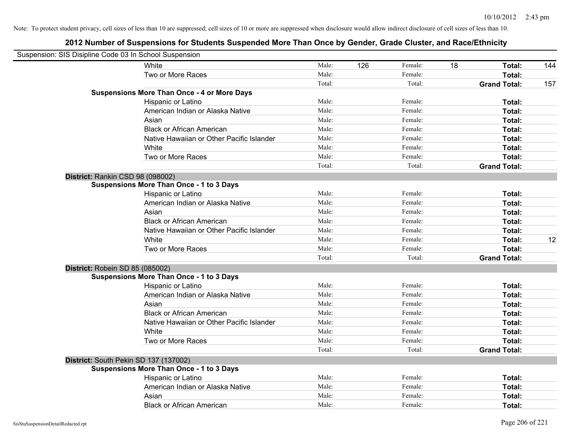| Suspension: SIS Disipline Code 03 In School Suspension |                                                    |        |     |         |    |                     |     |
|--------------------------------------------------------|----------------------------------------------------|--------|-----|---------|----|---------------------|-----|
|                                                        | White                                              | Male:  | 126 | Female: | 18 | Total:              | 144 |
|                                                        | Two or More Races                                  | Male:  |     | Female: |    | Total:              |     |
|                                                        |                                                    | Total: |     | Total:  |    | <b>Grand Total:</b> | 157 |
|                                                        | <b>Suspensions More Than Once - 4 or More Days</b> |        |     |         |    |                     |     |
|                                                        | Hispanic or Latino                                 | Male:  |     | Female: |    | Total:              |     |
|                                                        | American Indian or Alaska Native                   | Male:  |     | Female: |    | Total:              |     |
|                                                        | Asian                                              | Male:  |     | Female: |    | Total:              |     |
|                                                        | <b>Black or African American</b>                   | Male:  |     | Female: |    | Total:              |     |
|                                                        | Native Hawaiian or Other Pacific Islander          | Male:  |     | Female: |    | Total:              |     |
|                                                        | White                                              | Male:  |     | Female: |    | Total:              |     |
|                                                        | Two or More Races                                  | Male:  |     | Female: |    | Total:              |     |
|                                                        |                                                    | Total: |     | Total:  |    | <b>Grand Total:</b> |     |
| District: Rankin CSD 98 (098002)                       |                                                    |        |     |         |    |                     |     |
|                                                        | <b>Suspensions More Than Once - 1 to 3 Days</b>    |        |     |         |    |                     |     |
|                                                        | Hispanic or Latino                                 | Male:  |     | Female: |    | Total:              |     |
|                                                        | American Indian or Alaska Native                   | Male:  |     | Female: |    | Total:              |     |
|                                                        | Asian                                              | Male:  |     | Female: |    | Total:              |     |
|                                                        | <b>Black or African American</b>                   | Male:  |     | Female: |    | Total:              |     |
|                                                        | Native Hawaiian or Other Pacific Islander          | Male:  |     | Female: |    | Total:              |     |
|                                                        | White                                              | Male:  |     | Female: |    | Total:              | 12  |
|                                                        | Two or More Races                                  | Male:  |     | Female: |    | Total:              |     |
|                                                        |                                                    | Total: |     | Total:  |    | <b>Grand Total:</b> |     |
| District: Robein SD 85 (085002)                        |                                                    |        |     |         |    |                     |     |
|                                                        | <b>Suspensions More Than Once - 1 to 3 Days</b>    |        |     |         |    |                     |     |
|                                                        | Hispanic or Latino                                 | Male:  |     | Female: |    | Total:              |     |
|                                                        | American Indian or Alaska Native                   | Male:  |     | Female: |    | Total:              |     |
|                                                        | Asian                                              | Male:  |     | Female: |    | Total:              |     |
|                                                        | <b>Black or African American</b>                   | Male:  |     | Female: |    | Total:              |     |
|                                                        | Native Hawaiian or Other Pacific Islander          | Male:  |     | Female: |    | Total:              |     |
|                                                        | White                                              | Male:  |     | Female: |    | Total:              |     |
|                                                        | Two or More Races                                  | Male:  |     | Female: |    | Total:              |     |
|                                                        |                                                    | Total: |     | Total:  |    | <b>Grand Total:</b> |     |
| District: South Pekin SD 137 (137002)                  |                                                    |        |     |         |    |                     |     |
|                                                        | <b>Suspensions More Than Once - 1 to 3 Days</b>    |        |     |         |    |                     |     |
|                                                        | Hispanic or Latino                                 | Male:  |     | Female: |    | Total:              |     |
|                                                        | American Indian or Alaska Native                   | Male:  |     | Female: |    | Total:              |     |
|                                                        | Asian                                              | Male:  |     | Female: |    | Total:              |     |
|                                                        | <b>Black or African American</b>                   | Male:  |     | Female: |    | Total:              |     |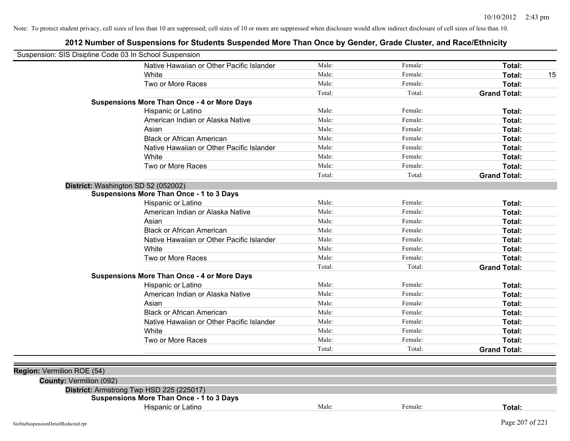| Suspension: SIS Disipline Code 03 In School Suspension |                                                    |        |         |                     |
|--------------------------------------------------------|----------------------------------------------------|--------|---------|---------------------|
|                                                        | Native Hawaiian or Other Pacific Islander          | Male:  | Female: | Total:              |
|                                                        | White                                              | Male:  | Female: | Total:<br>15        |
|                                                        | Two or More Races                                  | Male:  | Female: | Total:              |
|                                                        |                                                    | Total: | Total:  | <b>Grand Total:</b> |
|                                                        | <b>Suspensions More Than Once - 4 or More Days</b> |        |         |                     |
|                                                        | Hispanic or Latino                                 | Male:  | Female: | Total:              |
|                                                        | American Indian or Alaska Native                   | Male:  | Female: | Total:              |
|                                                        | Asian                                              | Male:  | Female: | Total:              |
|                                                        | <b>Black or African American</b>                   | Male:  | Female: | Total:              |
|                                                        | Native Hawaiian or Other Pacific Islander          | Male:  | Female: | Total:              |
|                                                        | White                                              | Male:  | Female: | Total:              |
|                                                        | Two or More Races                                  | Male:  | Female: | Total:              |
|                                                        |                                                    | Total: | Total:  | <b>Grand Total:</b> |
|                                                        | District: Washington SD 52 (052002)                |        |         |                     |
|                                                        | <b>Suspensions More Than Once - 1 to 3 Days</b>    |        |         |                     |
|                                                        | Hispanic or Latino                                 | Male:  | Female: | Total:              |
|                                                        | American Indian or Alaska Native                   | Male:  | Female: | Total:              |
|                                                        | Asian                                              | Male:  | Female: | Total:              |
|                                                        | <b>Black or African American</b>                   | Male:  | Female: | Total:              |
|                                                        | Native Hawaiian or Other Pacific Islander          | Male:  | Female: | Total:              |
|                                                        | White                                              | Male:  | Female: | Total:              |
|                                                        | Two or More Races                                  | Male:  | Female: | Total:              |
|                                                        |                                                    | Total: | Total:  | <b>Grand Total:</b> |
|                                                        | <b>Suspensions More Than Once - 4 or More Days</b> |        |         |                     |
|                                                        | Hispanic or Latino                                 | Male:  | Female: | Total:              |
|                                                        | American Indian or Alaska Native                   | Male:  | Female: | Total:              |
|                                                        | Asian                                              | Male:  | Female: | Total:              |
|                                                        | <b>Black or African American</b>                   | Male:  | Female: | Total:              |
|                                                        | Native Hawaiian or Other Pacific Islander          | Male:  | Female: | Total:              |
|                                                        | White                                              | Male:  | Female: | Total:              |
|                                                        | Two or More Races                                  | Male:  | Female: | Total:              |
|                                                        |                                                    | Total: | Total:  | <b>Grand Total:</b> |
|                                                        |                                                    |        |         |                     |
| Region: Vermilion ROE (54)                             |                                                    |        |         |                     |
| <b>County: Vermilion (092)</b>                         |                                                    |        |         |                     |
|                                                        | District: Armstrong Twp HSD 225 (225017)           |        |         |                     |
|                                                        | <b>Suspensions More Than Once - 1 to 3 Days</b>    |        |         |                     |
|                                                        | Hispanic or Latino                                 | Male:  | Female: | Total:              |
| SisStuSuspensionDetailRedacted.rpt                     |                                                    |        |         | Page 207 of 221     |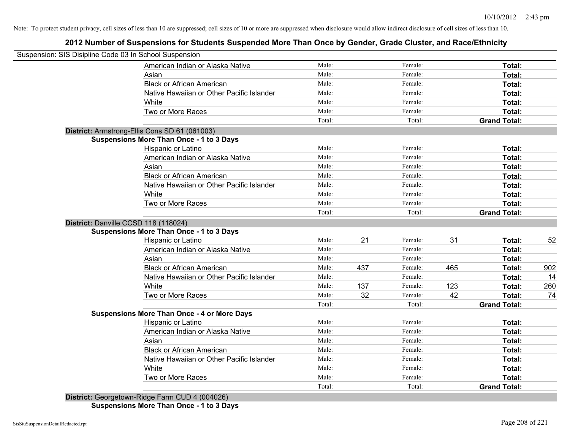## **2012 Number of Suspensions for Students Suspended More Than Once by Gender, Grade Cluster, and Race/Ethnicity**

| Suspension: SIS Disipline Code 03 In School Suspension |        |     |         |     |                     |     |
|--------------------------------------------------------|--------|-----|---------|-----|---------------------|-----|
| American Indian or Alaska Native                       | Male:  |     | Female: |     | Total:              |     |
| Asian                                                  | Male:  |     | Female: |     | Total:              |     |
| <b>Black or African American</b>                       | Male:  |     | Female: |     | Total:              |     |
| Native Hawaiian or Other Pacific Islander              | Male:  |     | Female: |     | Total:              |     |
| White                                                  | Male:  |     | Female: |     | Total:              |     |
| Two or More Races                                      | Male:  |     | Female: |     | Total:              |     |
|                                                        | Total: |     | Total:  |     | <b>Grand Total:</b> |     |
| District: Armstrong-Ellis Cons SD 61 (061003)          |        |     |         |     |                     |     |
| <b>Suspensions More Than Once - 1 to 3 Days</b>        |        |     |         |     |                     |     |
| Hispanic or Latino                                     | Male:  |     | Female: |     | Total:              |     |
| American Indian or Alaska Native                       | Male:  |     | Female: |     | Total:              |     |
| Asian                                                  | Male:  |     | Female: |     | Total:              |     |
| <b>Black or African American</b>                       | Male:  |     | Female: |     | Total:              |     |
| Native Hawaiian or Other Pacific Islander              | Male:  |     | Female: |     | Total:              |     |
| White                                                  | Male:  |     | Female: |     | Total:              |     |
| Two or More Races                                      | Male:  |     | Female: |     | Total:              |     |
|                                                        | Total: |     | Total:  |     | <b>Grand Total:</b> |     |
| District: Danville CCSD 118 (118024)                   |        |     |         |     |                     |     |
| <b>Suspensions More Than Once - 1 to 3 Days</b>        |        |     |         |     |                     |     |
| Hispanic or Latino                                     | Male:  | 21  | Female: | 31  | Total:              | 52  |
| American Indian or Alaska Native                       | Male:  |     | Female: |     | Total:              |     |
| Asian                                                  | Male:  |     | Female: |     | Total:              |     |
| <b>Black or African American</b>                       | Male:  | 437 | Female: | 465 | Total:              | 902 |
| Native Hawaiian or Other Pacific Islander              | Male:  |     | Female: |     | Total:              | 14  |
| White                                                  | Male:  | 137 | Female: | 123 | Total:              | 260 |
| Two or More Races                                      | Male:  | 32  | Female: | 42  | Total:              | 74  |
|                                                        | Total: |     | Total:  |     | <b>Grand Total:</b> |     |
| <b>Suspensions More Than Once - 4 or More Days</b>     |        |     |         |     |                     |     |
| <b>Hispanic or Latino</b>                              | Male:  |     | Female: |     | Total:              |     |
| American Indian or Alaska Native                       | Male:  |     | Female: |     | Total:              |     |
| Asian                                                  | Male:  |     | Female: |     | Total:              |     |
| <b>Black or African American</b>                       | Male:  |     | Female: |     | Total:              |     |
| Native Hawaiian or Other Pacific Islander              | Male:  |     | Female: |     | Total:              |     |
| White                                                  | Male:  |     | Female: |     | Total:              |     |
| Two or More Races                                      | Male:  |     | Female: |     | Total:              |     |
|                                                        | Total: |     | Total:  |     | <b>Grand Total:</b> |     |

**District:** Georgetown-Ridge Farm CUD 4 (004026) **Suspensions More Than Once - 1 to 3 Days**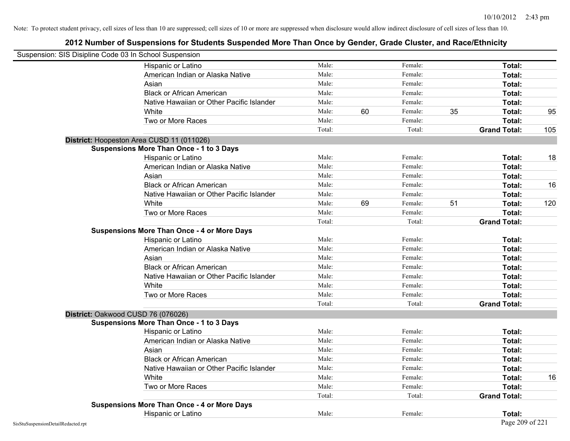| Suspension: SIS Disipline Code 03 In School Suspension |                                                    |        |    |         |    |                     |     |
|--------------------------------------------------------|----------------------------------------------------|--------|----|---------|----|---------------------|-----|
|                                                        | Hispanic or Latino                                 | Male:  |    | Female: |    | Total:              |     |
|                                                        | American Indian or Alaska Native                   | Male:  |    | Female: |    | Total:              |     |
|                                                        | Asian                                              | Male:  |    | Female: |    | Total:              |     |
|                                                        | <b>Black or African American</b>                   | Male:  |    | Female: |    | Total:              |     |
|                                                        | Native Hawaiian or Other Pacific Islander          | Male:  |    | Female: |    | Total:              |     |
|                                                        | White                                              | Male:  | 60 | Female: | 35 | Total:              | 95  |
|                                                        | Two or More Races                                  | Male:  |    | Female: |    | Total:              |     |
|                                                        |                                                    | Total: |    | Total:  |    | <b>Grand Total:</b> | 105 |
|                                                        | District: Hoopeston Area CUSD 11 (011026)          |        |    |         |    |                     |     |
|                                                        | <b>Suspensions More Than Once - 1 to 3 Days</b>    |        |    |         |    |                     |     |
|                                                        | Hispanic or Latino                                 | Male:  |    | Female: |    | Total:              | 18  |
|                                                        | American Indian or Alaska Native                   | Male:  |    | Female: |    | Total:              |     |
|                                                        | Asian                                              | Male:  |    | Female: |    | Total:              |     |
|                                                        | <b>Black or African American</b>                   | Male:  |    | Female: |    | Total:              | 16  |
|                                                        | Native Hawaiian or Other Pacific Islander          | Male:  |    | Female: |    | Total:              |     |
|                                                        | White                                              | Male:  | 69 | Female: | 51 | Total:              | 120 |
|                                                        | Two or More Races                                  | Male:  |    | Female: |    | Total:              |     |
|                                                        |                                                    | Total: |    | Total:  |    | <b>Grand Total:</b> |     |
|                                                        | <b>Suspensions More Than Once - 4 or More Days</b> |        |    |         |    |                     |     |
|                                                        | Hispanic or Latino                                 | Male:  |    | Female: |    | Total:              |     |
|                                                        | American Indian or Alaska Native                   | Male:  |    | Female: |    | Total:              |     |
|                                                        | Asian                                              | Male:  |    | Female: |    | Total:              |     |
|                                                        | <b>Black or African American</b>                   | Male:  |    | Female: |    | Total:              |     |
|                                                        | Native Hawaiian or Other Pacific Islander          | Male:  |    | Female: |    | Total:              |     |
|                                                        | White                                              | Male:  |    | Female: |    | Total:              |     |
|                                                        | Two or More Races                                  | Male:  |    | Female: |    | Total:              |     |
|                                                        |                                                    | Total: |    | Total:  |    | <b>Grand Total:</b> |     |
| District: Oakwood CUSD 76 (076026)                     |                                                    |        |    |         |    |                     |     |
|                                                        | <b>Suspensions More Than Once - 1 to 3 Days</b>    |        |    |         |    |                     |     |
|                                                        | Hispanic or Latino                                 | Male:  |    | Female: |    | Total:              |     |
|                                                        | American Indian or Alaska Native                   | Male:  |    | Female: |    | Total:              |     |
|                                                        | Asian                                              | Male:  |    | Female: |    | Total:              |     |
|                                                        | <b>Black or African American</b>                   | Male:  |    | Female: |    | Total:              |     |
|                                                        | Native Hawaiian or Other Pacific Islander          | Male:  |    | Female: |    | Total:              |     |
|                                                        | White                                              | Male:  |    | Female: |    | Total:              | 16  |
|                                                        | Two or More Races                                  | Male:  |    | Female: |    | Total:              |     |
|                                                        |                                                    | Total: |    | Total:  |    | <b>Grand Total:</b> |     |
|                                                        | <b>Suspensions More Than Once - 4 or More Days</b> |        |    |         |    |                     |     |
|                                                        | Hispanic or Latino                                 | Male:  |    | Female: |    | Total:              |     |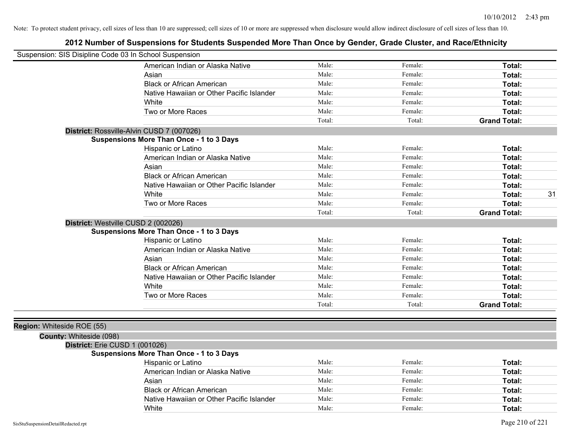| Suspension: SIS Disipline Code 03 In School Suspension |                                                 |        |         |                     |
|--------------------------------------------------------|-------------------------------------------------|--------|---------|---------------------|
|                                                        | American Indian or Alaska Native                | Male:  | Female: | Total:              |
|                                                        | Asian                                           | Male:  | Female: | Total:              |
|                                                        | <b>Black or African American</b>                | Male:  | Female: | Total:              |
|                                                        | Native Hawaiian or Other Pacific Islander       | Male:  | Female: | Total:              |
|                                                        | White                                           | Male:  | Female: | <b>Total:</b>       |
|                                                        | Two or More Races                               | Male:  | Female: | Total:              |
|                                                        |                                                 | Total: | Total:  | <b>Grand Total:</b> |
|                                                        | District: Rossville-Alvin CUSD 7 (007026)       |        |         |                     |
|                                                        | <b>Suspensions More Than Once - 1 to 3 Days</b> |        |         |                     |
|                                                        | Hispanic or Latino                              | Male:  | Female: | Total:              |
|                                                        | American Indian or Alaska Native                | Male:  | Female: | Total:              |
|                                                        | Asian                                           | Male:  | Female: | Total:              |
|                                                        | <b>Black or African American</b>                | Male:  | Female: | Total:              |
|                                                        | Native Hawaiian or Other Pacific Islander       | Male:  | Female: | Total:              |
|                                                        | White                                           | Male:  | Female: | 31<br>Total:        |
|                                                        | Two or More Races                               | Male:  | Female: | Total:              |
|                                                        |                                                 | Total: | Total:  | <b>Grand Total:</b> |
| District: Westville CUSD 2 (002026)                    |                                                 |        |         |                     |
|                                                        | <b>Suspensions More Than Once - 1 to 3 Days</b> |        |         |                     |
|                                                        | Hispanic or Latino                              | Male:  | Female: | Total:              |
|                                                        | American Indian or Alaska Native                | Male:  | Female: | Total:              |
|                                                        | Asian                                           | Male:  | Female: | <b>Total:</b>       |
|                                                        | <b>Black or African American</b>                | Male:  | Female: | Total:              |
|                                                        | Native Hawaiian or Other Pacific Islander       | Male:  | Female: | Total:              |
|                                                        | White                                           | Male:  | Female: | Total:              |
|                                                        | Two or More Races                               | Male:  | Female: | Total:              |
|                                                        |                                                 | Total: | Total:  | <b>Grand Total:</b> |
|                                                        |                                                 |        |         |                     |
| Region: Whiteside ROE (55)                             |                                                 |        |         |                     |
| County: Whiteside (098)                                |                                                 |        |         |                     |
| District: Erie CUSD 1 (001026)                         |                                                 |        |         |                     |
|                                                        | <b>Suspensions More Than Once - 1 to 3 Days</b> |        |         |                     |
|                                                        | Hispanic or Latino                              | Male:  | Female: | Total:              |
|                                                        | American Indian or Alaska Native                | Male:  | Female: | Total:              |
|                                                        | Asian                                           | Male:  | Female: | Total:              |
|                                                        | <b>Black or African American</b>                | Male:  | Female: | Total:              |
|                                                        | Native Hawaiian or Other Pacific Islander       | Male:  | Female: | Total:              |
|                                                        | White                                           | Male:  | Female: | Total:              |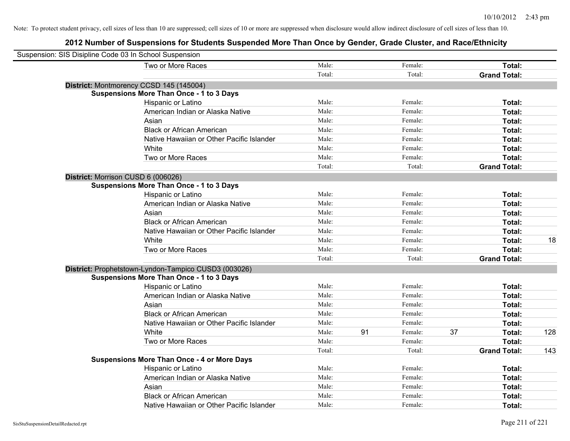| Suspension: SIS Disipline Code 03 In School Suspension |                                                      |        |    |         |    |                     |     |
|--------------------------------------------------------|------------------------------------------------------|--------|----|---------|----|---------------------|-----|
|                                                        | Two or More Races                                    | Male:  |    | Female: |    | Total:              |     |
|                                                        |                                                      | Total: |    | Total:  |    | <b>Grand Total:</b> |     |
|                                                        | District: Montmorency CCSD 145 (145004)              |        |    |         |    |                     |     |
|                                                        | <b>Suspensions More Than Once - 1 to 3 Days</b>      |        |    |         |    |                     |     |
|                                                        | Hispanic or Latino                                   | Male:  |    | Female: |    | Total:              |     |
|                                                        | American Indian or Alaska Native                     | Male:  |    | Female: |    | Total:              |     |
|                                                        | Asian                                                | Male:  |    | Female: |    | Total:              |     |
|                                                        | <b>Black or African American</b>                     | Male:  |    | Female: |    | Total:              |     |
|                                                        | Native Hawaiian or Other Pacific Islander            | Male:  |    | Female: |    | Total:              |     |
|                                                        | White                                                | Male:  |    | Female: |    | Total:              |     |
|                                                        | Two or More Races                                    | Male:  |    | Female: |    | Total:              |     |
|                                                        |                                                      | Total: |    | Total:  |    | <b>Grand Total:</b> |     |
|                                                        | District: Morrison CUSD 6 (006026)                   |        |    |         |    |                     |     |
|                                                        | <b>Suspensions More Than Once - 1 to 3 Days</b>      |        |    |         |    |                     |     |
|                                                        | Hispanic or Latino                                   | Male:  |    | Female: |    | Total:              |     |
|                                                        | American Indian or Alaska Native                     | Male:  |    | Female: |    | Total:              |     |
|                                                        | Asian                                                | Male:  |    | Female: |    | Total:              |     |
|                                                        | <b>Black or African American</b>                     | Male:  |    | Female: |    | Total:              |     |
|                                                        | Native Hawaiian or Other Pacific Islander            | Male:  |    | Female: |    | Total:              |     |
|                                                        | White                                                | Male:  |    | Female: |    | Total:              | 18  |
|                                                        | Two or More Races                                    | Male:  |    | Female: |    | Total:              |     |
|                                                        |                                                      | Total: |    | Total:  |    | <b>Grand Total:</b> |     |
|                                                        | District: Prophetstown-Lyndon-Tampico CUSD3 (003026) |        |    |         |    |                     |     |
|                                                        | <b>Suspensions More Than Once - 1 to 3 Days</b>      |        |    |         |    |                     |     |
|                                                        | Hispanic or Latino                                   | Male:  |    | Female: |    | Total:              |     |
|                                                        | American Indian or Alaska Native                     | Male:  |    | Female: |    | Total:              |     |
|                                                        | Asian                                                | Male:  |    | Female: |    | Total:              |     |
|                                                        | <b>Black or African American</b>                     | Male:  |    | Female: |    | Total:              |     |
|                                                        | Native Hawaiian or Other Pacific Islander            | Male:  |    | Female: |    | Total:              |     |
|                                                        | White                                                | Male:  | 91 | Female: | 37 | Total:              | 128 |
|                                                        | Two or More Races                                    | Male:  |    | Female: |    | Total:              |     |
|                                                        |                                                      | Total: |    | Total:  |    | <b>Grand Total:</b> | 143 |
|                                                        | <b>Suspensions More Than Once - 4 or More Days</b>   |        |    |         |    |                     |     |
|                                                        | Hispanic or Latino                                   | Male:  |    | Female: |    | Total:              |     |
|                                                        | American Indian or Alaska Native                     | Male:  |    | Female: |    | Total:              |     |
|                                                        | Asian                                                | Male:  |    | Female: |    | Total:              |     |
|                                                        | <b>Black or African American</b>                     | Male:  |    | Female: |    | Total:              |     |
|                                                        | Native Hawaiian or Other Pacific Islander            | Male:  |    | Female: |    | Total:              |     |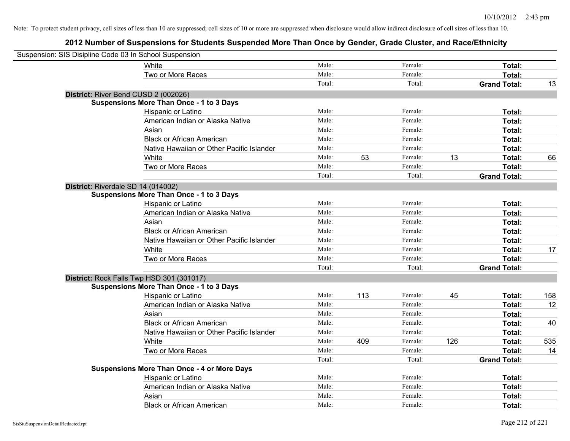| Suspension: SIS Disipline Code 03 In School Suspension |                                                    |        |     |         |     |                     |     |
|--------------------------------------------------------|----------------------------------------------------|--------|-----|---------|-----|---------------------|-----|
|                                                        | White                                              | Male:  |     | Female: |     | Total:              |     |
|                                                        | Two or More Races                                  | Male:  |     | Female: |     | Total:              |     |
|                                                        |                                                    | Total: |     | Total:  |     | <b>Grand Total:</b> | 13  |
| District: River Bend CUSD 2 (002026)                   |                                                    |        |     |         |     |                     |     |
|                                                        | <b>Suspensions More Than Once - 1 to 3 Days</b>    |        |     |         |     |                     |     |
|                                                        | Hispanic or Latino                                 | Male:  |     | Female: |     | Total:              |     |
|                                                        | American Indian or Alaska Native                   | Male:  |     | Female: |     | Total:              |     |
|                                                        | Asian                                              | Male:  |     | Female: |     | Total:              |     |
|                                                        | <b>Black or African American</b>                   | Male:  |     | Female: |     | Total:              |     |
|                                                        | Native Hawaiian or Other Pacific Islander          | Male:  |     | Female: |     | Total:              |     |
|                                                        | White                                              | Male:  | 53  | Female: | 13  | Total:              | 66  |
|                                                        | Two or More Races                                  | Male:  |     | Female: |     | Total:              |     |
|                                                        |                                                    | Total: |     | Total:  |     | <b>Grand Total:</b> |     |
| District: Riverdale SD 14 (014002)                     |                                                    |        |     |         |     |                     |     |
|                                                        | <b>Suspensions More Than Once - 1 to 3 Days</b>    |        |     |         |     |                     |     |
|                                                        | Hispanic or Latino                                 | Male:  |     | Female: |     | Total:              |     |
|                                                        | American Indian or Alaska Native                   | Male:  |     | Female: |     | Total:              |     |
|                                                        | Asian                                              | Male:  |     | Female: |     | Total:              |     |
|                                                        | <b>Black or African American</b>                   | Male:  |     | Female: |     | Total:              |     |
|                                                        | Native Hawaiian or Other Pacific Islander          | Male:  |     | Female: |     | Total:              |     |
|                                                        | White                                              | Male:  |     | Female: |     | Total:              | 17  |
|                                                        | Two or More Races                                  | Male:  |     | Female: |     | Total:              |     |
|                                                        |                                                    | Total: |     | Total:  |     | <b>Grand Total:</b> |     |
|                                                        | District: Rock Falls Twp HSD 301 (301017)          |        |     |         |     |                     |     |
|                                                        | <b>Suspensions More Than Once - 1 to 3 Days</b>    |        |     |         |     |                     |     |
|                                                        | Hispanic or Latino                                 | Male:  | 113 | Female: | 45  | Total:              | 158 |
|                                                        | American Indian or Alaska Native                   | Male:  |     | Female: |     | Total:              | 12  |
|                                                        | Asian                                              | Male:  |     | Female: |     | Total:              |     |
|                                                        | <b>Black or African American</b>                   | Male:  |     | Female: |     | Total:              | 40  |
|                                                        | Native Hawaiian or Other Pacific Islander          | Male:  |     | Female: |     | Total:              |     |
|                                                        | White                                              | Male:  | 409 | Female: | 126 | Total:              | 535 |
|                                                        | Two or More Races                                  | Male:  |     | Female: |     | Total:              | 14  |
|                                                        |                                                    | Total: |     | Total:  |     | <b>Grand Total:</b> |     |
|                                                        | <b>Suspensions More Than Once - 4 or More Days</b> |        |     |         |     |                     |     |
|                                                        | Hispanic or Latino                                 | Male:  |     | Female: |     | Total:              |     |
|                                                        | American Indian or Alaska Native                   | Male:  |     | Female: |     | Total:              |     |
|                                                        | Asian                                              | Male:  |     | Female: |     | Total:              |     |
|                                                        | <b>Black or African American</b>                   | Male:  |     | Female: |     | Total:              |     |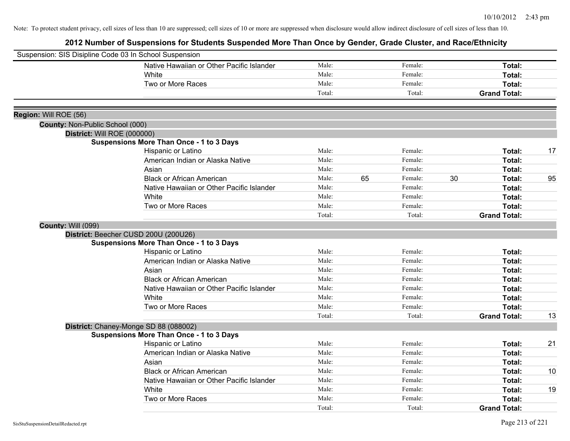| Suspension: SIS Disipline Code 03 In School Suspension |                                                 |        |    |         |    |                     |    |
|--------------------------------------------------------|-------------------------------------------------|--------|----|---------|----|---------------------|----|
|                                                        | Native Hawaiian or Other Pacific Islander       | Male:  |    | Female: |    | Total:              |    |
|                                                        | White                                           | Male:  |    | Female: |    | Total:              |    |
|                                                        | Two or More Races                               | Male:  |    | Female: |    | Total:              |    |
|                                                        |                                                 | Total: |    | Total:  |    | <b>Grand Total:</b> |    |
| Region: Will ROE (56)                                  |                                                 |        |    |         |    |                     |    |
| County: Non-Public School (000)                        |                                                 |        |    |         |    |                     |    |
|                                                        | District: Will ROE (000000)                     |        |    |         |    |                     |    |
|                                                        | <b>Suspensions More Than Once - 1 to 3 Days</b> |        |    |         |    |                     |    |
|                                                        | Hispanic or Latino                              | Male:  |    | Female: |    | Total:              | 17 |
|                                                        | American Indian or Alaska Native                | Male:  |    | Female: |    | Total:              |    |
|                                                        | Asian                                           | Male:  |    | Female: |    | Total:              |    |
|                                                        | <b>Black or African American</b>                | Male:  | 65 | Female: | 30 | Total:              | 95 |
|                                                        | Native Hawaiian or Other Pacific Islander       | Male:  |    | Female: |    | Total:              |    |
|                                                        | White                                           | Male:  |    | Female: |    | Total:              |    |
|                                                        | Two or More Races                               | Male:  |    | Female: |    | Total:              |    |
|                                                        |                                                 | Total: |    | Total:  |    | <b>Grand Total:</b> |    |
| County: Will (099)                                     |                                                 |        |    |         |    |                     |    |
|                                                        | District: Beecher CUSD 200U (200U26)            |        |    |         |    |                     |    |
|                                                        | <b>Suspensions More Than Once - 1 to 3 Days</b> |        |    |         |    |                     |    |
|                                                        | Hispanic or Latino                              | Male:  |    | Female: |    | Total:              |    |
|                                                        | American Indian or Alaska Native                | Male:  |    | Female: |    | Total:              |    |
|                                                        | Asian                                           | Male:  |    | Female: |    | Total:              |    |
|                                                        | <b>Black or African American</b>                | Male:  |    | Female: |    | Total:              |    |
|                                                        | Native Hawaiian or Other Pacific Islander       | Male:  |    | Female: |    | Total:              |    |
|                                                        | White                                           | Male:  |    | Female: |    | Total:              |    |
|                                                        | Two or More Races                               | Male:  |    | Female: |    | Total:              |    |
|                                                        |                                                 | Total: |    | Total:  |    | <b>Grand Total:</b> | 13 |
|                                                        | District: Chaney-Monge SD 88 (088002)           |        |    |         |    |                     |    |
|                                                        | <b>Suspensions More Than Once - 1 to 3 Days</b> |        |    |         |    |                     |    |
|                                                        | Hispanic or Latino                              | Male:  |    | Female: |    | Total:              | 21 |
|                                                        | American Indian or Alaska Native                | Male:  |    | Female: |    | Total:              |    |
|                                                        | Asian                                           | Male:  |    | Female: |    | Total:              |    |
|                                                        | <b>Black or African American</b>                | Male:  |    | Female: |    | Total:              | 10 |
|                                                        | Native Hawaiian or Other Pacific Islander       | Male:  |    | Female: |    | Total:              |    |
|                                                        | White                                           | Male:  |    | Female: |    | Total:              | 19 |
|                                                        | Two or More Races                               | Male:  |    | Female: |    | Total:              |    |
|                                                        |                                                 | Total: |    | Total:  |    | <b>Grand Total:</b> |    |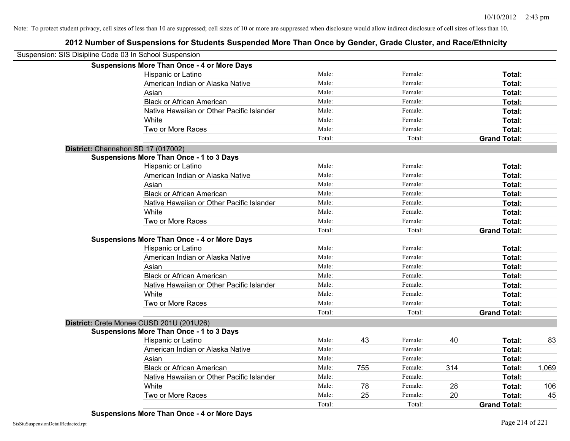| Suspension: SIS Disipline Code 03 In School Suspension |                                                    |        |     |         |     |                     |       |
|--------------------------------------------------------|----------------------------------------------------|--------|-----|---------|-----|---------------------|-------|
|                                                        | <b>Suspensions More Than Once - 4 or More Days</b> |        |     |         |     |                     |       |
|                                                        | Hispanic or Latino                                 | Male:  |     | Female: |     | Total:              |       |
|                                                        | American Indian or Alaska Native                   | Male:  |     | Female: |     | Total:              |       |
|                                                        | Asian                                              | Male:  |     | Female: |     | Total:              |       |
|                                                        | <b>Black or African American</b>                   | Male:  |     | Female: |     | Total:              |       |
|                                                        | Native Hawaiian or Other Pacific Islander          | Male:  |     | Female: |     | Total:              |       |
|                                                        | White                                              | Male:  |     | Female: |     | Total:              |       |
|                                                        | Two or More Races                                  | Male:  |     | Female: |     | Total:              |       |
|                                                        |                                                    | Total: |     | Total:  |     | <b>Grand Total:</b> |       |
| District: Channahon SD 17 (017002)                     |                                                    |        |     |         |     |                     |       |
|                                                        | <b>Suspensions More Than Once - 1 to 3 Days</b>    |        |     |         |     |                     |       |
|                                                        | Hispanic or Latino                                 | Male:  |     | Female: |     | Total:              |       |
|                                                        | American Indian or Alaska Native                   | Male:  |     | Female: |     | Total:              |       |
|                                                        | Asian                                              | Male:  |     | Female: |     | Total:              |       |
|                                                        | <b>Black or African American</b>                   | Male:  |     | Female: |     | Total:              |       |
|                                                        | Native Hawaiian or Other Pacific Islander          | Male:  |     | Female: |     | Total:              |       |
|                                                        | White                                              | Male:  |     | Female: |     | Total:              |       |
|                                                        | Two or More Races                                  | Male:  |     | Female: |     | Total:              |       |
|                                                        |                                                    | Total: |     | Total:  |     | <b>Grand Total:</b> |       |
|                                                        | <b>Suspensions More Than Once - 4 or More Days</b> |        |     |         |     |                     |       |
|                                                        | Hispanic or Latino                                 | Male:  |     | Female: |     | Total:              |       |
|                                                        | American Indian or Alaska Native                   | Male:  |     | Female: |     | Total:              |       |
|                                                        | Asian                                              | Male:  |     | Female: |     | Total:              |       |
|                                                        | <b>Black or African American</b>                   | Male:  |     | Female: |     | Total:              |       |
|                                                        | Native Hawaiian or Other Pacific Islander          | Male:  |     | Female: |     | Total:              |       |
|                                                        | White                                              | Male:  |     | Female: |     | Total:              |       |
|                                                        | Two or More Races                                  | Male:  |     | Female: |     | Total:              |       |
|                                                        |                                                    | Total: |     | Total:  |     | <b>Grand Total:</b> |       |
| District: Crete Monee CUSD 201U (201U26)               |                                                    |        |     |         |     |                     |       |
|                                                        | <b>Suspensions More Than Once - 1 to 3 Days</b>    |        |     |         |     |                     |       |
|                                                        | Hispanic or Latino                                 | Male:  | 43  | Female: | 40  | Total:              | 83    |
|                                                        | American Indian or Alaska Native                   | Male:  |     | Female: |     | Total:              |       |
|                                                        | Asian                                              | Male:  |     | Female: |     | Total:              |       |
|                                                        | <b>Black or African American</b>                   | Male:  | 755 | Female: | 314 | Total:              | 1,069 |
|                                                        | Native Hawaiian or Other Pacific Islander          | Male:  |     | Female: |     | Total:              |       |
|                                                        | White                                              | Male:  | 78  | Female: | 28  | <b>Total:</b>       | 106   |
|                                                        | Two or More Races                                  | Male:  | 25  | Female: | 20  | Total:              | 45    |
|                                                        |                                                    | Total: |     | Total:  |     | <b>Grand Total:</b> |       |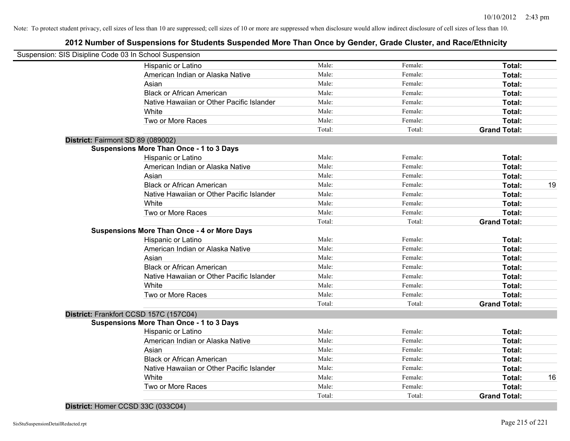## **2012 Number of Suspensions for Students Suspended More Than Once by Gender, Grade Cluster, and Race/Ethnicity**

|                                   | Suspension: SIS Disipline Code 03 In School Suspension |        |         |                     |    |
|-----------------------------------|--------------------------------------------------------|--------|---------|---------------------|----|
|                                   | Hispanic or Latino                                     | Male:  | Female: | Total:              |    |
|                                   | American Indian or Alaska Native                       | Male:  | Female: | Total:              |    |
|                                   | Asian                                                  | Male:  | Female: | Total:              |    |
|                                   | <b>Black or African American</b>                       | Male:  | Female: | Total:              |    |
|                                   | Native Hawaiian or Other Pacific Islander              | Male:  | Female: | Total:              |    |
|                                   | White                                                  | Male:  | Female: | Total:              |    |
|                                   | Two or More Races                                      | Male:  | Female: | Total:              |    |
|                                   |                                                        | Total: | Total:  | <b>Grand Total:</b> |    |
| District: Fairmont SD 89 (089002) |                                                        |        |         |                     |    |
|                                   | <b>Suspensions More Than Once - 1 to 3 Days</b>        |        |         |                     |    |
|                                   | Hispanic or Latino                                     | Male:  | Female: | Total:              |    |
|                                   | American Indian or Alaska Native                       | Male:  | Female: | Total:              |    |
|                                   | Asian                                                  | Male:  | Female: | Total:              |    |
|                                   | <b>Black or African American</b>                       | Male:  | Female: | Total:              | 19 |
|                                   | Native Hawaiian or Other Pacific Islander              | Male:  | Female: | Total:              |    |
|                                   | White                                                  | Male:  | Female: | Total:              |    |
|                                   | Two or More Races                                      | Male:  | Female: | Total:              |    |
|                                   |                                                        | Total: | Total:  | <b>Grand Total:</b> |    |
|                                   | <b>Suspensions More Than Once - 4 or More Days</b>     |        |         |                     |    |
|                                   | Hispanic or Latino                                     | Male:  | Female: | Total:              |    |
|                                   | American Indian or Alaska Native                       | Male:  | Female: | Total:              |    |
|                                   | Asian                                                  | Male:  | Female: | Total:              |    |
|                                   | <b>Black or African American</b>                       | Male:  | Female: | Total:              |    |
|                                   | Native Hawaiian or Other Pacific Islander              | Male:  | Female: | Total:              |    |
|                                   | White                                                  | Male:  | Female: | Total:              |    |
|                                   | Two or More Races                                      | Male:  | Female: | Total:              |    |
|                                   |                                                        | Total: | Total:  | <b>Grand Total:</b> |    |
|                                   | District: Frankfort CCSD 157C (157C04)                 |        |         |                     |    |
|                                   | <b>Suspensions More Than Once - 1 to 3 Days</b>        |        |         |                     |    |
|                                   | Hispanic or Latino                                     | Male:  | Female: | Total:              |    |
|                                   | American Indian or Alaska Native                       | Male:  | Female: | Total:              |    |
|                                   | Asian                                                  | Male:  | Female: | Total:              |    |
|                                   | <b>Black or African American</b>                       | Male:  | Female: | Total:              |    |
|                                   | Native Hawaiian or Other Pacific Islander              | Male:  | Female: | Total:              |    |
|                                   | White                                                  | Male:  | Female: | Total:              | 16 |
|                                   | Two or More Races                                      | Male:  | Female: | Total:              |    |
|                                   |                                                        | Total: | Total:  | <b>Grand Total:</b> |    |
|                                   |                                                        |        |         |                     |    |

**District:** Homer CCSD 33C (033C04)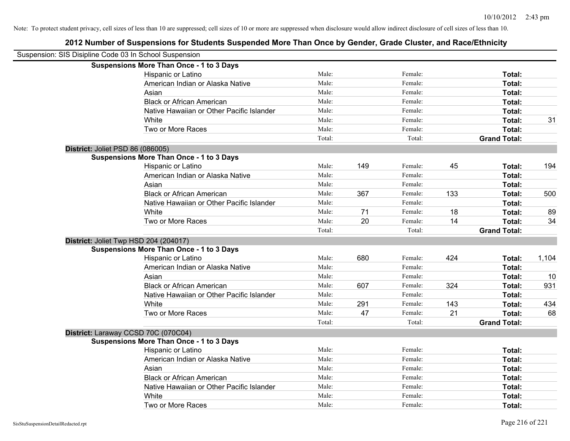| Suspension: SIS Disipline Code 03 In School Suspension |                                                 |        |     |         |     |                     |       |
|--------------------------------------------------------|-------------------------------------------------|--------|-----|---------|-----|---------------------|-------|
|                                                        | <b>Suspensions More Than Once - 1 to 3 Days</b> |        |     |         |     |                     |       |
|                                                        | Hispanic or Latino                              | Male:  |     | Female: |     | Total:              |       |
|                                                        | American Indian or Alaska Native                | Male:  |     | Female: |     | Total:              |       |
|                                                        | Asian                                           | Male:  |     | Female: |     | Total:              |       |
|                                                        | <b>Black or African American</b>                | Male:  |     | Female: |     | Total:              |       |
|                                                        | Native Hawaiian or Other Pacific Islander       | Male:  |     | Female: |     | Total:              |       |
|                                                        | White                                           | Male:  |     | Female: |     | Total:              | 31    |
|                                                        | Two or More Races                               | Male:  |     | Female: |     | Total:              |       |
|                                                        |                                                 | Total: |     | Total:  |     | <b>Grand Total:</b> |       |
| District: Joliet PSD 86 (086005)                       |                                                 |        |     |         |     |                     |       |
|                                                        | <b>Suspensions More Than Once - 1 to 3 Days</b> |        |     |         |     |                     |       |
|                                                        | Hispanic or Latino                              | Male:  | 149 | Female: | 45  | Total:              | 194   |
|                                                        | American Indian or Alaska Native                | Male:  |     | Female: |     | Total:              |       |
|                                                        | Asian                                           | Male:  |     | Female: |     | Total:              |       |
|                                                        | <b>Black or African American</b>                | Male:  | 367 | Female: | 133 | Total:              | 500   |
|                                                        | Native Hawaiian or Other Pacific Islander       | Male:  |     | Female: |     | Total:              |       |
|                                                        | White                                           | Male:  | 71  | Female: | 18  | Total:              | 89    |
|                                                        | Two or More Races                               | Male:  | 20  | Female: | 14  | Total:              | 34    |
|                                                        |                                                 | Total: |     | Total:  |     | <b>Grand Total:</b> |       |
| District: Joliet Twp HSD 204 (204017)                  |                                                 |        |     |         |     |                     |       |
|                                                        | <b>Suspensions More Than Once - 1 to 3 Days</b> |        |     |         |     |                     |       |
|                                                        | Hispanic or Latino                              | Male:  | 680 | Female: | 424 | Total:              | 1,104 |
|                                                        | American Indian or Alaska Native                | Male:  |     | Female: |     | Total:              |       |
|                                                        | Asian                                           | Male:  |     | Female: |     | Total:              | 10    |
|                                                        | <b>Black or African American</b>                | Male:  | 607 | Female: | 324 | Total:              | 931   |
|                                                        | Native Hawaiian or Other Pacific Islander       | Male:  |     | Female: |     | Total:              |       |
|                                                        | White                                           | Male:  | 291 | Female: | 143 | Total:              | 434   |
|                                                        | Two or More Races                               | Male:  | 47  | Female: | 21  | Total:              | 68    |
|                                                        |                                                 | Total: |     | Total:  |     | <b>Grand Total:</b> |       |
| District: Laraway CCSD 70C (070C04)                    |                                                 |        |     |         |     |                     |       |
|                                                        | <b>Suspensions More Than Once - 1 to 3 Days</b> |        |     |         |     |                     |       |
|                                                        | Hispanic or Latino                              | Male:  |     | Female: |     | Total:              |       |
|                                                        | American Indian or Alaska Native                | Male:  |     | Female: |     | Total:              |       |
|                                                        | Asian                                           | Male:  |     | Female: |     | Total:              |       |
|                                                        | <b>Black or African American</b>                | Male:  |     | Female: |     | Total:              |       |
|                                                        | Native Hawaiian or Other Pacific Islander       | Male:  |     | Female: |     | Total:              |       |
|                                                        | White                                           | Male:  |     | Female: |     | Total:              |       |
|                                                        | Two or More Races                               | Male:  |     | Female: |     | Total:              |       |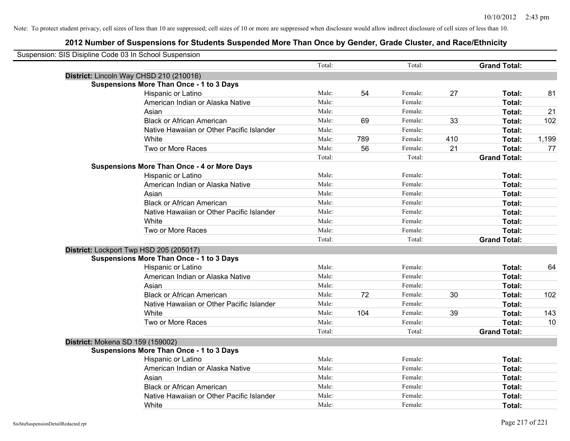| Suspension: SIS Disipline Code 03 In School Suspension |                                                    |        |     |         |     |                     |       |
|--------------------------------------------------------|----------------------------------------------------|--------|-----|---------|-----|---------------------|-------|
|                                                        |                                                    | Total: |     | Total:  |     | <b>Grand Total:</b> |       |
|                                                        | District: Lincoln Way CHSD 210 (210016)            |        |     |         |     |                     |       |
|                                                        | <b>Suspensions More Than Once - 1 to 3 Days</b>    |        |     |         |     |                     |       |
|                                                        | Hispanic or Latino                                 | Male:  | 54  | Female: | 27  | Total:              | 81    |
|                                                        | American Indian or Alaska Native                   | Male:  |     | Female: |     | Total:              |       |
|                                                        | Asian                                              | Male:  |     | Female: |     | Total:              | 21    |
|                                                        | <b>Black or African American</b>                   | Male:  | 69  | Female: | 33  | Total:              | 102   |
|                                                        | Native Hawaiian or Other Pacific Islander          | Male:  |     | Female: |     | Total:              |       |
|                                                        | White                                              | Male:  | 789 | Female: | 410 | Total:              | 1,199 |
|                                                        | Two or More Races                                  | Male:  | 56  | Female: | 21  | Total:              | 77    |
|                                                        |                                                    | Total: |     | Total:  |     | <b>Grand Total:</b> |       |
|                                                        | <b>Suspensions More Than Once - 4 or More Days</b> |        |     |         |     |                     |       |
|                                                        | Hispanic or Latino                                 | Male:  |     | Female: |     | Total:              |       |
|                                                        | American Indian or Alaska Native                   | Male:  |     | Female: |     | Total:              |       |
|                                                        | Asian                                              | Male:  |     | Female: |     | Total:              |       |
|                                                        | <b>Black or African American</b>                   | Male:  |     | Female: |     | Total:              |       |
|                                                        | Native Hawaiian or Other Pacific Islander          | Male:  |     | Female: |     | Total:              |       |
|                                                        | White                                              | Male:  |     | Female: |     | Total:              |       |
|                                                        | Two or More Races                                  | Male:  |     | Female: |     | Total:              |       |
|                                                        |                                                    | Total: |     | Total:  |     | <b>Grand Total:</b> |       |
|                                                        | District: Lockport Twp HSD 205 (205017)            |        |     |         |     |                     |       |
|                                                        | <b>Suspensions More Than Once - 1 to 3 Days</b>    |        |     |         |     |                     |       |
|                                                        | Hispanic or Latino                                 | Male:  |     | Female: |     | Total:              | 64    |
|                                                        | American Indian or Alaska Native                   | Male:  |     | Female: |     | Total:              |       |
|                                                        | Asian                                              | Male:  |     | Female: |     | Total:              |       |
|                                                        | <b>Black or African American</b>                   | Male:  | 72  | Female: | 30  | Total:              | 102   |
|                                                        | Native Hawaiian or Other Pacific Islander          | Male:  |     | Female: |     | Total:              |       |
|                                                        | White                                              | Male:  | 104 | Female: | 39  | Total:              | 143   |
|                                                        | Two or More Races                                  | Male:  |     | Female: |     | Total:              | 10    |
|                                                        |                                                    | Total: |     | Total:  |     | <b>Grand Total:</b> |       |
| <b>District: Mokena SD 159 (159002)</b>                |                                                    |        |     |         |     |                     |       |
|                                                        | <b>Suspensions More Than Once - 1 to 3 Days</b>    |        |     |         |     |                     |       |
|                                                        | Hispanic or Latino                                 | Male:  |     | Female: |     | Total:              |       |
|                                                        | American Indian or Alaska Native                   | Male:  |     | Female: |     | Total:              |       |
|                                                        | Asian                                              | Male:  |     | Female: |     | Total:              |       |
|                                                        | <b>Black or African American</b>                   | Male:  |     | Female: |     | Total:              |       |
|                                                        | Native Hawaiian or Other Pacific Islander          | Male:  |     | Female: |     | Total:              |       |
|                                                        | White                                              | Male:  |     | Female: |     | Total:              |       |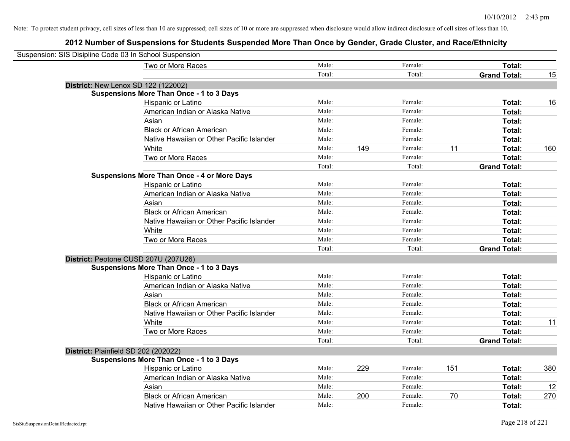| Suspension: SIS Disipline Code 03 In School Suspension |                                                    |        |     |         |     |                     |     |
|--------------------------------------------------------|----------------------------------------------------|--------|-----|---------|-----|---------------------|-----|
|                                                        | Two or More Races                                  | Male:  |     | Female: |     | Total:              |     |
|                                                        |                                                    | Total: |     | Total:  |     | <b>Grand Total:</b> | 15  |
|                                                        | <b>District: New Lenox SD 122 (122002)</b>         |        |     |         |     |                     |     |
|                                                        | <b>Suspensions More Than Once - 1 to 3 Days</b>    |        |     |         |     |                     |     |
|                                                        | Hispanic or Latino                                 | Male:  |     | Female: |     | Total:              | 16  |
|                                                        | American Indian or Alaska Native                   | Male:  |     | Female: |     | Total:              |     |
|                                                        | Asian                                              | Male:  |     | Female: |     | Total:              |     |
|                                                        | <b>Black or African American</b>                   | Male:  |     | Female: |     | Total:              |     |
|                                                        | Native Hawaiian or Other Pacific Islander          | Male:  |     | Female: |     | Total:              |     |
|                                                        | White                                              | Male:  | 149 | Female: | 11  | Total:              | 160 |
|                                                        | Two or More Races                                  | Male:  |     | Female: |     | Total:              |     |
|                                                        |                                                    | Total: |     | Total:  |     | <b>Grand Total:</b> |     |
|                                                        | <b>Suspensions More Than Once - 4 or More Days</b> |        |     |         |     |                     |     |
|                                                        | Hispanic or Latino                                 | Male:  |     | Female: |     | Total:              |     |
|                                                        | American Indian or Alaska Native                   | Male:  |     | Female: |     | Total:              |     |
|                                                        | Asian                                              | Male:  |     | Female: |     | Total:              |     |
|                                                        | <b>Black or African American</b>                   | Male:  |     | Female: |     | Total:              |     |
|                                                        | Native Hawaiian or Other Pacific Islander          | Male:  |     | Female: |     | Total:              |     |
|                                                        | White                                              | Male:  |     | Female: |     | Total:              |     |
|                                                        | Two or More Races                                  | Male:  |     | Female: |     | Total:              |     |
|                                                        |                                                    | Total: |     | Total:  |     | <b>Grand Total:</b> |     |
|                                                        | District: Peotone CUSD 207U (207U26)               |        |     |         |     |                     |     |
|                                                        | <b>Suspensions More Than Once - 1 to 3 Days</b>    |        |     |         |     |                     |     |
|                                                        | Hispanic or Latino                                 | Male:  |     | Female: |     | Total:              |     |
|                                                        | American Indian or Alaska Native                   | Male:  |     | Female: |     | Total:              |     |
|                                                        | Asian                                              | Male:  |     | Female: |     | Total:              |     |
|                                                        | <b>Black or African American</b>                   | Male:  |     | Female: |     | Total:              |     |
|                                                        | Native Hawaiian or Other Pacific Islander          | Male:  |     | Female: |     | Total:              |     |
|                                                        | White                                              | Male:  |     | Female: |     | Total:              | 11  |
|                                                        | Two or More Races                                  | Male:  |     | Female: |     | Total:              |     |
|                                                        |                                                    | Total: |     | Total:  |     | <b>Grand Total:</b> |     |
| District: Plainfield SD 202 (202022)                   |                                                    |        |     |         |     |                     |     |
|                                                        | <b>Suspensions More Than Once - 1 to 3 Days</b>    |        |     |         |     |                     |     |
|                                                        | Hispanic or Latino                                 | Male:  | 229 | Female: | 151 | Total:              | 380 |
|                                                        | American Indian or Alaska Native                   | Male:  |     | Female: |     | Total:              |     |
|                                                        | Asian                                              | Male:  |     | Female: |     | Total:              | 12  |
|                                                        | <b>Black or African American</b>                   | Male:  | 200 | Female: | 70  | Total:              | 270 |
|                                                        | Native Hawaiian or Other Pacific Islander          | Male:  |     | Female: |     | Total:              |     |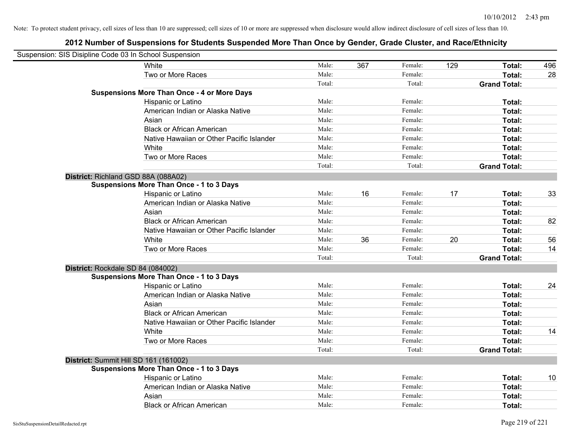| Suspension: SIS Disipline Code 03 In School Suspension |                                                    |        |     |         |     |                     |     |
|--------------------------------------------------------|----------------------------------------------------|--------|-----|---------|-----|---------------------|-----|
|                                                        | White                                              | Male:  | 367 | Female: | 129 | Total:              | 496 |
|                                                        | Two or More Races                                  | Male:  |     | Female: |     | Total:              | 28  |
|                                                        |                                                    | Total: |     | Total:  |     | <b>Grand Total:</b> |     |
|                                                        | <b>Suspensions More Than Once - 4 or More Days</b> |        |     |         |     |                     |     |
|                                                        | Hispanic or Latino                                 | Male:  |     | Female: |     | Total:              |     |
|                                                        | American Indian or Alaska Native                   | Male:  |     | Female: |     | Total:              |     |
|                                                        | Asian                                              | Male:  |     | Female: |     | Total:              |     |
|                                                        | <b>Black or African American</b>                   | Male:  |     | Female: |     | Total:              |     |
|                                                        | Native Hawaiian or Other Pacific Islander          | Male:  |     | Female: |     | Total:              |     |
|                                                        | White                                              | Male:  |     | Female: |     | Total:              |     |
|                                                        | Two or More Races                                  | Male:  |     | Female: |     | Total:              |     |
|                                                        |                                                    | Total: |     | Total:  |     | <b>Grand Total:</b> |     |
| District: Richland GSD 88A (088A02)                    |                                                    |        |     |         |     |                     |     |
|                                                        | <b>Suspensions More Than Once - 1 to 3 Days</b>    |        |     |         |     |                     |     |
|                                                        | Hispanic or Latino                                 | Male:  | 16  | Female: | 17  | Total:              | 33  |
|                                                        | American Indian or Alaska Native                   | Male:  |     | Female: |     | Total:              |     |
|                                                        | Asian                                              | Male:  |     | Female: |     | Total:              |     |
|                                                        | <b>Black or African American</b>                   | Male:  |     | Female: |     | Total:              | 82  |
|                                                        | Native Hawaiian or Other Pacific Islander          | Male:  |     | Female: |     | Total:              |     |
|                                                        | White                                              | Male:  | 36  | Female: | 20  | Total:              | 56  |
|                                                        | Two or More Races                                  | Male:  |     | Female: |     | Total:              | 14  |
|                                                        |                                                    | Total: |     | Total:  |     | <b>Grand Total:</b> |     |
| District: Rockdale SD 84 (084002)                      |                                                    |        |     |         |     |                     |     |
|                                                        | <b>Suspensions More Than Once - 1 to 3 Days</b>    |        |     |         |     |                     |     |
|                                                        | Hispanic or Latino                                 | Male:  |     | Female: |     | Total:              | 24  |
|                                                        | American Indian or Alaska Native                   | Male:  |     | Female: |     | Total:              |     |
|                                                        | Asian                                              | Male:  |     | Female: |     | Total:              |     |
|                                                        | <b>Black or African American</b>                   | Male:  |     | Female: |     | Total:              |     |
|                                                        | Native Hawaiian or Other Pacific Islander          | Male:  |     | Female: |     | Total:              |     |
|                                                        | White                                              | Male:  |     | Female: |     | Total:              | 14  |
|                                                        | Two or More Races                                  | Male:  |     | Female: |     | Total:              |     |
|                                                        |                                                    | Total: |     | Total:  |     | <b>Grand Total:</b> |     |
| District: Summit Hill SD 161 (161002)                  |                                                    |        |     |         |     |                     |     |
|                                                        | <b>Suspensions More Than Once - 1 to 3 Days</b>    |        |     |         |     |                     |     |
|                                                        | Hispanic or Latino                                 | Male:  |     | Female: |     | Total:              | 10  |
|                                                        | American Indian or Alaska Native                   | Male:  |     | Female: |     | Total:              |     |
|                                                        | Asian                                              | Male:  |     | Female: |     | Total:              |     |
|                                                        | <b>Black or African American</b>                   | Male:  |     | Female: |     | Total:              |     |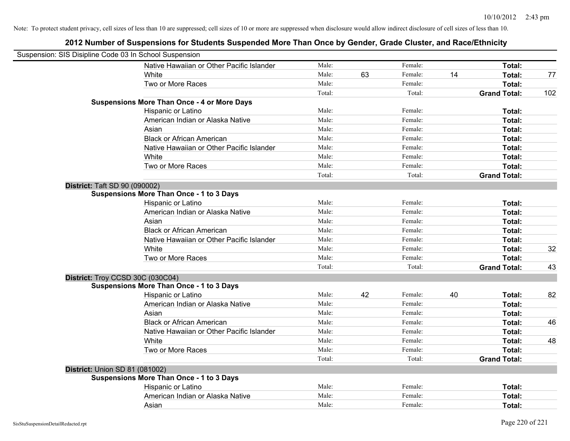| Suspension: SIS Disipline Code 03 In School Suspension |                                                    |        |    |         |    |                     |     |
|--------------------------------------------------------|----------------------------------------------------|--------|----|---------|----|---------------------|-----|
|                                                        | Native Hawaiian or Other Pacific Islander          | Male:  |    | Female: |    | Total:              |     |
|                                                        | White                                              | Male:  | 63 | Female: | 14 | Total:              | 77  |
|                                                        | Two or More Races                                  | Male:  |    | Female: |    | Total:              |     |
|                                                        |                                                    | Total: |    | Total:  |    | <b>Grand Total:</b> | 102 |
|                                                        | <b>Suspensions More Than Once - 4 or More Days</b> |        |    |         |    |                     |     |
|                                                        | Hispanic or Latino                                 | Male:  |    | Female: |    | Total:              |     |
|                                                        | American Indian or Alaska Native                   | Male:  |    | Female: |    | Total:              |     |
|                                                        | Asian                                              | Male:  |    | Female: |    | Total:              |     |
|                                                        | <b>Black or African American</b>                   | Male:  |    | Female: |    | Total:              |     |
|                                                        | Native Hawaiian or Other Pacific Islander          | Male:  |    | Female: |    | Total:              |     |
|                                                        | White                                              | Male:  |    | Female: |    | Total:              |     |
|                                                        | Two or More Races                                  | Male:  |    | Female: |    | Total:              |     |
|                                                        |                                                    | Total: |    | Total:  |    | <b>Grand Total:</b> |     |
| <b>District: Taft SD 90 (090002)</b>                   |                                                    |        |    |         |    |                     |     |
|                                                        | <b>Suspensions More Than Once - 1 to 3 Days</b>    |        |    |         |    |                     |     |
|                                                        | Hispanic or Latino                                 | Male:  |    | Female: |    | Total:              |     |
|                                                        | American Indian or Alaska Native                   | Male:  |    | Female: |    | Total:              |     |
|                                                        | Asian                                              | Male:  |    | Female: |    | Total:              |     |
|                                                        | <b>Black or African American</b>                   | Male:  |    | Female: |    | Total:              |     |
|                                                        | Native Hawaiian or Other Pacific Islander          | Male:  |    | Female: |    | Total:              |     |
|                                                        | White                                              | Male:  |    | Female: |    | Total:              | 32  |
|                                                        | Two or More Races                                  | Male:  |    | Female: |    | Total:              |     |
|                                                        |                                                    | Total: |    | Total:  |    | <b>Grand Total:</b> | 43  |
| District: Troy CCSD 30C (030C04)                       |                                                    |        |    |         |    |                     |     |
|                                                        | <b>Suspensions More Than Once - 1 to 3 Days</b>    |        |    |         |    |                     |     |
|                                                        | Hispanic or Latino                                 | Male:  | 42 | Female: | 40 | Total:              | 82  |
|                                                        | American Indian or Alaska Native                   | Male:  |    | Female: |    | Total:              |     |
|                                                        | Asian                                              | Male:  |    | Female: |    | Total:              |     |
|                                                        | <b>Black or African American</b>                   | Male:  |    | Female: |    | Total:              | 46  |
|                                                        | Native Hawaiian or Other Pacific Islander          | Male:  |    | Female: |    | Total:              |     |
|                                                        | White                                              | Male:  |    | Female: |    | Total:              | 48  |
|                                                        | Two or More Races                                  | Male:  |    | Female: |    | Total:              |     |
|                                                        |                                                    | Total: |    | Total:  |    | <b>Grand Total:</b> |     |
| <b>District: Union SD 81 (081002)</b>                  |                                                    |        |    |         |    |                     |     |
|                                                        | <b>Suspensions More Than Once - 1 to 3 Days</b>    |        |    |         |    |                     |     |
|                                                        | Hispanic or Latino                                 | Male:  |    | Female: |    | Total:              |     |
|                                                        | American Indian or Alaska Native                   | Male:  |    | Female: |    | Total:              |     |
|                                                        | Asian                                              | Male:  |    | Female: |    | Total:              |     |